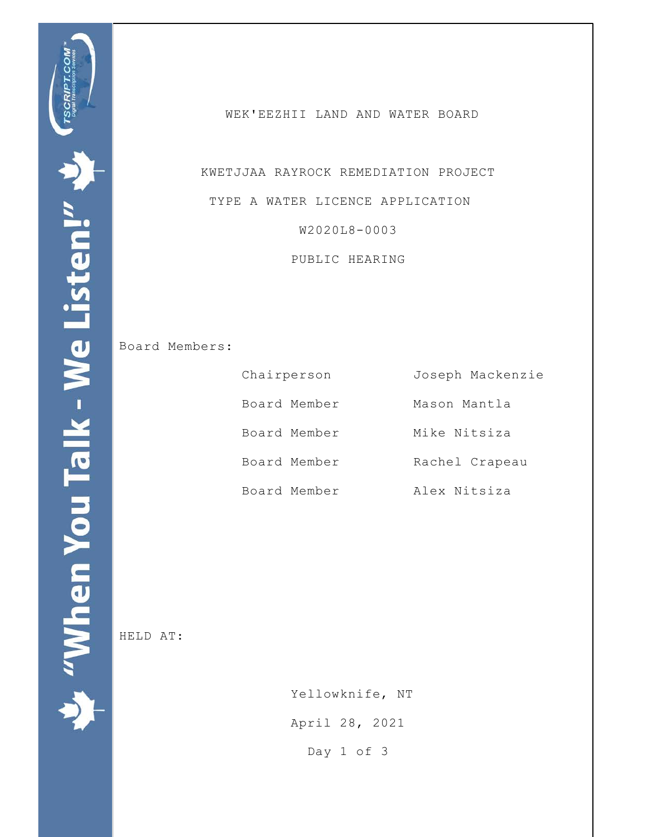WEK'EEZHII LAND AND WATER BOARD

 KWETJJAA RAYROCK REMEDIATION PROJECT TYPE A WATER LICENCE APPLICATION W2020L8-0003

PUBLIC HEARING

Board Members:

| Chairperson  | Joseph Mackenzie |
|--------------|------------------|
| Board Member | Mason Mantla     |
| Board Member | Mike Nitsiza     |
| Board Member | Rachel Crapeau   |
| Board Member | Alex Nitsiza     |

HELD AT:

 Yellowknife, NT April 28, 2021 Day 1 of 3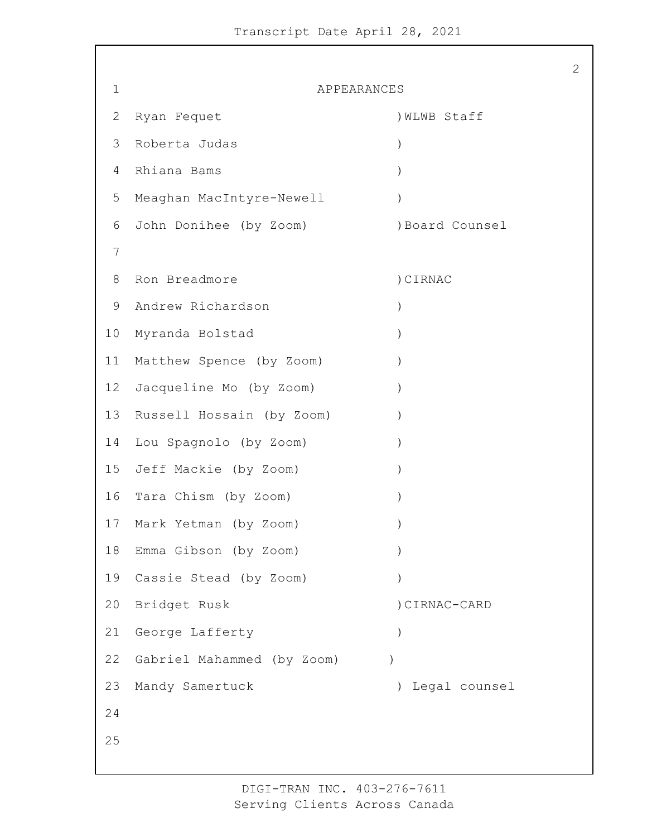1 APPEARANCES 2 Ryan Fequet (2008) NLWB Staff Roberta Judas ) Rhiana Bams ) Meaghan MacIntyre-Newell ) 6 John Donihee (by Zoom) (8) Board Counsel 8 Ron Breadmore (1999) (SIRNAC Andrew Richardson ) Myranda Bolstad ) 11 Matthew Spence (by Zoom) ) Jacqueline Mo (by Zoom) ) Russell Hossain (by Zoom) ) Lou Spagnolo (by Zoom) ) Jeff Mackie (by Zoom) ) 16 Tara Chism (by Zoom) Mark Yetman (by Zoom) ) Emma Gibson (by Zoom) ) Cassie Stead (by Zoom) ) Bridget Rusk )CIRNAC-CARD George Lafferty ) Gabriel Mahammed (by Zoom) ) Mandy Samertuck ) Legal counsel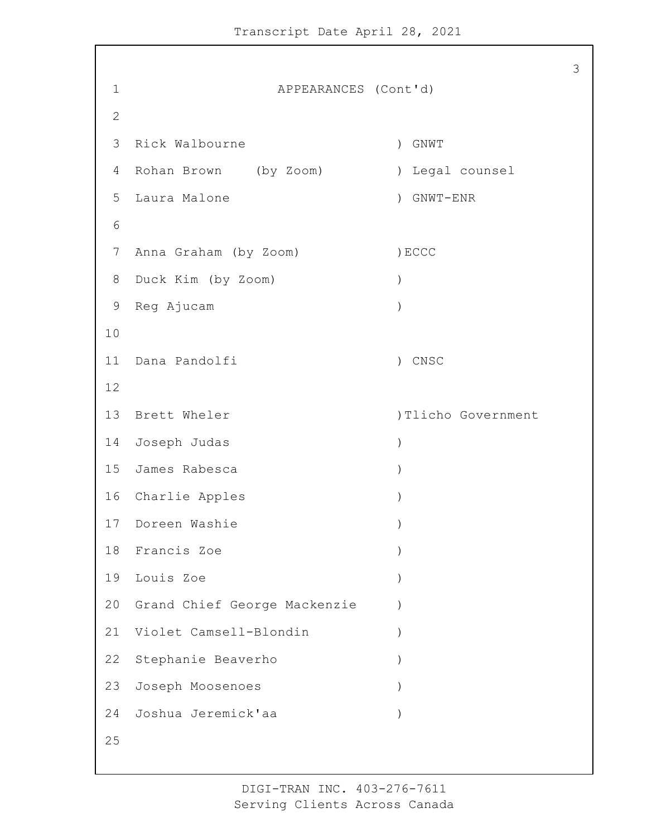1 APPEARANCES (Cont'd) Rick Walbourne ) GNWT Rohan Brown (by Zoom) ) Legal counsel Laura Malone ) GNWT-ENR 7 Anna Graham (by Zoom) (BCCC Duck Kim (by Zoom) ) Reg Ajucam ) Dana Pandolfi ) CNSC 13 Brett Wheler (1998) 1999 (1999) Tlicho Government Joseph Judas ) James Rabesca ) 16 Charlie Apples 17 Doreen Washie Francis Zoe ) Louis Zoe ) Grand Chief George Mackenzie ) Violet Camsell-Blondin ) Stephanie Beaverho ) Joseph Moosenoes ) Joshua Jeremick'aa )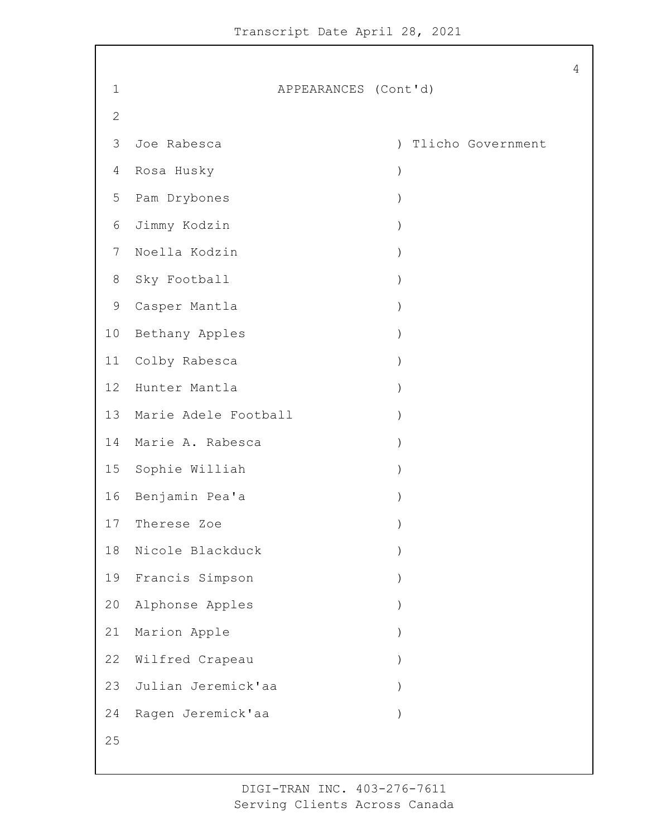1 APPEARANCES (Cont'd) Joe Rabesca ) Tlicho Government Rosa Husky ) Pam Drybones ) Jimmy Kodzin ) Noella Kodzin ) Sky Football ) Casper Mantla ) 10 Bethany Apples Colby Rabesca ) Hunter Mantla ) Marie Adele Football ) Marie A. Rabesca ) Sophie Williah ) Benjamin Pea'a ) Therese Zoe ) Nicole Blackduck ) Francis Simpson ) Alphonse Apples ) 21 Marion Apple 22 Wilfred Crapeau Julian Jeremick'aa ) Ragen Jeremick'aa )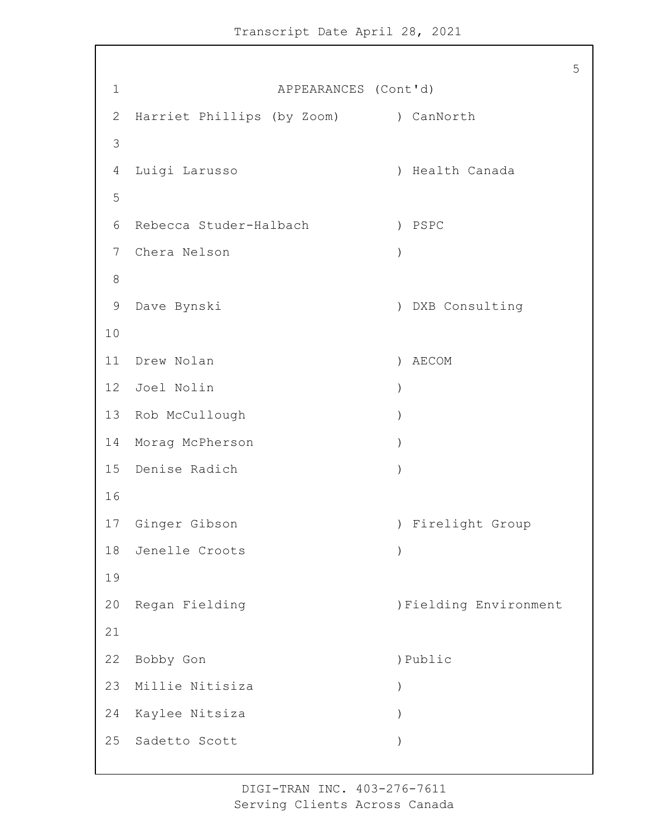1 APPEARANCES (Cont'd) 2 Harriet Phillips (by Zoom) ) CanNorth Luigi Larusso ) Health Canada Rebecca Studer-Halbach ) PSPC Chera Nelson ) Dave Bynski ) DXB Consulting Drew Nolan ) AECOM Joel Nolin ) Rob McCullough ) Morag McPherson ) Denise Radich ) Ginger Gibson ) Firelight Group Jenelle Croots ) Regan Fielding )Fielding Environment 22 Bobby Gon ) Public Millie Nitisiza ) Kaylee Nitsiza ) Sadetto Scott )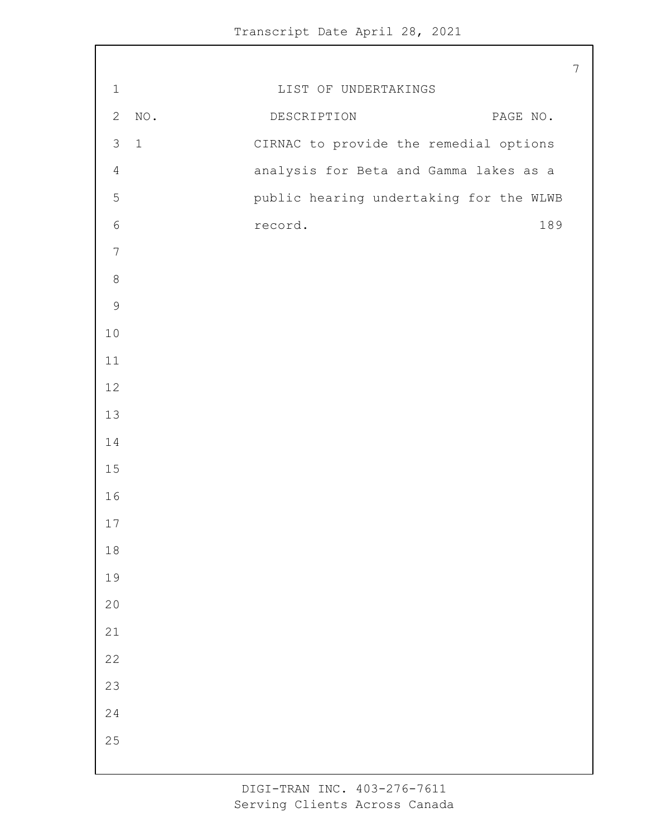|                |             |                                         | $\overline{7}$ |
|----------------|-------------|-----------------------------------------|----------------|
| $1\,$          |             | LIST OF UNDERTAKINGS                    |                |
| $\mathbf{2}$   | $\rm NO$ .  | DESCRIPTION<br>PAGE NO.                 |                |
| $\mathcal{S}$  | $\mathbf 1$ | CIRNAC to provide the remedial options  |                |
| $\overline{4}$ |             | analysis for Beta and Gamma lakes as a  |                |
| 5              |             | public hearing undertaking for the WLWB |                |
| $\epsilon$     |             | 189<br>record.                          |                |
| $\overline{7}$ |             |                                         |                |
| $\,8\,$        |             |                                         |                |
| $\mathsf 9$    |             |                                         |                |
| $10$           |             |                                         |                |
| 11             |             |                                         |                |
| 12             |             |                                         |                |
| 13             |             |                                         |                |
| $1\,4$         |             |                                         |                |
| $15$           |             |                                         |                |
| 16             |             |                                         |                |
| 17             |             |                                         |                |
| $1\,8$         |             |                                         |                |
| 19             |             |                                         |                |
| 20             |             |                                         |                |
| $2\sqrt{1}$    |             |                                         |                |
| $2\sqrt{2}$    |             |                                         |                |
| 23             |             |                                         |                |
| 24             |             |                                         |                |
| 25             |             |                                         |                |
|                |             |                                         |                |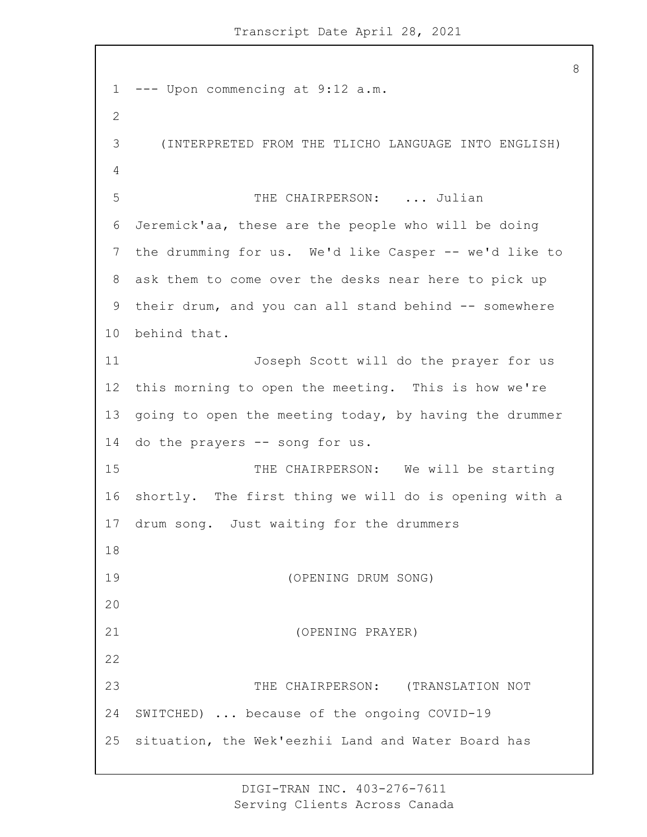--- Upon commencing at 9:12 a.m. 3 (INTERPRETED FROM THE TLICHO LANGUAGE INTO ENGLISH) 5 THE CHAIRPERSON: ... Julian Jeremick'aa, these are the people who will be doing the drumming for us. We'd like Casper -- we'd like to ask them to come over the desks near here to pick up their drum, and you can all stand behind -- somewhere behind that. 11 Joseph Scott will do the prayer for us this morning to open the meeting. This is how we're going to open the meeting today, by having the drummer do the prayers -- song for us. 15 THE CHAIRPERSON: We will be starting shortly. The first thing we will do is opening with a drum song. Just waiting for the drummers 19 (OPENING DRUM SONG) 21 (OPENING PRAYER) 23 THE CHAIRPERSON: (TRANSLATION NOT SWITCHED) ... because of the ongoing COVID-19 situation, the Wek'eezhii Land and Water Board has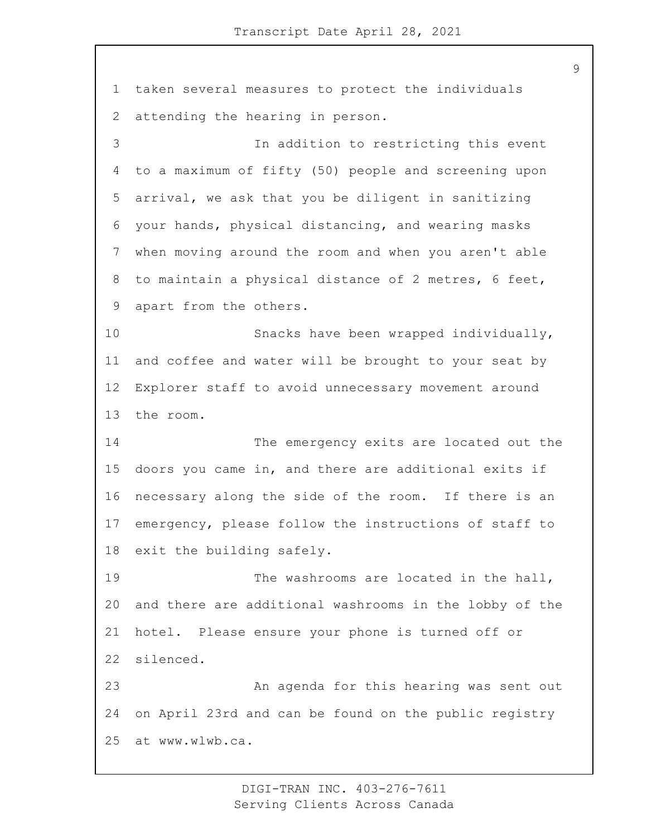taken several measures to protect the individuals attending the hearing in person. 3 In addition to restricting this event to a maximum of fifty (50) people and screening upon arrival, we ask that you be diligent in sanitizing your hands, physical distancing, and wearing masks when moving around the room and when you aren't able to maintain a physical distance of 2 metres, 6 feet, apart from the others. 10 Snacks have been wrapped individually, and coffee and water will be brought to your seat by Explorer staff to avoid unnecessary movement around the room. 14 The emergency exits are located out the doors you came in, and there are additional exits if necessary along the side of the room. If there is an emergency, please follow the instructions of staff to exit the building safely. 19 The washrooms are located in the hall, and there are additional washrooms in the lobby of the hotel. Please ensure your phone is turned off or silenced. 23 An agenda for this hearing was sent out on April 23rd and can be found on the public registry at www.wlwb.ca.

> DIGI-TRAN INC. 403-276-7611 Serving Clients Across Canada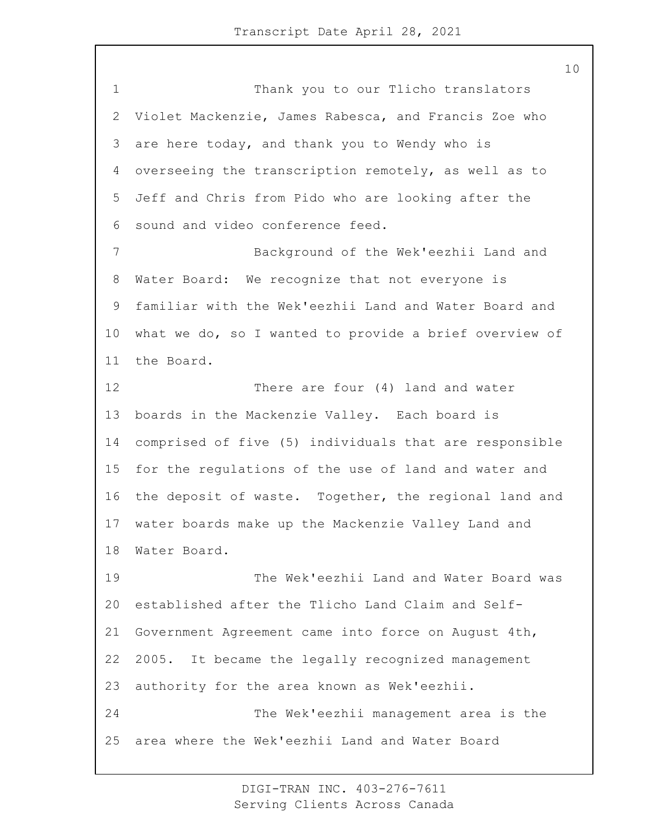1 Thank you to our Tlicho translators Violet Mackenzie, James Rabesca, and Francis Zoe who are here today, and thank you to Wendy who is overseeing the transcription remotely, as well as to Jeff and Chris from Pido who are looking after the sound and video conference feed. 7 Background of the Wek'eezhii Land and Water Board: We recognize that not everyone is familiar with the Wek'eezhii Land and Water Board and what we do, so I wanted to provide a brief overview of the Board. 12 There are four (4) land and water boards in the Mackenzie Valley. Each board is comprised of five (5) individuals that are responsible for the regulations of the use of land and water and the deposit of waste. Together, the regional land and water boards make up the Mackenzie Valley Land and Water Board. 19 The Wek'eezhii Land and Water Board was established after the Tlicho Land Claim and Self- Government Agreement came into force on August 4th, 2005. It became the legally recognized management authority for the area known as Wek'eezhii. 24 The Wek'eezhii management area is the area where the Wek'eezhii Land and Water Board

> DIGI-TRAN INC. 403-276-7611 Serving Clients Across Canada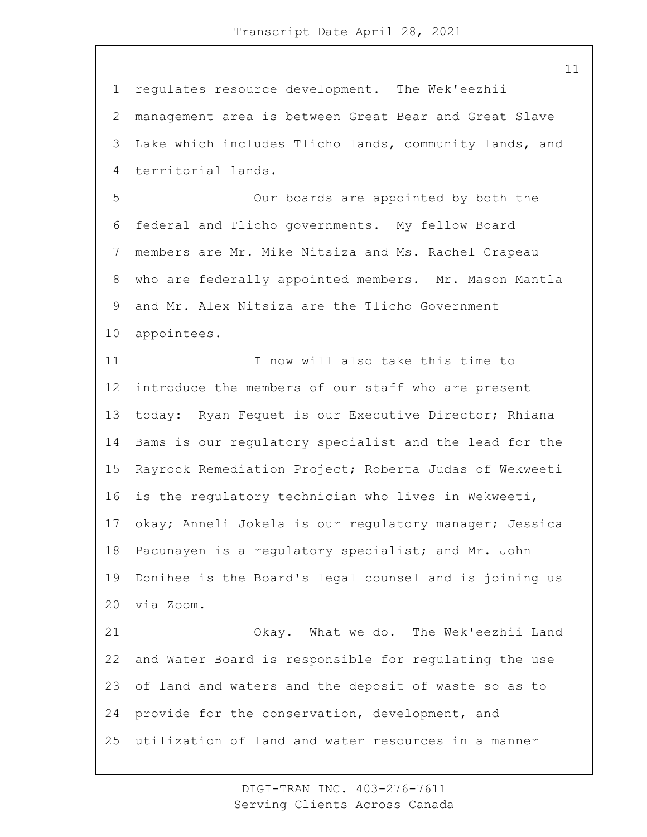regulates resource development. The Wek'eezhii management area is between Great Bear and Great Slave Lake which includes Tlicho lands, community lands, and territorial lands.

5 Our boards are appointed by both the federal and Tlicho governments. My fellow Board members are Mr. Mike Nitsiza and Ms. Rachel Crapeau who are federally appointed members. Mr. Mason Mantla and Mr. Alex Nitsiza are the Tlicho Government appointees.

11 I now will also take this time to introduce the members of our staff who are present today: Ryan Fequet is our Executive Director; Rhiana Bams is our regulatory specialist and the lead for the Rayrock Remediation Project; Roberta Judas of Wekweeti is the regulatory technician who lives in Wekweeti, okay; Anneli Jokela is our regulatory manager; Jessica Pacunayen is a regulatory specialist; and Mr. John Donihee is the Board's legal counsel and is joining us via Zoom. 21 Okay. What we do. The Wek'eezhii Land

 and Water Board is responsible for regulating the use of land and waters and the deposit of waste so as to provide for the conservation, development, and utilization of land and water resources in a manner

> DIGI-TRAN INC. 403-276-7611 Serving Clients Across Canada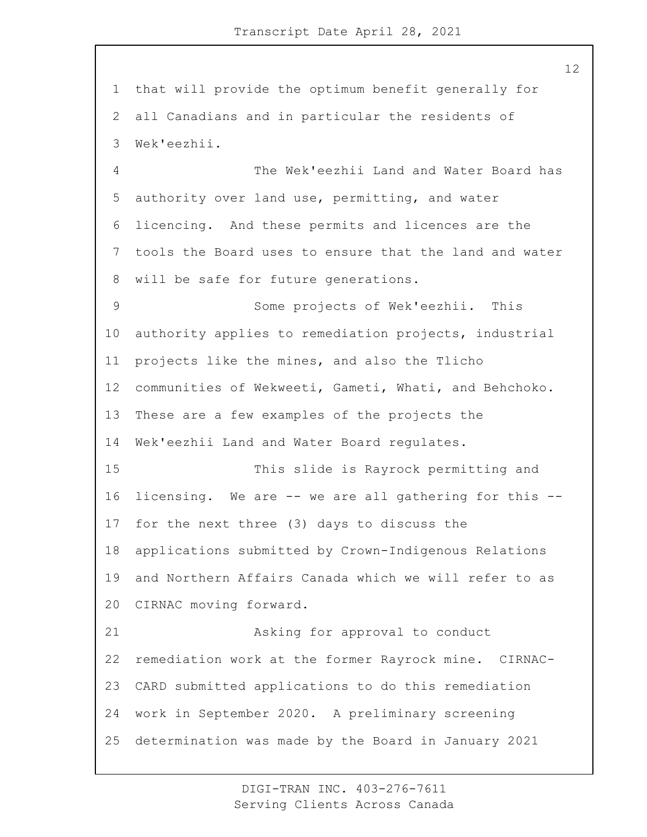that will provide the optimum benefit generally for all Canadians and in particular the residents of Wek'eezhii.

4 The Wek'eezhii Land and Water Board has authority over land use, permitting, and water licencing. And these permits and licences are the tools the Board uses to ensure that the land and water will be safe for future generations.

9 Some projects of Wek'eezhii. This authority applies to remediation projects, industrial projects like the mines, and also the Tlicho communities of Wekweeti, Gameti, Whati, and Behchoko. These are a few examples of the projects the Wek'eezhii Land and Water Board regulates.

15 This slide is Rayrock permitting and licensing. We are -- we are all gathering for this -- for the next three (3) days to discuss the applications submitted by Crown-Indigenous Relations and Northern Affairs Canada which we will refer to as CIRNAC moving forward.

21 Asking for approval to conduct remediation work at the former Rayrock mine. CIRNAC- CARD submitted applications to do this remediation work in September 2020. A preliminary screening determination was made by the Board in January 2021

> DIGI-TRAN INC. 403-276-7611 Serving Clients Across Canada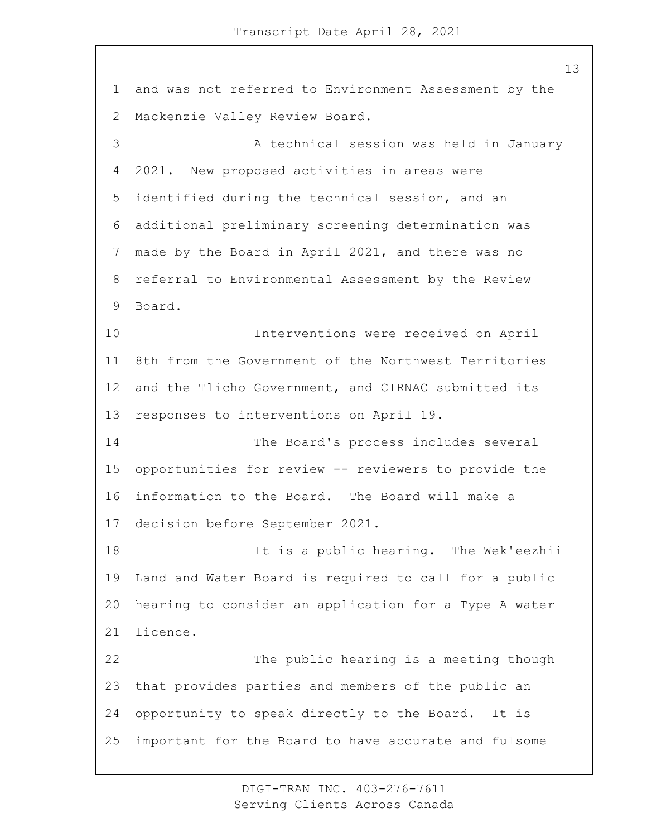and was not referred to Environment Assessment by the Mackenzie Valley Review Board. 3 A technical session was held in January 2021. New proposed activities in areas were identified during the technical session, and an additional preliminary screening determination was made by the Board in April 2021, and there was no referral to Environmental Assessment by the Review Board. 10 Interventions were received on April 8th from the Government of the Northwest Territories and the Tlicho Government, and CIRNAC submitted its responses to interventions on April 19. 14 The Board's process includes several opportunities for review -- reviewers to provide the information to the Board. The Board will make a decision before September 2021. 18 It is a public hearing. The Wek'eezhii Land and Water Board is required to call for a public hearing to consider an application for a Type A water licence. 22 The public hearing is a meeting though that provides parties and members of the public an opportunity to speak directly to the Board. It is important for the Board to have accurate and fulsome

> DIGI-TRAN INC. 403-276-7611 Serving Clients Across Canada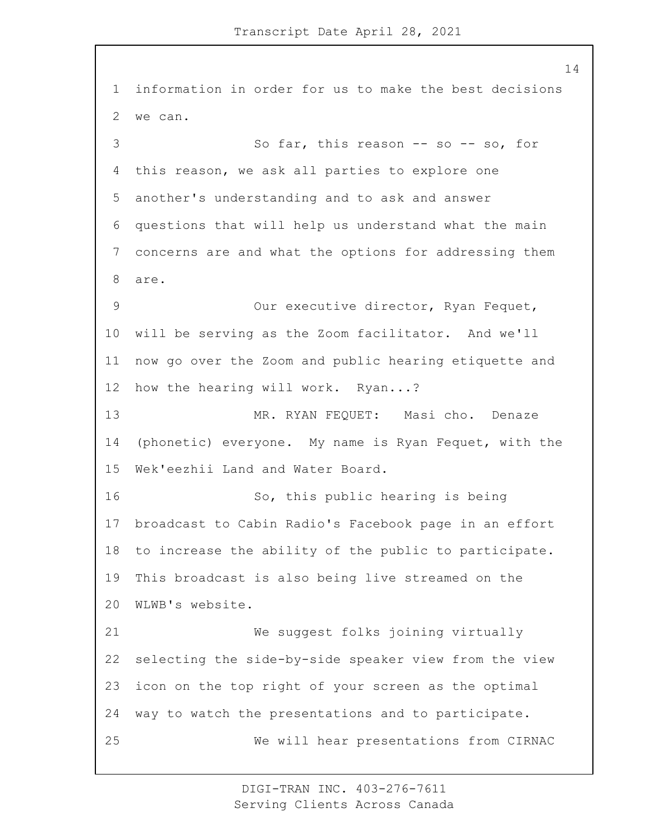information in order for us to make the best decisions we can. 3 So far, this reason -- so -- so, for this reason, we ask all parties to explore one another's understanding and to ask and answer questions that will help us understand what the main concerns are and what the options for addressing them are. 9 Our executive director, Ryan Fequet, will be serving as the Zoom facilitator. And we'll now go over the Zoom and public hearing etiquette and how the hearing will work. Ryan...? 13 MR. RYAN FEQUET: Masi cho. Denaze (phonetic) everyone. My name is Ryan Fequet, with the Wek'eezhii Land and Water Board. 16 So, this public hearing is being broadcast to Cabin Radio's Facebook page in an effort to increase the ability of the public to participate. This broadcast is also being live streamed on the WLWB's website. 21 We suggest folks joining virtually selecting the side-by-side speaker view from the view icon on the top right of your screen as the optimal way to watch the presentations and to participate. 25 We will hear presentations from CIRNAC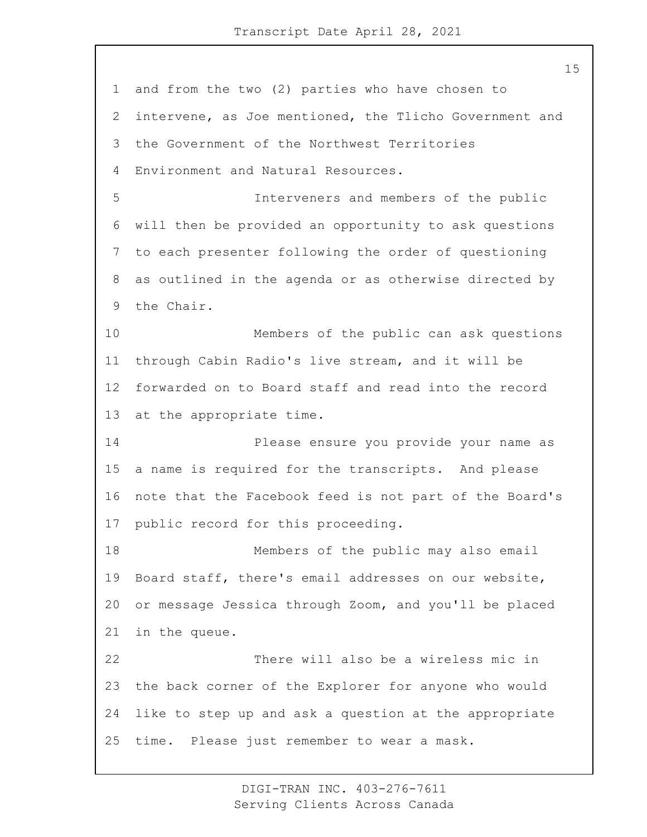and from the two (2) parties who have chosen to intervene, as Joe mentioned, the Tlicho Government and the Government of the Northwest Territories Environment and Natural Resources. 5 Interveners and members of the public will then be provided an opportunity to ask questions to each presenter following the order of questioning as outlined in the agenda or as otherwise directed by the Chair. 10 Members of the public can ask questions through Cabin Radio's live stream, and it will be forwarded on to Board staff and read into the record at the appropriate time. 14 Please ensure you provide your name as a name is required for the transcripts. And please note that the Facebook feed is not part of the Board's public record for this proceeding. 18 Members of the public may also email Board staff, there's email addresses on our website, or message Jessica through Zoom, and you'll be placed in the queue. 22 There will also be a wireless mic in the back corner of the Explorer for anyone who would like to step up and ask a question at the appropriate time. Please just remember to wear a mask.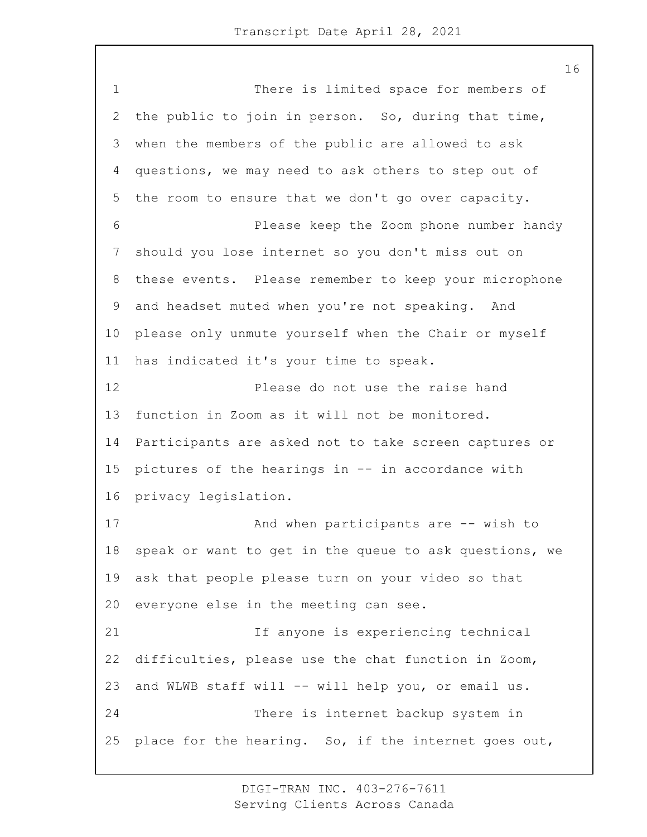1 There is limited space for members of the public to join in person. So, during that time, when the members of the public are allowed to ask questions, we may need to ask others to step out of the room to ensure that we don't go over capacity. 6 Please keep the Zoom phone number handy should you lose internet so you don't miss out on these events. Please remember to keep your microphone and headset muted when you're not speaking. And please only unmute yourself when the Chair or myself has indicated it's your time to speak. 12 Please do not use the raise hand function in Zoom as it will not be monitored. Participants are asked not to take screen captures or pictures of the hearings in -- in accordance with privacy legislation. 17 And when participants are -- wish to speak or want to get in the queue to ask questions, we ask that people please turn on your video so that everyone else in the meeting can see. 21 If anyone is experiencing technical difficulties, please use the chat function in Zoom, and WLWB staff will -- will help you, or email us. 24 There is internet backup system in place for the hearing. So, if the internet goes out,

> DIGI-TRAN INC. 403-276-7611 Serving Clients Across Canada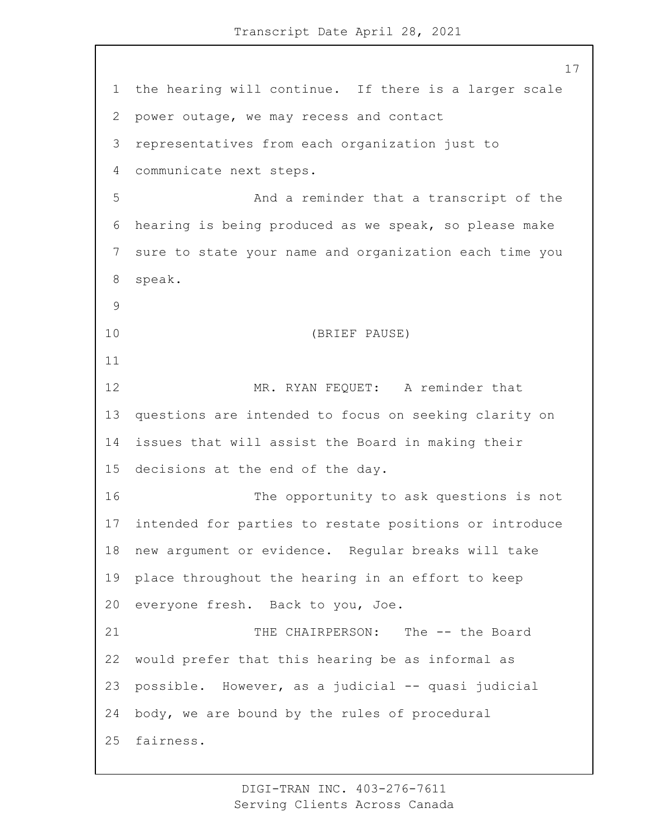the hearing will continue. If there is a larger scale power outage, we may recess and contact representatives from each organization just to communicate next steps. 5 And a reminder that a transcript of the hearing is being produced as we speak, so please make sure to state your name and organization each time you speak. 10 (BRIEF PAUSE) 12 MR. RYAN FEQUET: A reminder that questions are intended to focus on seeking clarity on issues that will assist the Board in making their decisions at the end of the day. 16 The opportunity to ask questions is not intended for parties to restate positions or introduce new argument or evidence. Regular breaks will take place throughout the hearing in an effort to keep everyone fresh. Back to you, Joe. 21 THE CHAIRPERSON: The -- the Board would prefer that this hearing be as informal as possible. However, as a judicial -- quasi judicial body, we are bound by the rules of procedural fairness.

> DIGI-TRAN INC. 403-276-7611 Serving Clients Across Canada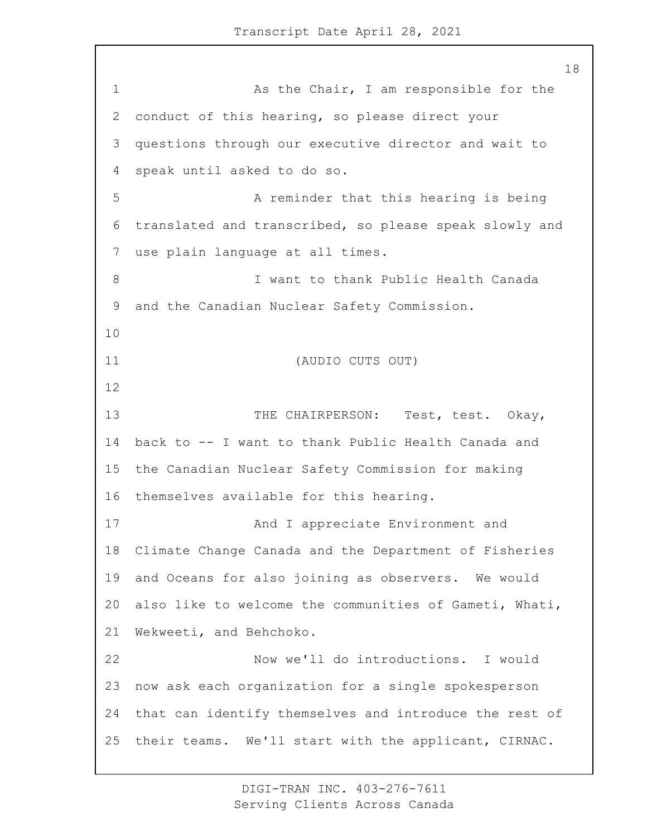1 As the Chair, I am responsible for the conduct of this hearing, so please direct your questions through our executive director and wait to speak until asked to do so. 5 A reminder that this hearing is being translated and transcribed, so please speak slowly and use plain language at all times. 8 I want to thank Public Health Canada and the Canadian Nuclear Safety Commission. 11 (AUDIO CUTS OUT) 13 THE CHAIRPERSON: Test, test. Okay, back to -- I want to thank Public Health Canada and the Canadian Nuclear Safety Commission for making themselves available for this hearing. 17 And I appreciate Environment and Climate Change Canada and the Department of Fisheries and Oceans for also joining as observers. We would also like to welcome the communities of Gameti, Whati, Wekweeti, and Behchoko. 22 Now we'll do introductions. I would now ask each organization for a single spokesperson that can identify themselves and introduce the rest of their teams. We'll start with the applicant, CIRNAC.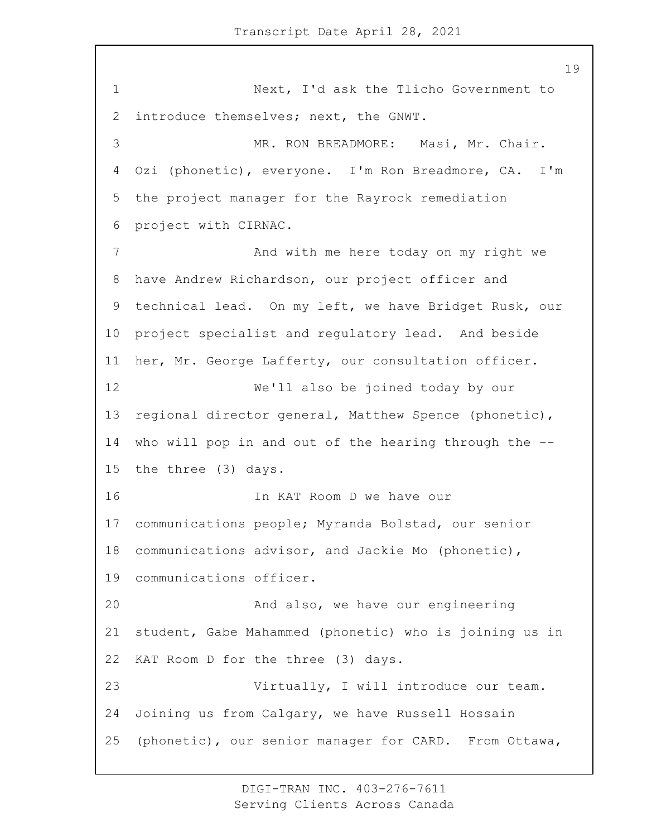1 Next, I'd ask the Tlicho Government to introduce themselves; next, the GNWT. 3 MR. RON BREADMORE: Masi, Mr. Chair. Ozi (phonetic), everyone. I'm Ron Breadmore, CA. I'm the project manager for the Rayrock remediation project with CIRNAC. 7 And with me here today on my right we have Andrew Richardson, our project officer and technical lead. On my left, we have Bridget Rusk, our project specialist and regulatory lead. And beside her, Mr. George Lafferty, our consultation officer. 12 We'll also be joined today by our regional director general, Matthew Spence (phonetic), who will pop in and out of the hearing through the -- the three (3) days. 16 In KAT Room D we have our communications people; Myranda Bolstad, our senior communications advisor, and Jackie Mo (phonetic), communications officer. 20 And also, we have our engineering student, Gabe Mahammed (phonetic) who is joining us in KAT Room D for the three (3) days. 23 Virtually, I will introduce our team. Joining us from Calgary, we have Russell Hossain (phonetic), our senior manager for CARD. From Ottawa,

> DIGI-TRAN INC. 403-276-7611 Serving Clients Across Canada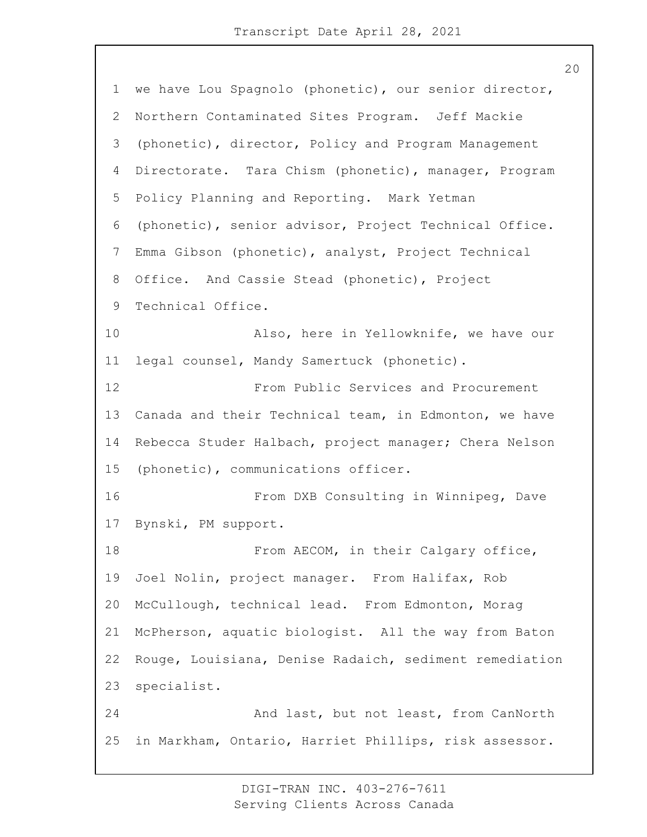we have Lou Spagnolo (phonetic), our senior director, Northern Contaminated Sites Program. Jeff Mackie (phonetic), director, Policy and Program Management Directorate. Tara Chism (phonetic), manager, Program Policy Planning and Reporting. Mark Yetman (phonetic), senior advisor, Project Technical Office. Emma Gibson (phonetic), analyst, Project Technical Office. And Cassie Stead (phonetic), Project Technical Office. 10 Also, here in Yellowknife, we have our legal counsel, Mandy Samertuck (phonetic). 12 From Public Services and Procurement Canada and their Technical team, in Edmonton, we have Rebecca Studer Halbach, project manager; Chera Nelson (phonetic), communications officer. 16 From DXB Consulting in Winnipeg, Dave Bynski, PM support. **From AECOM**, in their Calgary office, Joel Nolin, project manager. From Halifax, Rob McCullough, technical lead. From Edmonton, Morag McPherson, aquatic biologist. All the way from Baton Rouge, Louisiana, Denise Radaich, sediment remediation specialist. 24 And last, but not least, from CanNorth in Markham, Ontario, Harriet Phillips, risk assessor.

> DIGI-TRAN INC. 403-276-7611 Serving Clients Across Canada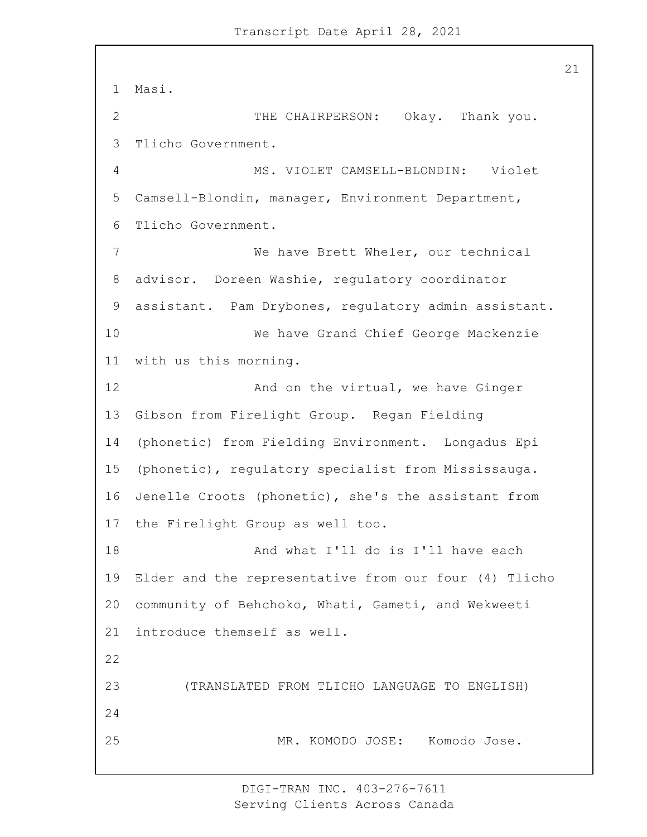Masi. 2 THE CHAIRPERSON: Okay. Thank you. Tlicho Government. 4 MS. VIOLET CAMSELL-BLONDIN: Violet Camsell-Blondin, manager, Environment Department, Tlicho Government. 7 We have Brett Wheler, our technical advisor. Doreen Washie, regulatory coordinator assistant. Pam Drybones, regulatory admin assistant. 10 We have Grand Chief George Mackenzie with us this morning. 12 And on the virtual, we have Ginger Gibson from Firelight Group. Regan Fielding (phonetic) from Fielding Environment. Longadus Epi (phonetic), regulatory specialist from Mississauga. Jenelle Croots (phonetic), she's the assistant from the Firelight Group as well too. 18 And what I'll do is I'll have each Elder and the representative from our four (4) Tlicho community of Behchoko, Whati, Gameti, and Wekweeti introduce themself as well. 23 (TRANSLATED FROM TLICHO LANGUAGE TO ENGLISH) 25 MR. KOMODO JOSE: Komodo Jose.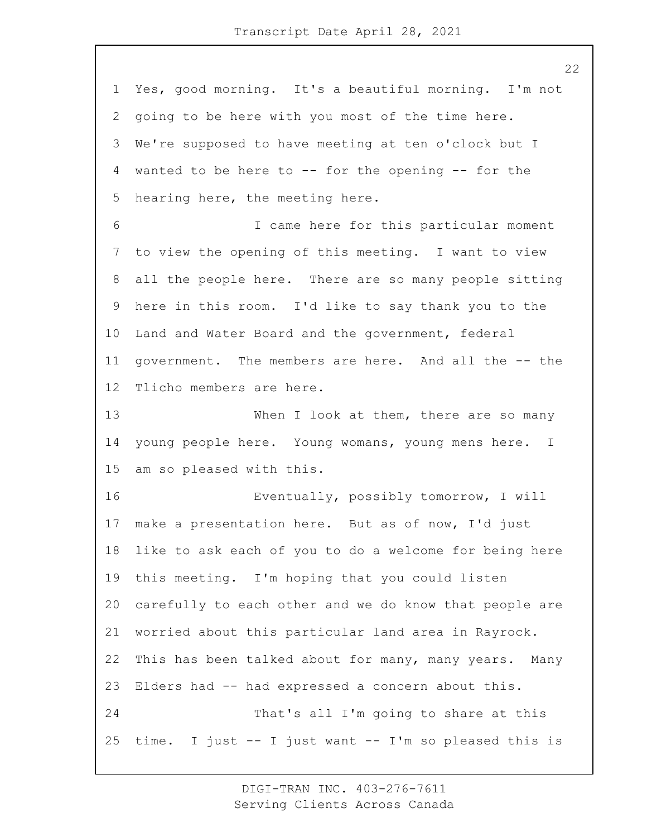Yes, good morning. It's a beautiful morning. I'm not going to be here with you most of the time here. We're supposed to have meeting at ten o'clock but I wanted to be here to -- for the opening -- for the hearing here, the meeting here. 6 I came here for this particular moment to view the opening of this meeting. I want to view all the people here. There are so many people sitting here in this room. I'd like to say thank you to the Land and Water Board and the government, federal government. The members are here. And all the -- the Tlicho members are here. 13 When I look at them, there are so many young people here. Young womans, young mens here. I am so pleased with this. 16 Eventually, possibly tomorrow, I will make a presentation here. But as of now, I'd just like to ask each of you to do a welcome for being here this meeting. I'm hoping that you could listen carefully to each other and we do know that people are worried about this particular land area in Rayrock. This has been talked about for many, many years. Many Elders had -- had expressed a concern about this. 24 That's all I'm going to share at this time. I just -- I just want -- I'm so pleased this is

> DIGI-TRAN INC. 403-276-7611 Serving Clients Across Canada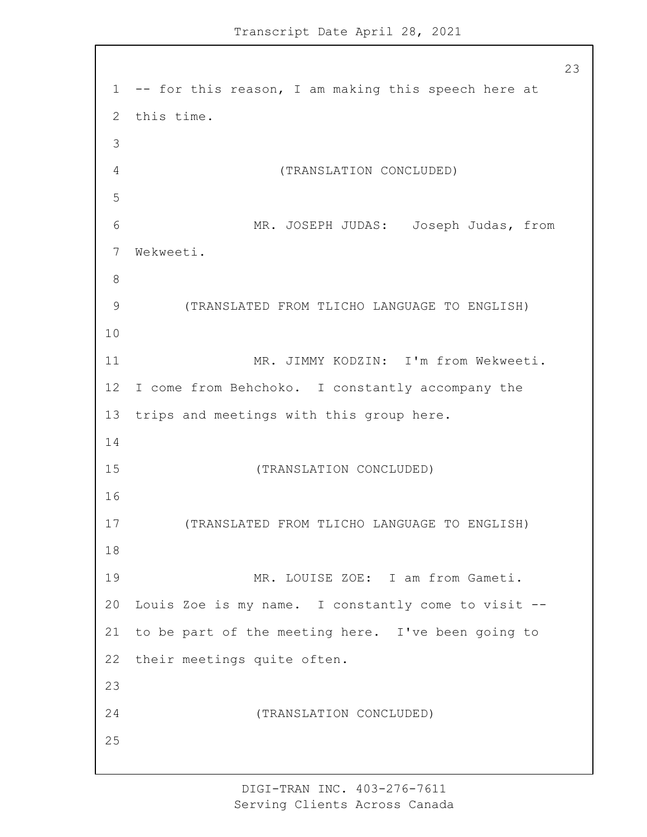-- for this reason, I am making this speech here at this time. 4 (TRANSLATION CONCLUDED) 6 MR. JOSEPH JUDAS: Joseph Judas, from Wekweeti. 9 (TRANSLATED FROM TLICHO LANGUAGE TO ENGLISH) 11 MR. JIMMY KODZIN: I'm from Wekweeti. I come from Behchoko. I constantly accompany the trips and meetings with this group here. 15 (TRANSLATION CONCLUDED) 17 (TRANSLATED FROM TLICHO LANGUAGE TO ENGLISH) 19 MR. LOUISE ZOE: I am from Gameti. Louis Zoe is my name. I constantly come to visit -- to be part of the meeting here. I've been going to their meetings quite often. 24 (TRANSLATION CONCLUDED)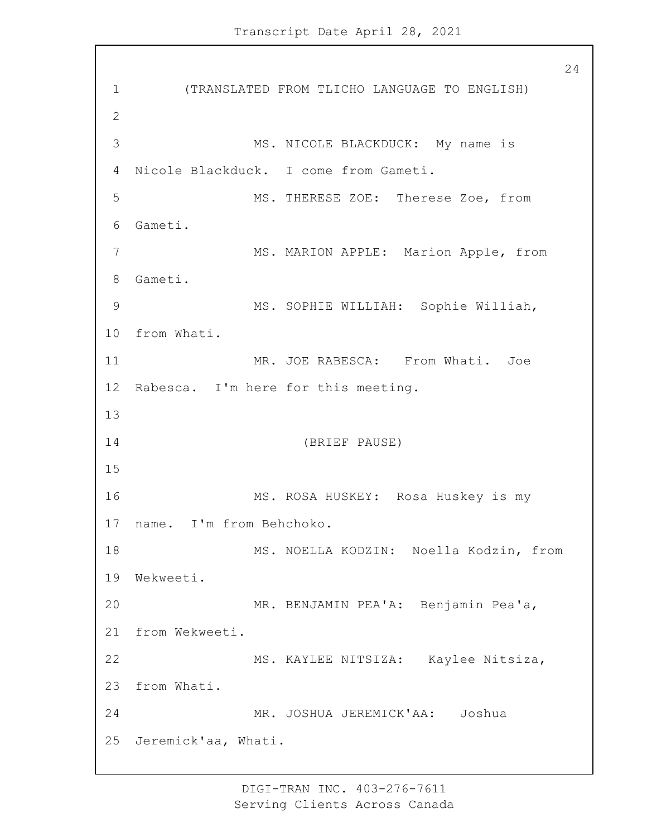1 (TRANSLATED FROM TLICHO LANGUAGE TO ENGLISH) 2 3 MS. NICOLE BLACKDUCK: My name is 4 Nicole Blackduck. I come from Gameti. 5 MS. THERESE ZOE: Therese Zoe, from 6 Gameti. 7 MS. MARION APPLE: Marion Apple, from 8 Gameti. 9 MS. SOPHIE WILLIAH: Sophie Williah, 10 from Whati. 11 MR. JOE RABESCA: From Whati. Joe 12 Rabesca. I'm here for this meeting. 13 14 (BRIEF PAUSE) 15 16 MS. ROSA HUSKEY: Rosa Huskey is my 17 name. I'm from Behchoko. 18 MS. NOELLA KODZIN: Noella Kodzin, from 19 Wekweeti. 20 MR. BENJAMIN PEA'A: Benjamin Pea'a, 21 from Wekweeti. 22 MS. KAYLEE NITSIZA: Kaylee Nitsiza, 23 from Whati. 24 MR. JOSHUA JEREMICK'AA: Joshua 25 Jeremick'aa, Whati.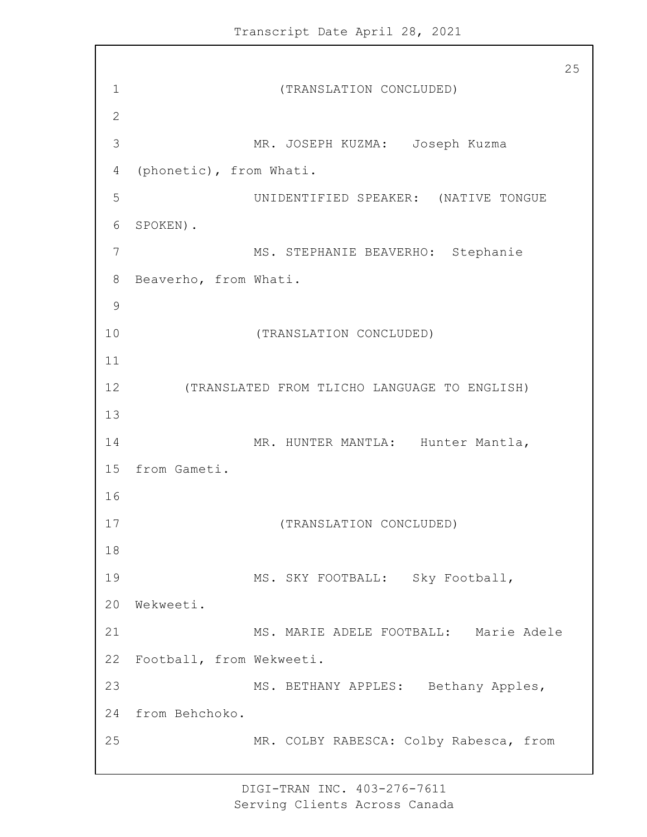25 1 (TRANSLATION CONCLUDED) 2 3 MR. JOSEPH KUZMA: Joseph Kuzma 4 (phonetic), from Whati. 5 UNIDENTIFIED SPEAKER: (NATIVE TONGUE 6 SPOKEN). 7 MS. STEPHANIE BEAVERHO: Stephanie 8 Beaverho, from Whati. 9 10 (TRANSLATION CONCLUDED) 11 12 (TRANSLATED FROM TLICHO LANGUAGE TO ENGLISH) 13 14 MR. HUNTER MANTLA: Hunter Mantla, 15 from Gameti. 16 17 (TRANSLATION CONCLUDED) 18 19 MS. SKY FOOTBALL: Sky Football, 20 Wekweeti. 21 MS. MARIE ADELE FOOTBALL: Marie Adele 22 Football, from Wekweeti. 23 MS. BETHANY APPLES: Bethany Apples, 24 from Behchoko. 25 MR. COLBY RABESCA: Colby Rabesca, from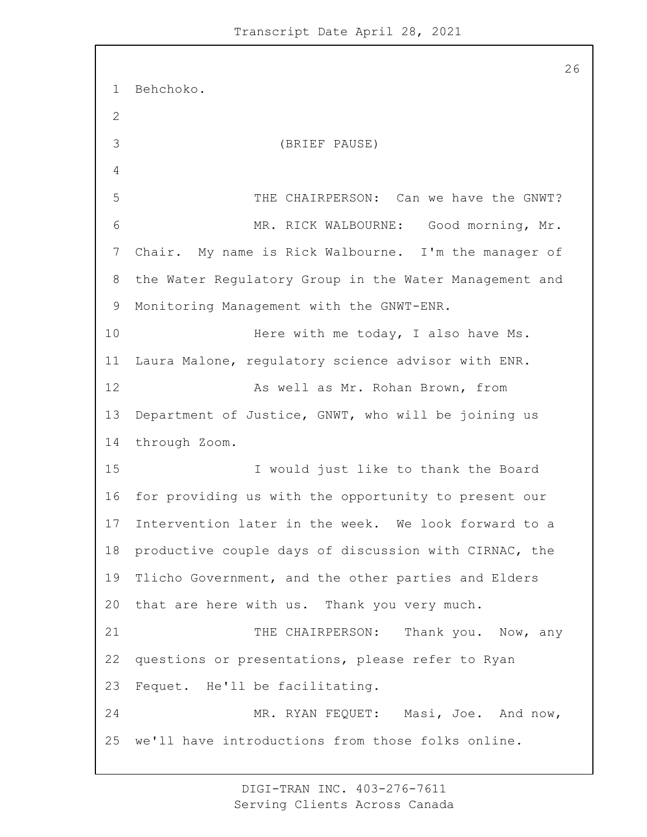Behchoko. 3 (BRIEF PAUSE) 5 THE CHAIRPERSON: Can we have the GNWT? 6 MR. RICK WALBOURNE: Good morning, Mr. Chair. My name is Rick Walbourne. I'm the manager of the Water Regulatory Group in the Water Management and Monitoring Management with the GNWT-ENR. 10 Here with me today, I also have Ms. Laura Malone, regulatory science advisor with ENR. 12 As well as Mr. Rohan Brown, from Department of Justice, GNWT, who will be joining us through Zoom. 15 I would just like to thank the Board for providing us with the opportunity to present our Intervention later in the week. We look forward to a productive couple days of discussion with CIRNAC, the Tlicho Government, and the other parties and Elders that are here with us. Thank you very much. 21 THE CHAIRPERSON: Thank you. Now, any questions or presentations, please refer to Ryan Fequet. He'll be facilitating. 24 MR. RYAN FEQUET: Masi, Joe. And now, we'll have introductions from those folks online.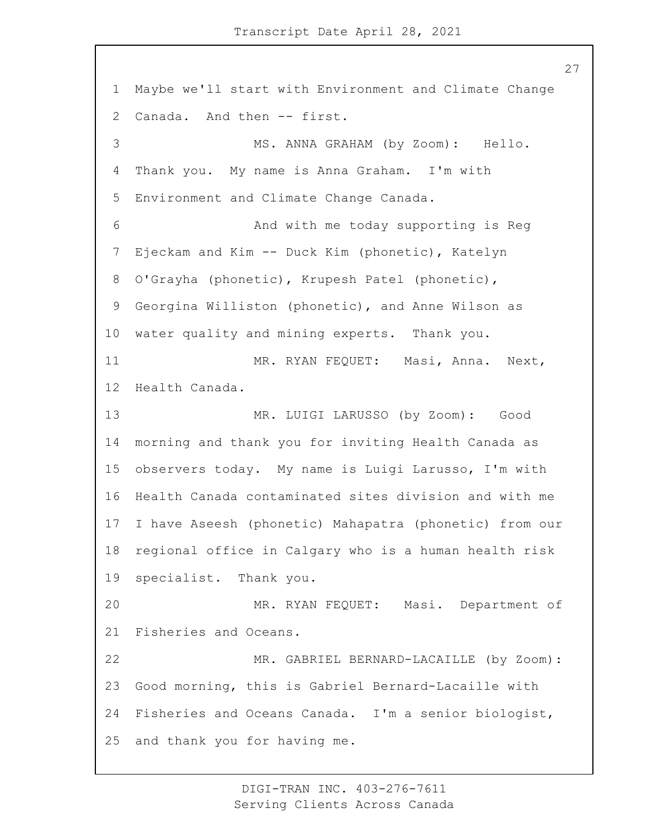Maybe we'll start with Environment and Climate Change Canada. And then -- first. 3 MS. ANNA GRAHAM (by Zoom): Hello. Thank you. My name is Anna Graham. I'm with Environment and Climate Change Canada. 6 And with me today supporting is Reg Ejeckam and Kim -- Duck Kim (phonetic), Katelyn O'Grayha (phonetic), Krupesh Patel (phonetic), Georgina Williston (phonetic), and Anne Wilson as water quality and mining experts. Thank you. 11 MR. RYAN FEQUET: Masi, Anna. Next, Health Canada. 13 MR. LUIGI LARUSSO (by Zoom): Good morning and thank you for inviting Health Canada as observers today. My name is Luigi Larusso, I'm with Health Canada contaminated sites division and with me I have Aseesh (phonetic) Mahapatra (phonetic) from our regional office in Calgary who is a human health risk specialist. Thank you. 20 MR. RYAN FEQUET: Masi. Department of Fisheries and Oceans. 22 MR. GABRIEL BERNARD-LACAILLE (by Zoom): Good morning, this is Gabriel Bernard-Lacaille with Fisheries and Oceans Canada. I'm a senior biologist, and thank you for having me.

> DIGI-TRAN INC. 403-276-7611 Serving Clients Across Canada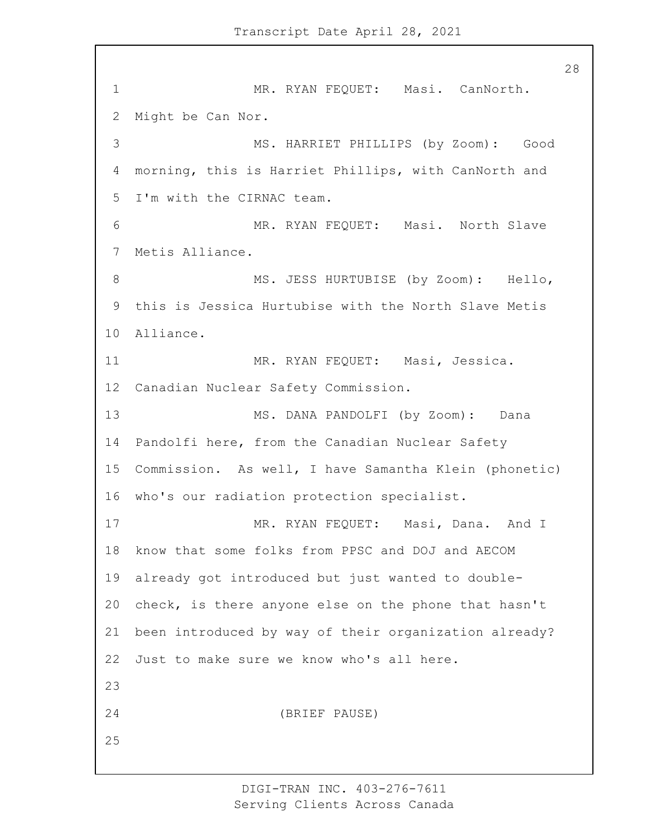1 MR. RYAN FEQUET: Masi. CanNorth. Might be Can Nor. 3 MS. HARRIET PHILLIPS (by Zoom): Good morning, this is Harriet Phillips, with CanNorth and I'm with the CIRNAC team. 6 MR. RYAN FEQUET: Masi. North Slave Metis Alliance. 8 MS. JESS HURTUBISE (by Zoom): Hello, this is Jessica Hurtubise with the North Slave Metis Alliance. 11 MR. RYAN FEQUET: Masi, Jessica. Canadian Nuclear Safety Commission. 13 MS. DANA PANDOLFI (by Zoom): Dana Pandolfi here, from the Canadian Nuclear Safety Commission. As well, I have Samantha Klein (phonetic) who's our radiation protection specialist. 17 MR. RYAN FEQUET: Masi, Dana. And I know that some folks from PPSC and DOJ and AECOM already got introduced but just wanted to double- check, is there anyone else on the phone that hasn't been introduced by way of their organization already? Just to make sure we know who's all here. 24 (BRIEF PAUSE)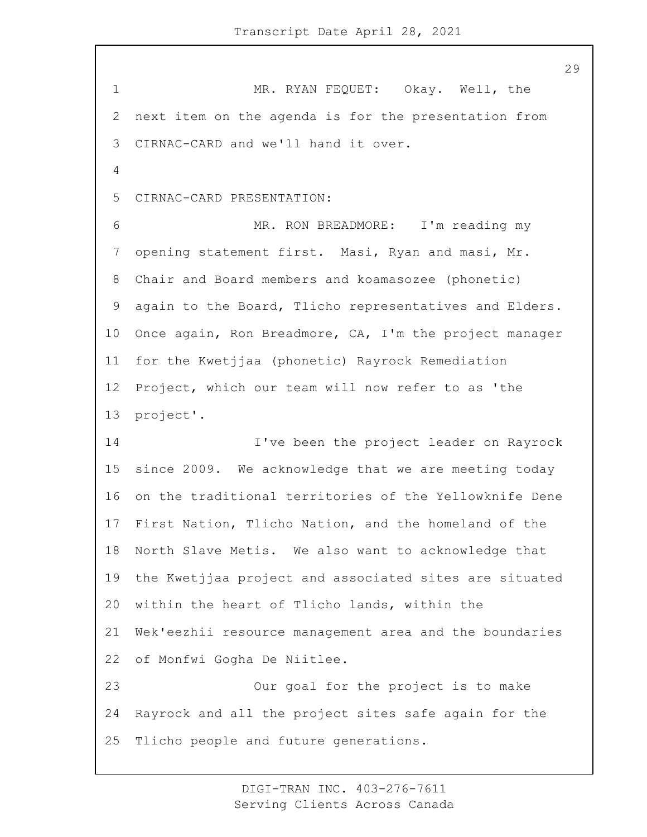1 MR. RYAN FEQUET: Okay. Well, the next item on the agenda is for the presentation from CIRNAC-CARD and we'll hand it over. CIRNAC-CARD PRESENTATION: 6 MR. RON BREADMORE: I'm reading my opening statement first. Masi, Ryan and masi, Mr. Chair and Board members and koamasozee (phonetic) again to the Board, Tlicho representatives and Elders. Once again, Ron Breadmore, CA, I'm the project manager for the Kwetjjaa (phonetic) Rayrock Remediation Project, which our team will now refer to as 'the project'. 14 I've been the project leader on Rayrock since 2009. We acknowledge that we are meeting today on the traditional territories of the Yellowknife Dene First Nation, Tlicho Nation, and the homeland of the North Slave Metis. We also want to acknowledge that the Kwetjjaa project and associated sites are situated within the heart of Tlicho lands, within the Wek'eezhii resource management area and the boundaries of Monfwi Gogha De Niitlee. 23 Our goal for the project is to make Rayrock and all the project sites safe again for the Tlicho people and future generations.

> DIGI-TRAN INC. 403-276-7611 Serving Clients Across Canada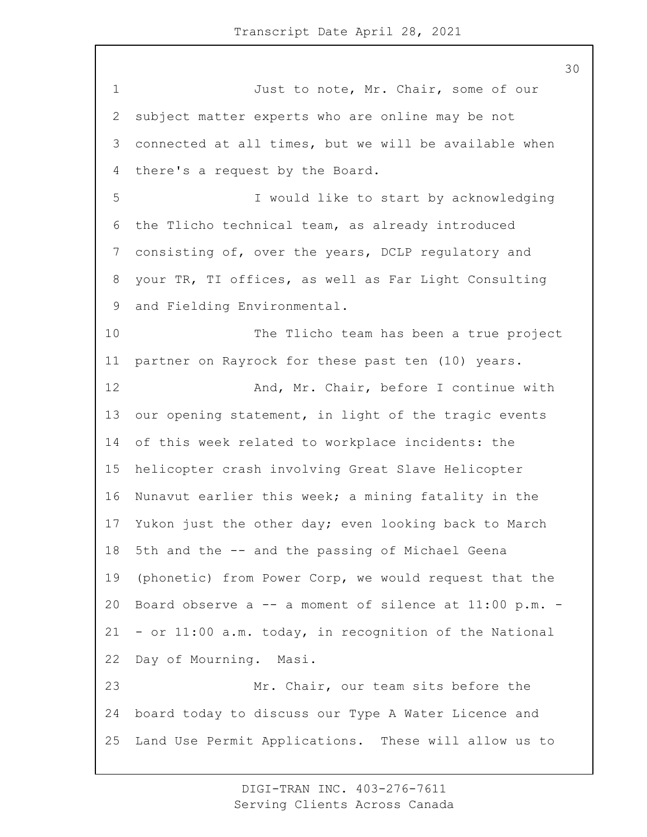1 Just to note, Mr. Chair, some of our subject matter experts who are online may be not connected at all times, but we will be available when there's a request by the Board. 5 I would like to start by acknowledging the Tlicho technical team, as already introduced consisting of, over the years, DCLP regulatory and your TR, TI offices, as well as Far Light Consulting and Fielding Environmental. 10 The Tlicho team has been a true project partner on Rayrock for these past ten (10) years. 12 And, Mr. Chair, before I continue with our opening statement, in light of the tragic events of this week related to workplace incidents: the helicopter crash involving Great Slave Helicopter Nunavut earlier this week; a mining fatality in the Yukon just the other day; even looking back to March 5th and the -- and the passing of Michael Geena (phonetic) from Power Corp, we would request that the Board observe a -- a moment of silence at 11:00 p.m. - - or 11:00 a.m. today, in recognition of the National Day of Mourning. Masi. 23 Mr. Chair, our team sits before the board today to discuss our Type A Water Licence and Land Use Permit Applications. These will allow us to

> DIGI-TRAN INC. 403-276-7611 Serving Clients Across Canada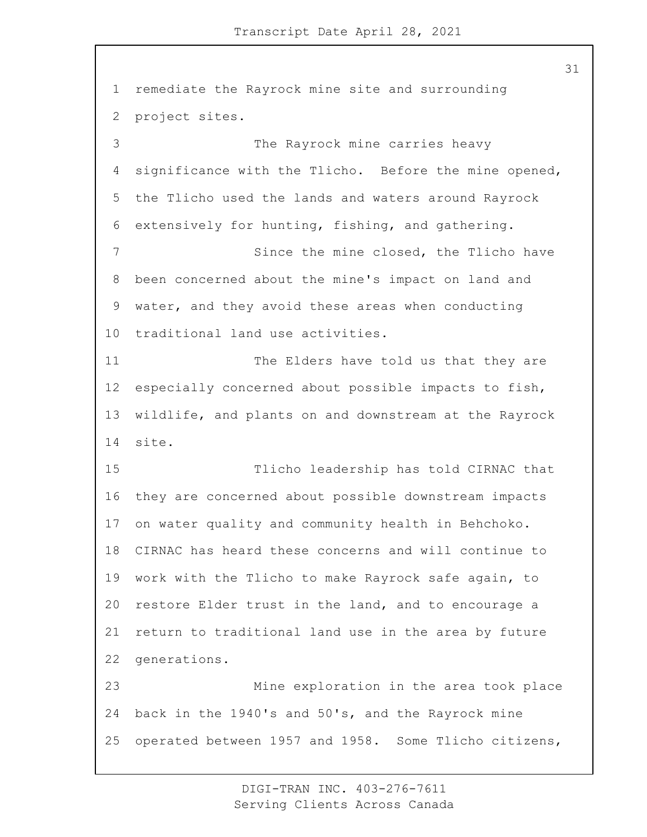remediate the Rayrock mine site and surrounding project sites. 3 The Rayrock mine carries heavy significance with the Tlicho. Before the mine opened, the Tlicho used the lands and waters around Rayrock extensively for hunting, fishing, and gathering. 7 Since the mine closed, the Tlicho have been concerned about the mine's impact on land and water, and they avoid these areas when conducting traditional land use activities. 11 The Elders have told us that they are especially concerned about possible impacts to fish, wildlife, and plants on and downstream at the Rayrock site. 15 Tlicho leadership has told CIRNAC that they are concerned about possible downstream impacts on water quality and community health in Behchoko. CIRNAC has heard these concerns and will continue to work with the Tlicho to make Rayrock safe again, to restore Elder trust in the land, and to encourage a return to traditional land use in the area by future generations. 23 Mine exploration in the area took place back in the 1940's and 50's, and the Rayrock mine operated between 1957 and 1958. Some Tlicho citizens,

> DIGI-TRAN INC. 403-276-7611 Serving Clients Across Canada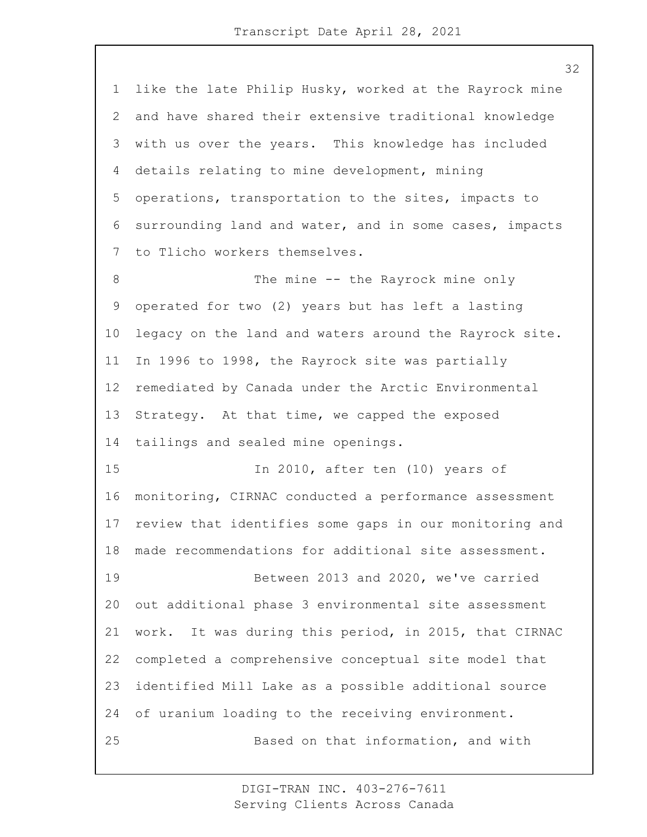like the late Philip Husky, worked at the Rayrock mine and have shared their extensive traditional knowledge with us over the years. This knowledge has included details relating to mine development, mining operations, transportation to the sites, impacts to surrounding land and water, and in some cases, impacts to Tlicho workers themselves. 8 The mine -- the Rayrock mine only operated for two (2) years but has left a lasting legacy on the land and waters around the Rayrock site. In 1996 to 1998, the Rayrock site was partially remediated by Canada under the Arctic Environmental Strategy. At that time, we capped the exposed tailings and sealed mine openings. 15 In 2010, after ten (10) years of monitoring, CIRNAC conducted a performance assessment review that identifies some gaps in our monitoring and made recommendations for additional site assessment. 19 Between 2013 and 2020, we've carried out additional phase 3 environmental site assessment work. It was during this period, in 2015, that CIRNAC completed a comprehensive conceptual site model that identified Mill Lake as a possible additional source of uranium loading to the receiving environment. 25 Based on that information, and with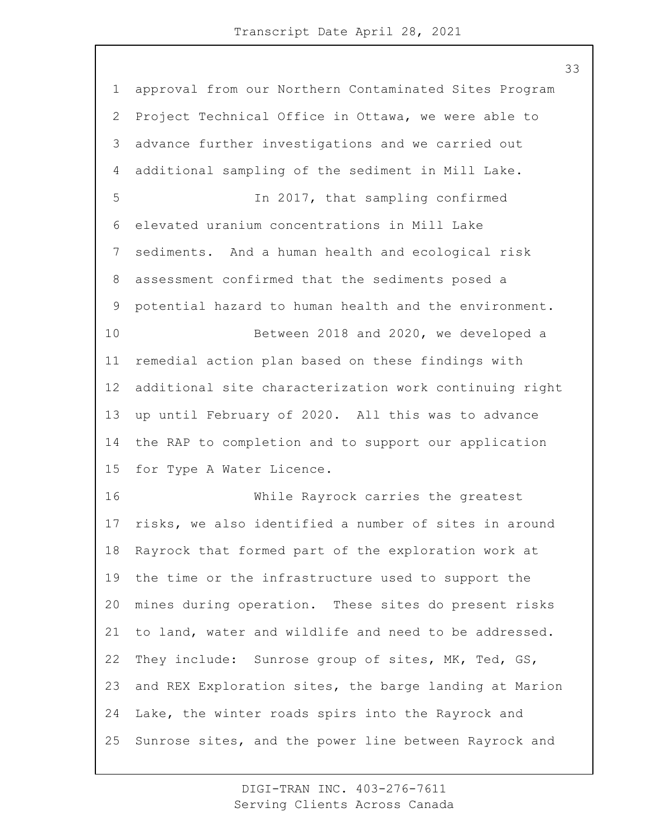approval from our Northern Contaminated Sites Program Project Technical Office in Ottawa, we were able to advance further investigations and we carried out additional sampling of the sediment in Mill Lake. 5 In 2017, that sampling confirmed elevated uranium concentrations in Mill Lake sediments. And a human health and ecological risk assessment confirmed that the sediments posed a potential hazard to human health and the environment. 10 Between 2018 and 2020, we developed a remedial action plan based on these findings with additional site characterization work continuing right up until February of 2020. All this was to advance the RAP to completion and to support our application for Type A Water Licence. 16 While Rayrock carries the greatest risks, we also identified a number of sites in around Rayrock that formed part of the exploration work at the time or the infrastructure used to support the mines during operation. These sites do present risks to land, water and wildlife and need to be addressed. They include: Sunrose group of sites, MK, Ted, GS, and REX Exploration sites, the barge landing at Marion Lake, the winter roads spirs into the Rayrock and Sunrose sites, and the power line between Rayrock and

> DIGI-TRAN INC. 403-276-7611 Serving Clients Across Canada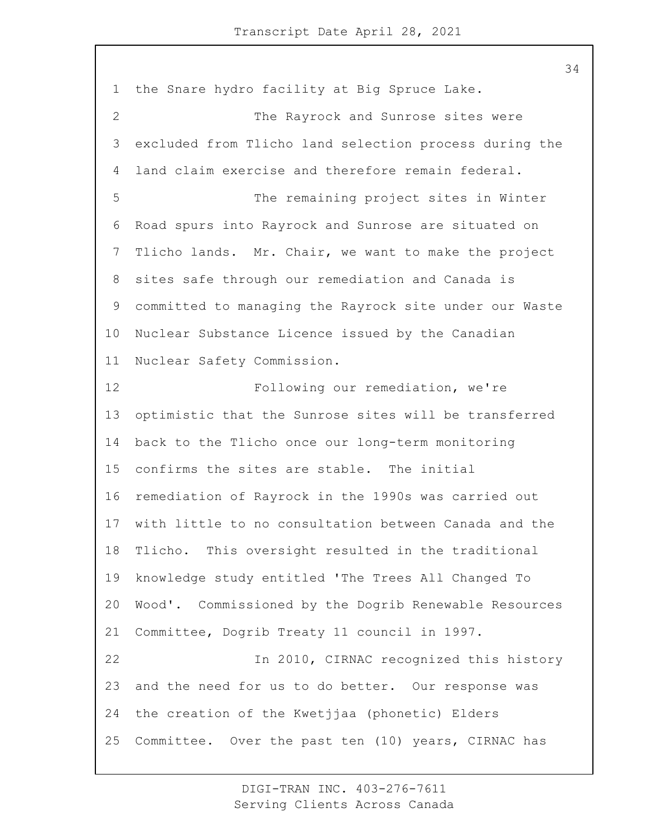the Snare hydro facility at Big Spruce Lake. 2 The Rayrock and Sunrose sites were excluded from Tlicho land selection process during the land claim exercise and therefore remain federal. 5 The remaining project sites in Winter Road spurs into Rayrock and Sunrose are situated on Tlicho lands. Mr. Chair, we want to make the project sites safe through our remediation and Canada is committed to managing the Rayrock site under our Waste Nuclear Substance Licence issued by the Canadian Nuclear Safety Commission. 12 Following our remediation, we're optimistic that the Sunrose sites will be transferred back to the Tlicho once our long-term monitoring confirms the sites are stable. The initial remediation of Rayrock in the 1990s was carried out with little to no consultation between Canada and the Tlicho. This oversight resulted in the traditional knowledge study entitled 'The Trees All Changed To Wood'. Commissioned by the Dogrib Renewable Resources Committee, Dogrib Treaty 11 council in 1997. 22 In 2010, CIRNAC recognized this history and the need for us to do better. Our response was the creation of the Kwetjjaa (phonetic) Elders Committee. Over the past ten (10) years, CIRNAC has

> DIGI-TRAN INC. 403-276-7611 Serving Clients Across Canada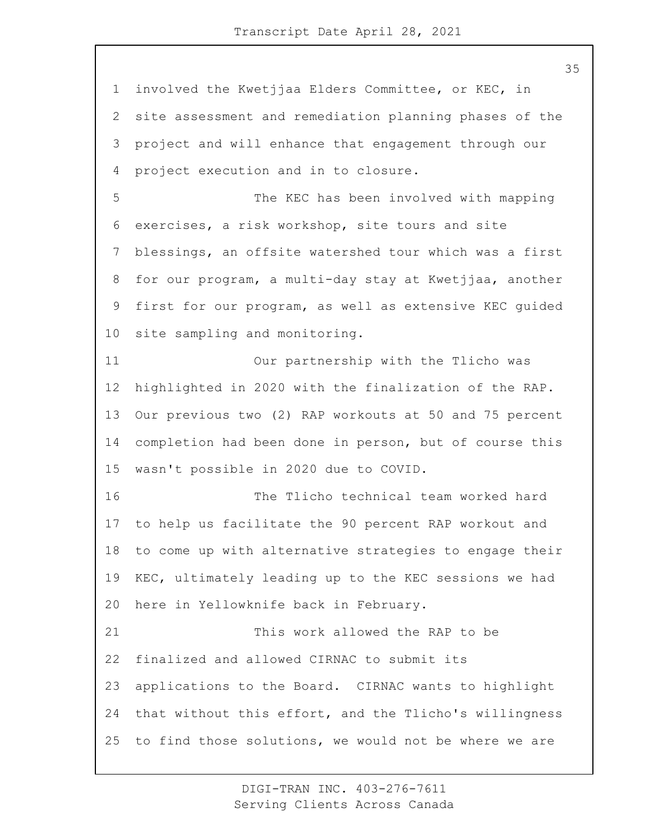involved the Kwetjjaa Elders Committee, or KEC, in site assessment and remediation planning phases of the project and will enhance that engagement through our project execution and in to closure. 5 The KEC has been involved with mapping exercises, a risk workshop, site tours and site blessings, an offsite watershed tour which was a first for our program, a multi-day stay at Kwetjjaa, another first for our program, as well as extensive KEC guided site sampling and monitoring. 11 Our partnership with the Tlicho was highlighted in 2020 with the finalization of the RAP. Our previous two (2) RAP workouts at 50 and 75 percent completion had been done in person, but of course this wasn't possible in 2020 due to COVID. 16 The Tlicho technical team worked hard to help us facilitate the 90 percent RAP workout and to come up with alternative strategies to engage their KEC, ultimately leading up to the KEC sessions we had here in Yellowknife back in February. 21 This work allowed the RAP to be finalized and allowed CIRNAC to submit its applications to the Board. CIRNAC wants to highlight that without this effort, and the Tlicho's willingness to find those solutions, we would not be where we are

> DIGI-TRAN INC. 403-276-7611 Serving Clients Across Canada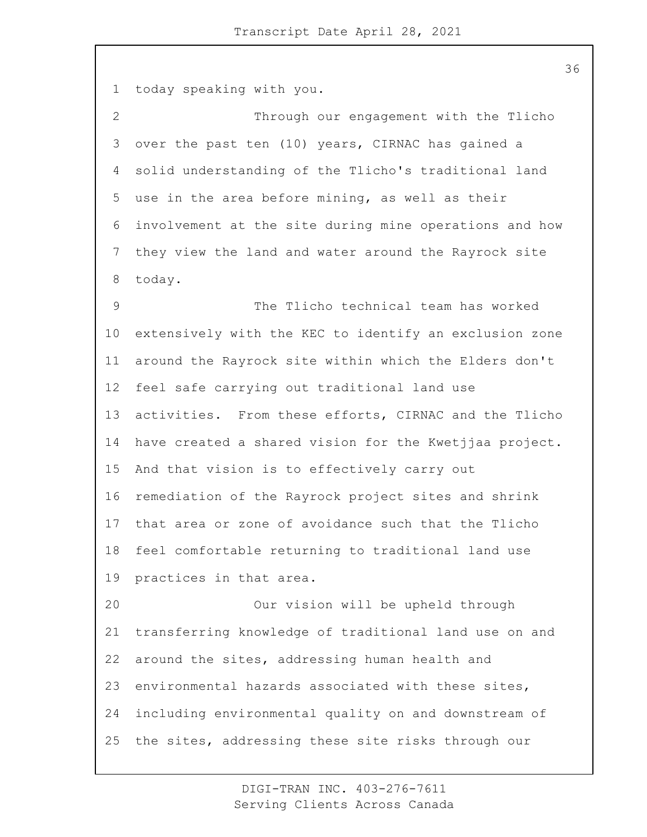today speaking with you. 2 Through our engagement with the Tlicho over the past ten (10) years, CIRNAC has gained a solid understanding of the Tlicho's traditional land use in the area before mining, as well as their involvement at the site during mine operations and how they view the land and water around the Rayrock site today. 9 The Tlicho technical team has worked extensively with the KEC to identify an exclusion zone around the Rayrock site within which the Elders don't feel safe carrying out traditional land use activities. From these efforts, CIRNAC and the Tlicho have created a shared vision for the Kwetjjaa project. And that vision is to effectively carry out remediation of the Rayrock project sites and shrink that area or zone of avoidance such that the Tlicho feel comfortable returning to traditional land use practices in that area. 20 Our vision will be upheld through transferring knowledge of traditional land use on and around the sites, addressing human health and environmental hazards associated with these sites, including environmental quality on and downstream of the sites, addressing these site risks through our

> DIGI-TRAN INC. 403-276-7611 Serving Clients Across Canada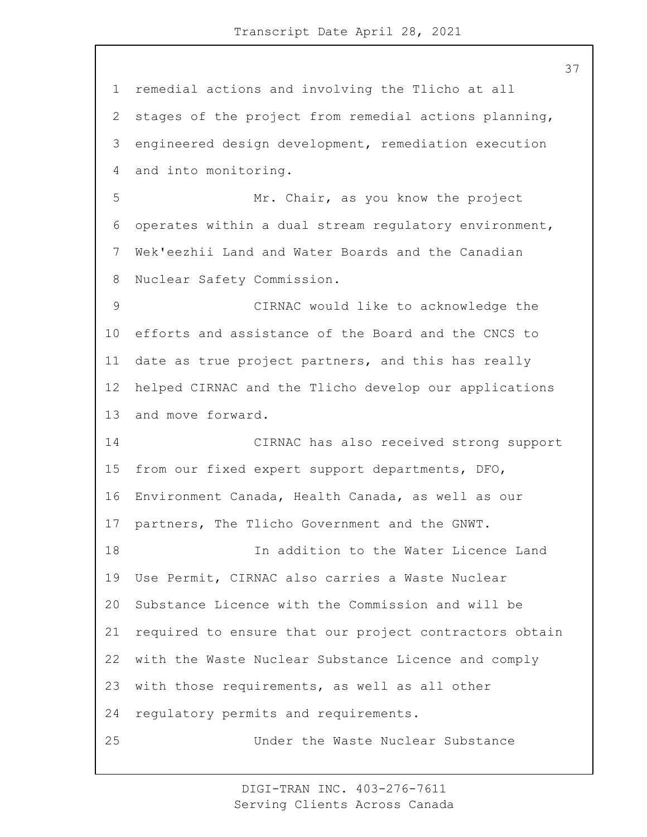remedial actions and involving the Tlicho at all stages of the project from remedial actions planning, engineered design development, remediation execution and into monitoring. 5 Mr. Chair, as you know the project operates within a dual stream regulatory environment, Wek'eezhii Land and Water Boards and the Canadian Nuclear Safety Commission. 9 CIRNAC would like to acknowledge the efforts and assistance of the Board and the CNCS to date as true project partners, and this has really helped CIRNAC and the Tlicho develop our applications and move forward. 14 CIRNAC has also received strong support from our fixed expert support departments, DFO, Environment Canada, Health Canada, as well as our partners, The Tlicho Government and the GNWT. 18 In addition to the Water Licence Land Use Permit, CIRNAC also carries a Waste Nuclear Substance Licence with the Commission and will be required to ensure that our project contractors obtain with the Waste Nuclear Substance Licence and comply with those requirements, as well as all other regulatory permits and requirements. 25 Under the Waste Nuclear Substance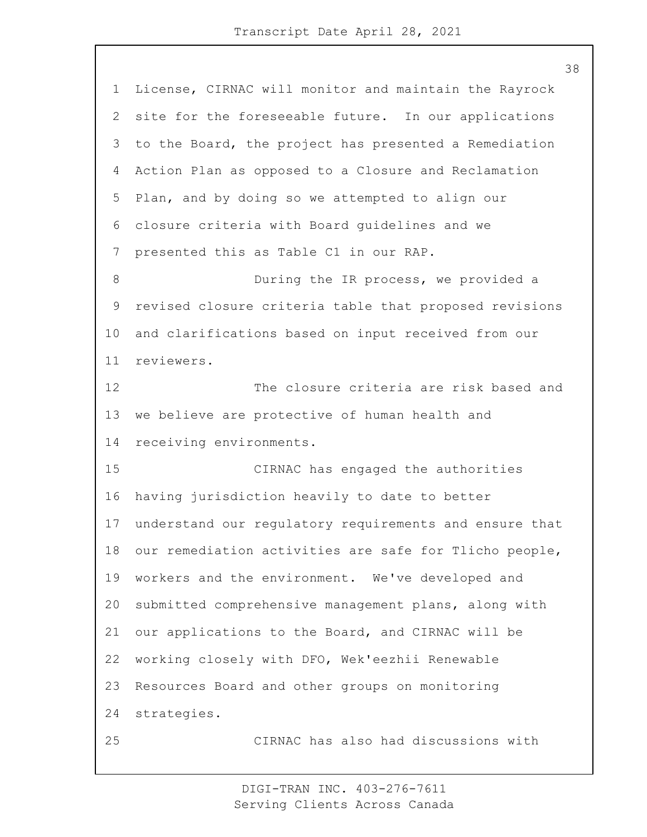License, CIRNAC will monitor and maintain the Rayrock site for the foreseeable future. In our applications to the Board, the project has presented a Remediation Action Plan as opposed to a Closure and Reclamation Plan, and by doing so we attempted to align our closure criteria with Board guidelines and we presented this as Table C1 in our RAP. 8 During the IR process, we provided a revised closure criteria table that proposed revisions and clarifications based on input received from our reviewers. 12 The closure criteria are risk based and we believe are protective of human health and receiving environments. 15 CIRNAC has engaged the authorities having jurisdiction heavily to date to better understand our regulatory requirements and ensure that our remediation activities are safe for Tlicho people, workers and the environment. We've developed and submitted comprehensive management plans, along with our applications to the Board, and CIRNAC will be working closely with DFO, Wek'eezhii Renewable Resources Board and other groups on monitoring strategies. 25 CIRNAC has also had discussions with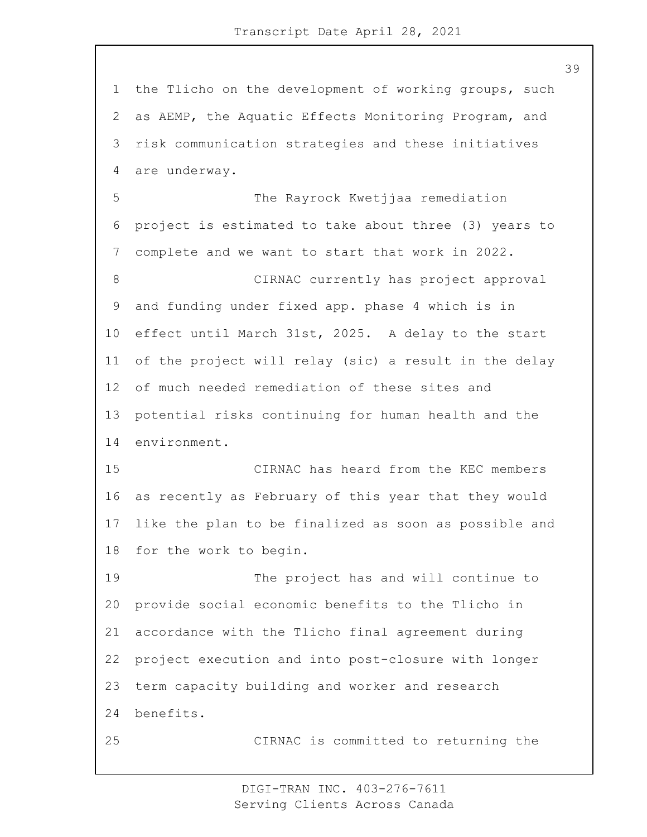the Tlicho on the development of working groups, such as AEMP, the Aquatic Effects Monitoring Program, and risk communication strategies and these initiatives are underway. 5 The Rayrock Kwetjjaa remediation project is estimated to take about three (3) years to complete and we want to start that work in 2022. 8 CIRNAC currently has project approval and funding under fixed app. phase 4 which is in effect until March 31st, 2025. A delay to the start of the project will relay (sic) a result in the delay of much needed remediation of these sites and potential risks continuing for human health and the environment. 15 CIRNAC has heard from the KEC members as recently as February of this year that they would like the plan to be finalized as soon as possible and for the work to begin. 19 The project has and will continue to

 provide social economic benefits to the Tlicho in accordance with the Tlicho final agreement during project execution and into post-closure with longer term capacity building and worker and research benefits.

25 CIRNAC is committed to returning the

DIGI-TRAN INC. 403-276-7611 Serving Clients Across Canada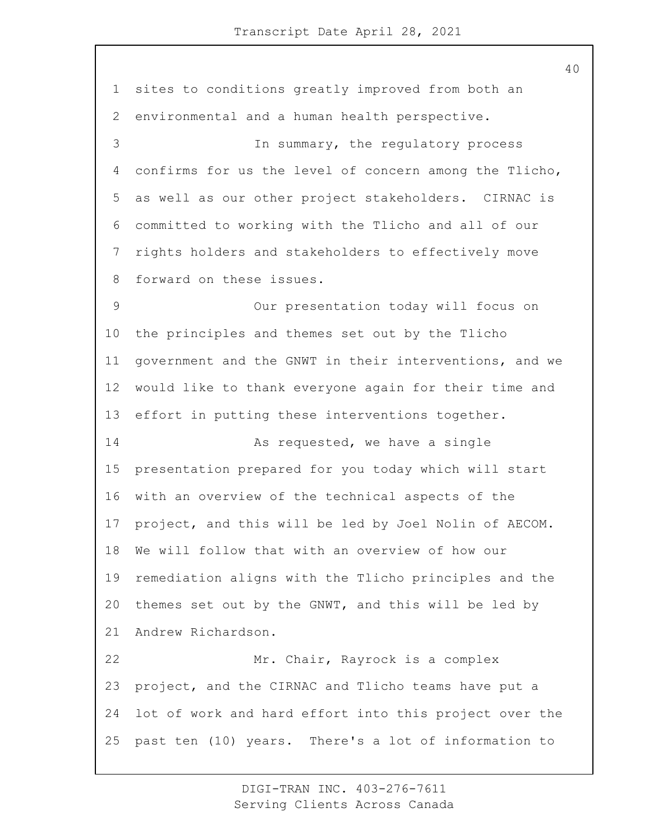sites to conditions greatly improved from both an environmental and a human health perspective. 3 In summary, the regulatory process confirms for us the level of concern among the Tlicho, as well as our other project stakeholders. CIRNAC is committed to working with the Tlicho and all of our rights holders and stakeholders to effectively move forward on these issues. 9 Our presentation today will focus on the principles and themes set out by the Tlicho government and the GNWT in their interventions, and we would like to thank everyone again for their time and effort in putting these interventions together. 14 As requested, we have a single presentation prepared for you today which will start with an overview of the technical aspects of the project, and this will be led by Joel Nolin of AECOM. We will follow that with an overview of how our remediation aligns with the Tlicho principles and the themes set out by the GNWT, and this will be led by Andrew Richardson. 22 Mr. Chair, Rayrock is a complex project, and the CIRNAC and Tlicho teams have put a lot of work and hard effort into this project over the past ten (10) years. There's a lot of information to

> DIGI-TRAN INC. 403-276-7611 Serving Clients Across Canada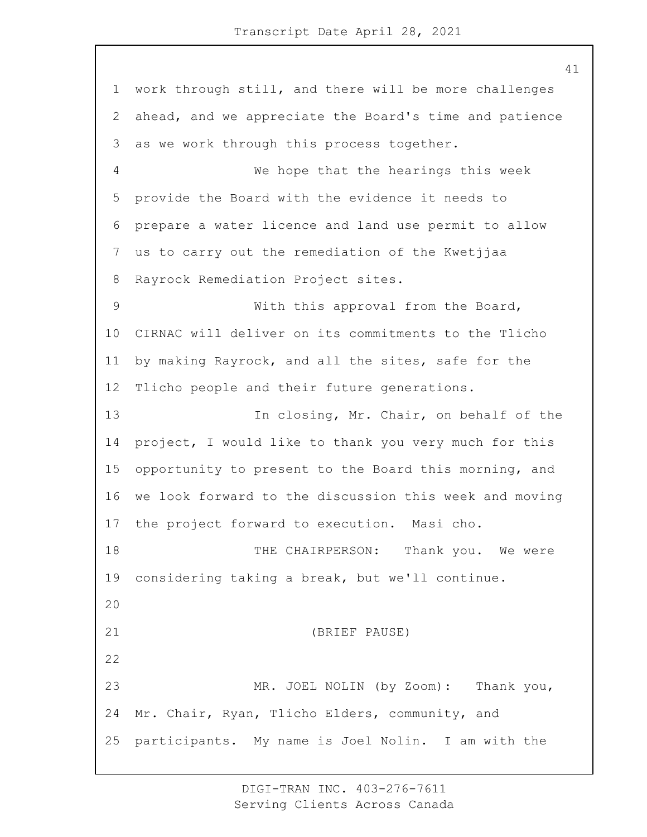work through still, and there will be more challenges ahead, and we appreciate the Board's time and patience as we work through this process together. 4 We hope that the hearings this week provide the Board with the evidence it needs to prepare a water licence and land use permit to allow us to carry out the remediation of the Kwetjjaa Rayrock Remediation Project sites. 9 With this approval from the Board, CIRNAC will deliver on its commitments to the Tlicho by making Rayrock, and all the sites, safe for the Tlicho people and their future generations. 13 In closing, Mr. Chair, on behalf of the project, I would like to thank you very much for this opportunity to present to the Board this morning, and we look forward to the discussion this week and moving the project forward to execution. Masi cho. 18 THE CHAIRPERSON: Thank you. We were considering taking a break, but we'll continue. 21 (BRIEF PAUSE) 23 MR. JOEL NOLIN (by Zoom): Thank you, Mr. Chair, Ryan, Tlicho Elders, community, and participants. My name is Joel Nolin. I am with the

> DIGI-TRAN INC. 403-276-7611 Serving Clients Across Canada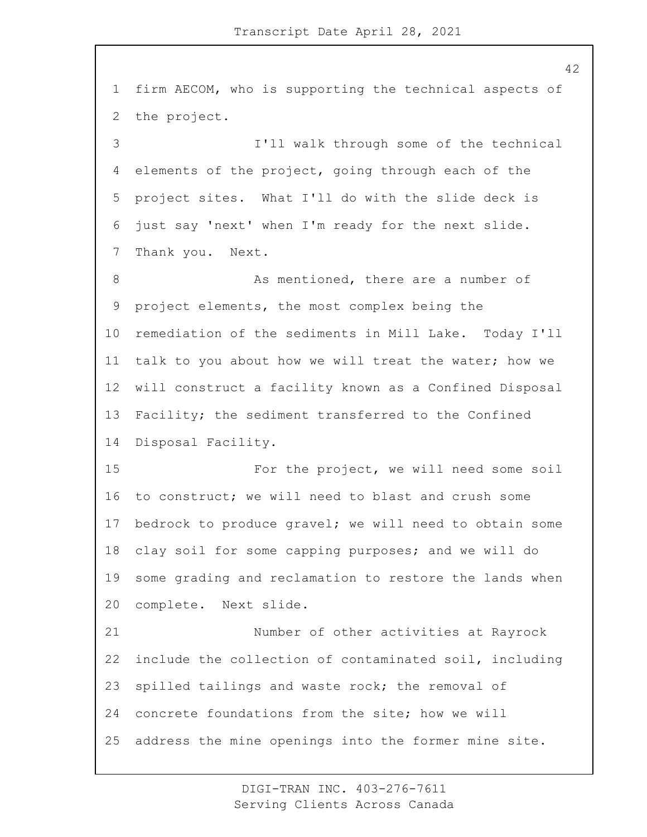firm AECOM, who is supporting the technical aspects of the project. 3 I'll walk through some of the technical elements of the project, going through each of the project sites. What I'll do with the slide deck is just say 'next' when I'm ready for the next slide. Thank you. Next. 8 As mentioned, there are a number of project elements, the most complex being the remediation of the sediments in Mill Lake. Today I'll talk to you about how we will treat the water; how we will construct a facility known as a Confined Disposal Facility; the sediment transferred to the Confined Disposal Facility. 15 For the project, we will need some soil to construct; we will need to blast and crush some bedrock to produce gravel; we will need to obtain some clay soil for some capping purposes; and we will do some grading and reclamation to restore the lands when complete. Next slide. 21 Number of other activities at Rayrock include the collection of contaminated soil, including spilled tailings and waste rock; the removal of concrete foundations from the site; how we will address the mine openings into the former mine site.

> DIGI-TRAN INC. 403-276-7611 Serving Clients Across Canada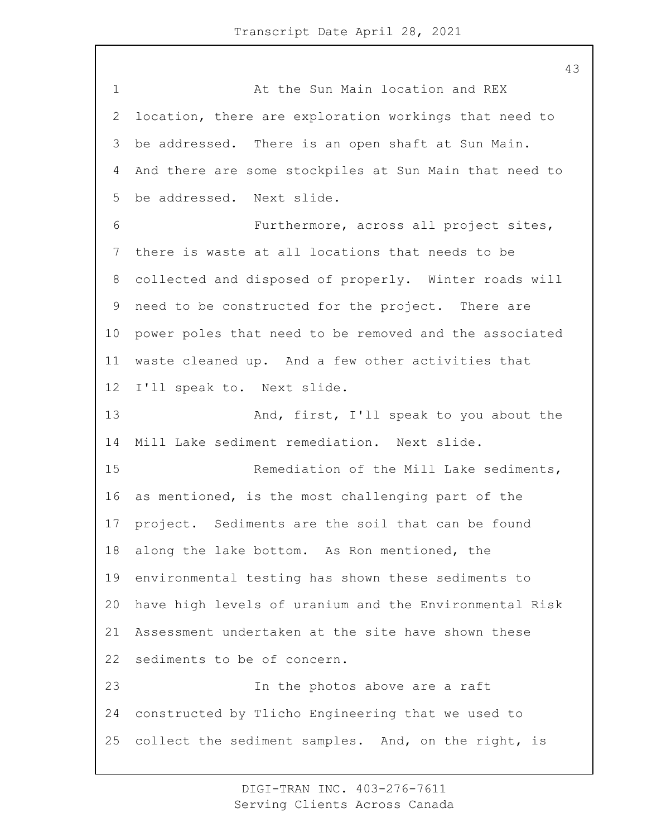1 At the Sun Main location and REX location, there are exploration workings that need to be addressed. There is an open shaft at Sun Main. And there are some stockpiles at Sun Main that need to be addressed. Next slide. 6 Furthermore, across all project sites, there is waste at all locations that needs to be collected and disposed of properly. Winter roads will need to be constructed for the project. There are power poles that need to be removed and the associated waste cleaned up. And a few other activities that I'll speak to. Next slide. 13 And, first, I'll speak to you about the Mill Lake sediment remediation. Next slide. 15 Remediation of the Mill Lake sediments, as mentioned, is the most challenging part of the project. Sediments are the soil that can be found along the lake bottom. As Ron mentioned, the environmental testing has shown these sediments to have high levels of uranium and the Environmental Risk Assessment undertaken at the site have shown these sediments to be of concern. 23 In the photos above are a raft constructed by Tlicho Engineering that we used to collect the sediment samples. And, on the right, is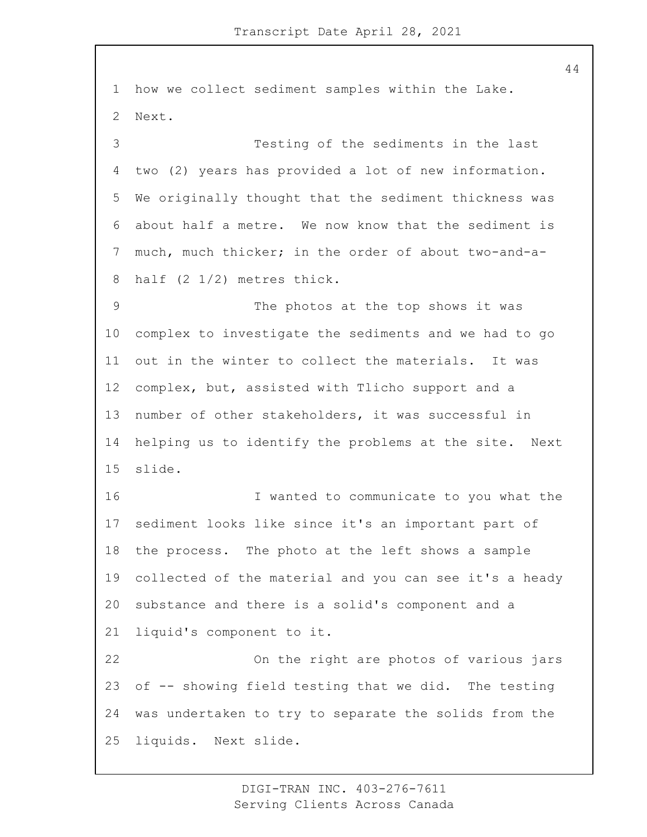how we collect sediment samples within the Lake. Next. 3 Testing of the sediments in the last two (2) years has provided a lot of new information. We originally thought that the sediment thickness was about half a metre. We now know that the sediment is much, much thicker; in the order of about two-and-a- half (2 1/2) metres thick. 9 The photos at the top shows it was complex to investigate the sediments and we had to go out in the winter to collect the materials. It was complex, but, assisted with Tlicho support and a number of other stakeholders, it was successful in helping us to identify the problems at the site. Next slide. 16 I wanted to communicate to you what the sediment looks like since it's an important part of the process. The photo at the left shows a sample collected of the material and you can see it's a heady substance and there is a solid's component and a liquid's component to it. 22 On the right are photos of various jars of -- showing field testing that we did. The testing was undertaken to try to separate the solids from the liquids. Next slide.

> DIGI-TRAN INC. 403-276-7611 Serving Clients Across Canada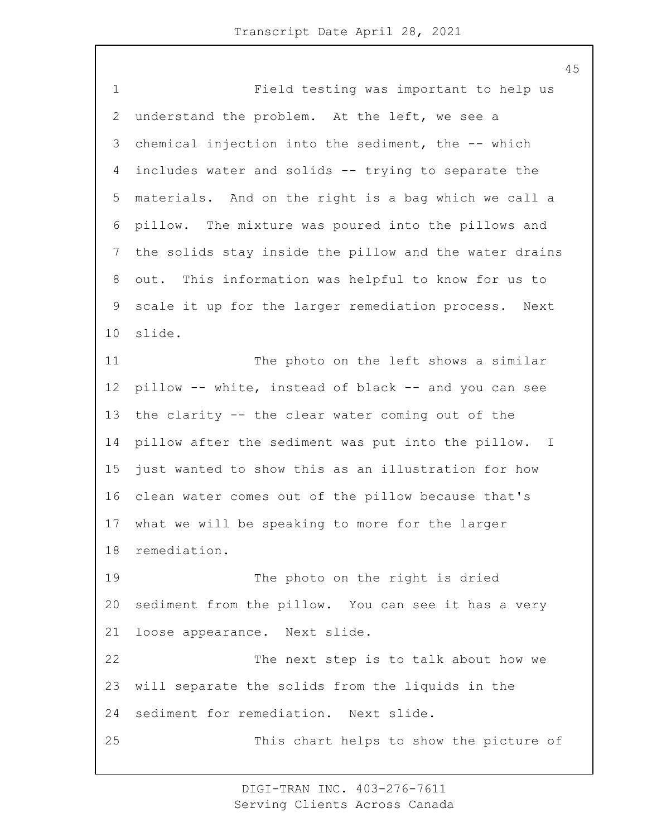1 Field testing was important to help us understand the problem. At the left, we see a chemical injection into the sediment, the -- which includes water and solids -- trying to separate the materials. And on the right is a bag which we call a pillow. The mixture was poured into the pillows and the solids stay inside the pillow and the water drains out. This information was helpful to know for us to scale it up for the larger remediation process. Next slide. 11 The photo on the left shows a similar pillow -- white, instead of black -- and you can see the clarity -- the clear water coming out of the pillow after the sediment was put into the pillow. I just wanted to show this as an illustration for how clean water comes out of the pillow because that's what we will be speaking to more for the larger remediation. 19 The photo on the right is dried sediment from the pillow. You can see it has a very loose appearance. Next slide. 22 The next step is to talk about how we will separate the solids from the liquids in the sediment for remediation. Next slide. 25 This chart helps to show the picture of

> DIGI-TRAN INC. 403-276-7611 Serving Clients Across Canada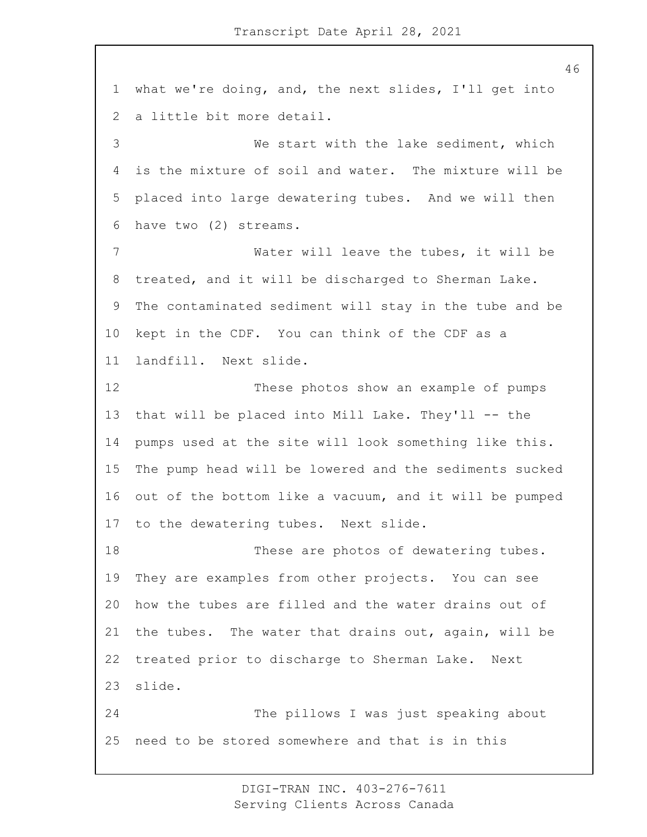what we're doing, and, the next slides, I'll get into a little bit more detail. 3 We start with the lake sediment, which is the mixture of soil and water. The mixture will be placed into large dewatering tubes. And we will then have two (2) streams. 7 Water will leave the tubes, it will be treated, and it will be discharged to Sherman Lake. The contaminated sediment will stay in the tube and be kept in the CDF. You can think of the CDF as a landfill. Next slide. 12 These photos show an example of pumps that will be placed into Mill Lake. They'll -- the pumps used at the site will look something like this. The pump head will be lowered and the sediments sucked out of the bottom like a vacuum, and it will be pumped to the dewatering tubes. Next slide. 18 These are photos of dewatering tubes. They are examples from other projects. You can see how the tubes are filled and the water drains out of the tubes. The water that drains out, again, will be treated prior to discharge to Sherman Lake. Next slide. 24 The pillows I was just speaking about need to be stored somewhere and that is in this

> DIGI-TRAN INC. 403-276-7611 Serving Clients Across Canada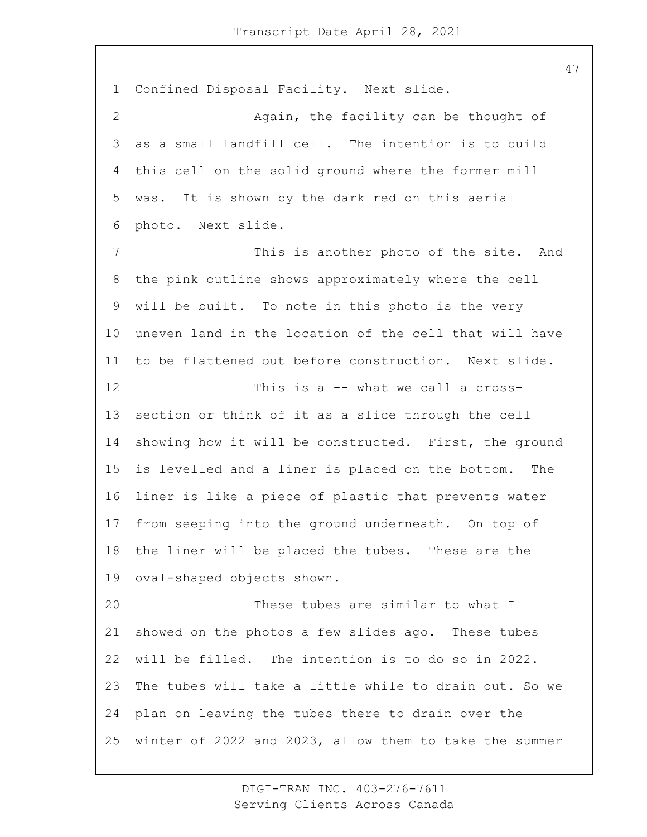Confined Disposal Facility. Next slide. 2 Again, the facility can be thought of as a small landfill cell. The intention is to build this cell on the solid ground where the former mill was. It is shown by the dark red on this aerial photo. Next slide. 7 This is another photo of the site. And the pink outline shows approximately where the cell will be built. To note in this photo is the very uneven land in the location of the cell that will have to be flattened out before construction. Next slide. 12 This is a -- what we call a cross- section or think of it as a slice through the cell showing how it will be constructed. First, the ground is levelled and a liner is placed on the bottom. The liner is like a piece of plastic that prevents water from seeping into the ground underneath. On top of the liner will be placed the tubes. These are the oval-shaped objects shown. 20 These tubes are similar to what I showed on the photos a few slides ago. These tubes will be filled. The intention is to do so in 2022. The tubes will take a little while to drain out. So we plan on leaving the tubes there to drain over the winter of 2022 and 2023, allow them to take the summer

> DIGI-TRAN INC. 403-276-7611 Serving Clients Across Canada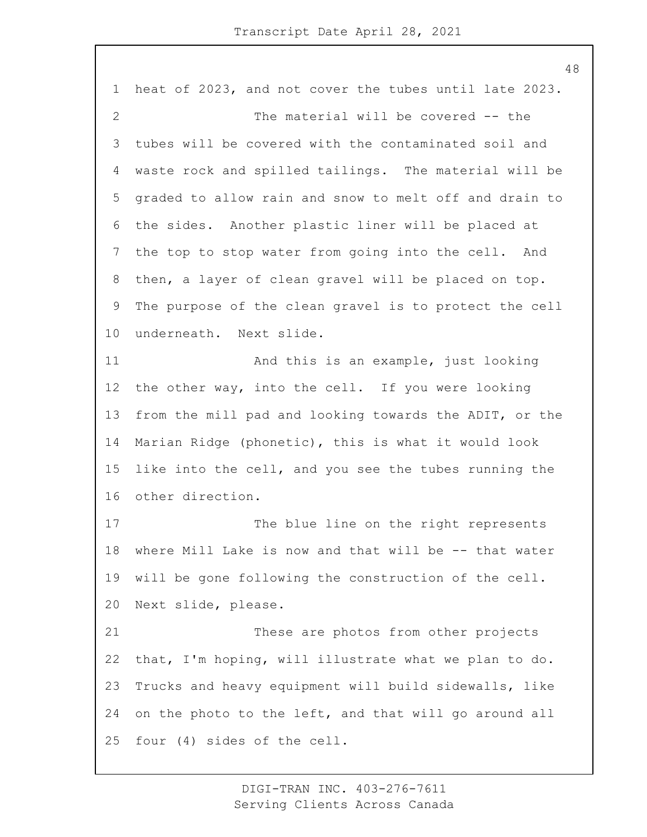heat of 2023, and not cover the tubes until late 2023. 2 The material will be covered -- the tubes will be covered with the contaminated soil and waste rock and spilled tailings. The material will be graded to allow rain and snow to melt off and drain to the sides. Another plastic liner will be placed at the top to stop water from going into the cell. And then, a layer of clean gravel will be placed on top. The purpose of the clean gravel is to protect the cell underneath. Next slide. 11 And this is an example, just looking the other way, into the cell. If you were looking from the mill pad and looking towards the ADIT, or the Marian Ridge (phonetic), this is what it would look like into the cell, and you see the tubes running the other direction. 17 The blue line on the right represents where Mill Lake is now and that will be -- that water will be gone following the construction of the cell. Next slide, please. 21 These are photos from other projects that, I'm hoping, will illustrate what we plan to do. Trucks and heavy equipment will build sidewalls, like on the photo to the left, and that will go around all four (4) sides of the cell.

> DIGI-TRAN INC. 403-276-7611 Serving Clients Across Canada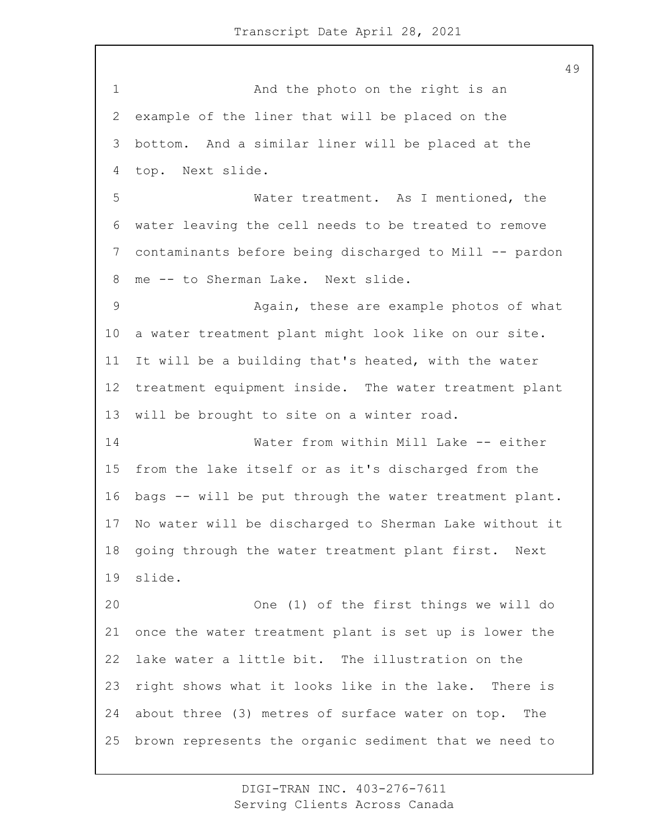1 And the photo on the right is an example of the liner that will be placed on the bottom. And a similar liner will be placed at the top. Next slide. 5 Water treatment. As I mentioned, the water leaving the cell needs to be treated to remove contaminants before being discharged to Mill -- pardon me -- to Sherman Lake. Next slide. 9 Again, these are example photos of what a water treatment plant might look like on our site. It will be a building that's heated, with the water treatment equipment inside. The water treatment plant will be brought to site on a winter road. 14 Water from within Mill Lake -- either from the lake itself or as it's discharged from the bags -- will be put through the water treatment plant. No water will be discharged to Sherman Lake without it going through the water treatment plant first. Next slide. 20 One (1) of the first things we will do once the water treatment plant is set up is lower the lake water a little bit. The illustration on the right shows what it looks like in the lake. There is about three (3) metres of surface water on top. The brown represents the organic sediment that we need to

> DIGI-TRAN INC. 403-276-7611 Serving Clients Across Canada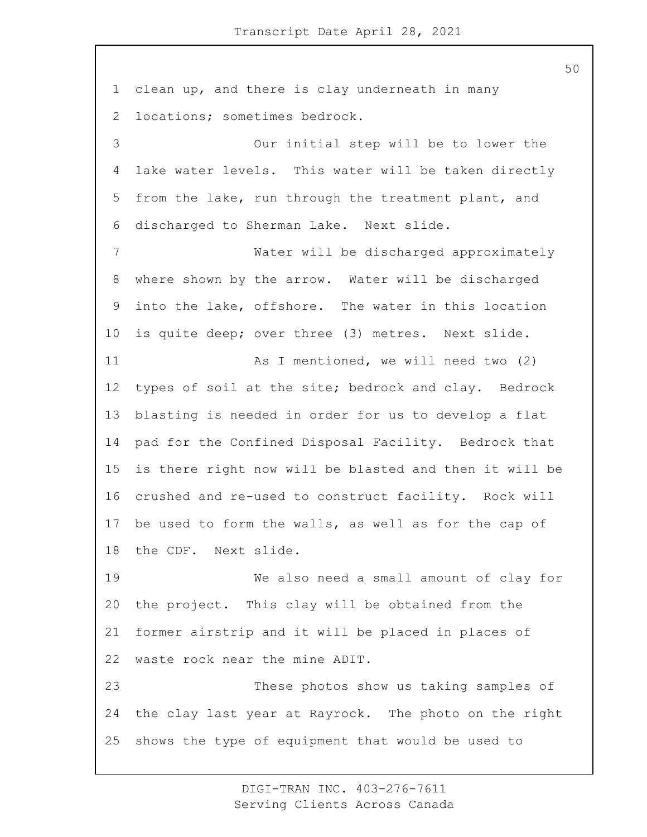clean up, and there is clay underneath in many locations; sometimes bedrock. 3 Our initial step will be to lower the lake water levels. This water will be taken directly from the lake, run through the treatment plant, and discharged to Sherman Lake. Next slide. 7 Water will be discharged approximately where shown by the arrow. Water will be discharged into the lake, offshore. The water in this location is quite deep; over three (3) metres. Next slide. 11 As I mentioned, we will need two (2) types of soil at the site; bedrock and clay. Bedrock blasting is needed in order for us to develop a flat pad for the Confined Disposal Facility. Bedrock that is there right now will be blasted and then it will be crushed and re-used to construct facility. Rock will be used to form the walls, as well as for the cap of the CDF. Next slide. 19 We also need a small amount of clay for the project. This clay will be obtained from the former airstrip and it will be placed in places of waste rock near the mine ADIT. 23 These photos show us taking samples of the clay last year at Rayrock. The photo on the right shows the type of equipment that would be used to

> DIGI-TRAN INC. 403-276-7611 Serving Clients Across Canada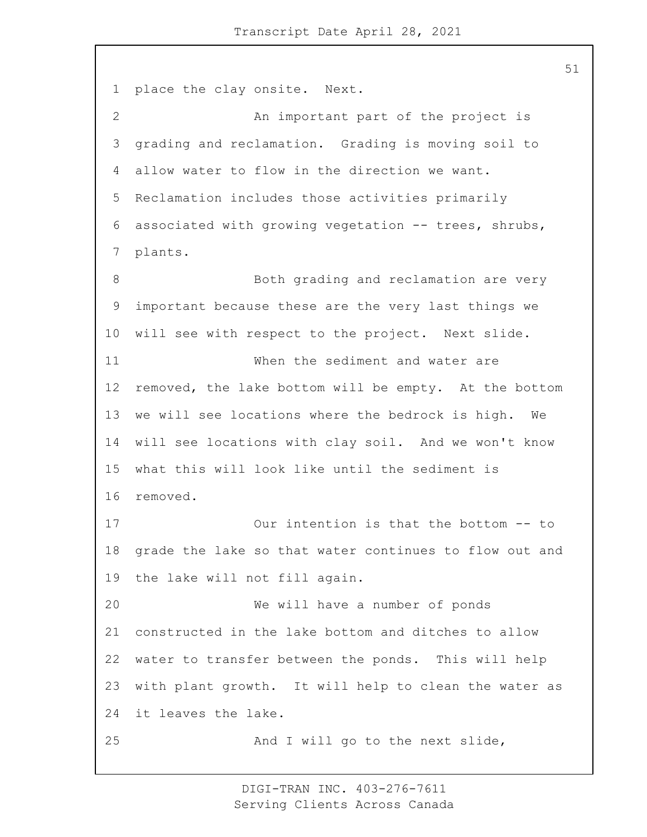place the clay onsite. Next. 2 An important part of the project is grading and reclamation. Grading is moving soil to allow water to flow in the direction we want. Reclamation includes those activities primarily associated with growing vegetation -- trees, shrubs, plants. 8 Both grading and reclamation are very important because these are the very last things we will see with respect to the project. Next slide. 11 When the sediment and water are removed, the lake bottom will be empty. At the bottom we will see locations where the bedrock is high. We will see locations with clay soil. And we won't know what this will look like until the sediment is removed. 17 Our intention is that the bottom -- to grade the lake so that water continues to flow out and the lake will not fill again. 20 We will have a number of ponds constructed in the lake bottom and ditches to allow water to transfer between the ponds. This will help with plant growth. It will help to clean the water as it leaves the lake. 25 And I will go to the next slide,

> DIGI-TRAN INC. 403-276-7611 Serving Clients Across Canada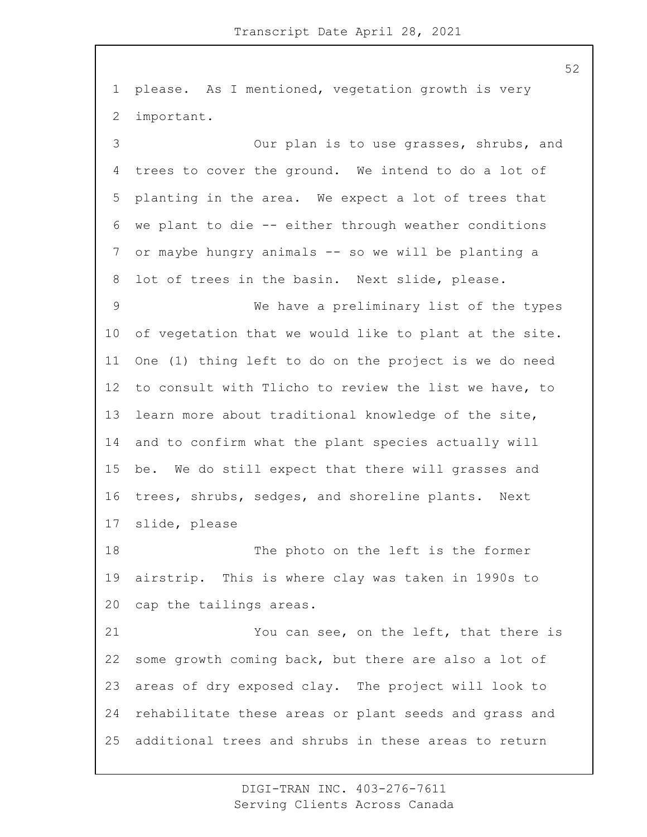please. As I mentioned, vegetation growth is very important.

3 Our plan is to use grasses, shrubs, and trees to cover the ground. We intend to do a lot of planting in the area. We expect a lot of trees that we plant to die -- either through weather conditions or maybe hungry animals -- so we will be planting a lot of trees in the basin. Next slide, please. 9 We have a preliminary list of the types of vegetation that we would like to plant at the site. One (1) thing left to do on the project is we do need to consult with Tlicho to review the list we have, to learn more about traditional knowledge of the site, and to confirm what the plant species actually will be. We do still expect that there will grasses and trees, shrubs, sedges, and shoreline plants. Next slide, please

18 The photo on the left is the former airstrip. This is where clay was taken in 1990s to cap the tailings areas.

21 You can see, on the left, that there is some growth coming back, but there are also a lot of areas of dry exposed clay. The project will look to rehabilitate these areas or plant seeds and grass and additional trees and shrubs in these areas to return

> DIGI-TRAN INC. 403-276-7611 Serving Clients Across Canada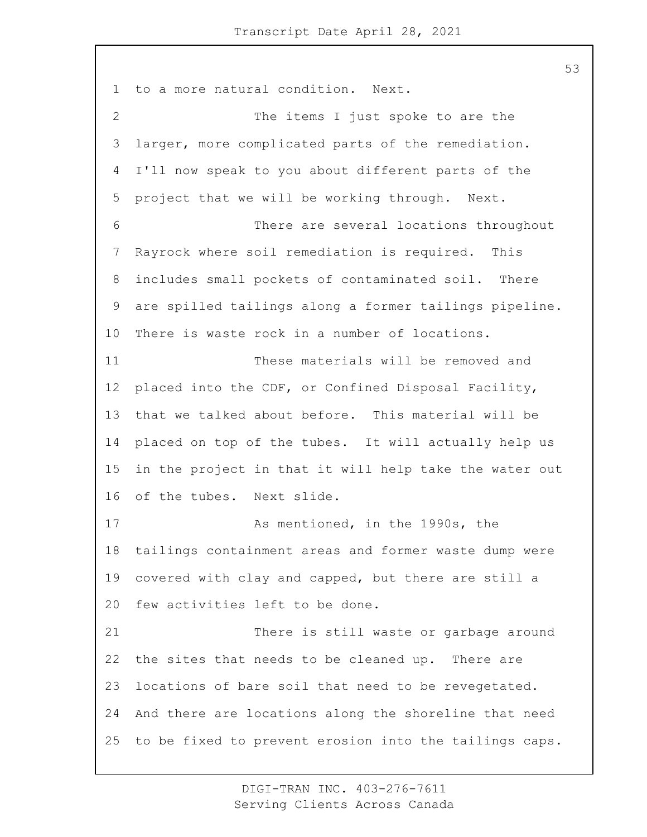to a more natural condition. Next. 2 The items I just spoke to are the larger, more complicated parts of the remediation. I'll now speak to you about different parts of the project that we will be working through. Next. 6 There are several locations throughout Rayrock where soil remediation is required. This includes small pockets of contaminated soil. There are spilled tailings along a former tailings pipeline. There is waste rock in a number of locations. 11 These materials will be removed and placed into the CDF, or Confined Disposal Facility, that we talked about before. This material will be placed on top of the tubes. It will actually help us in the project in that it will help take the water out of the tubes. Next slide. 17 As mentioned, in the 1990s, the tailings containment areas and former waste dump were covered with clay and capped, but there are still a few activities left to be done. 21 There is still waste or garbage around the sites that needs to be cleaned up. There are locations of bare soil that need to be revegetated. And there are locations along the shoreline that need to be fixed to prevent erosion into the tailings caps.

> DIGI-TRAN INC. 403-276-7611 Serving Clients Across Canada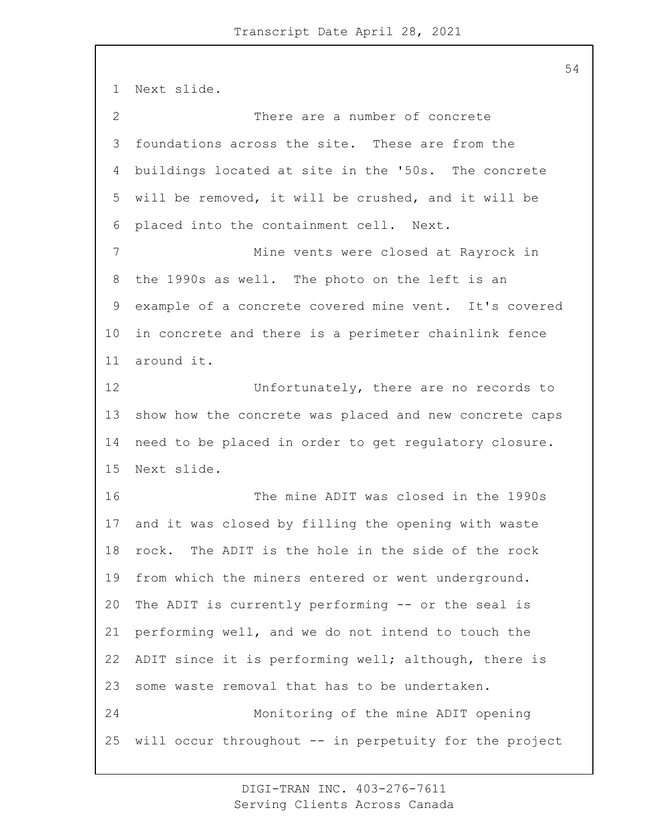Next slide. 2 There are a number of concrete foundations across the site. These are from the buildings located at site in the '50s. The concrete will be removed, it will be crushed, and it will be placed into the containment cell. Next. 7 Mine vents were closed at Rayrock in the 1990s as well. The photo on the left is an example of a concrete covered mine vent. It's covered in concrete and there is a perimeter chainlink fence around it. 12 Unfortunately, there are no records to show how the concrete was placed and new concrete caps need to be placed in order to get regulatory closure. Next slide. 16 The mine ADIT was closed in the 1990s and it was closed by filling the opening with waste rock. The ADIT is the hole in the side of the rock from which the miners entered or went underground. The ADIT is currently performing -- or the seal is performing well, and we do not intend to touch the ADIT since it is performing well; although, there is some waste removal that has to be undertaken. 24 Monitoring of the mine ADIT opening will occur throughout -- in perpetuity for the project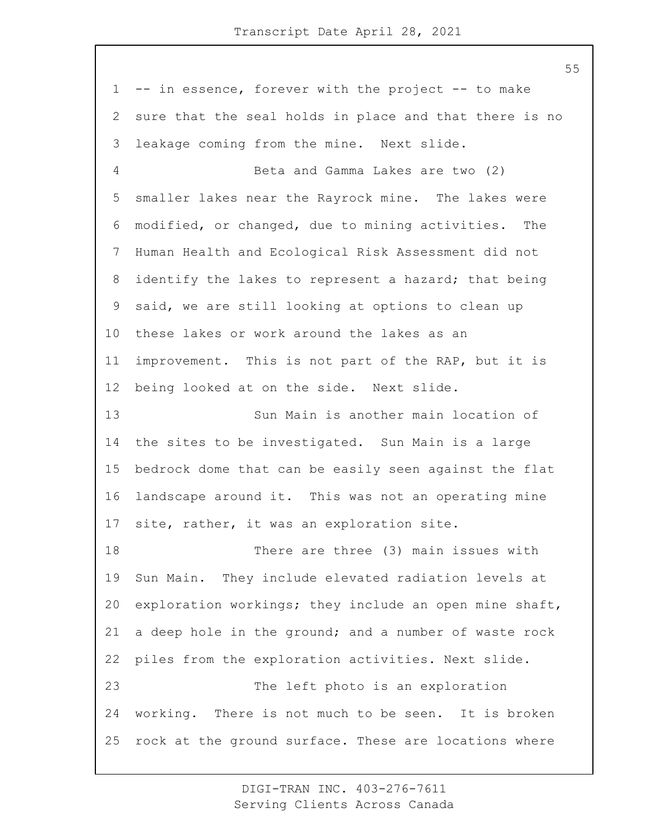-- in essence, forever with the project -- to make sure that the seal holds in place and that there is no leakage coming from the mine. Next slide. 4 Beta and Gamma Lakes are two (2) smaller lakes near the Rayrock mine. The lakes were modified, or changed, due to mining activities. The Human Health and Ecological Risk Assessment did not identify the lakes to represent a hazard; that being said, we are still looking at options to clean up these lakes or work around the lakes as an improvement. This is not part of the RAP, but it is being looked at on the side. Next slide. 13 Sun Main is another main location of the sites to be investigated. Sun Main is a large bedrock dome that can be easily seen against the flat landscape around it. This was not an operating mine site, rather, it was an exploration site. 18 There are three (3) main issues with Sun Main. They include elevated radiation levels at exploration workings; they include an open mine shaft, a deep hole in the ground; and a number of waste rock piles from the exploration activities. Next slide. 23 The left photo is an exploration working. There is not much to be seen. It is broken rock at the ground surface. These are locations where

> DIGI-TRAN INC. 403-276-7611 Serving Clients Across Canada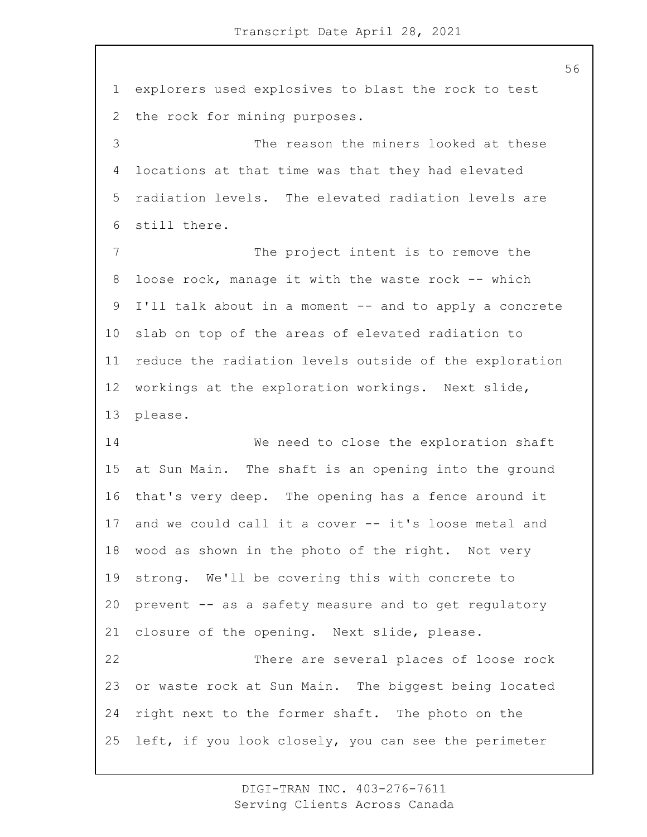explorers used explosives to blast the rock to test the rock for mining purposes. 3 The reason the miners looked at these locations at that time was that they had elevated radiation levels. The elevated radiation levels are still there. 7 The project intent is to remove the loose rock, manage it with the waste rock -- which I'll talk about in a moment -- and to apply a concrete slab on top of the areas of elevated radiation to reduce the radiation levels outside of the exploration workings at the exploration workings. Next slide, please. 14 We need to close the exploration shaft at Sun Main. The shaft is an opening into the ground that's very deep. The opening has a fence around it and we could call it a cover -- it's loose metal and wood as shown in the photo of the right. Not very strong. We'll be covering this with concrete to prevent -- as a safety measure and to get regulatory closure of the opening. Next slide, please. 22 There are several places of loose rock or waste rock at Sun Main. The biggest being located right next to the former shaft. The photo on the left, if you look closely, you can see the perimeter

> DIGI-TRAN INC. 403-276-7611 Serving Clients Across Canada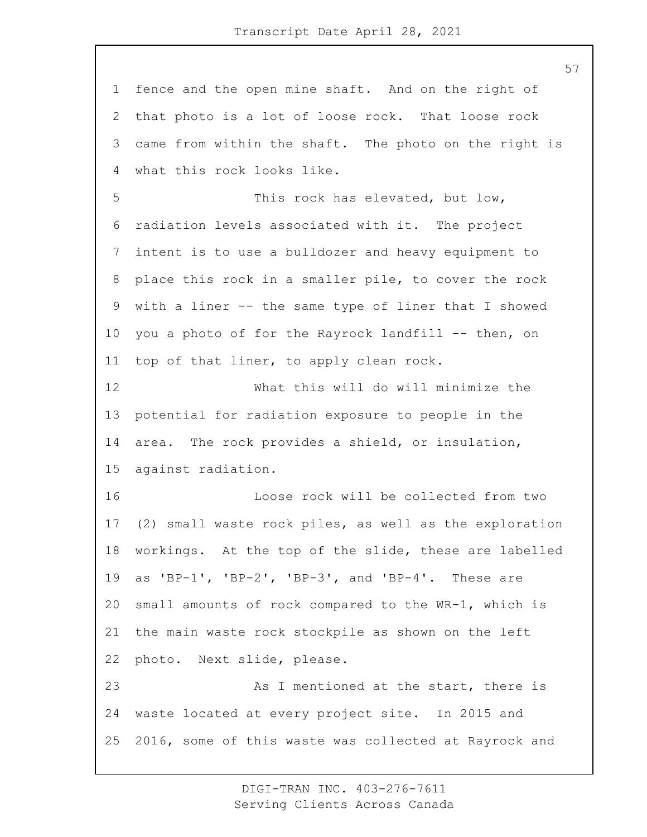fence and the open mine shaft. And on the right of that photo is a lot of loose rock. That loose rock came from within the shaft. The photo on the right is what this rock looks like. 5 This rock has elevated, but low, radiation levels associated with it. The project intent is to use a bulldozer and heavy equipment to place this rock in a smaller pile, to cover the rock with a liner -- the same type of liner that I showed you a photo of for the Rayrock landfill -- then, on top of that liner, to apply clean rock. 12 What this will do will minimize the potential for radiation exposure to people in the area. The rock provides a shield, or insulation, against radiation. 16 Loose rock will be collected from two (2) small waste rock piles, as well as the exploration workings. At the top of the slide, these are labelled as 'BP-1', 'BP-2', 'BP-3', and 'BP-4'. These are small amounts of rock compared to the WR-1, which is the main waste rock stockpile as shown on the left photo. Next slide, please. 23 As I mentioned at the start, there is waste located at every project site. In 2015 and 2016, some of this waste was collected at Rayrock and

> DIGI-TRAN INC. 403-276-7611 Serving Clients Across Canada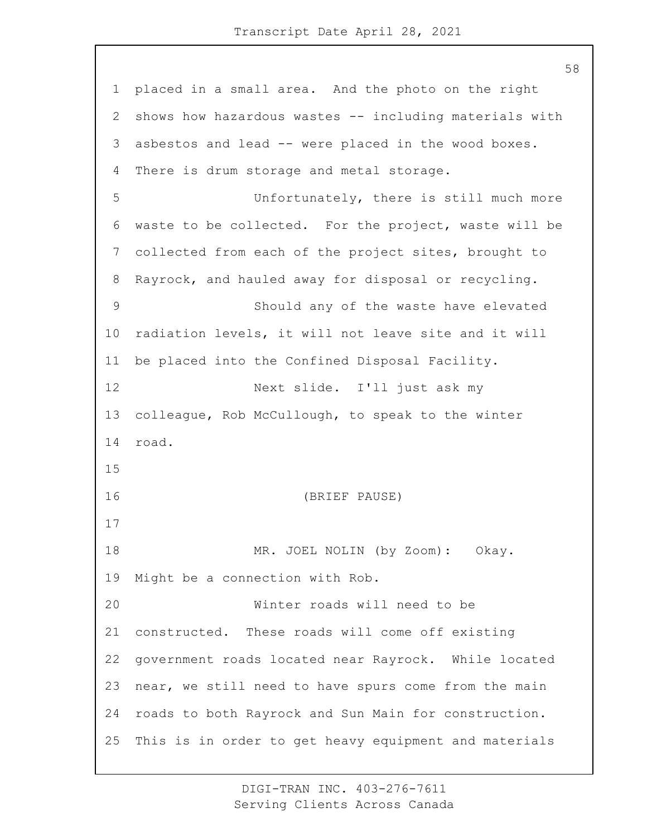placed in a small area. And the photo on the right shows how hazardous wastes -- including materials with asbestos and lead -- were placed in the wood boxes. There is drum storage and metal storage. 5 Unfortunately, there is still much more waste to be collected. For the project, waste will be collected from each of the project sites, brought to Rayrock, and hauled away for disposal or recycling. 9 Should any of the waste have elevated radiation levels, it will not leave site and it will be placed into the Confined Disposal Facility. 12 Next slide. I'll just ask my colleague, Rob McCullough, to speak to the winter road. 16 (BRIEF PAUSE) 18 MR. JOEL NOLIN (by Zoom): Okay. Might be a connection with Rob. 20 Winter roads will need to be constructed. These roads will come off existing government roads located near Rayrock. While located near, we still need to have spurs come from the main roads to both Rayrock and Sun Main for construction. This is in order to get heavy equipment and materials

> DIGI-TRAN INC. 403-276-7611 Serving Clients Across Canada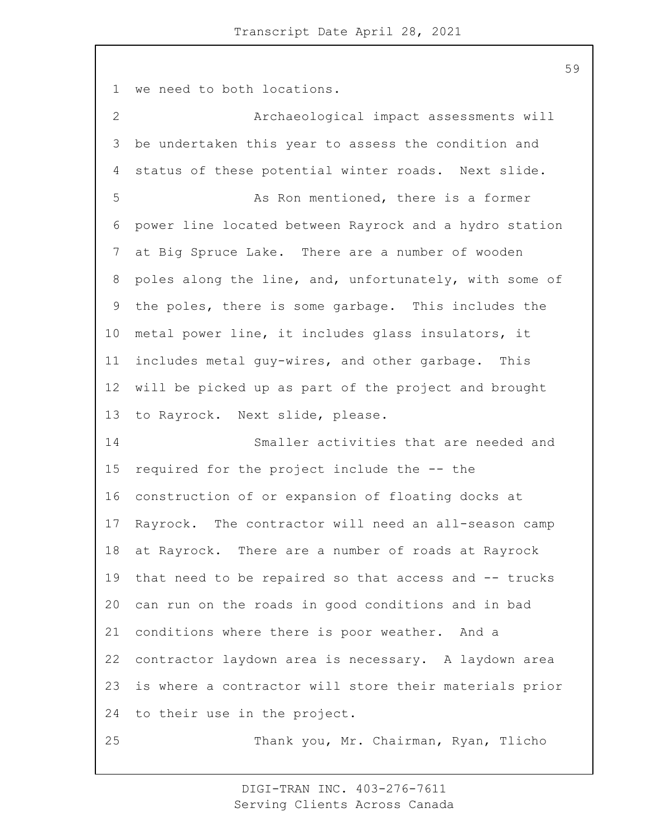we need to both locations.

2 Archaeological impact assessments will be undertaken this year to assess the condition and status of these potential winter roads. Next slide. 5 As Ron mentioned, there is a former power line located between Rayrock and a hydro station at Big Spruce Lake. There are a number of wooden poles along the line, and, unfortunately, with some of the poles, there is some garbage. This includes the metal power line, it includes glass insulators, it includes metal guy-wires, and other garbage. This will be picked up as part of the project and brought to Rayrock. Next slide, please. 14 Smaller activities that are needed and required for the project include the -- the construction of or expansion of floating docks at Rayrock. The contractor will need an all-season camp at Rayrock. There are a number of roads at Rayrock that need to be repaired so that access and -- trucks can run on the roads in good conditions and in bad conditions where there is poor weather. And a contractor laydown area is necessary. A laydown area is where a contractor will store their materials prior to their use in the project. 25 Thank you, Mr. Chairman, Ryan, Tlicho

> DIGI-TRAN INC. 403-276-7611 Serving Clients Across Canada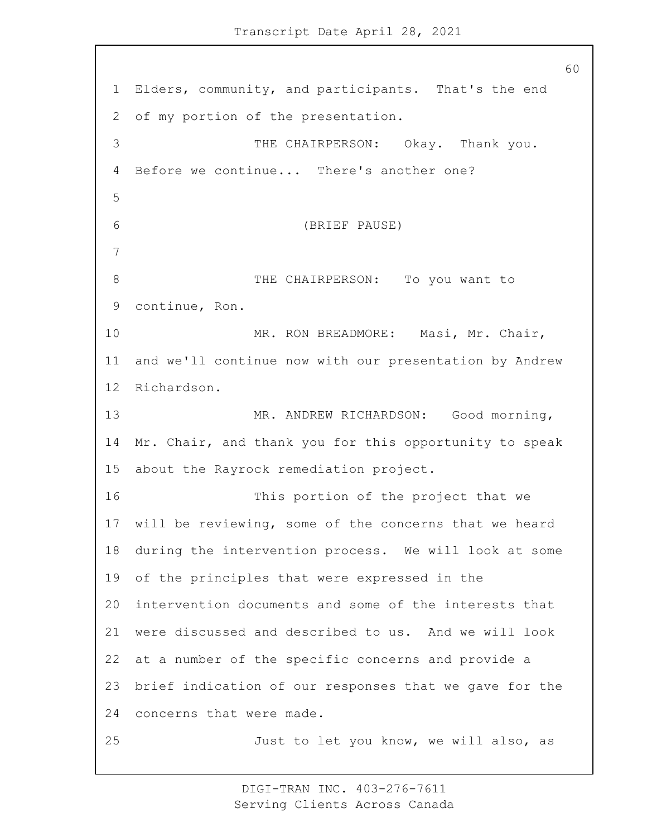Elders, community, and participants. That's the end of my portion of the presentation. 3 THE CHAIRPERSON: Okay. Thank you. Before we continue... There's another one? 6 (BRIEF PAUSE) 8 THE CHAIRPERSON: To you want to continue, Ron. 10 MR. RON BREADMORE: Masi, Mr. Chair, and we'll continue now with our presentation by Andrew Richardson. 13 MR. ANDREW RICHARDSON: Good morning, Mr. Chair, and thank you for this opportunity to speak about the Rayrock remediation project. 16 This portion of the project that we will be reviewing, some of the concerns that we heard during the intervention process. We will look at some of the principles that were expressed in the intervention documents and some of the interests that were discussed and described to us. And we will look at a number of the specific concerns and provide a brief indication of our responses that we gave for the concerns that were made. 25 Just to let you know, we will also, as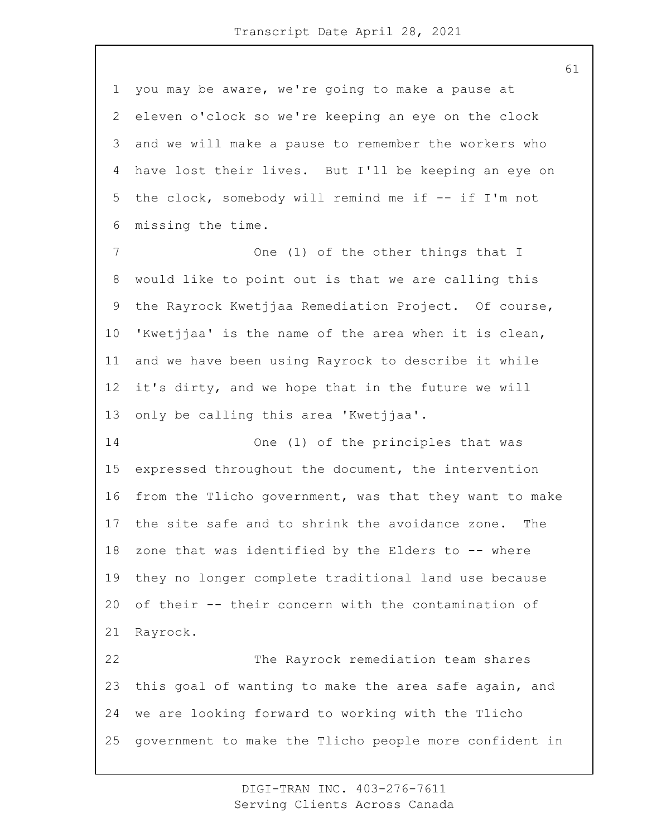you may be aware, we're going to make a pause at eleven o'clock so we're keeping an eye on the clock and we will make a pause to remember the workers who have lost their lives. But I'll be keeping an eye on the clock, somebody will remind me if -- if I'm not missing the time.

7 One (1) of the other things that I would like to point out is that we are calling this the Rayrock Kwetjjaa Remediation Project. Of course, 'Kwetjjaa' is the name of the area when it is clean, and we have been using Rayrock to describe it while it's dirty, and we hope that in the future we will only be calling this area 'Kwetjjaa'.

14 One (1) of the principles that was expressed throughout the document, the intervention from the Tlicho government, was that they want to make the site safe and to shrink the avoidance zone. The zone that was identified by the Elders to -- where they no longer complete traditional land use because of their -- their concern with the contamination of Rayrock.

22 The Rayrock remediation team shares this goal of wanting to make the area safe again, and we are looking forward to working with the Tlicho government to make the Tlicho people more confident in

> DIGI-TRAN INC. 403-276-7611 Serving Clients Across Canada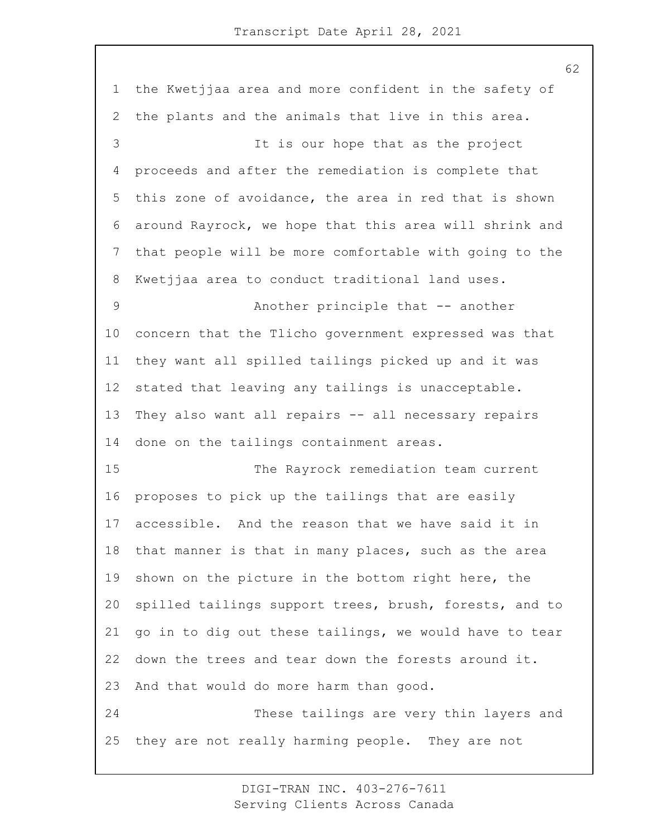the Kwetjjaa area and more confident in the safety of the plants and the animals that live in this area. 3 It is our hope that as the project proceeds and after the remediation is complete that this zone of avoidance, the area in red that is shown around Rayrock, we hope that this area will shrink and that people will be more comfortable with going to the Kwetjjaa area to conduct traditional land uses. 9 Another principle that -- another concern that the Tlicho government expressed was that they want all spilled tailings picked up and it was stated that leaving any tailings is unacceptable. They also want all repairs -- all necessary repairs done on the tailings containment areas. 15 The Rayrock remediation team current proposes to pick up the tailings that are easily accessible. And the reason that we have said it in that manner is that in many places, such as the area shown on the picture in the bottom right here, the spilled tailings support trees, brush, forests, and to go in to dig out these tailings, we would have to tear down the trees and tear down the forests around it. And that would do more harm than good. 24 These tailings are very thin layers and they are not really harming people. They are not

> DIGI-TRAN INC. 403-276-7611 Serving Clients Across Canada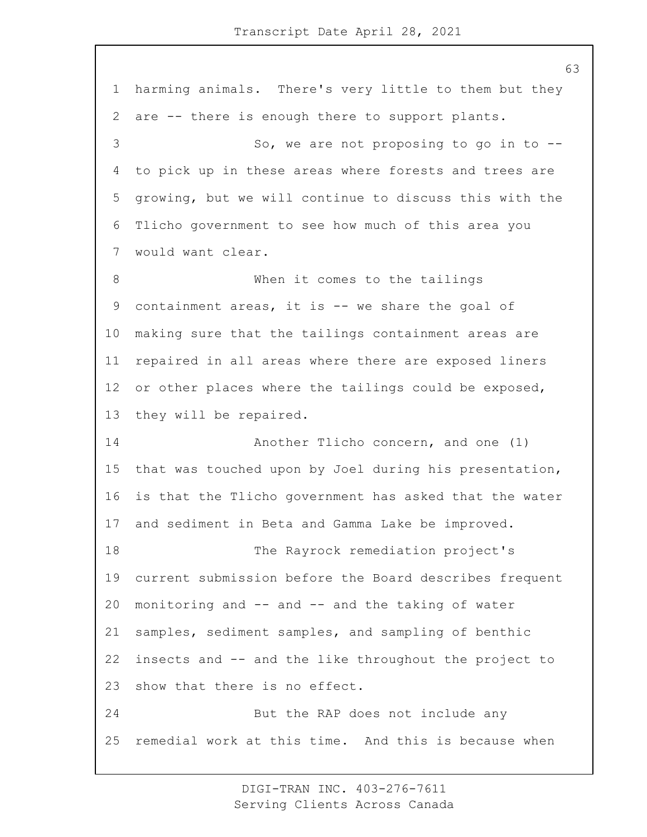harming animals. There's very little to them but they are -- there is enough there to support plants. 3 So, we are not proposing to go in to -- to pick up in these areas where forests and trees are growing, but we will continue to discuss this with the Tlicho government to see how much of this area you would want clear. 8 When it comes to the tailings containment areas, it is -- we share the goal of making sure that the tailings containment areas are repaired in all areas where there are exposed liners or other places where the tailings could be exposed, they will be repaired. **Another Tlicho concern, and one (1)**  that was touched upon by Joel during his presentation, is that the Tlicho government has asked that the water and sediment in Beta and Gamma Lake be improved. 18 The Rayrock remediation project's current submission before the Board describes frequent monitoring and -- and -- and the taking of water samples, sediment samples, and sampling of benthic insects and -- and the like throughout the project to show that there is no effect. 24 But the RAP does not include any remedial work at this time. And this is because when

> DIGI-TRAN INC. 403-276-7611 Serving Clients Across Canada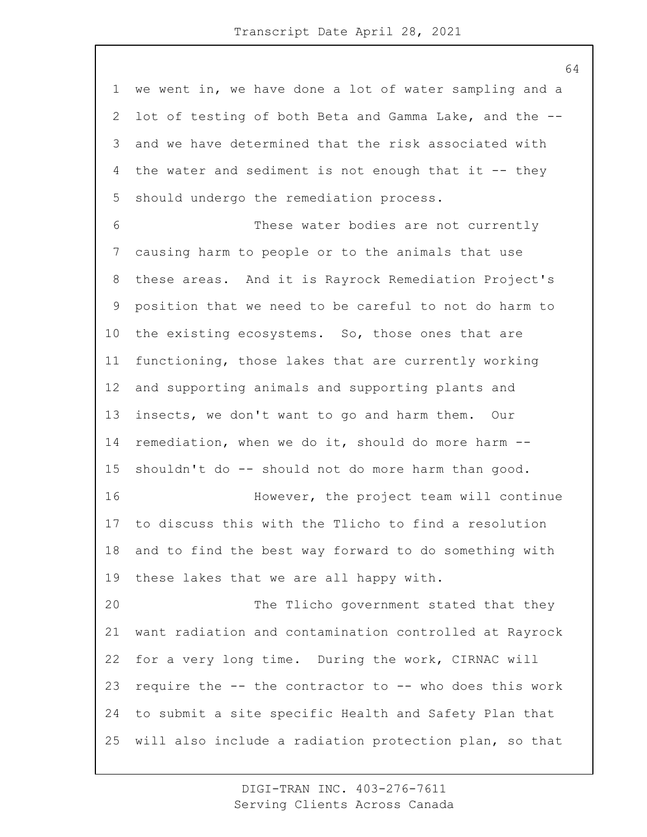we went in, we have done a lot of water sampling and a lot of testing of both Beta and Gamma Lake, and the -- and we have determined that the risk associated with 4 the water and sediment is not enough that it -- they should undergo the remediation process. 6 These water bodies are not currently causing harm to people or to the animals that use these areas. And it is Rayrock Remediation Project's position that we need to be careful to not do harm to the existing ecosystems. So, those ones that are functioning, those lakes that are currently working and supporting animals and supporting plants and insects, we don't want to go and harm them. Our remediation, when we do it, should do more harm -- shouldn't do -- should not do more harm than good. 16 However, the project team will continue to discuss this with the Tlicho to find a resolution and to find the best way forward to do something with these lakes that we are all happy with. 20 The Tlicho government stated that they want radiation and contamination controlled at Rayrock for a very long time. During the work, CIRNAC will require the -- the contractor to -- who does this work to submit a site specific Health and Safety Plan that will also include a radiation protection plan, so that

> DIGI-TRAN INC. 403-276-7611 Serving Clients Across Canada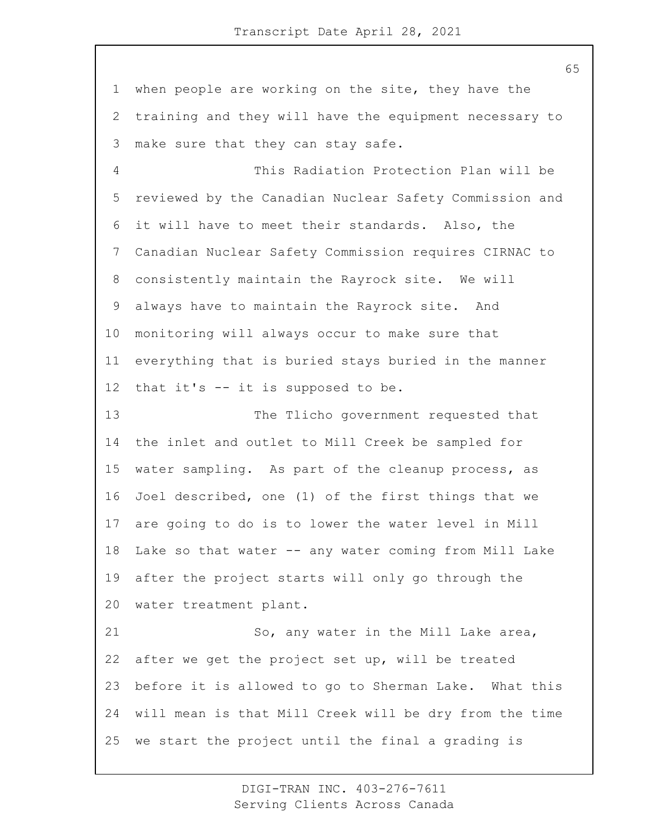when people are working on the site, they have the training and they will have the equipment necessary to make sure that they can stay safe.

4 This Radiation Protection Plan will be reviewed by the Canadian Nuclear Safety Commission and it will have to meet their standards. Also, the Canadian Nuclear Safety Commission requires CIRNAC to consistently maintain the Rayrock site. We will always have to maintain the Rayrock site. And monitoring will always occur to make sure that everything that is buried stays buried in the manner that it's -- it is supposed to be.

13 The Tlicho government requested that the inlet and outlet to Mill Creek be sampled for water sampling. As part of the cleanup process, as Joel described, one (1) of the first things that we are going to do is to lower the water level in Mill Lake so that water -- any water coming from Mill Lake after the project starts will only go through the water treatment plant.

21 So, any water in the Mill Lake area, after we get the project set up, will be treated before it is allowed to go to Sherman Lake. What this will mean is that Mill Creek will be dry from the time we start the project until the final a grading is

> DIGI-TRAN INC. 403-276-7611 Serving Clients Across Canada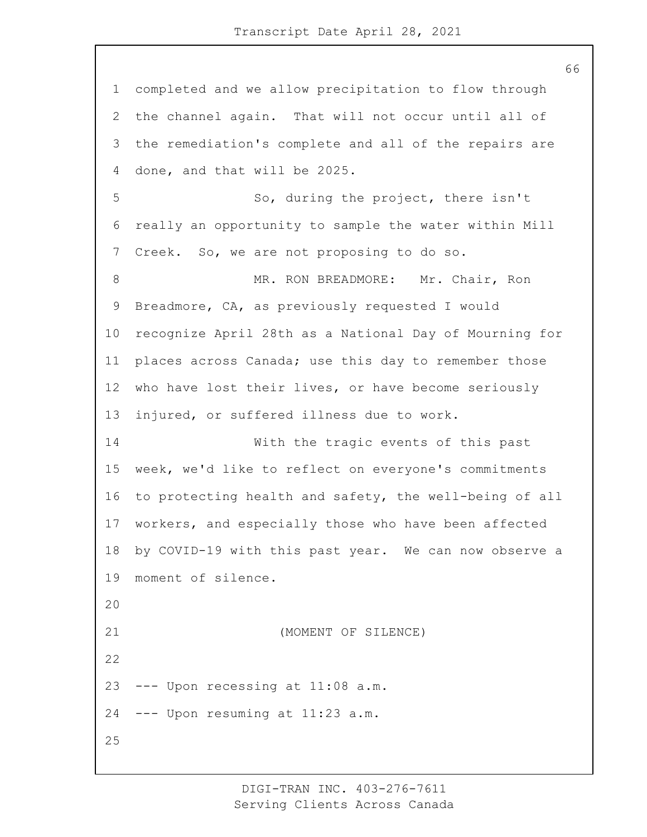completed and we allow precipitation to flow through the channel again. That will not occur until all of the remediation's complete and all of the repairs are done, and that will be 2025. 5 So, during the project, there isn't really an opportunity to sample the water within Mill Creek. So, we are not proposing to do so. 8 MR. RON BREADMORE: Mr. Chair, Ron Breadmore, CA, as previously requested I would recognize April 28th as a National Day of Mourning for places across Canada; use this day to remember those who have lost their lives, or have become seriously injured, or suffered illness due to work. 14 With the tragic events of this past week, we'd like to reflect on everyone's commitments to protecting health and safety, the well-being of all workers, and especially those who have been affected by COVID-19 with this past year. We can now observe a moment of silence. 21 (MOMENT OF SILENCE) --- Upon recessing at 11:08 a.m. --- Upon resuming at 11:23 a.m. 

> DIGI-TRAN INC. 403-276-7611 Serving Clients Across Canada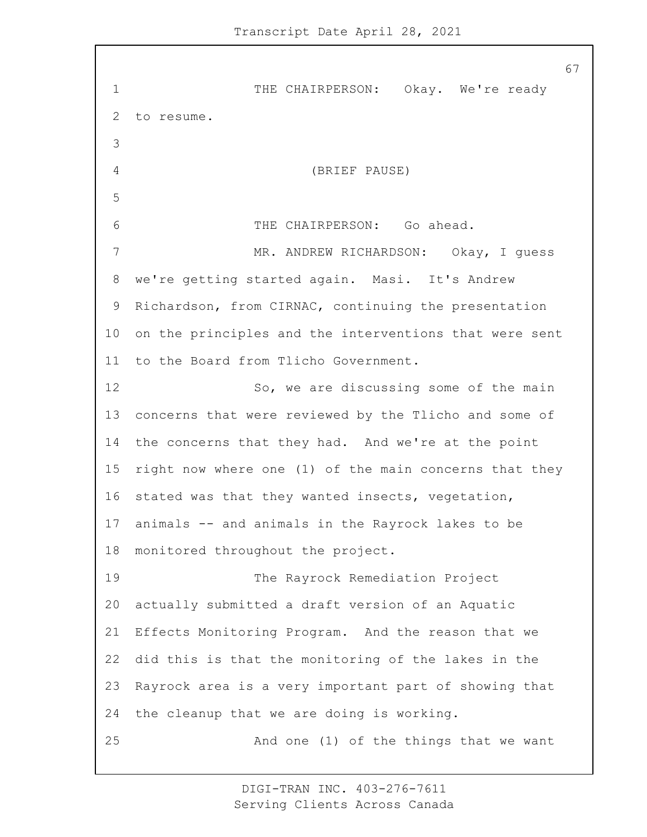1 THE CHAIRPERSON: Okay. We're ready to resume. 4 (BRIEF PAUSE) 6 THE CHAIRPERSON: Go ahead. 7 MR. ANDREW RICHARDSON: Okay, I guess we're getting started again. Masi. It's Andrew Richardson, from CIRNAC, continuing the presentation on the principles and the interventions that were sent to the Board from Tlicho Government. 12 So, we are discussing some of the main concerns that were reviewed by the Tlicho and some of the concerns that they had. And we're at the point right now where one (1) of the main concerns that they stated was that they wanted insects, vegetation, animals -- and animals in the Rayrock lakes to be monitored throughout the project. 19 The Rayrock Remediation Project actually submitted a draft version of an Aquatic Effects Monitoring Program. And the reason that we did this is that the monitoring of the lakes in the Rayrock area is a very important part of showing that the cleanup that we are doing is working. 25 And one (1) of the things that we want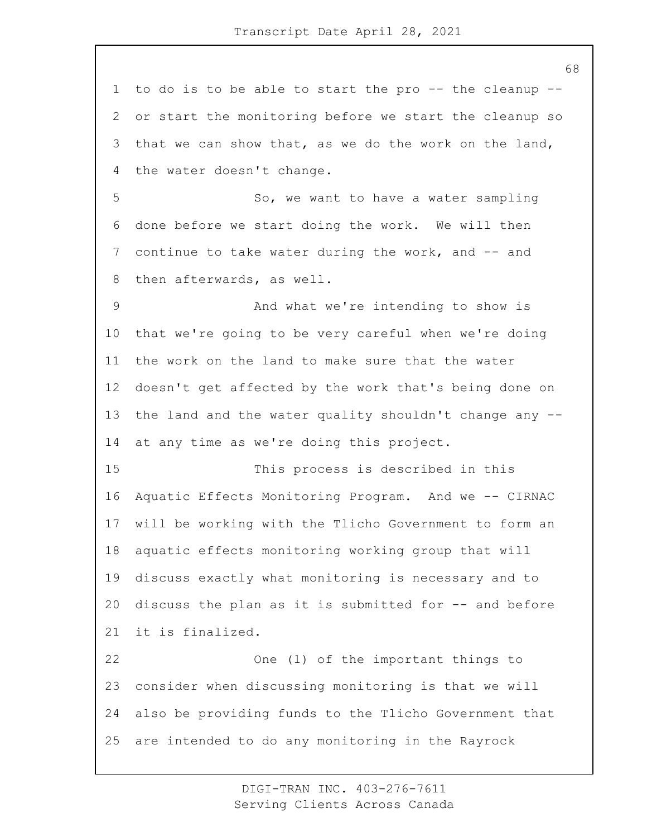to do is to be able to start the pro -- the cleanup -- or start the monitoring before we start the cleanup so that we can show that, as we do the work on the land, the water doesn't change. 5 So, we want to have a water sampling done before we start doing the work. We will then continue to take water during the work, and -- and then afterwards, as well. 9 And what we're intending to show is that we're going to be very careful when we're doing the work on the land to make sure that the water doesn't get affected by the work that's being done on the land and the water quality shouldn't change any -- at any time as we're doing this project. 15 This process is described in this Aquatic Effects Monitoring Program. And we -- CIRNAC will be working with the Tlicho Government to form an aquatic effects monitoring working group that will discuss exactly what monitoring is necessary and to discuss the plan as it is submitted for -- and before it is finalized. 22 One (1) of the important things to consider when discussing monitoring is that we will also be providing funds to the Tlicho Government that are intended to do any monitoring in the Rayrock

> DIGI-TRAN INC. 403-276-7611 Serving Clients Across Canada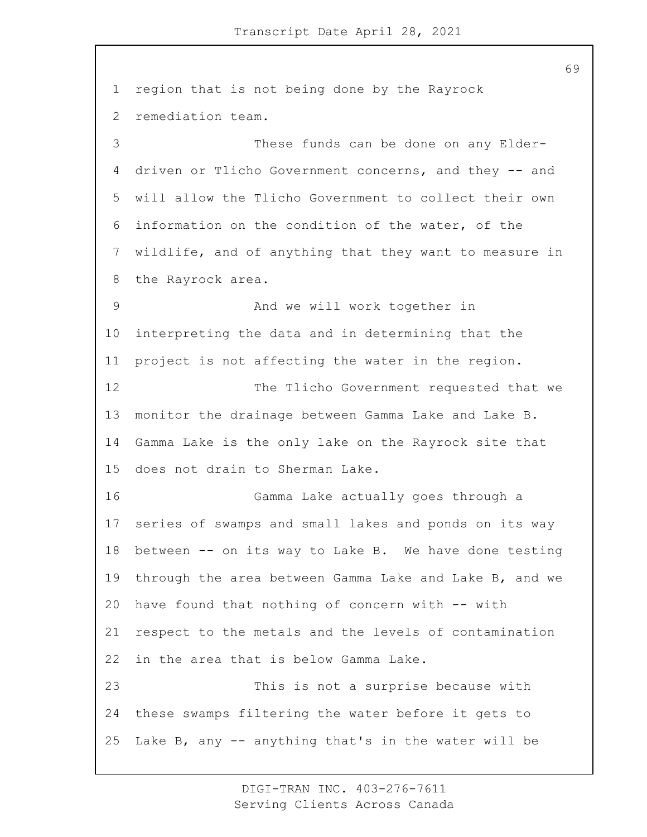region that is not being done by the Rayrock remediation team. 3 These funds can be done on any Elder- driven or Tlicho Government concerns, and they -- and will allow the Tlicho Government to collect their own information on the condition of the water, of the wildlife, and of anything that they want to measure in the Rayrock area. 9 And we will work together in interpreting the data and in determining that the project is not affecting the water in the region. 12 The Tlicho Government requested that we monitor the drainage between Gamma Lake and Lake B. Gamma Lake is the only lake on the Rayrock site that does not drain to Sherman Lake. 16 Gamma Lake actually goes through a series of swamps and small lakes and ponds on its way between -- on its way to Lake B. We have done testing through the area between Gamma Lake and Lake B, and we have found that nothing of concern with -- with respect to the metals and the levels of contamination in the area that is below Gamma Lake. 23 This is not a surprise because with these swamps filtering the water before it gets to Lake B, any -- anything that's in the water will be

> DIGI-TRAN INC. 403-276-7611 Serving Clients Across Canada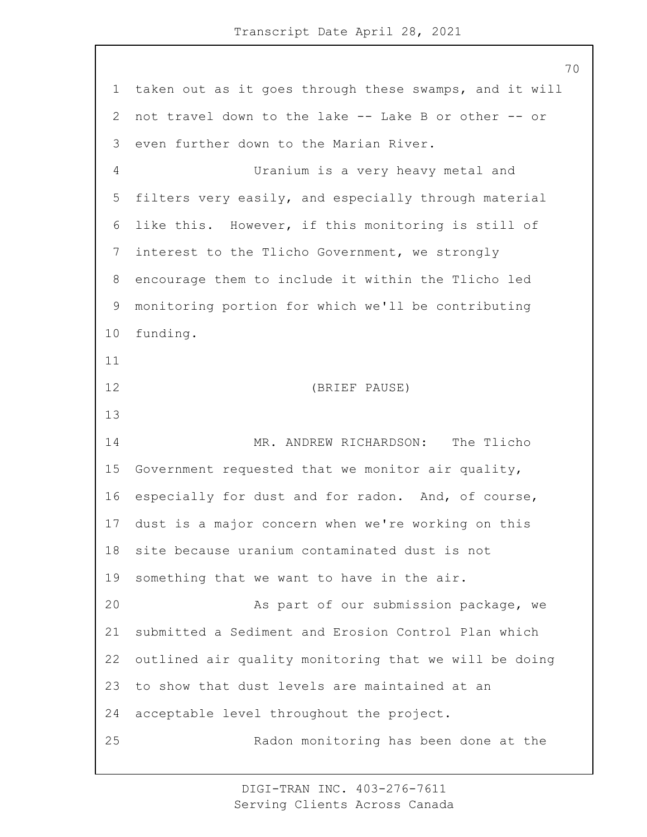taken out as it goes through these swamps, and it will not travel down to the lake -- Lake B or other -- or even further down to the Marian River. 4 Uranium is a very heavy metal and filters very easily, and especially through material like this. However, if this monitoring is still of interest to the Tlicho Government, we strongly encourage them to include it within the Tlicho led monitoring portion for which we'll be contributing funding. 12 (BRIEF PAUSE) 14 MR. ANDREW RICHARDSON: The Tlicho Government requested that we monitor air quality, especially for dust and for radon. And, of course, dust is a major concern when we're working on this site because uranium contaminated dust is not something that we want to have in the air. 20 As part of our submission package, we submitted a Sediment and Erosion Control Plan which outlined air quality monitoring that we will be doing to show that dust levels are maintained at an acceptable level throughout the project. 25 Radon monitoring has been done at the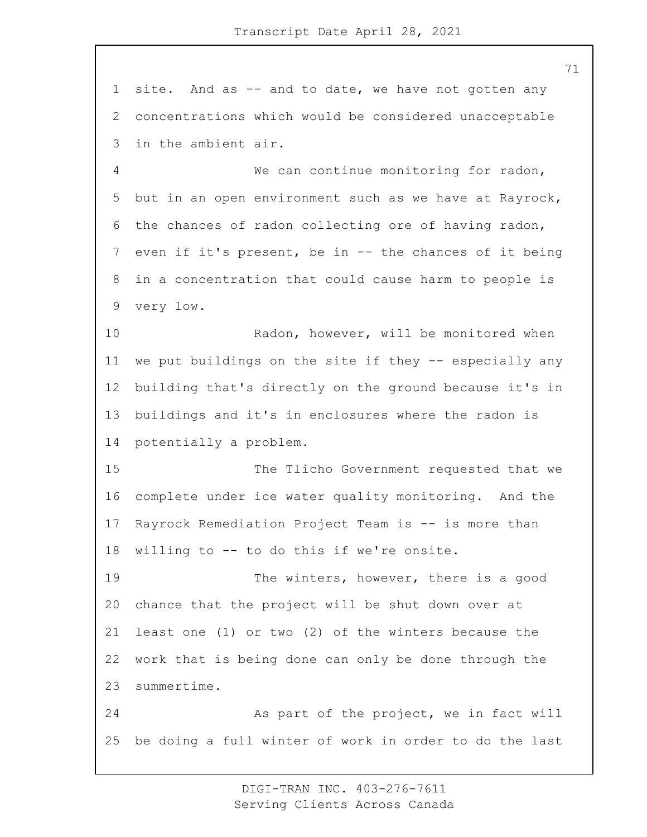site. And as -- and to date, we have not gotten any concentrations which would be considered unacceptable in the ambient air.

4 We can continue monitoring for radon, but in an open environment such as we have at Rayrock, the chances of radon collecting ore of having radon, even if it's present, be in -- the chances of it being in a concentration that could cause harm to people is very low.

10 Radon, however, will be monitored when we put buildings on the site if they -- especially any building that's directly on the ground because it's in buildings and it's in enclosures where the radon is potentially a problem.

15 The Tlicho Government requested that we complete under ice water quality monitoring. And the Rayrock Remediation Project Team is -- is more than willing to -- to do this if we're onsite.

19 The winters, however, there is a good chance that the project will be shut down over at least one (1) or two (2) of the winters because the work that is being done can only be done through the summertime.

24 As part of the project, we in fact will be doing a full winter of work in order to do the last

> DIGI-TRAN INC. 403-276-7611 Serving Clients Across Canada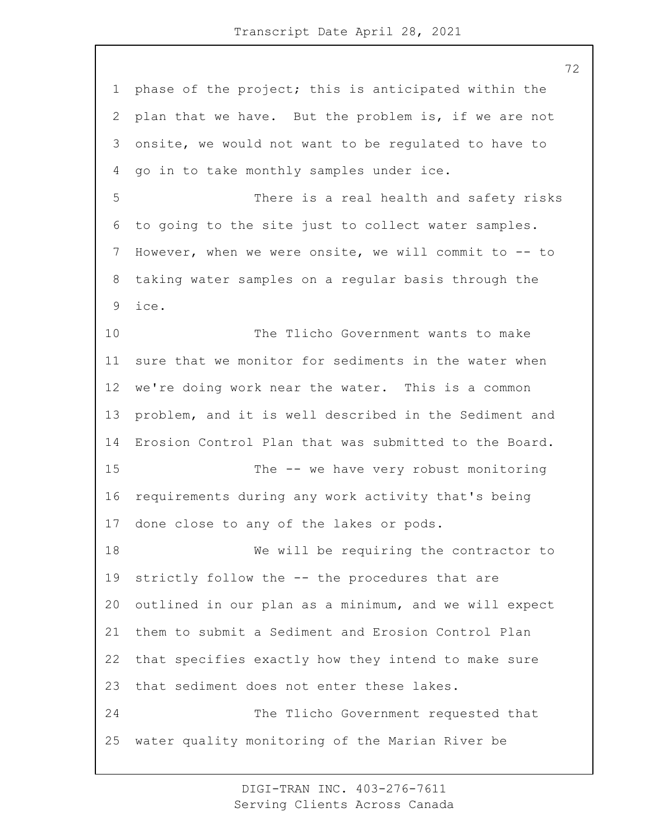phase of the project; this is anticipated within the plan that we have. But the problem is, if we are not onsite, we would not want to be regulated to have to go in to take monthly samples under ice. 5 There is a real health and safety risks to going to the site just to collect water samples. However, when we were onsite, we will commit to -- to taking water samples on a regular basis through the ice. 10 The Tlicho Government wants to make sure that we monitor for sediments in the water when we're doing work near the water. This is a common problem, and it is well described in the Sediment and Erosion Control Plan that was submitted to the Board. 15 The -- we have very robust monitoring requirements during any work activity that's being done close to any of the lakes or pods. 18 We will be requiring the contractor to strictly follow the -- the procedures that are outlined in our plan as a minimum, and we will expect them to submit a Sediment and Erosion Control Plan that specifies exactly how they intend to make sure that sediment does not enter these lakes. 24 The Tlicho Government requested that water quality monitoring of the Marian River be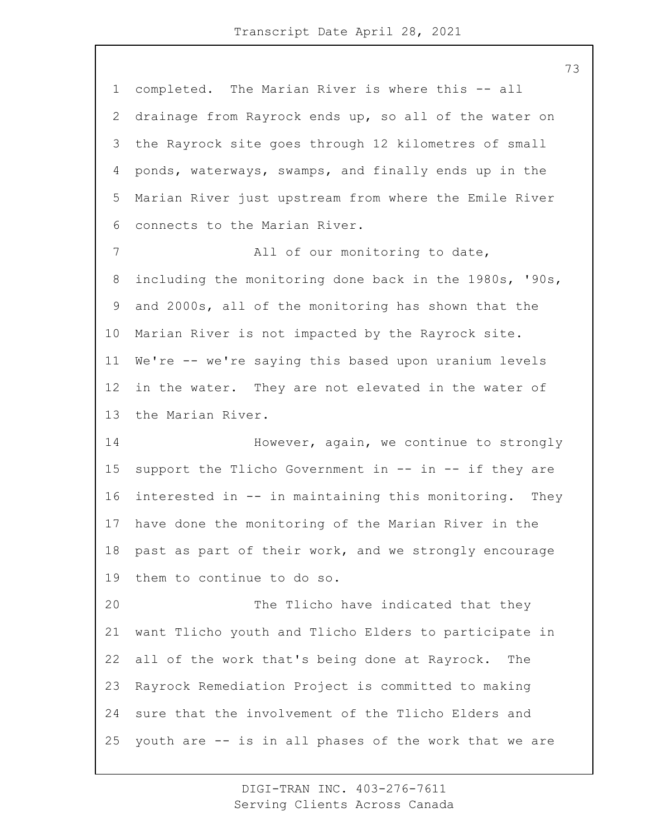completed. The Marian River is where this -- all drainage from Rayrock ends up, so all of the water on the Rayrock site goes through 12 kilometres of small ponds, waterways, swamps, and finally ends up in the Marian River just upstream from where the Emile River connects to the Marian River. 7 All of our monitoring to date, including the monitoring done back in the 1980s, '90s, and 2000s, all of the monitoring has shown that the Marian River is not impacted by the Rayrock site. We're -- we're saying this based upon uranium levels in the water. They are not elevated in the water of the Marian River. 14 However, again, we continue to strongly support the Tlicho Government in -- in -- if they are interested in -- in maintaining this monitoring. They

 past as part of their work, and we strongly encourage them to continue to do so.

have done the monitoring of the Marian River in the

20 The Tlicho have indicated that they want Tlicho youth and Tlicho Elders to participate in all of the work that's being done at Rayrock. The Rayrock Remediation Project is committed to making sure that the involvement of the Tlicho Elders and youth are -- is in all phases of the work that we are

> DIGI-TRAN INC. 403-276-7611 Serving Clients Across Canada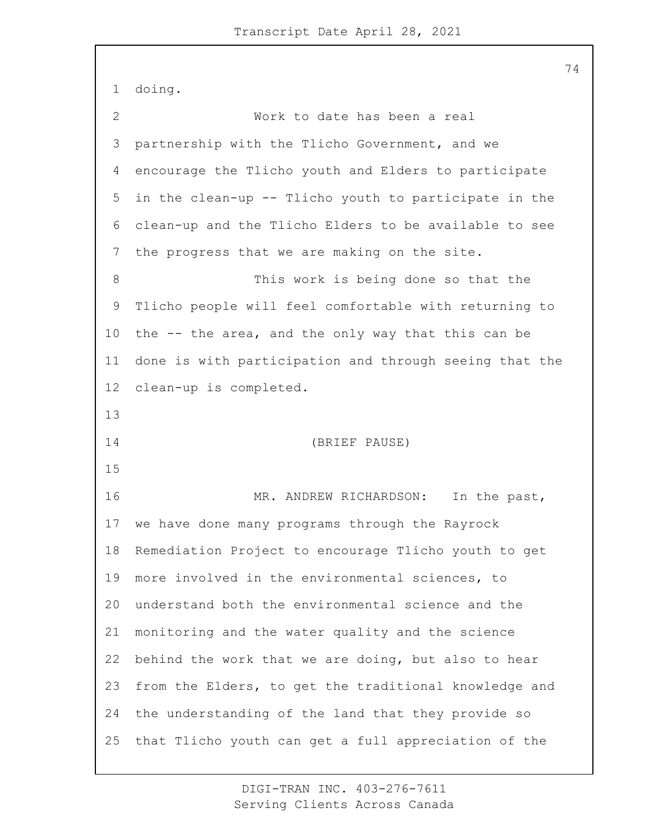doing. 2 Work to date has been a real partnership with the Tlicho Government, and we encourage the Tlicho youth and Elders to participate in the clean-up -- Tlicho youth to participate in the clean-up and the Tlicho Elders to be available to see the progress that we are making on the site. 8 This work is being done so that the Tlicho people will feel comfortable with returning to the -- the area, and the only way that this can be done is with participation and through seeing that the clean-up is completed. 14 (BRIEF PAUSE) 16 MR. ANDREW RICHARDSON: In the past, we have done many programs through the Rayrock Remediation Project to encourage Tlicho youth to get more involved in the environmental sciences, to understand both the environmental science and the monitoring and the water quality and the science behind the work that we are doing, but also to hear from the Elders, to get the traditional knowledge and the understanding of the land that they provide so that Tlicho youth can get a full appreciation of the

> DIGI-TRAN INC. 403-276-7611 Serving Clients Across Canada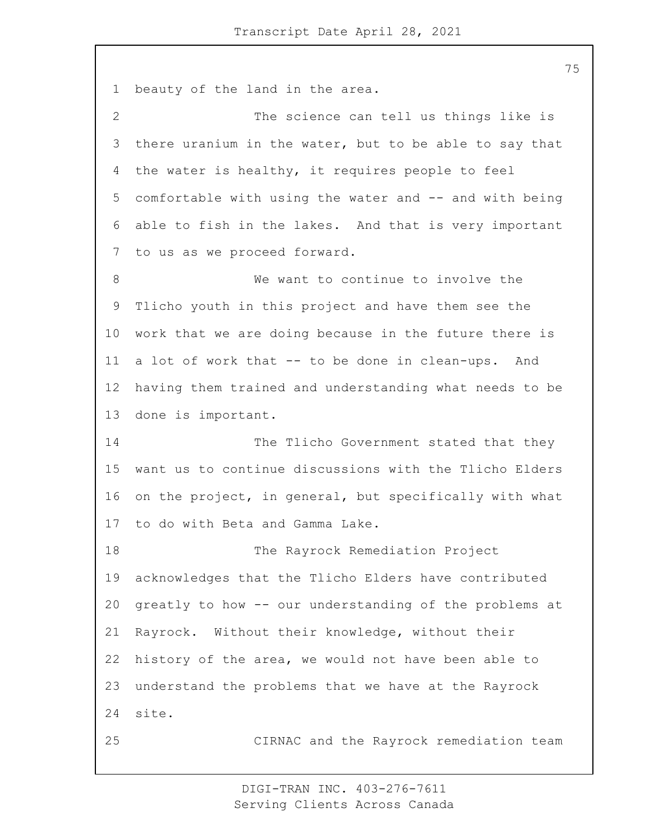beauty of the land in the area. 2 The science can tell us things like is there uranium in the water, but to be able to say that the water is healthy, it requires people to feel comfortable with using the water and -- and with being able to fish in the lakes. And that is very important to us as we proceed forward. 8 We want to continue to involve the Tlicho youth in this project and have them see the work that we are doing because in the future there is a lot of work that -- to be done in clean-ups. And having them trained and understanding what needs to be done is important. 14 The Tlicho Government stated that they want us to continue discussions with the Tlicho Elders on the project, in general, but specifically with what to do with Beta and Gamma Lake. 18 The Rayrock Remediation Project acknowledges that the Tlicho Elders have contributed greatly to how -- our understanding of the problems at Rayrock. Without their knowledge, without their history of the area, we would not have been able to understand the problems that we have at the Rayrock site.

> DIGI-TRAN INC. 403-276-7611 Serving Clients Across Canada

25 CIRNAC and the Rayrock remediation team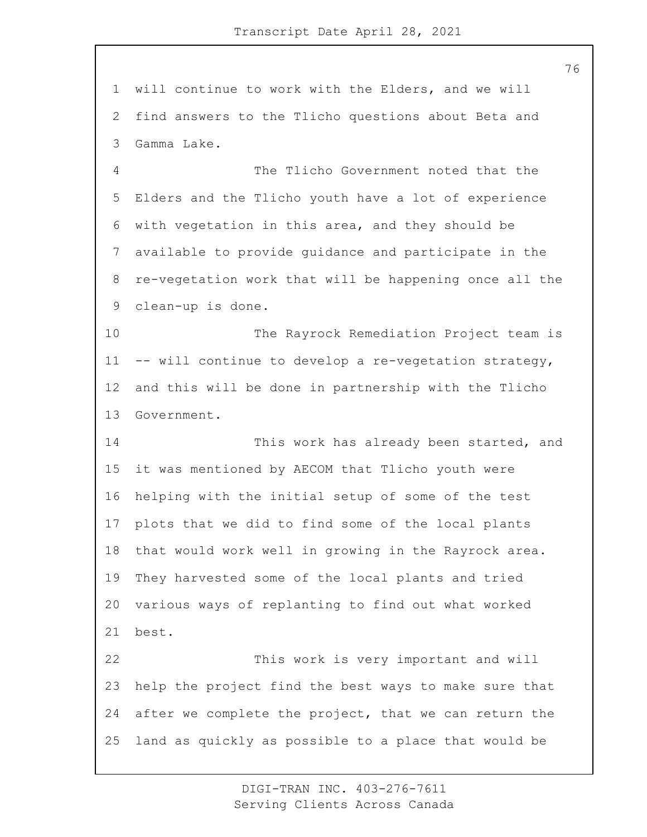will continue to work with the Elders, and we will find answers to the Tlicho questions about Beta and Gamma Lake.

4 The Tlicho Government noted that the Elders and the Tlicho youth have a lot of experience with vegetation in this area, and they should be available to provide guidance and participate in the re-vegetation work that will be happening once all the clean-up is done.

10 The Rayrock Remediation Project team is -- will continue to develop a re-vegetation strategy, and this will be done in partnership with the Tlicho Government.

14 This work has already been started, and it was mentioned by AECOM that Tlicho youth were helping with the initial setup of some of the test plots that we did to find some of the local plants that would work well in growing in the Rayrock area. They harvested some of the local plants and tried various ways of replanting to find out what worked best.

22 This work is very important and will help the project find the best ways to make sure that after we complete the project, that we can return the land as quickly as possible to a place that would be

> DIGI-TRAN INC. 403-276-7611 Serving Clients Across Canada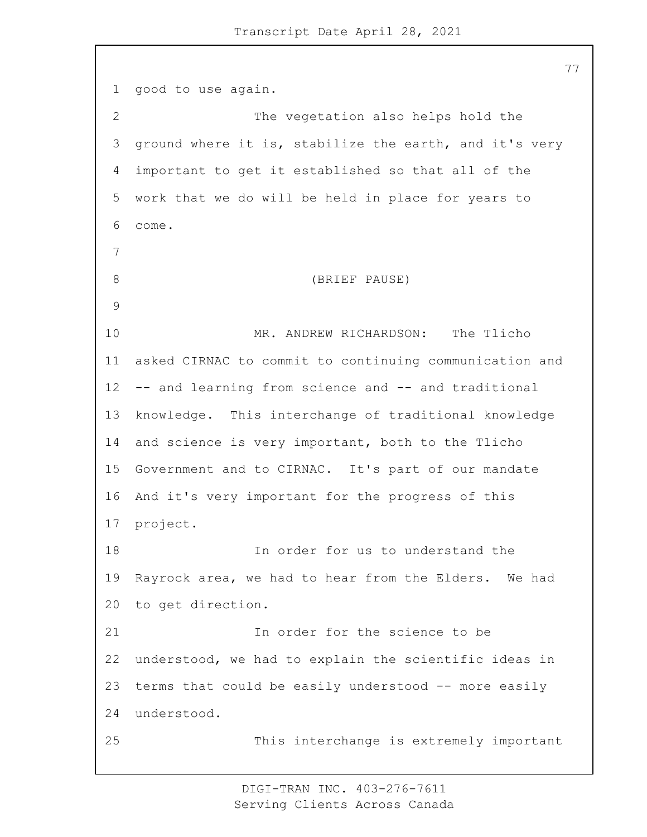good to use again. 2 The vegetation also helps hold the ground where it is, stabilize the earth, and it's very important to get it established so that all of the work that we do will be held in place for years to come. 8 (BRIEF PAUSE) 10 MR. ANDREW RICHARDSON: The Tlicho asked CIRNAC to commit to continuing communication and -- and learning from science and -- and traditional knowledge. This interchange of traditional knowledge and science is very important, both to the Tlicho Government and to CIRNAC. It's part of our mandate And it's very important for the progress of this project. 18 In order for us to understand the Rayrock area, we had to hear from the Elders. We had to get direction. 21 In order for the science to be understood, we had to explain the scientific ideas in terms that could be easily understood -- more easily understood. 25 This interchange is extremely important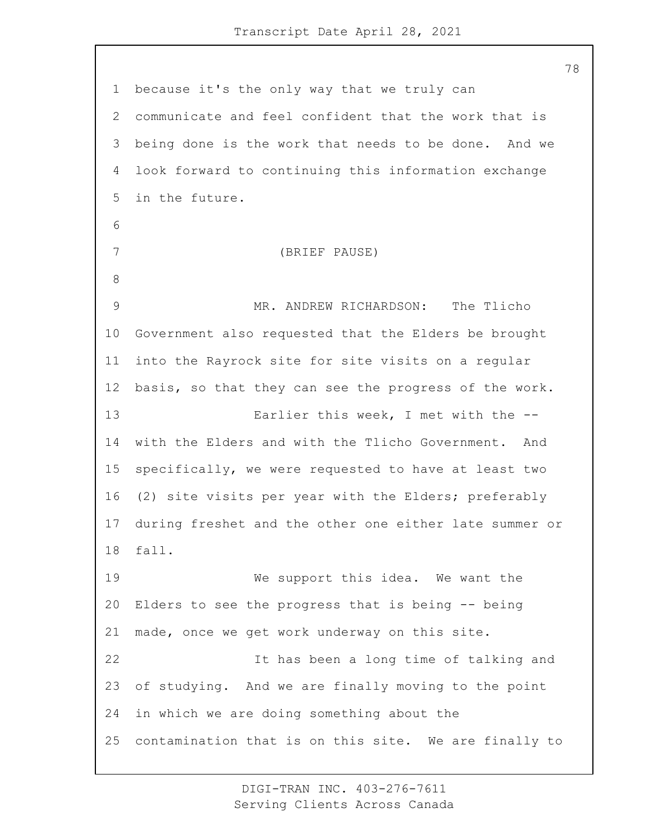because it's the only way that we truly can communicate and feel confident that the work that is being done is the work that needs to be done. And we look forward to continuing this information exchange in the future. 7 (BRIEF PAUSE) 9 MR. ANDREW RICHARDSON: The Tlicho Government also requested that the Elders be brought into the Rayrock site for site visits on a regular basis, so that they can see the progress of the work. 13 Earlier this week, I met with the -- with the Elders and with the Tlicho Government. And specifically, we were requested to have at least two (2) site visits per year with the Elders; preferably during freshet and the other one either late summer or fall. 19 We support this idea. We want the Elders to see the progress that is being -- being made, once we get work underway on this site. 22 It has been a long time of talking and of studying. And we are finally moving to the point in which we are doing something about the contamination that is on this site. We are finally to

> DIGI-TRAN INC. 403-276-7611 Serving Clients Across Canada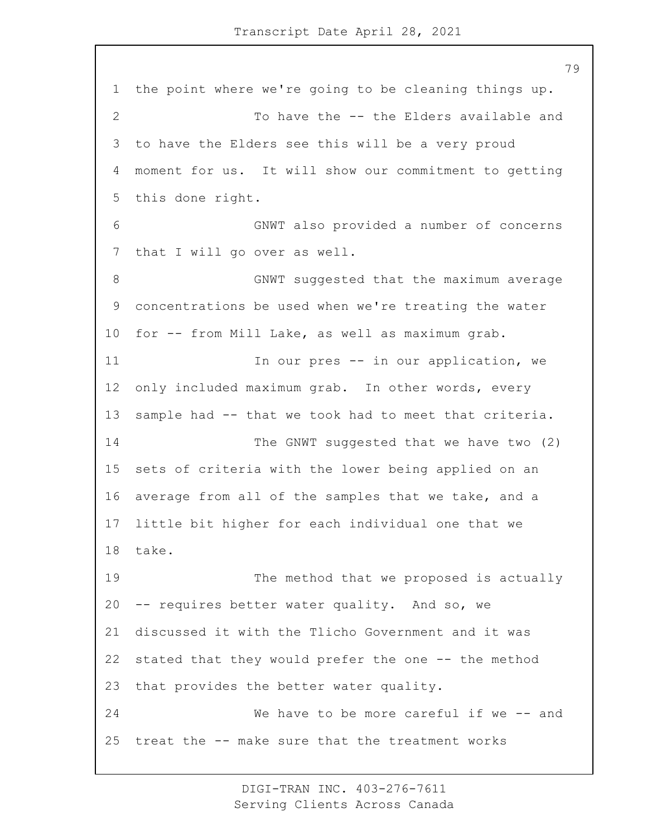the point where we're going to be cleaning things up. 2 To have the -- the Elders available and to have the Elders see this will be a very proud moment for us. It will show our commitment to getting this done right. 6 GNWT also provided a number of concerns that I will go over as well. 8 GNWT suggested that the maximum average concentrations be used when we're treating the water for -- from Mill Lake, as well as maximum grab. 11 11 In our pres -- in our application, we only included maximum grab. In other words, every sample had -- that we took had to meet that criteria. 14 The GNWT suggested that we have two (2) sets of criteria with the lower being applied on an average from all of the samples that we take, and a little bit higher for each individual one that we take. 19 The method that we proposed is actually -- requires better water quality. And so, we discussed it with the Tlicho Government and it was stated that they would prefer the one -- the method that provides the better water quality. 24 We have to be more careful if we -- and treat the -- make sure that the treatment works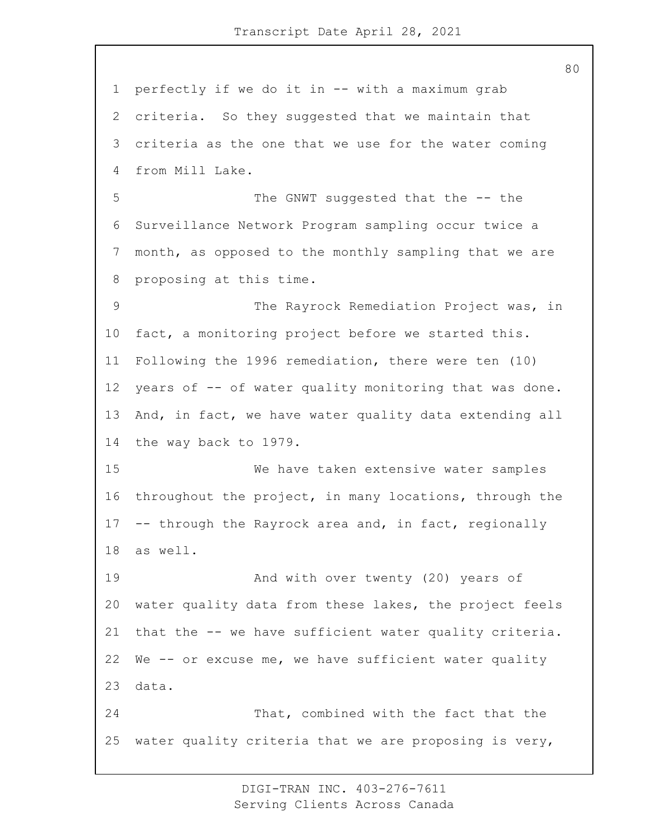perfectly if we do it in -- with a maximum grab criteria. So they suggested that we maintain that criteria as the one that we use for the water coming from Mill Lake. 5 The GNWT suggested that the -- the Surveillance Network Program sampling occur twice a month, as opposed to the monthly sampling that we are proposing at this time. 9 The Rayrock Remediation Project was, in fact, a monitoring project before we started this. Following the 1996 remediation, there were ten (10) 12 years of -- of water quality monitoring that was done. And, in fact, we have water quality data extending all the way back to 1979. 15 We have taken extensive water samples throughout the project, in many locations, through the -- through the Rayrock area and, in fact, regionally as well. **And with over twenty (20) years of**  water quality data from these lakes, the project feels that the -- we have sufficient water quality criteria. We -- or excuse me, we have sufficient water quality data. 24 That, combined with the fact that the water quality criteria that we are proposing is very,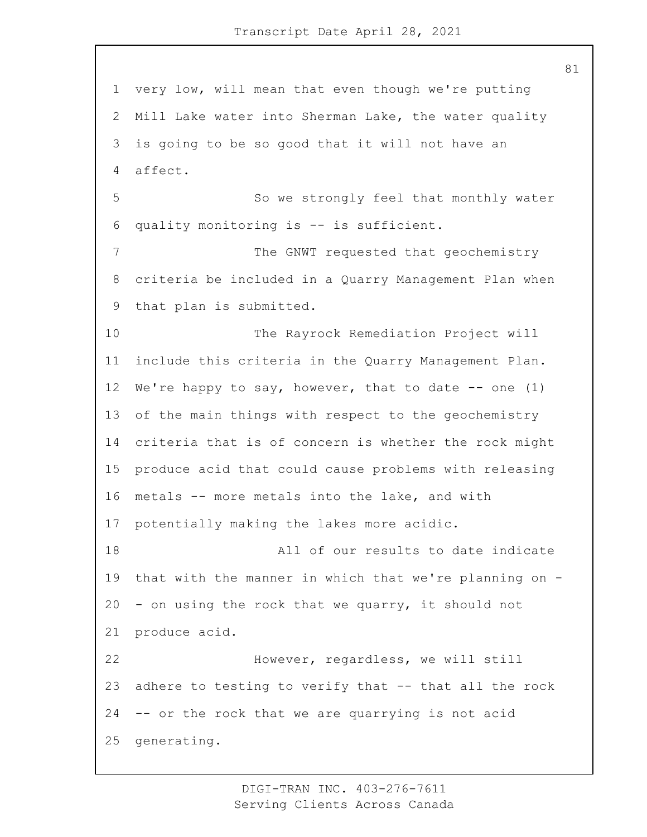very low, will mean that even though we're putting Mill Lake water into Sherman Lake, the water quality is going to be so good that it will not have an affect. 5 So we strongly feel that monthly water quality monitoring is -- is sufficient. 7 The GNWT requested that geochemistry criteria be included in a Quarry Management Plan when that plan is submitted. 10 The Rayrock Remediation Project will include this criteria in the Quarry Management Plan. We're happy to say, however, that to date -- one (1) of the main things with respect to the geochemistry criteria that is of concern is whether the rock might produce acid that could cause problems with releasing metals -- more metals into the lake, and with potentially making the lakes more acidic. 18 All of our results to date indicate that with the manner in which that we're planning on - - on using the rock that we quarry, it should not produce acid. 22 However, regardless, we will still adhere to testing to verify that -- that all the rock -- or the rock that we are quarrying is not acid generating.

> DIGI-TRAN INC. 403-276-7611 Serving Clients Across Canada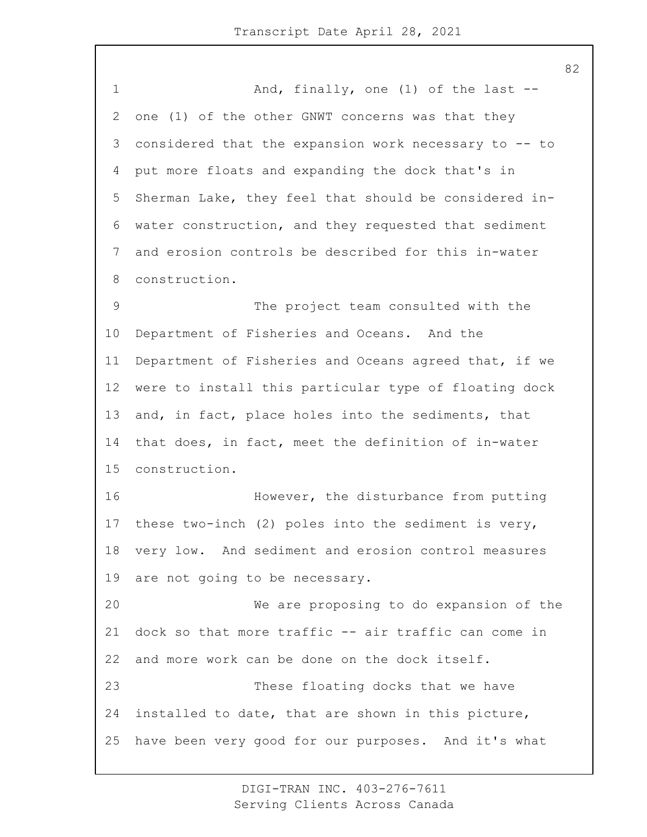1 And, finally, one (1) of the last -- one (1) of the other GNWT concerns was that they considered that the expansion work necessary to -- to put more floats and expanding the dock that's in Sherman Lake, they feel that should be considered in- water construction, and they requested that sediment and erosion controls be described for this in-water construction. 9 The project team consulted with the Department of Fisheries and Oceans. And the Department of Fisheries and Oceans agreed that, if we were to install this particular type of floating dock and, in fact, place holes into the sediments, that that does, in fact, meet the definition of in-water construction. 16 However, the disturbance from putting these two-inch (2) poles into the sediment is very, very low. And sediment and erosion control measures are not going to be necessary. 20 We are proposing to do expansion of the dock so that more traffic -- air traffic can come in and more work can be done on the dock itself. 23 These floating docks that we have installed to date, that are shown in this picture, have been very good for our purposes. And it's what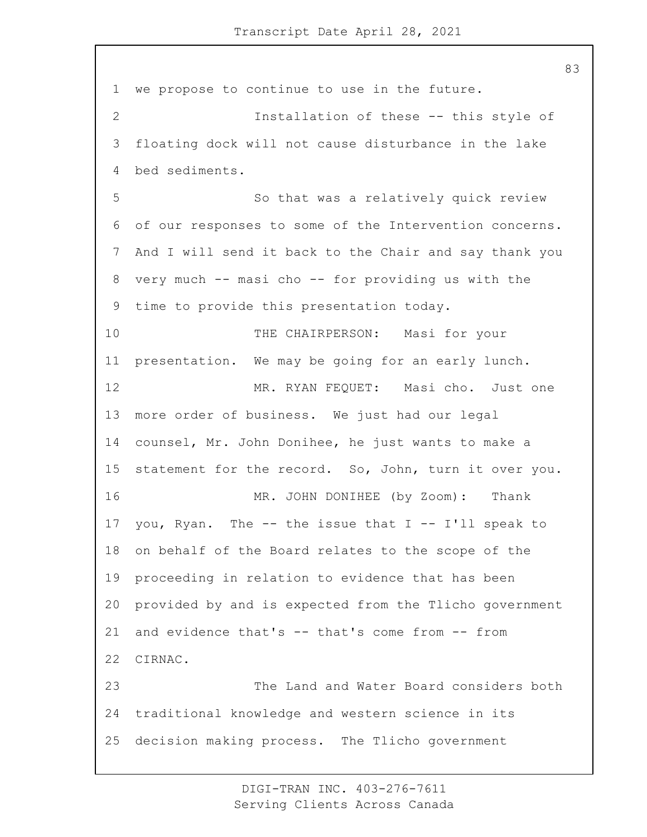we propose to continue to use in the future. 2 Installation of these -- this style of floating dock will not cause disturbance in the lake bed sediments. 5 So that was a relatively quick review of our responses to some of the Intervention concerns. And I will send it back to the Chair and say thank you very much -- masi cho -- for providing us with the time to provide this presentation today. 10 THE CHAIRPERSON: Masi for your presentation. We may be going for an early lunch. 12 MR. RYAN FEQUET: Masi cho. Just one more order of business. We just had our legal counsel, Mr. John Donihee, he just wants to make a statement for the record. So, John, turn it over you. 16 MR. JOHN DONIHEE (by Zoom): Thank 17 you, Ryan. The  $--$  the issue that I  $--$  I'll speak to on behalf of the Board relates to the scope of the proceeding in relation to evidence that has been provided by and is expected from the Tlicho government and evidence that's -- that's come from -- from CIRNAC. 23 The Land and Water Board considers both traditional knowledge and western science in its decision making process. The Tlicho government

> DIGI-TRAN INC. 403-276-7611 Serving Clients Across Canada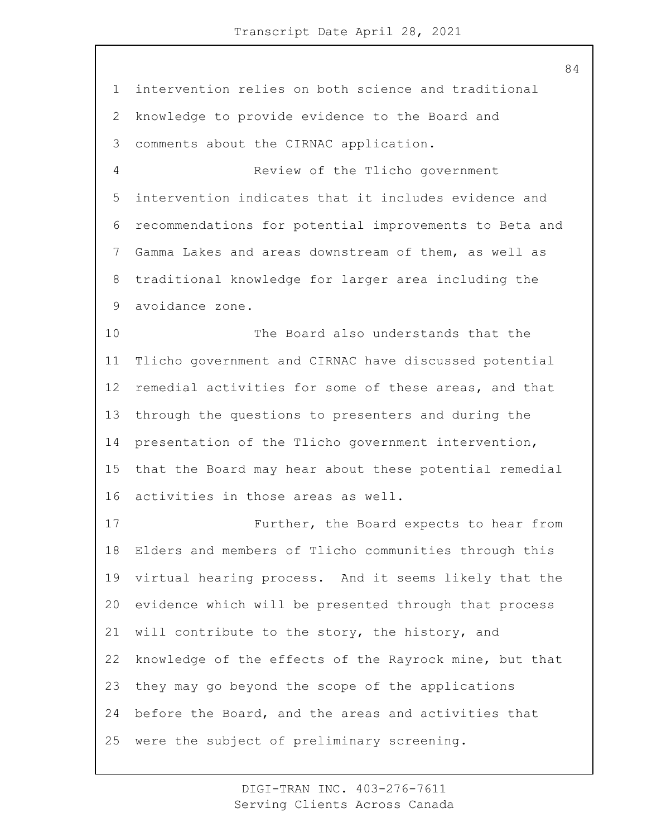intervention relies on both science and traditional knowledge to provide evidence to the Board and comments about the CIRNAC application. 4 Review of the Tlicho government intervention indicates that it includes evidence and recommendations for potential improvements to Beta and Gamma Lakes and areas downstream of them, as well as traditional knowledge for larger area including the avoidance zone. 10 The Board also understands that the Tlicho government and CIRNAC have discussed potential remedial activities for some of these areas, and that through the questions to presenters and during the

 presentation of the Tlicho government intervention, that the Board may hear about these potential remedial activities in those areas as well.

17 Further, the Board expects to hear from Elders and members of Tlicho communities through this virtual hearing process. And it seems likely that the evidence which will be presented through that process 21 will contribute to the story, the history, and knowledge of the effects of the Rayrock mine, but that they may go beyond the scope of the applications before the Board, and the areas and activities that were the subject of preliminary screening.

> DIGI-TRAN INC. 403-276-7611 Serving Clients Across Canada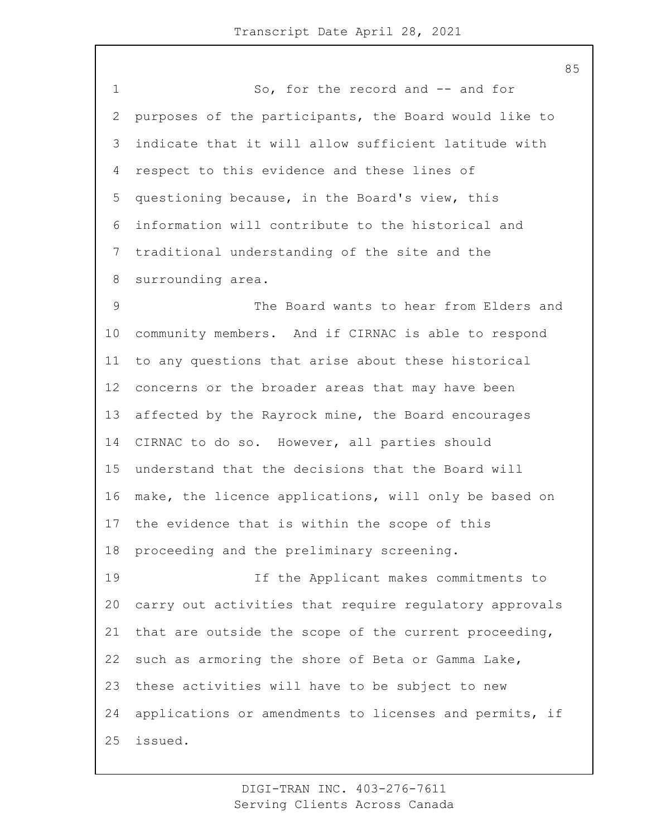1 So, for the record and -- and for purposes of the participants, the Board would like to indicate that it will allow sufficient latitude with respect to this evidence and these lines of questioning because, in the Board's view, this information will contribute to the historical and traditional understanding of the site and the surrounding area. 9 The Board wants to hear from Elders and community members. And if CIRNAC is able to respond to any questions that arise about these historical concerns or the broader areas that may have been affected by the Rayrock mine, the Board encourages CIRNAC to do so. However, all parties should understand that the decisions that the Board will make, the licence applications, will only be based on the evidence that is within the scope of this proceeding and the preliminary screening. 19 If the Applicant makes commitments to carry out activities that require regulatory approvals that are outside the scope of the current proceeding, such as armoring the shore of Beta or Gamma Lake, these activities will have to be subject to new applications or amendments to licenses and permits, if issued.

> DIGI-TRAN INC. 403-276-7611 Serving Clients Across Canada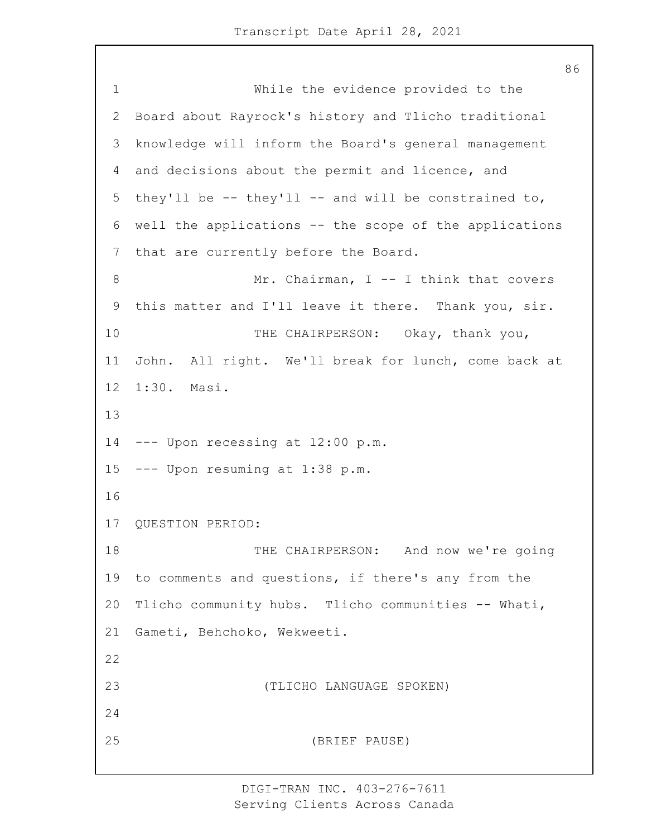1 While the evidence provided to the Board about Rayrock's history and Tlicho traditional knowledge will inform the Board's general management and decisions about the permit and licence, and they'll be -- they'll -- and will be constrained to, well the applications -- the scope of the applications that are currently before the Board. 8 Mr. Chairman, I -- I think that covers this matter and I'll leave it there. Thank you, sir. 10 THE CHAIRPERSON: Okay, thank you, John. All right. We'll break for lunch, come back at 1:30. Masi. --- Upon recessing at 12:00 p.m. --- Upon resuming at 1:38 p.m. QUESTION PERIOD: 18 THE CHAIRPERSON: And now we're going to comments and questions, if there's any from the Tlicho community hubs. Tlicho communities -- Whati, Gameti, Behchoko, Wekweeti. 23 (TLICHO LANGUAGE SPOKEN) 25 (BRIEF PAUSE)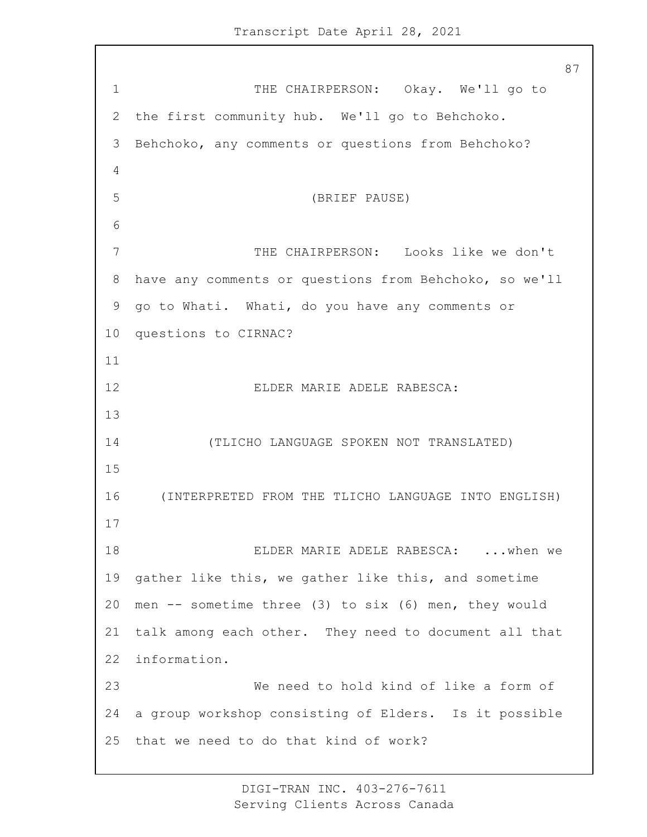1 THE CHAIRPERSON: Okay. We'll go to the first community hub. We'll go to Behchoko. Behchoko, any comments or questions from Behchoko? 5 (BRIEF PAUSE) 7 THE CHAIRPERSON: Looks like we don't have any comments or questions from Behchoko, so we'll go to Whati. Whati, do you have any comments or questions to CIRNAC? 12 ELDER MARIE ADELE RABESCA: 14 (TLICHO LANGUAGE SPOKEN NOT TRANSLATED) 16 (INTERPRETED FROM THE TLICHO LANGUAGE INTO ENGLISH) 18 ELDER MARIE ADELE RABESCA: ...when we gather like this, we gather like this, and sometime men -- sometime three (3) to six (6) men, they would talk among each other. They need to document all that information. 23 We need to hold kind of like a form of a group workshop consisting of Elders. Is it possible that we need to do that kind of work?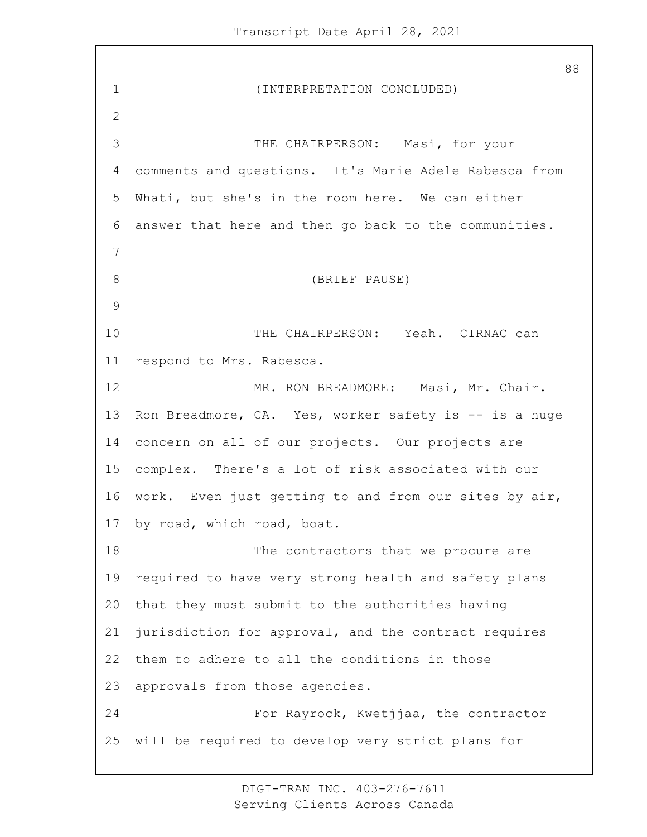1 (INTERPRETATION CONCLUDED) 3 THE CHAIRPERSON: Masi, for your comments and questions. It's Marie Adele Rabesca from Whati, but she's in the room here. We can either answer that here and then go back to the communities. 8 (BRIEF PAUSE) 10 THE CHAIRPERSON: Yeah. CIRNAC can respond to Mrs. Rabesca. 12 MR. RON BREADMORE: Masi, Mr. Chair. Ron Breadmore, CA. Yes, worker safety is -- is a huge concern on all of our projects. Our projects are complex. There's a lot of risk associated with our work. Even just getting to and from our sites by air, by road, which road, boat. 18 The contractors that we procure are required to have very strong health and safety plans that they must submit to the authorities having jurisdiction for approval, and the contract requires them to adhere to all the conditions in those approvals from those agencies. 24 For Rayrock, Kwetjjaa, the contractor will be required to develop very strict plans for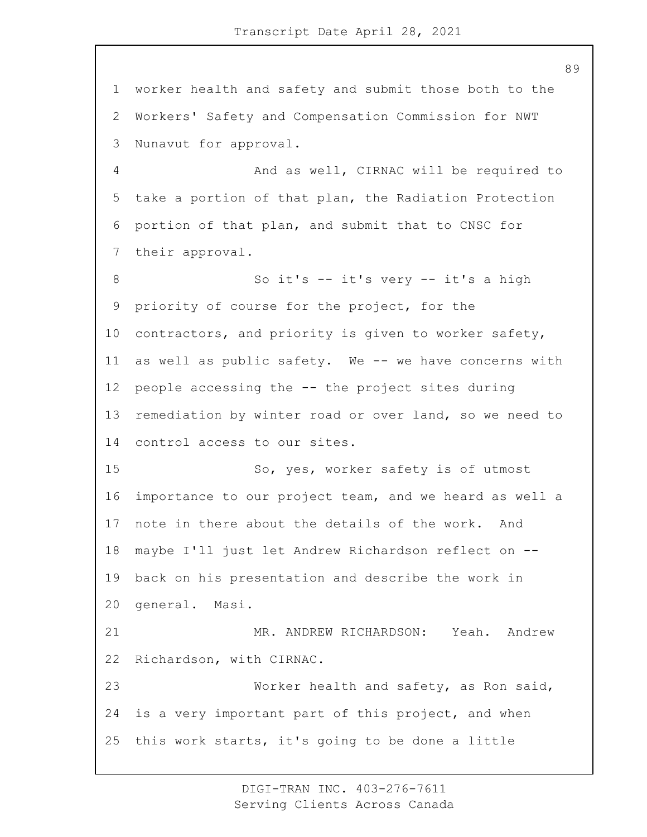worker health and safety and submit those both to the Workers' Safety and Compensation Commission for NWT Nunavut for approval. 4 And as well, CIRNAC will be required to take a portion of that plan, the Radiation Protection portion of that plan, and submit that to CNSC for their approval. 8 So it's -- it's very -- it's a high priority of course for the project, for the contractors, and priority is given to worker safety, as well as public safety. We -- we have concerns with people accessing the -- the project sites during remediation by winter road or over land, so we need to control access to our sites. 15 So, yes, worker safety is of utmost importance to our project team, and we heard as well a note in there about the details of the work. And maybe I'll just let Andrew Richardson reflect on -- back on his presentation and describe the work in general. Masi. 21 MR. ANDREW RICHARDSON: Yeah. Andrew Richardson, with CIRNAC. 23 Worker health and safety, as Ron said, is a very important part of this project, and when this work starts, it's going to be done a little

> DIGI-TRAN INC. 403-276-7611 Serving Clients Across Canada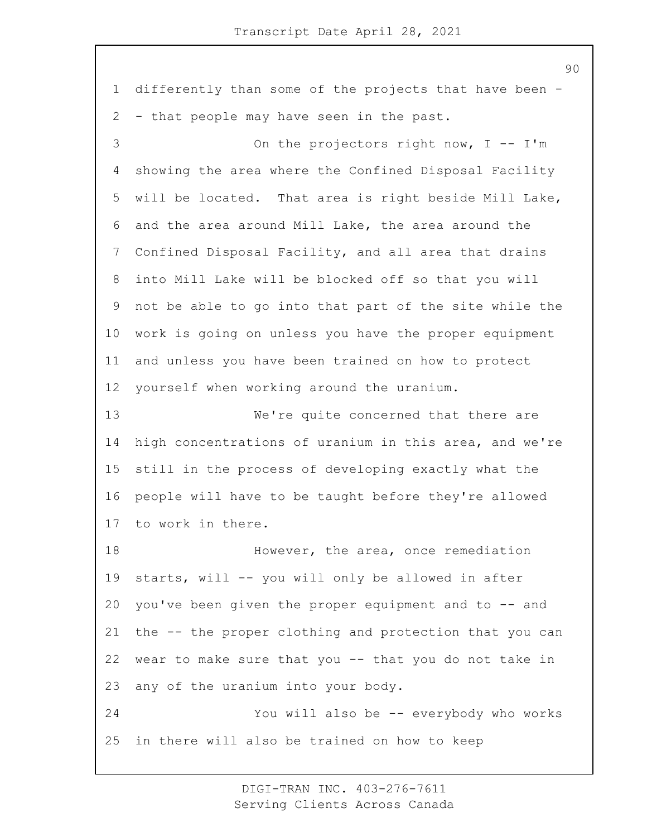differently than some of the projects that have been - - that people may have seen in the past.

3 On the projectors right now, I -- I'm showing the area where the Confined Disposal Facility will be located. That area is right beside Mill Lake, and the area around Mill Lake, the area around the Confined Disposal Facility, and all area that drains into Mill Lake will be blocked off so that you will not be able to go into that part of the site while the work is going on unless you have the proper equipment and unless you have been trained on how to protect yourself when working around the uranium.

13 We're quite concerned that there are high concentrations of uranium in this area, and we're still in the process of developing exactly what the people will have to be taught before they're allowed to work in there.

**However, the area, once remediation**  starts, will -- you will only be allowed in after you've been given the proper equipment and to -- and the -- the proper clothing and protection that you can wear to make sure that you -- that you do not take in any of the uranium into your body. 24 You will also be -- everybody who works

in there will also be trained on how to keep

DIGI-TRAN INC. 403-276-7611 Serving Clients Across Canada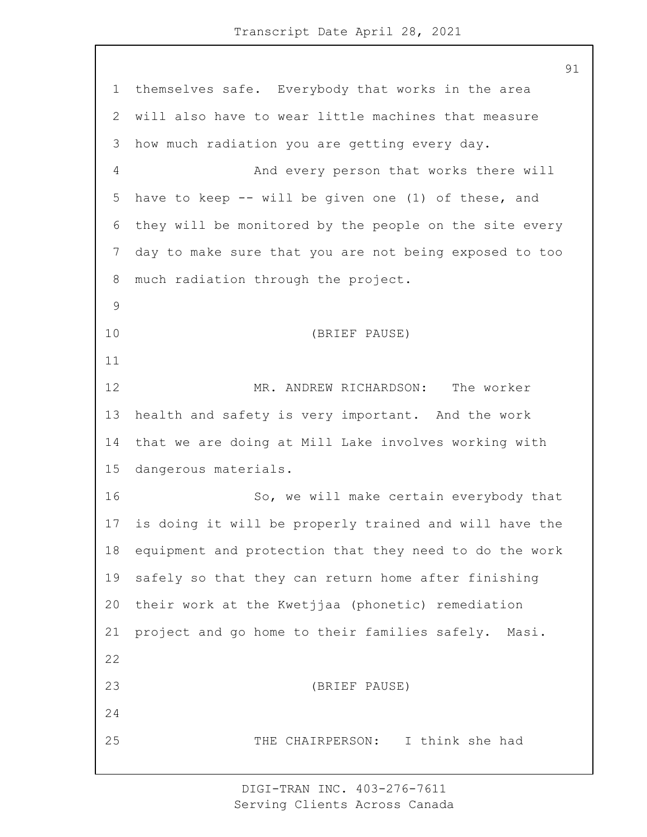themselves safe. Everybody that works in the area will also have to wear little machines that measure how much radiation you are getting every day. 4 And every person that works there will have to keep -- will be given one (1) of these, and they will be monitored by the people on the site every day to make sure that you are not being exposed to too much radiation through the project. 10 (BRIEF PAUSE) 12 MR. ANDREW RICHARDSON: The worker health and safety is very important. And the work that we are doing at Mill Lake involves working with dangerous materials. 16 So, we will make certain everybody that is doing it will be properly trained and will have the equipment and protection that they need to do the work safely so that they can return home after finishing their work at the Kwetjjaa (phonetic) remediation project and go home to their families safely. Masi. 23 (BRIEF PAUSE) 25 THE CHAIRPERSON: I think she had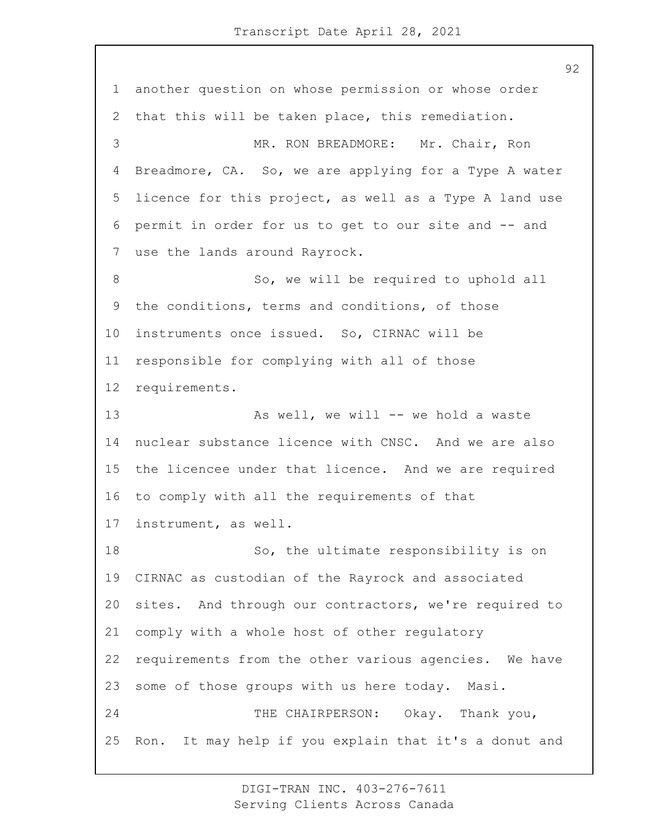another question on whose permission or whose order that this will be taken place, this remediation. 3 MR. RON BREADMORE: Mr. Chair, Ron Breadmore, CA. So, we are applying for a Type A water licence for this project, as well as a Type A land use permit in order for us to get to our site and -- and use the lands around Rayrock. 8 So, we will be required to uphold all the conditions, terms and conditions, of those instruments once issued. So, CIRNAC will be responsible for complying with all of those requirements. 13 As well, we will -- we hold a waste nuclear substance licence with CNSC. And we are also the licencee under that licence. And we are required to comply with all the requirements of that instrument, as well. 18 So, the ultimate responsibility is on CIRNAC as custodian of the Rayrock and associated sites. And through our contractors, we're required to comply with a whole host of other regulatory requirements from the other various agencies. We have some of those groups with us here today. Masi. 24 THE CHAIRPERSON: Okay. Thank you, Ron. It may help if you explain that it's a donut and

> DIGI-TRAN INC. 403-276-7611 Serving Clients Across Canada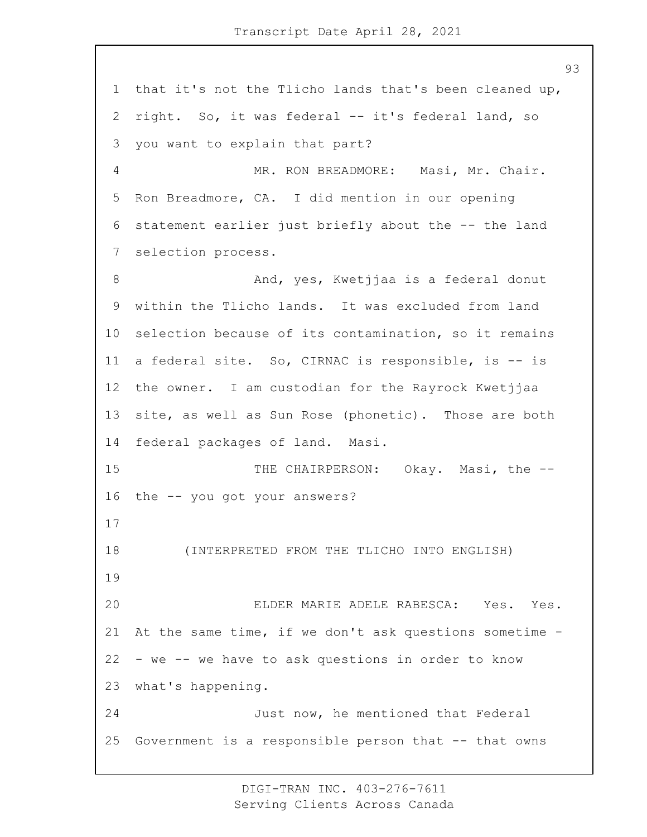that it's not the Tlicho lands that's been cleaned up, right. So, it was federal -- it's federal land, so you want to explain that part? 4 MR. RON BREADMORE: Masi, Mr. Chair. Ron Breadmore, CA. I did mention in our opening statement earlier just briefly about the -- the land selection process. 8 And, yes, Kwetjjaa is a federal donut within the Tlicho lands. It was excluded from land selection because of its contamination, so it remains a federal site. So, CIRNAC is responsible, is -- is the owner. I am custodian for the Rayrock Kwetjjaa site, as well as Sun Rose (phonetic). Those are both federal packages of land. Masi. 15 THE CHAIRPERSON: Okay. Masi, the -- the -- you got your answers? 18 (INTERPRETED FROM THE TLICHO INTO ENGLISH) 20 ELDER MARIE ADELE RABESCA: Yes. Yes. At the same time, if we don't ask questions sometime - - we -- we have to ask questions in order to know what's happening. 24 Just now, he mentioned that Federal Government is a responsible person that -- that owns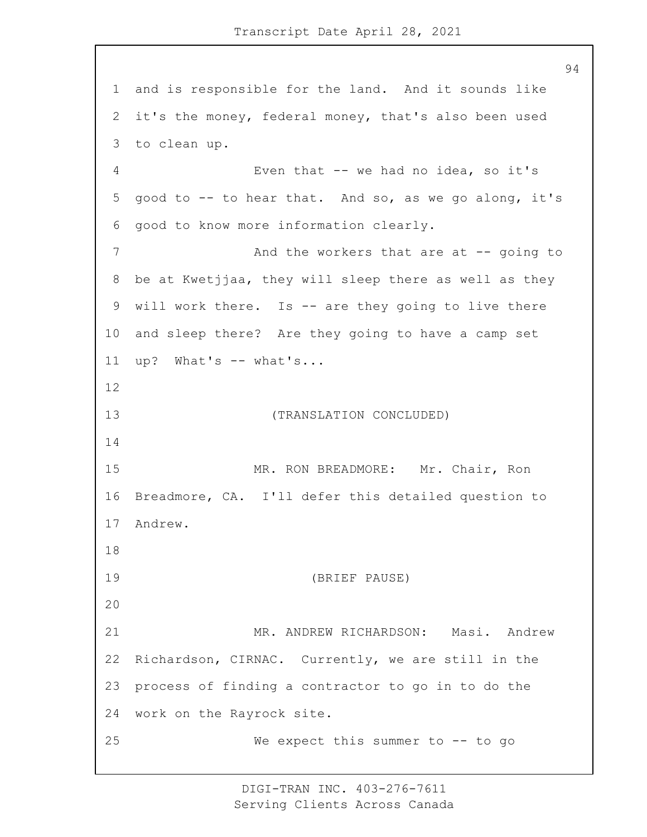and is responsible for the land. And it sounds like it's the money, federal money, that's also been used to clean up. 4 Even that -- we had no idea, so it's good to -- to hear that. And so, as we go along, it's good to know more information clearly. 7 And the workers that are at -- going to be at Kwetjjaa, they will sleep there as well as they will work there. Is -- are they going to live there and sleep there? Are they going to have a camp set up? What's -- what's... 13 (TRANSLATION CONCLUDED) 15 MR. RON BREADMORE: Mr. Chair, Ron Breadmore, CA. I'll defer this detailed question to Andrew. 19 (BRIEF PAUSE) 21 MR. ANDREW RICHARDSON: Masi. Andrew Richardson, CIRNAC. Currently, we are still in the process of finding a contractor to go in to do the work on the Rayrock site. 25 We expect this summer to -- to go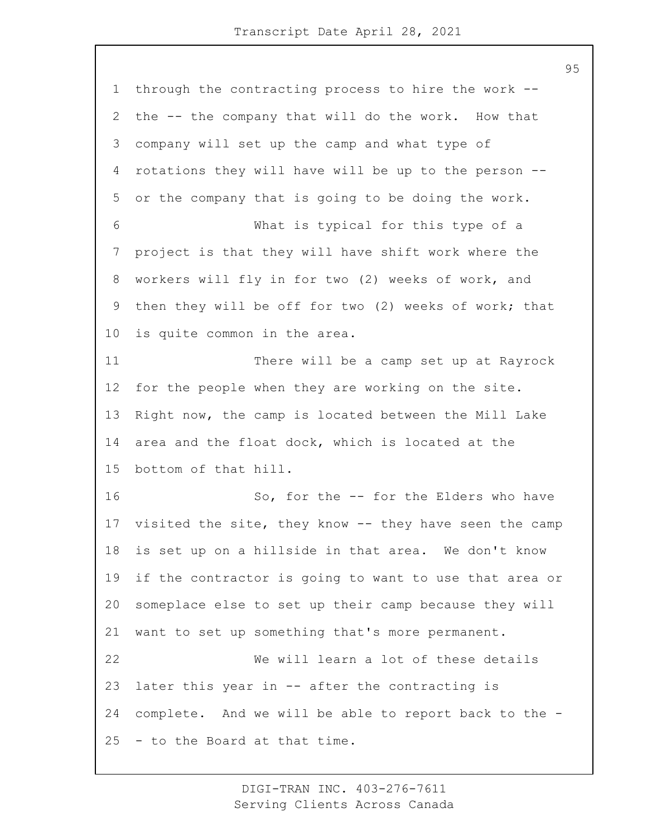through the contracting process to hire the work -- the -- the company that will do the work. How that company will set up the camp and what type of rotations they will have will be up to the person -- or the company that is going to be doing the work. 6 What is typical for this type of a project is that they will have shift work where the workers will fly in for two (2) weeks of work, and then they will be off for two (2) weeks of work; that is quite common in the area. 11 There will be a camp set up at Rayrock for the people when they are working on the site. Right now, the camp is located between the Mill Lake area and the float dock, which is located at the bottom of that hill. 16 So, for the -- for the Elders who have visited the site, they know -- they have seen the camp is set up on a hillside in that area. We don't know if the contractor is going to want to use that area or someplace else to set up their camp because they will want to set up something that's more permanent. 22 We will learn a lot of these details later this year in -- after the contracting is complete. And we will be able to report back to the - - to the Board at that time.

> DIGI-TRAN INC. 403-276-7611 Serving Clients Across Canada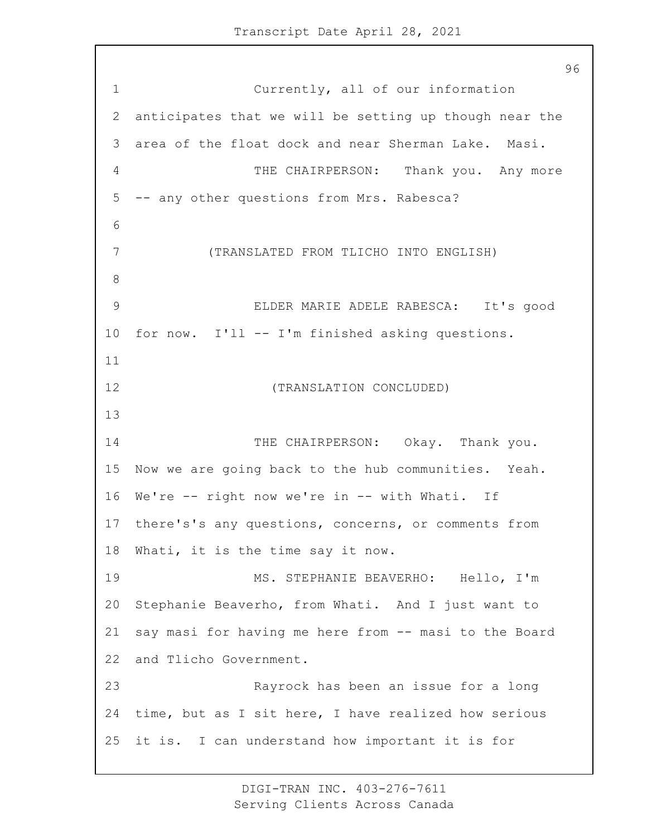1 Currently, all of our information anticipates that we will be setting up though near the area of the float dock and near Sherman Lake. Masi. 4 THE CHAIRPERSON: Thank you. Any more -- any other questions from Mrs. Rabesca? 7 (TRANSLATED FROM TLICHO INTO ENGLISH) 9 ELDER MARIE ADELE RABESCA: It's good for now. I'll -- I'm finished asking questions. 12 (TRANSLATION CONCLUDED) 14 THE CHAIRPERSON: Okay. Thank you. Now we are going back to the hub communities. Yeah. We're -- right now we're in -- with Whati. If there's's any questions, concerns, or comments from Whati, it is the time say it now. 19 MS. STEPHANIE BEAVERHO: Hello, I'm Stephanie Beaverho, from Whati. And I just want to say masi for having me here from -- masi to the Board and Tlicho Government. 23 Rayrock has been an issue for a long time, but as I sit here, I have realized how serious it is. I can understand how important it is for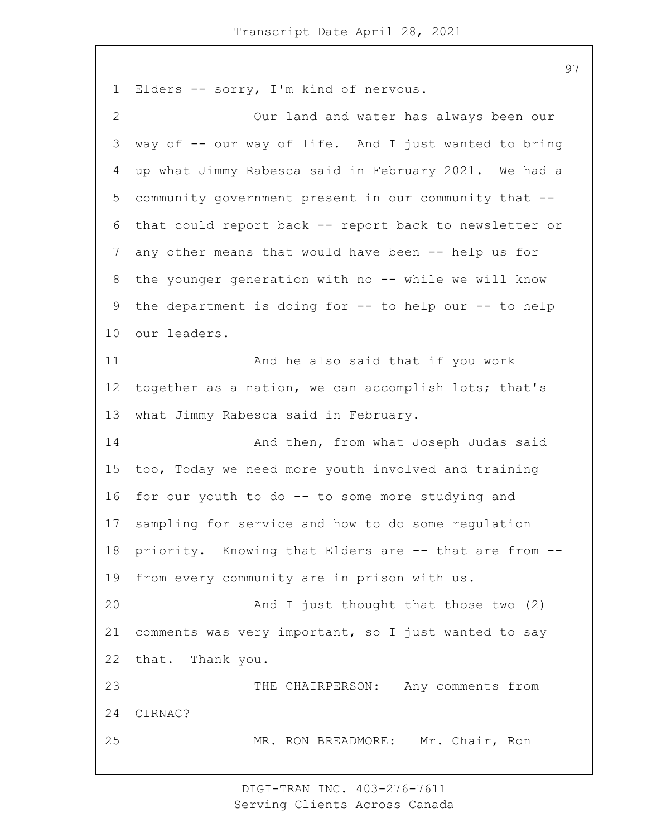Elders -- sorry, I'm kind of nervous. 2 Our land and water has always been our way of -- our way of life. And I just wanted to bring up what Jimmy Rabesca said in February 2021. We had a community government present in our community that -- that could report back -- report back to newsletter or any other means that would have been -- help us for 8 the younger generation with no -- while we will know the department is doing for -- to help our -- to help our leaders. 11 And he also said that if you work together as a nation, we can accomplish lots; that's what Jimmy Rabesca said in February. 14 And then, from what Joseph Judas said too, Today we need more youth involved and training for our youth to do -- to some more studying and sampling for service and how to do some regulation priority. Knowing that Elders are -- that are from -- from every community are in prison with us. 20 And I just thought that those two (2) comments was very important, so I just wanted to say that. Thank you. 23 THE CHAIRPERSON: Any comments from CIRNAC? 25 MR. RON BREADMORE: Mr. Chair, Ron

> DIGI-TRAN INC. 403-276-7611 Serving Clients Across Canada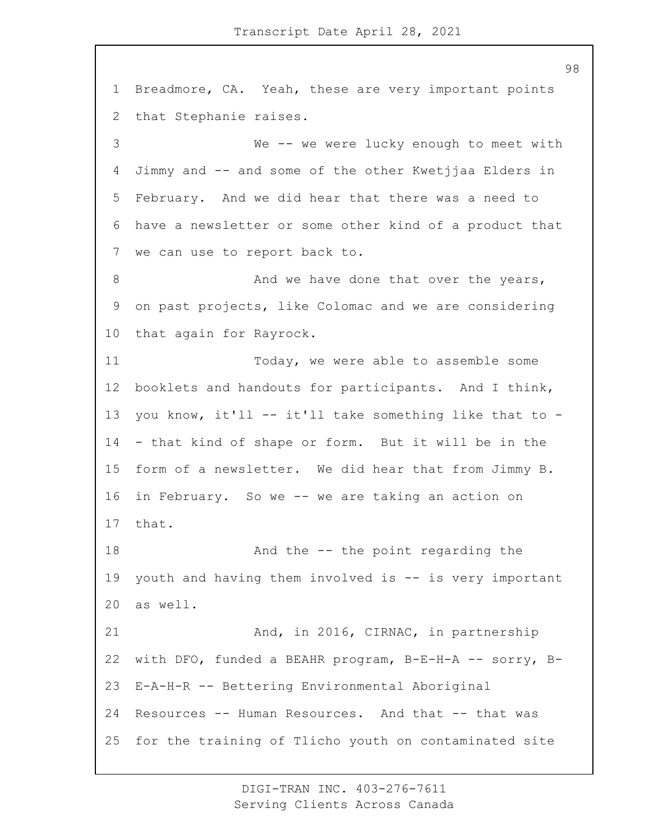Breadmore, CA. Yeah, these are very important points that Stephanie raises. 3 We -- we were lucky enough to meet with Jimmy and -- and some of the other Kwetjjaa Elders in February. And we did hear that there was a need to have a newsletter or some other kind of a product that we can use to report back to. 8 And we have done that over the years, on past projects, like Colomac and we are considering that again for Rayrock. 11 Today, we were able to assemble some booklets and handouts for participants. And I think, you know, it'll -- it'll take something like that to - - that kind of shape or form. But it will be in the form of a newsletter. We did hear that from Jimmy B. in February. So we -- we are taking an action on that. 18 And the -- the point regarding the youth and having them involved is -- is very important as well. 21 And, in 2016, CIRNAC, in partnership with DFO, funded a BEAHR program, B-E-H-A -- sorry, B- E-A-H-R -- Bettering Environmental Aboriginal Resources -- Human Resources. And that -- that was for the training of Tlicho youth on contaminated site

> DIGI-TRAN INC. 403-276-7611 Serving Clients Across Canada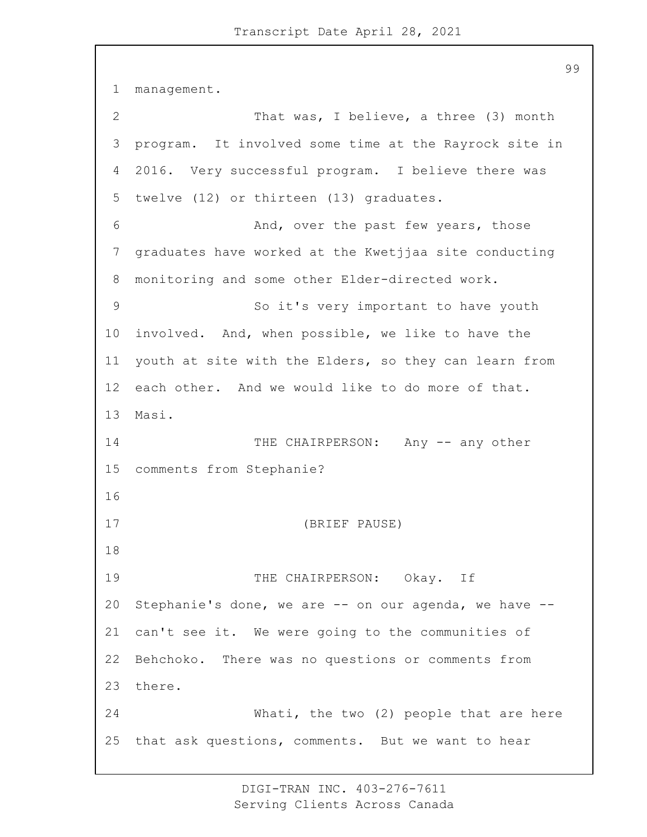management. 2 That was, I believe, a three (3) month program. It involved some time at the Rayrock site in 2016. Very successful program. I believe there was twelve (12) or thirteen (13) graduates. 6 And, over the past few years, those graduates have worked at the Kwetjjaa site conducting monitoring and some other Elder-directed work. 9 So it's very important to have youth involved. And, when possible, we like to have the youth at site with the Elders, so they can learn from each other. And we would like to do more of that. Masi. 14 THE CHAIRPERSON: Any -- any other comments from Stephanie? 17 (BRIEF PAUSE) 19 THE CHAIRPERSON: Okay. If Stephanie's done, we are -- on our agenda, we have -- can't see it. We were going to the communities of Behchoko. There was no questions or comments from there. 24 Whati, the two (2) people that are here that ask questions, comments. But we want to hear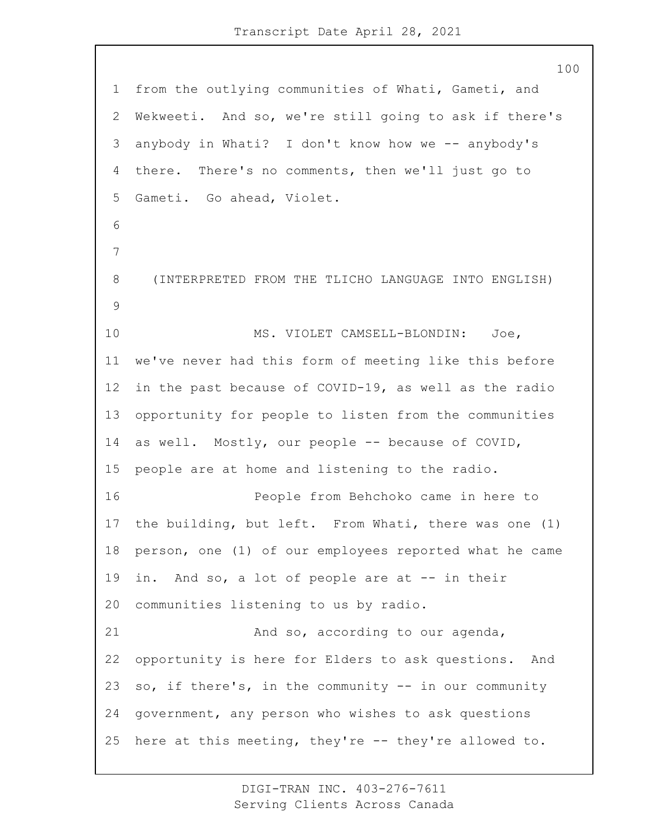from the outlying communities of Whati, Gameti, and Wekweeti. And so, we're still going to ask if there's anybody in Whati? I don't know how we -- anybody's there. There's no comments, then we'll just go to Gameti. Go ahead, Violet. 8 (INTERPRETED FROM THE TLICHO LANGUAGE INTO ENGLISH) 10 MS. VIOLET CAMSELL-BLONDIN: Joe, we've never had this form of meeting like this before in the past because of COVID-19, as well as the radio opportunity for people to listen from the communities as well. Mostly, our people -- because of COVID, people are at home and listening to the radio. 16 People from Behchoko came in here to the building, but left. From Whati, there was one (1) person, one (1) of our employees reported what he came in. And so, a lot of people are at -- in their communities listening to us by radio. 21 And so, according to our agenda, opportunity is here for Elders to ask questions. And so, if there's, in the community -- in our community government, any person who wishes to ask questions here at this meeting, they're -- they're allowed to.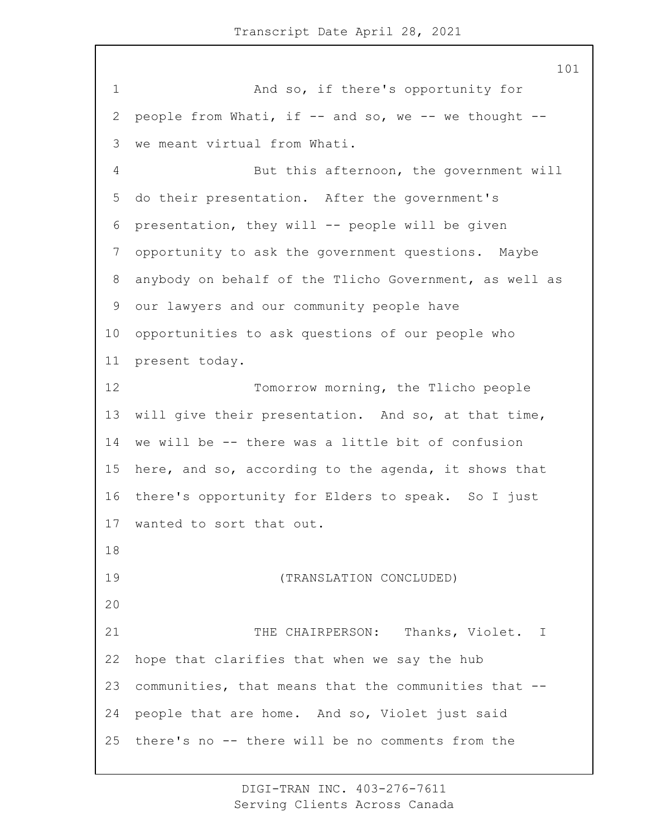1 And so, if there's opportunity for people from Whati, if -- and so, we -- we thought -- we meant virtual from Whati. 4 But this afternoon, the government will do their presentation. After the government's presentation, they will -- people will be given opportunity to ask the government questions. Maybe anybody on behalf of the Tlicho Government, as well as our lawyers and our community people have opportunities to ask questions of our people who present today. 12 Tomorrow morning, the Tlicho people will give their presentation. And so, at that time, we will be -- there was a little bit of confusion here, and so, according to the agenda, it shows that there's opportunity for Elders to speak. So I just wanted to sort that out. 19 (TRANSLATION CONCLUDED) 21 THE CHAIRPERSON: Thanks, Violet. I hope that clarifies that when we say the hub communities, that means that the communities that -- people that are home. And so, Violet just said there's no -- there will be no comments from the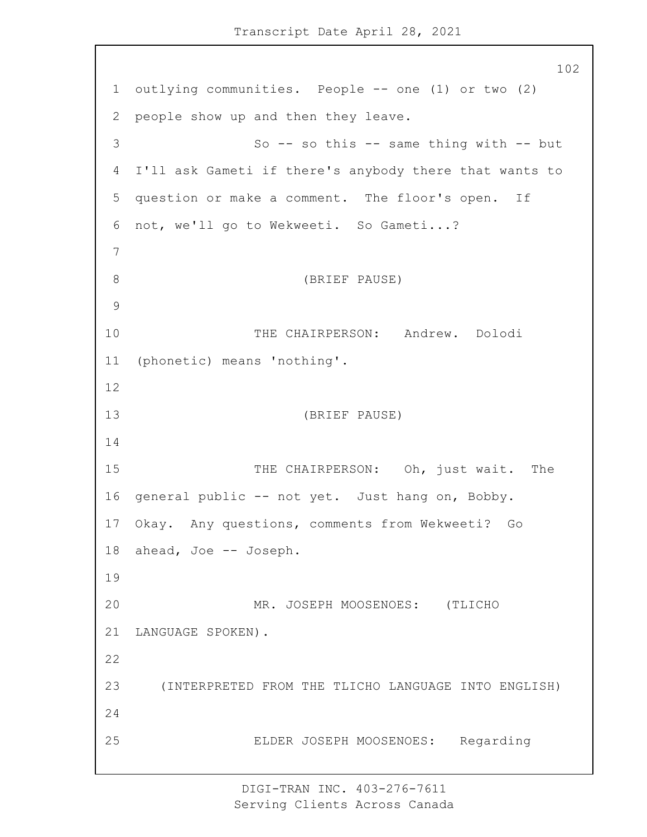Transcript Date April 28, 2021

 outlying communities. People -- one (1) or two (2) people show up and then they leave. 3 So -- so this -- same thing with -- but I'll ask Gameti if there's anybody there that wants to question or make a comment. The floor's open. If not, we'll go to Wekweeti. So Gameti...? 8 (BRIEF PAUSE) 10 THE CHAIRPERSON: Andrew. Dolodi (phonetic) means 'nothing'. 13 (BRIEF PAUSE) 15 THE CHAIRPERSON: Oh, just wait. The general public -- not yet. Just hang on, Bobby. Okay. Any questions, comments from Wekweeti? Go ahead, Joe -- Joseph. 20 MR. JOSEPH MOOSENOES: (TLICHO LANGUAGE SPOKEN). 23 (INTERPRETED FROM THE TLICHO LANGUAGE INTO ENGLISH) 25 ELDER JOSEPH MOOSENOES: Regarding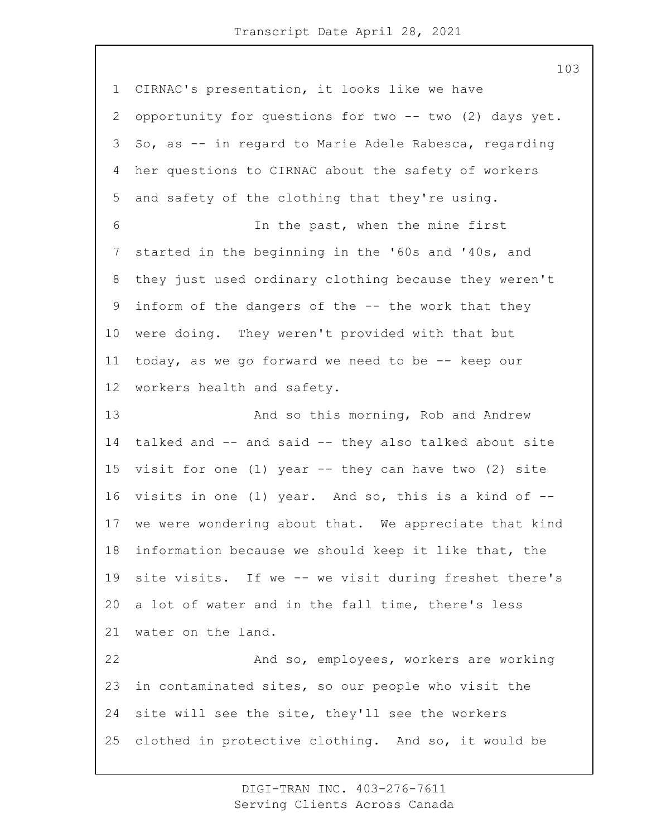CIRNAC's presentation, it looks like we have 2 opportunity for questions for two -- two (2) days yet. So, as -- in regard to Marie Adele Rabesca, regarding her questions to CIRNAC about the safety of workers and safety of the clothing that they're using. 6 In the past, when the mine first started in the beginning in the '60s and '40s, and they just used ordinary clothing because they weren't inform of the dangers of the -- the work that they were doing. They weren't provided with that but today, as we go forward we need to be -- keep our workers health and safety. 13 And so this morning, Rob and Andrew talked and -- and said -- they also talked about site visit for one (1) year -- they can have two (2) site visits in one (1) year. And so, this is a kind of -- we were wondering about that. We appreciate that kind information because we should keep it like that, the site visits. If we -- we visit during freshet there's a lot of water and in the fall time, there's less water on the land. 22 And so, employees, workers are working in contaminated sites, so our people who visit the site will see the site, they'll see the workers clothed in protective clothing. And so, it would be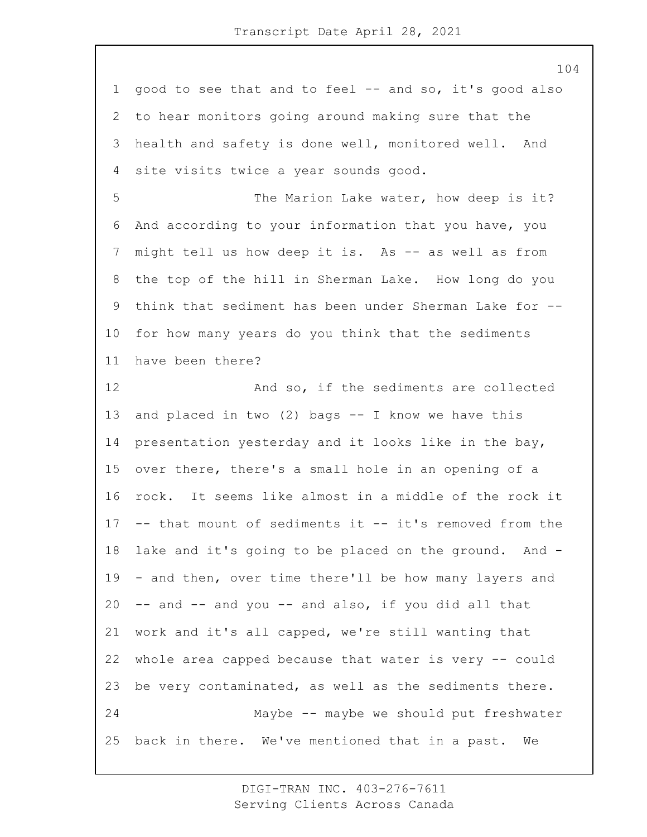good to see that and to feel -- and so, it's good also to hear monitors going around making sure that the health and safety is done well, monitored well. And site visits twice a year sounds good.

5 The Marion Lake water, how deep is it? And according to your information that you have, you 7 might tell us how deep it is. As -- as well as from the top of the hill in Sherman Lake. How long do you think that sediment has been under Sherman Lake for -- for how many years do you think that the sediments have been there?

12 And so, if the sediments are collected and placed in two (2) bags -- I know we have this presentation yesterday and it looks like in the bay, over there, there's a small hole in an opening of a rock. It seems like almost in a middle of the rock it -- that mount of sediments it -- it's removed from the lake and it's going to be placed on the ground. And - - and then, over time there'll be how many layers and -- and -- and you -- and also, if you did all that work and it's all capped, we're still wanting that whole area capped because that water is very -- could be very contaminated, as well as the sediments there. 24 Maybe -- maybe we should put freshwater back in there. We've mentioned that in a past. We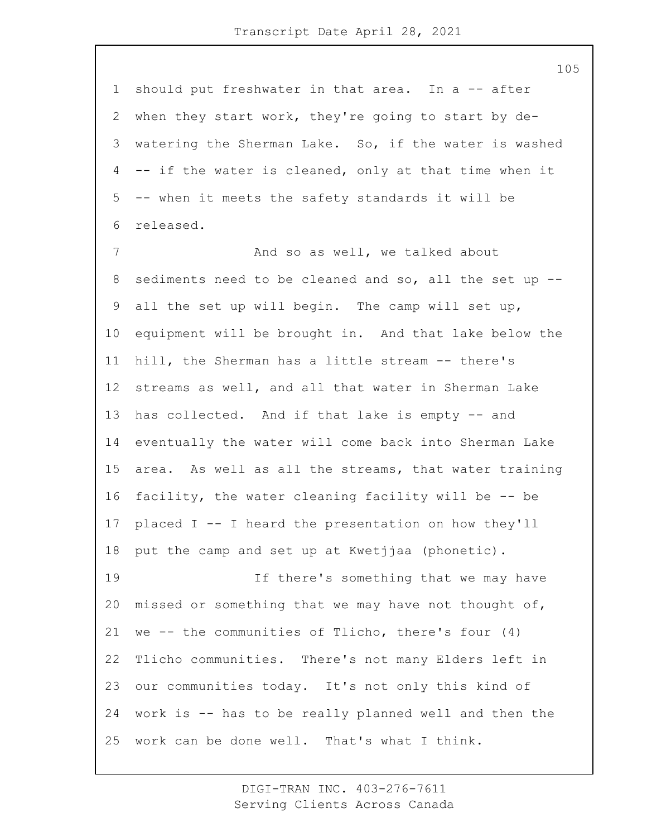should put freshwater in that area. In a -- after when they start work, they're going to start by de- watering the Sherman Lake. So, if the water is washed -- if the water is cleaned, only at that time when it -- when it meets the safety standards it will be released.

7 And so as well, we talked about sediments need to be cleaned and so, all the set up -- all the set up will begin. The camp will set up, equipment will be brought in. And that lake below the hill, the Sherman has a little stream -- there's streams as well, and all that water in Sherman Lake has collected. And if that lake is empty -- and eventually the water will come back into Sherman Lake area. As well as all the streams, that water training facility, the water cleaning facility will be -- be placed I -- I heard the presentation on how they'll put the camp and set up at Kwetjjaa (phonetic). 19 If there's something that we may have missed or something that we may have not thought of, we -- the communities of Tlicho, there's four (4) Tlicho communities. There's not many Elders left in our communities today. It's not only this kind of work is -- has to be really planned well and then the work can be done well. That's what I think.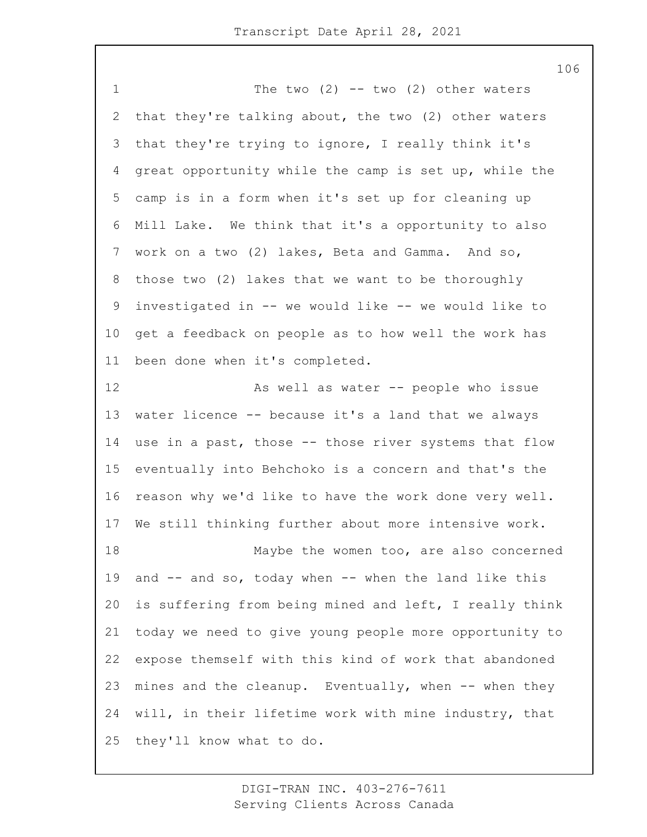1 The two (2) -- two (2) other waters that they're talking about, the two (2) other waters that they're trying to ignore, I really think it's great opportunity while the camp is set up, while the camp is in a form when it's set up for cleaning up Mill Lake. We think that it's a opportunity to also work on a two (2) lakes, Beta and Gamma. And so, those two (2) lakes that we want to be thoroughly investigated in -- we would like -- we would like to get a feedback on people as to how well the work has been done when it's completed. 12 As well as water -- people who issue water licence -- because it's a land that we always use in a past, those -- those river systems that flow eventually into Behchoko is a concern and that's the reason why we'd like to have the work done very well. We still thinking further about more intensive work. 18 Maybe the women too, are also concerned and -- and so, today when -- when the land like this is suffering from being mined and left, I really think today we need to give young people more opportunity to expose themself with this kind of work that abandoned mines and the cleanup. Eventually, when -- when they will, in their lifetime work with mine industry, that they'll know what to do.

> DIGI-TRAN INC. 403-276-7611 Serving Clients Across Canada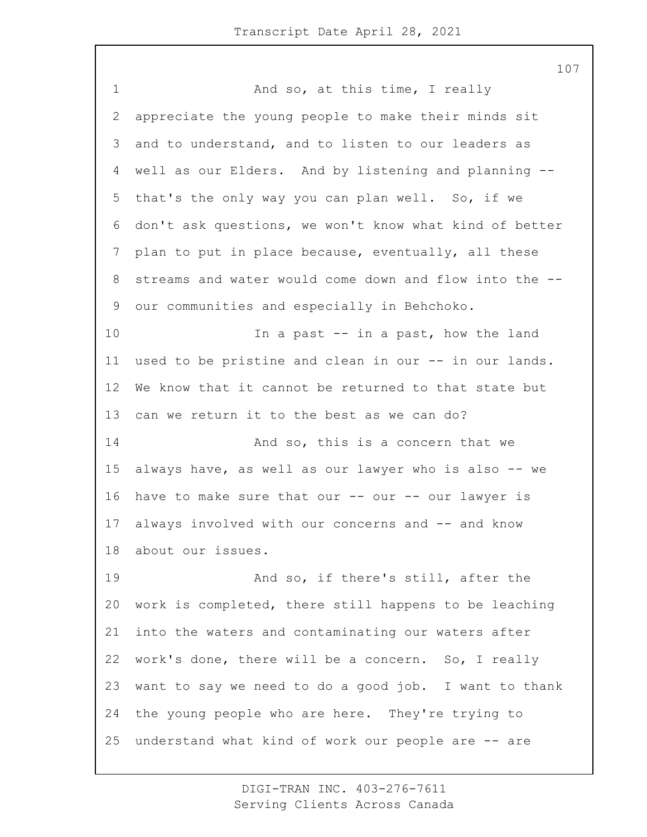1 And so, at this time, I really appreciate the young people to make their minds sit and to understand, and to listen to our leaders as well as our Elders. And by listening and planning -- that's the only way you can plan well. So, if we don't ask questions, we won't know what kind of better plan to put in place because, eventually, all these streams and water would come down and flow into the -- our communities and especially in Behchoko. 10 10 In a past -- in a past, how the land used to be pristine and clean in our -- in our lands. We know that it cannot be returned to that state but can we return it to the best as we can do? **And so, this is a concern that we**  always have, as well as our lawyer who is also -- we 16 have to make sure that our -- our -- our lawyer is always involved with our concerns and -- and know about our issues. 19 And so, if there's still, after the work is completed, there still happens to be leaching into the waters and contaminating our waters after work's done, there will be a concern. So, I really want to say we need to do a good job. I want to thank the young people who are here. They're trying to understand what kind of work our people are -- are

> DIGI-TRAN INC. 403-276-7611 Serving Clients Across Canada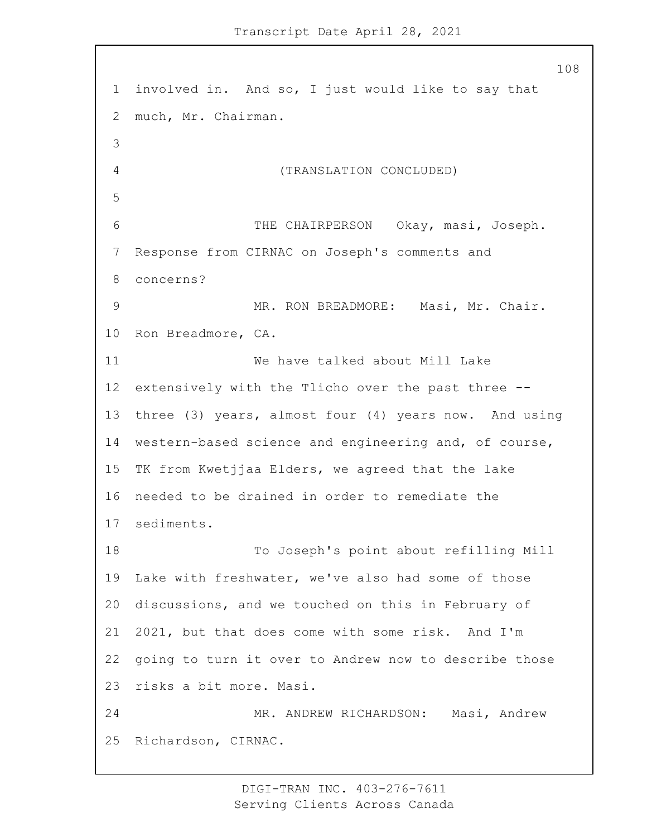involved in. And so, I just would like to say that much, Mr. Chairman. 4 (TRANSLATION CONCLUDED) 6 THE CHAIRPERSON Okay, masi, Joseph. Response from CIRNAC on Joseph's comments and concerns? 9 MR. RON BREADMORE: Masi, Mr. Chair. Ron Breadmore, CA. 11 We have talked about Mill Lake extensively with the Tlicho over the past three -- three (3) years, almost four (4) years now. And using western-based science and engineering and, of course, TK from Kwetjjaa Elders, we agreed that the lake needed to be drained in order to remediate the sediments. 18 To Joseph's point about refilling Mill Lake with freshwater, we've also had some of those discussions, and we touched on this in February of 2021, but that does come with some risk. And I'm going to turn it over to Andrew now to describe those risks a bit more. Masi. 24 MR. ANDREW RICHARDSON: Masi, Andrew Richardson, CIRNAC.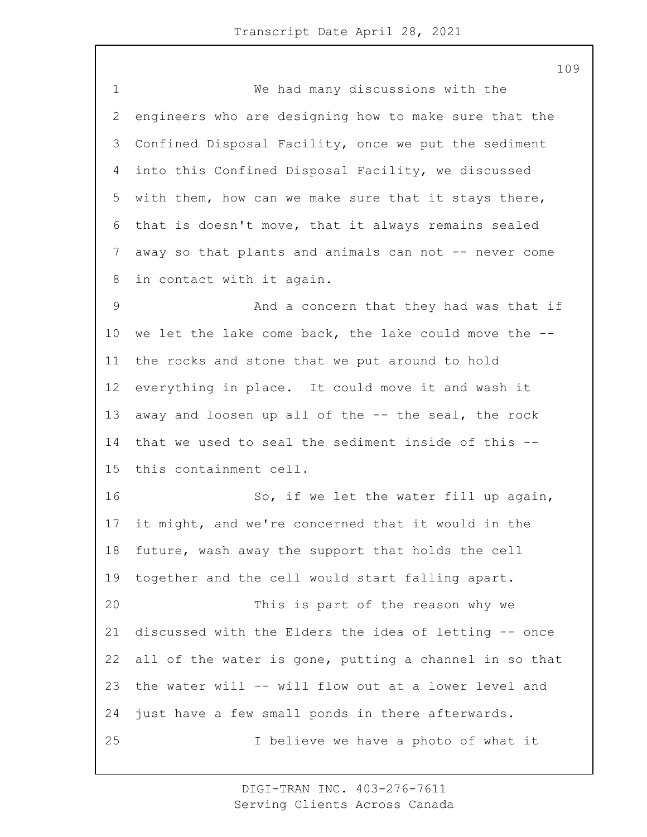1 We had many discussions with the engineers who are designing how to make sure that the Confined Disposal Facility, once we put the sediment into this Confined Disposal Facility, we discussed with them, how can we make sure that it stays there, that is doesn't move, that it always remains sealed away so that plants and animals can not -- never come in contact with it again. 9 And a concern that they had was that if we let the lake come back, the lake could move the -- the rocks and stone that we put around to hold everything in place. It could move it and wash it away and loosen up all of the -- the seal, the rock that we used to seal the sediment inside of this -- this containment cell. 16 So, if we let the water fill up again, it might, and we're concerned that it would in the future, wash away the support that holds the cell together and the cell would start falling apart. 20 This is part of the reason why we discussed with the Elders the idea of letting -- once all of the water is gone, putting a channel in so that the water will -- will flow out at a lower level and just have a few small ponds in there afterwards. 25 I believe we have a photo of what it

> DIGI-TRAN INC. 403-276-7611 Serving Clients Across Canada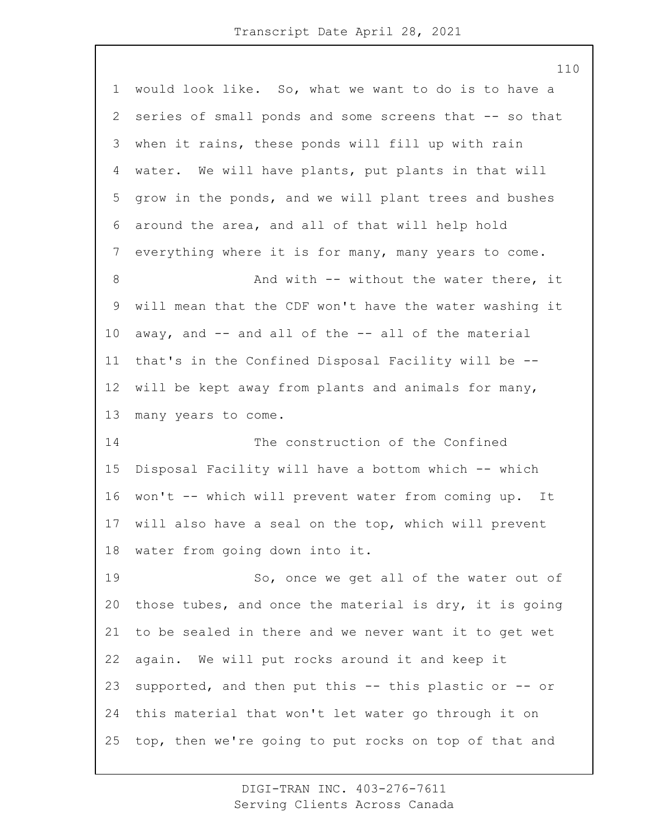would look like. So, what we want to do is to have a series of small ponds and some screens that -- so that when it rains, these ponds will fill up with rain water. We will have plants, put plants in that will grow in the ponds, and we will plant trees and bushes around the area, and all of that will help hold everything where it is for many, many years to come. 8 And with -- without the water there, it will mean that the CDF won't have the water washing it away, and -- and all of the -- all of the material that's in the Confined Disposal Facility will be -- will be kept away from plants and animals for many, many years to come. 14 The construction of the Confined Disposal Facility will have a bottom which -- which won't -- which will prevent water from coming up. It will also have a seal on the top, which will prevent water from going down into it. 19 So, once we get all of the water out of those tubes, and once the material is dry, it is going to be sealed in there and we never want it to get wet again. We will put rocks around it and keep it supported, and then put this -- this plastic or -- or this material that won't let water go through it on top, then we're going to put rocks on top of that and

> DIGI-TRAN INC. 403-276-7611 Serving Clients Across Canada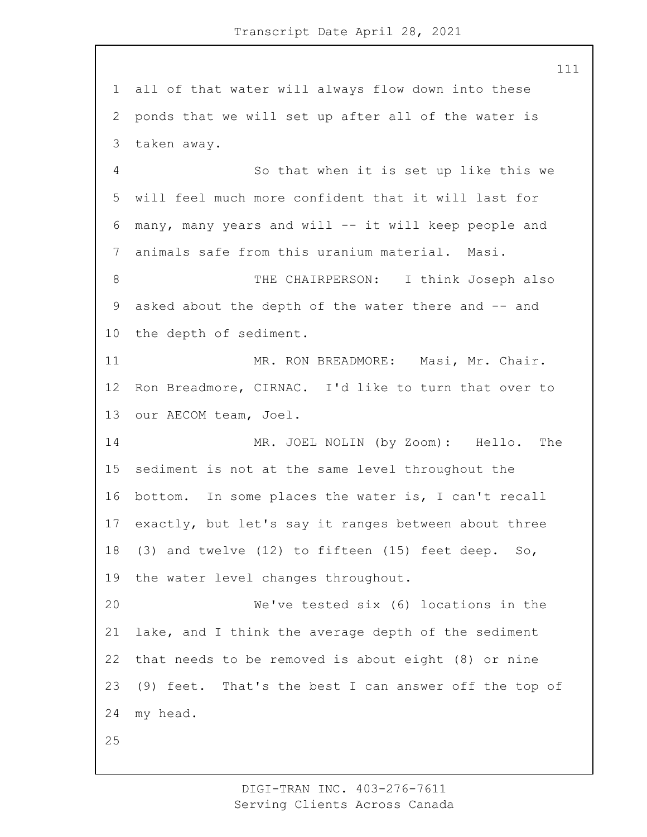all of that water will always flow down into these ponds that we will set up after all of the water is taken away. 4 So that when it is set up like this we will feel much more confident that it will last for many, many years and will -- it will keep people and animals safe from this uranium material. Masi. 8 THE CHAIRPERSON: I think Joseph also asked about the depth of the water there and -- and the depth of sediment.

11 MR. RON BREADMORE: Masi, Mr. Chair. Ron Breadmore, CIRNAC. I'd like to turn that over to our AECOM team, Joel.

14 MR. JOEL NOLIN (by Zoom): Hello. The sediment is not at the same level throughout the bottom. In some places the water is, I can't recall exactly, but let's say it ranges between about three (3) and twelve (12) to fifteen (15) feet deep. So, the water level changes throughout.

20 We've tested six (6) locations in the lake, and I think the average depth of the sediment that needs to be removed is about eight (8) or nine (9) feet. That's the best I can answer off the top of my head.

DIGI-TRAN INC. 403-276-7611 Serving Clients Across Canada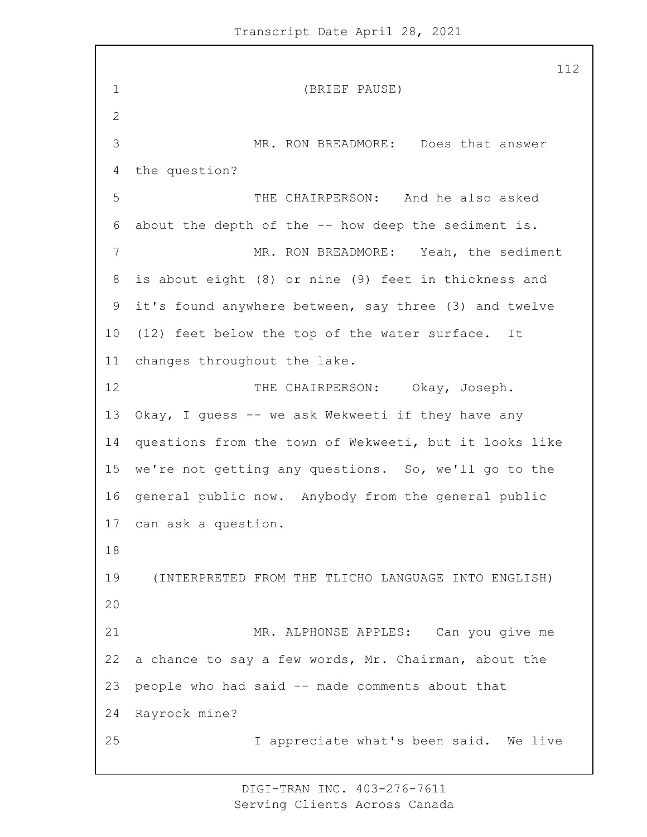1 (BRIEF PAUSE) 2 3 MR. RON BREADMORE: Does that answer 4 the question? 5 THE CHAIRPERSON: And he also asked 6 about the depth of the -- how deep the sediment is. 7 MR. RON BREADMORE: Yeah, the sediment 8 is about eight (8) or nine (9) feet in thickness and 9 it's found anywhere between, say three (3) and twelve 10 (12) feet below the top of the water surface. It 11 changes throughout the lake. 12 THE CHAIRPERSON: Okay, Joseph. 13 Okay, I quess -- we ask Wekweeti if they have any 14 questions from the town of Wekweeti, but it looks like 15 we're not getting any questions. So, we'll go to the 16 general public now. Anybody from the general public 17 can ask a question. 18 19 (INTERPRETED FROM THE TLICHO LANGUAGE INTO ENGLISH) 20 21 MR. ALPHONSE APPLES: Can you give me 22 a chance to say a few words, Mr. Chairman, about the 23 people who had said -- made comments about that 24 Rayrock mine? 25 I appreciate what's been said. We live

> DIGI-TRAN INC. 403-276-7611 Serving Clients Across Canada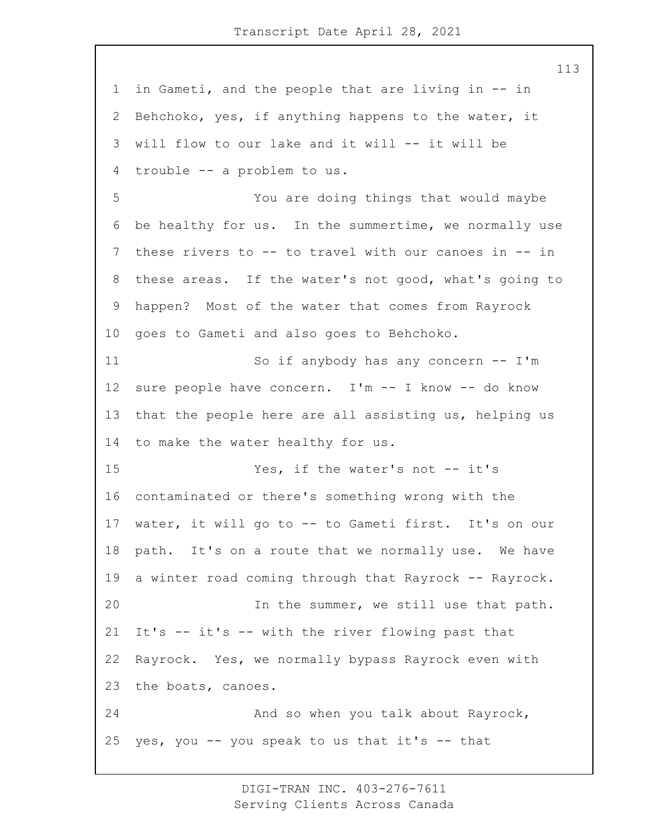in Gameti, and the people that are living in -- in Behchoko, yes, if anything happens to the water, it will flow to our lake and it will -- it will be trouble -- a problem to us. 5 You are doing things that would maybe be healthy for us. In the summertime, we normally use these rivers to -- to travel with our canoes in -- in these areas. If the water's not good, what's going to happen? Most of the water that comes from Rayrock goes to Gameti and also goes to Behchoko. 11 So if anybody has any concern -- I'm sure people have concern. I'm -- I know -- do know that the people here are all assisting us, helping us to make the water healthy for us. 15 Yes, if the water's not -- it's contaminated or there's something wrong with the water, it will go to -- to Gameti first. It's on our path. It's on a route that we normally use. We have a winter road coming through that Rayrock -- Rayrock. 20 In the summer, we still use that path. It's -- it's -- with the river flowing past that Rayrock. Yes, we normally bypass Rayrock even with the boats, canoes. 24 And so when you talk about Rayrock, 25 yes, you  $-$  you speak to us that it's  $-$  that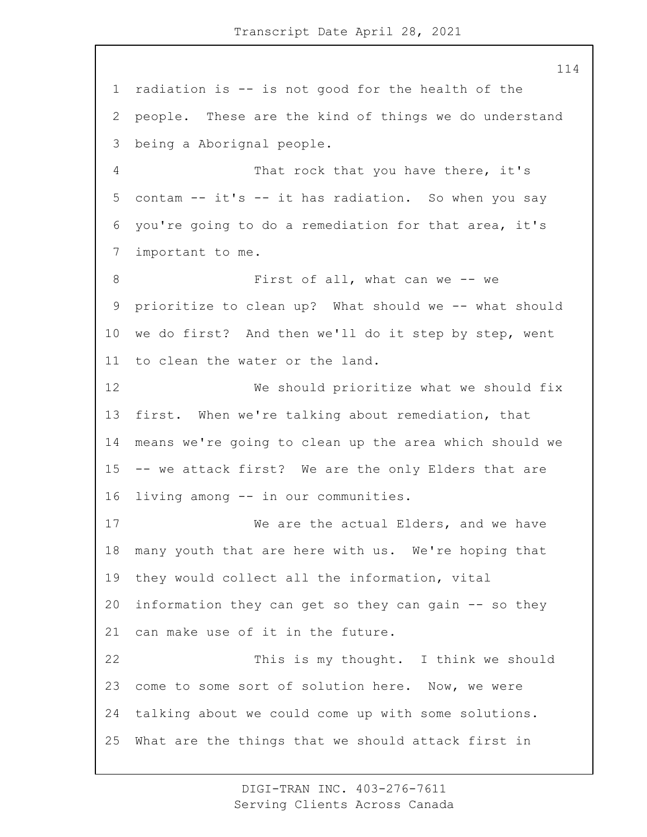radiation is -- is not good for the health of the people. These are the kind of things we do understand being a Aborignal people. 4 That rock that you have there, it's contam -- it's -- it has radiation. So when you say you're going to do a remediation for that area, it's important to me. 8 First of all, what can we -- we prioritize to clean up? What should we -- what should we do first? And then we'll do it step by step, went to clean the water or the land. 12 We should prioritize what we should fix first. When we're talking about remediation, that means we're going to clean up the area which should we -- we attack first? We are the only Elders that are living among -- in our communities. 17 We are the actual Elders, and we have many youth that are here with us. We're hoping that they would collect all the information, vital information they can get so they can gain -- so they can make use of it in the future. 22 This is my thought. I think we should come to some sort of solution here. Now, we were talking about we could come up with some solutions. What are the things that we should attack first in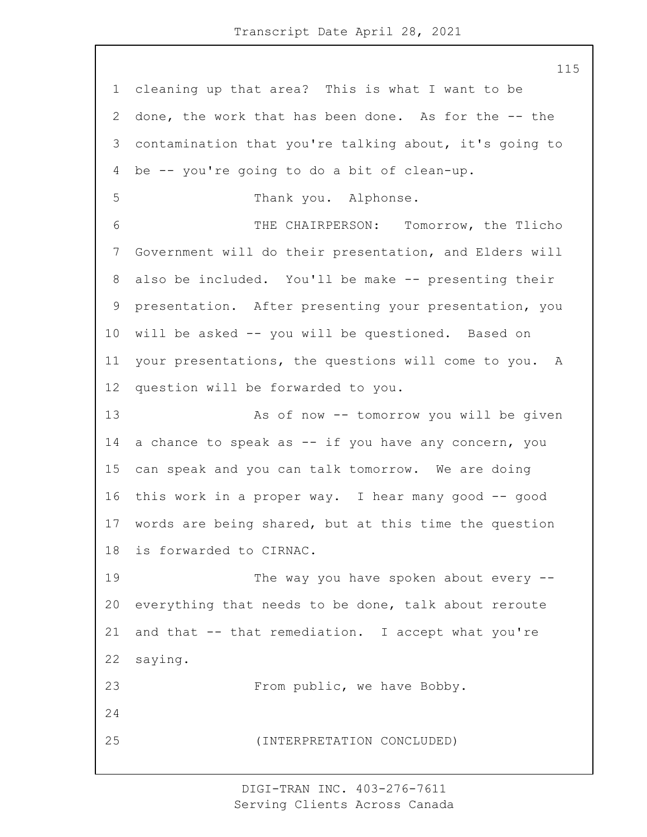cleaning up that area? This is what I want to be done, the work that has been done. As for the -- the contamination that you're talking about, it's going to be -- you're going to do a bit of clean-up. 5 Thank you. Alphonse. 6 THE CHAIRPERSON: Tomorrow, the Tlicho Government will do their presentation, and Elders will also be included. You'll be make -- presenting their presentation. After presenting your presentation, you will be asked -- you will be questioned. Based on your presentations, the questions will come to you. A question will be forwarded to you. 13 As of now -- tomorrow you will be given a chance to speak as -- if you have any concern, you can speak and you can talk tomorrow. We are doing this work in a proper way. I hear many good -- good words are being shared, but at this time the question is forwarded to CIRNAC. 19 The way you have spoken about every  $-$  everything that needs to be done, talk about reroute and that -- that remediation. I accept what you're saying. 23 From public, we have Bobby. 25 (INTERPRETATION CONCLUDED)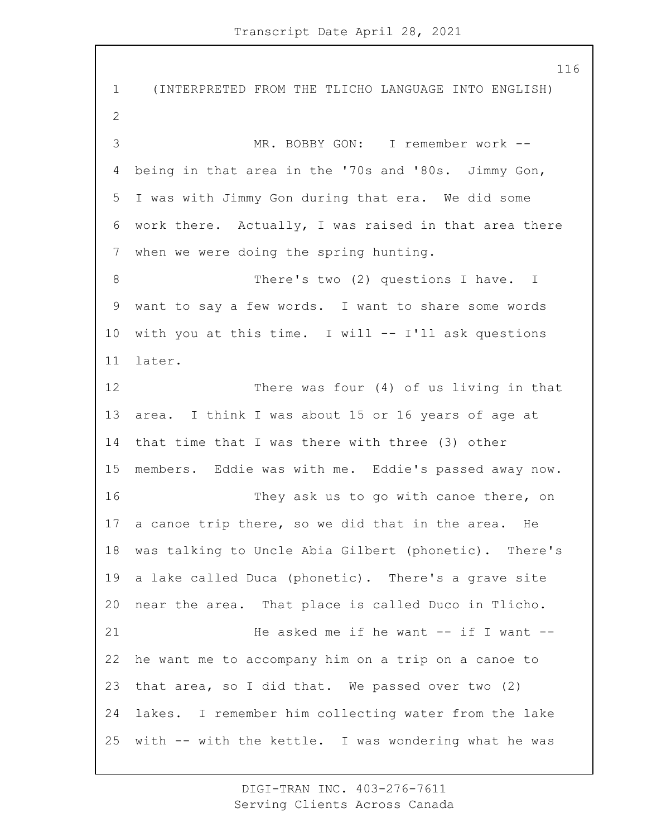1 (INTERPRETED FROM THE TLICHO LANGUAGE INTO ENGLISH) 3 MR. BOBBY GON: I remember work -- being in that area in the '70s and '80s. Jimmy Gon, I was with Jimmy Gon during that era. We did some work there. Actually, I was raised in that area there when we were doing the spring hunting. 8 There's two (2) questions I have. I want to say a few words. I want to share some words with you at this time. I will -- I'll ask questions later. 12 There was four (4) of us living in that area. I think I was about 15 or 16 years of age at that time that I was there with three (3) other members. Eddie was with me. Eddie's passed away now. 16 They ask us to go with canoe there, on a canoe trip there, so we did that in the area. He was talking to Uncle Abia Gilbert (phonetic). There's a lake called Duca (phonetic). There's a grave site near the area. That place is called Duco in Tlicho. 21 He asked me if he want -- if I want -- he want me to accompany him on a trip on a canoe to that area, so I did that. We passed over two (2) lakes. I remember him collecting water from the lake with -- with the kettle. I was wondering what he was

> DIGI-TRAN INC. 403-276-7611 Serving Clients Across Canada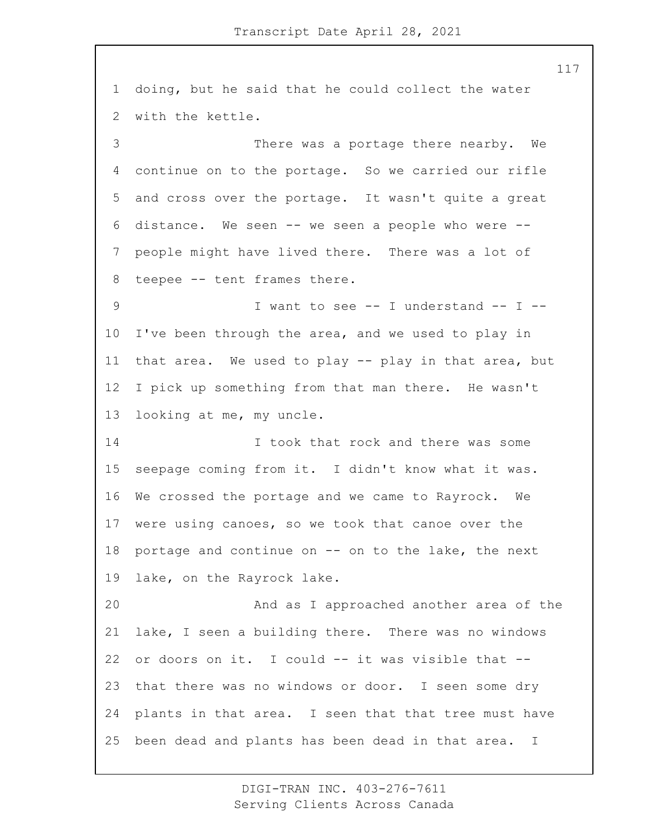doing, but he said that he could collect the water with the kettle. 3 There was a portage there nearby. We continue on to the portage. So we carried our rifle and cross over the portage. It wasn't quite a great distance. We seen -- we seen a people who were -- people might have lived there. There was a lot of teepee -- tent frames there. 9 1 want to see -- I understand -- I -- I've been through the area, and we used to play in that area. We used to play -- play in that area, but I pick up something from that man there. He wasn't looking at me, my uncle. 14 14 I took that rock and there was some seepage coming from it. I didn't know what it was. We crossed the portage and we came to Rayrock. We were using canoes, so we took that canoe over the portage and continue on -- on to the lake, the next lake, on the Rayrock lake. 20 And as I approached another area of the lake, I seen a building there. There was no windows or doors on it. I could -- it was visible that -- that there was no windows or door. I seen some dry plants in that area. I seen that that tree must have been dead and plants has been dead in that area. I

> DIGI-TRAN INC. 403-276-7611 Serving Clients Across Canada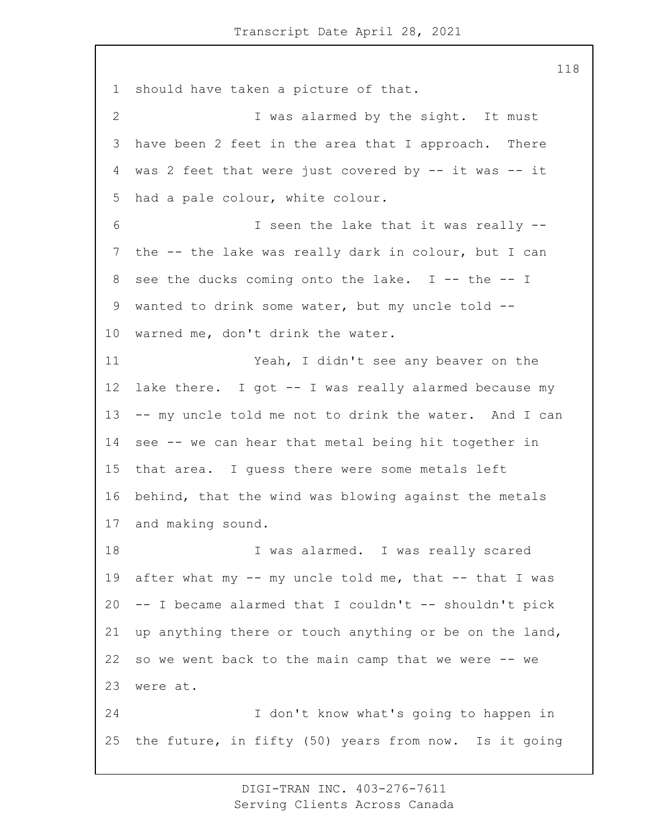should have taken a picture of that. 2 I was alarmed by the sight. It must have been 2 feet in the area that I approach. There was 2 feet that were just covered by -- it was -- it had a pale colour, white colour. 6 I seen the lake that it was really -- the -- the lake was really dark in colour, but I can see the ducks coming onto the lake. I -- the -- I wanted to drink some water, but my uncle told -- warned me, don't drink the water. 11 Yeah, I didn't see any beaver on the lake there. I got -- I was really alarmed because my -- my uncle told me not to drink the water. And I can see -- we can hear that metal being hit together in that area. I guess there were some metals left behind, that the wind was blowing against the metals and making sound. 18 I was alarmed. I was really scared 19 after what my -- my uncle told me, that -- that I was  $-$ - I became alarmed that I couldn't  $-$ - shouldn't pick up anything there or touch anything or be on the land, so we went back to the main camp that we were -- we were at. 24 I don't know what's going to happen in the future, in fifty (50) years from now. Is it going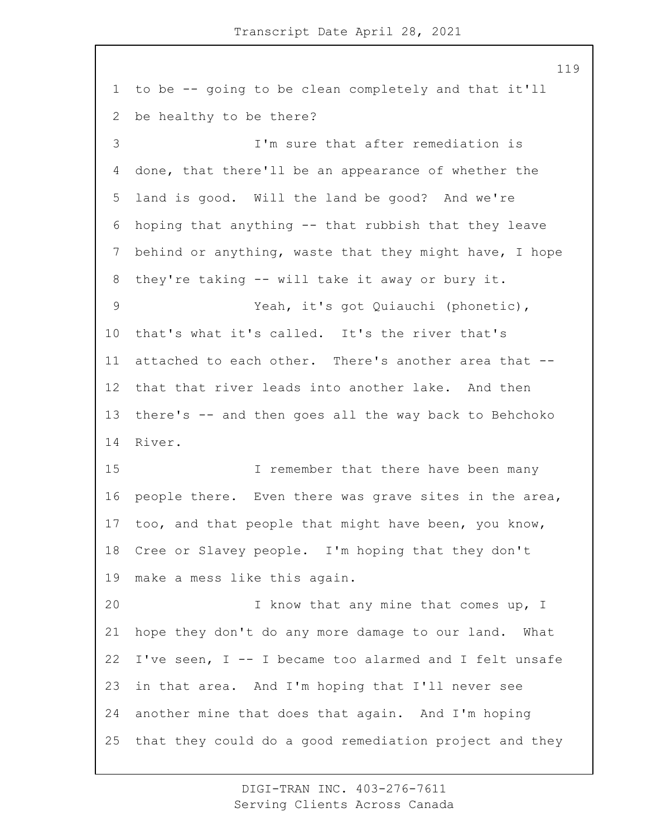to be -- going to be clean completely and that it'll be healthy to be there? 3 I'm sure that after remediation is done, that there'll be an appearance of whether the land is good. Will the land be good? And we're hoping that anything -- that rubbish that they leave behind or anything, waste that they might have, I hope they're taking -- will take it away or bury it. 9 Yeah, it's got Quiauchi (phonetic), that's what it's called. It's the river that's attached to each other. There's another area that -- that that river leads into another lake. And then there's -- and then goes all the way back to Behchoko River. 15 15 I remember that there have been many people there. Even there was grave sites in the area, too, and that people that might have been, you know, Cree or Slavey people. I'm hoping that they don't make a mess like this again. 20 I know that any mine that comes up, I hope they don't do any more damage to our land. What I've seen, I -- I became too alarmed and I felt unsafe in that area. And I'm hoping that I'll never see another mine that does that again. And I'm hoping that they could do a good remediation project and they

> DIGI-TRAN INC. 403-276-7611 Serving Clients Across Canada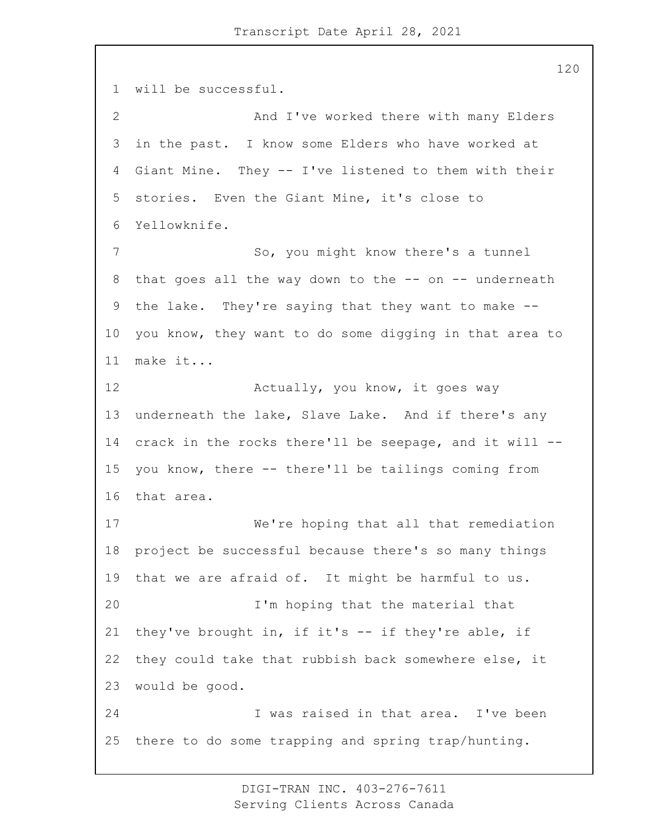will be successful. 2 And I've worked there with many Elders in the past. I know some Elders who have worked at Giant Mine. They -- I've listened to them with their stories. Even the Giant Mine, it's close to Yellowknife. 7 So, you might know there's a tunnel that goes all the way down to the -- on -- underneath the lake. They're saying that they want to make -- you know, they want to do some digging in that area to make it... **Actually, you know, it goes way**  underneath the lake, Slave Lake. And if there's any crack in the rocks there'll be seepage, and it will -- you know, there -- there'll be tailings coming from that area. 17 We're hoping that all that remediation project be successful because there's so many things that we are afraid of. It might be harmful to us. 20 I'm hoping that the material that they've brought in, if it's -- if they're able, if they could take that rubbish back somewhere else, it would be good. 24 I was raised in that area. I've been there to do some trapping and spring trap/hunting.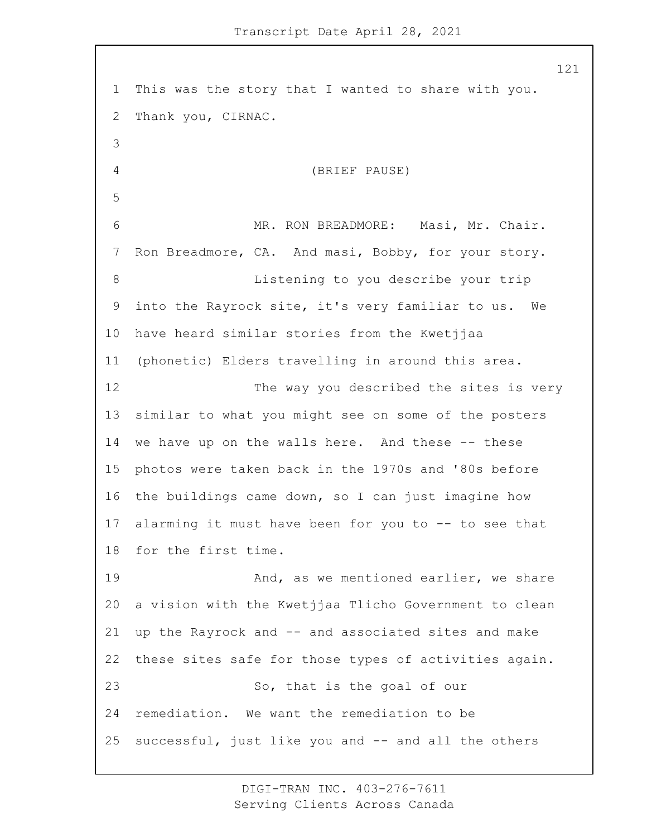This was the story that I wanted to share with you. Thank you, CIRNAC. 4 (BRIEF PAUSE) 6 MR. RON BREADMORE: Masi, Mr. Chair. Ron Breadmore, CA. And masi, Bobby, for your story. 8 Listening to you describe your trip into the Rayrock site, it's very familiar to us. We have heard similar stories from the Kwetjjaa (phonetic) Elders travelling in around this area. 12 The way you described the sites is very similar to what you might see on some of the posters we have up on the walls here. And these -- these photos were taken back in the 1970s and '80s before the buildings came down, so I can just imagine how alarming it must have been for you to -- to see that for the first time. 19 And, as we mentioned earlier, we share a vision with the Kwetjjaa Tlicho Government to clean up the Rayrock and -- and associated sites and make these sites safe for those types of activities again. 23 So, that is the goal of our remediation. We want the remediation to be successful, just like you and -- and all the others

> DIGI-TRAN INC. 403-276-7611 Serving Clients Across Canada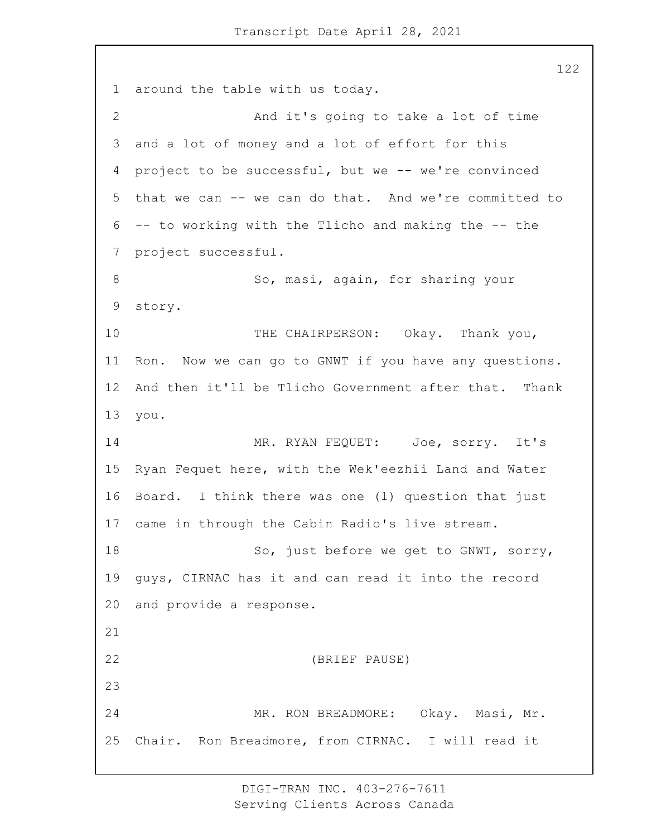around the table with us today. 2 And it's going to take a lot of time and a lot of money and a lot of effort for this project to be successful, but we -- we're convinced that we can -- we can do that. And we're committed to -- to working with the Tlicho and making the -- the project successful. 8 So, masi, again, for sharing your story. 10 THE CHAIRPERSON: Okay. Thank you, Ron. Now we can go to GNWT if you have any questions. And then it'll be Tlicho Government after that. Thank you. 14 MR. RYAN FEQUET: Joe, sorry. It's Ryan Fequet here, with the Wek'eezhii Land and Water Board. I think there was one (1) question that just came in through the Cabin Radio's live stream. 18 So, just before we get to GNWT, sorry, guys, CIRNAC has it and can read it into the record and provide a response. 22 (BRIEF PAUSE) 24 MR. RON BREADMORE: Okay. Masi, Mr. Chair. Ron Breadmore, from CIRNAC. I will read it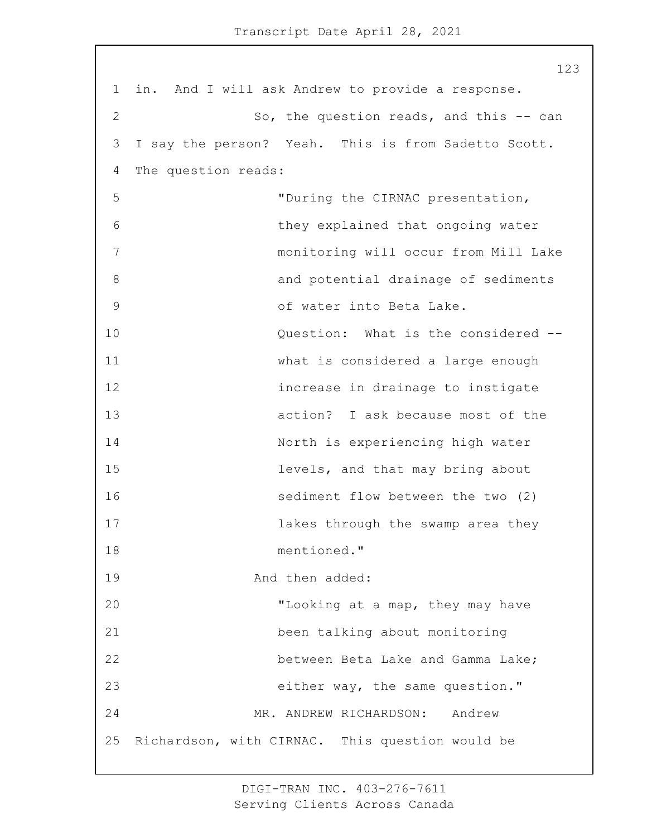1 in. And I will ask Andrew to provide a response. 2 So, the question reads, and this -- can 3 I say the person? Yeah. This is from Sadetto Scott. 4 The question reads: 5 "During the CIRNAC presentation, 6 they explained that ongoing water 7 monitoring will occur from Mill Lake 8 and potential drainage of sediments 9 of water into Beta Lake. 10 **Question:** What is the considered --11 what is considered a large enough 12 increase in drainage to instigate 13 action? I ask because most of the 14 North is experiencing high water 15 levels, and that may bring about 16 sediment flow between the two (2) 17 **lakes** through the swamp area they 18 mentioned." 19 And then added: 20 "Looking at a map, they may have 21 been talking about monitoring 22 between Beta Lake and Gamma Lake: 23 either way, the same question." 24 MR. ANDREW RICHARDSON: Andrew 25 Richardson, with CIRNAC. This question would be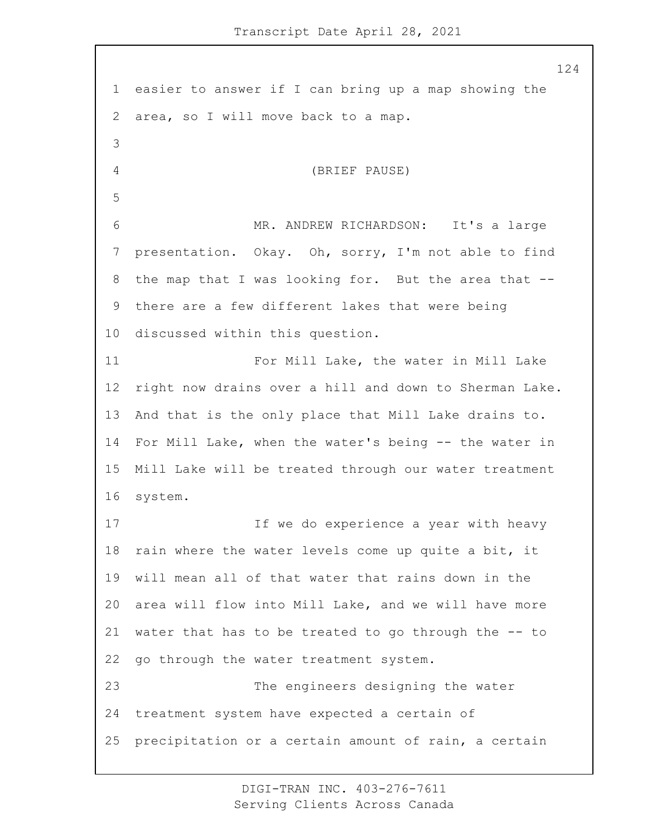easier to answer if I can bring up a map showing the area, so I will move back to a map. 4 (BRIEF PAUSE) 6 MR. ANDREW RICHARDSON: It's a large presentation. Okay. Oh, sorry, I'm not able to find the map that I was looking for. But the area that -- there are a few different lakes that were being discussed within this question. 11 For Mill Lake, the water in Mill Lake right now drains over a hill and down to Sherman Lake. And that is the only place that Mill Lake drains to. For Mill Lake, when the water's being -- the water in Mill Lake will be treated through our water treatment system. 17 17 If we do experience a year with heavy rain where the water levels come up quite a bit, it will mean all of that water that rains down in the area will flow into Mill Lake, and we will have more water that has to be treated to go through the -- to go through the water treatment system. 23 The engineers designing the water treatment system have expected a certain of precipitation or a certain amount of rain, a certain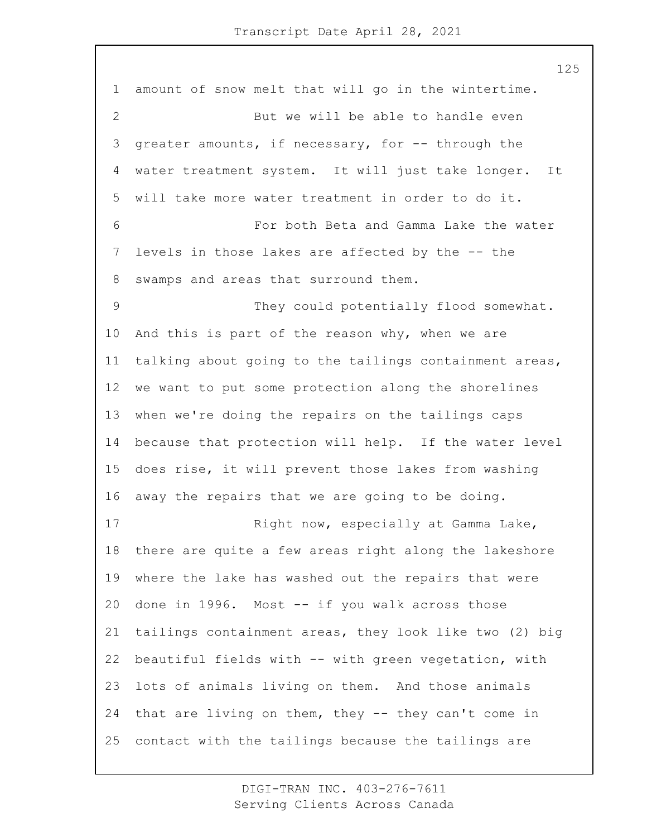amount of snow melt that will go in the wintertime. 2 But we will be able to handle even greater amounts, if necessary, for -- through the water treatment system. It will just take longer. It will take more water treatment in order to do it. 6 For both Beta and Gamma Lake the water levels in those lakes are affected by the -- the swamps and areas that surround them. 9 They could potentially flood somewhat. And this is part of the reason why, when we are talking about going to the tailings containment areas, we want to put some protection along the shorelines when we're doing the repairs on the tailings caps because that protection will help. If the water level does rise, it will prevent those lakes from washing away the repairs that we are going to be doing. 17 Right now, especially at Gamma Lake, there are quite a few areas right along the lakeshore where the lake has washed out the repairs that were done in 1996. Most -- if you walk across those tailings containment areas, they look like two (2) big beautiful fields with -- with green vegetation, with lots of animals living on them. And those animals that are living on them, they -- they can't come in contact with the tailings because the tailings are

> DIGI-TRAN INC. 403-276-7611 Serving Clients Across Canada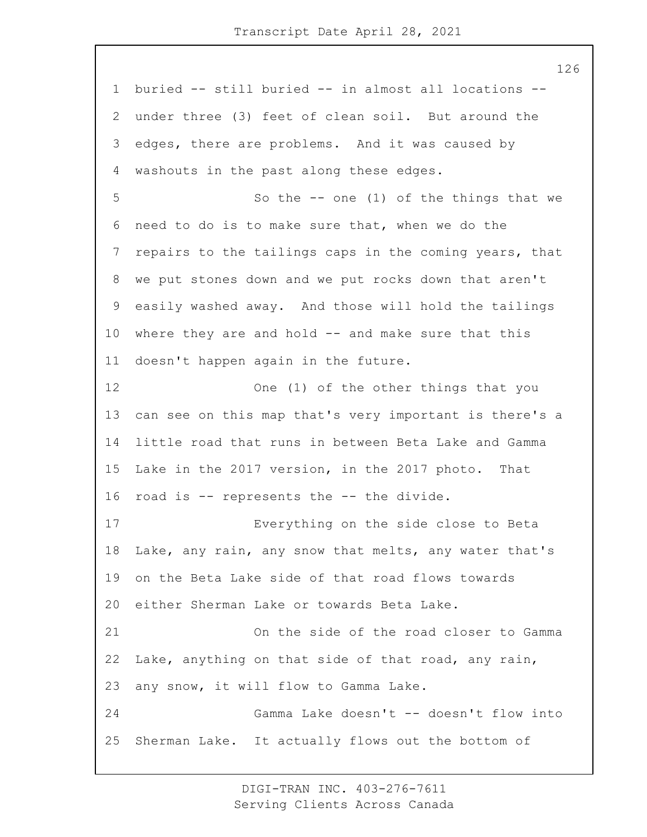buried -- still buried -- in almost all locations -- under three (3) feet of clean soil. But around the edges, there are problems. And it was caused by washouts in the past along these edges. 5 So the -- one (1) of the things that we need to do is to make sure that, when we do the repairs to the tailings caps in the coming years, that we put stones down and we put rocks down that aren't easily washed away. And those will hold the tailings where they are and hold -- and make sure that this doesn't happen again in the future. 12 One (1) of the other things that you can see on this map that's very important is there's a little road that runs in between Beta Lake and Gamma Lake in the 2017 version, in the 2017 photo. That road is -- represents the -- the divide. 17 Everything on the side close to Beta Lake, any rain, any snow that melts, any water that's on the Beta Lake side of that road flows towards either Sherman Lake or towards Beta Lake. 21 On the side of the road closer to Gamma Lake, anything on that side of that road, any rain, any snow, it will flow to Gamma Lake. 24 Gamma Lake doesn't -- doesn't flow into Sherman Lake. It actually flows out the bottom of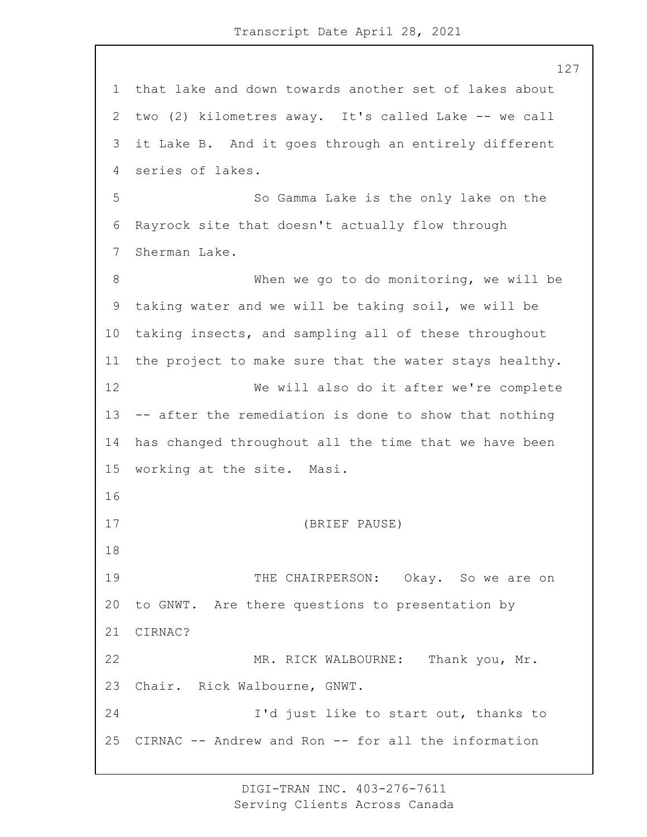that lake and down towards another set of lakes about two (2) kilometres away. It's called Lake -- we call it Lake B. And it goes through an entirely different series of lakes. 5 So Gamma Lake is the only lake on the Rayrock site that doesn't actually flow through Sherman Lake. 8 When we go to do monitoring, we will be taking water and we will be taking soil, we will be taking insects, and sampling all of these throughout the project to make sure that the water stays healthy. 12 We will also do it after we're complete -- after the remediation is done to show that nothing has changed throughout all the time that we have been working at the site. Masi. 17 (BRIEF PAUSE) 19 THE CHAIRPERSON: Okay. So we are on to GNWT. Are there questions to presentation by CIRNAC? 22 MR. RICK WALBOURNE: Thank you, Mr. Chair. Rick Walbourne, GNWT. 24 I'd just like to start out, thanks to CIRNAC -- Andrew and Ron -- for all the information

> DIGI-TRAN INC. 403-276-7611 Serving Clients Across Canada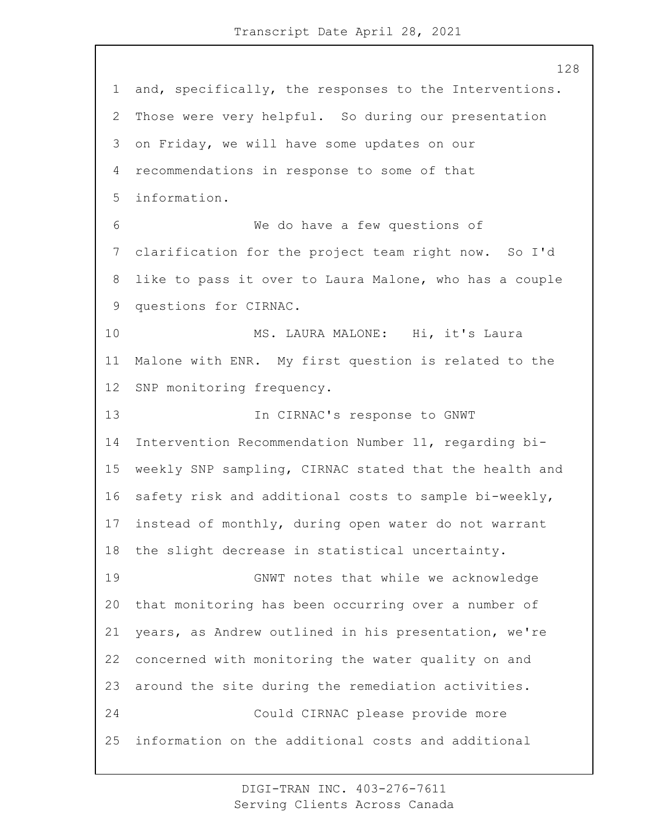and, specifically, the responses to the Interventions. Those were very helpful. So during our presentation on Friday, we will have some updates on our recommendations in response to some of that information. 6 We do have a few questions of clarification for the project team right now. So I'd like to pass it over to Laura Malone, who has a couple questions for CIRNAC. 10 MS. LAURA MALONE: Hi, it's Laura Malone with ENR. My first question is related to the SNP monitoring frequency. 13 In CIRNAC's response to GNWT Intervention Recommendation Number 11, regarding bi- weekly SNP sampling, CIRNAC stated that the health and safety risk and additional costs to sample bi-weekly, instead of monthly, during open water do not warrant the slight decrease in statistical uncertainty. 19 GNWT notes that while we acknowledge that monitoring has been occurring over a number of years, as Andrew outlined in his presentation, we're concerned with monitoring the water quality on and around the site during the remediation activities. 24 Could CIRNAC please provide more information on the additional costs and additional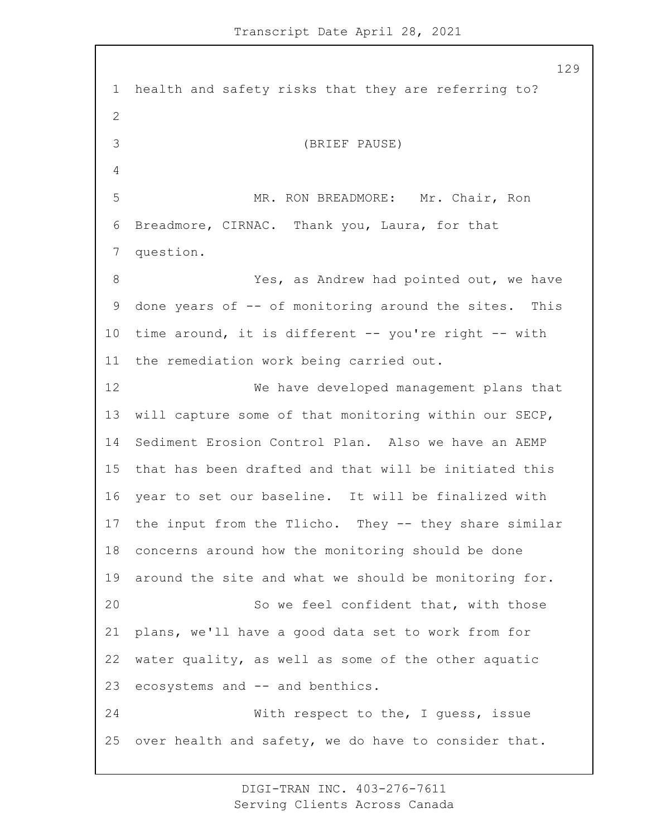health and safety risks that they are referring to? 3 (BRIEF PAUSE) 5 MR. RON BREADMORE: Mr. Chair, Ron Breadmore, CIRNAC. Thank you, Laura, for that question. 8 Yes, as Andrew had pointed out, we have done years of -- of monitoring around the sites. This time around, it is different -- you're right -- with the remediation work being carried out. 12 We have developed management plans that will capture some of that monitoring within our SECP, Sediment Erosion Control Plan. Also we have an AEMP that has been drafted and that will be initiated this year to set our baseline. It will be finalized with the input from the Tlicho. They -- they share similar concerns around how the monitoring should be done around the site and what we should be monitoring for. 20 So we feel confident that, with those plans, we'll have a good data set to work from for water quality, as well as some of the other aquatic ecosystems and -- and benthics. 24 With respect to the, I guess, issue over health and safety, we do have to consider that.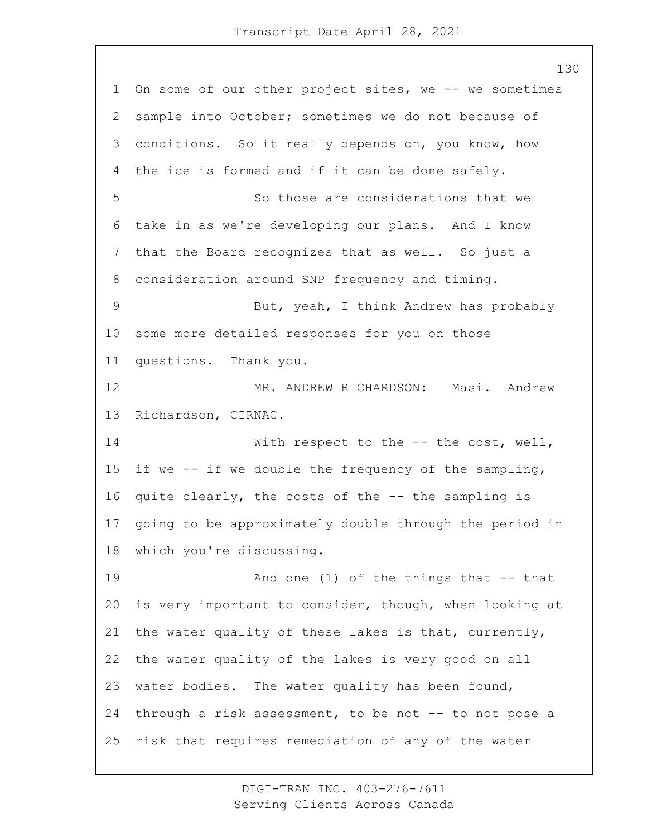On some of our other project sites, we -- we sometimes sample into October; sometimes we do not because of conditions. So it really depends on, you know, how the ice is formed and if it can be done safely. 5 So those are considerations that we take in as we're developing our plans. And I know that the Board recognizes that as well. So just a consideration around SNP frequency and timing. 9 But, yeah, I think Andrew has probably some more detailed responses for you on those questions. Thank you. 12 MR. ANDREW RICHARDSON: Masi. Andrew Richardson, CIRNAC. 14 With respect to the -- the cost, well, if we -- if we double the frequency of the sampling, quite clearly, the costs of the -- the sampling is going to be approximately double through the period in which you're discussing. 19 And one (1) of the things that -- that is very important to consider, though, when looking at the water quality of these lakes is that, currently, the water quality of the lakes is very good on all water bodies. The water quality has been found, 24 through a risk assessment, to be not -- to not pose a risk that requires remediation of any of the water

> DIGI-TRAN INC. 403-276-7611 Serving Clients Across Canada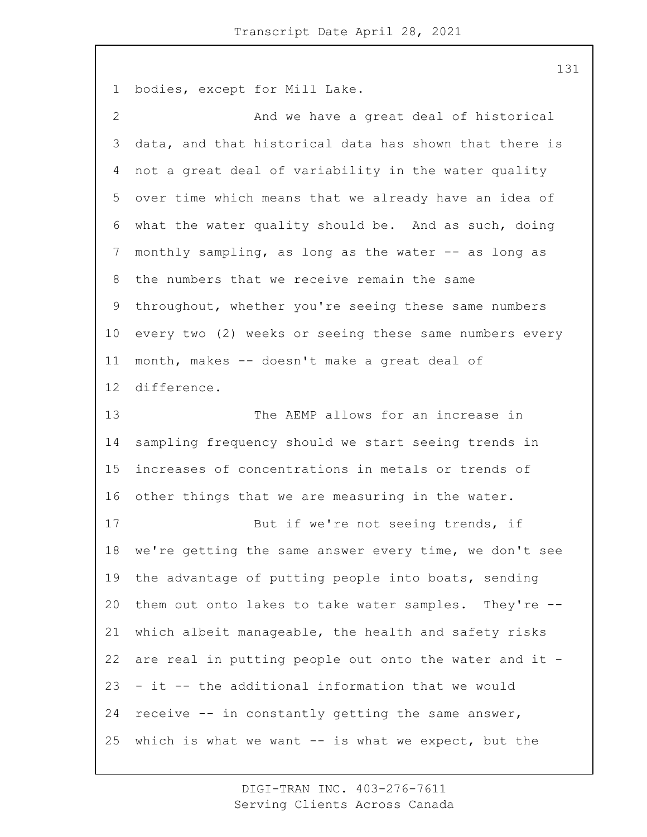bodies, except for Mill Lake.

2 And we have a great deal of historical data, and that historical data has shown that there is not a great deal of variability in the water quality over time which means that we already have an idea of what the water quality should be. And as such, doing 7 monthly sampling, as long as the water -- as long as the numbers that we receive remain the same throughout, whether you're seeing these same numbers every two (2) weeks or seeing these same numbers every month, makes -- doesn't make a great deal of difference. 13 The AEMP allows for an increase in sampling frequency should we start seeing trends in increases of concentrations in metals or trends of other things that we are measuring in the water. 17 But if we're not seeing trends, if we're getting the same answer every time, we don't see the advantage of putting people into boats, sending them out onto lakes to take water samples. They're -- which albeit manageable, the health and safety risks are real in putting people out onto the water and it - - it -- the additional information that we would receive -- in constantly getting the same answer, which is what we want -- is what we expect, but the

> DIGI-TRAN INC. 403-276-7611 Serving Clients Across Canada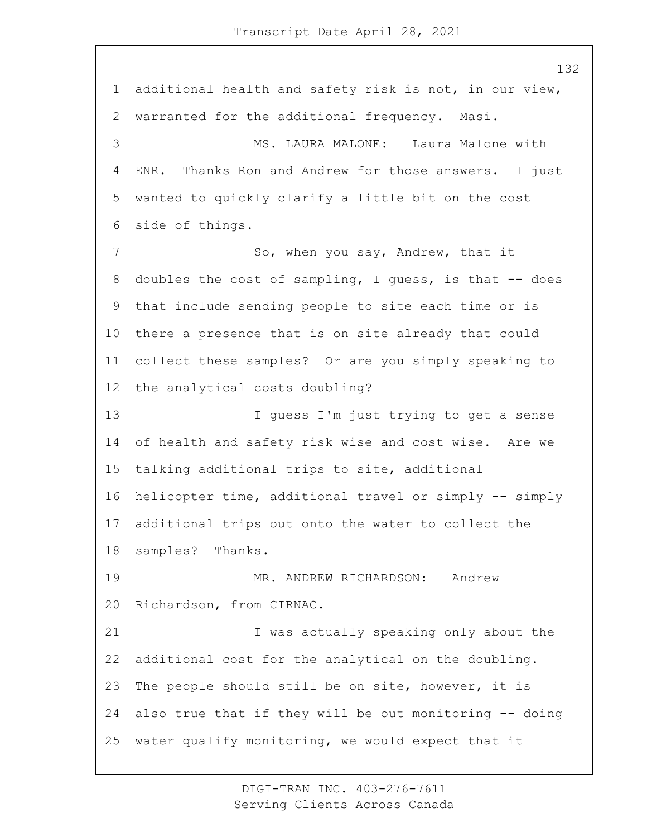additional health and safety risk is not, in our view, warranted for the additional frequency. Masi. 3 MS. LAURA MALONE: Laura Malone with ENR. Thanks Ron and Andrew for those answers. I just wanted to quickly clarify a little bit on the cost side of things. 7 So, when you say, Andrew, that it doubles the cost of sampling, I guess, is that -- does that include sending people to site each time or is there a presence that is on site already that could collect these samples? Or are you simply speaking to the analytical costs doubling? 13 I guess I'm just trying to get a sense of health and safety risk wise and cost wise. Are we talking additional trips to site, additional helicopter time, additional travel or simply -- simply additional trips out onto the water to collect the samples? Thanks. 19 MR. ANDREW RICHARDSON: Andrew Richardson, from CIRNAC. 21 I was actually speaking only about the additional cost for the analytical on the doubling. The people should still be on site, however, it is also true that if they will be out monitoring -- doing water qualify monitoring, we would expect that it

> DIGI-TRAN INC. 403-276-7611 Serving Clients Across Canada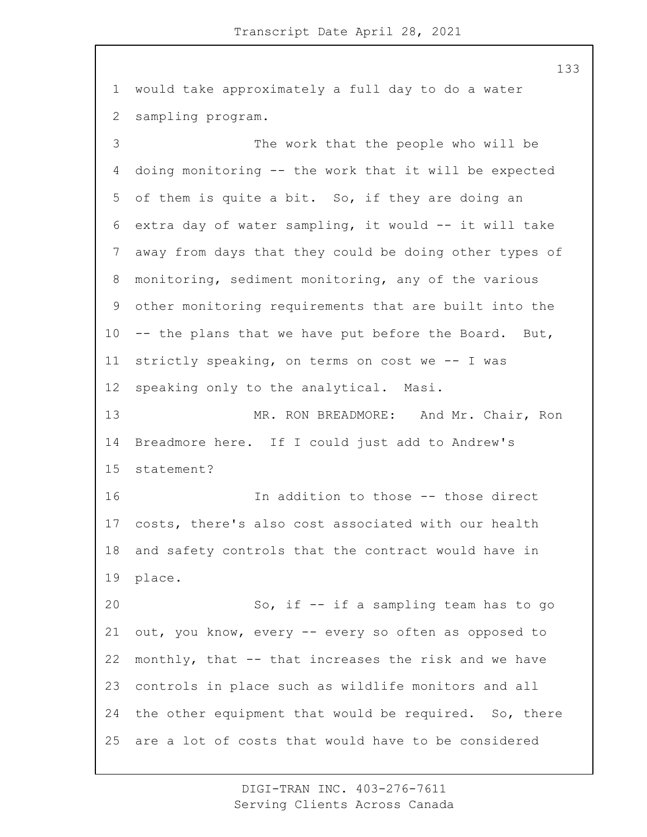would take approximately a full day to do a water sampling program. 3 The work that the people who will be doing monitoring -- the work that it will be expected of them is quite a bit. So, if they are doing an extra day of water sampling, it would -- it will take away from days that they could be doing other types of monitoring, sediment monitoring, any of the various other monitoring requirements that are built into the -- the plans that we have put before the Board. But, strictly speaking, on terms on cost we -- I was speaking only to the analytical. Masi. 13 MR. RON BREADMORE: And Mr. Chair, Ron Breadmore here. If I could just add to Andrew's statement? 16 In addition to those -- those direct costs, there's also cost associated with our health and safety controls that the contract would have in place. 20 So, if -- if a sampling team has to go out, you know, every -- every so often as opposed to monthly, that -- that increases the risk and we have controls in place such as wildlife monitors and all the other equipment that would be required. So, there are a lot of costs that would have to be considered

> DIGI-TRAN INC. 403-276-7611 Serving Clients Across Canada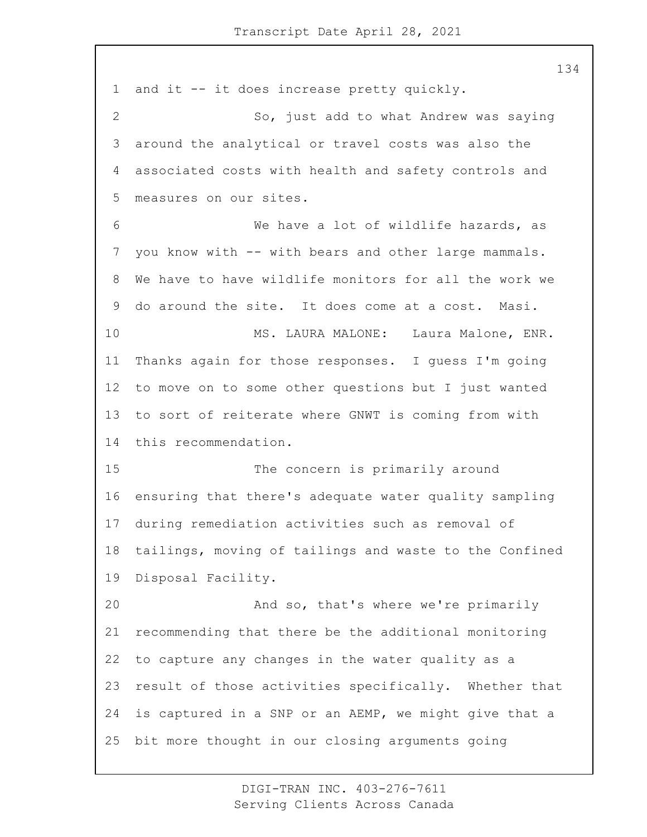and it -- it does increase pretty quickly. 2 So, just add to what Andrew was saying around the analytical or travel costs was also the associated costs with health and safety controls and measures on our sites. 6 We have a lot of wildlife hazards, as you know with -- with bears and other large mammals. We have to have wildlife monitors for all the work we do around the site. It does come at a cost. Masi. 10 MS. LAURA MALONE: Laura Malone, ENR. Thanks again for those responses. I guess I'm going to move on to some other questions but I just wanted to sort of reiterate where GNWT is coming from with this recommendation. 15 The concern is primarily around ensuring that there's adequate water quality sampling during remediation activities such as removal of tailings, moving of tailings and waste to the Confined Disposal Facility. 20 And so, that's where we're primarily recommending that there be the additional monitoring to capture any changes in the water quality as a result of those activities specifically. Whether that is captured in a SNP or an AEMP, we might give that a bit more thought in our closing arguments going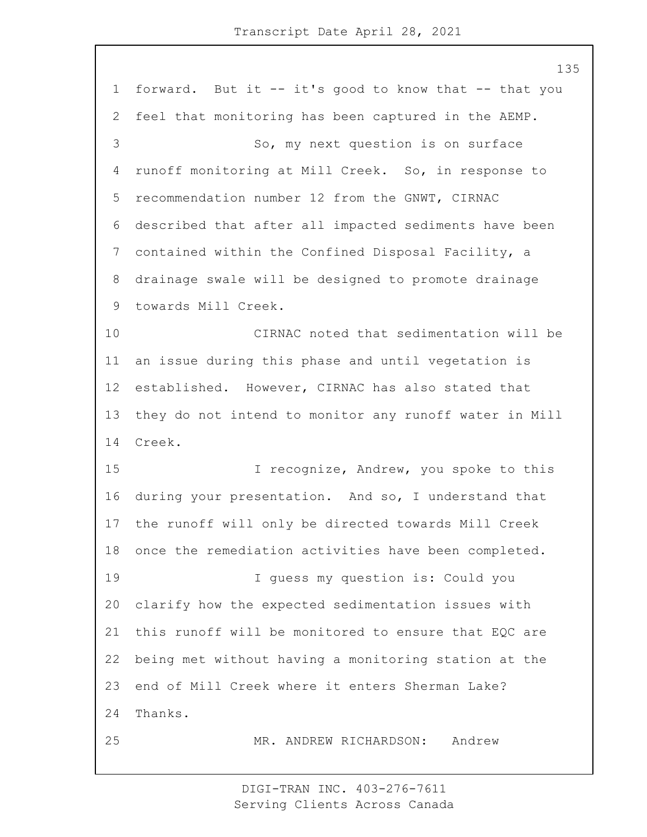forward. But it -- it's good to know that -- that you feel that monitoring has been captured in the AEMP. 3 So, my next question is on surface runoff monitoring at Mill Creek. So, in response to recommendation number 12 from the GNWT, CIRNAC described that after all impacted sediments have been contained within the Confined Disposal Facility, a drainage swale will be designed to promote drainage towards Mill Creek. 10 CIRNAC noted that sedimentation will be an issue during this phase and until vegetation is established. However, CIRNAC has also stated that they do not intend to monitor any runoff water in Mill Creek. 15 I recognize, Andrew, you spoke to this during your presentation. And so, I understand that the runoff will only be directed towards Mill Creek once the remediation activities have been completed. 19 I guess my question is: Could you clarify how the expected sedimentation issues with this runoff will be monitored to ensure that EQC are being met without having a monitoring station at the end of Mill Creek where it enters Sherman Lake? Thanks. 25 MR. ANDREW RICHARDSON: Andrew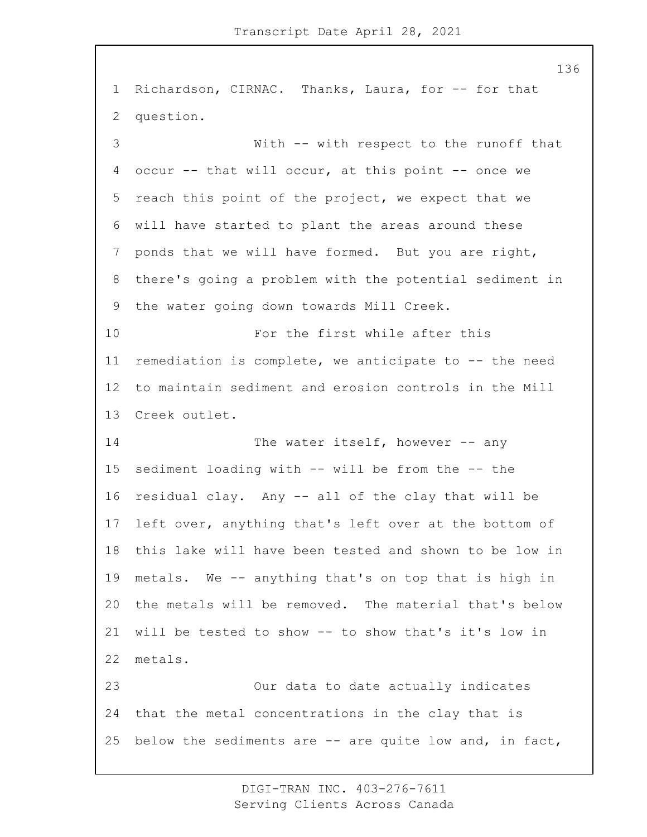Richardson, CIRNAC. Thanks, Laura, for -- for that question. 3 With -- with respect to the runoff that 4 occur -- that will occur, at this point -- once we reach this point of the project, we expect that we will have started to plant the areas around these ponds that we will have formed. But you are right, there's going a problem with the potential sediment in the water going down towards Mill Creek. 10 For the first while after this remediation is complete, we anticipate to -- the need to maintain sediment and erosion controls in the Mill Creek outlet. 14 The water itself, however -- any sediment loading with -- will be from the -- the residual clay. Any -- all of the clay that will be left over, anything that's left over at the bottom of this lake will have been tested and shown to be low in metals. We -- anything that's on top that is high in the metals will be removed. The material that's below will be tested to show -- to show that's it's low in metals. 23 Our data to date actually indicates that the metal concentrations in the clay that is below the sediments are -- are quite low and, in fact,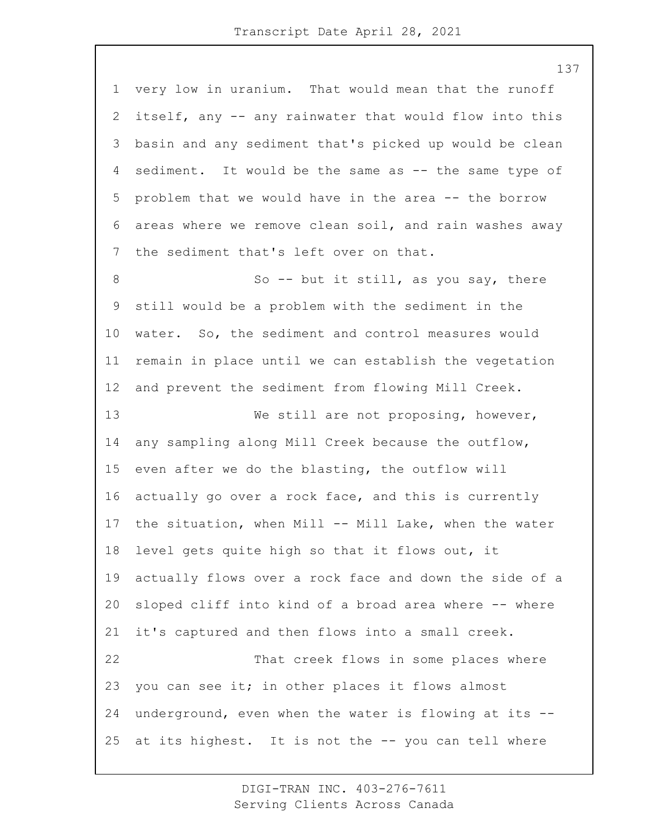very low in uranium. That would mean that the runoff itself, any -- any rainwater that would flow into this basin and any sediment that's picked up would be clean sediment. It would be the same as -- the same type of problem that we would have in the area -- the borrow areas where we remove clean soil, and rain washes away the sediment that's left over on that. 8 So -- but it still, as you say, there still would be a problem with the sediment in the water. So, the sediment and control measures would remain in place until we can establish the vegetation and prevent the sediment from flowing Mill Creek. 13 We still are not proposing, however, any sampling along Mill Creek because the outflow, even after we do the blasting, the outflow will actually go over a rock face, and this is currently the situation, when Mill -- Mill Lake, when the water level gets quite high so that it flows out, it actually flows over a rock face and down the side of a sloped cliff into kind of a broad area where -- where it's captured and then flows into a small creek. 22 That creek flows in some places where you can see it; in other places it flows almost underground, even when the water is flowing at its -- at its highest. It is not the -- you can tell where

> DIGI-TRAN INC. 403-276-7611 Serving Clients Across Canada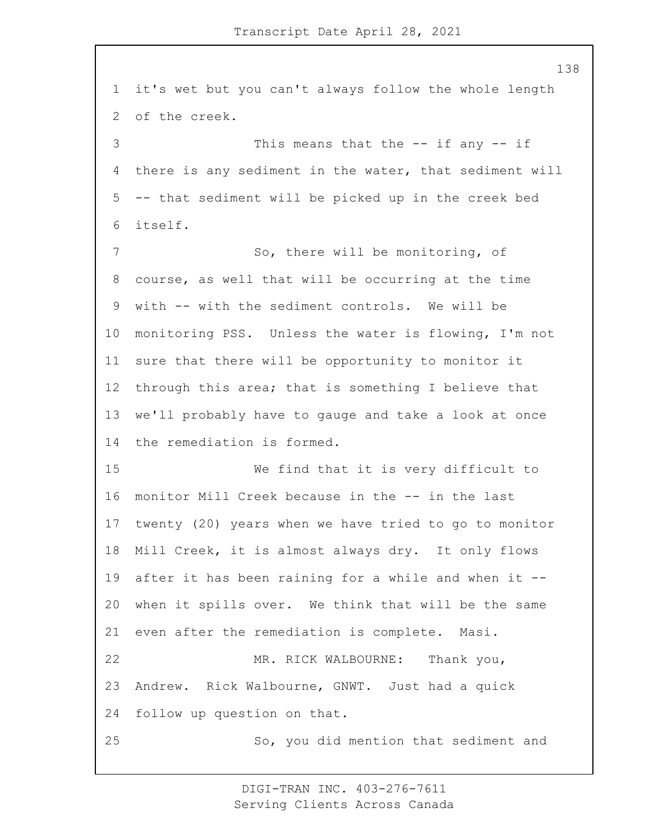it's wet but you can't always follow the whole length of the creek. 3 This means that the -- if any -- if there is any sediment in the water, that sediment will -- that sediment will be picked up in the creek bed itself. 7 So, there will be monitoring, of course, as well that will be occurring at the time with -- with the sediment controls. We will be monitoring PSS. Unless the water is flowing, I'm not sure that there will be opportunity to monitor it through this area; that is something I believe that we'll probably have to gauge and take a look at once the remediation is formed. 15 We find that it is very difficult to monitor Mill Creek because in the -- in the last twenty (20) years when we have tried to go to monitor Mill Creek, it is almost always dry. It only flows after it has been raining for a while and when it -- when it spills over. We think that will be the same even after the remediation is complete. Masi. 22 MR. RICK WALBOURNE: Thank you, Andrew. Rick Walbourne, GNWT. Just had a quick follow up question on that. 25 So, you did mention that sediment and

> DIGI-TRAN INC. 403-276-7611 Serving Clients Across Canada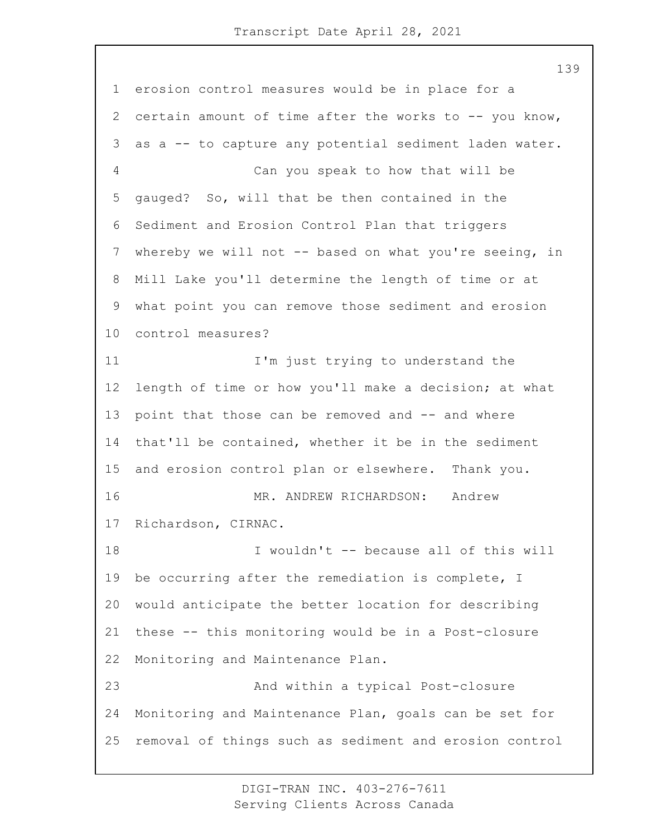erosion control measures would be in place for a certain amount of time after the works to -- you know, as a -- to capture any potential sediment laden water. 4 Can you speak to how that will be gauged? So, will that be then contained in the Sediment and Erosion Control Plan that triggers whereby we will not -- based on what you're seeing, in Mill Lake you'll determine the length of time or at what point you can remove those sediment and erosion control measures? 11 I'm just trying to understand the length of time or how you'll make a decision; at what 13 point that those can be removed and -- and where that'll be contained, whether it be in the sediment and erosion control plan or elsewhere. Thank you. 16 MR. ANDREW RICHARDSON: Andrew Richardson, CIRNAC. 18 I wouldn't -- because all of this will be occurring after the remediation is complete, I would anticipate the better location for describing these -- this monitoring would be in a Post-closure Monitoring and Maintenance Plan. 23 And within a typical Post-closure Monitoring and Maintenance Plan, goals can be set for removal of things such as sediment and erosion control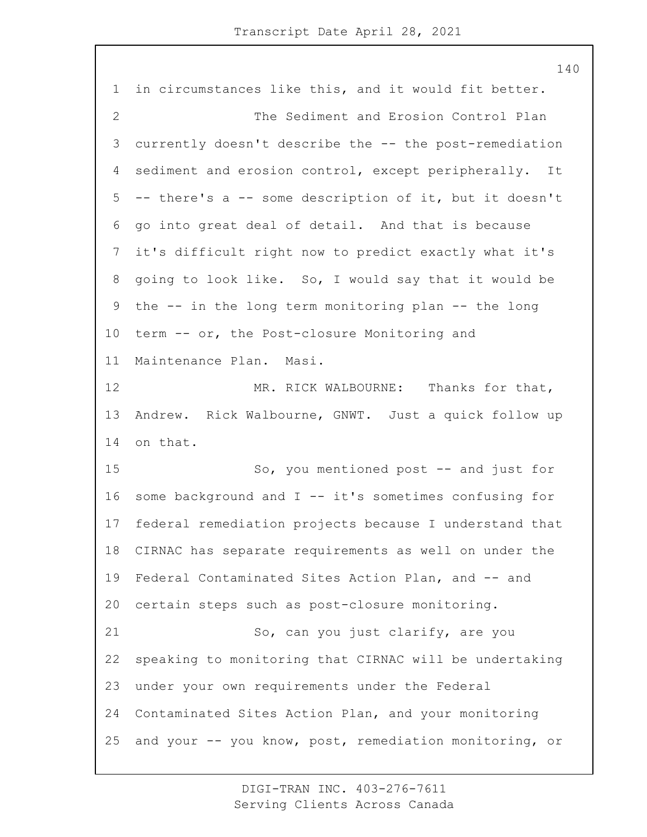in circumstances like this, and it would fit better. 2 The Sediment and Erosion Control Plan currently doesn't describe the -- the post-remediation sediment and erosion control, except peripherally. It -- there's a -- some description of it, but it doesn't go into great deal of detail. And that is because it's difficult right now to predict exactly what it's going to look like. So, I would say that it would be the -- in the long term monitoring plan -- the long term -- or, the Post-closure Monitoring and Maintenance Plan. Masi. 12 MR. RICK WALBOURNE: Thanks for that, Andrew. Rick Walbourne, GNWT. Just a quick follow up on that. 15 So, you mentioned post -- and just for some background and I -- it's sometimes confusing for federal remediation projects because I understand that CIRNAC has separate requirements as well on under the Federal Contaminated Sites Action Plan, and -- and certain steps such as post-closure monitoring. 21 So, can you just clarify, are you speaking to monitoring that CIRNAC will be undertaking under your own requirements under the Federal Contaminated Sites Action Plan, and your monitoring and your -- you know, post, remediation monitoring, or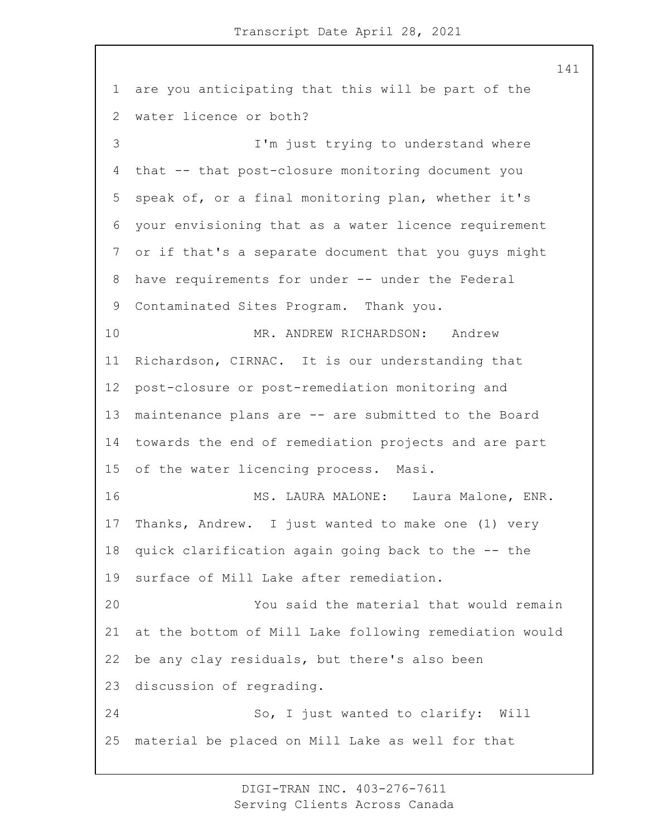are you anticipating that this will be part of the water licence or both? 3 I'm just trying to understand where that -- that post-closure monitoring document you speak of, or a final monitoring plan, whether it's your envisioning that as a water licence requirement or if that's a separate document that you guys might have requirements for under -- under the Federal Contaminated Sites Program. Thank you. 10 MR. ANDREW RICHARDSON: Andrew Richardson, CIRNAC. It is our understanding that post-closure or post-remediation monitoring and maintenance plans are -- are submitted to the Board towards the end of remediation projects and are part of the water licencing process. Masi. 16 MS. LAURA MALONE: Laura Malone, ENR. Thanks, Andrew. I just wanted to make one (1) very quick clarification again going back to the -- the surface of Mill Lake after remediation. 20 You said the material that would remain at the bottom of Mill Lake following remediation would be any clay residuals, but there's also been discussion of regrading. 24 So, I just wanted to clarify: Will material be placed on Mill Lake as well for that

> DIGI-TRAN INC. 403-276-7611 Serving Clients Across Canada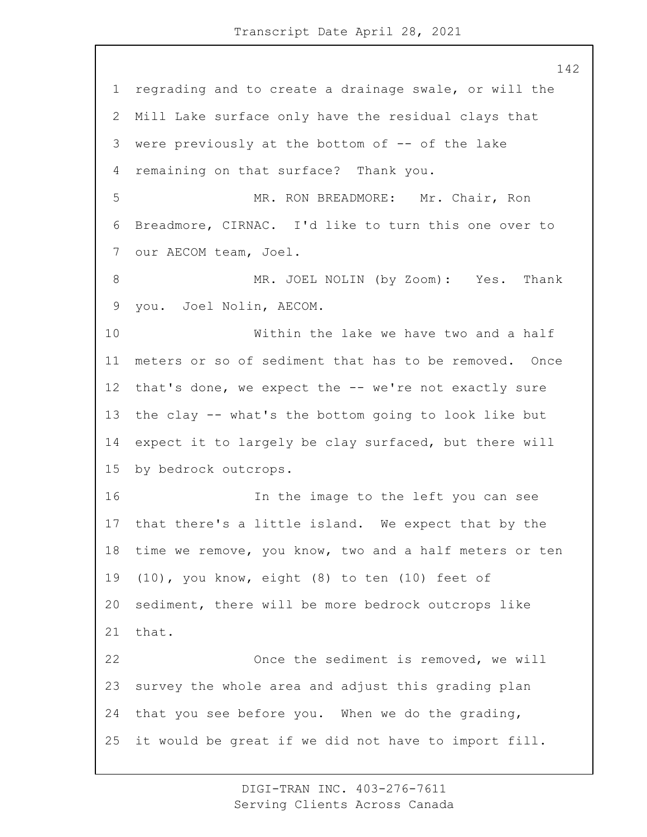regrading and to create a drainage swale, or will the Mill Lake surface only have the residual clays that were previously at the bottom of -- of the lake remaining on that surface? Thank you. 5 MR. RON BREADMORE: Mr. Chair, Ron Breadmore, CIRNAC. I'd like to turn this one over to our AECOM team, Joel. 8 MR. JOEL NOLIN (by Zoom): Yes. Thank you. Joel Nolin, AECOM. 10 Within the lake we have two and a half meters or so of sediment that has to be removed. Once that's done, we expect the -- we're not exactly sure the clay -- what's the bottom going to look like but expect it to largely be clay surfaced, but there will by bedrock outcrops. 16 In the image to the left you can see that there's a little island. We expect that by the time we remove, you know, two and a half meters or ten (10), you know, eight (8) to ten (10) feet of sediment, there will be more bedrock outcrops like that. 22 Once the sediment is removed, we will survey the whole area and adjust this grading plan that you see before you. When we do the grading, it would be great if we did not have to import fill.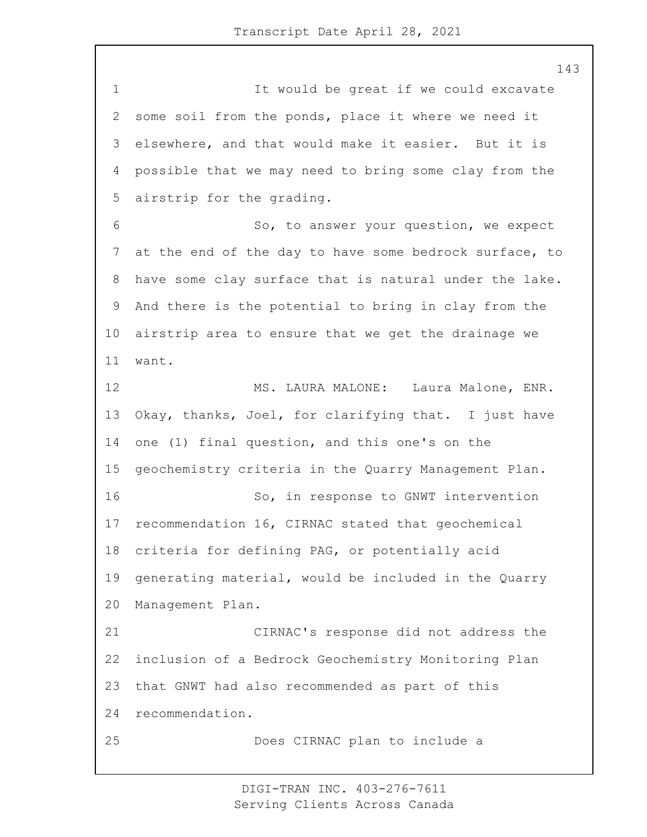1 It would be great if we could excavate some soil from the ponds, place it where we need it elsewhere, and that would make it easier. But it is possible that we may need to bring some clay from the airstrip for the grading. 6 So, to answer your question, we expect at the end of the day to have some bedrock surface, to have some clay surface that is natural under the lake. And there is the potential to bring in clay from the airstrip area to ensure that we get the drainage we want. 12 MS. LAURA MALONE: Laura Malone, ENR. Okay, thanks, Joel, for clarifying that. I just have one (1) final question, and this one's on the geochemistry criteria in the Quarry Management Plan. 16 So, in response to GNWT intervention recommendation 16, CIRNAC stated that geochemical criteria for defining PAG, or potentially acid generating material, would be included in the Quarry Management Plan. 21 CIRNAC's response did not address the inclusion of a Bedrock Geochemistry Monitoring Plan that GNWT had also recommended as part of this recommendation. 25 Does CIRNAC plan to include a

> DIGI-TRAN INC. 403-276-7611 Serving Clients Across Canada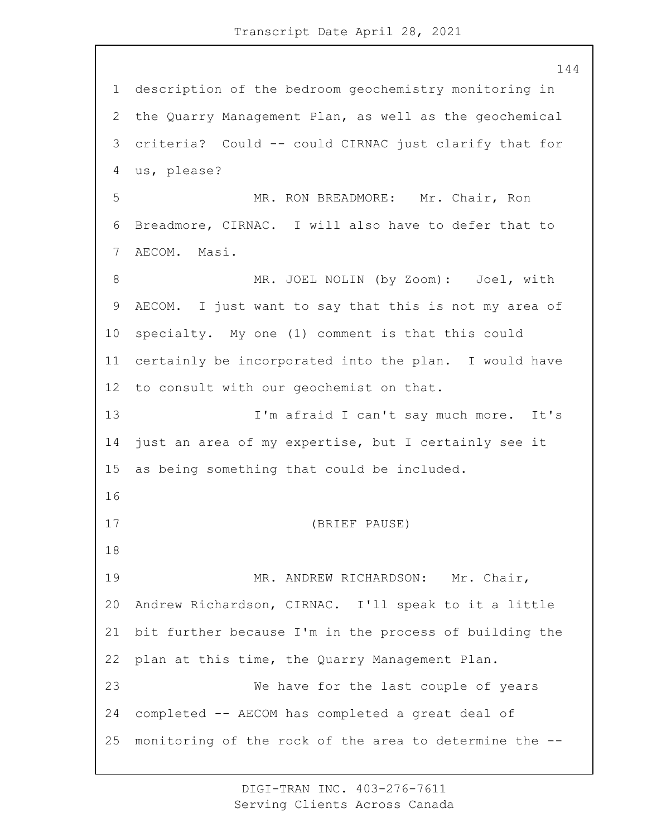description of the bedroom geochemistry monitoring in the Quarry Management Plan, as well as the geochemical criteria? Could -- could CIRNAC just clarify that for us, please? 5 MR. RON BREADMORE: Mr. Chair, Ron Breadmore, CIRNAC. I will also have to defer that to AECOM. Masi. 8 MR. JOEL NOLIN (by Zoom): Joel, with AECOM. I just want to say that this is not my area of specialty. My one (1) comment is that this could certainly be incorporated into the plan. I would have to consult with our geochemist on that. 13 I'm afraid I can't say much more. It's just an area of my expertise, but I certainly see it as being something that could be included. 17 (BRIEF PAUSE) 19 MR. ANDREW RICHARDSON: Mr. Chair, Andrew Richardson, CIRNAC. I'll speak to it a little bit further because I'm in the process of building the plan at this time, the Quarry Management Plan. 23 We have for the last couple of years completed -- AECOM has completed a great deal of monitoring of the rock of the area to determine the --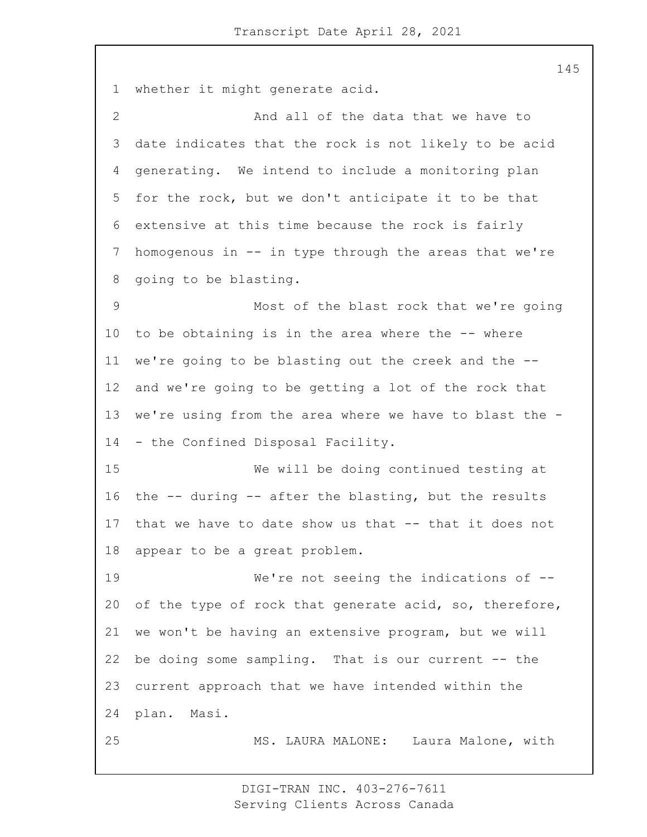whether it might generate acid. 2 And all of the data that we have to date indicates that the rock is not likely to be acid generating. We intend to include a monitoring plan for the rock, but we don't anticipate it to be that extensive at this time because the rock is fairly homogenous in -- in type through the areas that we're going to be blasting. 9 Most of the blast rock that we're going to be obtaining is in the area where the -- where we're going to be blasting out the creek and the -- and we're going to be getting a lot of the rock that we're using from the area where we have to blast the - - the Confined Disposal Facility. 15 We will be doing continued testing at the -- during -- after the blasting, but the results that we have to date show us that -- that it does not appear to be a great problem. 19 We're not seeing the indications of -- of the type of rock that generate acid, so, therefore, we won't be having an extensive program, but we will 22 be doing some sampling. That is our current -- the current approach that we have intended within the plan. Masi. 25 MS. LAURA MALONE: Laura Malone, with

> DIGI-TRAN INC. 403-276-7611 Serving Clients Across Canada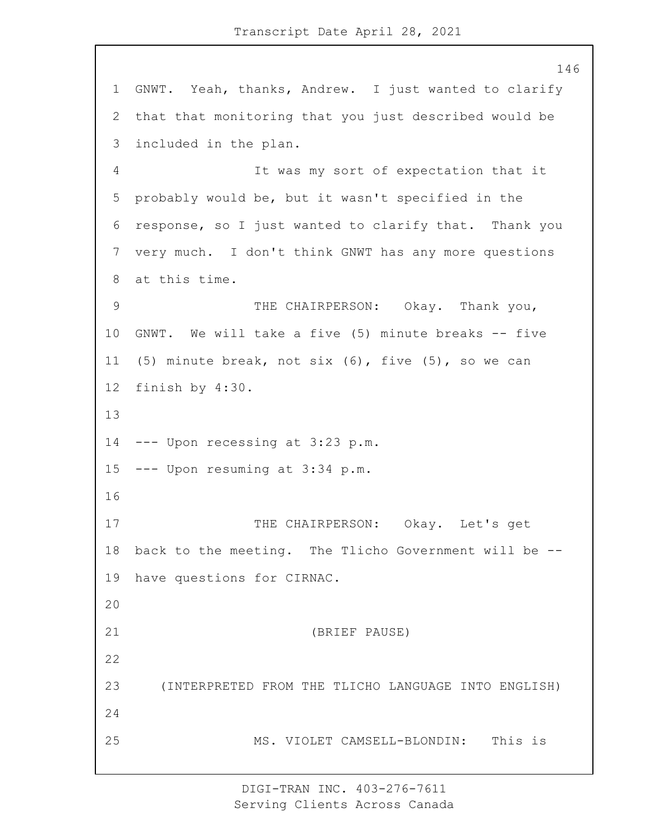GNWT. Yeah, thanks, Andrew. I just wanted to clarify that that monitoring that you just described would be included in the plan. 4 It was my sort of expectation that it probably would be, but it wasn't specified in the response, so I just wanted to clarify that. Thank you very much. I don't think GNWT has any more questions at this time. 9 THE CHAIRPERSON: Okay. Thank you, GNWT. We will take a five (5) minute breaks -- five (5) minute break, not six (6), five (5), so we can finish by 4:30. --- Upon recessing at 3:23 p.m. --- Upon resuming at 3:34 p.m. 17 THE CHAIRPERSON: Okay. Let's get back to the meeting. The Tlicho Government will be -- have questions for CIRNAC. 21 (BRIEF PAUSE) 23 (INTERPRETED FROM THE TLICHO LANGUAGE INTO ENGLISH) 25 MS. VIOLET CAMSELL-BLONDIN: This is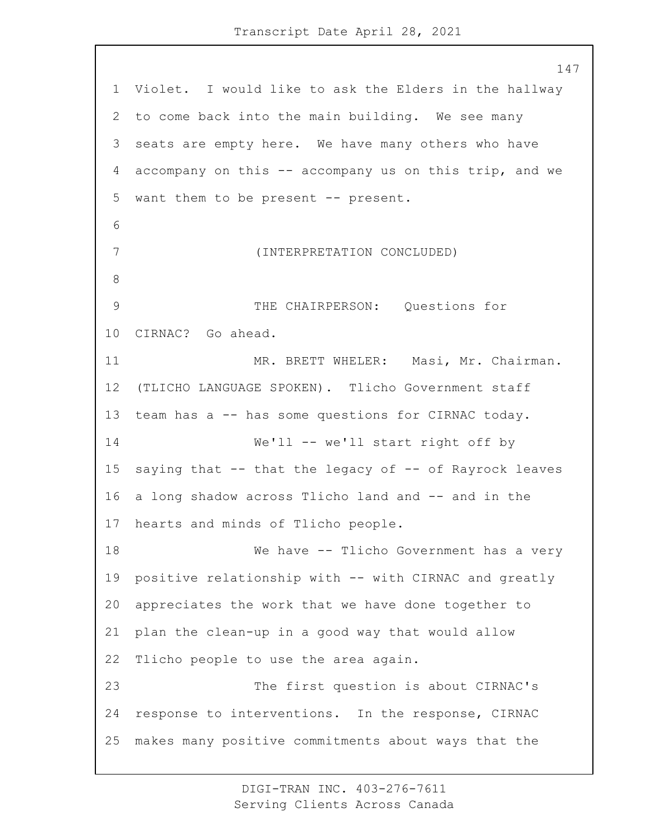Violet. I would like to ask the Elders in the hallway to come back into the main building. We see many seats are empty here. We have many others who have accompany on this -- accompany us on this trip, and we want them to be present -- present. 7 (INTERPRETATION CONCLUDED) 9 THE CHAIRPERSON: Questions for CIRNAC? Go ahead. 11 MR. BRETT WHELER: Masi, Mr. Chairman. (TLICHO LANGUAGE SPOKEN). Tlicho Government staff team has a -- has some questions for CIRNAC today. 14 We'll -- we'll start right off by saying that -- that the legacy of -- of Rayrock leaves a long shadow across Tlicho land and -- and in the hearts and minds of Tlicho people. 18 We have -- Tlicho Government has a very positive relationship with -- with CIRNAC and greatly appreciates the work that we have done together to plan the clean-up in a good way that would allow Tlicho people to use the area again. 23 The first question is about CIRNAC's response to interventions. In the response, CIRNAC makes many positive commitments about ways that the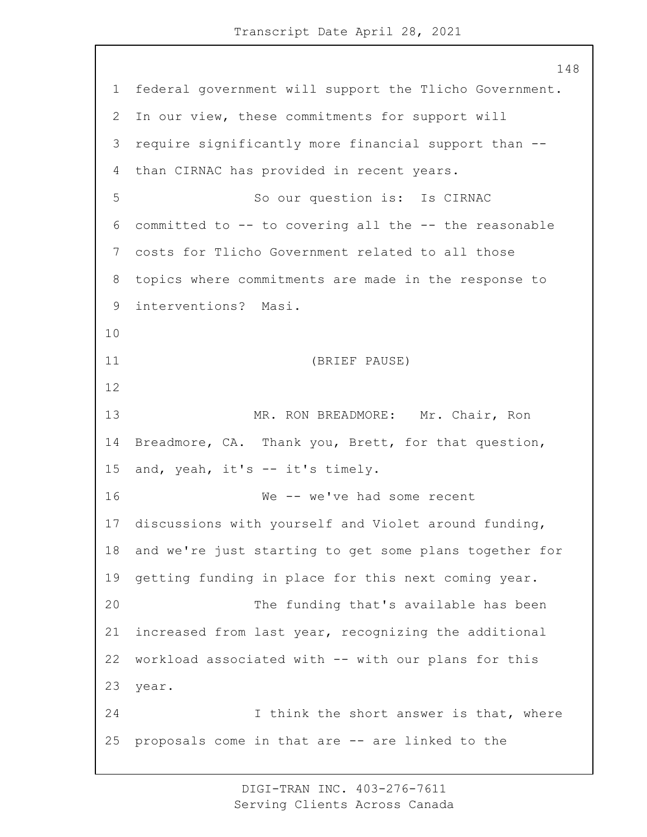federal government will support the Tlicho Government. In our view, these commitments for support will require significantly more financial support than -- than CIRNAC has provided in recent years. 5 So our question is: Is CIRNAC committed to -- to covering all the -- the reasonable costs for Tlicho Government related to all those topics where commitments are made in the response to interventions? Masi. 11 (BRIEF PAUSE) 13 MR. RON BREADMORE: Mr. Chair, Ron Breadmore, CA. Thank you, Brett, for that question, and, yeah, it's -- it's timely. 16 We -- we've had some recent discussions with yourself and Violet around funding, and we're just starting to get some plans together for getting funding in place for this next coming year. 20 The funding that's available has been increased from last year, recognizing the additional workload associated with -- with our plans for this year. 24 1 I think the short answer is that, where proposals come in that are -- are linked to the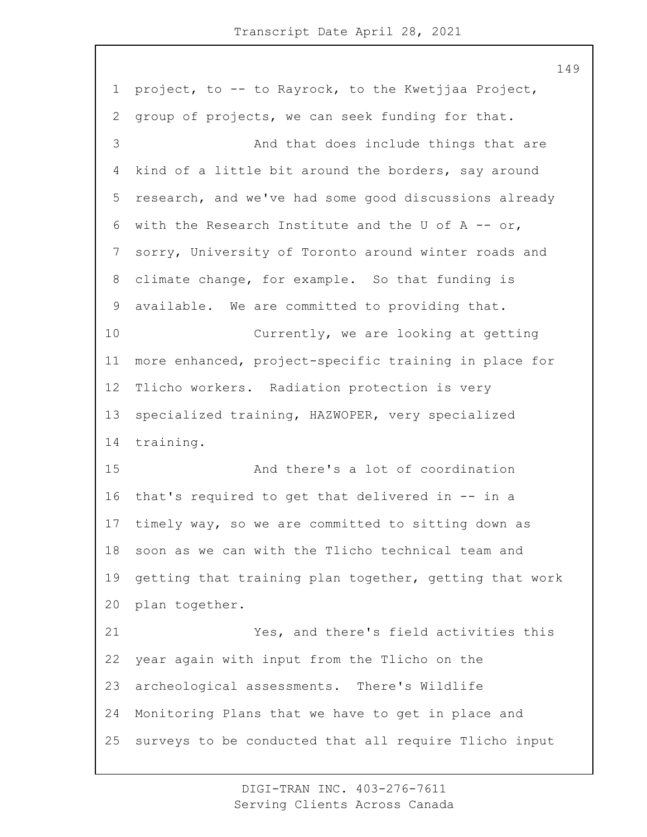project, to -- to Rayrock, to the Kwetjjaa Project, group of projects, we can seek funding for that. 3 And that does include things that are kind of a little bit around the borders, say around research, and we've had some good discussions already 6 with the Research Institute and the U of A  $-$  or, sorry, University of Toronto around winter roads and climate change, for example. So that funding is available. We are committed to providing that. 10 Currently, we are looking at getting more enhanced, project-specific training in place for Tlicho workers. Radiation protection is very specialized training, HAZWOPER, very specialized training. 15 And there's a lot of coordination that's required to get that delivered in -- in a timely way, so we are committed to sitting down as soon as we can with the Tlicho technical team and getting that training plan together, getting that work plan together. 21 Yes, and there's field activities this year again with input from the Tlicho on the archeological assessments. There's Wildlife Monitoring Plans that we have to get in place and surveys to be conducted that all require Tlicho input

> DIGI-TRAN INC. 403-276-7611 Serving Clients Across Canada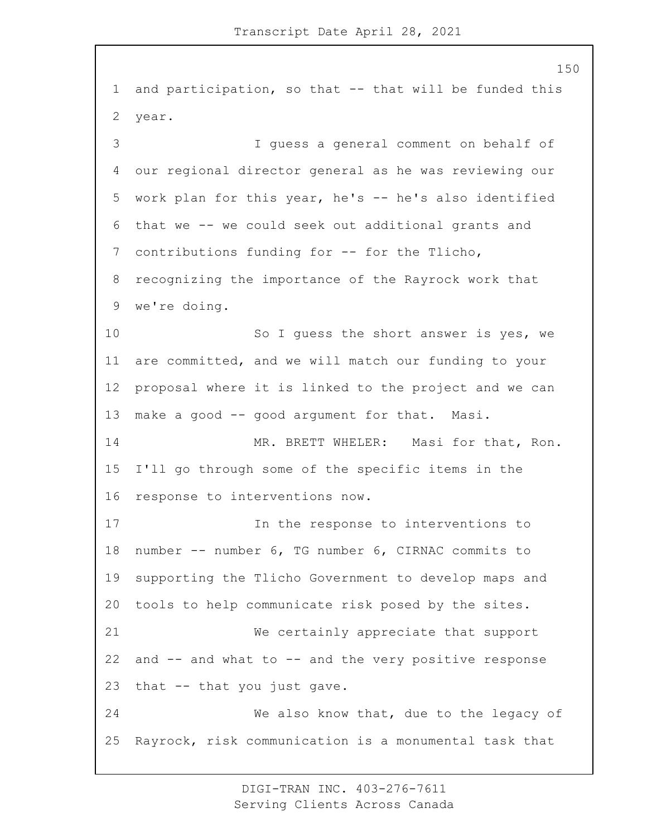and participation, so that -- that will be funded this year. 3 I guess a general comment on behalf of our regional director general as he was reviewing our work plan for this year, he's -- he's also identified that we -- we could seek out additional grants and contributions funding for -- for the Tlicho, recognizing the importance of the Rayrock work that we're doing. 10 So I guess the short answer is yes, we are committed, and we will match our funding to your proposal where it is linked to the project and we can 13 make a good -- good argument for that. Masi. 14 MR. BRETT WHELER: Masi for that, Ron. I'll go through some of the specific items in the response to interventions now. 17 In the response to interventions to number -- number 6, TG number 6, CIRNAC commits to supporting the Tlicho Government to develop maps and tools to help communicate risk posed by the sites. 21 We certainly appreciate that support and -- and what to -- and the very positive response that -- that you just gave. 24 We also know that, due to the legacy of Rayrock, risk communication is a monumental task that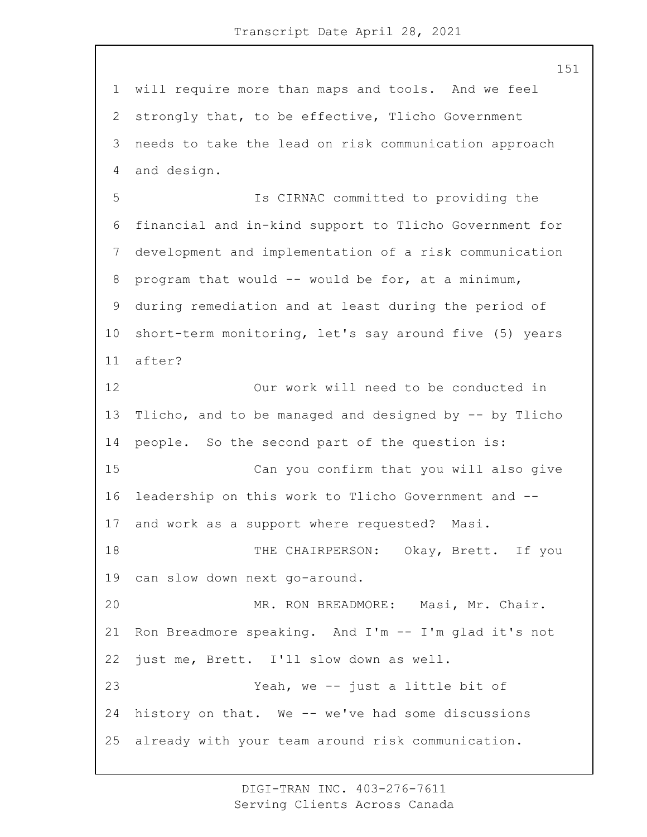will require more than maps and tools. And we feel strongly that, to be effective, Tlicho Government needs to take the lead on risk communication approach and design.

5 Is CIRNAC committed to providing the financial and in-kind support to Tlicho Government for development and implementation of a risk communication program that would -- would be for, at a minimum, during remediation and at least during the period of short-term monitoring, let's say around five (5) years after?

12 Our work will need to be conducted in Tlicho, and to be managed and designed by -- by Tlicho people. So the second part of the question is: 15 Can you confirm that you will also give leadership on this work to Tlicho Government and -- and work as a support where requested? Masi. 18 THE CHAIRPERSON: Okay, Brett. If you can slow down next go-around. 20 MR. RON BREADMORE: Masi, Mr. Chair. Ron Breadmore speaking. And I'm -- I'm glad it's not just me, Brett. I'll slow down as well. 23 Yeah, we -- just a little bit of history on that. We -- we've had some discussions already with your team around risk communication.

> DIGI-TRAN INC. 403-276-7611 Serving Clients Across Canada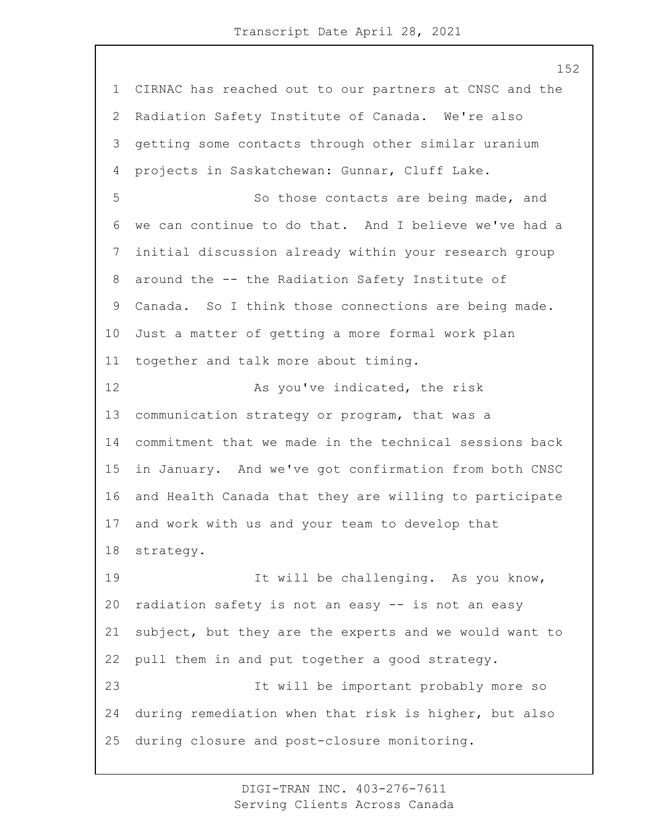CIRNAC has reached out to our partners at CNSC and the Radiation Safety Institute of Canada. We're also getting some contacts through other similar uranium projects in Saskatchewan: Gunnar, Cluff Lake. 5 So those contacts are being made, and we can continue to do that. And I believe we've had a initial discussion already within your research group around the -- the Radiation Safety Institute of Canada. So I think those connections are being made. Just a matter of getting a more formal work plan together and talk more about timing. 12 As you've indicated, the risk communication strategy or program, that was a commitment that we made in the technical sessions back in January. And we've got confirmation from both CNSC and Health Canada that they are willing to participate and work with us and your team to develop that strategy. 19 It will be challenging. As you know, radiation safety is not an easy -- is not an easy subject, but they are the experts and we would want to pull them in and put together a good strategy. 23 It will be important probably more so during remediation when that risk is higher, but also during closure and post-closure monitoring.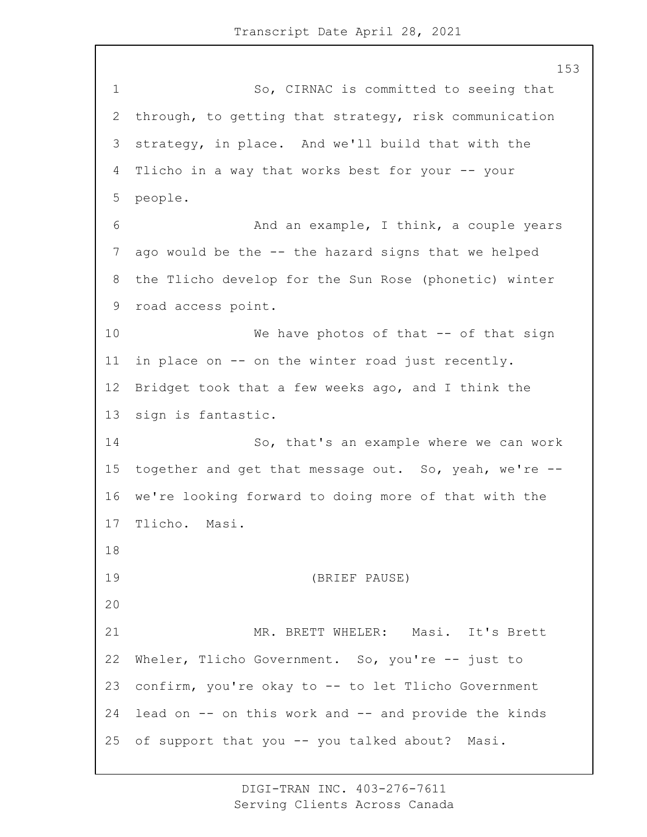1 So, CIRNAC is committed to seeing that through, to getting that strategy, risk communication strategy, in place. And we'll build that with the Tlicho in a way that works best for your -- your people. 6 And an example, I think, a couple years ago would be the -- the hazard signs that we helped the Tlicho develop for the Sun Rose (phonetic) winter road access point. 10 We have photos of that -- of that sign in place on -- on the winter road just recently. Bridget took that a few weeks ago, and I think the sign is fantastic. 14 So, that's an example where we can work together and get that message out. So, yeah, we're -- we're looking forward to doing more of that with the Tlicho. Masi. 19 (BRIEF PAUSE) 21 MR. BRETT WHELER: Masi. It's Brett Wheler, Tlicho Government. So, you're -- just to confirm, you're okay to -- to let Tlicho Government lead on -- on this work and -- and provide the kinds of support that you -- you talked about? Masi.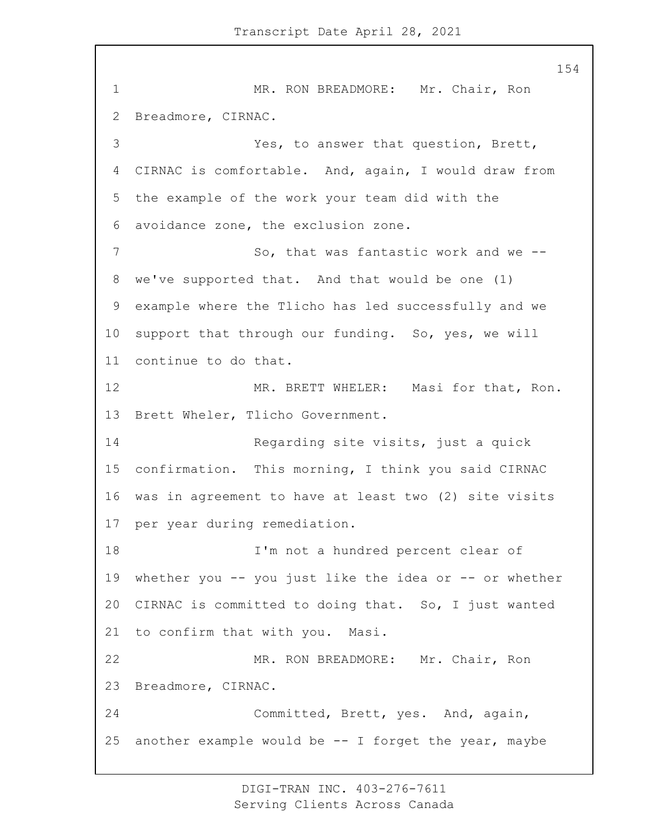1 MR. RON BREADMORE: Mr. Chair, Ron Breadmore, CIRNAC. 3 Yes, to answer that question, Brett, CIRNAC is comfortable. And, again, I would draw from the example of the work your team did with the avoidance zone, the exclusion zone. 7 So, that was fantastic work and we -- we've supported that. And that would be one (1) example where the Tlicho has led successfully and we support that through our funding. So, yes, we will continue to do that. 12 MR. BRETT WHELER: Masi for that, Ron. Brett Wheler, Tlicho Government. 14 Regarding site visits, just a quick confirmation. This morning, I think you said CIRNAC was in agreement to have at least two (2) site visits per year during remediation. 18 I'm not a hundred percent clear of whether you -- you just like the idea or -- or whether CIRNAC is committed to doing that. So, I just wanted to confirm that with you. Masi. 22 MR. RON BREADMORE: Mr. Chair, Ron Breadmore, CIRNAC. 24 Committed, Brett, yes. And, again, 25 another example would be  $--$  I forget the year, maybe

> DIGI-TRAN INC. 403-276-7611 Serving Clients Across Canada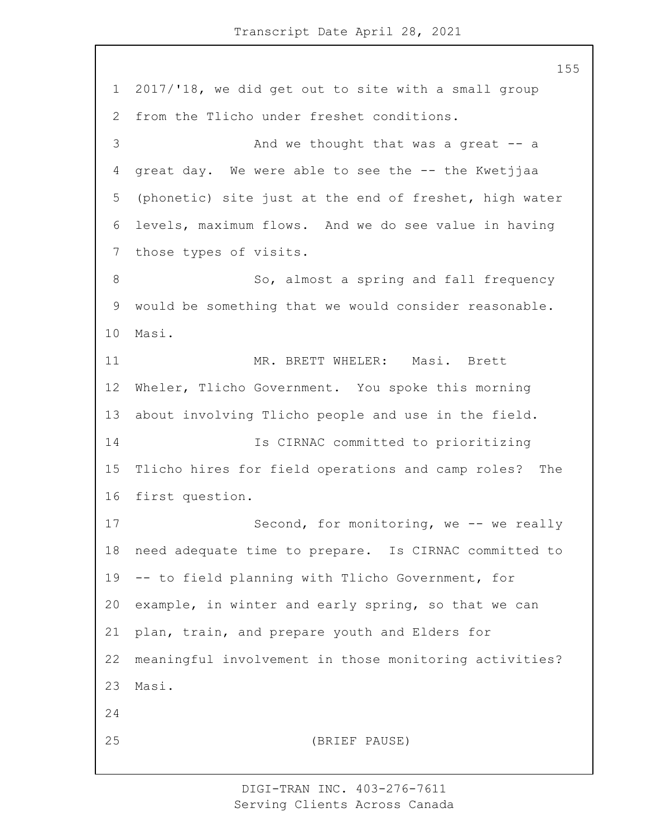2017/'18, we did get out to site with a small group from the Tlicho under freshet conditions. 3 And we thought that was a great -- a great day. We were able to see the -- the Kwetjjaa (phonetic) site just at the end of freshet, high water levels, maximum flows. And we do see value in having those types of visits. 8 So, almost a spring and fall frequency would be something that we would consider reasonable. Masi. 11 MR. BRETT WHELER: Masi. Brett Wheler, Tlicho Government. You spoke this morning about involving Tlicho people and use in the field. 14 Is CIRNAC committed to prioritizing Tlicho hires for field operations and camp roles? The first question. 17 Second, for monitoring, we -- we really need adequate time to prepare. Is CIRNAC committed to -- to field planning with Tlicho Government, for example, in winter and early spring, so that we can plan, train, and prepare youth and Elders for meaningful involvement in those monitoring activities? Masi. 25 (BRIEF PAUSE)

> DIGI-TRAN INC. 403-276-7611 Serving Clients Across Canada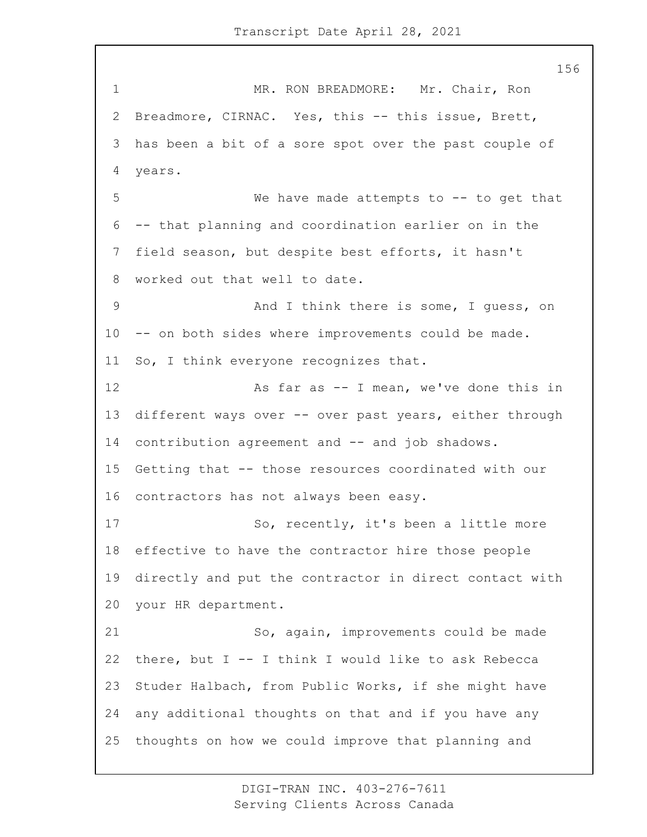1 MR. RON BREADMORE: Mr. Chair, Ron Breadmore, CIRNAC. Yes, this -- this issue, Brett, has been a bit of a sore spot over the past couple of years. 5 We have made attempts to -- to get that -- that planning and coordination earlier on in the field season, but despite best efforts, it hasn't worked out that well to date. 9 And I think there is some, I guess, on -- on both sides where improvements could be made. So, I think everyone recognizes that. 12 As far as -- I mean, we've done this in different ways over -- over past years, either through 14 contribution agreement and -- and job shadows. Getting that -- those resources coordinated with our contractors has not always been easy. 17 So, recently, it's been a little more effective to have the contractor hire those people directly and put the contractor in direct contact with your HR department. 21 So, again, improvements could be made there, but I -- I think I would like to ask Rebecca Studer Halbach, from Public Works, if she might have any additional thoughts on that and if you have any thoughts on how we could improve that planning and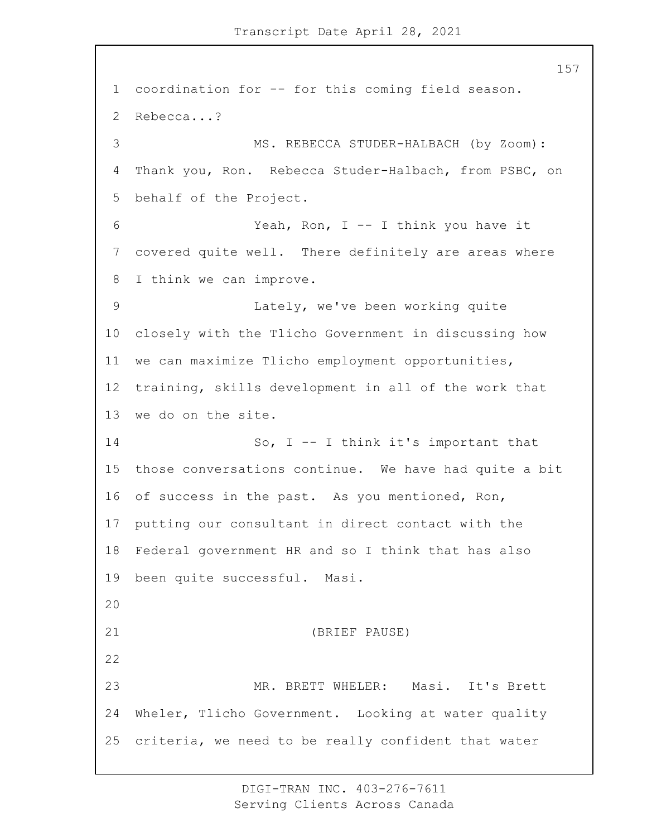coordination for -- for this coming field season. Rebecca...? 3 MS. REBECCA STUDER-HALBACH (by Zoom): Thank you, Ron. Rebecca Studer-Halbach, from PSBC, on behalf of the Project. 6 Yeah, Ron, I -- I think you have it covered quite well. There definitely are areas where I think we can improve. 9 Lately, we've been working quite closely with the Tlicho Government in discussing how we can maximize Tlicho employment opportunities, training, skills development in all of the work that we do on the site. 14 So, I -- I think it's important that those conversations continue. We have had quite a bit of success in the past. As you mentioned, Ron, putting our consultant in direct contact with the Federal government HR and so I think that has also been quite successful. Masi. 21 (BRIEF PAUSE) 23 MR. BRETT WHELER: Masi. It's Brett Wheler, Tlicho Government. Looking at water quality criteria, we need to be really confident that water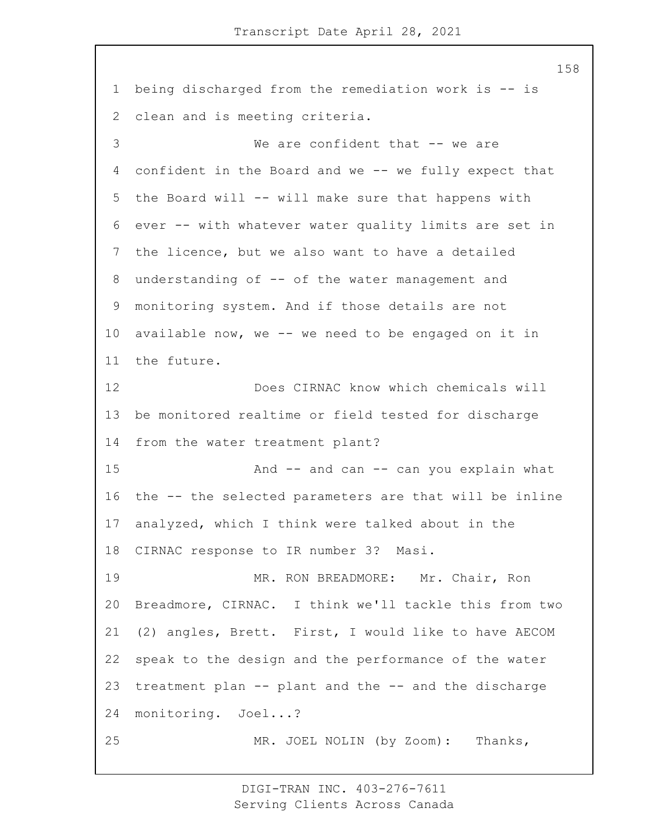being discharged from the remediation work is -- is clean and is meeting criteria. 3 We are confident that -- we are confident in the Board and we -- we fully expect that the Board will -- will make sure that happens with ever -- with whatever water quality limits are set in the licence, but we also want to have a detailed understanding of -- of the water management and monitoring system. And if those details are not available now, we -- we need to be engaged on it in the future. 12 Does CIRNAC know which chemicals will be monitored realtime or field tested for discharge from the water treatment plant? 15 And -- and can -- can you explain what the -- the selected parameters are that will be inline analyzed, which I think were talked about in the CIRNAC response to IR number 3? Masi. 19 MR. RON BREADMORE: Mr. Chair, Ron Breadmore, CIRNAC. I think we'll tackle this from two (2) angles, Brett. First, I would like to have AECOM speak to the design and the performance of the water treatment plan -- plant and the -- and the discharge monitoring. Joel...? 25 MR. JOEL NOLIN (by Zoom): Thanks,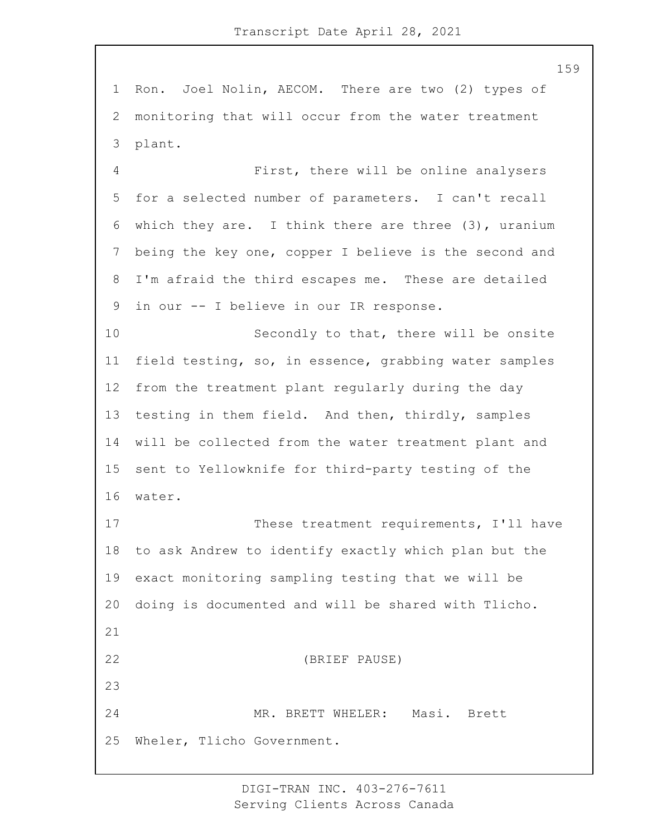Ron. Joel Nolin, AECOM. There are two (2) types of monitoring that will occur from the water treatment plant.

4 First, there will be online analysers for a selected number of parameters. I can't recall which they are. I think there are three (3), uranium being the key one, copper I believe is the second and I'm afraid the third escapes me. These are detailed in our -- I believe in our IR response.

10 Secondly to that, there will be onsite field testing, so, in essence, grabbing water samples from the treatment plant regularly during the day testing in them field. And then, thirdly, samples will be collected from the water treatment plant and sent to Yellowknife for third-party testing of the water.

17 These treatment requirements, I'll have to ask Andrew to identify exactly which plan but the exact monitoring sampling testing that we will be doing is documented and will be shared with Tlicho. 22 (BRIEF PAUSE) 24 MR. BRETT WHELER: Masi. Brett Wheler, Tlicho Government.

> DIGI-TRAN INC. 403-276-7611 Serving Clients Across Canada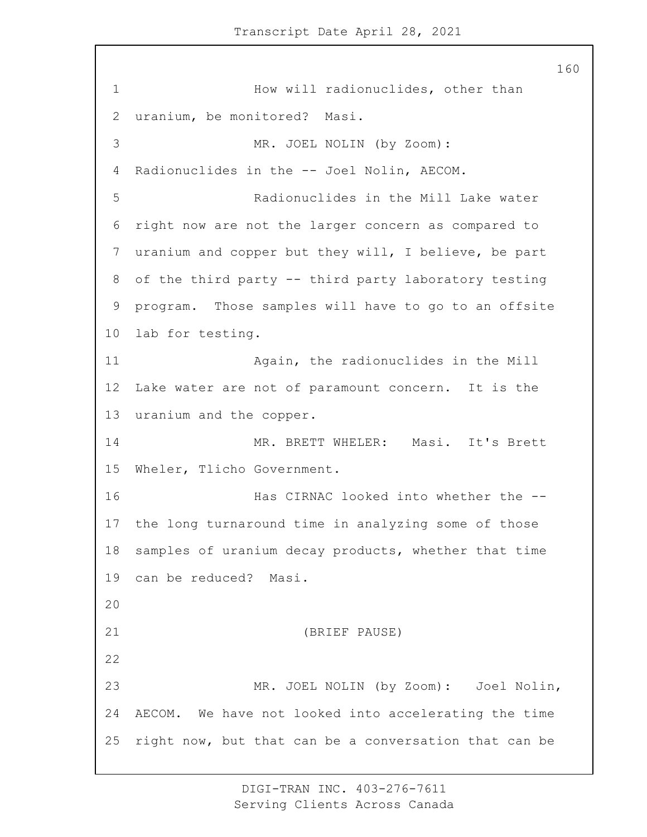1 How will radionuclides, other than uranium, be monitored? Masi. 3 MR. JOEL NOLIN (by Zoom): Radionuclides in the -- Joel Nolin, AECOM. 5 Radionuclides in the Mill Lake water right now are not the larger concern as compared to uranium and copper but they will, I believe, be part of the third party -- third party laboratory testing program. Those samples will have to go to an offsite lab for testing. 11 Again, the radionuclides in the Mill Lake water are not of paramount concern. It is the uranium and the copper. 14 MR. BRETT WHELER: Masi. It's Brett Wheler, Tlicho Government. 16 Has CIRNAC looked into whether the -- the long turnaround time in analyzing some of those samples of uranium decay products, whether that time can be reduced? Masi. 21 (BRIEF PAUSE) 23 MR. JOEL NOLIN (by Zoom): Joel Nolin, AECOM. We have not looked into accelerating the time right now, but that can be a conversation that can be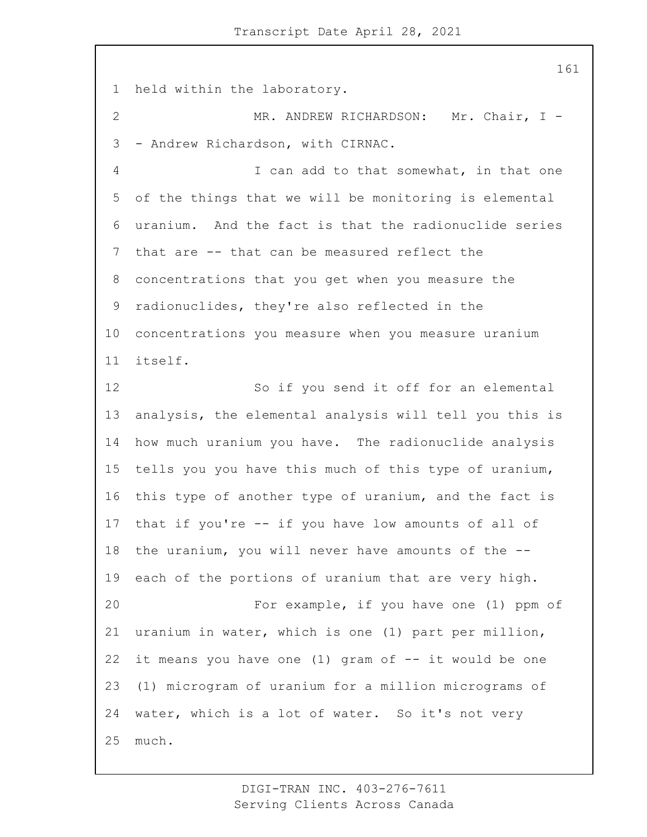held within the laboratory.

2 MR. ANDREW RICHARDSON: Mr. Chair, I -- Andrew Richardson, with CIRNAC.

4 I can add to that somewhat, in that one of the things that we will be monitoring is elemental uranium. And the fact is that the radionuclide series that are -- that can be measured reflect the concentrations that you get when you measure the radionuclides, they're also reflected in the concentrations you measure when you measure uranium itself.

12 So if you send it off for an elemental analysis, the elemental analysis will tell you this is how much uranium you have. The radionuclide analysis tells you you have this much of this type of uranium, this type of another type of uranium, and the fact is that if you're -- if you have low amounts of all of the uranium, you will never have amounts of the -- each of the portions of uranium that are very high. 20 For example, if you have one (1) ppm of uranium in water, which is one (1) part per million, 22 it means you have one  $(1)$  gram of  $-$  it would be one (1) microgram of uranium for a million micrograms of water, which is a lot of water. So it's not very much.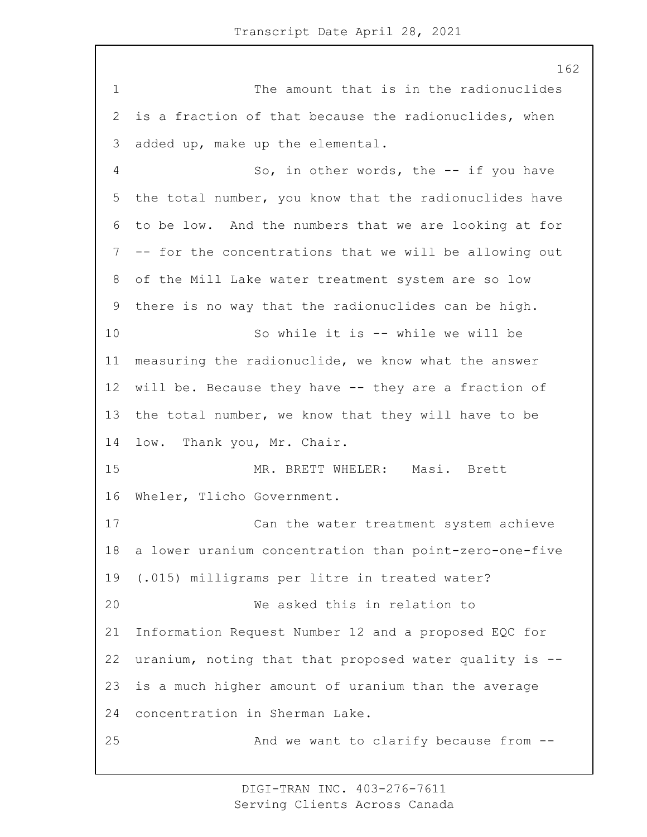1 The amount that is in the radionuclides is a fraction of that because the radionuclides, when added up, make up the elemental. 4 So, in other words, the -- if you have the total number, you know that the radionuclides have to be low. And the numbers that we are looking at for -- for the concentrations that we will be allowing out of the Mill Lake water treatment system are so low there is no way that the radionuclides can be high. 10 So while it is -- while we will be measuring the radionuclide, we know what the answer 12 will be. Because they have -- they are a fraction of the total number, we know that they will have to be low. Thank you, Mr. Chair. 15 MR. BRETT WHELER: Masi. Brett Wheler, Tlicho Government. 17 Can the water treatment system achieve a lower uranium concentration than point-zero-one-five (.015) milligrams per litre in treated water? 20 We asked this in relation to Information Request Number 12 and a proposed EQC for uranium, noting that that proposed water quality is -- is a much higher amount of uranium than the average concentration in Sherman Lake. 25 And we want to clarify because from --

> DIGI-TRAN INC. 403-276-7611 Serving Clients Across Canada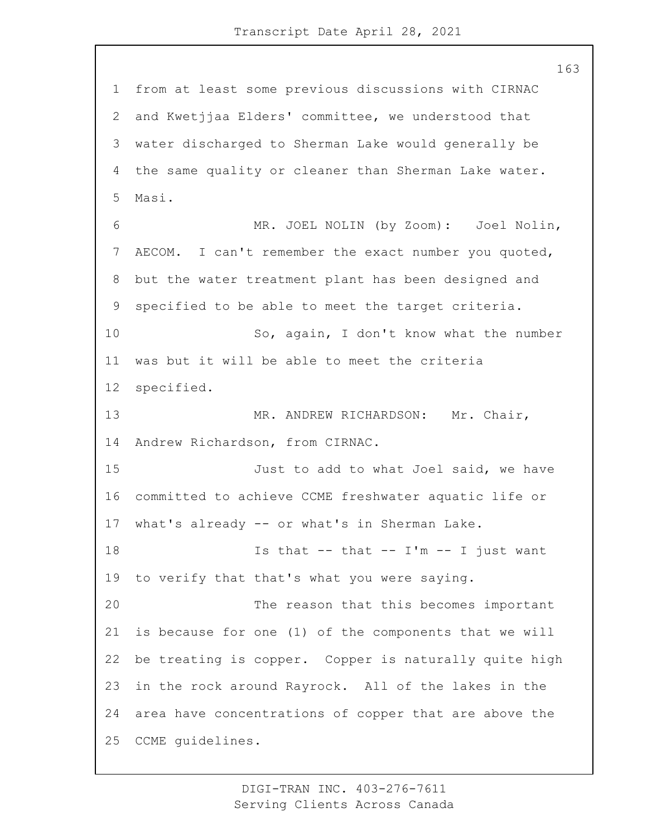from at least some previous discussions with CIRNAC and Kwetjjaa Elders' committee, we understood that water discharged to Sherman Lake would generally be the same quality or cleaner than Sherman Lake water. Masi. 6 MR. JOEL NOLIN (by Zoom): Joel Nolin, AECOM. I can't remember the exact number you quoted, but the water treatment plant has been designed and specified to be able to meet the target criteria. 10 So, again, I don't know what the number was but it will be able to meet the criteria specified. 13 MR. ANDREW RICHARDSON: Mr. Chair, Andrew Richardson, from CIRNAC. **Just to add to what Joel said, we have**  committed to achieve CCME freshwater aquatic life or what's already -- or what's in Sherman Lake. **Is that -- that -- I'm -- I just want**  to verify that that's what you were saying. 20 The reason that this becomes important is because for one (1) of the components that we will be treating is copper. Copper is naturally quite high in the rock around Rayrock. All of the lakes in the area have concentrations of copper that are above the CCME guidelines.

> DIGI-TRAN INC. 403-276-7611 Serving Clients Across Canada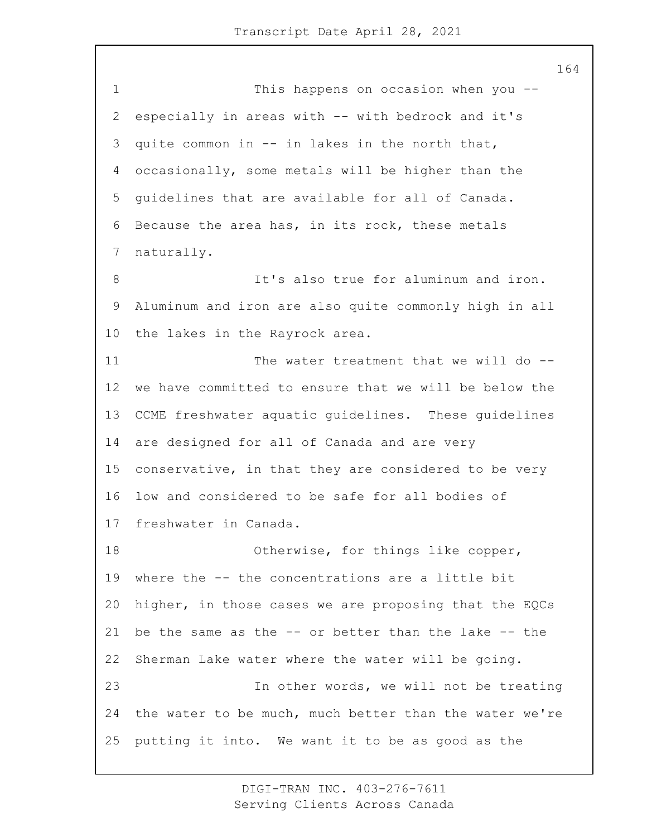1 This happens on occasion when you -- especially in areas with -- with bedrock and it's quite common in -- in lakes in the north that, occasionally, some metals will be higher than the guidelines that are available for all of Canada. Because the area has, in its rock, these metals naturally. 8 It's also true for aluminum and iron. Aluminum and iron are also quite commonly high in all the lakes in the Rayrock area. 11 The water treatment that we will do -- we have committed to ensure that we will be below the CCME freshwater aquatic guidelines. These guidelines are designed for all of Canada and are very conservative, in that they are considered to be very low and considered to be safe for all bodies of freshwater in Canada. 18 Otherwise, for things like copper, where the -- the concentrations are a little bit higher, in those cases we are proposing that the EQCs be the same as the -- or better than the lake -- the Sherman Lake water where the water will be going. 23 In other words, we will not be treating the water to be much, much better than the water we're putting it into. We want it to be as good as the

> DIGI-TRAN INC. 403-276-7611 Serving Clients Across Canada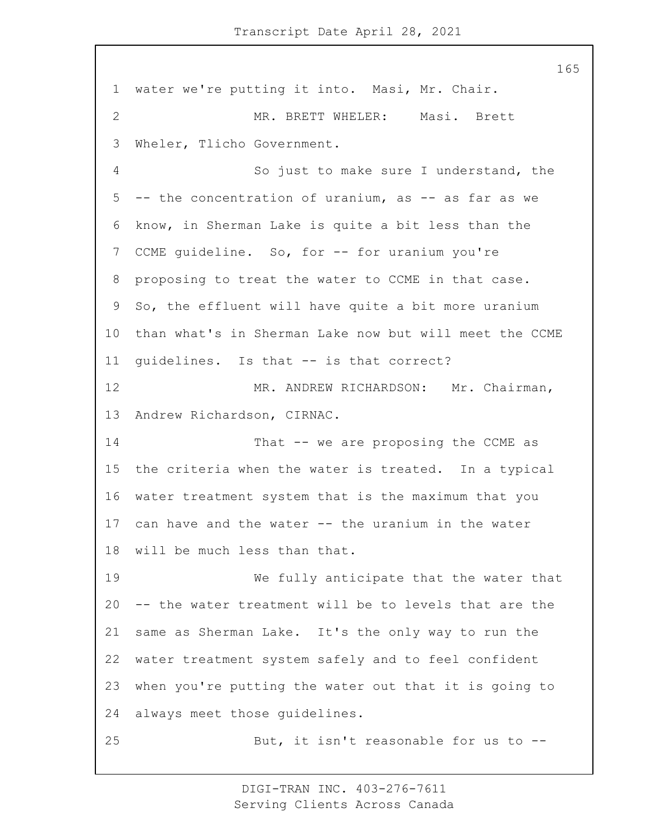water we're putting it into. Masi, Mr. Chair. 2 MR. BRETT WHELER: Masi. Brett Wheler, Tlicho Government. 4 So just to make sure I understand, the -- the concentration of uranium, as -- as far as we know, in Sherman Lake is quite a bit less than the 7 CCME quideline. So, for -- for uranium you're proposing to treat the water to CCME in that case. So, the effluent will have quite a bit more uranium than what's in Sherman Lake now but will meet the CCME guidelines. Is that -- is that correct? 12 MR. ANDREW RICHARDSON: Mr. Chairman, Andrew Richardson, CIRNAC. 14 That -- we are proposing the CCME as the criteria when the water is treated. In a typical water treatment system that is the maximum that you can have and the water -- the uranium in the water will be much less than that. 19 We fully anticipate that the water that -- the water treatment will be to levels that are the same as Sherman Lake. It's the only way to run the water treatment system safely and to feel confident when you're putting the water out that it is going to always meet those guidelines. 25 But, it isn't reasonable for us to --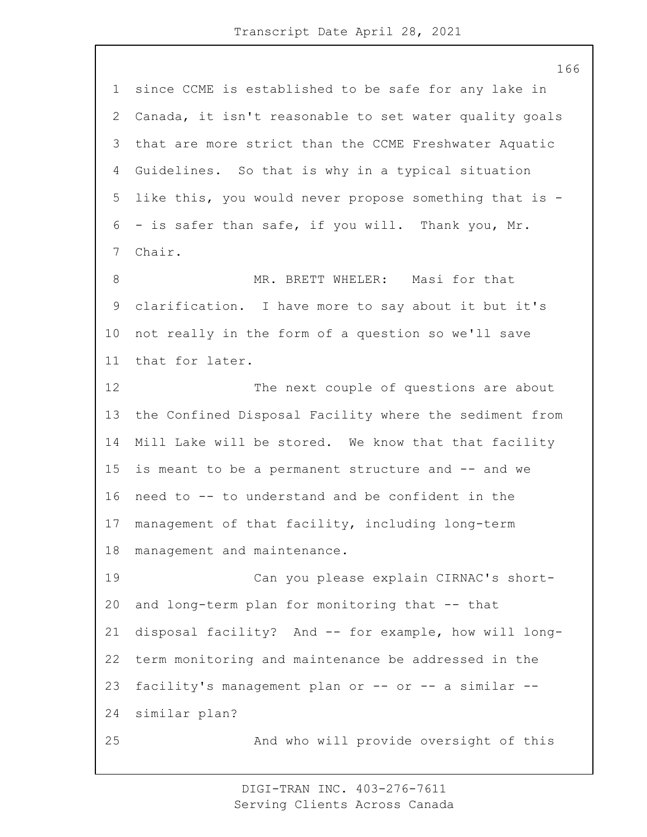since CCME is established to be safe for any lake in Canada, it isn't reasonable to set water quality goals that are more strict than the CCME Freshwater Aquatic Guidelines. So that is why in a typical situation like this, you would never propose something that is - - is safer than safe, if you will. Thank you, Mr. Chair. 8 MR. BRETT WHELER: Masi for that clarification. I have more to say about it but it's not really in the form of a question so we'll save that for later. 12 The next couple of questions are about the Confined Disposal Facility where the sediment from Mill Lake will be stored. We know that that facility is meant to be a permanent structure and -- and we need to -- to understand and be confident in the management of that facility, including long-term management and maintenance. 19 Can you please explain CIRNAC's short- and long-term plan for monitoring that -- that disposal facility? And -- for example, how will long- term monitoring and maintenance be addressed in the facility's management plan or -- or -- a similar -- similar plan? 25 And who will provide oversight of this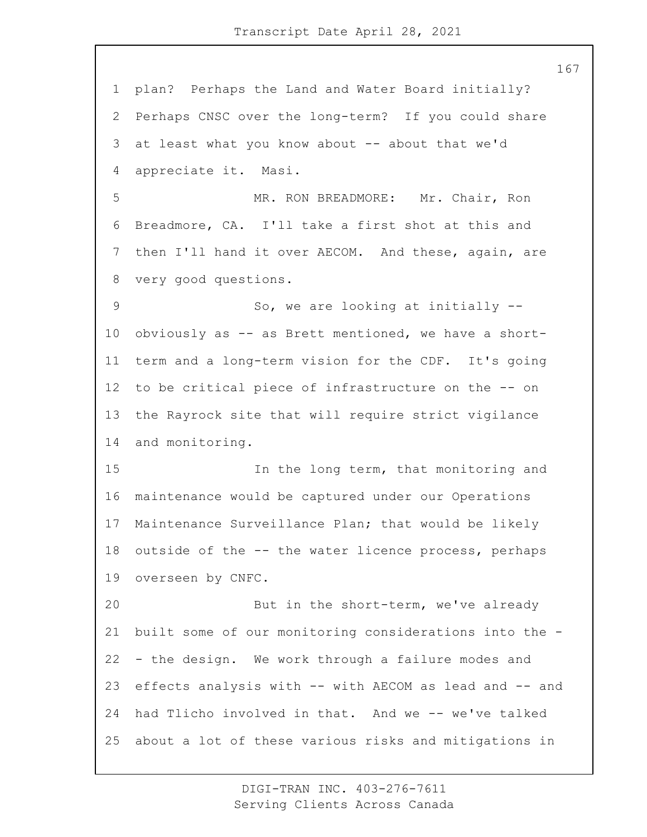plan? Perhaps the Land and Water Board initially? Perhaps CNSC over the long-term? If you could share at least what you know about -- about that we'd appreciate it. Masi. 5 MR. RON BREADMORE: Mr. Chair, Ron Breadmore, CA. I'll take a first shot at this and then I'll hand it over AECOM. And these, again, are very good questions. 9 So, we are looking at initially -- obviously as -- as Brett mentioned, we have a short- term and a long-term vision for the CDF. It's going to be critical piece of infrastructure on the -- on the Rayrock site that will require strict vigilance and monitoring. 15 In the long term, that monitoring and maintenance would be captured under our Operations Maintenance Surveillance Plan; that would be likely outside of the -- the water licence process, perhaps overseen by CNFC. 20 But in the short-term, we've already built some of our monitoring considerations into the - - the design. We work through a failure modes and effects analysis with -- with AECOM as lead and -- and had Tlicho involved in that. And we -- we've talked about a lot of these various risks and mitigations in

> DIGI-TRAN INC. 403-276-7611 Serving Clients Across Canada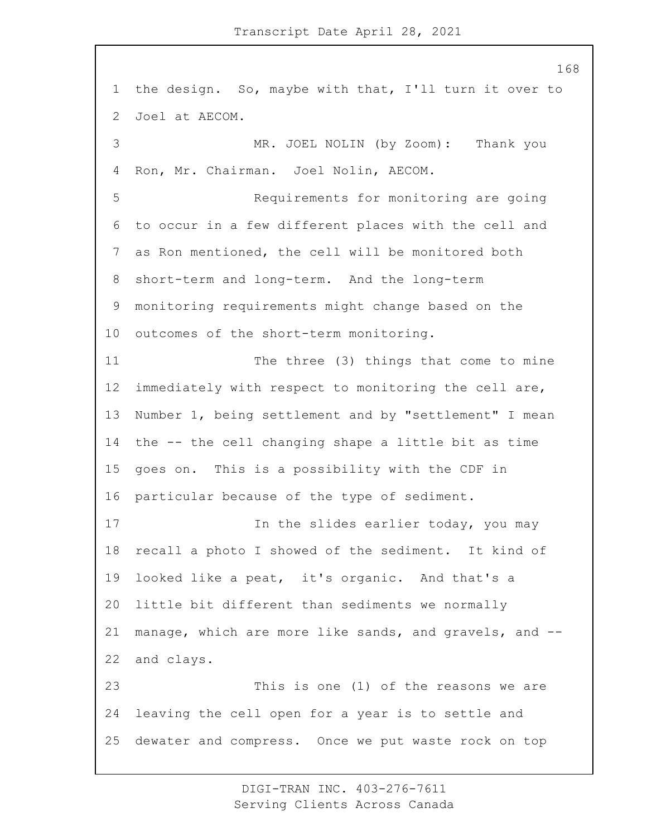the design. So, maybe with that, I'll turn it over to Joel at AECOM. 3 MR. JOEL NOLIN (by Zoom): Thank you Ron, Mr. Chairman. Joel Nolin, AECOM. 5 Requirements for monitoring are going to occur in a few different places with the cell and as Ron mentioned, the cell will be monitored both short-term and long-term. And the long-term monitoring requirements might change based on the outcomes of the short-term monitoring. 11 The three (3) things that come to mine immediately with respect to monitoring the cell are, Number 1, being settlement and by "settlement" I mean the -- the cell changing shape a little bit as time goes on. This is a possibility with the CDF in particular because of the type of sediment. 17 17 In the slides earlier today, you may recall a photo I showed of the sediment. It kind of looked like a peat, it's organic. And that's a little bit different than sediments we normally manage, which are more like sands, and gravels, and -- and clays. 23 This is one (1) of the reasons we are leaving the cell open for a year is to settle and dewater and compress. Once we put waste rock on top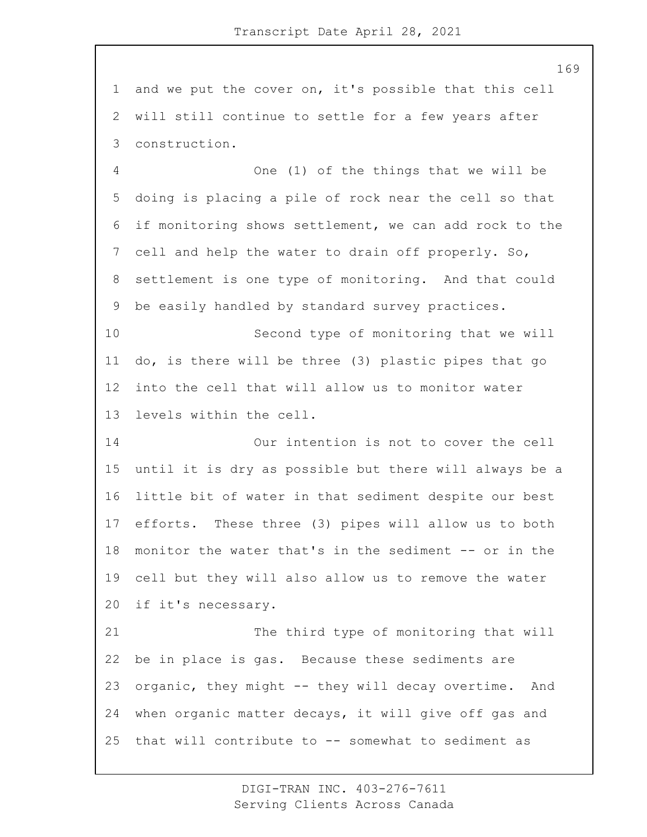and we put the cover on, it's possible that this cell will still continue to settle for a few years after construction.

4 One (1) of the things that we will be doing is placing a pile of rock near the cell so that if monitoring shows settlement, we can add rock to the cell and help the water to drain off properly. So, settlement is one type of monitoring. And that could be easily handled by standard survey practices.

10 Second type of monitoring that we will do, is there will be three (3) plastic pipes that go into the cell that will allow us to monitor water levels within the cell.

14 Our intention is not to cover the cell until it is dry as possible but there will always be a little bit of water in that sediment despite our best efforts. These three (3) pipes will allow us to both monitor the water that's in the sediment -- or in the cell but they will also allow us to remove the water if it's necessary.

21 The third type of monitoring that will be in place is gas. Because these sediments are organic, they might -- they will decay overtime. And when organic matter decays, it will give off gas and that will contribute to -- somewhat to sediment as

> DIGI-TRAN INC. 403-276-7611 Serving Clients Across Canada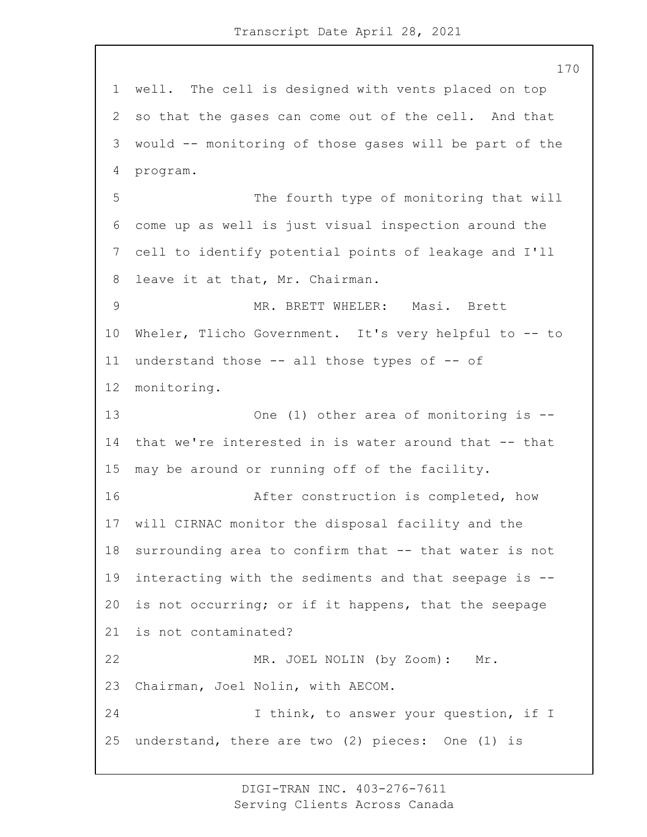well. The cell is designed with vents placed on top so that the gases can come out of the cell. And that would -- monitoring of those gases will be part of the program. 5 The fourth type of monitoring that will come up as well is just visual inspection around the cell to identify potential points of leakage and I'll leave it at that, Mr. Chairman. 9 MR. BRETT WHELER: Masi. Brett Wheler, Tlicho Government. It's very helpful to -- to understand those -- all those types of -- of monitoring. 13 One (1) other area of monitoring is -- that we're interested in is water around that -- that may be around or running off of the facility. 16 After construction is completed, how will CIRNAC monitor the disposal facility and the 18 surrounding area to confirm that -- that water is not interacting with the sediments and that seepage is -- is not occurring; or if it happens, that the seepage is not contaminated? 22 MR. JOEL NOLIN (by Zoom): Mr. Chairman, Joel Nolin, with AECOM. 24 I think, to answer your question, if I understand, there are two (2) pieces: One (1) is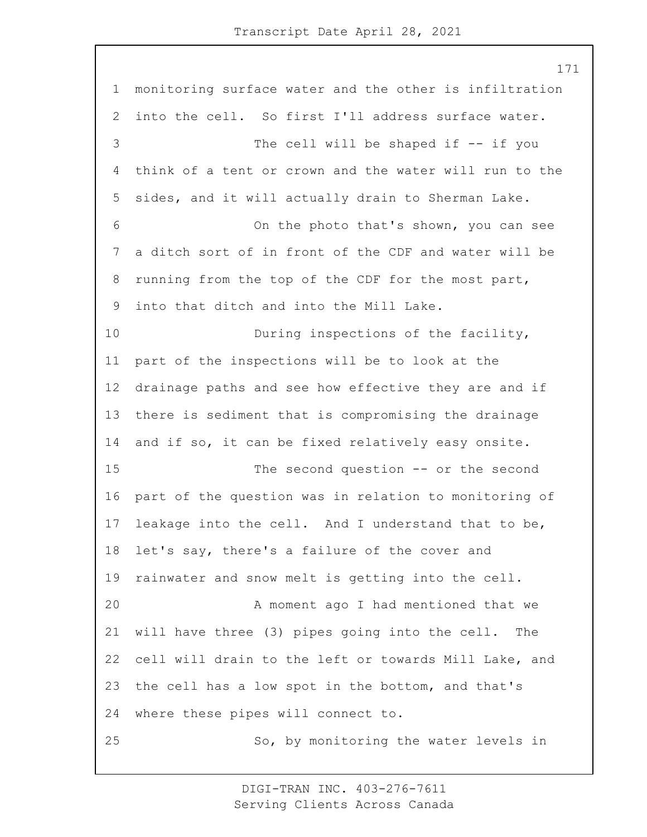monitoring surface water and the other is infiltration into the cell. So first I'll address surface water. 3 The cell will be shaped if -- if you think of a tent or crown and the water will run to the sides, and it will actually drain to Sherman Lake. 6 On the photo that's shown, you can see a ditch sort of in front of the CDF and water will be running from the top of the CDF for the most part, into that ditch and into the Mill Lake. 10 During inspections of the facility, part of the inspections will be to look at the drainage paths and see how effective they are and if there is sediment that is compromising the drainage and if so, it can be fixed relatively easy onsite. 15 The second question -- or the second part of the question was in relation to monitoring of leakage into the cell. And I understand that to be, let's say, there's a failure of the cover and rainwater and snow melt is getting into the cell. 20 A moment ago I had mentioned that we will have three (3) pipes going into the cell. The cell will drain to the left or towards Mill Lake, and the cell has a low spot in the bottom, and that's where these pipes will connect to. 25 So, by monitoring the water levels in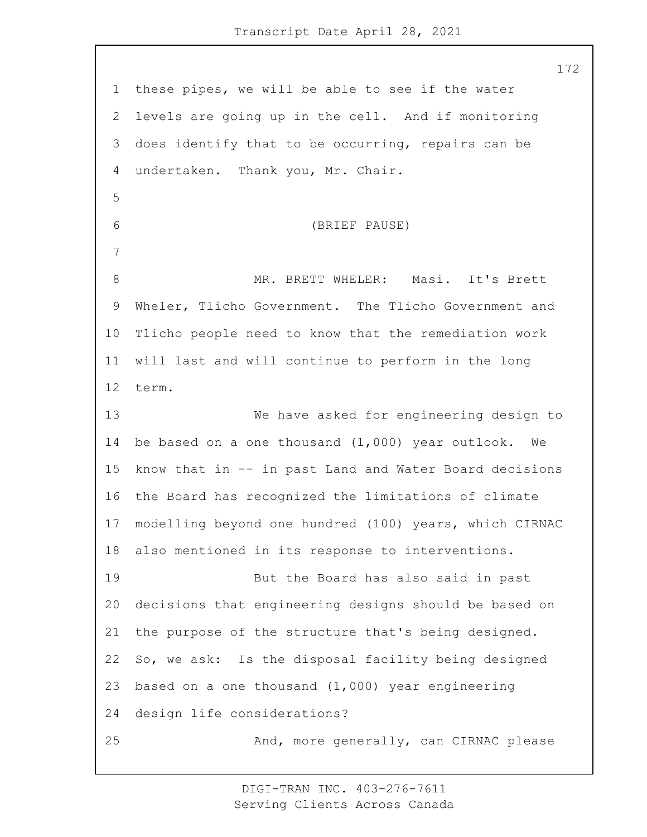these pipes, we will be able to see if the water levels are going up in the cell. And if monitoring does identify that to be occurring, repairs can be undertaken. Thank you, Mr. Chair. 6 (BRIEF PAUSE) 8 MR. BRETT WHELER: Masi. It's Brett Wheler, Tlicho Government. The Tlicho Government and Tlicho people need to know that the remediation work will last and will continue to perform in the long term. 13 We have asked for engineering design to be based on a one thousand (1,000) year outlook. We know that in -- in past Land and Water Board decisions the Board has recognized the limitations of climate modelling beyond one hundred (100) years, which CIRNAC also mentioned in its response to interventions. 19 But the Board has also said in past decisions that engineering designs should be based on the purpose of the structure that's being designed. So, we ask: Is the disposal facility being designed based on a one thousand (1,000) year engineering design life considerations? 25 And, more generally, can CIRNAC please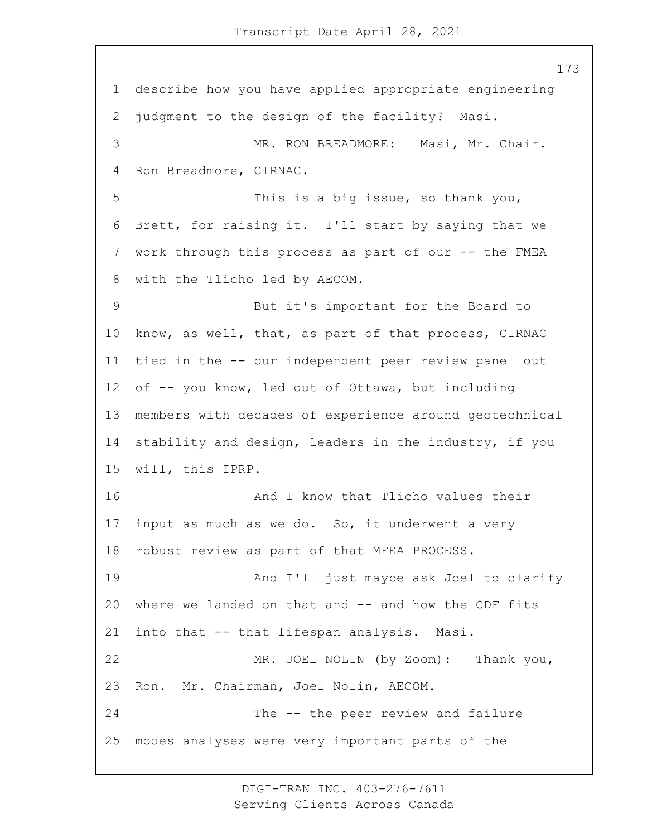describe how you have applied appropriate engineering judgment to the design of the facility? Masi. 3 MR. RON BREADMORE: Masi, Mr. Chair. Ron Breadmore, CIRNAC. 5 This is a big issue, so thank you, Brett, for raising it. I'll start by saying that we work through this process as part of our -- the FMEA with the Tlicho led by AECOM. 9 But it's important for the Board to know, as well, that, as part of that process, CIRNAC tied in the -- our independent peer review panel out of -- you know, led out of Ottawa, but including members with decades of experience around geotechnical stability and design, leaders in the industry, if you will, this IPRP. **And I know that Tlicho values their**  input as much as we do. So, it underwent a very robust review as part of that MFEA PROCESS. 19 And I'll just maybe ask Joel to clarify where we landed on that and -- and how the CDF fits into that -- that lifespan analysis. Masi. 22 MR. JOEL NOLIN (by Zoom): Thank you, Ron. Mr. Chairman, Joel Nolin, AECOM. 24 The -- the peer review and failure modes analyses were very important parts of the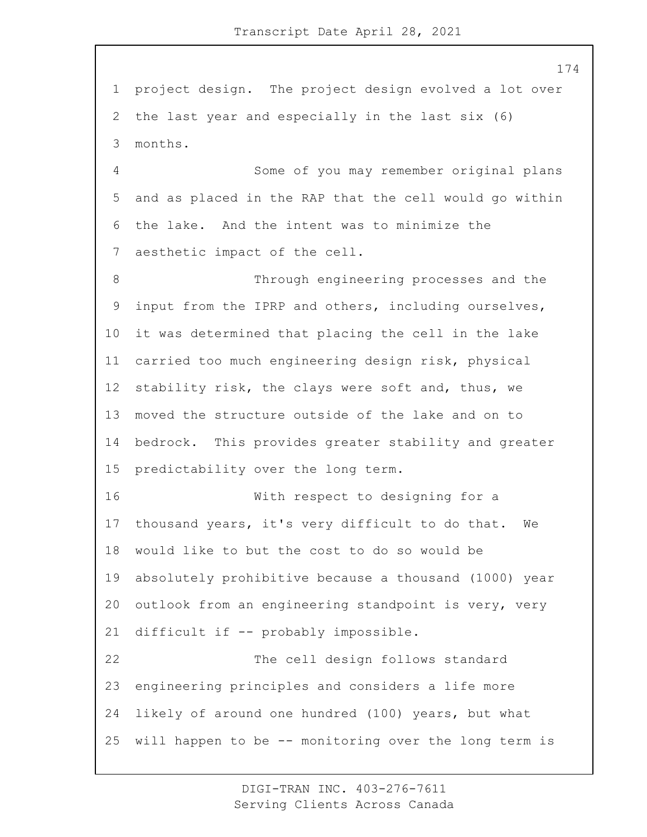project design. The project design evolved a lot over the last year and especially in the last six (6) months. 4 Some of you may remember original plans and as placed in the RAP that the cell would go within the lake. And the intent was to minimize the aesthetic impact of the cell. 8 Through engineering processes and the input from the IPRP and others, including ourselves, it was determined that placing the cell in the lake carried too much engineering design risk, physical stability risk, the clays were soft and, thus, we moved the structure outside of the lake and on to bedrock. This provides greater stability and greater predictability over the long term. 16 With respect to designing for a thousand years, it's very difficult to do that. We would like to but the cost to do so would be absolutely prohibitive because a thousand (1000) year outlook from an engineering standpoint is very, very difficult if -- probably impossible. 22 The cell design follows standard

 engineering principles and considers a life more likely of around one hundred (100) years, but what will happen to be -- monitoring over the long term is

> DIGI-TRAN INC. 403-276-7611 Serving Clients Across Canada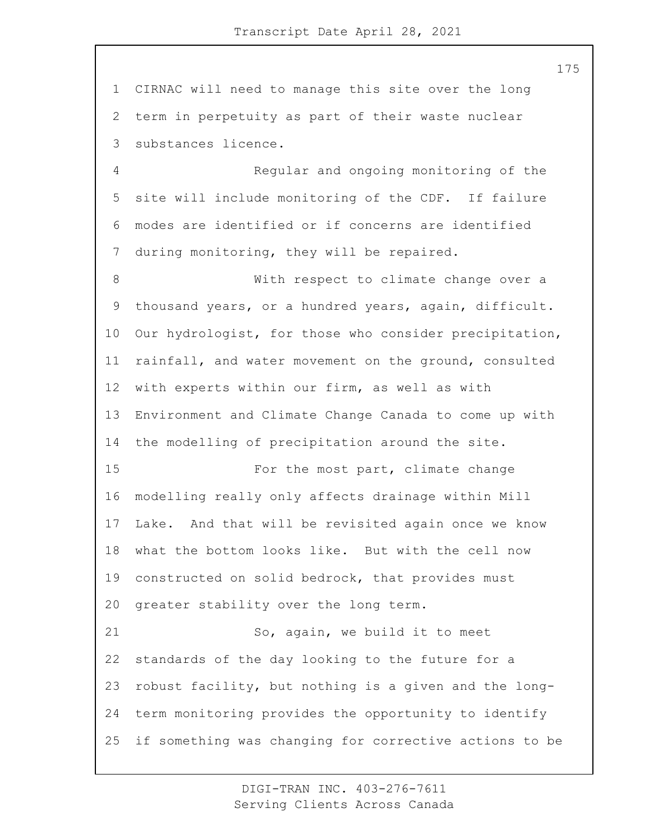CIRNAC will need to manage this site over the long term in perpetuity as part of their waste nuclear substances licence.

4 Regular and ongoing monitoring of the site will include monitoring of the CDF. If failure modes are identified or if concerns are identified during monitoring, they will be repaired.

8 With respect to climate change over a thousand years, or a hundred years, again, difficult. Our hydrologist, for those who consider precipitation, rainfall, and water movement on the ground, consulted with experts within our firm, as well as with Environment and Climate Change Canada to come up with the modelling of precipitation around the site. 15 For the most part, climate change modelling really only affects drainage within Mill Lake. And that will be revisited again once we know what the bottom looks like. But with the cell now constructed on solid bedrock, that provides must greater stability over the long term. 21 So, again, we build it to meet standards of the day looking to the future for a robust facility, but nothing is a given and the long- term monitoring provides the opportunity to identify if something was changing for corrective actions to be

> DIGI-TRAN INC. 403-276-7611 Serving Clients Across Canada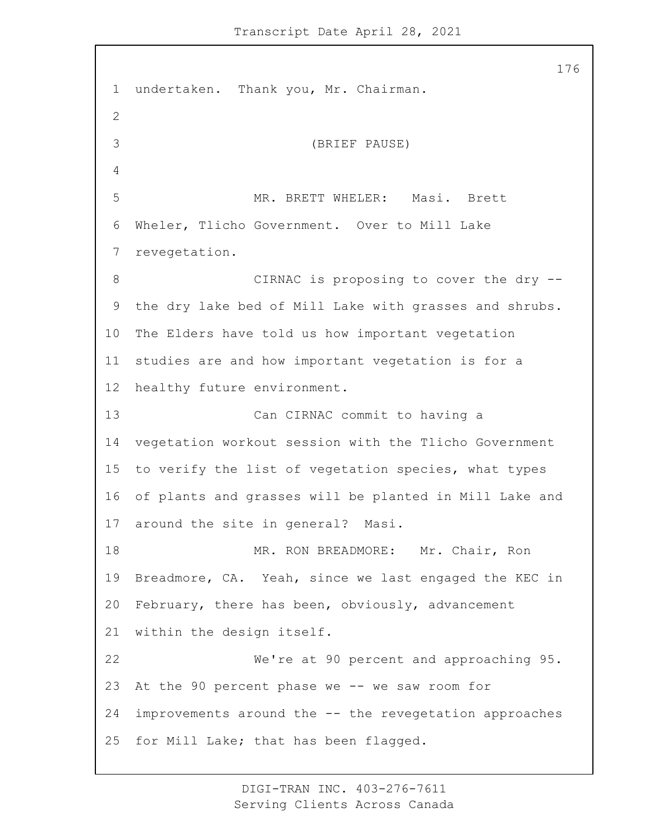undertaken. Thank you, Mr. Chairman. 3 (BRIEF PAUSE) 5 MR. BRETT WHELER: Masi. Brett Wheler, Tlicho Government. Over to Mill Lake revegetation. 8 CIRNAC is proposing to cover the dry -- the dry lake bed of Mill Lake with grasses and shrubs. The Elders have told us how important vegetation studies are and how important vegetation is for a healthy future environment. 13 Can CIRNAC commit to having a vegetation workout session with the Tlicho Government to verify the list of vegetation species, what types of plants and grasses will be planted in Mill Lake and around the site in general? Masi. 18 MR. RON BREADMORE: Mr. Chair, Ron Breadmore, CA. Yeah, since we last engaged the KEC in February, there has been, obviously, advancement within the design itself. 22 We're at 90 percent and approaching 95. At the 90 percent phase we -- we saw room for improvements around the -- the revegetation approaches for Mill Lake; that has been flagged.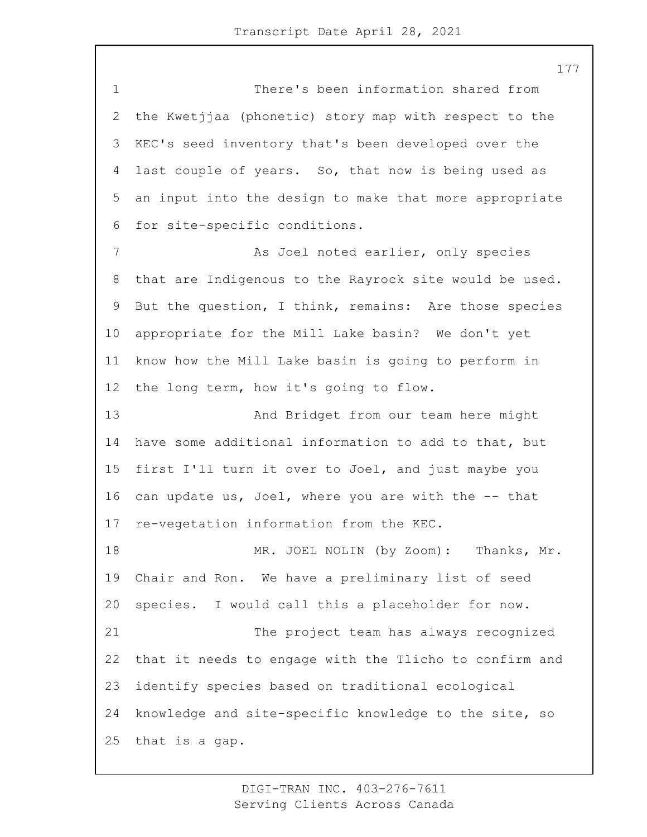1 There's been information shared from the Kwetjjaa (phonetic) story map with respect to the KEC's seed inventory that's been developed over the last couple of years. So, that now is being used as an input into the design to make that more appropriate for site-specific conditions. 7 As Joel noted earlier, only species that are Indigenous to the Rayrock site would be used. But the question, I think, remains: Are those species appropriate for the Mill Lake basin? We don't yet know how the Mill Lake basin is going to perform in the long term, how it's going to flow. 13 And Bridget from our team here might have some additional information to add to that, but first I'll turn it over to Joel, and just maybe you can update us, Joel, where you are with the -- that re-vegetation information from the KEC. 18 MR. JOEL NOLIN (by Zoom): Thanks, Mr. Chair and Ron. We have a preliminary list of seed species. I would call this a placeholder for now. 21 The project team has always recognized that it needs to engage with the Tlicho to confirm and identify species based on traditional ecological knowledge and site-specific knowledge to the site, so that is a gap.

> DIGI-TRAN INC. 403-276-7611 Serving Clients Across Canada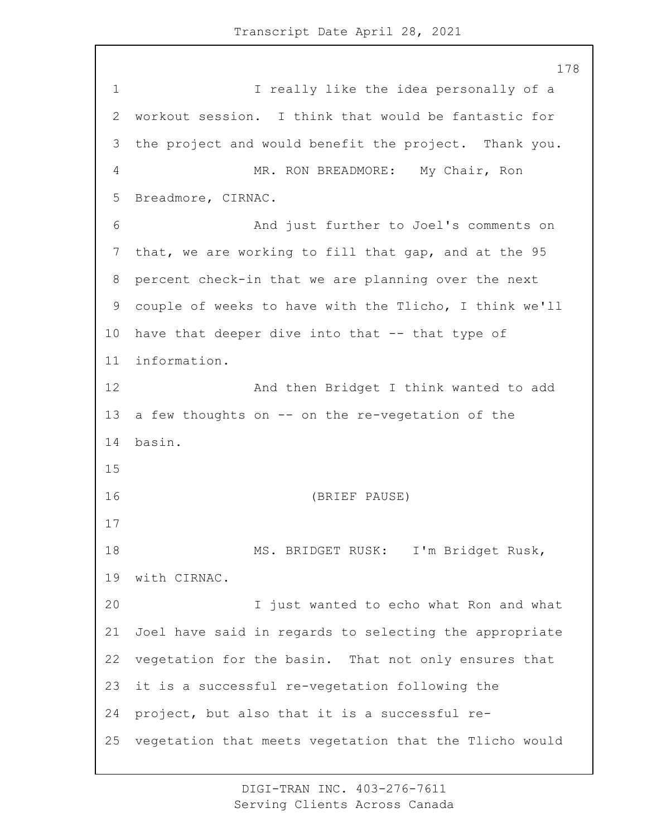1 I really like the idea personally of a workout session. I think that would be fantastic for the project and would benefit the project. Thank you. 4 MR. RON BREADMORE: My Chair, Ron Breadmore, CIRNAC. 6 And just further to Joel's comments on that, we are working to fill that gap, and at the 95 percent check-in that we are planning over the next couple of weeks to have with the Tlicho, I think we'll have that deeper dive into that -- that type of information. 12 And then Bridget I think wanted to add a few thoughts on -- on the re-vegetation of the basin. 16 (BRIEF PAUSE) 18 MS. BRIDGET RUSK: I'm Bridget Rusk, with CIRNAC. 20 I just wanted to echo what Ron and what Joel have said in regards to selecting the appropriate vegetation for the basin. That not only ensures that it is a successful re-vegetation following the project, but also that it is a successful re-vegetation that meets vegetation that the Tlicho would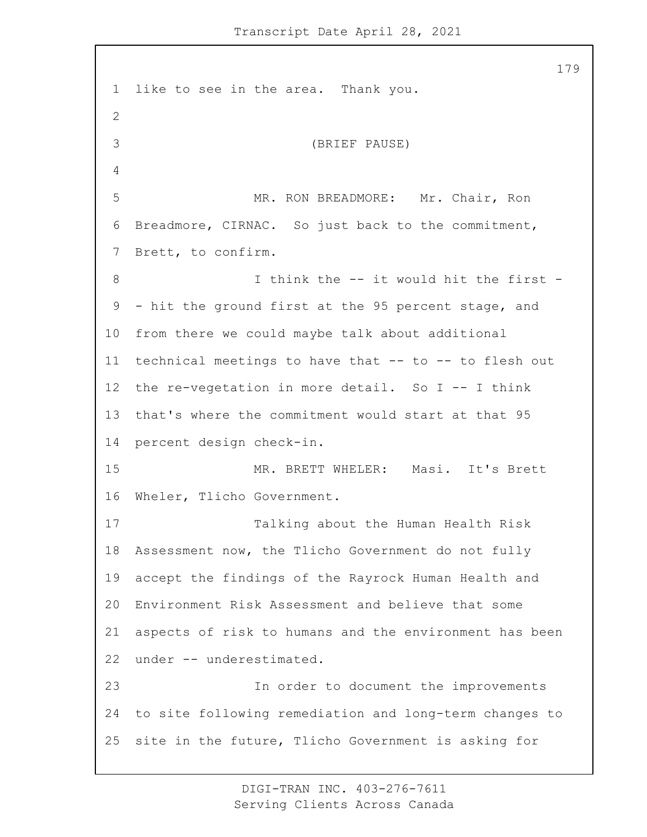like to see in the area. Thank you. 3 (BRIEF PAUSE) 5 MR. RON BREADMORE: Mr. Chair, Ron Breadmore, CIRNAC. So just back to the commitment, Brett, to confirm. 8 1 Unink the -- it would hit the first - - hit the ground first at the 95 percent stage, and from there we could maybe talk about additional technical meetings to have that -- to -- to flesh out the re-vegetation in more detail. So I -- I think that's where the commitment would start at that 95 percent design check-in. 15 MR. BRETT WHELER: Masi. It's Brett Wheler, Tlicho Government. 17 Talking about the Human Health Risk Assessment now, the Tlicho Government do not fully accept the findings of the Rayrock Human Health and Environment Risk Assessment and believe that some aspects of risk to humans and the environment has been under -- underestimated. 23 In order to document the improvements to site following remediation and long-term changes to site in the future, Tlicho Government is asking for

> DIGI-TRAN INC. 403-276-7611 Serving Clients Across Canada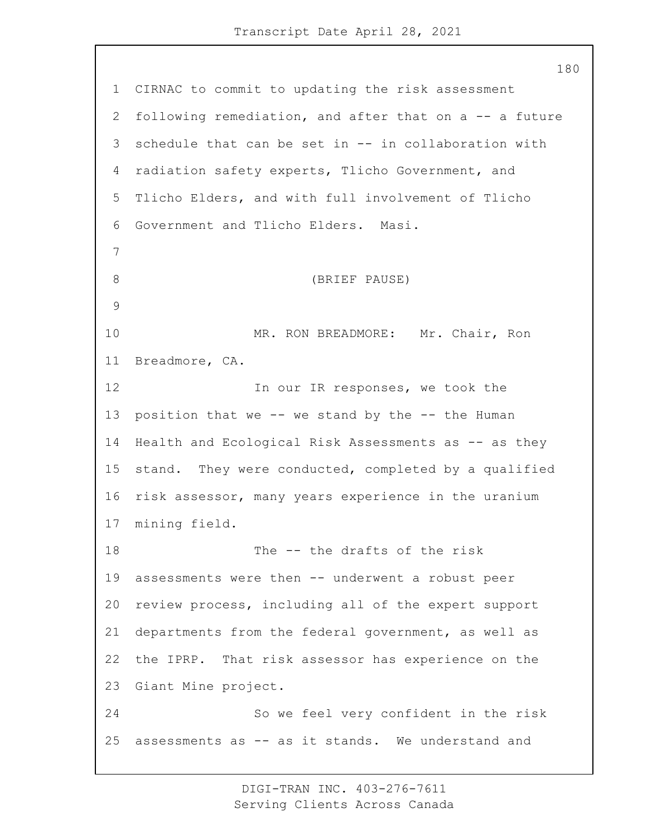CIRNAC to commit to updating the risk assessment following remediation, and after that on a -- a future schedule that can be set in -- in collaboration with radiation safety experts, Tlicho Government, and Tlicho Elders, and with full involvement of Tlicho Government and Tlicho Elders. Masi. 8 (BRIEF PAUSE) 10 MR. RON BREADMORE: Mr. Chair, Ron Breadmore, CA. 12 In our IR responses, we took the position that we -- we stand by the -- the Human 14 Health and Ecological Risk Assessments as -- as they stand. They were conducted, completed by a qualified risk assessor, many years experience in the uranium mining field. 18 The -- the drafts of the risk assessments were then -- underwent a robust peer review process, including all of the expert support departments from the federal government, as well as the IPRP. That risk assessor has experience on the Giant Mine project. 24 So we feel very confident in the risk assessments as -- as it stands. We understand and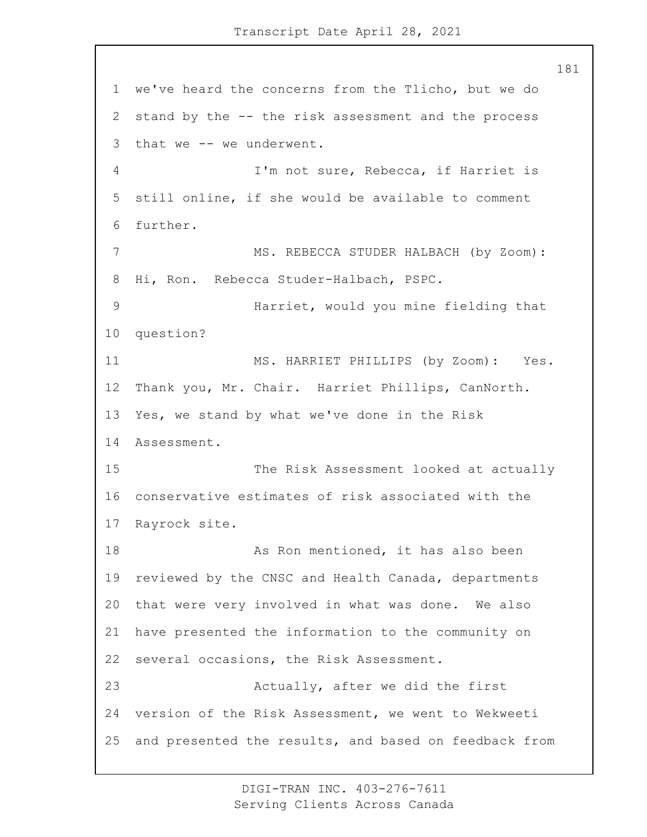we've heard the concerns from the Tlicho, but we do stand by the -- the risk assessment and the process that we -- we underwent. 4 I'm not sure, Rebecca, if Harriet is still online, if she would be available to comment further. 7 MS. REBECCA STUDER HALBACH (by Zoom): Hi, Ron. Rebecca Studer-Halbach, PSPC. 9 Harriet, would you mine fielding that question? 11 MS. HARRIET PHILLIPS (by Zoom): Yes. Thank you, Mr. Chair. Harriet Phillips, CanNorth. Yes, we stand by what we've done in the Risk Assessment. 15 The Risk Assessment looked at actually conservative estimates of risk associated with the Rayrock site. 18 As Ron mentioned, it has also been reviewed by the CNSC and Health Canada, departments that were very involved in what was done. We also have presented the information to the community on several occasions, the Risk Assessment. 23 Actually, after we did the first version of the Risk Assessment, we went to Wekweeti and presented the results, and based on feedback from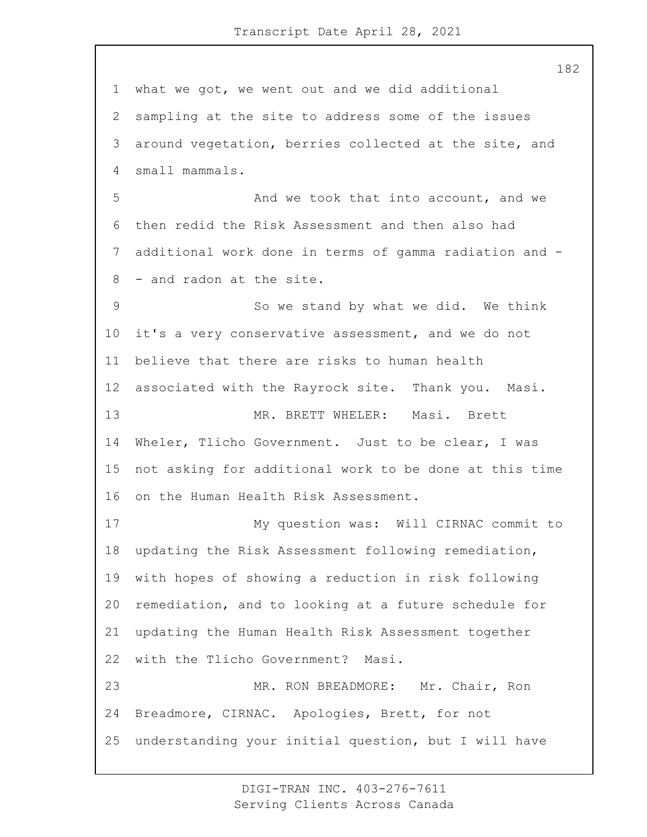what we got, we went out and we did additional sampling at the site to address some of the issues around vegetation, berries collected at the site, and small mammals. 5 And we took that into account, and we then redid the Risk Assessment and then also had additional work done in terms of gamma radiation and - - and radon at the site. 9 So we stand by what we did. We think it's a very conservative assessment, and we do not believe that there are risks to human health associated with the Rayrock site. Thank you. Masi. 13 MR. BRETT WHELER: Masi. Brett Wheler, Tlicho Government. Just to be clear, I was not asking for additional work to be done at this time on the Human Health Risk Assessment. 17 My question was: Will CIRNAC commit to updating the Risk Assessment following remediation, with hopes of showing a reduction in risk following remediation, and to looking at a future schedule for updating the Human Health Risk Assessment together with the Tlicho Government? Masi. 23 MR. RON BREADMORE: Mr. Chair, Ron Breadmore, CIRNAC. Apologies, Brett, for not understanding your initial question, but I will have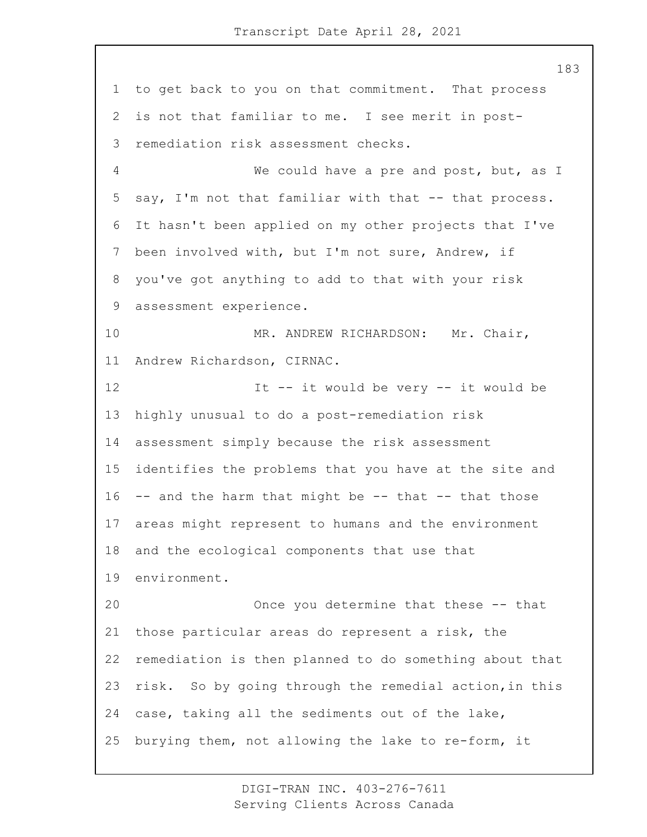to get back to you on that commitment. That process is not that familiar to me. I see merit in post- remediation risk assessment checks. 4 We could have a pre and post, but, as I say, I'm not that familiar with that -- that process. It hasn't been applied on my other projects that I've been involved with, but I'm not sure, Andrew, if you've got anything to add to that with your risk assessment experience. 10 MR. ANDREW RICHARDSON: Mr. Chair, Andrew Richardson, CIRNAC. 12 It -- it would be very -- it would be highly unusual to do a post-remediation risk assessment simply because the risk assessment identifies the problems that you have at the site and -- and the harm that might be -- that -- that those areas might represent to humans and the environment and the ecological components that use that environment. 20 Once you determine that these -- that those particular areas do represent a risk, the remediation is then planned to do something about that risk. So by going through the remedial action,in this case, taking all the sediments out of the lake, burying them, not allowing the lake to re-form, it

> DIGI-TRAN INC. 403-276-7611 Serving Clients Across Canada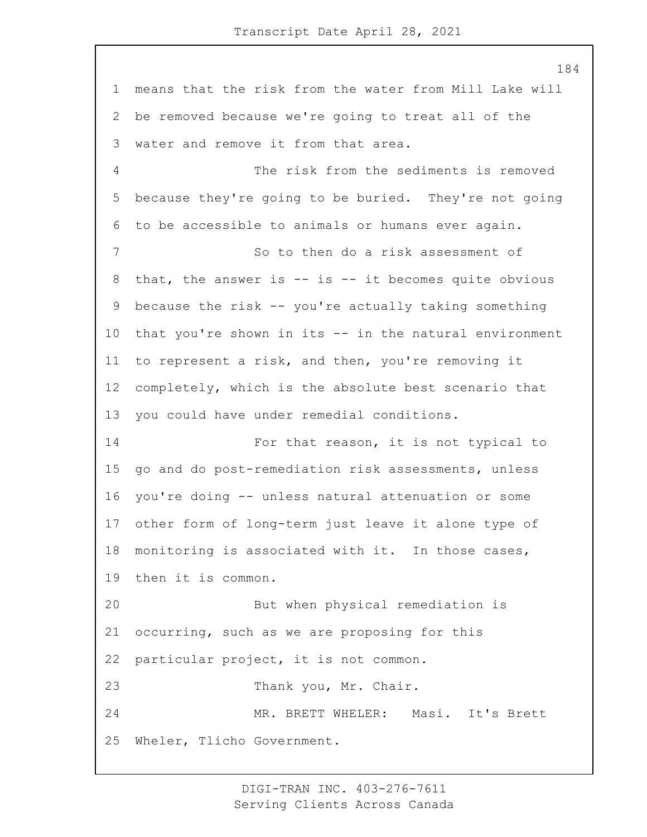means that the risk from the water from Mill Lake will be removed because we're going to treat all of the water and remove it from that area. 4 The risk from the sediments is removed because they're going to be buried. They're not going to be accessible to animals or humans ever again. 7 So to then do a risk assessment of that, the answer is -- is -- it becomes quite obvious because the risk -- you're actually taking something that you're shown in its -- in the natural environment to represent a risk, and then, you're removing it completely, which is the absolute best scenario that you could have under remedial conditions. 14 For that reason, it is not typical to go and do post-remediation risk assessments, unless you're doing -- unless natural attenuation or some other form of long-term just leave it alone type of monitoring is associated with it. In those cases, then it is common. 20 But when physical remediation is occurring, such as we are proposing for this particular project, it is not common. 23 Thank you, Mr. Chair. 24 MR. BRETT WHELER: Masi. It's Brett Wheler, Tlicho Government.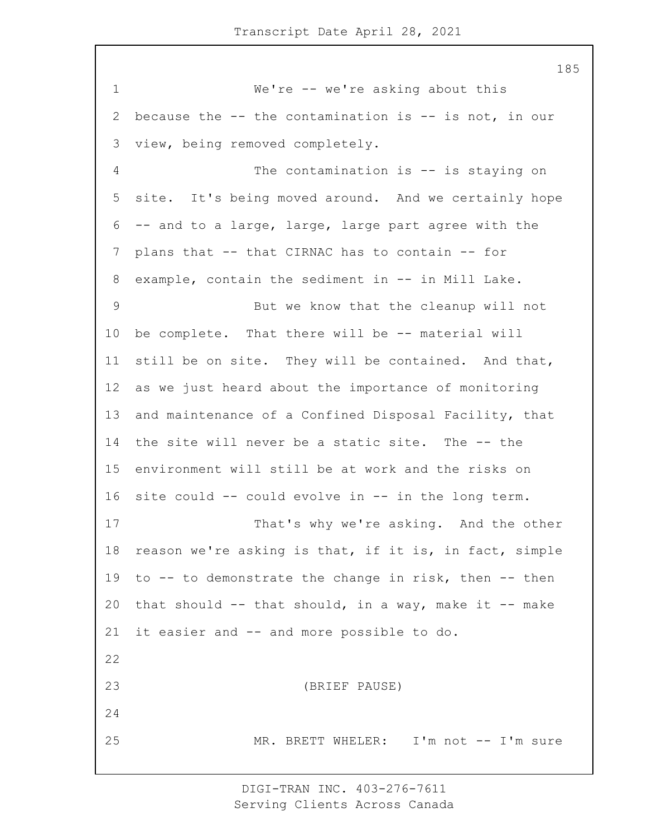1 We're -- we're asking about this because the -- the contamination is -- is not, in our view, being removed completely. 4 The contamination is -- is staying on site. It's being moved around. And we certainly hope -- and to a large, large, large part agree with the plans that -- that CIRNAC has to contain -- for 8 example, contain the sediment in -- in Mill Lake. 9 But we know that the cleanup will not be complete. That there will be -- material will still be on site. They will be contained. And that, as we just heard about the importance of monitoring and maintenance of a Confined Disposal Facility, that the site will never be a static site. The -- the environment will still be at work and the risks on site could -- could evolve in -- in the long term. 17 That's why we're asking. And the other reason we're asking is that, if it is, in fact, simple to -- to demonstrate the change in risk, then -- then 20 that should  $--$  that should, in a way, make it  $--$  make it easier and -- and more possible to do. 23 (BRIEF PAUSE) 25 MR. BRETT WHELER: I'm not -- I'm sure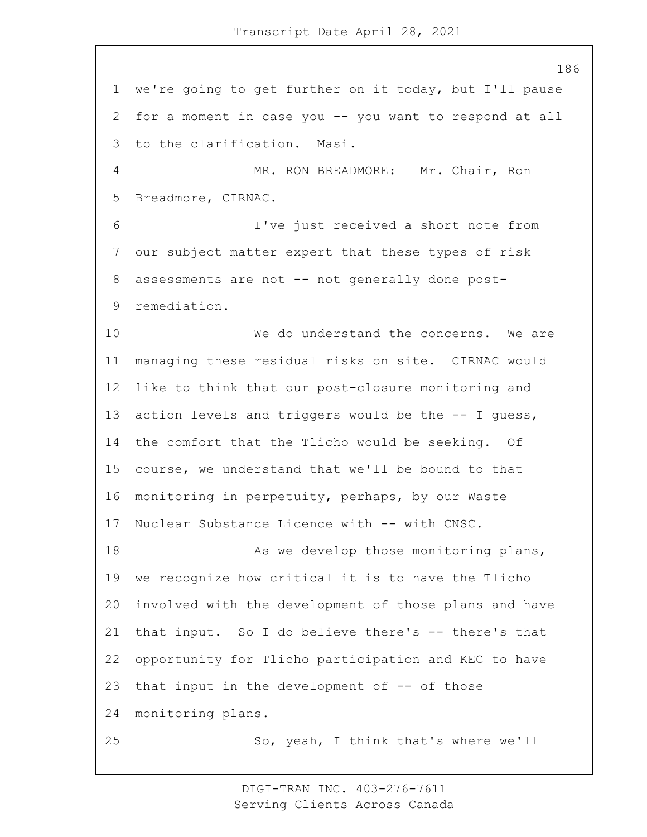we're going to get further on it today, but I'll pause for a moment in case you -- you want to respond at all to the clarification. Masi. 4 MR. RON BREADMORE: Mr. Chair, Ron Breadmore, CIRNAC. 6 I've just received a short note from our subject matter expert that these types of risk 8 assessments are not -- not generally done post- remediation. 10 We do understand the concerns. We are managing these residual risks on site. CIRNAC would like to think that our post-closure monitoring and action levels and triggers would be the -- I guess, the comfort that the Tlicho would be seeking. Of course, we understand that we'll be bound to that monitoring in perpetuity, perhaps, by our Waste 17 Nuclear Substance Licence with -- with CNSC. 18 As we develop those monitoring plans, we recognize how critical it is to have the Tlicho involved with the development of those plans and have that input. So I do believe there's -- there's that opportunity for Tlicho participation and KEC to have 23 that input in the development of  $-$  of those monitoring plans. 25 So, yeah, I think that's where we'll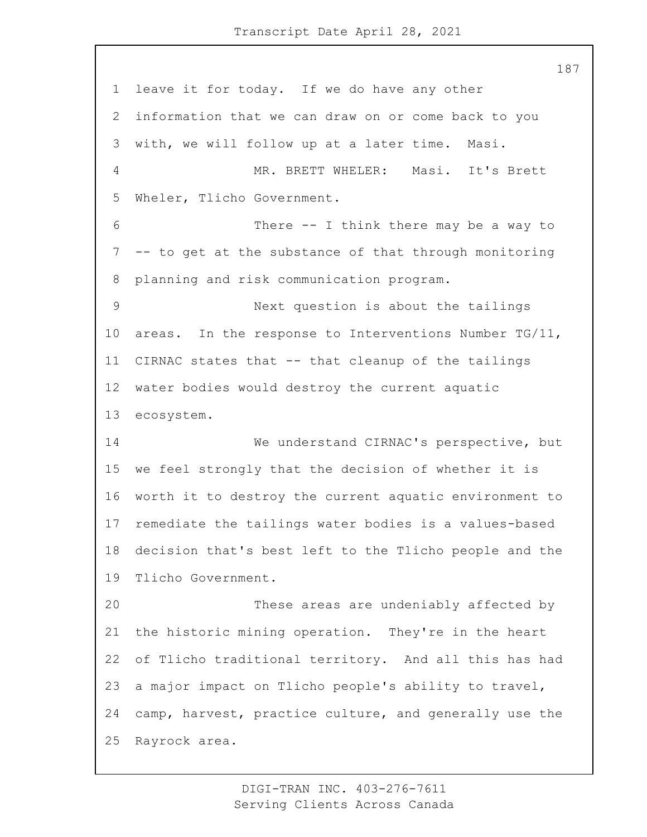leave it for today. If we do have any other information that we can draw on or come back to you with, we will follow up at a later time. Masi. 4 MR. BRETT WHELER: Masi. It's Brett Wheler, Tlicho Government. 6 There -- I think there may be a way to -- to get at the substance of that through monitoring planning and risk communication program. 9 Next question is about the tailings areas. In the response to Interventions Number TG/11, CIRNAC states that -- that cleanup of the tailings water bodies would destroy the current aquatic ecosystem. 14 We understand CIRNAC's perspective, but we feel strongly that the decision of whether it is worth it to destroy the current aquatic environment to remediate the tailings water bodies is a values-based decision that's best left to the Tlicho people and the Tlicho Government. 20 These areas are undeniably affected by the historic mining operation. They're in the heart of Tlicho traditional territory. And all this has had a major impact on Tlicho people's ability to travel, camp, harvest, practice culture, and generally use the Rayrock area.

> DIGI-TRAN INC. 403-276-7611 Serving Clients Across Canada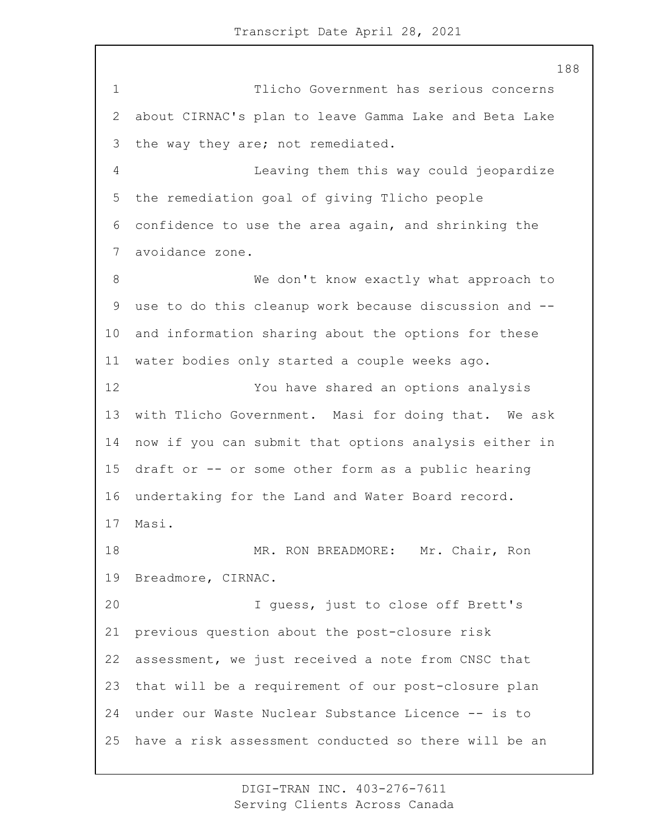1 Tlicho Government has serious concerns about CIRNAC's plan to leave Gamma Lake and Beta Lake the way they are; not remediated. 4 Leaving them this way could jeopardize the remediation goal of giving Tlicho people confidence to use the area again, and shrinking the avoidance zone. 8 We don't know exactly what approach to use to do this cleanup work because discussion and -- and information sharing about the options for these water bodies only started a couple weeks ago. 12 You have shared an options analysis with Tlicho Government. Masi for doing that. We ask now if you can submit that options analysis either in draft or -- or some other form as a public hearing undertaking for the Land and Water Board record. Masi. 18 MR. RON BREADMORE: Mr. Chair, Ron Breadmore, CIRNAC. 20 I guess, just to close off Brett's previous question about the post-closure risk assessment, we just received a note from CNSC that that will be a requirement of our post-closure plan under our Waste Nuclear Substance Licence -- is to have a risk assessment conducted so there will be an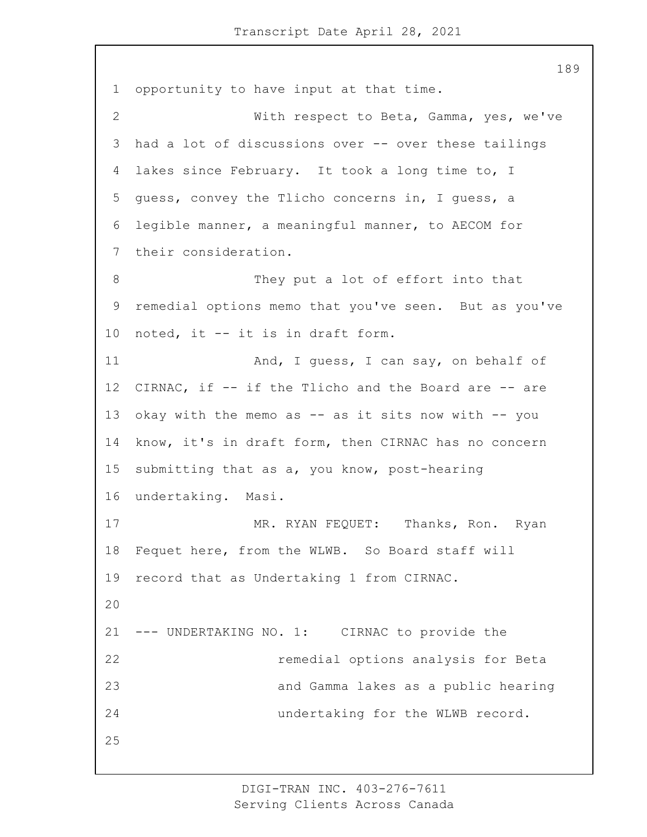opportunity to have input at that time. 2 With respect to Beta, Gamma, yes, we've had a lot of discussions over -- over these tailings lakes since February. It took a long time to, I guess, convey the Tlicho concerns in, I guess, a legible manner, a meaningful manner, to AECOM for their consideration. 8 They put a lot of effort into that remedial options memo that you've seen. But as you've noted, it -- it is in draft form. 11 And, I guess, I can say, on behalf of CIRNAC, if -- if the Tlicho and the Board are -- are 13 okay with the memo as -- as it sits now with -- you know, it's in draft form, then CIRNAC has no concern submitting that as a, you know, post-hearing undertaking. Masi. 17 MR. RYAN FEQUET: Thanks, Ron. Ryan Fequet here, from the WLWB. So Board staff will record that as Undertaking 1 from CIRNAC. --- UNDERTAKING NO. 1: CIRNAC to provide the 22 remedial options analysis for Beta 23 and Gamma lakes as a public hearing 24 undertaking for the WLWB record.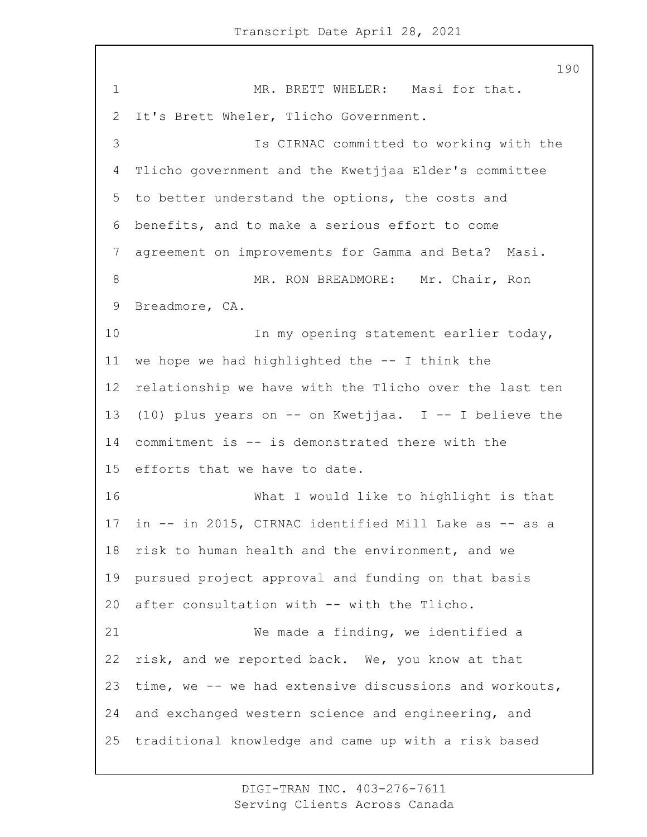1 MR. BRETT WHELER: Masi for that. It's Brett Wheler, Tlicho Government. 3 Is CIRNAC committed to working with the Tlicho government and the Kwetjjaa Elder's committee to better understand the options, the costs and benefits, and to make a serious effort to come agreement on improvements for Gamma and Beta? Masi. 8 MR. RON BREADMORE: Mr. Chair, Ron Breadmore, CA. 10 In my opening statement earlier today, we hope we had highlighted the -- I think the relationship we have with the Tlicho over the last ten (10) plus years on -- on Kwetjjaa. I -- I believe the commitment is -- is demonstrated there with the efforts that we have to date. 16 What I would like to highlight is that in -- in 2015, CIRNAC identified Mill Lake as -- as a risk to human health and the environment, and we pursued project approval and funding on that basis after consultation with -- with the Tlicho. 21 We made a finding, we identified a risk, and we reported back. We, you know at that time, we -- we had extensive discussions and workouts, and exchanged western science and engineering, and traditional knowledge and came up with a risk based

> DIGI-TRAN INC. 403-276-7611 Serving Clients Across Canada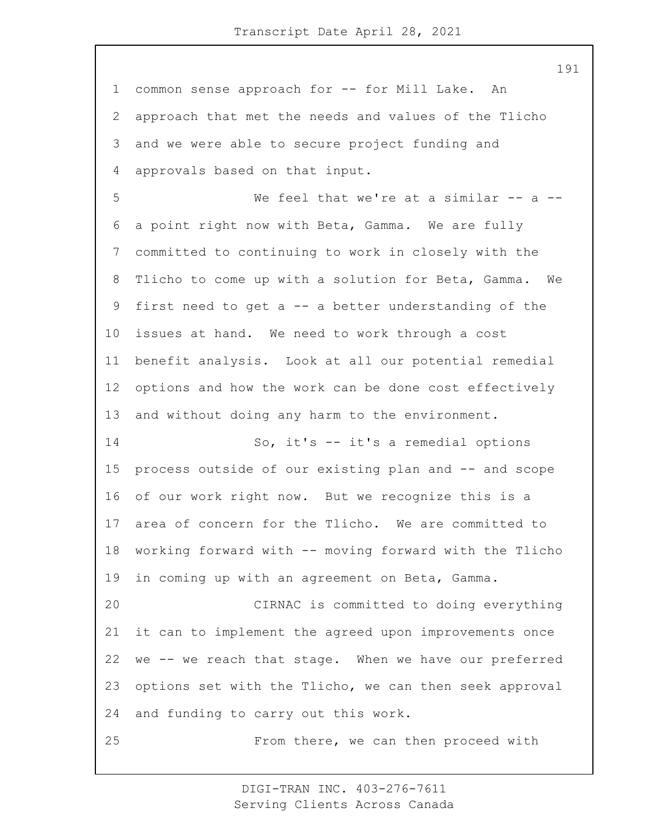common sense approach for -- for Mill Lake. An approach that met the needs and values of the Tlicho and we were able to secure project funding and approvals based on that input. 5 We feel that we're at a similar -- a -- a point right now with Beta, Gamma. We are fully committed to continuing to work in closely with the Tlicho to come up with a solution for Beta, Gamma. We first need to get a -- a better understanding of the issues at hand. We need to work through a cost benefit analysis. Look at all our potential remedial options and how the work can be done cost effectively and without doing any harm to the environment. 14 So, it's -- it's a remedial options process outside of our existing plan and -- and scope of our work right now. But we recognize this is a area of concern for the Tlicho. We are committed to working forward with -- moving forward with the Tlicho in coming up with an agreement on Beta, Gamma. 20 CIRNAC is committed to doing everything it can to implement the agreed upon improvements once we -- we reach that stage. When we have our preferred options set with the Tlicho, we can then seek approval and funding to carry out this work. 25 From there, we can then proceed with

> DIGI-TRAN INC. 403-276-7611 Serving Clients Across Canada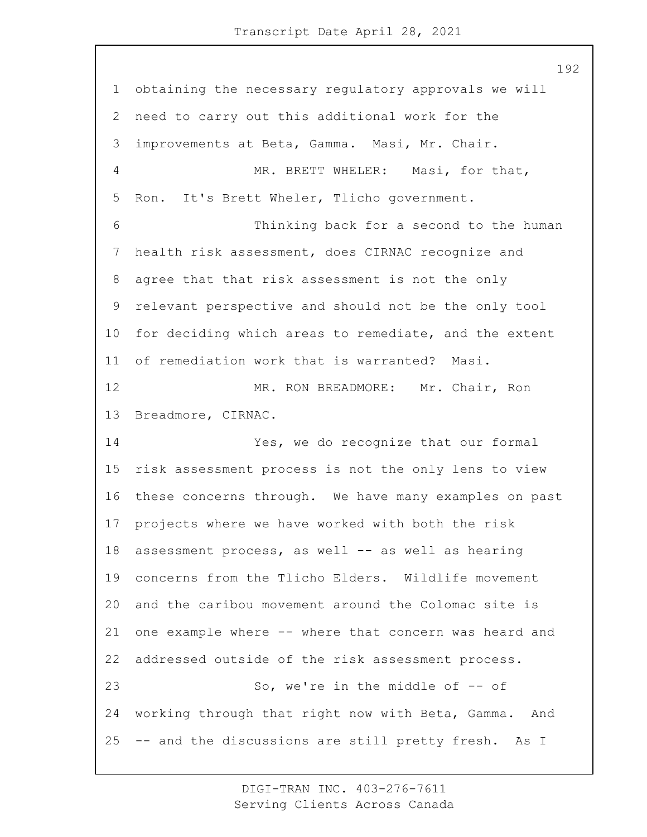obtaining the necessary regulatory approvals we will need to carry out this additional work for the improvements at Beta, Gamma. Masi, Mr. Chair. 4 MR. BRETT WHELER: Masi, for that, Ron. It's Brett Wheler, Tlicho government. 6 Thinking back for a second to the human health risk assessment, does CIRNAC recognize and agree that that risk assessment is not the only relevant perspective and should not be the only tool for deciding which areas to remediate, and the extent of remediation work that is warranted? Masi. 12 MR. RON BREADMORE: Mr. Chair, Ron Breadmore, CIRNAC. 14 Yes, we do recognize that our formal risk assessment process is not the only lens to view these concerns through. We have many examples on past projects where we have worked with both the risk 18 assessment process, as well -- as well as hearing concerns from the Tlicho Elders. Wildlife movement and the caribou movement around the Colomac site is one example where -- where that concern was heard and addressed outside of the risk assessment process. 23 So, we're in the middle of -- of working through that right now with Beta, Gamma. And -- and the discussions are still pretty fresh. As I

> DIGI-TRAN INC. 403-276-7611 Serving Clients Across Canada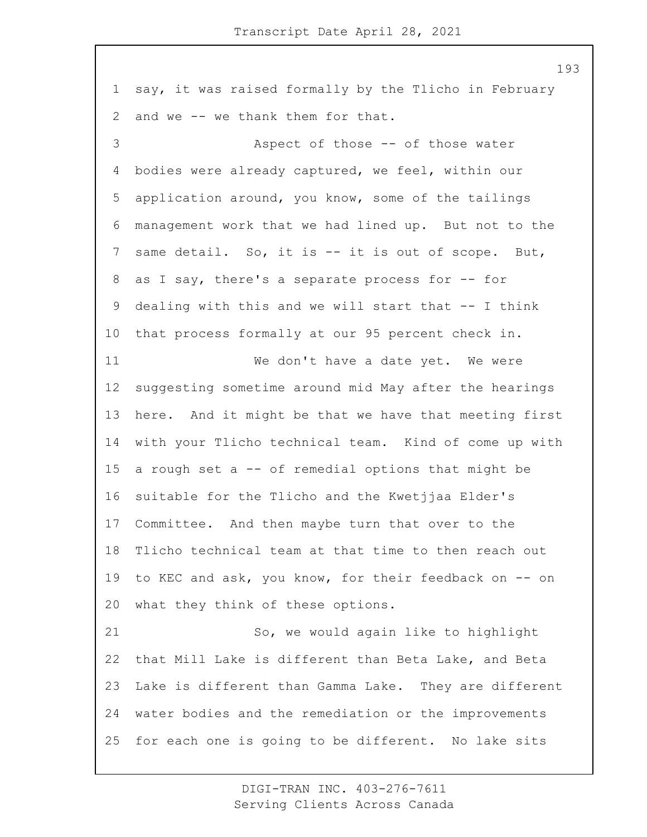say, it was raised formally by the Tlicho in February and we -- we thank them for that. 3 Aspect of those -- of those water bodies were already captured, we feel, within our application around, you know, some of the tailings management work that we had lined up. But not to the same detail. So, it is -- it is out of scope. But, 8 as I say, there's a separate process for -- for dealing with this and we will start that -- I think that process formally at our 95 percent check in. 11 We don't have a date yet. We were suggesting sometime around mid May after the hearings here. And it might be that we have that meeting first with your Tlicho technical team. Kind of come up with a rough set a -- of remedial options that might be suitable for the Tlicho and the Kwetjjaa Elder's Committee. And then maybe turn that over to the Tlicho technical team at that time to then reach out to KEC and ask, you know, for their feedback on -- on what they think of these options. 21 So, we would again like to highlight that Mill Lake is different than Beta Lake, and Beta Lake is different than Gamma Lake. They are different water bodies and the remediation or the improvements for each one is going to be different. No lake sits

> DIGI-TRAN INC. 403-276-7611 Serving Clients Across Canada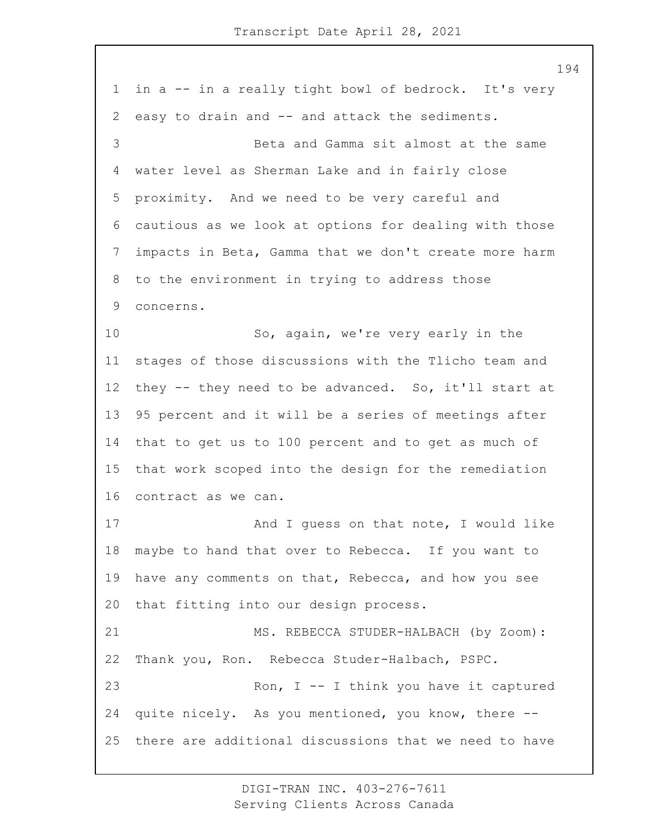in a -- in a really tight bowl of bedrock. It's very easy to drain and -- and attack the sediments. 3 Beta and Gamma sit almost at the same water level as Sherman Lake and in fairly close proximity. And we need to be very careful and cautious as we look at options for dealing with those impacts in Beta, Gamma that we don't create more harm to the environment in trying to address those concerns. 10 So, again, we're very early in the stages of those discussions with the Tlicho team and they -- they need to be advanced. So, it'll start at 95 percent and it will be a series of meetings after that to get us to 100 percent and to get as much of that work scoped into the design for the remediation contract as we can. 17 And I quess on that note, I would like maybe to hand that over to Rebecca. If you want to have any comments on that, Rebecca, and how you see that fitting into our design process. 21 MS. REBECCA STUDER-HALBACH (by Zoom): Thank you, Ron. Rebecca Studer-Halbach, PSPC. 23 Ron, I -- I think you have it captured quite nicely. As you mentioned, you know, there -- there are additional discussions that we need to have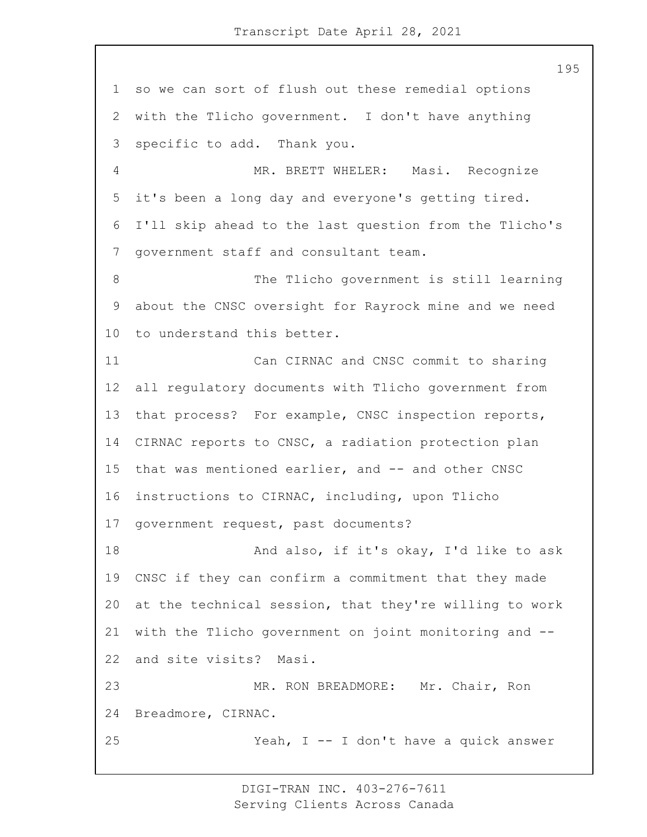so we can sort of flush out these remedial options with the Tlicho government. I don't have anything specific to add. Thank you. 4 MR. BRETT WHELER: Masi. Recognize it's been a long day and everyone's getting tired. I'll skip ahead to the last question from the Tlicho's government staff and consultant team. 8 The Tlicho government is still learning about the CNSC oversight for Rayrock mine and we need to understand this better. 11 Can CIRNAC and CNSC commit to sharing all regulatory documents with Tlicho government from that process? For example, CNSC inspection reports, CIRNAC reports to CNSC, a radiation protection plan 15 that was mentioned earlier, and -- and other CNSC instructions to CIRNAC, including, upon Tlicho government request, past documents? 18 And also, if it's okay, I'd like to ask CNSC if they can confirm a commitment that they made at the technical session, that they're willing to work with the Tlicho government on joint monitoring and -- and site visits? Masi. 23 MR. RON BREADMORE: Mr. Chair, Ron Breadmore, CIRNAC. 25 Yeah, I -- I don't have a quick answer

> DIGI-TRAN INC. 403-276-7611 Serving Clients Across Canada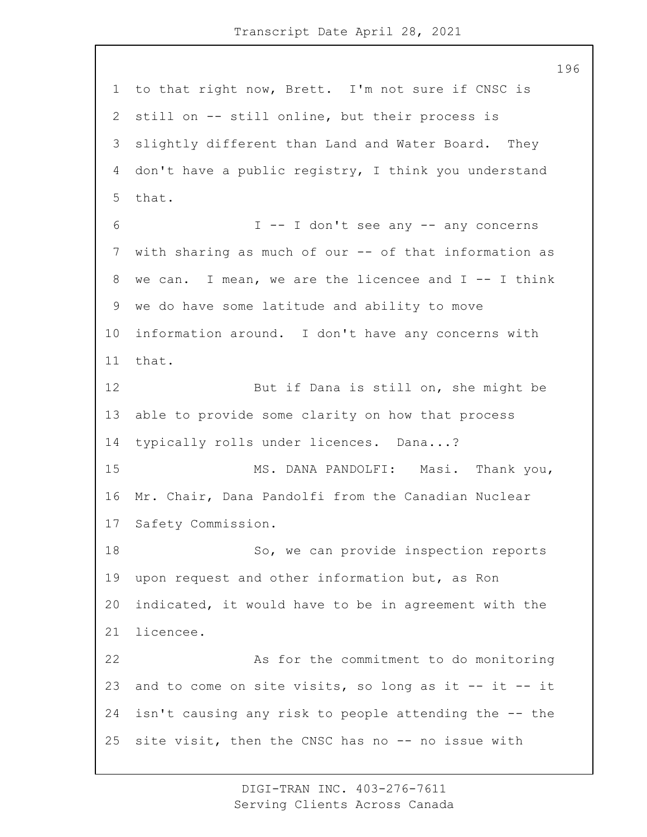to that right now, Brett. I'm not sure if CNSC is still on -- still online, but their process is slightly different than Land and Water Board. They don't have a public registry, I think you understand that. 6 I -- I don't see any -- any concerns 7 with sharing as much of our -- of that information as we can. I mean, we are the licencee and I -- I think we do have some latitude and ability to move information around. I don't have any concerns with that. 12 But if Dana is still on, she might be able to provide some clarity on how that process typically rolls under licences. Dana...? 15 MS. DANA PANDOLFI: Masi. Thank you, Mr. Chair, Dana Pandolfi from the Canadian Nuclear Safety Commission. 18 So, we can provide inspection reports upon request and other information but, as Ron indicated, it would have to be in agreement with the licencee. 22 As for the commitment to do monitoring and to come on site visits, so long as it -- it -- it isn't causing any risk to people attending the -- the site visit, then the CNSC has no -- no issue with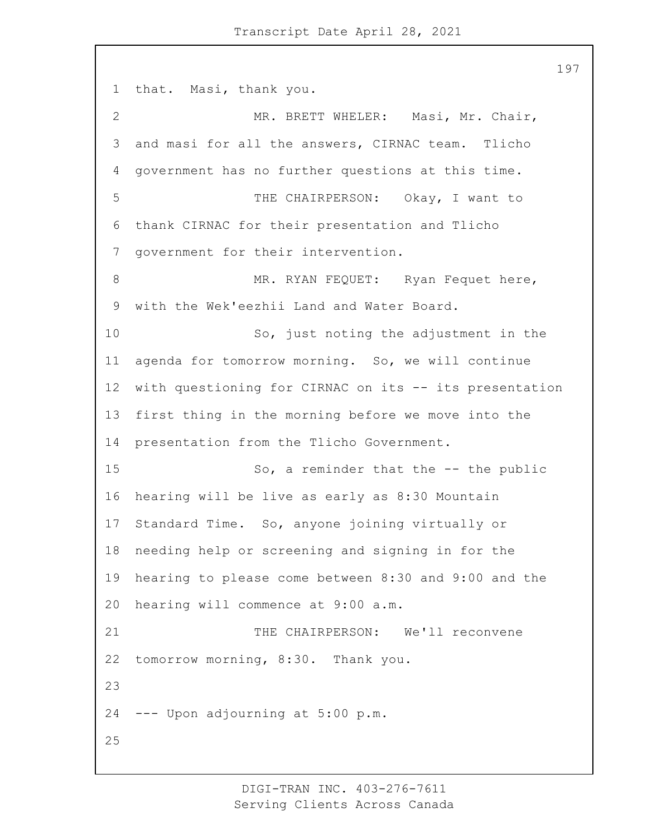that. Masi, thank you. 2 MR. BRETT WHELER: Masi, Mr. Chair, and masi for all the answers, CIRNAC team. Tlicho government has no further questions at this time. 5 THE CHAIRPERSON: Okay, I want to thank CIRNAC for their presentation and Tlicho government for their intervention. 8 MR. RYAN FEQUET: Ryan Fequet here, with the Wek'eezhii Land and Water Board. 10 So, just noting the adjustment in the agenda for tomorrow morning. So, we will continue with questioning for CIRNAC on its -- its presentation first thing in the morning before we move into the presentation from the Tlicho Government. 15 So, a reminder that the -- the public hearing will be live as early as 8:30 Mountain Standard Time. So, anyone joining virtually or needing help or screening and signing in for the hearing to please come between 8:30 and 9:00 and the hearing will commence at 9:00 a.m. 21 THE CHAIRPERSON: We'll reconvene tomorrow morning, 8:30. Thank you. --- Upon adjourning at 5:00 p.m. 

> DIGI-TRAN INC. 403-276-7611 Serving Clients Across Canada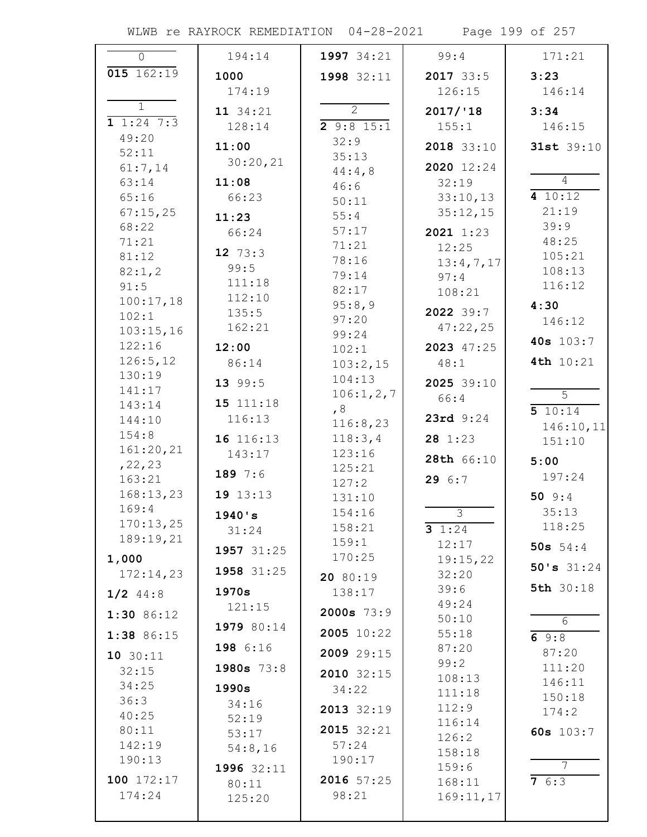WLWB re RAYROCK REMEDIATION 04-28-2021 Page 199 of 257

| $\Omega$                | 194:14       | 1997 34:21          | 99:4              | 171:21              |
|-------------------------|--------------|---------------------|-------------------|---------------------|
| 015 162:19              | 1000         | 1998 32:11          | $2017$ 33:5       | 3:23                |
|                         | 174:19       |                     | 126:15            | 146:14              |
| $\mathbf{1}$            | 11 34:21     | $\overline{2}$      | 2017/18           | 3:34                |
| $\overline{1}$ 1:24 7:3 | 128:14       | 29:815:1            | 155:1             | 146:15              |
| 49:20                   | 11:00        | 32:9                | 2018 33:10        | 31st 39:10          |
| 52:11                   | 30:20,21     | 35:13               |                   |                     |
| 61:7,14                 |              | 44:4,8              | 2020 12:24        | $\overline{4}$      |
| 63:14                   | 11:08        | 46:6                | 32:19             | 410:12              |
| 65:16                   | 66:23        | 50:11               | 33:10,13          | 21:19               |
| 67:15,25<br>68:22       | 11:23        | 55:4                | 35:12,15          | 39:9                |
| 71:21                   | 66:24        | 57:17               | $2021$ 1:23       | 48:25               |
| 81:12                   | 12 $73:3$    | 71:21<br>78:16      | 12:25             | 105:21              |
| 82:1,2                  | 99:5         | 79:14               | 13:4,7,17<br>97:4 | 108:13              |
| 91:5                    | 111:18       | 82:17               | 108:21            | 116:12              |
| 100:17,18               | 112:10       | 95:8,9              |                   | 4:30                |
| 102:1                   | 135:5        | 97:20               | 2022 39:7         | 146:12              |
| 103:15,16               | 162:21       | 99:24               | 47:22,25          | 40s 103:7           |
| 122:16                  | 12:00        | 102:1               | 2023 47:25        |                     |
| 126:5,12<br>130:19      | 86:14        | 103:2,15            | 48:1              | 4th 10:21           |
| 141:17                  | 13 99:5      | 104:13              | 2025 39:10        |                     |
| 143:14                  | 15 111:18    | 106:1, 2, 7         | 66:4              | $\overline{5}$      |
| 144:10                  | 116:13       | , 8<br>116:8,23     | 23rd 9:24         | 510:14              |
| 154:8                   | 16 116:13    | 118:3,4             | 281:23            | 146:10,11<br>151:10 |
| 161:20,21               | 143:17       | 123:16              |                   |                     |
| , 22, 23                |              | 125:21              | 28th 66:10        | 5:00                |
| 163:21                  | 189 7:6      | 127:2               | 29 6:7            | 197:24              |
| 168:13,23               | 19 13:13     | 131:10              |                   | 50 $9:4$            |
| 169:4<br>170:13,25      | 1940's       | 154:16              | $\overline{3}$    | 35:13               |
| 189:19,21               | 31:24        | 158:21              | 3 $1:24$          | 118:25              |
|                         | 1957 31:25   | 159:1               | 12:17             | 50s $54:4$          |
| 1,000                   | 1958 31:25   | 170:25              | 19:15,22          | 50's $31:24$        |
| 172:14,23               |              | 20 80:19            | 32:20<br>39:6     | 5th 30:18           |
| $1/2$ 44:8              | 1970s        | 138:17              | 49:24             |                     |
| $1:30$ 86:12            | 121:15       | $2000s$ 73:9        | 50:10             | 6                   |
| 1:38 86:15              | 1979 80:14   | 2005 10:22          | 55:18             | 69:8                |
| 10 30:11                | 198 6:16     | 2009 29:15          | 87:20             | 87:20               |
| 32:15                   | $1980s$ 73:8 |                     | 99:2              | 111:20              |
| 34:25                   | 1990s        | 2010 32:15<br>34:22 | 108:13            | 146:11              |
| 36:3                    | 34:16        |                     | 111:18            | 150:18              |
| 40:25                   | 52:19        | 2013 32:19          | 112:9             | 174:2               |
| 80:11                   | 53:17        | 2015 32:21          | 116:14<br>126:2   | 60s $103:7$         |
| 142:19                  | 54:8,16      | 57:24               | 158:18            |                     |
| 190:13                  | 1996 32:11   | 190:17              | 159:6             | $\overline{7}$      |
| 100 172:17              | 80:11        | 2016 57:25          | 168:11            | 76:3                |
| 174:24                  | 125:20       | 98:21               | 169:11,17         |                     |
|                         |              |                     |                   |                     |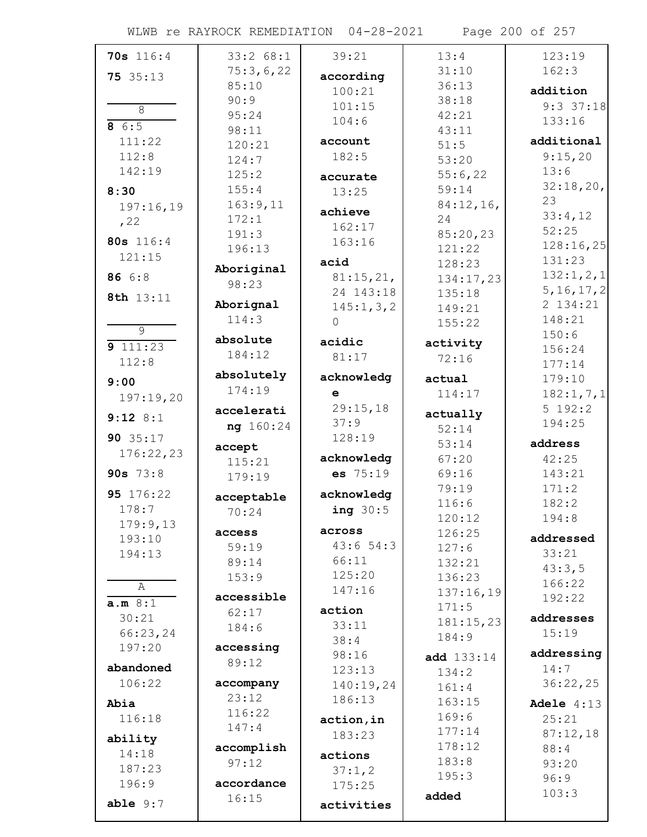WLWB re RAYROCK REMEDIATION 04-28-2021 Page 200 of 257

| 70s 116:4           | 33:2 68:1          | 39:21               | 13:4              | 123:19        |
|---------------------|--------------------|---------------------|-------------------|---------------|
| 75 35:13            | 75:3,6,22          | according           | 31:10             | 162:3         |
|                     | 85:10              | 100:21              | 36:13             | addition      |
| $\overline{8}$      | 90:9               | 101:15              | 38:18             | $9:3$ 37:18   |
| 86:5                | 95:24              | 104:6               | 42:21             | 133:16        |
| 111:22              | 98:11              | account             | 43:11             | additional    |
| 112:8               | 120:21             | 182:5               | 51:5              | 9:15,20       |
| 142:19              | 124:7              |                     | 53:20             | 13:6          |
|                     | 125:2              | accurate            | 55:6,22           | 32:18,20,     |
| 8:30                | 155:4              | 13:25               | 59:14             | 23            |
| 197:16,19           | 163:9,11<br>172:1  | achieve             | 84:12,16,<br>24   | 33:4,12       |
| , 22                | 191:3              | 162:17              | 85:20,23          | 52:25         |
| 80s 116:4           | 196:13             | 163:16              | 121:22            | 128:16,25     |
| 121:15              |                    | acid                | 128:23            | 131:23        |
| 86 6:8              | Aboriginal         | 81:15,21,           | 134:17,23         | 132:1,2,1     |
|                     | 98:23              | 24 143:18           | 135:18            | 5, 16, 17, 2  |
| 8th 13:11           | Aborignal          | 145:1, 3, 2         | 149:21            | 2 134:21      |
|                     | 114:3              | $\Omega$            | 155:22            | 148:21        |
| $\overline{9}$      | absolute           | acidic              | activity          | 150:6         |
| 9111:23             | 184:12             | 81:17               | 72:16             | 156:24        |
| 112:8               |                    |                     |                   | 177:14        |
| 9:00                | absolutely         | acknowledg          | actual            | 179:10        |
| 197:19,20           | 174:19             | $\mathbf e$         | 114:17            | 182:1, 7, 1   |
| $9:12$ 8:1          | accelerati         | 29:15,18            | actually          | 5 192:2       |
|                     | ng 160:24          | 37:9                | 52:14             | 194:25        |
| 90 35:17            |                    | 128:19              |                   |               |
|                     | accept             |                     | 53:14             | address       |
| 176:22,23           | 115:21             | acknowledg          | 67:20             | 42:25         |
| 90s $73:8$          | 179:19             | es 75:19            | 69:16             | 143:21        |
| 95 176:22           |                    | acknowledg          | 79:19             | 171:2         |
| 178:7               | acceptable         | ing $30:5$          | 116:6             | 182:2         |
| 179:9,13            | 70:24              |                     | 120:12            | 194:8         |
| 193:10              | access             | across              | 126:25            | addressed     |
| 194:13              | 59:19              | 43:654:3            | 127:6             | 33:21         |
|                     | 89:14              | 66:11               | 132:21            | 43:3,5        |
| A                   | 153:9              | 125:20              | 136:23            | 166:22        |
| a.m 8:1             | accessible         | 147:16              | 137:16,19         | 192:22        |
| 30:21               | 62:17              | action              | 171:5             | addresses     |
| 66:23,24            | 184:6              | 33:11               | 181:15,23         | 15:19         |
| 197:20              | accessing          | 38:4                | 184:9             |               |
|                     | 89:12              | 98:16               | <b>add</b> 133:14 | addressing    |
| abandoned<br>106:22 |                    | 123:13              | 134:2             | 14:7          |
|                     | accompany<br>23:12 | 140:19,24<br>186:13 | 161:4             | 36:22,25      |
| Abia                | 116:22             |                     | 163:15            | Adele $4:13$  |
| 116:18              | 147:4              | action, in          | 169:6             | 25:21         |
| ability             |                    | 183:23              | 177:14            | 87:12,18      |
| 14:18               | accomplish         | actions             | 178:12<br>183:8   | 88:4          |
| 187:23              | 97:12              | 37:1,2              | 195:3             | 93:20         |
| 196:9               | accordance         | 175:25              |                   | 96:9<br>103:3 |
| able $9:7$          | 16:15              | activities          | added             |               |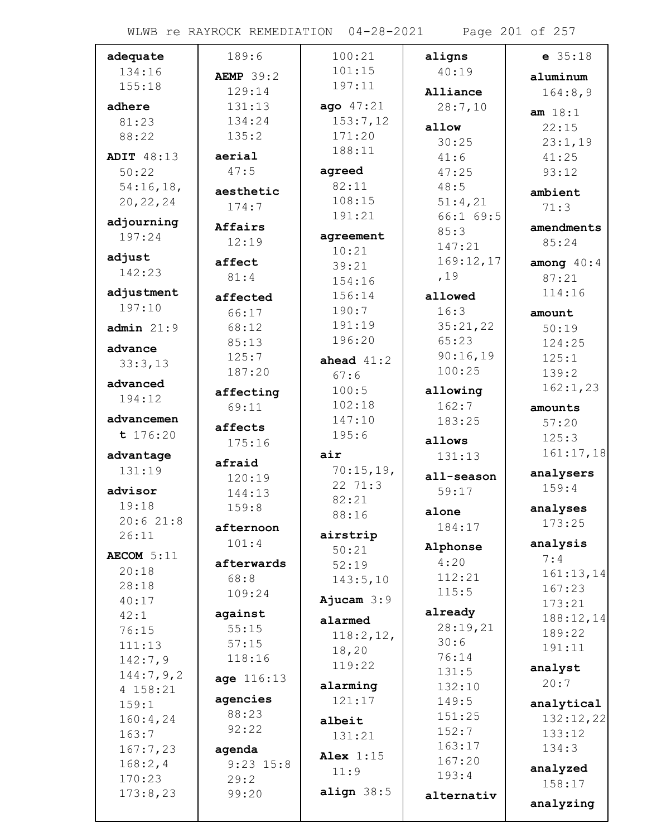WLWB re RAYROCK REMEDIATION 04-28-2021 Page 201 of 257

| adequate          | 189:6              | 100:21               | aligns            | $e$ 35:18          |
|-------------------|--------------------|----------------------|-------------------|--------------------|
| 134:16            | <b>AEMP</b> 39:2   | 101:15               | 40:19             | aluminum           |
| 155:18            | 129:14             | 197:11               | Alliance          | 164:8,9            |
| adhere            | 131:13             | ago 47:21            | 28:7,10           |                    |
| 81:23             | 134:24             | 153:7,12             | allow             | am 18:1<br>22:15   |
| 88:22             | 135:2              | 171:20               | 30:25             |                    |
| <b>ADIT 48:13</b> | aerial             | 188:11               | 41:6              | 23:1,19<br>41:25   |
| 50:22             | 47:5               | agreed               | 47:25             | 93:12              |
| 54:16,18,         |                    | 82:11                | 48:5              |                    |
| 20, 22, 24        | aesthetic          | 108:15               | 51:4,21           | ambient            |
|                   | 174:7              | 191:21               | 66:169:5          | 71:3               |
| adjourning        | Affairs            |                      | 85:3              | amendments         |
| 197:24            | 12:19              | agreement            | 147:21            | 85:24              |
| adjust            | affect             | 10:21<br>39:21       | 169:12,17         | among $40:4$       |
| 142:23            | 81:4               | 154:16               | ,19               | 87:21              |
| adjustment        |                    | 156:14               | allowed           | 114:16             |
| 197:10            | affected<br>66:17  | 190:7                | 16:3              |                    |
| admin 21:9        | 68:12              | 191:19               | 35:21,22          | amount<br>50:19    |
|                   | 85:13              | 196:20               | 65:23             | 124:25             |
| advance           | 125:7              |                      | 90:16,19          | 125:1              |
| 33:3,13           | 187:20             | ahead $41:2$<br>67:6 | 100:25            | 139:2              |
| advanced          |                    | 100:5                |                   | 162:1,23           |
| 194:12            | affecting          | 102:18               | allowing<br>162:7 |                    |
| advancemen        | 69:11              | 147:10               | 183:25            | amounts            |
| t 176:20          | affects            | 195:6                |                   | 57:20<br>125:3     |
|                   | 175:16             |                      | allows            | 161:17,18          |
| advantage         | afraid             | air                  | 131:13            |                    |
| 131:19            | 120:19             | 70:15,19,<br>22 71:3 | all-season        | analysers          |
| advisor           | 144:13             | 82:21                | 59:17             | 159:4              |
| 19:18             | 159:8              | 88:16                | alone             | analyses           |
| 20:621:8          | afternoon          |                      | 184:17            | 173:25             |
| 26:11             | 101:4              | airstrip             |                   | analysis           |
| AECOM 5:11        |                    | 50:21                | Alphonse<br>4:20  | 7:4                |
| 20:18             | afterwards<br>68:8 | 52:19                | 112:21            | 161:13,14          |
| 28:18             | 109:24             | 143:5,10             | 115:5             | 167:23             |
| 40:17             |                    | Ajucam $3:9$         |                   | 173:21             |
| 42:1              | against            | alarmed              | already           | 188:12,14          |
| 76:15             | 55:15              | 118:2,12,            | 28:19,21<br>30:6  | 189:22             |
| 111:13            | 57:15              | 18,20                | 76:14             | 191:11             |
| 142:7,9           | 118:16             | 119:22               | 131:5             | analyst            |
| 144:7,9,2         | age 116:13         | alarming             | 132:10            | 20:7               |
| 4 158:21<br>159:1 | agencies           | 121:17               | 149:5             | analytical         |
| 160:4,24          | 88:23              |                      | 151:25            | 132:12,22          |
| 163:7             | 92:22              | albeit<br>131:21     | 152:7             | 133:12             |
| 167:7,23          | agenda             |                      | 163:17            | 134:3              |
| 168:2,4           | $9:23$ 15:8        | Alex $1:15$          | 167:20            |                    |
| 170:23            | 29:2               | 11:9                 | 193:4             | analyzed<br>158:17 |
| 173:8,23          | 99:20              | align $38:5$         | alternativ        |                    |
|                   |                    |                      |                   | analyzing          |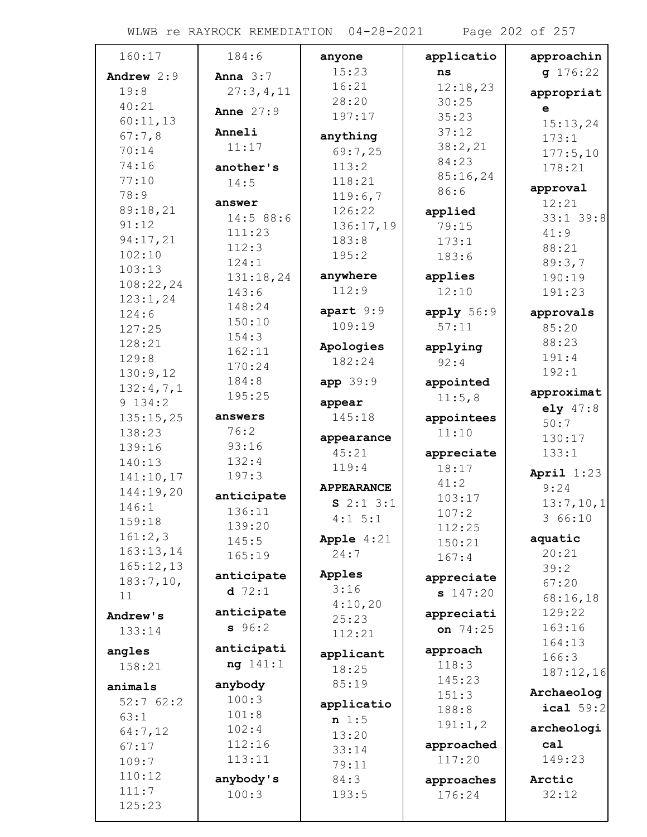WLWB re RAYROCK REMEDIATION 04-28-2021 Page 202 of 257

| 160:17             | 184:6          | anyone              | applicatio           | approachin        |
|--------------------|----------------|---------------------|----------------------|-------------------|
| Andrew 2:9         | Anna $3:7$     | 15:23               | ns                   | q 176:22          |
| 19:8               | 27:3,4,11      | 16:21               | 12:18,23             | appropriat        |
| 40:21              | Anne $27:9$    | 28:20               | 30:25                | $\mathbf{e}$      |
| 60:11,13           |                | 197:17              | 35:23                | 15:13,24          |
| 67:7,8             | Anneli         | anything            | 37:12                | 173:1             |
| 70:14              | 11:17          | 69:7,25             | 38:2,21              | 177:5,10          |
| 74:16              | another's      | 113:2               | 84:23                | 178:21            |
| 77:10              | 14:5           | 118:21              | 85:16,24             |                   |
| 78:9               | answer         | 119:6,7             | 86:6                 | approval<br>12:21 |
| 89:18,21           | 14:588:6       | 126:22              | applied              | $33:1$ 39:8       |
| 91:12              | 111:23         | 136:17,19           | 79:15                | 41:9              |
| 94:17,21           | 112:3          | 183:8               | 173:1                | 88:21             |
| 102:10             | 124:1          | 195:2               | 183:6                | 89:3,7            |
| 103:13             | 131:18,24      | anywhere            | applies              | 190:19            |
| 108:22,24          | 143:6          | 112:9               | 12:10                | 191:23            |
| 123:1,24           | 148:24         |                     |                      |                   |
| 124:6              | 150:10         | apart 9:9           | apply 56:9           | approvals         |
| 127:25             | 154:3          | 109:19              | 57:11                | 85:20             |
| 128:21             | 162:11         | Apologies           | applying             | 88:23             |
| 129:8              | 170:24         | 182:24              | 92:4                 | 191:4             |
| 130:9,12           | 184:8          | app 39:9            | appointed            | 192:1             |
| 132:4,7,1          | 195:25         |                     | 11:5,8               | approximat        |
| 9 134:2            |                | appear              |                      | $e1y$ 47:8        |
| 135:15,25          | answers        | 145:18              | appointees           | 50:7              |
| 138:23             | 76:2           | appearance          | 11:10                | 130:17            |
| 139:16             | 93:16<br>132:4 | 45:21               | appreciate           | 133:1             |
| 140:13             | 197:3          | 119:4               | 18:17                | April $1:23$      |
| 141:10,17          |                | <b>APPEARANCE</b>   | 41:2                 | 9:24              |
| 144:19,20<br>146:1 | anticipate     | $S$ 2:1 3:1         | 103:17               | 13:7,10,1         |
| 159:18             | 136:11         | $4:1 \ 5:1$         | 107:2                | 3 66:10           |
| 161:2,3            | 139:20         |                     | 112:25               |                   |
| 163:13,14          | 145:5          | Apple $4:21$        | 150:21               | aquatic           |
| 165:12,13          | 165:19         | 24:7                | 167:4                | 20:21             |
| 183:7,10,          | anticipate     | Apples              | appreciate           | 39:2              |
| 11                 | $d$ 72:1       | 3:16                | \$147:20             | 67:20<br>68:16,18 |
|                    | anticipate     | 4:10,20             |                      | 129:22            |
| Andrew's           | 96:2           | 25:23               | appreciati           | 163:16            |
| 133:14             |                | 112:21              | on 74:25             | 164:13            |
| angles             | anticipati     | applicant           | approach             | 166:3             |
| 158:21             | ng 141:1       | 18:25               | 118:3                | 187:12,16         |
| animals            | anybody        | 85:19               | 145:23               |                   |
| 52:762:2           | 100:3          |                     | 151:3                | Archaeolog        |
| 63:1               | 101:8          | applicatio<br>n 1:5 | 188:8                | ical $59:2$       |
| 64:7,12            | 102:4          | 13:20               | 191:1,2              | archeologi        |
| 67:17              | 112:16         | 33:14               | approached           | ca1               |
| 109:7              | 113:11         | 79:11               | 117:20               | 149:23            |
| 110:12             | anybody's      | 84:3                |                      | Arctic            |
| 111:7              | 100:3          | 193:5               | approaches<br>176:24 | 32:12             |
| 125:23             |                |                     |                      |                   |
|                    |                |                     |                      |                   |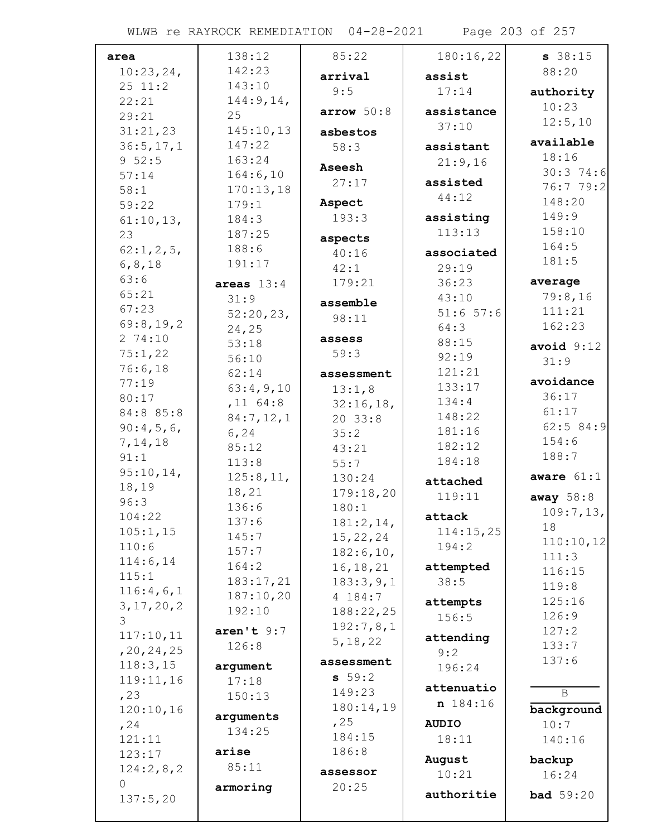WLWB re RAYROCK REMEDIATION 04-28-2021 Page 203 of 257

| area               | 138:12                | 85:22              | 180:16,22        | $s$ 38:15          |
|--------------------|-----------------------|--------------------|------------------|--------------------|
| 10:23,24,          | 142:23                | arrival            | assist           | 88:20              |
| 25 11:2            | 143:10                | 9:5                | 17:14            |                    |
| 22:21              | 144:9, 14,            |                    |                  | authority<br>10:23 |
| 29:21              | 25                    | arrow 50:8         | assistance       | 12:5,10            |
| 31:21,23           | 145:10,13             | asbestos           | 37:10            |                    |
| 36:5, 17, 1        | 147:22                | 58:3               | assistant        | available          |
| 952:5              | 163:24                | Aseesh             | 21:9,16          | 18:16              |
| 57:14              | 164:6,10              | 27:17              | assisted         | $30:3$ 74:6        |
| 58:1               | 170:13,18             |                    | 44:12            | 76:7 79:2          |
| 59:22              | 179:1                 | Aspect             |                  | 148:20             |
| 61:10,13,          | 184:3                 | 193:3              | assisting        | 149:9              |
| 23                 | 187:25                | aspects            | 113:13           | 158:10<br>164:5    |
| 62:1, 2, 5,        | 188:6                 | 40:16              | associated       | 181:5              |
| 6, 8, 18           | 191:17                | 42:1               | 29:19            |                    |
| 63:6               | areas $13:4$          | 179:21             | 36:23            | average            |
| 65:21              | 31:9                  | assemble           | 43:10            | 79:8,16            |
| 67:23              | 52:20,23,             | 98:11              | $51:6$ 57:6      | 111:21             |
| 69:8,19,2          | 24,25                 |                    | 64:3             | 162:23             |
| 274:10             | 53:18                 | assess             | 88:15            | avoid $9:12$       |
| 75:1,22<br>76:6,18 | 56:10                 | 59:3               | 92:19            | 31:9               |
| 77:19              | 62:14                 | assessment         | 121:21           | avoidance          |
| 80:17              | 63:4,9,10             | 13:1,8             | 133:17           | 36:17              |
| 84:8 85:8          | $,11$ 64:8            | 32:16,18,          | 134:4            | 61:17              |
| 90:4,5,6,          | 84:7,12,1             | 2033:8             | 148:22           | 62:584:9           |
| 7, 14, 18          | 6, 24                 | 35:2               | 181:16           | 154:6              |
| 91:1               | 85:12                 | 43:21              | 182:12<br>184:18 | 188:7              |
| 95:10,14,          | 113:8                 | 55:7               |                  | aware $61:1$       |
| 18,19              | 125:8,11,             | 130:24             | attached         |                    |
| 96:3               | 18,21<br>136:6        | 179:18,20          | 119:11           | away $58:8$        |
| 104:22             | 137:6                 | 180:1<br>181:2,14, | attack           | 109:7,13,          |
| 105:1,15           | 145:7                 | 15, 22, 24         | 114:15,25        | 18                 |
| 110:6              | 157:7                 | 182:6, 10,         | 194:2            | 110:10,12          |
| 114:6,14           | 164:2                 | 16, 18, 21         | attempted        | 111:3              |
| 115:1              | 183:17,21             | 183:3,9,1          | 38:5             | 116:15             |
| 116:4,6,1          | 187:10,20             | 4 184:7            |                  | 119:8              |
| 3, 17, 20, 2       | 192:10                | 188:22,25          | attempts         | 125:16<br>126:9    |
| 3                  | $\texttt{aren't} 9:7$ | 192:7,8,1          | 156:5            | 127:2              |
| 117:10,11          | 126:8                 | 5, 18, 22          | attending        | 133:7              |
| , 20, 24, 25       |                       | assessment         | 9:2              | 137:6              |
| 118:3,15           | argument              | 59:2               | 196:24           |                    |
| 119:11,16          | 17:18                 | 149:23             | attenuatio       | $\mathbf B$        |
| , 23               | 150:13                | 180:14,19          | n 184:16         |                    |
| 120:10,16          | arguments             | , 25               | <b>AUDIO</b>     | background<br>10:7 |
| , 24<br>121:11     | 134:25                | 184:15             | 18:11            |                    |
| 123:17             | arise                 | 186:8              |                  | 140:16             |
| 124:2,8,2          | 85:11                 |                    | August           | backup             |
| $\circ$            |                       | assessor           | 10:21            | 16:24              |
| 137:5,20           | armoring              | 20:25              | authoritie       | <b>bad</b> 59:20   |
|                    |                       |                    |                  |                    |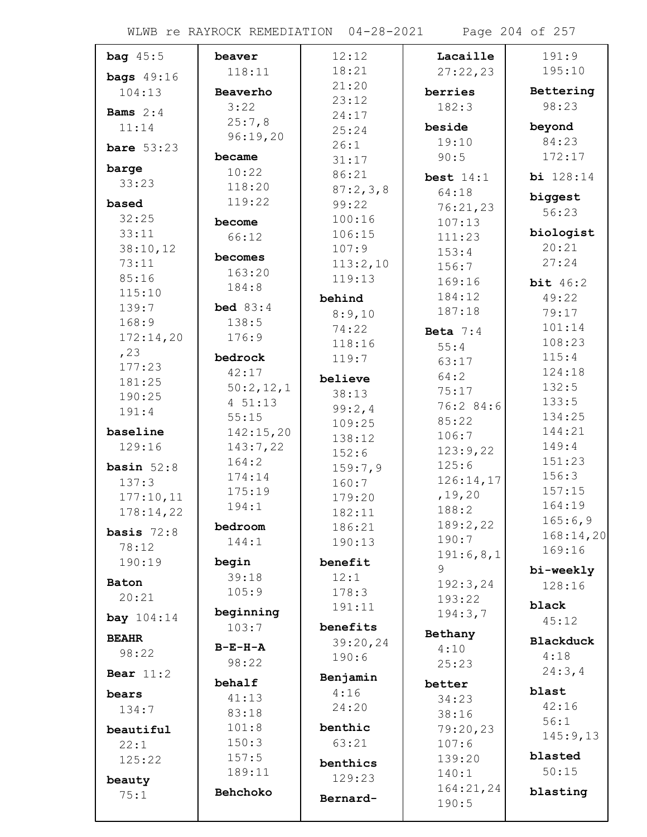| bag $45:5$        | beaver          | 12:12    | Lacaille    | 191:9                |
|-------------------|-----------------|----------|-------------|----------------------|
| bags $49:16$      | 118:11          | 18:21    | 27:22,23    | 195:10               |
| 104:13            | Beaverho        | 21:20    | berries     | Bettering            |
|                   | 3:22            | 23:12    | 182:3       | 98:23                |
| <b>Bams</b> $2:4$ | 25:7,8          | 24:17    |             |                      |
| 11:14             | 96:19,20        | 25:24    | beside      | beyond               |
| bare $53:23$      |                 | 26:1     | 19:10       | 84:23                |
| barge             | became          | 31:17    | 90:5        | 172:17               |
| 33:23             | 10:22           | 86:21    | best $14:1$ | <b>bi</b> 128:14     |
|                   | 118:20          | 87:2,3,8 | 64:18       | biggest              |
| based             | 119:22          | 99:22    | 76:21,23    | 56:23                |
| 32:25             | become          | 100:16   | 107:13      |                      |
| 33:11             | 66:12           | 106:15   | 111:23      | biologist            |
| 38:10,12          | becomes         | 107:9    | 153:4       | 20:21<br>27:24       |
| 73:11             | 163:20          | 113:2,10 | 156:7       |                      |
| 85:16             | 184:8           | 119:13   | 169:16      | bit $46:2$           |
| 115:10<br>139:7   | <b>bed</b> 83:4 | behind   | 184:12      | 49:22                |
| 168:9             | 138:5           | 8:9,10   | 187:18      | 79:17                |
| 172:14,20         | 176:9           | 74:22    | Beta $7:4$  | 101:14               |
|                   |                 | 118:16   | 55:4        | 108:23               |
| , 23<br>177:23    | bedrock         | 119:7    | 63:17       | 115:4                |
| 181:25            | 42:17           | believe  | 64:2        | 124:18               |
| 190:25            | 50:2,12,1       | 38:13    | 75:17       | 132:5                |
| 191:4             | 4 51:13         | 99:2,4   | 76:2 84:6   | 133:5                |
|                   | 55:15           | 109:25   | 85:22       | 134:25               |
| baseline          | 142:15,20       | 138:12   | 106:7       | 144:21               |
| 129:16            | 143:7,22        | 152:6    | 123:9,22    | 149:4                |
| basin $52:8$      | 164:2           | 159:7,9  | 125:6       | 151:23               |
| 137:3             | 174:14          | 160:7    | 126:14,17   | 156:3                |
| 177:10,11         | 175:19          | 179:20   | , 19, 20    | 157:15               |
| 178:14,22         | 194:1           | 182:11   | 188:2       | 164:19               |
| basis $72:8$      | bedroom         | 186:21   | 189:2,22    | 165:6,9<br>168:14,20 |
| 78:12             | 144:1           | 190:13   | 190:7       | 169:16               |
| 190:19            | begin           | benefit  | 191:6,8,1   |                      |
|                   | 39:18           | 12:1     | 9           | bi-weekly            |
| Baton             | 105:9           | 178:3    | 192:3,24    | 128:16               |
| 20:21             | beginning       | 191:11   | 193:22      | black                |
| <b>bay</b> 104:14 | 103:7           | benefits | 194:3,7     | 45:12                |
| <b>BEAHR</b>      |                 | 39:20,24 | Bethany     | <b>Blackduck</b>     |
| 98:22             | $B-E-H-A$       | 190:6    | 4:10        | 4:18                 |
|                   | 98:22           |          | 25:23       | 24:3, 4              |
| Bear $11:2$       | behalf          | Benjamin | better      |                      |
| bears             | 41:13           | 4:16     | 34:23       | blast                |
| 134:7             | 83:18           | 24:20    | 38:16       | 42:16                |
| beautiful         | 101:8           | benthic  | 79:20,23    | 56:1                 |
| 22:1              | 150:3           | 63:21    | 107:6       | 145:9,13             |
| 125:22            | 157:5           | benthics | 139:20      | blasted              |
|                   | 189:11          | 129:23   | 140:1       | 50:15                |
| beauty            | Behchoko        |          | 164:21,24   | blasting             |
| 75:1              |                 | Bernard- | 190:5       |                      |
|                   |                 |          |             |                      |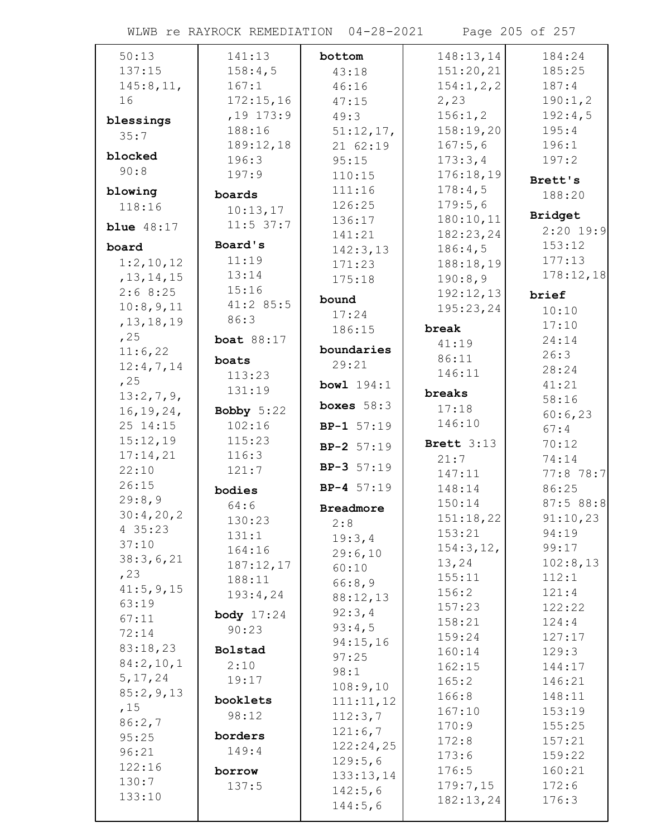WLWB re RAYROCK REMEDIATION 04-28-2021 Page 205 of 257

| 50:13               | 141:13                  | bottom           | 148:13,14             | 184:24         |
|---------------------|-------------------------|------------------|-----------------------|----------------|
| 137:15              | 158:4,5                 | 43:18            | 151:20,21             | 185:25         |
| 145:8, 11,          | 167:1                   | 46:16            | 154:1,2,2             | 187:4          |
| 16                  | 172:15,16               | 47:15            | 2,23                  | 190:1,2        |
|                     | $,19$ 173:9             | 49:3             | 156:1,2               | 192:4,5        |
| blessings           | 188:16                  | $51:12,17$ ,     | 158:19,20             | 195:4          |
| 35:7                | 189:12,18               | 21 62:19         | 167:5,6               | 196:1          |
| blocked             | 196:3                   | 95:15            | 173:3,4               | 197:2          |
| 90:8                | 197:9                   | 110:15           | 176:18,19             |                |
| blowing             |                         | 111:16           | 178:4,5               | Brett's        |
| 118:16              | boards                  | 126:25           | 179:5,6               | 188:20         |
|                     | 10:13,17<br>$11:5$ 37:7 | 136:17           | 180:10,11             | Bridget        |
| <b>blue</b> $48:17$ |                         | 141:21           | 182:23,24             | $2:20$ 19:9    |
| board               | Board's                 | 142:3,13         | 186:4,5               | 153:12         |
| 1:2,10,12           | 11:19                   | 171:23           | 188:18,19             | 177:13         |
| , 13, 14, 15        | 13:14                   | 175:18           | 190:8,9               | 178:12,18      |
| 2:68:25             | 15:16                   | bound            | 192:12,13             | brief          |
| 10:8,9,11           | 41:285:5                | 17:24            | 195:23,24             | 10:10          |
| , 13, 18, 19        | 86:3                    | 186:15           | break                 | 17:10          |
| , 25                | <b>boat</b> 88:17       |                  | 41:19                 | 24:14          |
| 11:6,22             | boats                   | boundaries       | 86:11                 | 26:3           |
| 12:4,7,14           |                         | 29:21            | 146:11                | 28:24          |
| , 25                | 113:23<br>131:19        | bowl $194:1$     |                       | 41:21          |
| 13:2,7,9            |                         | boxes $58:3$     | breaks                | 58:16          |
| 16, 19, 24,         | Bobby $5:22$            |                  | 17:18                 | 60:6,23        |
| 25 14:15            | 102:16                  | $BP-1 57:19$     | 146:10                | 67:4           |
| 15:12,19            | 115:23                  | $BP-2 57:19$     | Brett $3:13$          | 70:12          |
| 17:14,21            | 116:3                   |                  | 21:7                  | 74:14          |
| 22:10               | 121:7                   | $BP-3 57:19$     | 147:11                | $77:8$ 78:7    |
| 26:15               | bodies                  | $BP-4 57:19$     | 148:14                | 86:25          |
| 29:8,9              | 64:6                    | <b>Breadmore</b> | 150:14                | 87:588:8       |
| 30:4,20,2           | 130:23                  | 2:8              | 151:18,22             | 91:10,23       |
| 4 35:23             | 131:1                   | 19:3,4           | 153:21                | 94:19          |
| 37:10               | 164:16                  | 29:6,10          | 154:3, 12,            | 99:17          |
| 38:3,6,21           | 187:12,17               | 60:10            | 13,24                 | 102:8,13       |
| , 23                | 188:11                  | 66:8,9           | 155:11                | 112:1          |
| 41:5, 9, 15         | 193:4,24                | 88:12,13         | 156:2                 | 121:4          |
| 63:19               | body $17:24$            | 92:3,4           | 157:23                | 122:22         |
| 67:11               | 90:23                   | 93:4,5           | 158:21                | 124:4          |
| 72:14<br>83:18,23   |                         | 94:15,16         | 159:24                | 127:17         |
| 84:2,10,1           | Bolstad                 | 97:25            | 160:14                | 129:3          |
| 5, 17, 24           | 2:10                    | 98:1             | 162:15                | 144:17         |
| 85:2,9,13           | 19:17                   | 108:9,10         | 165:2                 | 146:21         |
| ,15                 | booklets                | 111:11,12        | 166:8                 | 148:11         |
| 86:2,7              | 98:12                   | 112:3,7          | 167:10                | 153:19         |
| 95:25               | borders                 | 121:6,7          | 170:9                 | 155:25         |
| 96:21               | 149:4                   | 122:24,25        | 172:8                 | 157:21         |
| 122:16              |                         | 129:5,6          | 173:6                 | 159:22         |
| 130:7               | borrow                  | 133:13,14        | 176:5                 | 160:21         |
| 133:10              | 137:5                   | 142:5,6          | 179:7,15<br>182:13,24 | 172:6<br>176:3 |
|                     |                         | 144:5,6          |                       |                |
|                     |                         |                  |                       |                |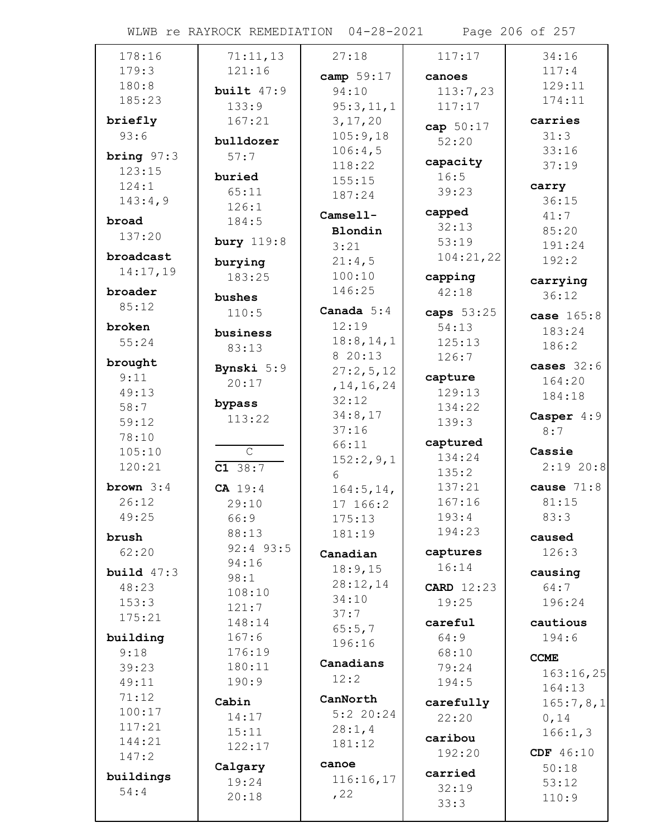WLWB re RAYROCK REMEDIATION 04-28-2021 Page 206 of 257

| 178:16       | 71:11,13          | 27:18        | 117:17            | 34:16        |
|--------------|-------------------|--------------|-------------------|--------------|
| 179:3        | 121:16            |              |                   | 117:4        |
| 180:8        |                   | camp 59:17   | canoes            | 129:11       |
| 185:23       | built $47:9$      | 94:10        | 113:7,23          | 174:11       |
|              | 133:9             | 95:3,11,1    | 117:17            |              |
| briefly      | 167:21            | 3, 17, 20    | cap 50:17         | carries      |
| 93:6         | bulldozer         | 105:9,18     | 52:20             | 31:3         |
|              |                   | 106:4,5      |                   | 33:16        |
| bring $97:3$ | 57:7              | 118:22       | capacity          | 37:19        |
| 123:15       | buried            | 155:15       | 16:5              |              |
| 124:1        | 65:11             | 187:24       | 39:23             | carry        |
| 143:4,9      | 126:1             |              |                   | 36:15        |
| broad        | 184:5             | Camsell-     | capped            | 41:7         |
| 137:20       |                   | Blondin      | 32:13             | 85:20        |
|              | <b>bury</b> 119:8 | 3:21         | 53:19             | 191:24       |
| broadcast    | burying           | 21:4,5       | 104:21,22         | 192:2        |
| 14:17,19     |                   | 100:10       |                   |              |
|              | 183:25            |              | capping           | carrying     |
| broader      | bushes            | 146:25       | 42:18             | 36:12        |
| 85:12        | 110:5             | Canada $5:4$ | caps 53:25        | case 165:8   |
| broken       |                   | 12:19        | 54:13             |              |
| 55:24        | business          | 18:8, 14, 1  | 125:13            | 183:24       |
|              | 83:13             | 8 20:13      | 126:7             | 186:2        |
| brought      | Bynski 5:9        | 27:2,5,12    |                   | cases $32:6$ |
| 9:11         | 20:17             |              | capture           | 164:20       |
| 49:13        |                   | , 14, 16, 24 | 129:13            | 184:18       |
| 58:7         | bypass            | 32:12        | 134:22            |              |
| 59:12        | 113:22            | 34:8,17      | 139:3             | Casper $4:9$ |
| 78:10        |                   | 37:16        |                   | 8:7          |
| 105:10       | $\mathsf{C}$      | 66:11        | captured          | Cassie       |
| 120:21       |                   | 152:2,9,1    | 134:24            | 2:1920:8     |
|              | C1 38:7           | 6            | 135:2             |              |
| brown $3:4$  | CA 19:4           | 164:5, 14,   | 137:21            | cause $71:8$ |
| 26:12        | 29:10             | 17 166:2     | 167:16            | 81:15        |
| 49:25        | 66:9              | 175:13       | 193:4             | 83:3         |
|              | 88:13             | 181:19       | 194:23            |              |
| brush        | $92:4$ 93:5       |              |                   | caused       |
| 62:20        | 94:16             | Canadian     | captures          | 126:3        |
| build $47:3$ |                   | 18:9,15      | 16:14             | causing      |
| 48:23        | 98:1              | 28:12,14     | <b>CARD</b> 12:23 | 64:7         |
| 153:3        | 108:10            | 34:10        | 19:25             | 196:24       |
| 175:21       | 121:7             | 37:7         |                   |              |
|              | 148:14            | 65:5,7       | careful           | cautious     |
| building     | 167:6             | 196:16       | 64:9              | 194:6        |
| 9:18         | 176:19            |              | 68:10             | <b>CCME</b>  |
| 39:23        | 180:11            | Canadians    | 79:24             |              |
| 49:11        | 190:9             | 12:2         | 194:5             | 163:16,25    |
| 71:12        |                   | CanNorth     |                   | 164:13       |
| 100:17       | Cabin             | $5:2$ 20:24  | carefully         | 165:7,8,1    |
| 117:21       | 14:17             |              | 22:20             | 0,14         |
| 144:21       | 15:11             | 28:1,4       | caribou           | 166:1,3      |
|              | 122:17            | 181:12       | 192:20            | CDF 46:10    |
| 147:2        | Calgary           | canoe        |                   | 50:18        |
| buildings    | 19:24             | 116:16,17    | carried           | 53:12        |
| 54:4         | 20:18             | , 22         | 32:19             |              |
|              |                   |              | 33:3              | 110:9        |
|              |                   |              |                   |              |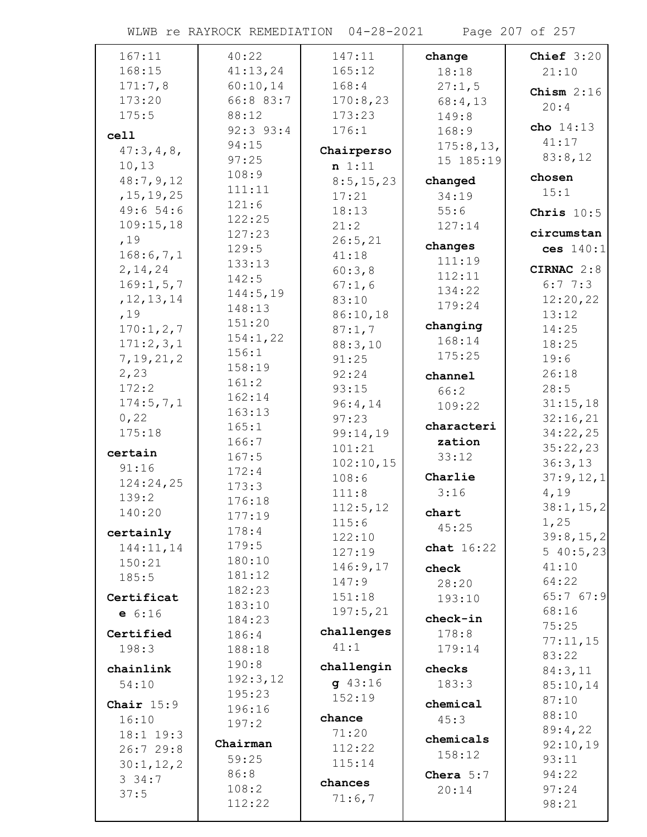WLWB re RAYROCK REMEDIATION 04-28-2021 Page 207 of 257

| 167:11       | 40:22          | 147:11      | change       | Chief $3:20$      |
|--------------|----------------|-------------|--------------|-------------------|
| 168:15       | 41:13,24       | 165:12      | 18:18        | 21:10             |
| 171:7,8      | 60:10,14       | 168:4       | 27:1,5       | Chism $2:16$      |
| 173:20       | 66:8 83:7      | 170:8,23    | 68:4,13      | 20:4              |
| 175:5        | 88:12          | 173:23      | 149:8        |                   |
| cell         | $92:3$ $93:4$  | 176:1       | 168:9        | cho 14:13         |
| 47:3,4,8,    | 94:15          | Chairperso  | 175:8, 13,   | 41:17             |
| 10,13        | 97:25          | n 1:11      | 15 185:19    | 83:8,12           |
| 48:7,9,12    | 108:9          | 8:5, 15, 23 | changed      | chosen            |
| , 15, 19, 25 | 111:11         | 17:21       | 34:19        | 15:1              |
| 49:654:6     | 121:6          | 18:13       | 55:6         | Chris $10:5$      |
| 109:15,18    | 122:25         | 21:2        | 127:14       |                   |
| ,19          | 127:23         | 26:5, 21    |              | circumstan        |
| 168:6,7,1    | 129:5          | 41:18       | changes      | ces $140:1$       |
| 2, 14, 24    | 133:13         | 60:3,8      | 111:19       | CIRNAC 2:8        |
| 169:1, 5, 7  | 142:5          | 67:1,6      | 112:11       | 6:77:3            |
| , 12, 13, 14 | 144:5, 19      | 83:10       | 134:22       | 12:20,22          |
| ,19          | 148:13         | 86:10,18    | 179:24       | 13:12             |
| 170:1,2,7    | 151:20         | 87:1,7      | changing     | 14:25             |
| 171:2,3,1    | 154:1,22       | 88:3,10     | 168:14       | 18:25             |
| 7, 19, 21, 2 | 156:1          | 91:25       | 175:25       | 19:6              |
| 2,23         | 158:19         | 92:24       | channel      | 26:18             |
| 172:2        | 161:2          | 93:15       | 66:2         | 28:5              |
| 174:5, 7, 1  | 162:14         | 96:4,14     | 109:22       | 31:15,18          |
| 0, 22        | 163:13         | 97:23       |              | 32:16,21          |
| 175:18       | 165:1          | 99:14,19    | characteri   | 34:22,25          |
| certain      | 166:7          | 101:21      | zation       | 35:22,23          |
| 91:16        | 167:5          | 102:10,15   | 33:12        | 36:3,13           |
| 124:24,25    | 172:4<br>173:3 | 108:6       | Charlie      | 37:9,12,1         |
| 139:2        | 176:18         | 111:8       | 3:16         | 4,19              |
| 140:20       | 177:19         | 112:5, 12   | chart        | 38:1, 15, 2       |
|              | 178:4          | 115:6       | 45:25        | 1,25              |
| certainly    | 179:5          | 122:10      |              | 39:8, 15, 2       |
| 144:11,14    | 180:10         | 127:19      | chat $16:22$ | 540:5,23          |
| 150:21       | 181:12         | 146:9,17    | check        | 41:10             |
| 185:5        | 182:23         | 147:9       | 28:20        | 64:22             |
| Certificat   | 183:10         | 151:18      | 193:10       | 65:767:9          |
| e 6:16       | 184:23         | 197:5,21    | check-in     | 68:16             |
| Certified    | 186:4          | challenges  | 178:8        | 75:25             |
| 198:3        | 188:18         | 41:1        | 179:14       | 77:11,15          |
|              | 190:8          | challengin  |              | 83:22             |
| chainlink    | 192:3,12       | $g$ 43:16   | checks       | 84:3,11           |
| 54:10        | 195:23         | 152:19      | 183:3        | 85:10,14          |
| Chair $15:9$ | 196:16         |             | chemical     | 87:10             |
| 16:10        | 197:2          | chance      | 45:3         | 88:10             |
| 18:1 19:3    | Chairman       | 71:20       | chemicals    | 89:4,22           |
| 26:729:8     | 59:25          | 112:22      | 158:12       | 92:10,19<br>93:11 |
| 30:1, 12, 2  | 86:8           | 115:14      | Chera $5:7$  | 94:22             |
| 334:7        | 108:2          | chances     | 20:14        | 97:24             |
| 37:5         | 112:22         | 71:6,7      |              | 98:21             |
|              |                |             |              |                   |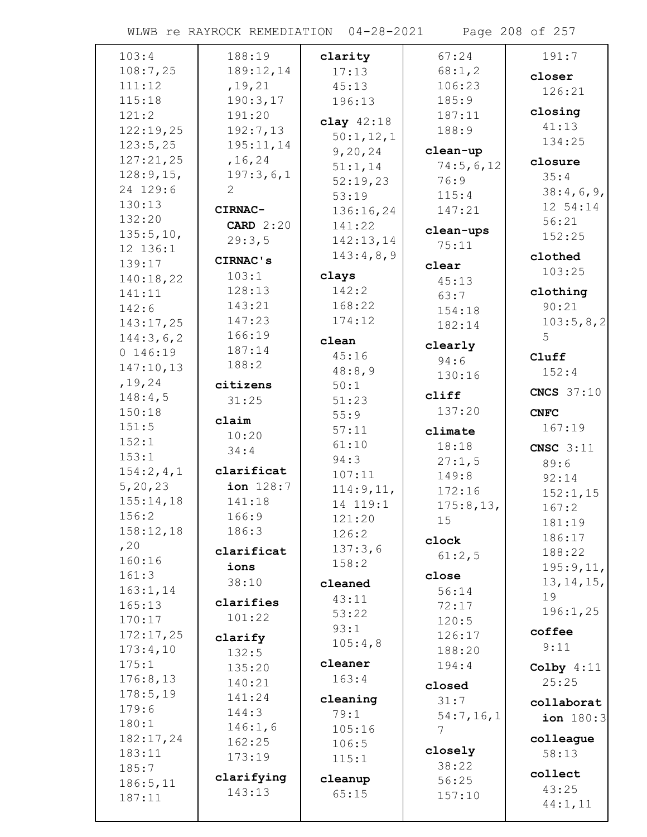WLWB re RAYROCK REMEDIATION 04-28-2021 Page 208 of 257

| 103:4     | 188:19                | clarity             | 67:24           | 191:7              |
|-----------|-----------------------|---------------------|-----------------|--------------------|
| 108:7,25  | 189:12,14             | 17:13               | 68:1, 2         | closer             |
| 111:12    | , 19, 21              | 45:13               | 106:23          | 126:21             |
| 115:18    | 190:3,17              | 196:13              | 185:9           |                    |
| 121:2     | 191:20                | clay $42:18$        | 187:11          | closing            |
| 122:19,25 | 192:7,13              |                     | 188:9           | 41:13              |
| 123:5,25  | 195:11,14             | 50:1,12,1           | clean-up        | 134:25             |
| 127:21,25 | , 16, 24              | 9, 20, 24           | 74:5,6,12       | closure            |
| 128:9,15, | 197:3,6,1             | 51:1,14             | 76:9            | 35:4               |
| 24 129:6  | $\mathbf{2}^{\prime}$ | 52:19,23<br>53:19   | 115:4           | 38:4,6,9,          |
| 130:13    | CIRNAC-               |                     | 147:21          | 12 54:14           |
| 132:20    | <b>CARD</b> 2:20      | 136:16,24<br>141:22 |                 | 56:21              |
| 135:5,10, |                       |                     | clean-ups       | 152:25             |
| 12 136:1  | 29:3,5                | 142:13,14           | 75:11           |                    |
| 139:17    | CIRNAC's              | 143:4,8,9           | clear           | clothed            |
| 140:18,22 | 103:1                 | clays               | 45:13           | 103:25             |
| 141:11    | 128:13                | 142:2               | 63:7            | clothing           |
| 142:6     | 143:21                | 168:22              | 154:18          | 90:21              |
| 143:17,25 | 147:23                | 174:12              | 182:14          | 103:5,8,2          |
| 144:3,6,2 | 166:19                | clean               |                 | 5                  |
| 0 146:19  | 187:14                | 45:16               | clearly         | Cluff              |
| 147:10,13 | 188:2                 | 48:8,9              | 94:6            | 152:4              |
| , 19, 24  | citizens              | 50:1                | 130:16          |                    |
| 148:4,5   | 31:25                 | 51:23               | cliff           | <b>CNCS</b> 37:10  |
| 150:18    |                       | 55:9                | 137:20          | <b>CNFC</b>        |
| 151:5     | claim                 | 57:11               |                 | 167:19             |
| 152:1     | 10:20                 | 61:10               | climate         |                    |
| 153:1     | 34:4                  | 94:3                | 18:18           | CNSC $3:11$        |
| 154:2,4,1 | clarificat            | 107:11              | 27:1,5<br>149:8 | 89:6               |
| 5, 20, 23 | ion 128:7             | 114:9,11,           | 172:16          | 92:14              |
| 155:14,18 | 141:18                | 14 119:1            |                 | 152:1,15           |
| 156:2     | 166:9                 | 121:20              | 175:8,13,<br>15 | 167:2              |
| 158:12,18 | 186:3                 | 126:2               |                 | 181:19             |
| , 20      |                       | 137:3,6             | clock           | 186:17             |
| 160:16    | clarificat            | 158:2               | 61:2,5          | 188:22             |
| 161:3     | ions                  |                     | close           | 195:9,11,          |
| 163:1, 14 | 38:10                 | cleaned             | 56:14           | 13, 14, 15,        |
| 165:13    | clarifies             | 43:11               | 72:17           | 19                 |
| 170:17    | 101:22                | 53:22               | 120:5           | 196:1,25           |
| 172:17,25 | clarify               | 93:1                | 126:17          | coffee             |
| 173:4,10  | 132:5                 | 105:4,8             | 188:20          | 9:11               |
| 175:1     | 135:20                | cleaner             | 194:4           | Colby $4:11$       |
| 176:8,13  | 140:21                | 163:4               |                 | 25:25              |
| 178:5,19  | 141:24                |                     | closed          |                    |
| 179:6     | 144:3                 | cleaning            | 31:7            | collaborat         |
| 180:1     | 146:1,6               | 79:1                | 54:7,16,1       | <b>ion</b> $180:3$ |
| 182:17,24 | 162:25                | 105:16              | 7               | colleague          |
| 183:11    | 173:19                | 106:5               | closely         | 58:13              |
| 185:7     |                       | 115:1               | 38:22           |                    |
| 186:5, 11 | clarifying            | cleanup             | 56:25           | collect            |
| 187:11    | 143:13                | 65:15               | 157:10          | 43:25              |
|           |                       |                     |                 | 44:1,11            |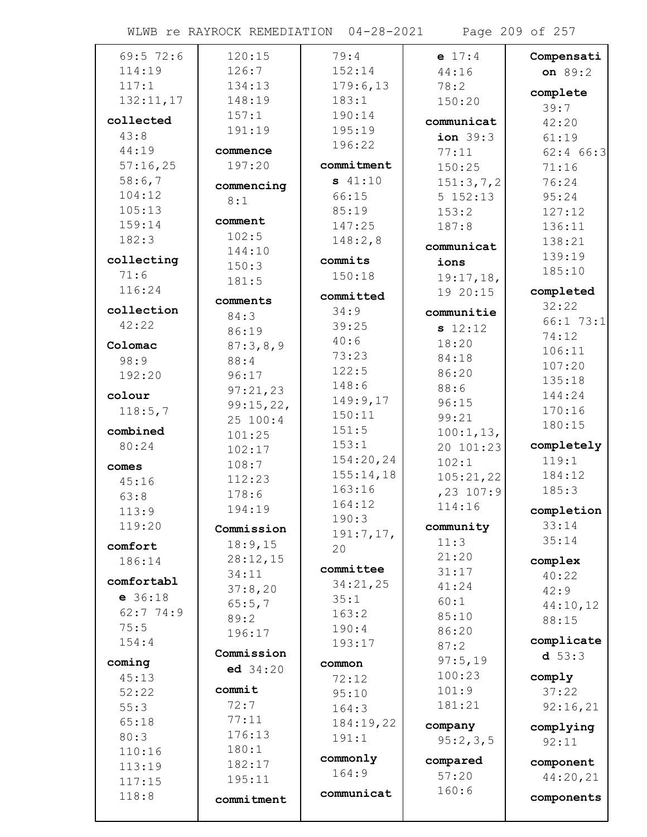WLWB re RAYROCK REMEDIATION 04-28-2021 Page 209 of 257

| $69:5$ 72:6 | 120:15     | 79:4       | $e$ 17:4            | Compensati  |
|-------------|------------|------------|---------------------|-------------|
| 114:19      | 126:7      | 152:14     | 44:16               | on 89:2     |
| 117:1       | 134:13     | 179:6,13   | 78:2                | complete    |
| 132:11,17   | 148:19     | 183:1      | 150:20              | 39:7        |
| collected   | 157:1      | 190:14     | communicat          | 42:20       |
| 43:8        | 191:19     | 195:19     | ion <sub>39:3</sub> | 61:19       |
| 44:19       | commence   | 196:22     | 77:11               | $62:4$ 66:3 |
| 57:16,25    | 197:20     | commitment | 150:25              | 71:16       |
| 58:6,7      |            | \$41:10    | 151:3,7,2           | 76:24       |
| 104:12      | commencing | 66:15      | 5 152:13            | 95:24       |
| 105:13      | 8:1        | 85:19      | 153:2               | 127:12      |
| 159:14      | comment    | 147:25     | 187:8               | 136:11      |
| 182:3       | 102:5      | 148:2,8    |                     | 138:21      |
|             | 144:10     |            | communicat          | 139:19      |
| collecting  | 150:3      | commits    | ions                | 185:10      |
| 71:6        | 181:5      | 150:18     | 19:17,18,           |             |
| 116:24      | comments   | committed  | 19 20:15            | completed   |
| collection  | 84:3       | 34:9       | communitie          | 32:22       |
| 42:22       | 86:19      | 39:25      | s 12:12             | 66:173:1    |
| Colomac     | 87:3,8,9   | 40:6       | 18:20               | 74:12       |
| 98:9        | 88:4       | 73:23      | 84:18               | 106:11      |
| 192:20      | 96:17      | 122:5      | 86:20               | 107:20      |
|             | 97:21,23   | 148:6      | 88:6                | 135:18      |
| colour      | 99:15,22,  | 149:9,17   | 96:15               | 144:24      |
| 118:5,7     | 25 100:4   | 150:11     | 99:21               | 170:16      |
| combined    | 101:25     | 151:5      | 100:1, 13,          | 180:15      |
| 80:24       | 102:17     | 153:1      | 20 101:23           | completely  |
|             | 108:7      | 154:20,24  | 102:1               | 119:1       |
| comes       | 112:23     | 155:14,18  | 105:21,22           | 184:12      |
| 45:16       | 178:6      | 163:16     | $, 23$ 107:9        | 185:3       |
| 63:8        | 194:19     | 164:12     | 114:16              | completion  |
| 113:9       |            | 190:3      |                     | 33:14       |
| 119:20      | Commission | 191:7,17,  | community           | 35:14       |
| comfort     | 18:9,15    | 20         | 11:3                |             |
| 186:14      | 28:12,15   | committee  | 21:20               | complex     |
| comfortabl  | 34:11      | 34:21,25   | 31:17               | 40:22       |
| $e$ 36:18   | 37:8,20    | 35:1       | 41:24               | 42:9        |
| 62:774:9    | 65:5,7     | 163:2      | 60:1<br>85:10       | 44:10,12    |
| 75:5        | 89:2       | 190:4      | 86:20               | 88:15       |
| 154:4       | 196:17     | 193:17     | 87:2                | complicate  |
|             | Commission |            | 97:5,19             | d 53:3      |
| coming      | ed 34:20   | common     | 100:23              |             |
| 45:13       | commit     | 72:12      | 101:9               | comply      |
| 52:22       | 72:7       | 95:10      | 181:21              | 37:22       |
| 55:3        | 77:11      | 164:3      |                     | 92:16,21    |
| 65:18       | 176:13     | 184:19,22  | company             | complying   |
| 80:3        | 180:1      | 191:1      | 95:2,3,5            | 92:11       |
| 110:16      | 182:17     | commonly   | compared            | component   |
| 113:19      | 195:11     | 164:9      | 57:20               | 44:20,21    |
| 117:15      |            | communicat | 160:6               |             |
| 118:8       | commitment |            |                     | components  |
|             |            |            |                     |             |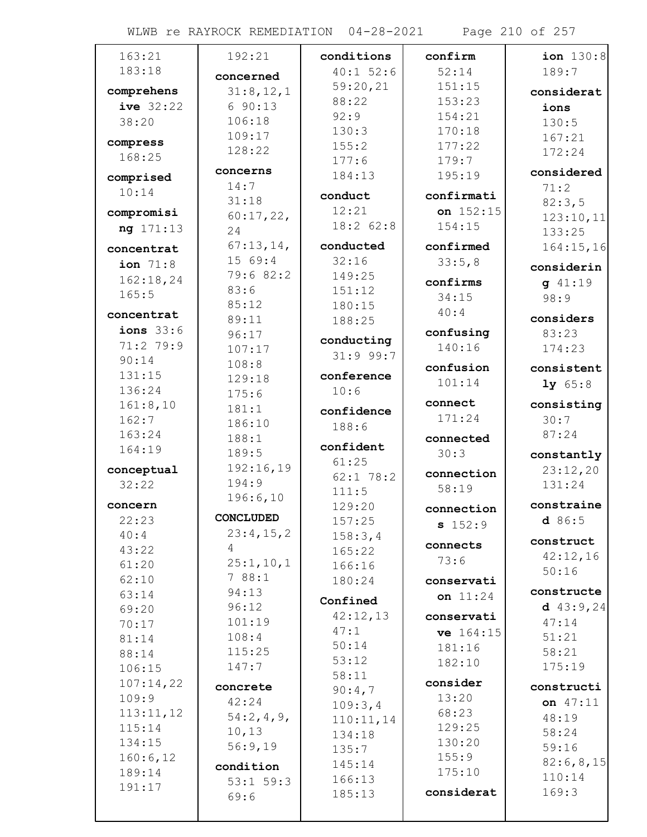WLWB re RAYROCK REMEDIATION 04-28-2021 Page 210 of 257

| 163:21              | 192:21          | conditions  | confirm    | ion $130:8$ |
|---------------------|-----------------|-------------|------------|-------------|
| 183:18              | concerned       | $40:1$ 52:6 | 52:14      | 189:7       |
| comprehens          | 31:8,12,1       | 59:20,21    | 151:15     | considerat  |
| ive 32:22           | 690:13          | 88:22       | 153:23     | ions        |
| 38:20               | 106:18          | 92:9        | 154:21     | 130:5       |
|                     | 109:17          | 130:3       | 170:18     | 167:21      |
| compress            | 128:22          | 155:2       | 177:22     | 172:24      |
| 168:25              |                 | 177:6       | 179:7      |             |
| comprised           | concerns        | 184:13      | 195:19     | considered  |
| 10:14               | 14:7            | conduct     | confirmati | 71:2        |
| compromisi          | 31:18           | 12:21       | on 152:15  | 82:3,5      |
| ng 171:13           | 60:17,22,       | 18:2 62:8   | 154:15     | 123:10,11   |
|                     | 24              |             |            | 133:25      |
| concentrat          | 67:13,14,       | conducted   | confirmed  | 164:15,16   |
| ion $71:8$          | 15 69:4         | 32:16       | 33:5,8     | considerin  |
| 162:18,24           | 79:6 82:2       | 149:25      | confirms   | $g$ 41:19   |
| 165:5               | 83:6            | 151:12      | 34:15      | 98:9        |
| concentrat          | 85:12           | 180:15      | 40:4       | considers   |
| ions $33:6$         | 89:11           | 188:25      | confusing  | 83:23       |
| 71:2 79:9           | 96:17<br>107:17 | conducting  | 140:16     | 174:23      |
| 90:14               | 108:8           | 31:999:7    |            |             |
| 131:15              | 129:18          | conference  | confusion  | consistent  |
| 136:24              | 175:6           | 10:6        | 101:14     | 1y 65:8     |
| 161:8,10            | 181:1           |             | connect    | consisting  |
| 162:7               | 186:10          | confidence  | 171:24     | 30:7        |
| 163:24              | 188:1           | 188:6       | connected  | 87:24       |
| 164:19              | 189:5           | confident   | 30:3       | constantly  |
| conceptual          | 192:16,19       | 61:25       |            | 23:12,20    |
| 32:22               | 194:9           | $62:1$ 78:2 | connection | 131:24      |
|                     | 196:6,10        | 111:5       | 58:19      |             |
| concern             |                 | 129:20      | connection | constraine  |
| 22:23               | CONCLUDED       | 157:25      | s 152:9    | d86:5       |
| 40:4                | 23:4,15,2       | 158:3,4     | connects   | construct   |
| 43:22               | 4               | 165:22      | 73:6       | 42:12,16    |
| 61:20               | 25:1, 10, 1     | 166:16      |            | 50:16       |
| 62:10               | 788:1           | 180:24      | conservati | constructe  |
| 63:14               | 94:13<br>96:12  | Confined    | on $11:24$ | d $43:9,24$ |
| 69:20               | 101:19          | 42:12,13    | conservati | 47:14       |
| 70:17               | 108:4           | 47:1        | ve 164:15  | 51:21       |
| 81:14               | 115:25          | 50:14       | 181:16     | 58:21       |
| 88:14               | 147:7           | 53:12       | 182:10     | 175:19      |
| 106:15<br>107:14,22 |                 | 58:11       | consider   |             |
| 109:9               | concrete        | 90:4,7      | 13:20      | constructi  |
| 113:11,12           | 42:24           | 109:3,4     | 68:23      | on $47:11$  |
| 115:14              | 54:2,4,9,       | 110:11,14   | 129:25     | 48:19       |
| 134:15              | 10, 13          | 134:18      | 130:20     | 58:24       |
| 160:6, 12           | 56:9,19         | 135:7       | 155:9      | 59:16       |
| 189:14              | condition       | 145:14      | 175:10     | 82:6, 8, 15 |
| 191:17              | $53:1$ $59:3$   | 166:13      |            | 110:14      |
|                     | 69:6            | 185:13      | considerat | 169:3       |
|                     |                 |             |            |             |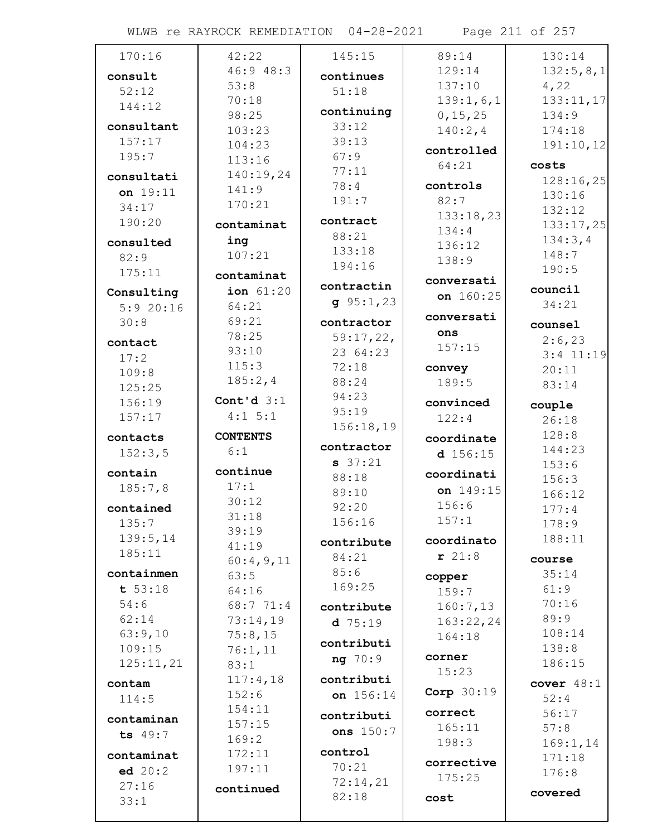WLWB re RAYROCK REMEDIATION 04-28-2021 Page 211 of 257

| 170:16     | 42:22           | 145:15      | 89:14             | 130:14        |
|------------|-----------------|-------------|-------------------|---------------|
| consult    | 46:948:3        | continues   | 129:14            | 132:5,8,1     |
| 52:12      | 53:8            | 51:18       | 137:10            | 4,22          |
| 144:12     | 70:18           |             | 139:1,6,1         | 133:11,17     |
|            | 98:25           | continuing  | 0, 15, 25         | 134:9         |
| consultant | 103:23          | 33:12       | 140:2,4           | 174:18        |
| 157:17     | 104:23          | 39:13       | controlled        | 191:10,12     |
| 195:7      | 113:16          | 67:9        | 64:21             | costs         |
| consultati | 140:19,24       | 77:11       |                   | 128:16,25     |
| on 19:11   | 141:9           | 78:4        | controls          | 130:16        |
| 34:17      | 170:21          | 191:7       | 82:7              | 132:12        |
| 190:20     | contaminat      | contract    | 133:18,23         | 133:17,25     |
| consulted  | ing             | 88:21       | 134:4             | 134:3,4       |
| 82:9       | 107:21          | 133:18      | 136:12            | 148:7         |
| 175:11     |                 | 194:16      | 138:9             | 190:5         |
|            | contaminat      | contractin  | conversati        | council       |
| Consulting | ion 61:20       | $g$ 95:1,23 | on 160:25         | 34:21         |
| 5:920:16   | 64:21           |             | conversati        |               |
| 30:8       | 69:21           | contractor  | ons               | counsel       |
| contact    | 78:25           | 59:17,22,   | 157:15            | 2:6,23        |
| 17:2       | 93:10           | 23 64:23    |                   | $3:4$ 11:19   |
| 109:8      | 115:3           | 72:18       | convey            | 20:11         |
| 125:25     | 185:2,4         | 88:24       | 189:5             | 83:14         |
| 156:19     | Cont'd $3:1$    | 94:23       | convinced         | couple        |
| 157:17     | $4:1 \ 5:1$     | 95:19       | 122:4             | 26:18         |
| contacts   | <b>CONTENTS</b> | 156:18,19   | coordinate        | 128:8         |
| 152:3,5    | 6:1             | contractor  | $d$ 156:15        | 144:23        |
|            |                 | $s$ 37:21   |                   | 153:6         |
| contain    | continue        | 88:18       | coordinati        | 156:3         |
| 185:7,8    | 17:1            | 89:10       | on 149:15         | 166:12        |
| contained  | 30:12           | 92:20       | 156:6             | 177:4         |
| 135:7      | 31:18           | 156:16      | 157:1             | 178:9         |
| 139:5,14   | 39:19<br>41:19  | contribute  | coordinato        | 188:11        |
| 185:11     | 60:4,9,11       | 84:21       | r 21:8            | course        |
| containmen | 63:5            | 85:6        |                   | 35:14         |
| t 53:18    | 64:16           | 169:25      | copper            | 61:9          |
| 54:6       | 68:7 71:4       |             | 159:7<br>160:7,13 | 70:16         |
| 62:14      | 73:14,19        | contribute  | 163:22,24         | 89:9          |
| 63:9,10    | 75:8,15         | $d$ 75:19   | 164:18            | 108:14        |
| 109:15     | 76:1,11         | contributi  |                   | 138:8         |
| 125:11,21  | 83:1            | ng 70:9     | corner            | 186:15        |
|            | 117:4,18        | contributi  | 15:23             |               |
| contam     | 152:6           | on 156:14   | Corp 30:19        | cover $48:1$  |
| 114:5      | 154:11          |             | correct           | 52:4          |
| contaminan | 157:15          | contributi  | 165:11            | 56:17<br>57:8 |
| ts 49:7    | 169:2           | ons 150:7   | 198:3             | 169:1, 14     |
| contaminat | 172:11          | control     |                   | 171:18        |
| ed 20:2    | 197:11          | 70:21       | corrective        | 176:8         |
| 27:16      |                 | 72:14,21    | 175:25            |               |
| 33:1       | continued       | 82:18       | cost              | covered       |
|            |                 |             |                   |               |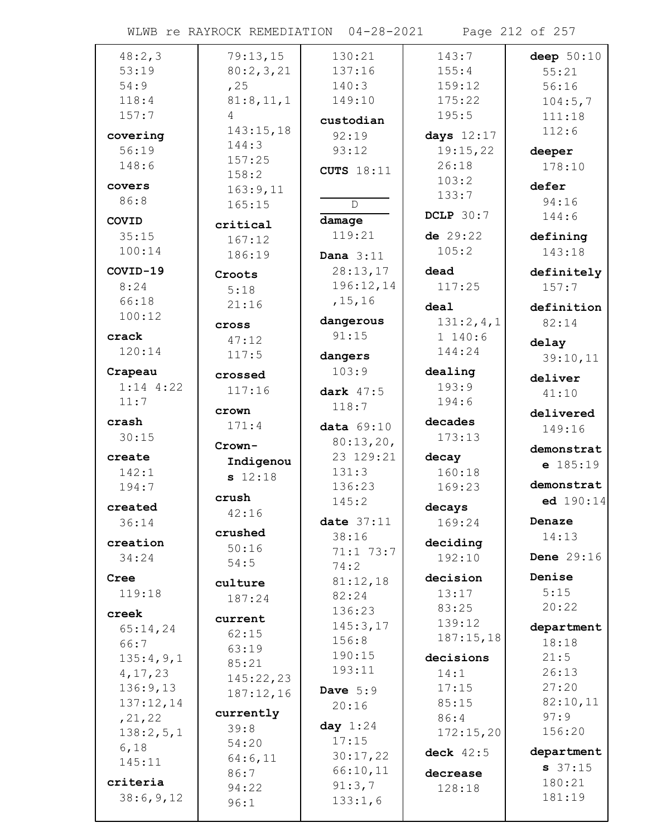WLWB re RAYROCK REMEDIATION 04-28-2021 Page 212 of 257

| 48:2,3      | 79:13,15  | 130:21            | 143:7            | deep $50:10$      |
|-------------|-----------|-------------------|------------------|-------------------|
| 53:19       | 80:2,3,21 | 137:16            | 155:4            | 55:21             |
| 54:9        | , 25      | 140:3             | 159:12           | 56:16             |
| 118:4       | 81:8,11,1 | 149:10            | 175:22           |                   |
|             |           |                   |                  | 104:5,7           |
| 157:7       | 4         | custodian         | 195:5            | 111:18            |
| covering    | 143:15,18 | 92:19             | days $12:17$     | 112:6             |
| 56:19       | 144:3     | 93:12             | 19:15,22         | deeper            |
| 148:6       | 157:25    |                   | 26:18            | 178:10            |
|             | 158:2     | <b>CUTS</b> 18:11 |                  |                   |
| covers      | 163:9,11  |                   | 103:2            | defer             |
| 86:8        | 165:15    | $\mathsf{D}$      | 133:7            | 94:16             |
|             |           |                   | <b>DCLP</b> 30:7 | 144:6             |
| COVID       | critical  | damage            |                  |                   |
| 35:15       | 167:12    | 119:21            | de $29:22$       | defining          |
| 100:14      | 186:19    | Dana $3:11$       | 105:2            | 143:18            |
| COVID-19    |           | 28:13,17          | dead             | definitely        |
| 8:24        | Croots    | 196:12,14         | 117:25           |                   |
|             | 5:18      |                   |                  | 157:7             |
| 66:18       | 21:16     | , 15, 16          | deal             | definition        |
| 100:12      | cross     | dangerous         | 131:2,4,1        | 82:14             |
| crack       |           | 91:15             | 1140:6           |                   |
| 120:14      | 47:12     |                   | 144:24           | delay             |
|             | 117:5     | dangers           |                  | 39:10,11          |
| Crapeau     | crossed   | 103:9             | dealing          | deliver           |
| $1:14$ 4:22 | 117:16    | dark 47:5         | 193:9            |                   |
| 11:7        |           |                   | 194:6            | 41:10             |
|             | crown     | 118:7             |                  | delivered         |
| crash       | 171:4     | data $69:10$      | decades          | 149:16            |
| 30:15       |           | 80:13,20,         | 173:13           |                   |
| create      | Crown     | 23 129:21         | decay            | demonstrat        |
|             | Indigenou |                   |                  | $e$ 185:19        |
| 142:1       | s 12:18   | 131:3             | 160:18           |                   |
| 194:7       | crush     | 136:23            | 169:23           | demonstrat        |
| created     |           | 145:2             | decays           | ed 190:14         |
| 36:14       | 42:16     | date $37:11$      | 169:24           | Denaze            |
|             | crushed   | 38:16             |                  | 14:13             |
| creation    | 50:16     | 71:1 73:7         | deciding         |                   |
| 34:24       | 54:5      |                   | 192:10           | <b>Dene</b> 29:16 |
| Cree        |           | 74:2              | decision         | Denise            |
|             | culture   | 81:12,18          |                  | 5:15              |
| 119:18      | 187:24    | 82:24             | 13:17            |                   |
| creek       | current   | 136:23            | 83:25            | 20:22             |
| 65:14,24    |           | 145:3,17          | 139:12           | department        |
| 66:7        | 62:15     | 156:8             | 187:15,18        | 18:18             |
| 135:4,9,1   | 63:19     | 190:15            | decisions        | 21:5              |
|             | 85:21     | 193:11            |                  |                   |
| 4, 17, 23   | 145:22,23 |                   | 14:1             | 26:13             |
| 136:9,13    | 187:12,16 | Dave $5:9$        | 17:15            | 27:20             |
| 137:12,14   |           | 20:16             | 85:15            | 82:10,11          |
| , 21, 22    | currently |                   | 86:4             | 97:9              |
| 138:2,5,1   | 39:8      | day $1:24$        | 172:15,20        | 156:20            |
| 6,18        | 54:20     | 17:15             |                  | department        |
| 145:11      | 64:6,11   | 30:17,22          | deck $42:5$      |                   |
|             | 86:7      | 66:10,11          | decrease         | 37:15             |
| criteria    | 94:22     | 91:3,7            | 128:18           | 180:21            |
| 38:6,9,12   | 96:1      | 133:1,6           |                  | 181:19            |
|             |           |                   |                  |                   |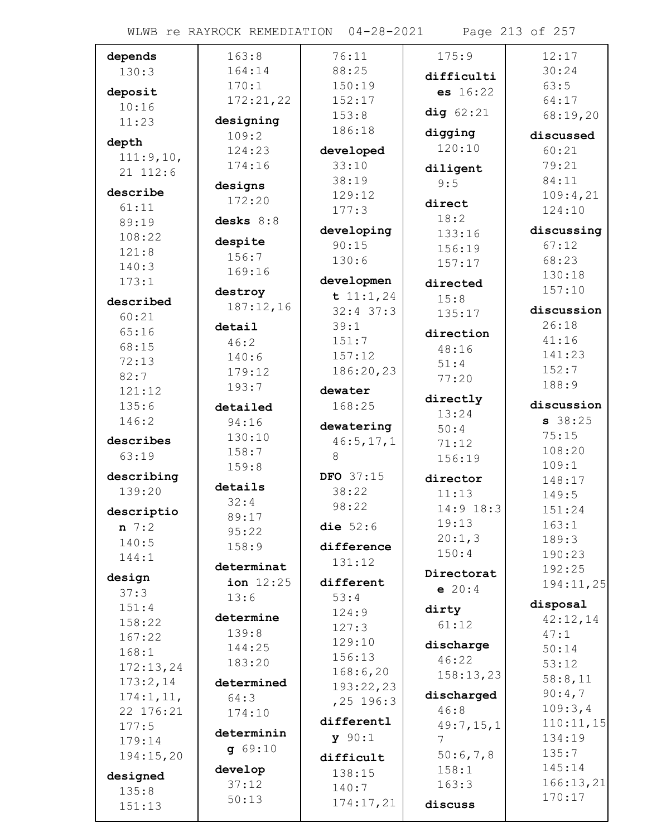WLWB re RAYROCK REMEDIATION 04-28-2021 Page 213 of 257

| depends    | 163:8       | 76:11                 | 175:9           | 12:17      |
|------------|-------------|-----------------------|-----------------|------------|
| 130:3      | 164:14      | 88:25                 | difficulti      | 30:24      |
| deposit    | 170:1       | 150:19                | es 16:22        | 63:5       |
| 10:16      | 172:21,22   | 152:17                |                 | 64:17      |
| 11:23      | designing   | 153:8                 | dig $62:21$     | 68:19,20   |
|            | 109:2       | 186:18                | digging         | discussed  |
| depth      | 124:23      | developed             | 120:10          | 60:21      |
| 111:9,10,  | 174:16      | 33:10                 | diligent        | 79:21      |
| 21 112:6   |             | 38:19                 | 9:5             | 84:11      |
| describe   | designs     | 129:12                |                 | 109:4,21   |
| 61:11      | 172:20      | 177:3                 | direct          | 124:10     |
| 89:19      | desks $8:8$ |                       | 18:2            | discussing |
| 108:22     | despite     | developing<br>90:15   | 133:16          | 67:12      |
| 121:8      | 156:7       | 130:6                 | 156:19          | 68:23      |
| 140:3      | 169:16      |                       | 157:17          | 130:18     |
| 173:1      |             | developmen            | directed        | 157:10     |
| described  | destroy     | t $11:1,24$           | 15:8            |            |
| 60:21      | 187:12,16   | $32:4$ 37:3           | 135:17          | discussion |
| 65:16      | detail      | 39:1                  | direction       | 26:18      |
| 68:15      | 46:2        | 151:7                 | 48:16           | 41:16      |
| 72:13      | 140:6       | 157:12                | 51:4            | 141:23     |
| 82:7       | 179:12      | 186:20,23             | 77:20           | 152:7      |
| 121:12     | 193:7       | dewater               |                 | 188:9      |
| 135:6      | detailed    | 168:25                | directly        | discussion |
| 146:2      | 94:16       | dewatering            | 13:24           | 38:25      |
| describes  | 130:10      | 46:5, 17, 1           | 50:4            | 75:15      |
| 63:19      | 158:7       | 8                     | 71:12           | 108:20     |
|            | 159:8       |                       | 156:19          | 109:1      |
| describing | details     | DFO 37:15             | director        | 148:17     |
| 139:20     | 32:4        | 38:22                 | 11:13           | 149:5      |
| descriptio | 89:17       | 98:22                 | 14:9 18:3       | 151:24     |
| $n \ 7:2$  | 95:22       | die $52:6$            | 19:13           | 163:1      |
| 140:5      | 158:9       | difference            | 20:1,3          | 189:3      |
| 144:1      |             | 131:12                | 150:4           | 190:23     |
| design     | determinat  |                       | Directorat      | 192:25     |
| 37:3       | ion $12:25$ | different             | e 20:4          | 194:11,25  |
| 151:4      | 13:6        | 53:4                  | dirty           | disposal   |
| 158:22     | determine   | 124:9                 | 61:12           | 42:12,14   |
| 167:22     | 139:8       | 127:3                 |                 | 47:1       |
| 168:1      | 144:25      | 129:10                | discharge       | 50:14      |
| 172:13,24  | 183:20      | 156:13                | 46:22           | 53:12      |
| 173:2,14   | determined  | 168:6,20<br>193:22,23 | 158:13,23       | 58:8,11    |
| 174:1, 11, | 64:3        |                       | discharged      | 90:4,7     |
| 22 176:21  | 174:10      | $, 25$ 196:3          | 46:8            | 109:3,4    |
| 177:5      |             | differentl            | 49:7,15,1       | 110:11,15  |
| 179:14     | determinin  | y 90:1                | $7\overline{ }$ | 134:19     |
| 194:15,20  | 9.69:10     | difficult             | 50:6,7,8        | 135:7      |
| designed   | develop     | 138:15                | 158:1           | 145:14     |
| 135:8      | 37:12       | 140:7                 | 163:3           | 166:13,21  |
| 151:13     | 50:13       | 174:17,21             | discuss         | 170:17     |
|            |             |                       |                 |            |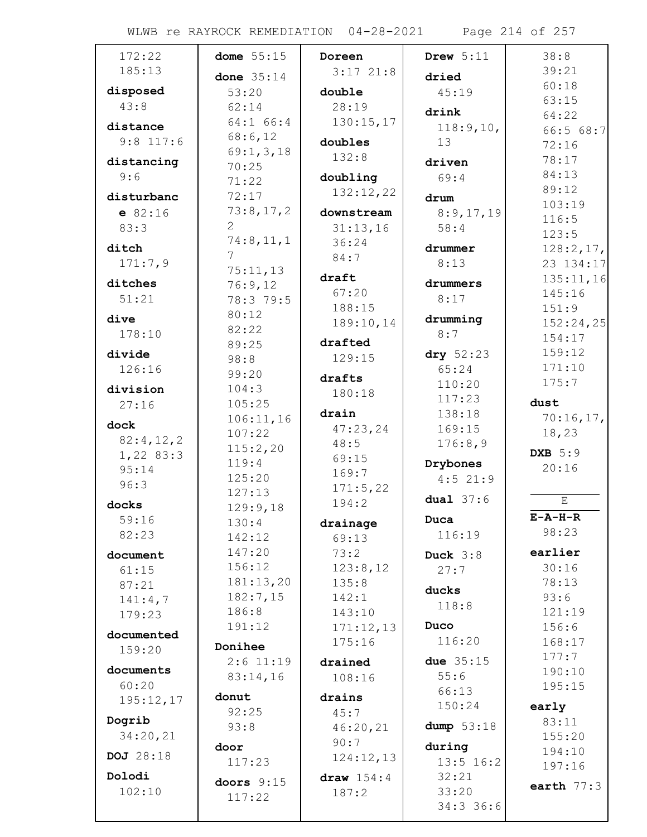WLWB re RAYROCK REMEDIATION 04-28-2021 Page 214 of 257

| 172:22      | dome $55:15$        | Doreen        | Drew $5:11$    | 38:8                   |
|-------------|---------------------|---------------|----------------|------------------------|
| 185:13      | done $35:14$        | $3:17$ $21:8$ | dried          | 39:21                  |
| disposed    | 53:20               | double        | 45:19          | 60:18                  |
| 43:8        | 62:14               | 28:19         |                | 63:15                  |
|             | 64:1 66:4           | 130:15,17     | drink          | 64:22                  |
| distance    | 68:6,12             |               | 118:9,10,      | 66:568:7               |
| $9:8$ 117:6 | 69:1, 3, 18         | doubles       | 13             | 72:16                  |
| distancing  | 70:25               | 132:8         | driven         | 78:17                  |
| 9:6         | 71:22               | doubling      | 69:4           | 84:13                  |
| disturbanc  | 72:17               | 132:12,22     | drum           | 89:12                  |
| e 82:16     | 73:8,17,2           | downstream    | 8:9,17,19      | 103:19                 |
| 83:3        | 2                   | 31:13,16      | 58:4           | 116:5                  |
| ditch       | 74:8, 11, 1         | 36:24         | drummer        | 123:5                  |
| 171:7,9     | 7                   | 84:7          | 8:13           | 128:2,17,<br>23 134:17 |
|             | 75:11,13            | draft         |                | 135:11,16              |
| ditches     | 76:9,12             | 67:20         | drummers       | 145:16                 |
| 51:21       | 78:3 79:5           | 188:15        | 8:17           | 151:9                  |
| dive        | 80:12               | 189:10,14     | drumming       | 152:24,25              |
| 178:10      | 82:22               |               | 8:7            | 154:17                 |
| divide      | 89:25               | drafted       | dry $52:23$    | 159:12                 |
| 126:16      | 98:8                | 129:15        | 65:24          | 171:10                 |
|             | 99:20               | drafts        | 110:20         | 175:7                  |
| division    | 104:3               | 180:18        | 117:23         |                        |
| 27:16       | 105:25              | drain         | 138:18         | dust<br>70:16,17,      |
| dock        | 106:11,16<br>107:22 | 47:23,24      | 169:15         | 18,23                  |
| 82:4,12,2   | 115:2,20            | 48:5          | 176:8,9        |                        |
| 1,22 83:3   | 119:4               | 69:15         | Drybones       | <b>DXB</b> 5:9         |
| 95:14       | 125:20              | 169:7         | $4:5$ 21:9     | 20:16                  |
| 96:3        | 127:13              | 171:5,22      |                |                        |
| docks       | 129:9,18            | 194:2         | dual $37:6$    | Ε                      |
| 59:16       | 130:4               | drainage      | Duca           | $E - A - H - R$        |
| 82:23       | 142:12              | 69:13         | 116:19         | 98:23                  |
| document    | 147:20              | 73:2          | Duck $3:8$     | earlier                |
| 61:15       | 156:12              | 123:8,12      | 27:7           | 30:16                  |
| 87:21       | 181:13,20           | 135:8         |                | 78:13                  |
| 141:4,7     | 182:7,15            | 142:1         | ducks          | 93:6                   |
| 179:23      | 186:8               | 143:10        | 118:8          | 121:19                 |
| documented  | 191:12              | 171:12,13     | Duco           | 156:6                  |
| 159:20      | Donihee             | 175:16        | 116:20         | 168:17                 |
|             | $2:6$ 11:19         | drained       | due 35:15      | 177:7                  |
| documents   | 83:14,16            | 108:16        | 55:6           | 190:10                 |
| 60:20       | donut               | drains        | 66:13          | 195:15                 |
| 195:12,17   | 92:25               | 45:7          | 150:24         | early                  |
| Dogrib      | 93:8                | 46:20,21      | dump $53:18$   | 83:11                  |
| 34:20,21    |                     | 90:7          |                | 155:20                 |
| DOJ 28:18   | door                | 124:12,13     | during         | 194:10                 |
| Dolodi      | 117:23              |               | $13:5$ 16:2    | 197:16                 |
| 102:10      | doors $9:15$        | draw $154:4$  | 32:21<br>33:20 | earth $77:3$           |
|             | 117:22              | 187:2         | 34:336:6       |                        |
|             |                     |               |                |                        |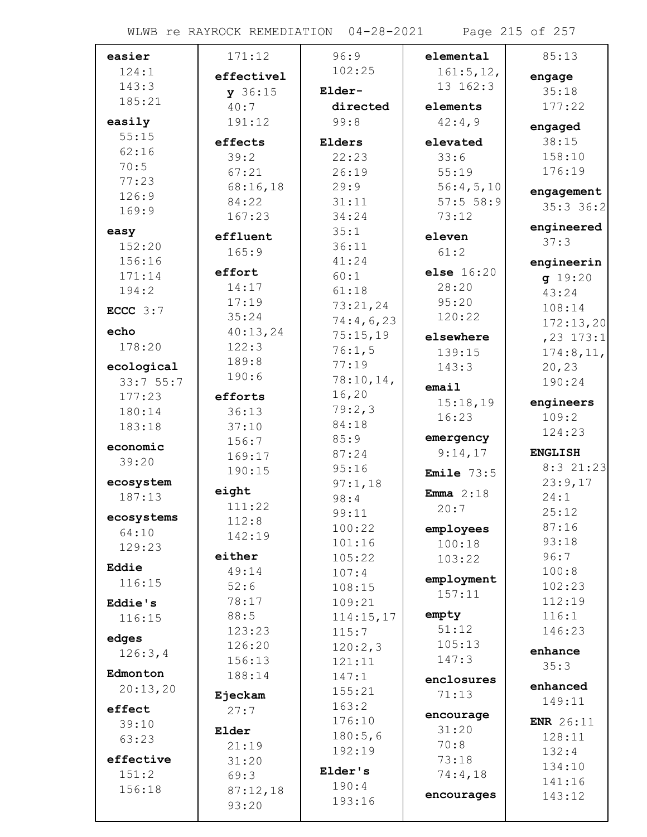| easier     | 171:12            | 96:9      | elemental             | 85:13            |
|------------|-------------------|-----------|-----------------------|------------------|
| 124:1      | effectivel        | 102:25    | 161:5, 12,            | engage           |
| 143:3      | y 36:15           | Elder-    | 13 162:3              | 35:18            |
| 185:21     | 40:7              | directed  | elements              | 177:22           |
| easily     | 191:12            | 99:8      | 42:4,9                | engaged          |
| 55:15      | effects           | Elders    | elevated              | 38:15            |
| 62:16      | 39:2              | 22:23     | 33:6                  | 158:10           |
| 70:5       | 67:21             | 26:19     | 55:19                 | 176:19           |
| 77:23      |                   | 29:9      |                       |                  |
| 126:9      | 68:16,18<br>84:22 | 31:11     | 56:4,5,10<br>57:556:9 | engagement       |
| 169:9      | 167:23            | 34:24     | 73:12                 | $35:3$ 36:2      |
| easy       |                   | 35:1      |                       | engineered       |
| 152:20     | effluent          | 36:11     | eleven                | 37:3             |
| 156:16     | 165:9             | 41:24     | 61:2                  | engineerin       |
| 171:14     | effort            | 60:1      | else 16:20            | g 19:20          |
| 194:2      | 14:17             | 61:18     | 28:20                 | 43:24            |
|            | 17:19             | 73:21,24  | 95:20                 | 108:14           |
| ECCC $3:7$ | 35:24             | 74:4,6,23 | 120:22                | 172:13,20        |
| echo       | 40:13,24          | 75:15,19  | elsewhere             | $, 23$ 173:1     |
| 178:20     | 122:3             | 76:1,5    | 139:15                | 174:8, 11,       |
| ecological | 189:8             | 77:19     | 143:3                 | 20,23            |
| 33:755:7   | 190:6             | 78:10,14, |                       | 190:24           |
| 177:23     | efforts           | 16, 20    | email                 |                  |
| 180:14     | 36:13             | 79:2,3    | 15:18,19              | engineers        |
| 183:18     | 37:10             | 84:18     | 16:23                 | 109:2            |
|            | 156:7             | 85:9      | emergency             | 124:23           |
| economic   | 169:17            | 87:24     | 9:14,17               | <b>ENGLISH</b>   |
| 39:20      | 190:15            | 95:16     | <b>Emile</b> $73:5$   | 8:3 21:23        |
| ecosystem  |                   | 97:1,18   |                       | 23:9,17          |
| 187:13     | eight             | 98:4      | Emma $2:18$           | 24:1             |
| ecosystems | 111:22            | 99:11     | 20:7                  | 25:12            |
| 64:10      | 112:8             | 100:22    | employees             | 87:16            |
| 129:23     | 142:19            | 101:16    | 100:18                | 93:18            |
|            | either            | 105:22    | 103:22                | 96:7             |
| Eddie      | 49:14             | 107:4     |                       | 100:8            |
| 116:15     | 52:6              | 108:15    | employment<br>157:11  | 102:23           |
| Eddie's    | 78:17             | 109:21    |                       | 112:19           |
| 116:15     | 88:5              | 114:15,17 | empty                 | 116:1            |
| edges      | 123:23            | 115:7     | 51:12                 | 146:23           |
| 126:3,4    | 126:20            | 120:2,3   | 105:13                | enhance          |
|            | 156:13            | 121:11    | 147:3                 | 35:3             |
| Edmonton   | 188:14            | 147:1     | enclosures            |                  |
| 20:13,20   | Ejeckam           | 155:21    | 71:13                 | enhanced         |
| effect     | 27:7              | 163:2     |                       | 149:11           |
| 39:10      |                   | 176:10    | encourage<br>31:20    | <b>ENR</b> 26:11 |
| 63:23      | Elder             | 180:5,6   | 70:8                  | 128:11           |
| effective  | 21:19             | 192:19    | 73:18                 | 132:4            |
| 151:2      | 31:20             | Elder's   | 74:4,18               | 134:10           |
| 156:18     | 69:3              | 190:4     |                       | 141:16           |
|            | 87:12,18<br>93:20 | 193:16    | encourages            | 143:12           |
|            |                   |           |                       |                  |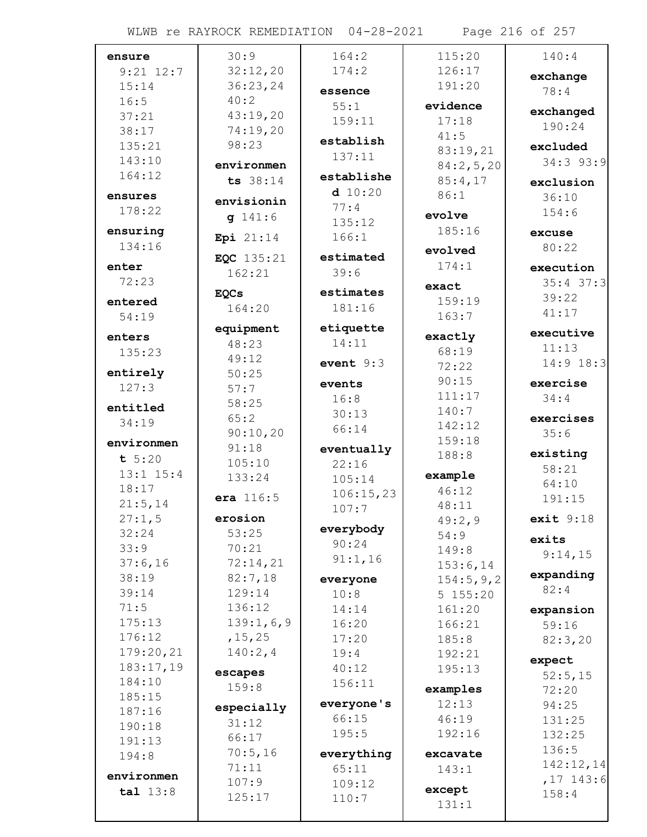| ensure                 | 30:9        | 164:2       | 115:20    | 140:4       |
|------------------------|-------------|-------------|-----------|-------------|
| $9:21$ $12:7$          | 32:12,20    | 174:2       | 126:17    | exchange    |
| 15:14                  | 36:23,24    | essence     | 191:20    | 78:4        |
| 16:5                   | 40:2        | 55:1        | evidence  |             |
| 37:21                  | 43:19,20    | 159:11      | 17:18     | exchanged   |
| 38:17                  | 74:19,20    |             |           | 190:24      |
| 135:21                 | 98:23       | establish   | 41:5      | excluded    |
| 143:10                 |             | 137:11      | 83:19,21  | $34:3$ 93:9 |
| 164:12                 | environmen  | establishe  | 84:2,5,20 |             |
|                        | ts 38:14    | d 10:20     | 85:4,17   | exclusion   |
| ensures                | envisionin  | 77:4        | 86:1      | 36:10       |
| 178:22                 | g 141:6     | 135:12      | evolve    | 154:6       |
| ensuring               |             | 166:1       | 185:16    | excuse      |
| 134:16                 | Epi 21:14   |             | evolved   | 80:22       |
| enter                  | EQC 135:21  | estimated   | 174:1     |             |
| 72:23                  | 162:21      | 39:6        |           | execution   |
|                        | <b>EQCs</b> | estimates   | exact     | $35:4$ 37:3 |
| entered                | 164:20      | 181:16      | 159:19    | 39:22       |
| 54:19                  |             |             | 163:7     | 41:17       |
| enters                 | equipment   | etiquette   | exactly   | executive   |
| 135:23                 | 48:23       | 14:11       | 68:19     | 11:13       |
|                        | 49:12       | event $9:3$ | 72:22     | $14:9$ 18:3 |
| entirely               | 50:25       | events      | 90:15     | exercise    |
| 127:3                  | 57:7        | 16:8        | 111:17    | 34:4        |
| entitled               | 58:25       | 30:13       | 140:7     |             |
| 34:19                  | 65:2        | 66:14       | 142:12    | exercises   |
| environmen             | 90:10,20    |             | 159:18    | 35:6        |
| t 5:20                 | 91:18       | eventually  | 188:8     | existing    |
|                        | 105:10      | 22:16       |           | 58:21       |
| $13:1$ $15:4$<br>18:17 | 133:24      | 105:14      | example   | 64:10       |
|                        | era 116:5   | 106:15,23   | 46:12     | 191:15      |
| 21:5,14                | erosion     | 107:7       | 48:11     |             |
| 27:1,5                 |             | everybody   | 49:2,9    | exit $9:18$ |
| 32:24                  | 53:25       | 90:24       | 54:9      | exits       |
| 33:9                   | 70:21       | 91:1,16     | 149:8     | 9:14,15     |
| 37:6,16                | 72:14,21    |             | 153:6,14  | expanding   |
| 38:19                  | 82:7,18     | everyone    | 154:5,9,2 | 82:4        |
| 39:14                  | 129:14      | 10:8        | 5 155:20  |             |
| 71:5                   | 136:12      | 14:14       | 161:20    | expansion   |
| 175:13                 | 139:1,6,9   | 16:20       | 166:21    | 59:16       |
| 176:12                 | , 15, 25    | 17:20       | 185:8     | 82:3,20     |
| 179:20,21              | 140:2,4     | 19:4        | 192:21    | expect      |
| 183:17,19              | escapes     | 40:12       | 195:13    | 52:5,15     |
| 184:10                 | 159:8       | 156:11      | examples  | 72:20       |
| 185:15                 | especially  | everyone's  | 12:13     | 94:25       |
| 187:16                 | 31:12       | 66:15       | 46:19     | 131:25      |
| 190:18                 | 66:17       | 195:5       | 192:16    | 132:25      |
| 191:13                 | 70:5,16     | everything  | excavate  | 136:5       |
| 194:8                  | 71:11       | 65:11       | 143:1     | 142:12,14   |
| environmen             | 107:9       | 109:12      |           | $,17$ 143:6 |
| tal 13:8               | 125:17      | 110:7       | except    | 158:4       |
|                        |             |             | 131:1     |             |

WLWB re RAYROCK REMEDIATION 04-28-2021 Page 216 of 257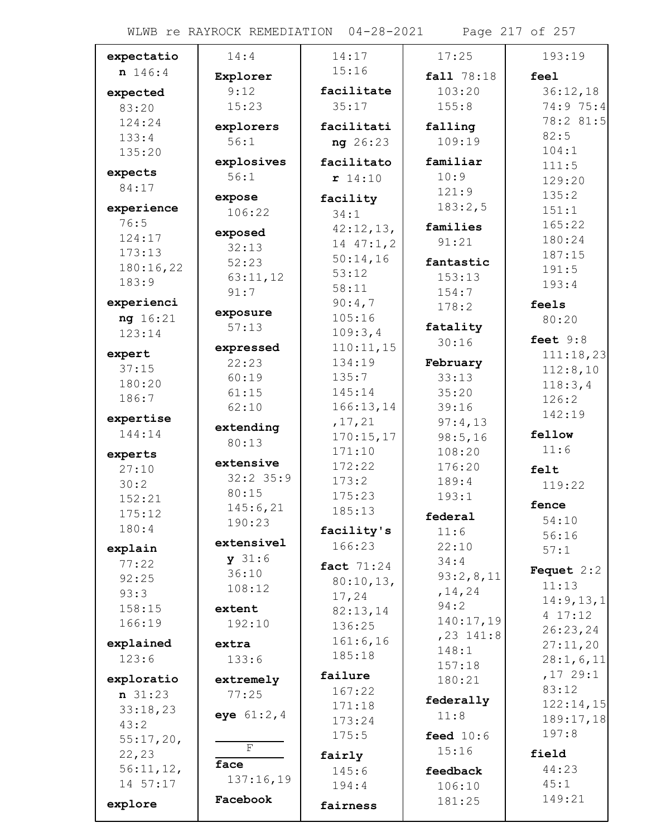WLWB re RAYROCK REMEDIATION 04-28-2021 Page 217 of 257

| expectatio       | 14:4             | 14:17             | 17:25                 | 193:19              |
|------------------|------------------|-------------------|-----------------------|---------------------|
| n 146:4          | Explorer         | 15:16             | fall 78:18            | feel                |
| expected         | 9:12             | facilitate        | 103:20                | 36:12,18            |
| 83:20            | 15:23            | 35:17             | 155:8                 | 74:9 75:4           |
| 124:24           | explorers        | facilitati        | falling               | 78:2 81:5           |
| 133:4            | 56:1             | ng 26:23          | 109:19                | 82:5                |
| 135:20           |                  |                   |                       | 104:1               |
|                  | explosives       | facilitato        | familiar              | 111:5               |
| expects<br>84:17 | 56:1             | r 14:10           | 10:9                  | 129:20              |
|                  | expose           | facility          | 121:9                 | 135:2               |
| experience       | 106:22           | 34:1              | 183:2,5               | 151:1               |
| 76:5             |                  | 42:12,13,         | families              | 165:22              |
| 124:17           | exposed<br>32:13 | 14 47:1,2         | 91:21                 | 180:24              |
| 173:13           | 52:23            | 50:14,16          | fantastic             | 187:15              |
| 180:16,22        |                  | 53:12             | 153:13                | 191:5               |
| 183:9            | 63:11,12<br>91:7 | 58:11             | 154:7                 | 193:4               |
| experienci       |                  | 90:4,7            | 178:2                 | feels               |
| ng 16:21         | exposure         | 105:16            |                       | 80:20               |
| 123:14           | 57:13            | 109:3,4           | fatality              |                     |
|                  | expressed        | 110:11,15         | 30:16                 | feet $9:8$          |
| expert           | 22:23            | 134:19            | February              | 111:18,23           |
| 37:15            | 60:19            | 135:7             | 33:13                 | 112:8,10            |
| 180:20           | 61:15            | 145:14            | 35:20                 | 118:3,4             |
| 186:7            | 62:10            | 166:13,14         | 39:16                 | 126:2               |
| expertise        |                  | , 17, 21          | 97:4,13               | 142:19              |
| 144:14           | extending        | 170:15,17         | 98:5,16               | fellow              |
| experts          | 80:13            | 171:10            | 108:20                | 11:6                |
| 27:10            | extensive        | 172:22            | 176:20                | felt                |
| 30:2             | $32:2$ 35:9      | 173:2             | 189:4                 | 119:22              |
| 152:21           | 80:15            | 175:23            | 193:1                 |                     |
| 175:12           | 145:6,21         | 185:13            |                       | fence               |
| 180:4            | 190:23           | facility's        | federal               | 54:10               |
|                  | extensivel       | 166:23            | 11:6                  | 56:16               |
| explain          | y 31:6           |                   | 22:10                 | 57:1                |
| 77:22            | 36:10            | <b>fact</b> 71:24 | 34:4                  | <b>Fequet</b> $2:2$ |
| 92:25            | 108:12           | 80:10,13,         | 93:2,8,11<br>, 14, 24 | 11:13               |
| 93:3             |                  | 17,24             | 94:2                  | 14:9, 13, 1         |
| 158:15           | extent           | 82:13,14          | 140:17,19             | 4 17:12             |
| 166:19           | 192:10           | 136:25            | $, 23$ 141:8          | 26:23,24            |
| explained        | extra            | 161:6, 16         | 148:1                 | 27:11,20            |
| 123:6            | 133:6            | 185:18            | 157:18                | 28:1,6,11           |
| exploratio       | extremely        | failure           | 180:21                | ,1729:1             |
| $n \ 31:23$      | 77:25            | 167:22            |                       | 83:12               |
| 33:18,23         |                  | 171:18            | federally             | 122:14,15           |
| 43:2             | eye $61:2,4$     | 173:24            | 11:8                  | 189:17,18           |
| $55:17,20$ ,     |                  | 175:5             | feed $10:6$           | 197:8               |
| 22, 23           | F                | fairly            | 15:16                 | field               |
| 56:11,12,        | face             | 145:6             | feedback              | 44:23               |
| 14 57:17         | 137:16,19        | 194:4             | 106:10                | 45:1                |
|                  | Facebook         |                   | 181:25                | 149:21              |
| explore          |                  | fairness          |                       |                     |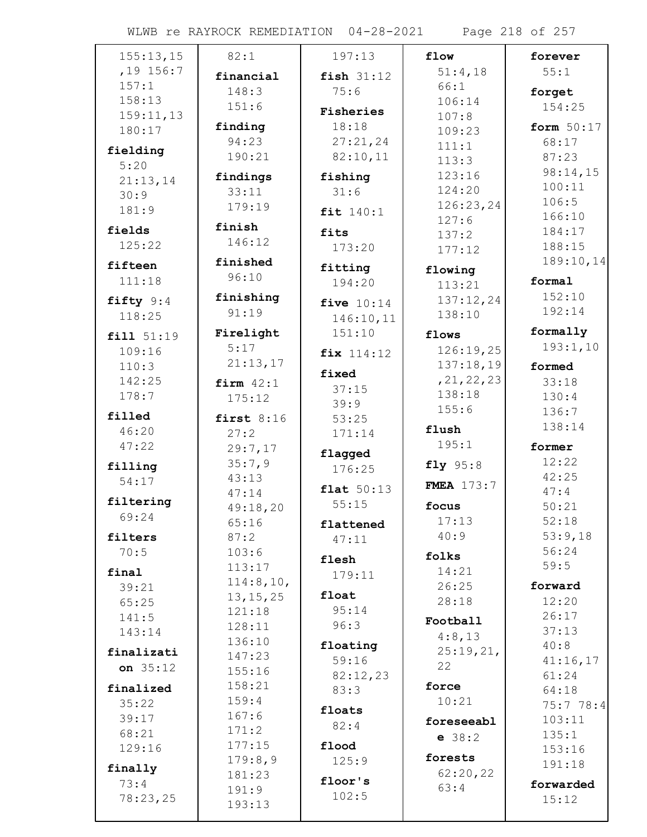WLWB re RAYROCK REMEDIATION 04-28-2021 Page 218 of 257

| 155:13,15   | 82:1             | 197:13       | flow              | forever            |
|-------------|------------------|--------------|-------------------|--------------------|
| $,19$ 156:7 | financial        | fish $31:12$ | 51:4,18           | 55:1               |
| 157:1       | 148:3            | 75:6         | 66:1              | forget             |
| 158:13      | 151:6            |              | 106:14            | 154:25             |
| 159:11,13   |                  | Fisheries    | 107:8             |                    |
| 180:17      | finding<br>94:23 | 18:18        | 109:23            | form $50:17$       |
| fielding    | 190:21           | 27:21,24     | 111:1             | 68:17              |
| 5:20        |                  | 82:10,11     | 113:3             | 87:23              |
| 21:13,14    | findings         | fishing      | 123:16            | 98:14,15<br>100:11 |
| 30:9        | 33:11            | 31:6         | 124:20            | 106:5              |
| 181:9       | 179:19           | fit 140:1    | 126:23,24         | 166:10             |
| fields      | finish           | fits         | 127:6             | 184:17             |
| 125:22      | 146:12           | 173:20       | 137:2             | 188:15             |
|             | finished         |              | 177:12            | 189:10,14          |
| fifteen     | 96:10            | fitting      | flowing           |                    |
| 111:18      |                  | 194:20       | 113:21            | formal             |
| fifty 9:4   | finishing        | five $10:14$ | 137:12,24         | 152:10             |
| 118:25      | 91:19            | 146:10,11    | 138:10            | 192:14             |
| fill 51:19  | Firelight        | 151:10       | flows             | formally           |
| 109:16      | 5:17             | fix 114:12   | 126:19,25         | 193:1,10           |
| 110:3       | 21:13,17         |              | 137:18,19         | formed             |
| 142:25      | firm $42:1$      | fixed        | , 21, 22, 23      | 33:18              |
| 178:7       | 175:12           | 37:15        | 138:18            | 130:4              |
| filled      | first $8:16$     | 39:9         | 155:6             | 136:7              |
| 46:20       |                  | 53:25        | flush             | 138:14             |
| 47:22       | 27:2<br>29:7,17  | 171:14       | 195:1             | former             |
|             | 35:7,9           | flagged      |                   | 12:22              |
| filling     | 43:13            | 176:25       | fly 95:8          | 42:25              |
| 54:17       | 47:14            | flat $50:13$ | <b>FMEA</b> 173:7 | 47:4               |
| filtering   | 49:18,20         | 55:15        | focus             | 50:21              |
| 69:24       | 65:16            | flattened    | 17:13             | 52:18              |
| filters     | 87:2             | 47:11        | 40:9              | 53:9,18            |
| 70:5        | 103:6            |              | folks             | 56:24              |
| final       | 113:17           | flesh        | 14:21             | 59:5               |
| 39:21       | 114:8,10,        | 179:11       | 26:25             | forward            |
| 65:25       | 13, 15, 25       | float        | 28:18             | 12:20              |
| 141:5       | 121:18           | 95:14        |                   | 26:17              |
| 143:14      | 128:11           | 96:3         | Football          | 37:13              |
|             | 136:10           | floating     | 4:8,13            | 40:8               |
| finalizati  | 147:23           | 59:16        | 25:19,21,         | 41:16,17           |
| on $35:12$  | 155:16           | 82:12,23     | 22                | 61:24              |
| finalized   | 158:21           | 83:3         | force             | 64:18              |
| 35:22       | 159:4            | floats       | 10:21             | 75:778:4           |
| 39:17       | 167:6            | 82:4         | foreseeabl        | 103:11             |
| 68:21       | 171:2            |              | e 38:2            | 135:1              |
| 129:16      | 177:15           | flood        | forests           | 153:16             |
| finally     | 179:8,9          | 125:9        | 62:20,22          | 191:18             |
| 73:4        | 181:23           | floor's      | 63:4              | forwarded          |
| 78:23,25    | 191:9            | 102:5        |                   | 15:12              |
|             | 193:13           |              |                   |                    |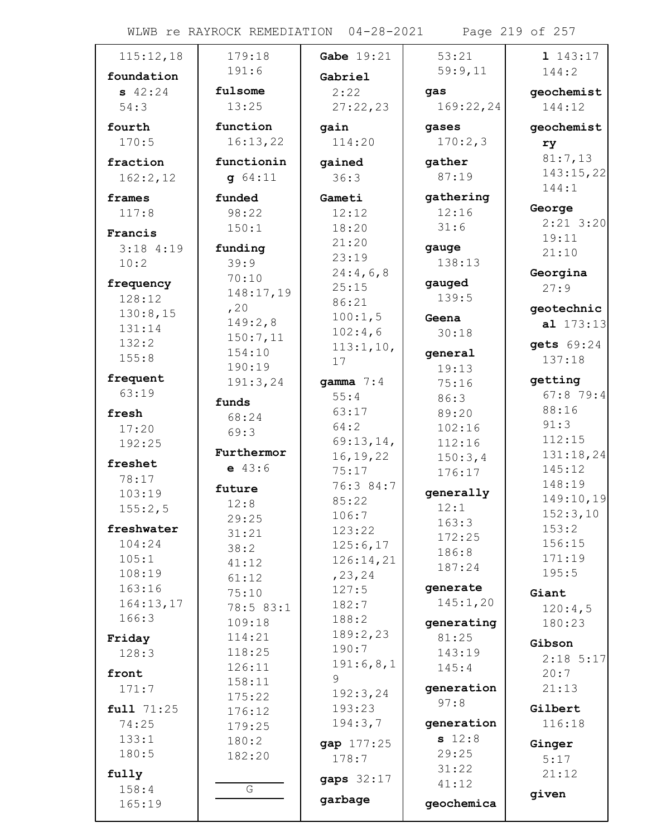WLWB re RAYROCK REMEDIATION 04-28-2021 Page 219 of 257

| 115:12,18  | 179:18        | <b>Gabe</b> $19:21$ | 53:21      | 1143:17             |
|------------|---------------|---------------------|------------|---------------------|
| foundation | 191:6         | Gabriel             | 59:9,11    | 144:2               |
| 942:24     | fulsome       | 2:22                | gas        | geochemist          |
| 54:3       | 13:25         | 27:22,23            | 169:22,24  | 144:12              |
|            |               |                     |            |                     |
| fourth     | function      | gain                | gases      | geochemist          |
| 170:5      | 16:13,22      | 114:20              | 170:2,3    | ry                  |
| fraction   | functionin    | gained              | gather     | 81:7,13             |
| 162:2,12   | g 64:11       | 36:3                | 87:19      | 143:15,22           |
| frames     | funded        | Gameti              | gathering  | 144:1               |
| 117:8      | 98:22         | 12:12               | 12:16      | George              |
| Francis    | 150:1         | 18:20               | 31:6       | $2:21$ 3:20         |
| 3:184:19   | funding       | 21:20               | gauge      | 19:11               |
| 10:2       | 39:9          | 23:19               | 138:13     | 21:10               |
|            | 70:10         | 24:4,6,8            |            | Georgina            |
| frequency  | 148:17,19     | 25:15               | gauged     | 27:9                |
| 128:12     | , 20          | 86:21               | 139:5      | geotechnic          |
| 130:8,15   | 149:2,8       | 100:1,5             | Geena      | al 173:13           |
| 131:14     | 150:7,11      | 102:4,6             | 30:18      |                     |
| 132:2      | 154:10        | 113:1,10,           | general    | gets 69:24          |
| 155:8      | 190:19        | 17                  | 19:13      | 137:18              |
| frequent   | 191:3,24      | gamma $7:4$         | 75:16      | getting             |
| 63:19      |               | 55:4                | 86:3       | 67:879:4            |
| fresh      | funds         | 63:17               | 89:20      | 88:16               |
| 17:20      | 68:24         | 64:2                | 102:16     | 91:3                |
| 192:25     | 69:3          | 69:13,14,           | 112:16     | 112:15              |
|            | Furthermor    | 16, 19, 22          | 150:3,4    | 131:18,24           |
| freshet    | $e$ 43:6      | 75:17               | 176:17     | 145:12              |
| 78:17      | future        | 76:3 84:7           |            | 148:19              |
| 103:19     | 12:8          | 85:22               | generally  | 149:10,19           |
| 155:2,5    | 29:25         | 106:7               | 12:1       | 152:3,10            |
| freshwater | 31:21         | 123:22              | 163:3      | 153:2               |
| 104:24     | 38:2          | 125:6,17            | 172:25     | 156:15              |
| 105:1      | 41:12         | 126:14,21           | 186:8      | 171:19              |
| 108:19     | 61:12         | , 23, 24            | 187:24     | 195:5               |
| 163:16     | 75:10         | 127:5               | generate   | Giant               |
| 164:13,17  | 78:5 83:1     | 182:7               | 145:1,20   | 120:4,5             |
| 166:3      | 109:18        | 188:2               | generating | 180:23              |
| Friday     | 114:21        | 189:2,23            | 81:25      | Gibson              |
| 128:3      | 118:25        | 190:7               | 143:19     |                     |
| front      | 126:11        | 191:6,8,1           | 145:4      | $2:18$ 5:17<br>20:7 |
|            | 158:11        | 9                   | generation | 21:13               |
| 171:7      | 175:22        | 192:3,24            | 97:8       |                     |
| full 71:25 | 176:12        | 193:23              |            | Gilbert             |
| 74:25      | 179:25        | 194:3,7             | generation | 116:18              |
| 133:1      | 180:2         | gap 177:25          | s 12:8     | Ginger              |
| 180:5      | 182:20        | 178:7               | 29:25      | 5:17                |
| fully      |               | gaps 32:17          | 31:22      | 21:12               |
| 158:4      | ${\mathbb G}$ |                     | 41:12      | given               |
| 165:19     |               | garbage             | geochemica |                     |
|            |               |                     |            |                     |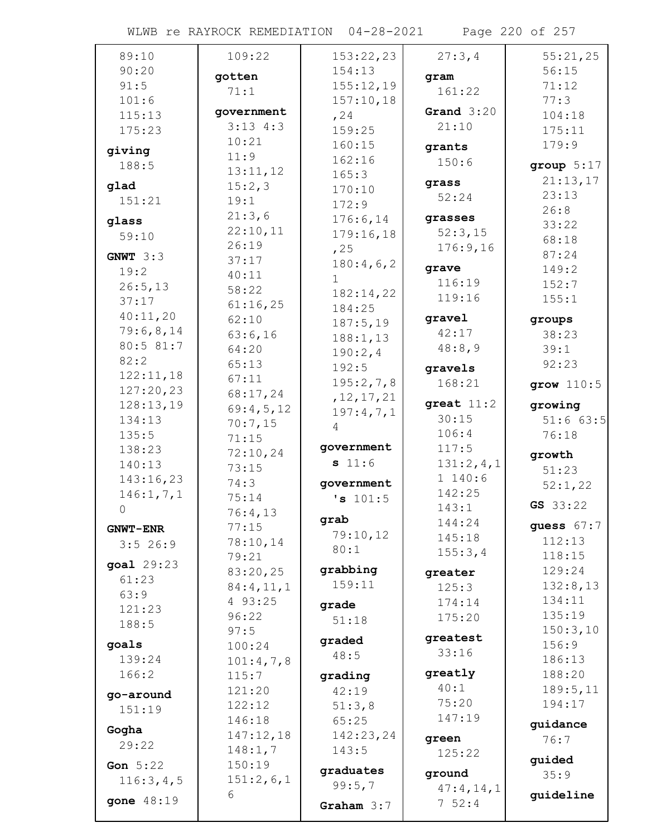WLWB re RAYROCK REMEDIATION 04-28-2021 Page 220 of 257

| 89:10           | 109:22          | 153:22,23        | 27:3,4          | 55:21,25     |
|-----------------|-----------------|------------------|-----------------|--------------|
| 90:20           | gotten          | 154:13           | gram            | 56:15        |
| 91:5            | 71:1            | 155:12,19        | 161:22          | 71:12        |
| 101:6           |                 | 157:10,18        |                 | 77:3         |
| 115:13          | government      | , 24             | Grand $3:20$    | 104:18       |
| 175:23          | $3:13$ 4:3      | 159:25           | 21:10           | 175:11       |
| giving          | 10:21           | 160:15           | grants          | 179:9        |
| 188:5           | 11:9            | 162:16           | 150:6           | group $5:17$ |
|                 | 13:11,12        | 165:3            | grass           | 21:13,17     |
| glad            | 15:2,3          | 170:10           | 52:24           | 23:13        |
| 151:21          | 19:1            | 172:9            |                 | 26:8         |
| glass           | 21:3,6          | 176:6,14         | grasses         | 33:22        |
| 59:10           | 22:10,11        | 179:16,18        | 52:3,15         | 68:18        |
| GNWT $3:3$      | 26:19           | , 25             | 176:9,16        | 87:24        |
| 19:2            | 37:17           | 180:4,6,2        | grave           | 149:2        |
| 26:5,13         | 40:11           | 1                | 116:19          | 152:7        |
| 37:17           | 58:22           | 182:14,22        | 119:16          | 155:1        |
| 40:11,20        | 61:16,25        | 184:25           |                 |              |
| 79:6,8,14       | 62:10           | 187:5,19         | gravel<br>42:17 | groups       |
| 80:5 81:7       | 63:6,16         | 188:1, 13        |                 | 38:23        |
| 82:2            | 64:20           | 190:2,4          | 48:8,9          | 39:1         |
| 122:11,18       | 65:13           | 192:5            | gravels         | 92:23        |
| 127:20,23       | 67:11           | 195:2,7,8        | 168:21          | grow $110:5$ |
| 128:13,19       | 68:17,24        | , 12, 17, 21     | great $11:2$    | growing      |
| 134:13          | 69:4,5,12       | 197:4,7,1        | 30:15           | 51:663:5     |
| 135:5           | 70:7,15         | 4                | 106:4           | 76:18        |
| 138:23          | 71:15           | government       | 117:5           |              |
| 140:13          | 72:10,24        | s 11:6           | 131:2,4,1       | growth       |
| 143:16,23       | 73:15           |                  | 1 140:6         | 51:23        |
| 146:1, 7, 1     | 74:3            | government       | 142:25          | 52:1,22      |
| 0               | 75:14           | 's 101:5         | 143:1           | GS 33:22     |
|                 | 76:4,13         | grab             | 144:24          | guess $67:7$ |
| <b>GNWT-ENR</b> | 77:15           | 79:10,12         | 145:18          | 112:13       |
| 3:526:9         | 78:10,14        | 80:1             | 155:3,4         | 118:15       |
| goal 29:23      | 79:21           | grabbing         |                 | 129:24       |
| 61:23           | 83:20,25        | 159:11           | greater         | 132:8,13     |
| 63:9            | 84:4,11,1       |                  | 125:3           | 134:11       |
| 121:23          | 4 93:25         | grade            | 174:14          | 135:19       |
| 188:5           | 96:22<br>97:5   | 51:18            | 175:20          | 150:3,10     |
| goals           | 100:24          | graded           | greatest        | 156:9        |
| 139:24          | 101:4,7,8       | 48:5             | 33:16           | 186:13       |
| 166:2           |                 |                  | greatly         | 188:20       |
|                 | 115:7<br>121:20 | grading<br>42:19 | 40:1            | 189:5, 11    |
| go-around       | 122:12          | 51:3,8           | 75:20           | 194:17       |
| 151:19          | 146:18          | 65:25            | 147:19          |              |
| Gogha           | 147:12,18       | 142:23,24        |                 | guidance     |
| 29:22           | 148:1,7         | 143:5            | green           | 76:7         |
| Gon 5:22        | 150:19          |                  | 125:22          | guided       |
| 116:3,4,5       | 151:2,6,1       | graduates        | ground          | 35:9         |
|                 | 6               | 99:5,7           | 47:4,14,1       | guideline    |
| gone 48:19      |                 | Graham $3:7$     | $7\ 52:4$       |              |
|                 |                 |                  |                 |              |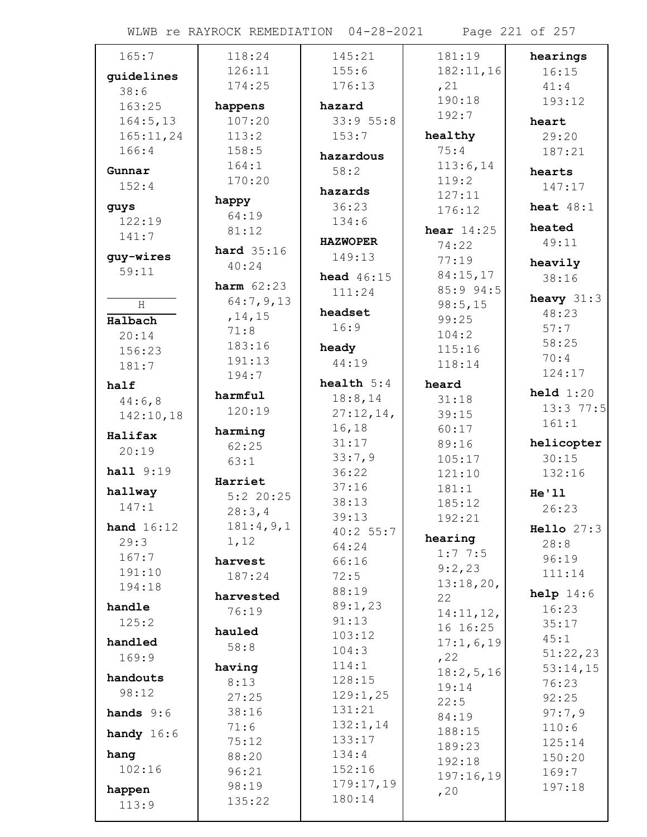WLWB re RAYROCK REMEDIATION 04-28-2021 Page 221 of 257

| 165:7              | 118:24              | 145:21             | 181:19       | hearings            |
|--------------------|---------------------|--------------------|--------------|---------------------|
| quidelines         | 126:11              | 155:6              | 182:11,16    | 16:15               |
| 38:6               | 174:25              | 176:13             | , 21         | 41:4                |
| 163:25             | happens             | hazard             | 190:18       | 193:12              |
| 164:5, 13          | 107:20              | 33:955:8           | 192:7        | heart               |
| 165:11,24          | 113:2               | 153:7              | healthy      | 29:20               |
| 166:4              | 158:5               |                    | 75:4         | 187:21              |
|                    | 164:1               | hazardous          | 113:6,14     |                     |
| Gunnar             | 170:20              | 58:2               | 119:2        | hearts              |
| 152:4              |                     | hazards            | 127:11       | 147:17              |
| guys               | happy               | 36:23              | 176:12       | heat $48:1$         |
| 122:19             | 64:19               | 134:6              |              |                     |
| 141:7              | 81:12               |                    | hear $14:25$ | heated              |
|                    | hard $35:16$        | <b>HAZWOPER</b>    | 74:22        | 49:11               |
| guy-wires<br>59:11 | 40:24               | 149:13             | 77:19        | heavily             |
|                    | <b>harm</b> $62:23$ | <b>head</b> 46:15  | 84:15,17     | 38:16               |
|                    |                     | 111:24             | 85:9 94:5    | heavy $31:3$        |
| H                  | 64:7,9,13           | headset            | 98:5,15      | 48:23               |
| Halbach            | , 14, 15            | 16:9               | 99:25        | 57:7                |
| 20:14              | 71:8<br>183:16      |                    | 104:2        | 58:25               |
| 156:23             | 191:13              | heady              | 115:16       | 70:4                |
| 181:7              | 194:7               | 44:19              | 118:14       | 124:17              |
| half               |                     | health $5:4$       | heard        |                     |
| 44:6,8             | harmful             | 18:8,14            | 31:18        | $\text{held } 1:20$ |
| 142:10,18          | 120:19              | 27:12,14,          | 39:15        | 13:3 77:5           |
| Halifax            | harming             | 16, 18             | 60:17        | 161:1               |
| 20:19              | 62:25               | 31:17              | 89:16        | helicopter          |
|                    | 63:1                | 33:7,9             | 105:17       | 30:15               |
| hall 9:19          | Harriet             | 36:22              | 121:10       | 132:16              |
| hallway            | $5:2$ 20:25         | 37:16              | 181:1        | He'11               |
| 147:1              | 28:3,4              | 38:13              | 185:12       | 26:23               |
| hand $16:12$       | 181:4,9,1           | 39:13              | 192:21       |                     |
| 29:3               | 1,12                | 40:2 55:7          | hearing      | Hello 27:3          |
| 167:7              |                     | 64:24              | 1:77:5       | 28:8                |
| 191:10             | harvest             | 66:16              | 9:2,23       | 96:19               |
| 194:18             | 187:24              | 72:5               | 13:18,20,    | 111:14              |
|                    | harvested           | 88:19              | 22           | help 14:6           |
| handle             | 76:19               | 89:1,23            | 14:11,12,    | 16:23               |
| 125:2              | hauled              | 91:13              | 16 16:25     | 35:17               |
| handled            | 58:8                | 103:12             | 17:1,6,19    | 45:1                |
| 169:9              |                     | 104:3              | , 22         | 51:22,23            |
| handouts           | having              | 114:1              | 18:2,5,16    | 53:14,15            |
| 98:12              | 8:13                | 128:15             | 19:14        | 76:23               |
|                    | 27:25               | 129:1,25           | 22:5         | 92:25               |
| hands $9:6$        | 38:16               | 131:21             | 84:19        | 97:7,9              |
| handy $16:6$       | 71:6                | 132:1,14<br>133:17 | 188:15       | 110:6               |
| hang               | 75:12               | 134:4              | 189:23       | 125:14              |
| 102:16             | 88:20               | 152:16             | 192:18       | 150:20              |
|                    | 96:21               | 179:17,19          | 197:16,19    | 169:7               |
| happen             | 98:19               | 180:14             | , 20         | 197:18              |
| 113:9              | 135:22              |                    |              |                     |
|                    |                     |                    |              |                     |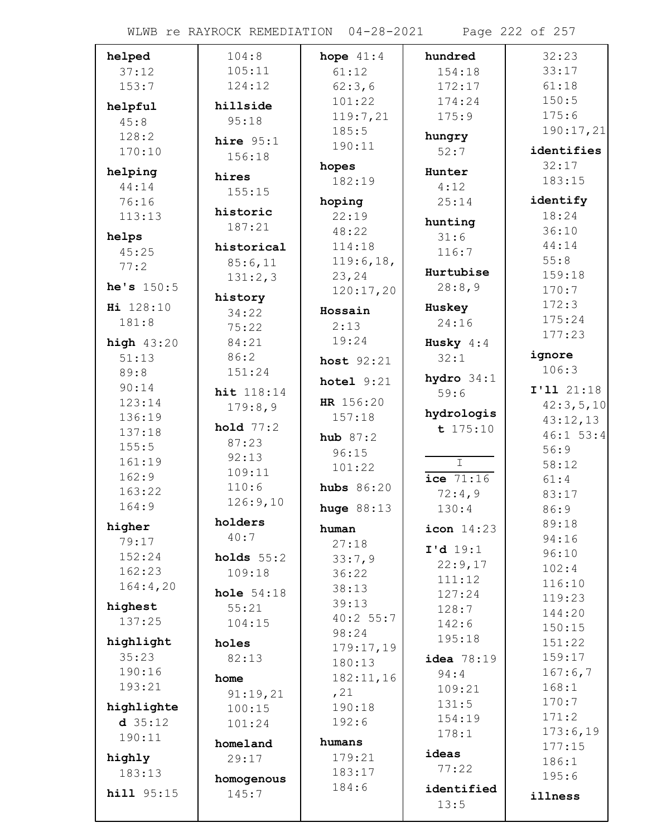| helped            | 104:8               | hope $41:4$    | hundred                 | 32:23              |
|-------------------|---------------------|----------------|-------------------------|--------------------|
| 37:12             | 105:11              | 61:12          | 154:18                  | 33:17              |
| 153:7             | 124:12              | 62:3,6         | 172:17                  | 61:18              |
| helpful           | hillside            | 101:22         | 174:24                  | 150:5              |
| 45:8              | 95:18               | 119:7,21       | 175:9                   | 175:6              |
| 128:2             | hire $95:1$         | 185:5          | hungry                  | 190:17,21          |
| 170:10            | 156:18              | 190:11         | 52:7                    | identifies         |
| helping           |                     | hopes          | Hunter                  | 32:17              |
| 44:14             | hires               | 182:19         | 4:12                    | 183:15             |
| 76:16             | 155:15              | hoping         | 25:14                   | identify           |
| 113:13            | historic            | 22:19          |                         | 18:24              |
| helps             | 187:21              | 48:22          | hunting<br>31:6         | 36:10              |
| 45:25             | historical          | 114:18         | 116:7                   | 44:14              |
| 77:2              | 85:6,11             | 119:6,18,      |                         | 55:8               |
|                   | 131:2,3             | 23,24          | Hurtubise               | 159:18             |
| he's $150:5$      | history             | 120:17,20      | 28:8,9                  | 170:7              |
| Hi 128:10         | 34:22               | Hossain        | Huskey                  | 172:3              |
| 181:8             | 75:22               | 2:13           | 24:16                   | 175:24             |
| high $43:20$      | 84:21               | 19:24          | Husky $4:4$             | 177:23             |
| 51:13             | 86:2                | host $92:21$   | 32:1                    | ignore             |
| 89:8              | 151:24              |                | hydro $34:1$            | 106:3              |
| 90:14             | hit 118:14          | hotel $9:21$   | 59:6                    | I'11 21:18         |
| 123:14            | 179:8,9             | HR 156:20      |                         | 42:3,5,10          |
| 136:19            | hold $77:2$         | 157:18         | hydrologis              | 43:12,13           |
| 137:18            | 87:23               | hub $87:2$     | t 175:10                | $46:1$ 53:4        |
| 155:5             | 92:13               | 96:15          |                         | 56:9               |
| 161:19            | 109:11              | 101:22         | $\overline{\mathbb{T}}$ | 58:12              |
| 162:9<br>163:22   | 110:6               | hubs $86:20$   | $ice$ $71:16$           | 61:4               |
| 164:9             | 126:9,10            |                | 72:4,9                  | 83:17              |
|                   | holders             | huge $88:13$   | 130:4                   | 86:9               |
| higher            | 40:7                | human          | $icon$ $14:23$          | 89:18<br>94:16     |
| 79:17             |                     | 27:18          | I'd 19:1                | 96:10              |
| 152:24<br>162:23  | holds $55:2$        | 33:7,9         | 22:9,17                 | 102:4              |
| 164:4,20          | 109:18              | 36:22          | 111:12                  | 116:10             |
|                   | hole $54:18$        | 38:13<br>39:13 | 127:24                  | 119:23             |
| highest           | 55:21               | 40:2 55:7      | 128:7                   | 144:20             |
| 137:25            | 104:15              | 98:24          | 142:6                   | 150:15             |
| highlight         | holes               | 179:17,19      | 195:18                  | 151:22             |
| 35:23             | 82:13               | 180:13         | idea 78:19              | 159:17             |
| 190:16            | home                | 182:11,16      | 94:4                    | 167:6,7            |
| 193:21            | 91:19,21            | , 21           | 109:21                  | 168:1              |
| highlighte        | 100:15              | 190:18         | 131:5                   | 170:7              |
| $d$ 35:12         | 101:24              | 192:6          | 154:19                  | 171:2              |
| 190:11            | homeland            | humans         | 178:1                   | 173:6,19<br>177:15 |
| highly            | 29:17               | 179:21         | ideas                   | 186:1              |
| 183:13            |                     | 183:17         | 77:22                   | 195:6              |
| <b>hill</b> 95:15 | homogenous<br>145:7 | 184:6          | identified              |                    |
|                   |                     |                | 13:5                    | illness            |
|                   |                     |                |                         |                    |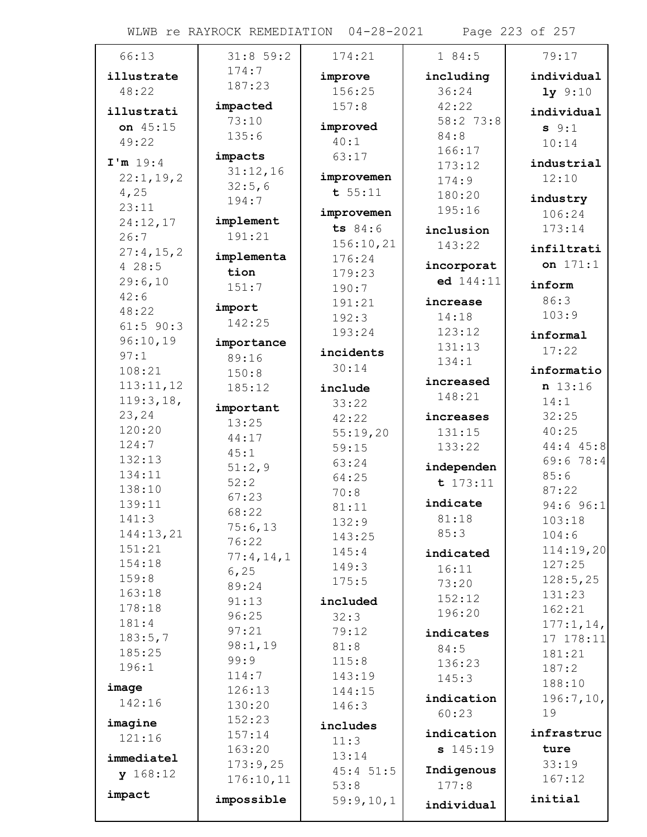WLWB re RAYROCK REMEDIATION 04-28-2021 Page 223 of 257

| 66:13              | 31:859:2            | 174:21      | 184:5      | 79:17         |
|--------------------|---------------------|-------------|------------|---------------|
| illustrate         | 174:7               | improve     | including  | individual    |
| 48:22              | 187:23              | 156:25      | 36:24      | $1y$ 9:10     |
| illustrati         | impacted            | 157:8       | 42:22      | individual    |
| on 45:15           | 73:10               | improved    | 58:2 73:8  | $s \; 9:1$    |
| 49:22              | 135:6               | 40:1        | 84:8       | 10:14         |
|                    | impacts             | 63:17       | 166:17     |               |
| I'm 19:4           | 31:12,16            |             | 173:12     | industrial    |
| 22:1, 19, 2        | 32:5,6              | improvemen  | 174:9      | 12:10         |
| 4,25               | 194:7               | t 55:11     | 180:20     | industry      |
| 23:11              |                     | improvemen  | 195:16     | 106:24        |
| 24:12,17           | implement<br>191:21 | ts 84:6     | inclusion  | 173:14        |
| 26:7               |                     | 156:10,21   | 143:22     | infiltrati    |
| 27:4,15,2<br>428:5 | implementa          | 176:24      | incorporat | on 171:1      |
| 29:6,10            | tion                | 179:23      | ed 144:11  |               |
| 42:6               | 151:7               | 190:7       |            | inform        |
| 48:22              | import              | 191:21      | increase   | 86:3          |
| $61:5$ 90:3        | 142:25              | 192:3       | 14:18      | 103:9         |
| 96:10,19           |                     | 193:24      | 123:12     | informal      |
| 97:1               | importance<br>89:16 | incidents   | 131:13     | 17:22         |
| 108:21             | 150:8               | 30:14       | 134:1      | informatio    |
| 113:11,12          | 185:12              | include     | increased  | n 13:16       |
| 119:3,18,          |                     | 33:22       | 148:21     | 14:1          |
| 23,24              | important           | 42:22       | increases  | 32:25         |
| 120:20             | 13:25               | 55:19,20    | 131:15     | 40:25         |
| 124:7              | 44:17               | 59:15       | 133:22     | $44:4$ $45:8$ |
| 132:13             | 45:1                | 63:24       |            | 69:678:4      |
| 134:11             | 51:2,9              | 64:25       | independen | 85:6          |
| 138:10             | 52:2                | 70:8        | t 173:11   | 87:22         |
| 139:11             | 67:23               | 81:11       | indicate   | $94:6$ $96:1$ |
| 141:3              | 68:22               | 132:9       | 81:18      | 103:18        |
| 144:13,21          | 75:6,13<br>76:22    | 143:25      | 85:3       | 104:6         |
| 151:21             | 77:4,14,1           | 145:4       | indicated  | 114:19,20     |
| 154:18             | 6, 25               | 149:3       | 16:11      | 127:25        |
| 159:8              | 89:24               | 175:5       | 73:20      | 128:5,25      |
| 163:18             | 91:13               | included    | 152:12     | 131:23        |
| 178:18             | 96:25               | 32:3        | 196:20     | 162:21        |
| 181:4              | 97:21               | 79:12       | indicates  | 177:1, 14,    |
| 183:5,7            | 98:1,19             | 81:8        | 84:5       | 17 178:11     |
| 185:25             | 99:9                | 115:8       | 136:23     | 181:21        |
| 196:1              | 114:7               | 143:19      | 145:3      | 187:2         |
| image              | 126:13              | 144:15      |            | 188:10        |
| 142:16             | 130:20              | 146:3       | indication | 196:7,10,     |
| imagine            | 152:23              | includes    | 60:23      | 19            |
| 121:16             | 157:14              | 11:3        | indication | infrastruc    |
|                    | 163:20              | 13:14       | \$145:19   | ture          |
| immediatel         | 173:9,25            | $45:4$ 51:5 | Indigenous | 33:19         |
| y 168:12           | 176:10,11           | 53:8        | 177:8      | 167:12        |
| impact             | impossible          | 59:9,10,1   |            | initial       |
|                    |                     |             | individual |               |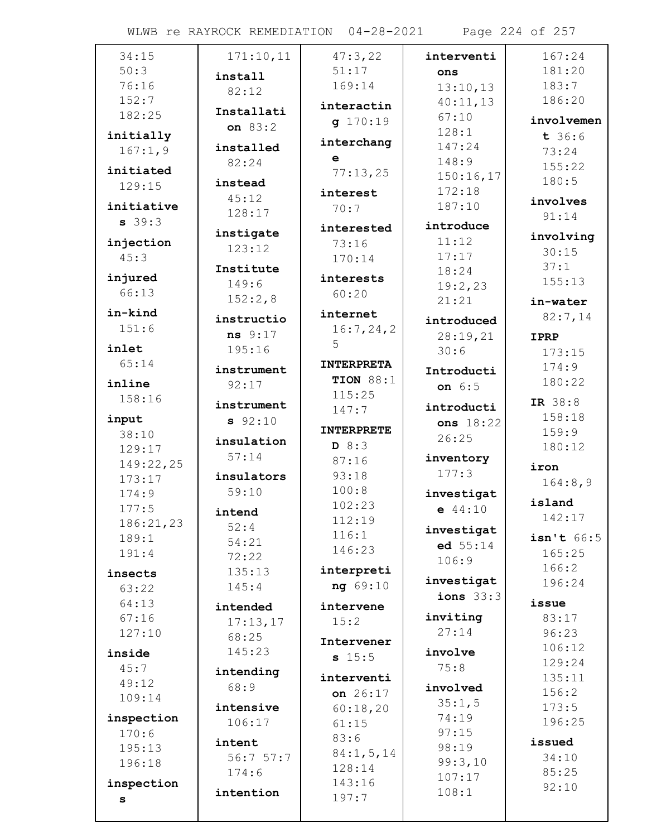WLWB re RAYROCK REMEDIATION 04-28-2021 Page 224 of 257

| 34:15      | 171:10,11  | 47:3,22           | interventi  | 167:24      |
|------------|------------|-------------------|-------------|-------------|
| 50:3       |            | 51:17             | ons         | 181:20      |
| 76:16      | install    | 169:14            | 13:10,13    | 183:7       |
| 152:7      | 82:12      |                   | 40:11,13    | 186:20      |
| 182:25     | Installati | interactin        | 67:10       |             |
|            | on 83:2    | q 170:19          | 128:1       | involvemen  |
| initially  | installed  | interchang        | 147:24      | t 36:6      |
| 167:1,9    |            | e                 | 148:9       | 73:24       |
| initiated  | 82:24      | 77:13,25          | 150:16,17   | 155:22      |
| 129:15     | instead    |                   | 172:18      | 180:5       |
| initiative | 45:12      | interest          | 187:10      | involves    |
|            | 128:17     | 70:7              |             | 91:14       |
| $s$ 39:3   | instigate  | interested        | introduce   |             |
| injection  | 123:12     | 73:16             | 11:12       | involving   |
| 45:3       |            | 170:14            | 17:17       | 30:15       |
| injured    | Institute  | interests         | 18:24       | 37:1        |
| 66:13      | 149:6      | 60:20             | 19:2,23     | 155:13      |
|            | 152:2,8    |                   | 21:21       | in-water    |
| in-kind    | instructio | internet          | introduced  | 82:7,14     |
| 151:6      | ns 9:17    | 16:7,24,2         | 28:19,21    | <b>IPRP</b> |
| inlet      | 195:16     | 5                 | 30:6        | 173:15      |
| 65:14      |            | <b>INTERPRETA</b> |             | 174:9       |
|            | instrument | <b>TION 88:1</b>  | Introducti  | 180:22      |
| inline     | 92:17      | 115:25            | on 6:5      |             |
| 158:16     | instrument | 147:7             | introducti  | IR 38:8     |
| input      | 92:10      |                   | ons 18:22   | 158:18      |
| 38:10      | insulation | <b>INTERPRETE</b> | 26:25       | 159:9       |
| 129:17     |            | D 8:3             |             | 180:12      |
| 149:22,25  | 57:14      | 87:16             | inventory   | iron        |
| 173:17     | insulators | 93:18             | 177:3       | 164:8,9     |
| 174:9      | 59:10      | 100:8             | investigat  |             |
| 177:5      | intend     | 102:23            | $e$ 44:10   | island      |
| 186:21,23  | 52:4       | 112:19            | investigat  | 142:17      |
| 189:1      | 54:21      | 116:1             |             | isn't 66:5  |
| 191:4      | 72:22      | 146:23            | ed $55:14$  | 165:25      |
| insects    | 135:13     | interpreti        | 106:9       | 166:2       |
| 63:22      | 145:4      | ng 69:10          | investigat  | 196:24      |
| 64:13      |            |                   | ions $33:3$ | issue       |
| 67:16      | intended   | intervene         | inviting    | 83:17       |
| 127:10     | 17:13,17   | 15:2              | 27:14       | 96:23       |
|            | 68:25      | Intervener        |             | 106:12      |
| inside     | 145:23     | s 15:5            | involve     | 129:24      |
| 45:7       | intending  | interventi        | 75:8        | 135:11      |
| 49:12      | 68:9       | on 26:17          | involved    | 156:2       |
| 109:14     | intensive  |                   | 35:1,5      | 173:5       |
| inspection | 106:17     | 60:18,20          | 74:19       | 196:25      |
| 170:6      |            | 61:15             | 97:15       |             |
| 195:13     | intent     | 83:6              | 98:19       | issued      |
| 196:18     | 56:7 57:7  | 84:1, 5, 14       | 99:3,10     | 34:10       |
|            | 174:6      | 128:14            | 107:17      | 85:25       |
| inspection | intention  | 143:16            | 108:1       | 92:10       |
| s          |            | 197:7             |             |             |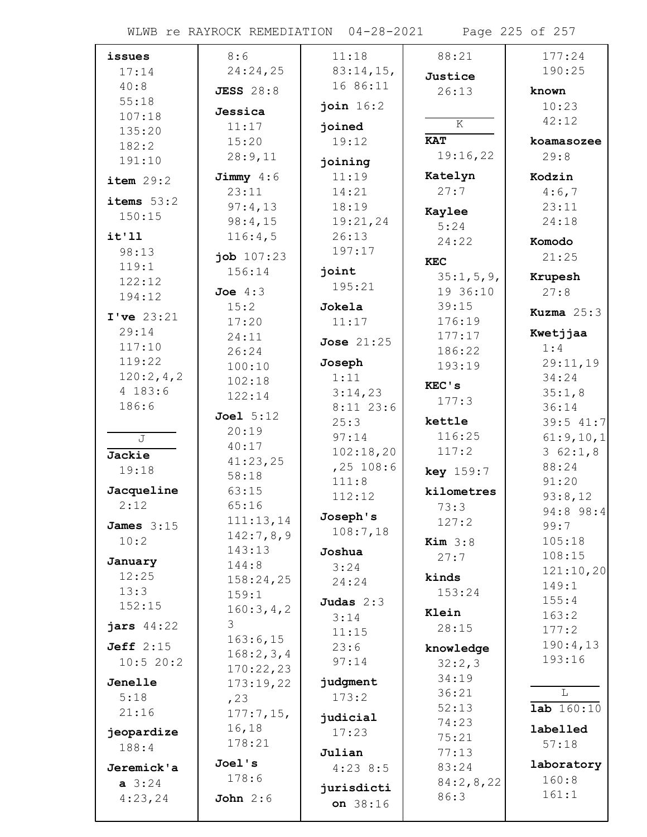| issues       | 8:6              | 11:18             | 88:21            | 177:24            |
|--------------|------------------|-------------------|------------------|-------------------|
| 17:14        | 24:24,25         | 83:14,15,         | Justice          | 190:25            |
| 40:8         | <b>JESS</b> 28:8 | 16 86:11          | 26:13            | known             |
| 55:18        |                  | join 16:2         |                  | 10:23             |
| 107:18       | Jessica          |                   | $\overline{K}$   | 42:12             |
| 135:20       | 11:17            | joined            |                  |                   |
| 182:2        | 15:20            | 19:12             | <b>KAT</b>       | koamasozee        |
| 191:10       | 28:9,11          | joining           | 19:16,22         | 29:8              |
| item 29:2    | Jimmy $4:6$      | 11:19             | Katelyn          | Kodzin            |
|              | 23:11            | 14:21             | 27:7             | 4:6,7             |
| items $53:2$ | 97:4,13          | 18:19             | Kaylee           | 23:11             |
| 150:15       | 98:4,15          | 19:21,24          | 5:24             | 24:18             |
| it'11        | 116:4,5          | 26:13             | 24:22            | Komodo            |
| 98:13        | job 107:23       | 197:17            |                  | 21:25             |
| 119:1        | 156:14           | joint             | <b>KEC</b>       |                   |
| 122:12       |                  | 195:21            | 35:1, 5, 9,      | Krupesh           |
| 194:12       | Joe $4:3$        |                   | 19 36:10         | 27:8              |
| I've 23:21   | 15:2             | Jokela            | 39:15            | Kuzma $25:3$      |
| 29:14        | 17:20            | 11:17             | 176:19<br>177:17 | Kwetjjaa          |
| 117:10       | 24:11            | <b>Jose 21:25</b> |                  | 1:4               |
| 119:22       | 26:24            | Joseph            | 186:22<br>193:19 | 29:11,19          |
| 120:2,4,2    | 100:10<br>102:18 | 1:11              |                  | 34:24             |
| 4 183:6      | 122:14           | 3:14,23           | KEC's            | 35:1,8            |
| 186:6        |                  | $8:11$ 23:6       | 177:3            | 36:14             |
|              | Joel 5:12        | 25:3              | kettle           | $39:5$ 41:7       |
| J            | 20:19            | 97:14             | 116:25           | 61:9,10,1         |
| Jackie       | 40:17            | 102:18,20         | 117:2            | 362:1,8           |
| 19:18        | 41:23,25         | $,25$ 108:6       | key 159:7        | 88:24             |
|              | 58:18            | 111:8             |                  | 91:20             |
| Jacqueline   | 63:15            | 112:12            | kilometres       | 93:8,12           |
| 2:12         | 65:16            | Joseph's          | 73:3             | 94:8 98:4         |
| James $3:15$ | 111:13,14        | 108:7,18          | 127:2            | 99:7              |
| 10:2         | 142:7,8,9        |                   | Kim $3:8$        | 105:18            |
| January      | 143:13<br>144:8  | Joshua            | 27:7             | 108:15            |
| 12:25        | 158:24,25        | 3:24              | kinds            | 121:10,20         |
| 13:3         | 159:1            | 24:24             | 153:24           | 149:1             |
| 152:15       | 160:3,4,2        | Judas $2:3$       |                  | 155:4             |
| jars $44:22$ | 3                | 3:14              | Klein            | 163:2             |
|              | 163:6,15         | 11:15             | 28:15            | 177:2             |
| Jeff $2:15$  | 168:2,3,4        | 23:6              | knowledge        | 190:4,13          |
| 10:520:2     | 170:22,23        | 97:14             | 32:2,3           | 193:16            |
| Jenelle      | 173:19,22        | judgment          | 34:19            |                   |
| 5:18         | , 23             | 173:2             | 36:21            | L                 |
| 21:16        | $177:7,15$ ,     | judicial          | 52:13            | <b>lab</b> 160:10 |
| jeopardize   | 16,18            | 17:23             | 74:23            | labelled          |
| 188:4        | 178:21           |                   | 75:21            | 57:18             |
|              | Joel's           | Julian            | 77:13            | laboratory        |
| Jeremick'a   | 178:6            | $4:23$ 8:5        | 83:24            | 160:8             |
| $a \; 3:24$  |                  | jurisdicti        | 84:2,8,22        | 161:1             |
| 4:23,24      | John $2:6$       | on 38:16          | 86:3             |                   |
|              |                  |                   |                  |                   |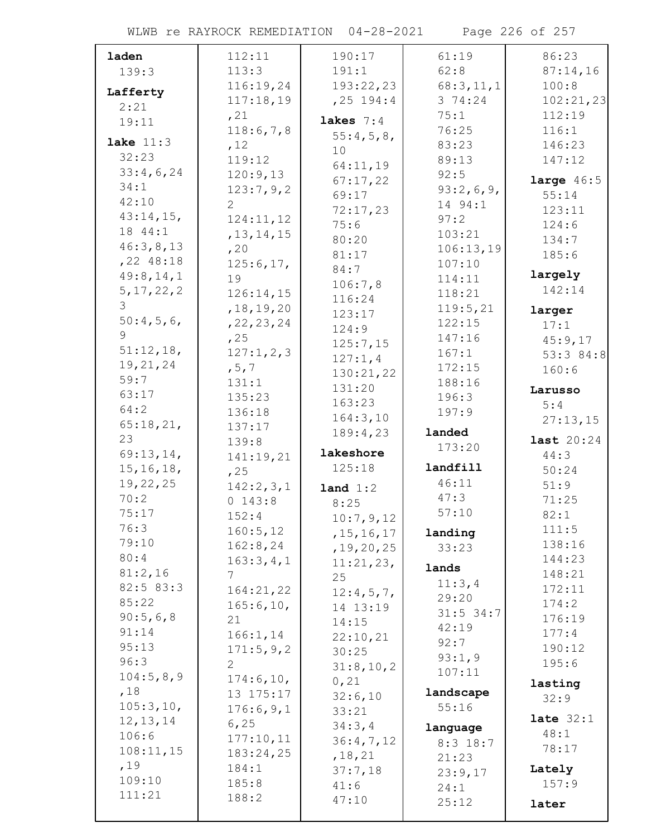WLWB re RAYROCK REMEDIATION 04-28-2021 Page 226 of 257

| laden                 | 112:11                 | 190:17                | 61:19            | 86:23             |
|-----------------------|------------------------|-----------------------|------------------|-------------------|
| 139:3                 | 113:3                  | 191:1                 | 62:8             | 87:14,16          |
| Lafferty              | 116:19,24              | 193:22,23             | 68:3,11,1        | 100:8             |
| 2:21                  | 117:18,19              | $, 25$ 194:4          | 3 74:24          | 102:21,23         |
| 19:11                 | , 21                   | lakes $7:4$           | 75:1             | 112:19            |
|                       | 118:6,7,8              | 55:4,5,8,             | 76:25            | 116:1             |
| lake $11:3$           | , 12                   | 10                    | 83:23            | 146:23            |
| 32:23                 | 119:12                 | 64:11,19              | 89:13            | 147:12            |
| 33:4,6,24             | 120:9,13               | 67:17,22              | 92:5             | large $46:5$      |
| 34:1                  | 123:7,9,2              | 69:17                 | 93:2,6,9,        | 55:14             |
| 42:10<br>$43:14,15$ , | 2                      | 72:17,23              | 14 94:1          | 123:11            |
| 18 44:1               | 124:11,12              | 75:6                  | 97:2             | 124:6             |
| 46:3,8,13             | , 13, 14, 15           | 80:20                 | 103:21           | 134:7             |
| $,22$ 48:18           | , 20                   | 81:17                 | 106:13,19        | 185:6             |
| 49:8,14,1             | 125:6,17,<br>19        | 84:7                  | 107:10           | largely           |
| 5, 17, 22, 2          | 126:14,15              | 106:7,8               | 114:11<br>118:21 | 142:14            |
| 3                     | , 18, 19, 20           | 116:24                | 119:5,21         |                   |
| 50:4,5,6              | , 22, 23, 24           | 123:17                | 122:15           | larger<br>17:1    |
| 9                     | ,25                    | 124:9                 | 147:16           | 45:9,17           |
| 51:12,18,             | 127:1,2,3              | 125:7,15              | 167:1            | 53:3 84:8         |
| 19, 21, 24            | , 5, 7                 | 127:1,4               | 172:15           | 160:6             |
| 59:7                  | 131:1                  | 130:21,22             | 188:16           |                   |
| 63:17                 | 135:23                 | 131:20                | 196:3            | Larusso           |
| 64:2                  | 136:18                 | 163:23                | 197:9            | 5:4               |
| 65:18,21,             | 137:17                 | 164:3,10<br>189:4,23  | landed           | 27:13,15          |
|                       |                        |                       |                  |                   |
| 23                    | 139:8                  |                       |                  | <b>last</b> 20:24 |
| 69:13,14,             | 141:19,21              | lakeshore             | 173:20           | 44:3              |
| 15, 16, 18,           | , 25                   | 125:18                | landfill         | 50:24             |
| 19,22,25              | 142:2,3,1              | land 1:2              | 46:11            | 51:9              |
| 70:2                  | 0 143:8                | 8:25                  | 47:3             | 71:25             |
| 75:17                 | 152:4                  | 10:7,9,12             | 57:10            | 82:1              |
| 76:3                  | 160:5, 12              | , 15, 16, 17          | landing          | 111:5             |
| 79:10                 | 162:8,24               | , 19, 20, 25          | 33:23            | 138:16            |
| 80:4                  | 163:3,4,1              | 11:21,23,             | lands            | 144:23            |
| 81:2,16               | $7\overline{ }$        | 25                    | 11:3,4           | 148:21            |
| 82:5 83:3             | 164:21,22              | 12:4,5,7,             | 29:20            | 172:11            |
| 85:22                 | 165:6, 10,             | 14 13:19              | $31:5$ 34:7      | 174:2             |
| 90:5,6,8              | 21                     | 14:15                 | 42:19            | 176:19            |
| 91:14<br>95:13        | 166:1, 14              | 22:10,21              | 92:7             | 177:4             |
| 96:3                  | 171:5,9,2              | 30:25                 | 93:1,9           | 190:12            |
| 104:5,8,9             | $\overline{2}$         | 31:8, 10, 2           | 107:11           | 195:6             |
| ,18                   | 174:6, 10,             | 0,21                  | landscape        | lasting           |
| 105:3, 10,            | 13 175:17<br>176:6,9,1 | 32:6,10               | 55:16            | 32:9              |
| 12, 13, 14            | 6, 25                  | 33:21                 |                  | late $32:1$       |
| 106:6                 | 177:10,11              | 34:3,4                | language         | 48:1              |
| 108:11,15             | 183:24,25              | 36:4,7,12<br>, 18, 21 | $8:3$ 18:7       | 78:17             |
| ,19                   | 184:1                  | 37:7,18               | 21:23<br>23:9,17 | Lately            |
| 109:10                | 185:8                  | 41:6                  | 24:1             | 157:9             |
| 111:21                | 188:2                  | 47:10                 | 25:12            | later             |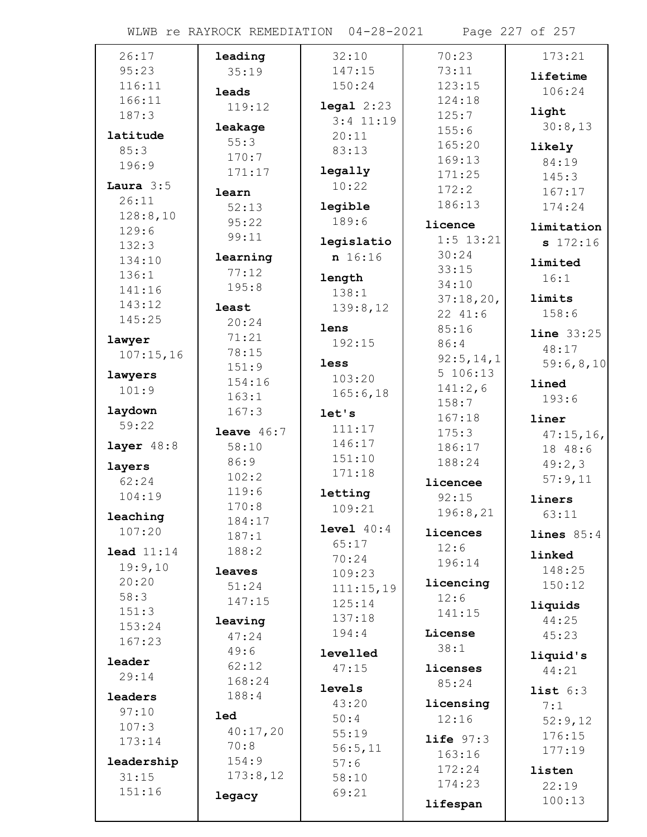| 26:17                 | leading        | 32:10                  | 70:23                   | 173:21              |
|-----------------------|----------------|------------------------|-------------------------|---------------------|
| 95:23                 | 35:19          | 147:15                 | 73:11                   | lifetime            |
| 116:11                | leads          | 150:24                 | 123:15                  | 106:24              |
| 166:11                | 119:12         | $\texttt{legal } 2:23$ | 124:18                  |                     |
| 187:3                 |                | $3:4$ 11:19            | 125:7                   | light               |
| latitude              | leakage        | 20:11                  | 155:6                   | 30:8,13             |
| 85:3                  | 55:3           | 83:13                  | 165:20                  | likely              |
| 196:9                 | 170:7          |                        | 169:13                  | 84:19               |
|                       | 171:17         | legally                | 171:25                  | 145:3               |
| Laura $3:5$           | learn          | 10:22                  | 172:2                   | 167:17              |
| 26:11                 | 52:13          | legible                | 186:13                  | 174:24              |
| 128:8,10<br>129:6     | 95:22          | 189:6                  | licence                 | limitation          |
| 132:3                 | 99:11          | legislatio             | $1:5$ 13:21             | \$172:16            |
| 134:10                | learning       | n 16:16                | 30:24                   |                     |
| 136:1                 | 77:12          |                        | 33:15                   | limited             |
| 141:16                | 195:8          | length                 | 34:10                   | 16:1                |
| 143:12                |                | 138:1                  | 37:18,20,               | limits              |
| 145:25                | least<br>20:24 | 139:8,12               | 22 41:6                 | 158:6               |
|                       | 71:21          | lens                   | 85:16                   | <b>line</b> $33:25$ |
| lawyer                | 78:15          | 192:15                 | 86:4                    | 48:17               |
| 107:15,16             | 151:9          | less                   | 92:5, 14, 1             | 59:6,8,10           |
| lawyers               | 154:16         | 103:20                 | 5 106:13                | lined               |
| 101:9                 | 163:1          | 165:6, 18              | 141:2,6                 | 193:6               |
| laydown               | 167:3          | let's                  | 158:7                   |                     |
| 59:22                 |                | 111:17                 | 167:18                  | liner               |
|                       | leave $46:7$   | 146:17                 | 175:3                   | 47:15,16,           |
| layer $48:8$          | 58:10          | 151:10                 | 186:17                  | 18 48:6             |
| layers                | 86:9           | 171:18                 | 188:24                  | 49:2,3              |
| 62:24                 | 102:2<br>119:6 |                        | licencee                | 57:9,11             |
| 104:19                | 170:8          | letting                | 92:15                   | liners              |
| leaching              | 184:17         | 109:21                 | 196:8,21                | 63:11               |
| 107:20                | 187:1          | level 40:4             | licences                | lines $85:4$        |
| $\texttt{lead} 11:14$ | 188:2          | 65:17                  | 12:6                    |                     |
| 19:9,10               |                | 70:24                  | 196:14                  | linked              |
| 20:20                 | leaves         | 109:23                 | licencing               | 148:25              |
| 58:3                  | 51:24          | 111:15,19              | 12:6                    | 150:12              |
| 151:3                 | 147:15         | 125:14                 | 141:15                  | liquids             |
| 153:24                | leaving        | 137:18                 |                         | 44:25               |
| 167:23                | 47:24          | 194:4                  | License                 | 45:23               |
| leader                | 49:6           | levelled               | 38:1                    | liquid's            |
| 29:14                 | 62:12          | 47:15                  | licenses                | 44:21               |
|                       | 168:24         | levels                 | 85:24                   | list 6:3            |
| leaders               | 188:4          | 43:20                  | licensing               | 7:1                 |
| 97:10                 | <b>led</b>     | 50:4                   | 12:16                   | 52:9,12             |
| 107:3                 | 40:17,20       | 55:19                  |                         | 176:15              |
| 173:14                | 70:8           | 56:5,11                | $life$ $97:3$<br>163:16 | 177:19              |
| leadership            | 154:9          | 57:6                   | 172:24                  |                     |
| 31:15                 | 173:8,12       | 58:10                  | 174:23                  | listen              |
| 151:16                | legacy         | 69:21                  |                         | 22:19               |
|                       |                |                        | lifespan                | 100:13              |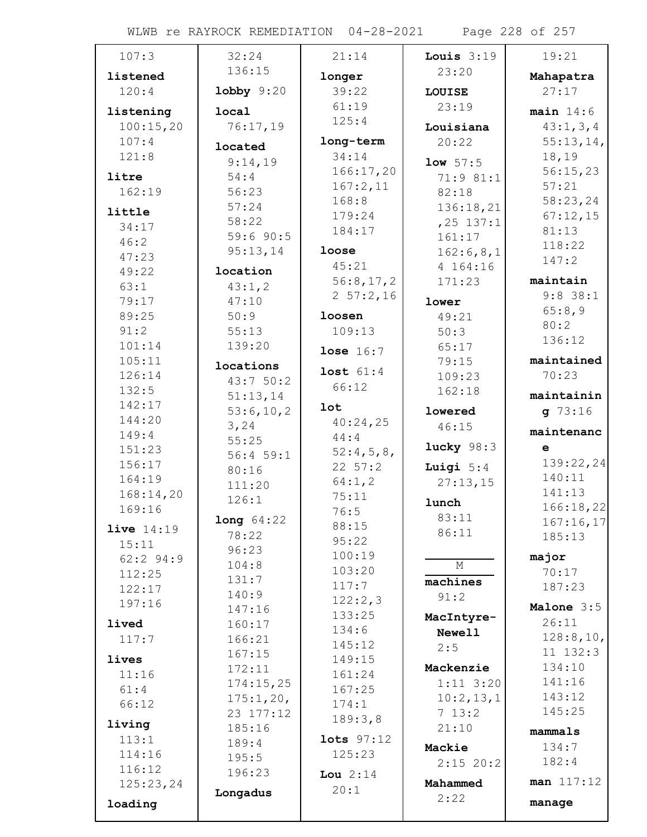WLWB re RAYROCK REMEDIATION 04-28-2021 Page 228 of 257

| 107:3             | 32:24            | 21:14          | Louis $3:19$   | 19:21       |
|-------------------|------------------|----------------|----------------|-------------|
| listened          | 136:15           | longer         | 23:20          | Mahapatra   |
| 120:4             | $1$ obby $9:20$  | 39:22          | <b>LOUISE</b>  | 27:17       |
| listening         | local            | 61:19          | 23:19          | main $14:6$ |
| 100:15,20         | 76:17,19         | 125:4          | Louisiana      | 43:1, 3, 4  |
| 107:4             | located          | long-term      | 20:22          | 55:13,14,   |
| 121:8             | 9:14,19          | 34:14          | 1ow 57:5       | 18,19       |
| litre             | 54:4             | 166:17,20      | 71:9 81:1      | 56:15,23    |
| 162:19            | 56:23            | 167:2,11       | 82:18          | 57:21       |
|                   | 57:24            | 168:8          | 136:18,21      | 58:23,24    |
| little            | 58:22            | 179:24         | $, 25$ 137:1   | 67:12,15    |
| 34:17             | 59:690:5         | 184:17         | 161:17         | 81:13       |
| 46:2              | 95:13,14         | loose          | 162:6,8,1      | 118:22      |
| 47:23             |                  | 45:21          | 4 164:16       | 147:2       |
| 49:22<br>63:1     | location         | 56:8,17,2      | 171:23         | maintain    |
|                   | 43:1,2<br>47:10  | $2\;\;57:2,16$ |                | $9:8$ 38:1  |
| 79:17<br>89:25    | 50:9             | loosen         | lower<br>49:21 | 65:8,9      |
| 91:2              | 55:13            | 109:13         | 50:3           | 80:2        |
| 101:14            | 139:20           |                | 65:17          | 136:12      |
| 105:11            |                  | lose $16:7$    | 79:15          | maintained  |
| 126:14            | locations        | lost $61:4$    | 109:23         | 70:23       |
| 132:5             | 43:750:2         | 66:12          | 162:18         |             |
| 142:17            | 51:13,14         | <b>lot</b>     |                | maintainin  |
| 144:20            | 53:6,10,2        | 40:24,25       | lowered        | $g$ 73:16   |
| 149:4             | 3,24             | 44:4           | 46:15          | maintenanc  |
| 151:23            | 55:25            | 52:4,5,8,      | lucky $98:3$   | e           |
| 156:17            | 56:459:1         | 22 57:2        | Luigi $5:4$    | 139:22,24   |
| 164:19            | 80:16            | 64:1,2         | 27:13,15       | 140:11      |
| 168:14,20         | 111:20<br>126:1  | 75:11          |                | 141:13      |
| 169:16            |                  | 76:5           | lunch          | 166:18,22   |
| <b>live</b> 14:19 | long 64:22       | 88:15          | 83:11          | 167:16,17   |
| 15:11             | 78:22            | 95:22          | 86:11          | 185:13      |
| $62:2$ 94:9       | 96:23            | 100:19         |                | major       |
| 112:25            | 104:8            | 103:20         | М              | 70:17       |
| 122:17            | 131:7            | 117:7          | machines       | 187:23      |
| 197:16            | 140:9            | 122:2,3        | 91:2           | Malone 3:5  |
|                   | 147:16           | 133:25         | MacIntyre-     | 26:11       |
| lived             | 160:17           | 134:6          | <b>Newell</b>  | 128:8,10,   |
| 117:7             | 166:21<br>167:15 | 145:12         | 2:5            | 11 132:3    |
| lives             | 172:11           | 149:15         | Mackenzie      | 134:10      |
| 11:16             | 174:15,25        | 161:24         | $1:11$ 3:20    | 141:16      |
| 61:4              | 175:1,20,        | 167:25         | 10:2,13,1      | 143:12      |
| 66:12             | 23 177:12        | 174:1          | 713:2          | 145:25      |
| living            | 185:16           | 189:3,8        | 21:10          |             |
| 113:1             | 189:4            | lots 97:12     |                | mammals     |
| 114:16            | 195:5            | 125:23         | Mackie         | 134:7       |
| 116:12            | 196:23           | Lou $2:14$     | $2:15$ 20:2    | 182:4       |
| 125:23,24         |                  | 20:1           | Mahammed       | man 117:12  |
| loading           | Longadus         |                | 2:22           | manage      |
|                   |                  |                |                |             |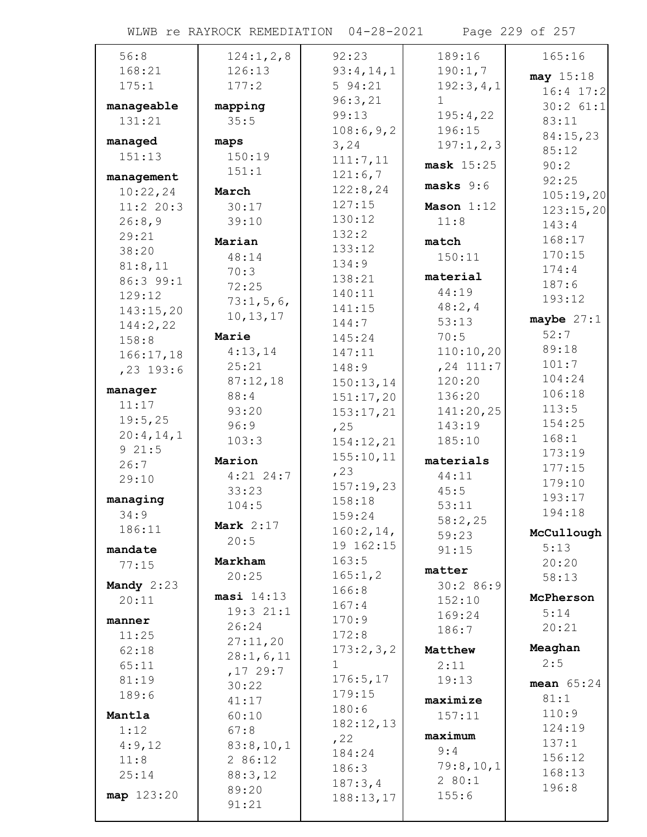WLWB re RAYROCK REMEDIATION 04-28-2021 Page 229 of 257

| 56:8         | 124:1, 2, 8 | 92:23        | 189:16       | 165:16        |
|--------------|-------------|--------------|--------------|---------------|
| 168:21       | 126:13      | 93:4,14,1    | 190:1,7      | may 15:18     |
| 175:1        | 177:2       | 594:21       | 192:3,4,1    | $16:4$ 17:2   |
| manageable   | mapping     | 96:3,21      | $\mathbf 1$  | $30:2$ $61:1$ |
| 131:21       | 35:5        | 99:13        | 195:4,22     | 83:11         |
|              |             | 108:6,9,2    | 196:15       | 84:15,23      |
| managed      | maps        | 3,24         | 197:1,2,3    | 85:12         |
| 151:13       | 150:19      | 111:7,11     | mask 15:25   | 90:2          |
| management   | 151:1       | 121:6,7      |              | 92:25         |
| 10:22,24     | March       | 122:8,24     | $masks 9:6$  | 105:19,20     |
| 11:2 20:3    | 30:17       | 127:15       | Mason 1:12   | 123:15,20     |
| 26:8,9       | 39:10       | 130:12       | 11:8         | 143:4         |
| 29:21        | Marian      | 132:2        | match        | 168:17        |
| 38:20        | 48:14       | 133:12       | 150:11       | 170:15        |
| 81:8,11      | 70:3        | 134:9        |              | 174:4         |
| 86:3 99:1    | 72:25       | 138:21       | material     | 187:6         |
| 129:12       | 73:1,5,6    | 140:11       | 44:19        | 193:12        |
| 143:15,20    | 10, 13, 17  | 141:15       | 48:2, 4      |               |
| 144:2,22     |             | 144:7        | 53:13        | maybe $27:1$  |
| 158:8        | Marie       | 145:24       | 70:5         | 52:7          |
| 166:17,18    | 4:13,14     | 147:11       | 110:10,20    | 89:18         |
| $, 23$ 193:6 | 25:21       | 148:9        | $, 24$ 111:7 | 101:7         |
| manager      | 87:12,18    | 150:13,14    | 120:20       | 104:24        |
| 11:17        | 88:4        | 151:17,20    | 136:20       | 106:18        |
| 19:5,25      | 93:20       | 153:17,21    | 141:20,25    | 113:5         |
| 20:4,14,1    | 96:9        | , 25         | 143:19       | 154:25        |
| 921:5        | 103:3       | 154:12,21    | 185:10       | 168:1         |
| 26:7         | Marion      | 155:10,11    | materials    | 173:19        |
| 29:10        | $4:21$ 24:7 | , 23         | 44:11        | 177:15        |
|              | 33:23       | 157:19,23    | 45:5         | 179:10        |
| managing     | 104:5       | 158:18       | 53:11        | 193:17        |
| 34:9         | Mark $2:17$ | 159:24       | 58:2,25      | 194:18        |
| 186:11       | 20:5        | 160:2, 14,   | 59:23        | McCullough    |
| mandate      |             | 19 162:15    | 91:15        | 5:13          |
| 77:15        | Markham     | 163:5        | matter       | 20:20         |
| Mandy $2:23$ | 20:25       | 165:1,2      | 30:286:9     | 58:13         |
| 20:11        | masi 14:13  | 166:8        | 152:10       | McPherson     |
|              | 19:321:1    | 167:4        | 169:24       | 5:14          |
| manner       | 26:24       | 170:9        | 186:7        | 20:21         |
| 11:25        | 27:11,20    | 172:8        |              |               |
| 62:18        | 28:1,6,11   | 173:2,3,2    | Matthew      | Meaghan       |
| 65:11        | ,1729:7     | $\mathbf{1}$ | 2:11         | 2:5           |
| 81:19        | 30:22       | 176:5, 17    | 19:13        | mean $65:24$  |
| 189:6        | 41:17       | 179:15       | maximize     | 81:1          |
| Mantla       | 60:10       | 180:6        | 157:11       | 110:9         |
| 1:12         | 67:8        | 182:12,13    | maximum      | 124:19        |
| 4:9,12       | 83:8,10,1   | , 22         | 9:4          | 137:1         |
| 11:8         | 2 86:12     | 184:24       | 79:8,10,1    | 156:12        |
| 25:14        | 88:3,12     | 186:3        | 280:1        | 168:13        |
| map 123:20   | 89:20       | 187:3,4      | 155:6        | 196:8         |
|              | 91:21       | 188:13,17    |              |               |
|              |             |              |              |               |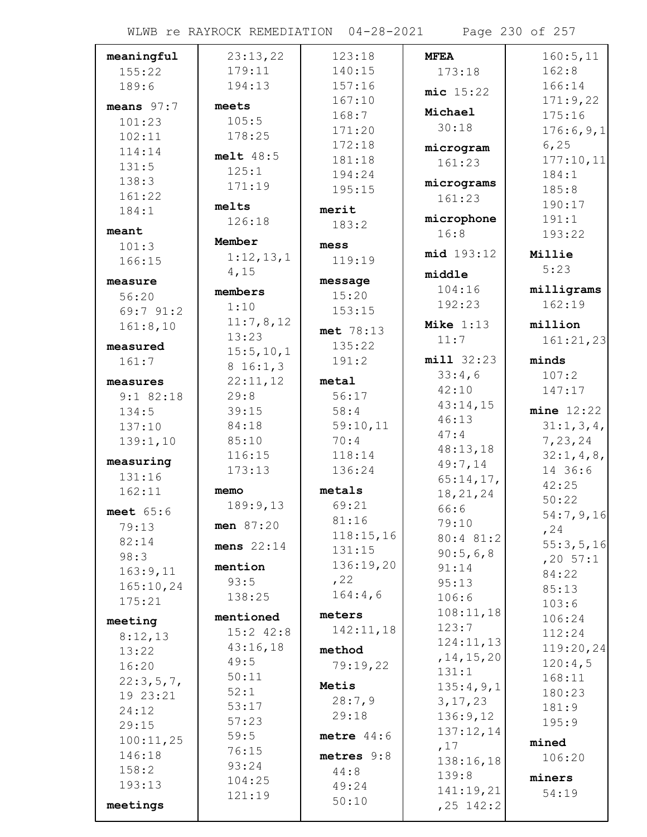WLWB re RAYROCK REMEDIATION 04-28-2021 Page 230 of 257

| meaningful              | 23:13,22            | 123:18             | <b>MFEA</b>        | 160:5, 11      |
|-------------------------|---------------------|--------------------|--------------------|----------------|
| 155:22                  | 179:11              | 140:15             | 173:18             | 162:8          |
| 189:6                   | 194:13              | 157:16             | $mic$ 15:22        | 166:14         |
| means $97:7$            | meets               | 167:10             |                    | 171:9,22       |
| 101:23                  | 105:5               | 168:7              | Michael            | 175:16         |
| 102:11                  | 178:25              | 171:20             | 30:18              | 176:6,9,1      |
| 114:14                  |                     | 172:18             | microgram          | 6, 25          |
| 131:5                   | melt 48:5           | 181:18             | 161:23             | 177:10,11      |
| 138:3                   | 125:1               | 194:24             |                    | 184:1          |
| 161:22                  | 171:19              | 195:15             | micrograms         | 185:8          |
| 184:1                   | melts               | merit              | 161:23             | 190:17         |
|                         | 126:18              | 183:2              | microphone         | 191:1          |
| meant                   | Member              |                    | 16:8               | 193:22         |
| 101:3                   | 1:12,13,1           | mess               | mid 193:12         | Millie         |
| 166:15                  | 4,15                | 119:19             |                    | 5:23           |
| measure                 |                     | message            | middle             |                |
| 56:20                   | members             | 15:20              | 104:16             | milligrams     |
| 69:7 91:2               | 1:10                | 153:15             | 192:23             | 162:19         |
| 161:8,10                | 11:7,8,12           | met 78:13          | Mike $1:13$        | million        |
| measured                | 13:23               | 135:22             | 11:7               | 161:21,23      |
| 161:7                   | 15:5, 10, 1         | 191:2              | min132:23          | minds          |
|                         | 816:1,3<br>22:11,12 | metal              | 33:4,6             | 107:2          |
| measures<br>$9:1$ 82:18 | 29:8                | 56:17              | 42:10              | 147:17         |
| 134:5                   | 39:15               | 58:4               | 43:14,15           | $mine$ $12:22$ |
| 137:10                  | 84:18               | 59:10,11           | 46:13              | 31:1, 3, 4,    |
| 139:1,10                | 85:10               | 70:4               | 47:4               | 7,23,24        |
|                         | 116:15              | 118:14             | 48:13,18           | 32:1, 4, 8,    |
| measuring               | 173:13              | 136:24             | 49:7,14            | 14 36:6        |
| 131:16                  |                     |                    | 65:14,17,          | 42:25          |
| 162:11                  | memo                | metals             | 18, 21, 24         | 50:22          |
| meet $65:6$             | 189:9,13            | 69:21              | 66:6               | 54:7,9,16      |
| 79:13                   | men 87:20           | 81:16<br>118:15,16 | 79:10              | , 24           |
| 82:14                   | mens $22:14$        | 131:15             | 80:4 81:2          | 55:3,5,16      |
| 98:3                    |                     | 136:19,20          | 90:5,6,8           | $, 20 \ 57:1$  |
| 163:9,11                | mention<br>93:5     | , 22               | 91:14              | 84:22          |
| 165:10,24               | 138:25              | 164:4,6            | 95:13              | 85:13          |
| 175:21                  |                     |                    | 106:6<br>108:11,18 | 103:6          |
| meeting                 | mentioned           | meters             | 123:7              | 106:24         |
| 8:12,13                 | $15:2$ $42:8$       | 142:11,18          | 124:11,13          | 112:24         |
| 13:22                   | 43:16,18            | method             | , 14, 15, 20       | 119:20,24      |
| 16:20                   | 49:5                | 79:19,22           | 131:1              | 120:4,5        |
| 22:3,5,7,               | 50:11               | Metis              | 135:4,9,1          | 168:11         |
| 19 23:21                | 52:1                | 28:7,9             | 3, 17, 23          | 180:23         |
| 24:12                   | 53:17               | 29:18              | 136:9,12           | 181:9          |
| 29:15                   | 57:23               |                    | 137:12,14          | 195:9          |
| 100:11,25               | 59:5<br>76:15       | metre $44:6$       | ,17                | mined          |
| 146:18                  | 93:24               | metres $9:8$       | 138:16,18          | 106:20         |
| 158:2                   | 104:25              | 44:8               | 139:8              | miners         |
| 193:13                  | 121:19              | 49:24              | 141:19,21          | 54:19          |
| meetings                |                     | 50:10              | $, 25$ 142:2       |                |
|                         |                     |                    |                    |                |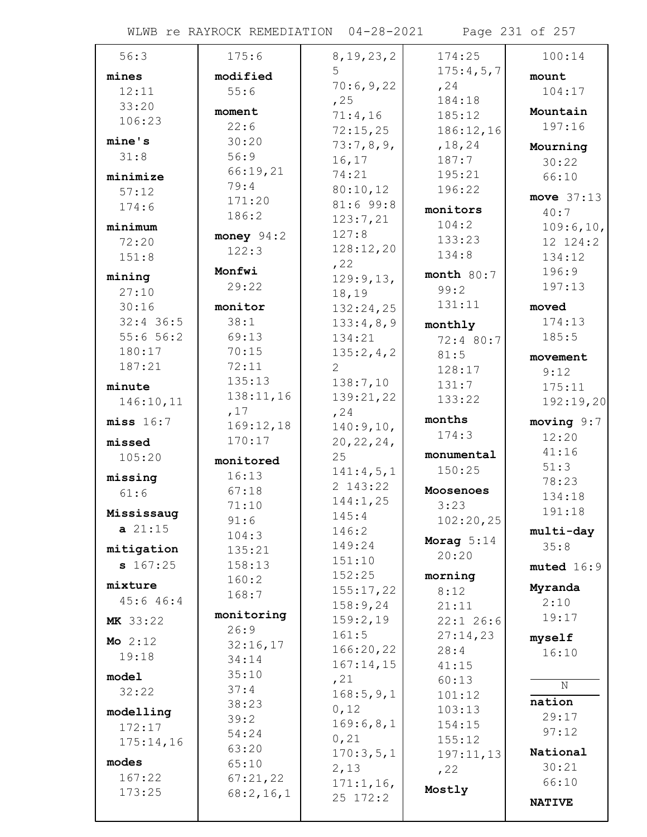WLWB re RAYROCK REMEDIATION 04-28-2021 Page 231 of 257

| 56:3                      | 175:6                 | 8, 19, 23, 2      | 174:25       | 100:14        |
|---------------------------|-----------------------|-------------------|--------------|---------------|
| mines                     | modified              | 5                 | 175:4,5,7    | mount         |
| 12:11                     | 55:6                  | 70:6,9,22         | , 24         | 104:17        |
| 33:20                     |                       | , 25              | 184:18       |               |
| 106:23                    | moment                | 71:4,16           | 185:12       | Mountain      |
|                           | 22:6                  | 72:15,25          | 186:12,16    | 197:16        |
| mine's                    | 30:20                 | 73:7,8,9,         | , 18, 24     | Mourning      |
| 31:8                      | 56:9                  | 16, 17            | 187:7        | 30:22         |
| minimize                  | 66:19,21              | 74:21             | 195:21       | 66:10         |
| 57:12                     | 79:4                  | 80:10,12          | 196:22       | move $37:13$  |
| 174:6                     | 171:20                | 81:699:8          | monitors     | 40:7          |
| minimum                   | 186:2                 | 123:7,21          | 104:2        | 109:6, 10,    |
| 72:20                     | money $94:2$          | 127:8             | 133:23       | 12 124:2      |
| 151:8                     | 122:3                 | 128:12,20         | 134:8        | 134:12        |
|                           | Monfwi                | , 22              | month $80:7$ | 196:9         |
| mining                    | 29:22                 | 129:9,13,         | 99:2         | 197:13        |
| 27:10                     |                       | 18,19             | 131:11       |               |
| 30:16                     | monitor               | 132:24,25         |              | moved         |
| $32:4$ 36:5               | 38:1                  | 133:4,8,9         | monthly      | 174:13        |
| 55:656:2                  | 69:13                 | 134:21            | 72:4 80:7    | 185:5         |
| 180:17                    | 70:15                 | 135:2,4,2         | 81:5         | movement      |
| 187:21                    | 72:11<br>135:13       | 2                 | 128:17       | 9:12          |
| minute                    |                       | 138:7,10          | 131:7        | 175:11        |
| 146:10,11                 | 138:11,16<br>,17      | 139:21,22         | 133:22       | 192:19,20     |
| miss 16:7                 | 169:12,18             | , 24              | months       | moving $9:7$  |
|                           | 170:17                | 140:9,10,         | 174:3        | 12:20         |
| missed                    |                       | 20, 22, 24,<br>25 | monumental   | 41:16         |
| 105:20                    | monitored             | 141:4,5,1         | 150:25       | 51:3          |
| missing                   | 16:13                 | 2 143:22          |              | 78:23         |
| 61:6                      | 67:18                 | 144:1,25          | Moosenoes    | 134:18        |
| Mississaug                | 71:10                 | 145:4             | 3:23         | 191:18        |
| a 21:15                   | 91:6                  | 146:2             | 102:20,25    | multi-day     |
| mitigation                | 104:3                 | 149:24            | Morag $5:14$ | 35:8          |
| \$167:25                  | 135:21<br>158:13      | 151:10            | 20:20        |               |
|                           | 160:2                 | 152:25            | morning      | muted 16:9    |
| mixture                   | 168:7                 | 155:17,22         | 8:12         | Myranda       |
| 45:6 46:4                 |                       | 158:9,24          | 21:11        | 2:10          |
| MK 33:22                  | monitoring            | 159:2,19          | $22:1$ 26:6  | 19:17         |
|                           | 26:9                  | 161:5             | 27:14,23     | myself        |
| <b>Mo</b> $2:12$<br>19:18 | 32:16,17              | 166:20,22         | 28:4         | 16:10         |
|                           | 34:14                 | 167:14,15         | 41:15        |               |
| model                     | 35:10                 | , 21              | 60:13        | N             |
| 32:22                     | 37:4                  | 168:5,9,1         | 101:12       | nation        |
| modelling                 | 38:23                 | 0,12              | 103:13       | 29:17         |
| 172:17                    | 39:2                  | 169:6,8,1         | 154:15       | 97:12         |
| 175:14,16                 | 54:24                 | 0,21              | 155:12       |               |
| modes                     | 63:20                 | 170:3,5,1         | 197:11,13    | National      |
| 167:22                    | 65:10                 | 2,13              | , 22         | 30:21         |
| 173:25                    | 67:21,22<br>68:2,16,1 | 171:1,16,         | Mostly       | 66:10         |
|                           |                       | 25 172:2          |              | <b>NATIVE</b> |
|                           |                       |                   |              |               |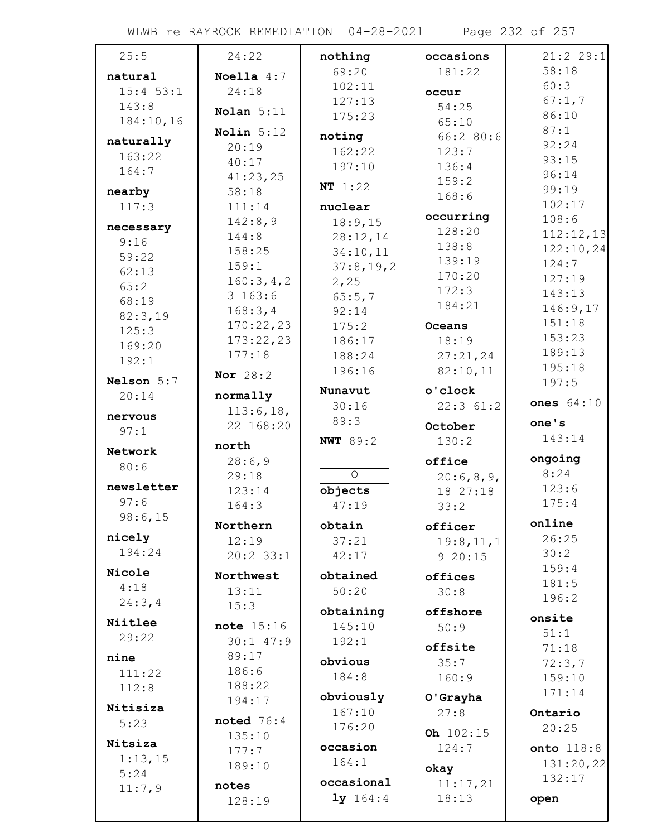WLWB re RAYROCK REMEDIATION 04-28-2021 Page 232 of 257

| 25:5        | 24:22               | nothing          | occasions           | 21:222:1        |
|-------------|---------------------|------------------|---------------------|-----------------|
| natural     | Noella $4:7$        | 69:20            | 181:22              | 58:18           |
| $15:4$ 53:1 | 24:18               | 102:11           | occur               | 60:3            |
| 143:8       |                     | 127:13           | 54:25               | 67:1,7          |
| 184:10,16   | Nolan $5:11$        | 175:23           | 65:10               | 86:10           |
| naturally   | Nolin $5:12$        | noting           | 66:280:6            | 87:1            |
| 163:22      | 20:19               | 162:22           | 123:7               | 92:24           |
| 164:7       | 40:17               | 197:10           | 136:4               | 93:15           |
|             | 41:23,25            | NT 1:22          | 159:2               | 96:14           |
| nearby      | 58:18               |                  | 168:6               | 99:19<br>102:17 |
| 117:3       | 111:14              | nuclear          | occurring           | 108:6           |
| necessary   | 142:8,9             | 18:9,15          | 128:20              | 112:12,13       |
| 9:16        | 144:8               | 28:12,14         | 138:8               | 122:10,24       |
| 59:22       | 158:25              | 34:10,11         | 139:19              | 124:7           |
| 62:13       | 159:1               | 37:8,19,2        | 170:20              | 127:19          |
| 65:2        | 160:3,4,2<br>3163:6 | 2,25             | 172:3               | 143:13          |
| 68:19       | 168:3,4             | 65:5,7           | 184:21              | 146:9,17        |
| 82:3,19     | 170:22,23           | 92:14<br>175:2   | Oceans              | 151:18          |
| 125:3       | 173:22,23           | 186:17           | 18:19               | 153:23          |
| 169:20      | 177:18              | 188:24           | 27:21,24            | 189:13          |
| 192:1       |                     | 196:16           | 82:10,11            | 195:18          |
| Nelson 5:7  | Nor 28:2            |                  |                     | 197:5           |
| 20:14       | normally            | Nunavut          | o'clock             | ones 64:10      |
| nervous     | 113:6,18,           | 30:16            | 22:361:2            |                 |
| 97:1        | 22 168:20           | 89:3             | October             | one's           |
|             | north               | <b>NWT</b> 89:2  | 130:2               | 143:14          |
| Network     | 28:6,9              |                  | office              | ongoing         |
| 80:6        | 29:18               | $\overline{O}$   | 20:6,8,9,           | 8:24            |
| newsletter  | 123:14              | objects          | 18 27:18            | 123:6           |
| 97:6        | 164:3               | 47:19            | 33:2                | 175:4           |
| 98:6,15     | Northern            | obtain           | officer             | online          |
| nicely      | 12:19               | 37:21            |                     | 26:25           |
| 194:24      | $20:2$ 33:1         | 42:17            | 19:8,11,1<br>920:15 | 30:2            |
| Nicole      |                     |                  |                     | 159:4           |
| 4:18        | Northwest           | obtained         | offices             | 181:5           |
| 24:3, 4     | 13:11               | 50:20            | 30:8                | 196:2           |
|             | 15:3                | obtaining        | offshore            | onsite          |
| Niitlee     | note 15:16          | 145:10           | 50:9                | 51:1            |
| 29:22       | $30:1$ 47:9         | 192:1            | offsite             | 71:18           |
| nine        | 89:17               | obvious          | 35:7                | 72:3,7          |
| 111:22      | 186:6               | 184:8            | 160:9               | 159:10          |
| 112:8       | 188:22              |                  |                     | 171:14          |
| Nitisiza    | 194:17              | obviously        | O'Grayha            |                 |
| 5:23        | noted $76:4$        | 167:10<br>176:20 | 27:8                | Ontario         |
|             | 135:10              |                  | Oh 102:15           | 20:25           |
| Nitsiza     | 177:7               | occasion         | 124:7               | onto 118:8      |
| 1:13,15     | 189:10              | 164:1            | okay                | 131:20,22       |
| 5:24        | notes               | occasional       | 11:17,21            | 132:17          |
| 11:7,9      | 128:19              | 1y 164:4         | 18:13               | open            |
|             |                     |                  |                     |                 |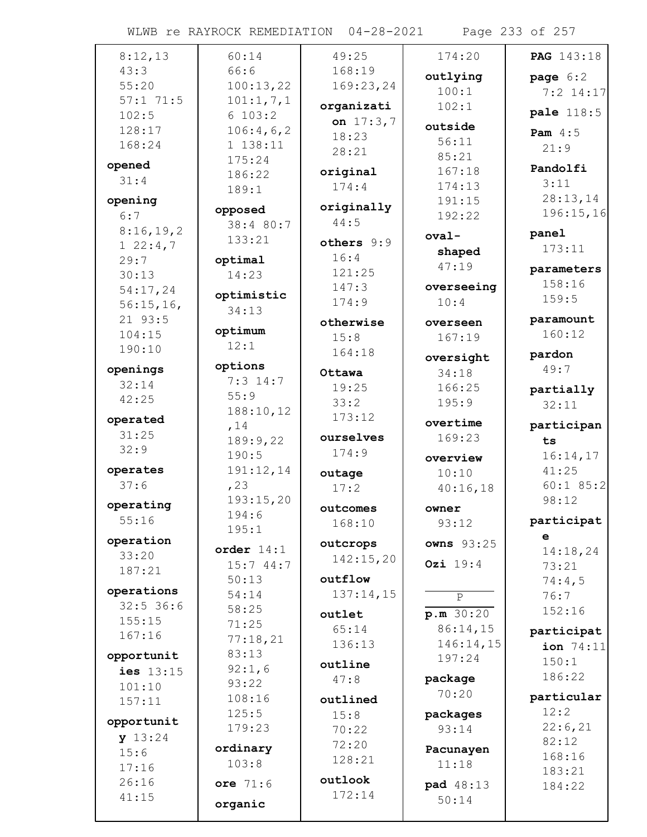WLWB re RAYROCK REMEDIATION 04-28-2021 Page 233 of 257

| 8:12,13              | 60:14                 | 49:25       | 174:20            | <b>PAG</b> 143:18 |
|----------------------|-----------------------|-------------|-------------------|-------------------|
| 43:3                 | 66:6                  | 168:19      | outlying          | page $6:2$        |
| 55:20                | 100:13,22             | 169:23,24   | 100:1             | $7:2$ 14:17       |
| 57:171:5             | 101:1, 7, 1           | organizati  | 102:1             |                   |
| 102:5                | 6 103:2               | on $17:3,7$ |                   | pale 118:5        |
| 128:17               | 106:4,6,2             | 18:23       | outside           | Pam $4:5$         |
| 168:24               | 1 138:11              | 28:21       | 56:11             | 21:9              |
| opened               | 175:24                |             | 85:21             | Pandolfi          |
| 31:4                 | 186:22                | original    | 167:18            | 3:11              |
|                      | 189:1                 | 174:4       | 174:13            | 28:13,14          |
| opening              | opposed               | originally  | 191:15            | 196:15,16         |
| 6:7                  | 38:4 80:7             | 44:5        | 192:22            |                   |
| 8:16,19,2            | 133:21                | others 9:9  | $oval-$           | panel             |
| $1\ 22:4,7$          |                       | 16:4        | shaped            | 173:11            |
| 29:7                 | optimal<br>14:23      | 121:25      | 47:19             | parameters        |
| 30:13                |                       | 147:3       | overseeing        | 158:16            |
| 54:17,24             | optimistic            | 174:9       | 10:4              | 159:5             |
| 56:15,16,<br>21 93:5 | 34:13                 |             |                   | paramount         |
| 104:15               | optimum               | otherwise   | overseen          | 160:12            |
| 190:10               | 12:1                  | 15:8        | 167:19            |                   |
|                      |                       | 164:18      | oversight         | pardon            |
| openings             | options<br>$7:3$ 14:7 | Ottawa      | 34:18             | 49:7              |
| 32:14                | 55:9                  | 19:25       | 166:25            | partially         |
| 42:25                | 188:10,12             | 33:2        | 195:9             | 32:11             |
| operated             | , 14                  | 173:12      | overtime          | participan        |
| 31:25                | 189:9,22              | ourselves   | 169:23            | ts                |
| 32:9                 | 190:5                 | 174:9       | overview          | 16:14,17          |
| operates             | 191:12,14             | outage      | 10:10             | 41:25             |
| 37:6                 | , 23                  | 17:2        | 40:16,18          | $60:1$ 85:2       |
|                      | 193:15,20             |             |                   | 98:12             |
| operating            | 194:6                 | outcomes    | owner             |                   |
| 55:16                | 195:1                 | 168:10      | 93:12             | participat        |
| operation            | order $14:1$          | outcrops    | <b>owns</b> 93:25 | e                 |
| 33:20                | 15:744:7              | 142:15,20   | Ozi 19:4          | 14:18,24          |
| 187:21               | 50:13                 | outflow     |                   | 73:21             |
| operations           | 54:14                 | 137:14,15   |                   | 74:4,5<br>76:7    |
| $32:5$ 36:6          | 58:25                 |             | $\, {\bf P}$      | 152:16            |
| 155:15               | 71:25                 | outlet      | p.m.30:20         |                   |
| 167:16               | 77:18,21              | 65:14       | 86:14,15          | participat        |
| opportunit           | 83:13                 | 136:13      | 146:14,15         | ion 74:11         |
| ies 13:15            | 92:1,6                | outline     | 197:24            | 150:1             |
| 101:10               | 93:22                 | 47:8        | package           | 186:22            |
| 157:11               | 108:16                | outlined    | 70:20             | particular        |
|                      | 125:5                 | 15:8        | packages          | 12:2              |
| opportunit           | 179:23                | 70:22       | 93:14             | 22:6,21           |
| y 13:24              | ordinary              | 72:20       |                   | 82:12             |
| 15:6                 | 103:8                 | 128:21      | Pacunayen         | 168:16            |
| 17:16                |                       | outlook     | 11:18             | 183:21            |
| 26:16                | ore 71:6              | 172:14      | pad 48:13         | 184:22            |
| 41:15                | organic               |             | 50:14             |                   |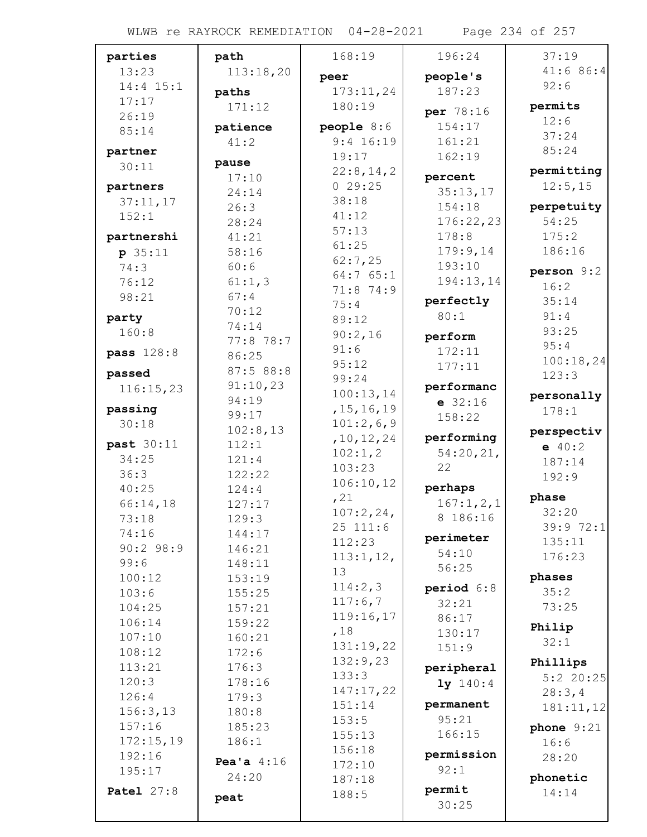WLWB re RAYROCK REMEDIATION 04-28-2021 Page 234 of 257

| parties           | path            | 168:19                | 196:24           | 37:19             |
|-------------------|-----------------|-----------------------|------------------|-------------------|
| 13:23             | 113:18,20       | peer                  | people's         | 41:686:4          |
| 14:4 15:1         | paths           | 173:11,24             | 187:23           | 92:6              |
| 17:17             | 171:12          | 180:19                |                  | permits           |
| 26:19             |                 |                       | per 78:16        | 12:6              |
| 85:14             | patience        | people $8:6$          | 154:17           | 37:24             |
| partner           | 41:2            | $9:4$ 16:19<br>19:17  | 161:21<br>162:19 | 85:24             |
| 30:11             | pause           | 22:8,14,2             |                  | permitting        |
| partners          | 17:10           | 029:25                | percent          | 12:5,15           |
| 37:11,17          | 24:14           | 38:18                 | 35:13,17         |                   |
| 152:1             | 26:3            | 41:12                 | 154:18           | perpetuity        |
|                   | 28:24           | 57:13                 | 176:22,23        | 54:25             |
| partnershi        | 41:21           | 61:25                 | 178:8            | 175:2             |
| p 35:11           | 58:16           | 62:7,25               | 179:9,14         | 186:16            |
| 74:3              | 60:6            | 64:765:1              | 193:10           | person 9:2        |
| 76:12             | 61:1,3          | 71:8 74:9             | 194:13,14        | 16:2              |
| 98:21             | 67:4            | 75:4                  | perfectly        | 35:14             |
| party             | 70:12<br>74:14  | 89:12                 | 80:1             | 91:4              |
| 160:8             | 77:8 78:7       | 90:2,16               | perform          | 93:25             |
| pass 128:8        | 86:25           | 91:6                  | 172:11           | 95:4              |
|                   | 87:5 88:8       | 95:12                 | 177:11           | 100:18,24         |
| passed            | 91:10,23        | 99:24                 | performanc       | 123:3             |
| 116:15,23         | 94:19           | 100:13,14             | $e$ 32:16        | personally        |
| passing           | 99:17           | , 15, 16, 19          | 158:22           | 178:1             |
| 30:18             | 102:8,13        | 101:2,6,9             |                  | perspectiv        |
| past 30:11        | 112:1           | , 10, 12, 24          | performing       | $-40:2$           |
| 34:25             | 121:4           | 102:1, 2              | 54:20,21,        | 187:14            |
| 36:3              | 122:22          | 103:23                | 22               | 192:9             |
| 40:25             | 124:4           | 106:10,12             | perhaps          |                   |
| 66:14,18          | 127:17          | , 21                  | 167:1,2,1        | phase             |
| 73:18             | 129:3           | 107:2,24,<br>25 111:6 | 8 186:16         | 32:20<br>39:972:1 |
| 74:16             | 144:17          | 112:23                | perimeter        | 135:11            |
| 90:298:9          | 146:21          | 113:1,12,             | 54:10            | 176:23            |
| 99:6              | 148:11          | 13                    | 56:25            |                   |
| 100:12            | 153:19          | 114:2,3               | period 6:8       | phases            |
| 103:6             | 155:25          | 117:6,7               | 32:21            | 35:2              |
| 104:25            | 157:21          | 119:16,17             | 86:17            | 73:25             |
| 106:14<br>107:10  | 159:22          | ,18                   | 130:17           | Philip            |
| 108:12            | 160:21<br>172:6 | 131:19,22             | 151:9            | 32:1              |
| 113:21            | 176:3           | 132:9,23              | peripheral       | Phillips          |
| 120:3             | 178:16          | 133:3                 | 1y 140:4         | $5:2$ 20:25       |
| 126:4             | 179:3           | 147:17,22             |                  | 28:3,4            |
| 156:3,13          | 180:8           | 151:14                | permanent        | 181:11,12         |
| 157:16            | 185:23          | 153:5                 | 95:21            | phone $9:21$      |
| 172:15,19         | 186:1           | 155:13                | 166:15           | 16:6              |
| 192:16            | Pea'a $4:16$    | 156:18                | permission       | 28:20             |
| 195:17            | 24:20           | 172:10                | 92:1             | phonetic          |
| <b>Patel 27:8</b> |                 | 187:18<br>188:5       | permit           | 14:14             |
|                   | peat            |                       | 30:25            |                   |
|                   |                 |                       |                  |                   |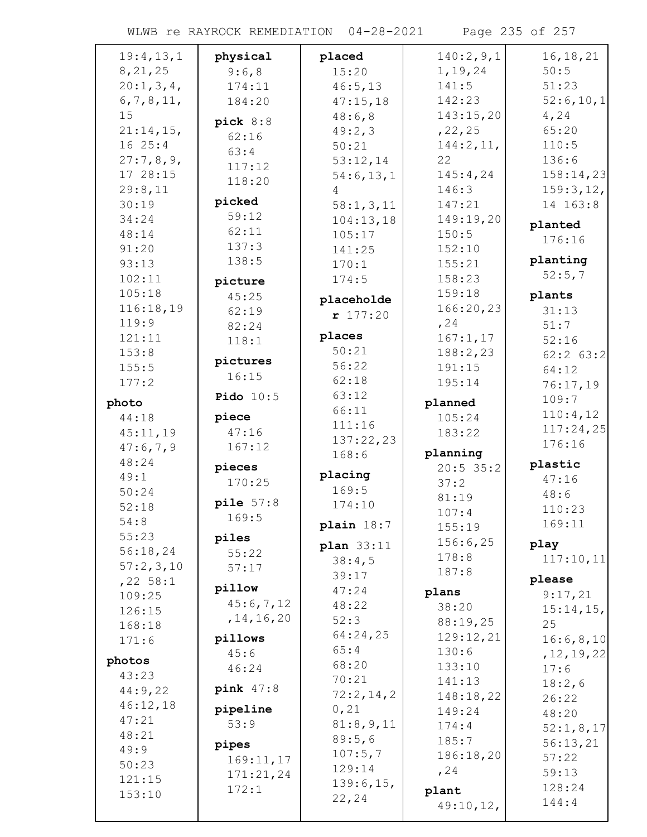| 19:4,13,1    | physical     | placed       | 140:2,9,1   | 16, 18, 21             |
|--------------|--------------|--------------|-------------|------------------------|
| 8, 21, 25    | 9:6,8        | 15:20        | 1, 19, 24   | 50:5                   |
| 20:1, 3, 4,  | 174:11       | 46:5, 13     | 141:5       | 51:23                  |
| 6, 7, 8, 11, | 184:20       | 47:15,18     | 142:23      | 52:6,10,1              |
| 15           |              | 48:6,8       | 143:15,20   | 4,24                   |
| $21:14,15$ , | pick $8:8$   | 49:2,3       | , 22, 25    | 65:20                  |
| 1625:4       | 62:16        | 50:21        | 144:2,11,   | 110:5                  |
| 27:7,8,9,    | 63:4         | 53:12,14     | 22          | 136:6                  |
| 17 28:15     | 117:12       |              | 145:4,24    | 158:14,23              |
| 29:8,11      | 118:20       | 54:6, 13, 1  | 146:3       |                        |
| 30:19        | picked       | 4            | 147:21      | 159:3, 12,<br>14 163:8 |
|              | 59:12        | 58:1, 3, 11  |             |                        |
| 34:24        | 62:11        | 104:13,18    | 149:19,20   | planted                |
| 48:14        | 137:3        | 105:17       | 150:5       | 176:16                 |
| 91:20        | 138:5        | 141:25       | 152:10      | planting               |
| 93:13        |              | 170:1        | 155:21      | 52:5,7                 |
| 102:11       | picture      | 174:5        | 158:23      |                        |
| 105:18       | 45:25        | placeholde   | 159:18      | plants                 |
| 116:18,19    | 62:19        | r 177:20     | 166:20,23   | 31:13                  |
| 119:9        | 82:24        |              | , 24        | 51:7                   |
| 121:11       | 118:1        | places       | 167:1, 17   | 52:16                  |
| 153:8        |              | 50:21        | 188:2,23    | $62:2$ $63:2$          |
| 155:5        | pictures     | 56:22        | 191:15      | 64:12                  |
| 177:2        | 16:15        | 62:18        | 195:14      | 76:17,19               |
| photo        | Pido $10:5$  | 63:12        | planned     | 109:7                  |
| 44:18        | piece        | 66:11        | 105:24      | 110:4,12               |
| 45:11,19     | 47:16        | 111:16       | 183:22      | 117:24,25              |
| 47:6,7,9     | 167:12       | 137:22,23    |             | 176:16                 |
|              |              | 168:6        | planning    |                        |
| 48:24        | pieces       | placing      | $20:5$ 35:2 | plastic                |
| 49:1         | 170:25       | 169:5        | 37:2        | 47:16                  |
| 50:24        | pile $57:8$  | 174:10       | 81:19       | 48:6                   |
| 52:18        | 169:5        |              | 107:4       | 110:23                 |
| 54:8         |              | plain $18:7$ | 155:19      | 169:11                 |
| 55:23        | piles        | plan 33:11   | 156:6,25    | play                   |
| 56:18,24     | 55:22        | 38:4,5       | 178:8       | 117:10,11              |
| 57:2,3,10    | 57:17        | 39:17        | 187:8       |                        |
| $,22$ 58:1   | pillow       | 47:24        |             | please                 |
| 109:25       | 45:6,7,12    | 48:22        | plans       | 9:17,21                |
| 126:15       | , 14, 16, 20 | 52:3         | 38:20       | $15:14,15$ ,           |
| 168:18       |              | 64:24,25     | 88:19,25    | 25                     |
| 171:6        | pillows      | 65:4         | 129:12,21   | 16:6,8,10              |
| photos       | 45:6         |              | 130:6       | , 12, 19, 22           |
| 43:23        | 46:24        | 68:20        | 133:10      | 17:6                   |
| 44:9,22      | pink $47:8$  | 70:21        | 141:13      | 18:2,6                 |
| 46:12,18     |              | 72:2,14,2    | 148:18,22   | 26:22                  |
| 47:21        | pipeline     | 0,21         | 149:24      | 48:20                  |
| 48:21        | 53:9         | 81:8,9,11    | 174:4       | 52:1, 8, 17            |
| 49:9         | pipes        | 89:5,6       | 185:7       | 56:13,21               |
| 50:23        | 169:11,17    | 107:5,7      | 186:18,20   | 57:22                  |
|              | 171:21,24    | 129:14       | , 24        | 59:13                  |
| 121:15       | 172:1        | 139:6, 15,   | plant       | 128:24                 |
| 153:10       |              | 22,24        | 49:10,12,   | 144:4                  |
|              |              |              |             |                        |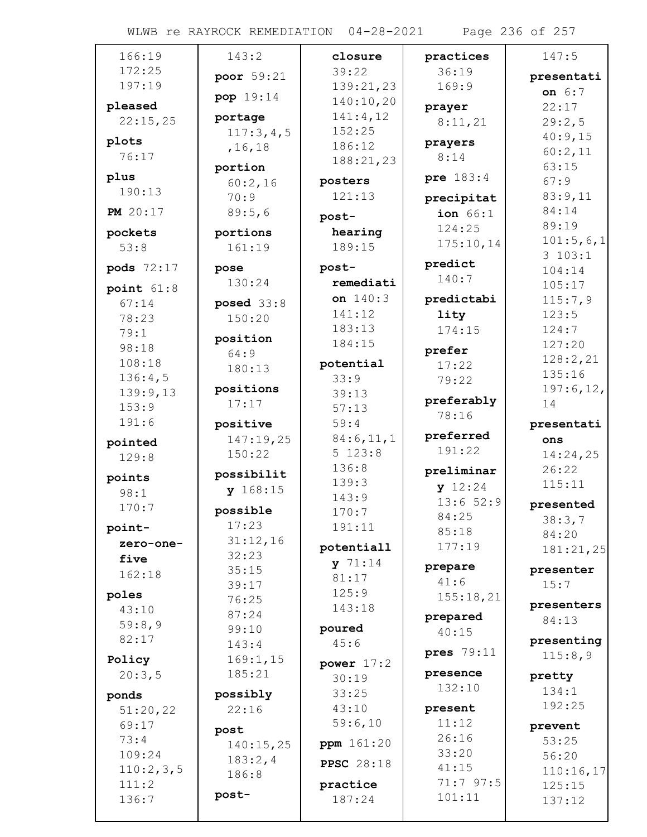## WLWB re RAYROCK REMEDIATION 04-28-2021 Page 236 of 257

| 166:19                | 143:2                  | closure           | practices       | 147:5               |
|-----------------------|------------------------|-------------------|-----------------|---------------------|
| 172:25                | poor 59:21             | 39:22             | 36:19           | presentati          |
| 197:19                |                        | 139:21,23         | 169:9           | on 6:7              |
| pleased               | pop 19:14              | 140:10,20         | prayer          | 22:17               |
| 22:15,25              | portage                | 141:4,12          | 8:11,21         | 29:2,5              |
| plots                 | 117:3,4,5              | 152:25            | prayers         | 40:9,15             |
| 76:17                 | , 16, 18               | 186:12            | 8:14            | 60:2,11             |
|                       | portion                | 188:21,23         |                 | 63:15               |
| plus<br>190:13        | 60:2,16                | posters           | pre 183:4       | 67:9                |
|                       | 70:9                   | 121:13            | precipitat      | 83:9,11             |
| <b>PM</b> 20:17       | 89:5,6                 | post-             | ion $66:1$      | 84:14               |
| pockets               | portions               | hearing           | 124:25          | 89:19               |
| 53:8                  | 161:19                 | 189:15            | 175:10,14       | 101:5,6,1<br>3103:1 |
| pods 72:17            | pose                   | post-             | predict         | 104:14              |
|                       | 130:24                 | remediati         | 140:7           | 105:17              |
| point $61:8$<br>67:14 |                        | on $140:3$        | predictabi      | 115:7,9             |
| 78:23                 | posed $33:8$<br>150:20 | 141:12            | lity            | 123:5               |
| 79:1                  |                        | 183:13            | 174:15          | 124:7               |
| 98:18                 | position               | 184:15            |                 | 127:20              |
| 108:18                | 64:9                   | potential         | prefer<br>17:22 | 128:2,21            |
| 136:4,5               | 180:13                 | 33:9              | 79:22           | 135:16              |
| 139:9,13              | positions              | 39:13             |                 | 197:6, 12,          |
| 153:9                 | 17:17                  | 57:13             | preferably      | 14                  |
| 191:6                 | positive               | 59:4              | 78:16           | presentati          |
| pointed               | 147:19,25              | 84:6, 11, 1       | preferred       | ons                 |
| 129:8                 | 150:22                 | 5 123:8           | 191:22          | 14:24,25            |
|                       | possibilit             | 136:8             | preliminar      | 26:22               |
| points<br>98:1        | y 168:15               | 139:3             | y 12:24         | 115:11              |
| 170:7                 |                        | 143:9             | 13:652:9        | presented           |
|                       | possible               | 170:7             | 84:25           | 38:3,7              |
| point-                | 17:23<br>31:12,16      | 191:11            | 85:18           | 84:20               |
| zero-one-             | 32:23                  | potentiall        | 177:19          | 181:21,25           |
| five                  | 35:15                  | $y$ 71:14         | prepare         | presenter           |
| 162:18                | 39:17                  | 81:17             | 41:6            | 15:7                |
| poles                 | 76:25                  | 125:9             | 155:18,21       |                     |
| 43:10                 | 87:24                  | 143:18            | prepared        | presenters<br>84:13 |
| 59:8,9                | 99:10                  | poured            | 40:15           |                     |
| 82:17                 | 143:4                  | 45:6              |                 | presenting          |
| Policy                | 169:1, 15              | power $17:2$      | pres 79:11      | 115:8,9             |
| 20:3,5                | 185:21                 | 30:19             | presence        | pretty              |
| ponds                 | possibly               | 33:25             | 132:10          | 134:1               |
| 51:20,22              | 22:16                  | 43:10             | present         | 192:25              |
| 69:17                 | post                   | 59:6,10           | 11:12           | prevent             |
| 73:4                  | 140:15,25              | ppm 161:20        | 26:16           | 53:25               |
| 109:24                | 183:2,4                |                   | 33:20           | 56:20               |
| 110:2,3,5             | 186:8                  | <b>PPSC</b> 28:18 | 41:15           | 110:16,17           |
| 111:2                 |                        | practice          | 71:7 97:5       | 125:15              |
| 136:7                 | post-                  | 187:24            | 101:11          | 137:12              |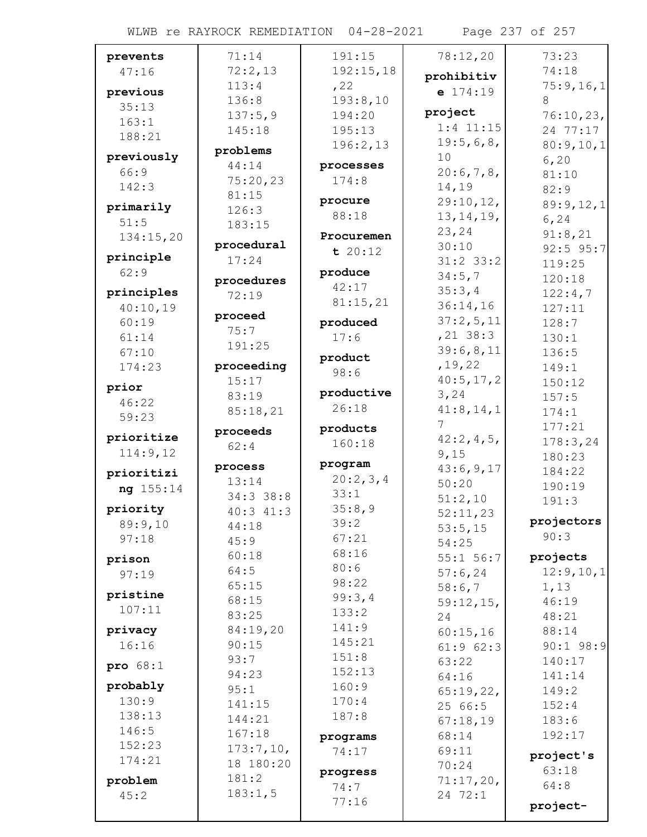WLWB re RAYROCK REMEDIATION 04-28-2021 Page 237 of 257

| prevents   | 71:14      | 191:15        | 78:12,20       | 73:23       |
|------------|------------|---------------|----------------|-------------|
| 47:16      | 72:2,13    | 192:15,18     | prohibitiv     | 74:18       |
| previous   | 113:4      | , 22          | $e$ 174:19     | 75:9,16,1   |
| 35:13      | 136:8      | 193:8,10      |                | 8           |
| 163:1      | 137:5,9    | 194:20        | project        | 76:10,23,   |
| 188:21     | 145:18     | 195:13        | $1:4$ 11:15    | 24 77:17    |
|            | problems   | 196:2,13      | 19:5,6,8,      | 80:9,10,1   |
| previously | 44:14      | processes     | 10             | 6, 20       |
| 66:9       | 75:20,23   | 174:8         | 20:6,7,8,      | 81:10       |
| 142:3      | 81:15      |               | 14,19          | 82:9        |
| primarily  | 126:3      | procure       | 29:10,12,      | 89:9,12,1   |
| 51:5       | 183:15     | 88:18         | 13, 14, 19,    | 6, 24       |
| 134:15,20  |            | Procuremen    | 23,24          | 91:8,21     |
|            | procedural | t 20:12       | 30:10          | $92:5$ 95:7 |
| principle  | 17:24      |               | $31:2$ 33:2    | 119:25      |
| 62:9       | procedures | produce       | 34:5,7         | 120:18      |
| principles | 72:19      | 42:17         | 35:3,4         | 122:4,7     |
| 40:10,19   |            | 81:15,21      | 36:14,16       | 127:11      |
| 60:19      | proceed    | produced      | 37:2,5,11      | 128:7       |
| 61:14      | 75:7       | 17:6          | $,21$ 38:3     | 130:1       |
| 67:10      | 191:25     |               | 39:6,8,11      | 136:5       |
| 174:23     | proceeding | product       | , 19, 22       | 149:1       |
|            | 15:17      | 98:6          | 40:5, 17, 2    | 150:12      |
| prior      | 83:19      | productive    | 3,24           | 157:5       |
| 46:22      | 85:18,21   | 26:18         | 41:8, 14, 1    | 174:1       |
| 59:23      | proceeds   | products      | 7 <sup>7</sup> | 177:21      |
| prioritize | 62:4       | 160:18        | 42:2,4,5,      | 178:3,24    |
| 114:9,12   |            |               | 9,15           | 180:23      |
| prioritizi | process    | program       | 43:6,9,17      | 184:22      |
| ng 155:14  | 13:14      | 20:2,3,4      | 50:20          | 190:19      |
|            | 34:3 38:8  | 33:1          | 51:2,10        | 191:3       |
| priority   | 40:3 41:3  | 35:8,9        | 52:11,23       |             |
| 89:9,10    | 44:18      | 39:2          | 53:5,15        | projectors  |
| 97:18      | 45:9       | 67:21         | 54:25          | 90:3        |
| prison     | 60:18      | 68:16         | 55:1 56:7      | projects    |
| 97:19      | 64:5       | 80:6          | 57:6,24        | 12:9, 10, 1 |
|            | 65:15      | 98:22         | 58:6,7         | 1,13        |
| pristine   | 68:15      | 99:3,4        | 59:12,15,      | 46:19       |
| 107:11     | 83:25      | 133:2         | 24             | 48:21       |
| privacy    | 84:19,20   | 141:9         | 60:15,16       | 88:14       |
| 16:16      | 90:15      | 145:21        | 61:962:3       | $90:1$ 98:9 |
| pro $68:1$ | 93:7       | 151:8         | 63:22          | 140:17      |
|            | 94:23      | 152:13        | 64:16          | 141:14      |
| probably   | 95:1       | 160:9         | 65:19,22,      | 149:2       |
| 130:9      | 141:15     | 170:4         | 25 66:5        | 152:4       |
| 138:13     | 144:21     | 187:8         | 67:18,19       | 183:6       |
| 146:5      | 167:18     | programs      | 68:14          | 192:17      |
| 152:23     | 173:7,10,  | 74:17         | 69:11          | project's   |
| 174:21     | 18 180:20  |               | 70:24          | 63:18       |
| problem    | 181:2      | progress      | 71:17,20,      | 64:8        |
| 45:2       | 183:1,5    | 74:7<br>77:16 | 24 72:1        |             |
|            |            |               |                | project-    |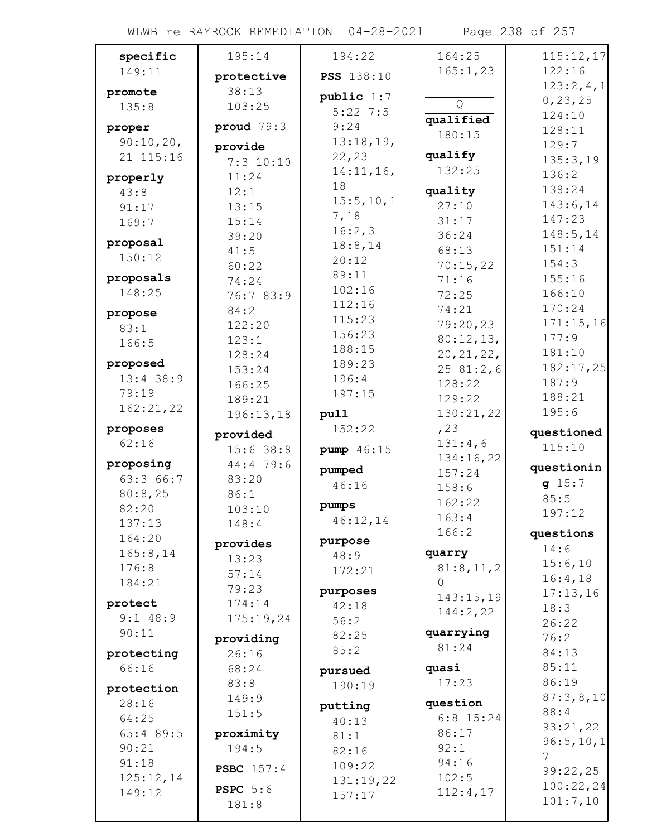## WLWB re RAYROCK REMEDIATION 04-28-2021 Page 238 of 257

| specific               | 195:14            | 194:22              | 164:25         | 115:12,17          |
|------------------------|-------------------|---------------------|----------------|--------------------|
| 149:11                 | protective        | <b>PSS</b> 138:10   | 165:1,23       | 122:16             |
| promote                | 38:13             |                     |                | 123:2,4,1          |
| 135:8                  | 103:25            | public 1:7          | Q              | 0, 23, 25          |
|                        |                   | $5:22$ 7:5          | qualified      | 124:10             |
| proper                 | proud $79:3$      | 9:24                | 180:15         | 128:11             |
| 90:10,20,<br>21 115:16 | provide           | 13:18,19,<br>22, 23 | qualify        | 129:7              |
|                        | $7:3$ 10:10       | 14:11,16,           | 132:25         | 135:3,19           |
| properly               | 11:24             | 18                  |                | 136:2              |
| 43:8                   | 12:1              | 15:5, 10, 1         | quality        | 138:24<br>143:6,14 |
| 91:17                  | 13:15             | 7,18                | 27:10          | 147:23             |
| 169:7                  | 15:14             | 16:2,3              | 31:17<br>36:24 | 148:5, 14          |
| proposal               | 39:20<br>41:5     | 18:8,14             | 68:13          | 151:14             |
| 150:12                 | 60:22             | 20:12               | 70:15,22       | 154:3              |
| proposals              | 74:24             | 89:11               | 71:16          | 155:16             |
| 148:25                 | 76:7 83:9         | 102:16              | 72:25          | 166:10             |
|                        | 84:2              | 112:16              | 74:21          | 170:24             |
| propose<br>83:1        | 122:20            | 115:23              | 79:20,23       | 171:15,16          |
| 166:5                  | 123:1             | 156:23              | 80:12,13,      | 177:9              |
|                        | 128:24            | 188:15              | 20, 21, 22,    | 181:10             |
| proposed               | 153:24            | 189:23              | 2581:2,6       | 182:17,25          |
| $13:4$ 38:9            | 166:25            | 196:4               | 128:22         | 187:9              |
| 79:19                  | 189:21            | 197:15              | 129:22         | 188:21             |
| 162:21,22              | 196:13,18         | pull                | 130:21,22      | 195:6              |
| proposes               | provided          | 152:22              | , 23           | questioned         |
| 62:16                  | $15:6$ 38:8       | pump 46:15          | 131:4,6        | 115:10             |
| proposing              | 44:4 79:6         |                     | 134:16,22      | questionin         |
| 63:3 66:7              | 83:20             | pumped<br>46:16     | 157:24         | g 15:7             |
| 80:8,25                | 86:1              |                     | 158:6          | 85:5               |
| 82:20                  | 103:10            | pumps               | 162:22         | 197:12             |
| 137:13                 | 148:4             | 46:12,14            | 163:4<br>166:2 |                    |
| 164:20                 | provides          | purpose             |                | questions          |
| 165:8, 14              | 13:23             | 48:9                | quarry         | 14:6<br>15:6,10    |
| 176:8                  | 57:14             | 172:21              | 81:8,11,2      | 16:4,18            |
| 184:21                 | 79:23             | purposes            | $\Omega$       | 17:13,16           |
| protect                | 174:14            | 42:18               | 143:15,19      | 18:3               |
| $9:1$ 48:9             | 175:19,24         | 56:2                | 144:2,22       | 26:22              |
| 90:11                  | providing         | 82:25               | quarrying      | 76:2               |
| protecting             | 26:16             | 85:2                | 81:24          | 84:13              |
| 66:16                  | 68:24             | pursued             | quasi          | 85:11              |
|                        | 83:8              | 190:19              | 17:23          | 86:19              |
| protection<br>28:16    | 149:9             |                     | question       | 87:3,8,10          |
| 64:25                  | 151:5             | putting             | $6:8$ 15:24    | 88:4               |
| 65:4 89:5              | proximity         | 40:13               | 86:17          | 93:21,22           |
| 90:21                  | 194:5             | 81:1<br>82:16       | 92:1           | 96:5, 10, 1        |
| 91:18                  |                   | 109:22              | 94:16          |                    |
| 125:12,14              | <b>PSBC</b> 157:4 | 131:19,22           | 102:5          | 99:22,25           |
| 149:12                 | <b>PSPC</b> 5:6   | 157:17              | 112:4,17       | 100:22,24          |
|                        | 181:8             |                     |                | 101:7,10           |
|                        |                   |                     |                |                    |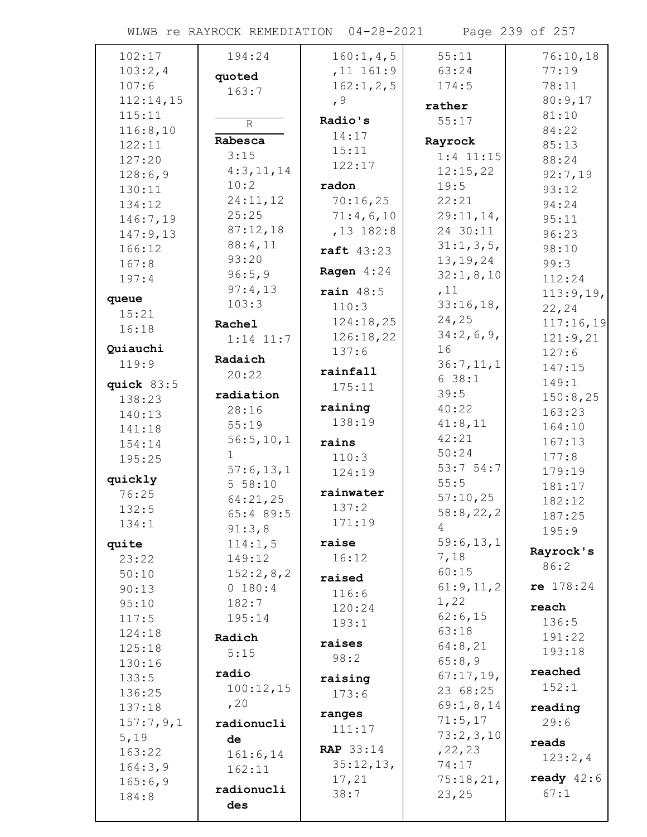## WLWB re RAYROCK REMEDIATION 04-28-2021 Page 239 of 257

| 102:17     | 194:24         | 160:1, 4, 5      | 55:11       | 76:10,18     |
|------------|----------------|------------------|-------------|--------------|
| 103:2,4    |                | $,11$ 161:9      | 63:24       | 77:19        |
| 107:6      | quoted         | 162:1, 2, 5      | 174:5       | 78:11        |
| 112:14,15  | 163:7          | , 9              |             | 80:9,17      |
| 115:11     |                |                  | rather      | 81:10        |
| 116:8,10   | $\overline{R}$ | Radio's          | 55:17       | 84:22        |
| 122:11     | Rabesca        | 14:17            | Rayrock     | 85:13        |
| 127:20     | 3:15           | 15:11            | $1:4$ 11:15 | 88:24        |
| 128:6,9    | 4:3,11,14      | 122:17           | 12:15,22    | 92:7,19      |
| 130:11     | 10:2           | radon            | 19:5        | 93:12        |
| 134:12     | 24:11,12       | 70:16,25         | 22:21       | 94:24        |
| 146:7,19   | 25:25          | 71:4,6,10        | 29:11,14,   | 95:11        |
| 147:9,13   | 87:12,18       | $,13$ 182:8      | 24 30:11    | 96:23        |
| 166:12     | 88:4,11        | raft 43:23       | 31:1, 3, 5, | 98:10        |
| 167:8      | 93:20          |                  | 13, 19, 24  | 99:3         |
| 197:4      | 96:5,9         | Ragen $4:24$     | 32:1, 8, 10 | 112:24       |
|            | 97:4,13        | rain $48:5$      | ,11         | 113:9,19,    |
| queue      | 103:3          | 110:3            | 33:16,18,   | 22,24        |
| 15:21      | Rachel         | 124:18,25        | 24,25       | 117:16,19    |
| 16:18      | $1:14$ $11:7$  | 126:18,22        | 34:2,6,9,   | 121:9,21     |
| Quiauchi   |                | 137:6            | 16          | 127:6        |
| 119:9      | Radaich        | rainfall         | 36:7,11,1   | 147:15       |
| quick 83:5 | 20:22          |                  | 638:1       | 149:1        |
| 138:23     | radiation      | 175:11           | 39:5        | 150:8,25     |
| 140:13     | 28:16          | raining          | 40:22       | 163:23       |
| 141:18     | 55:19          | 138:19           | 41:8,11     | 164:10       |
| 154:14     | 56:5, 10, 1    | rains            | 42:21       | 167:13       |
| 195:25     | $\mathbf{1}$   | 110:3            | 50:24       | 177:8        |
|            | 57:6,13,1      | 124:19           | 53:754:7    | 179:19       |
| quickly    | 5 58:10        |                  | 55:5        | 181:17       |
| 76:25      | 64:21,25       | rainwater        | 57:10,25    | 182:12       |
| 132:5      | 65:4 89:5      | 137:2            | 58:8,22,2   | 187:25       |
| 134:1      | 91:3,8         | 171:19           | 4           | 195:9        |
| quite      | 114:1,5        | raise            | 59:6,13,1   | Rayrock's    |
| 23:22      | 149:12         | 16:12            | 7,18        | 86:2         |
| 50:10      | 152:2,8,2      | raised           | 60:15       |              |
| 90:13      | 0 180:4        | 116:6            | 61:9,11,2   | $re$ 178:24  |
| 95:10      | 182:7          | 120:24           | 1,22        | reach        |
| 117:5      | 195:14         | 193:1            | 62:6,15     | 136:5        |
| 124:18     | Radich         |                  | 63:18       | 191:22       |
| 125:18     | 5:15           | raises           | 64:8,21     | 193:18       |
| 130:16     | radio          | 98:2             | 65:8,9      | reached      |
| 133:5      |                | raising          | 67:17,19,   | 152:1        |
| 136:25     | 100:12,15      | 173:6            | 23 68:25    |              |
| 137:18     | , 20           | ranges           | 69:1,8,14   | reading      |
| 157:7,9,1  | radionucli     | 111:17           | 71:5,17     | 29:6         |
| 5,19       | de             |                  | 73:2,3,10   | reads        |
| 163:22     | 161:6, 14      | <b>RAP</b> 33:14 | , 22, 23    | 123:2,4      |
| 164:3,9    | 162:11         | 35:12,13,        | 74:17       |              |
| 165:6,9    | radionucli     | 17,21            | 75:18,21,   | ready $42:6$ |
| 184:8      | des            | 38:7             | 23,25       | 67:1         |
|            |                |                  |             |              |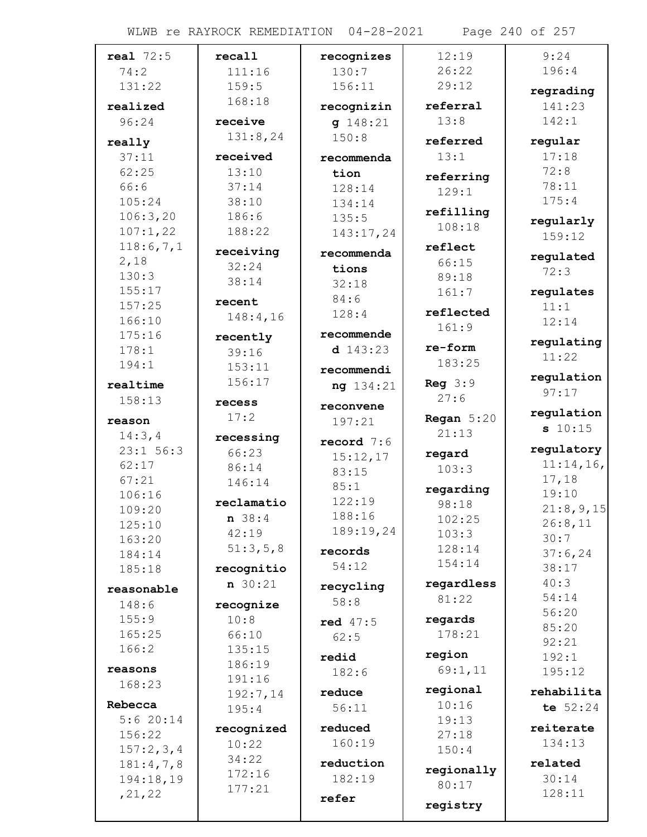| real $72:5$          | recall            | recognizes       | 12:19        | 9:24                |
|----------------------|-------------------|------------------|--------------|---------------------|
| 74:2                 | 111:16            | 130:7            | 26:22        | 196:4               |
| 131:22               | 159:5             | 156:11           | 29:12        | regrading           |
| realized             | 168:18            | recognizin       | referral     | 141:23              |
| 96:24                | receive           | q 148:21         | 13:8         | 142:1               |
|                      | 131:8,24          | 150:8            | referred     | regular             |
| really<br>37:11      | received          |                  | 13:1         | 17:18               |
| 62:25                | 13:10             | recommenda       |              | 72:8                |
| 66:6                 | 37:14             | tion             | referring    | 78:11               |
| 105:24               | 38:10             | 128:14<br>134:14 | 129:1        | 175:4               |
| 106:3,20             | 186:6             | 135:5            | refilling    |                     |
| 107:1,22             | 188:22            | 143:17,24        | 108:18       | regularly           |
| 118:6,7,1            |                   |                  | reflect      | 159:12              |
| 2,18                 | receiving         | recommenda       | 66:15        | regulated           |
| 130:3                | 32:24             | tions            | 89:18        | 72:3                |
| 155:17               | 38:14             | 32:18            | 161:7        | regulates           |
| 157:25               | recent            | 84:6             |              | 11:1                |
| 166:10               | 148:4,16          | 128:4            | reflected    | 12:14               |
| 175:16               | recently          | recommende       | 161:9        |                     |
| 178:1                | 39:16             | d $143:23$       | re-form      | regulating<br>11:22 |
| 194:1                | 153:11            | recommendi       | 183:25       |                     |
| realtime             | 156:17            | ng 134:21        | Reg $3:9$    | regulation          |
| 158:13               | recess            |                  | 27:6         | 97:17               |
|                      | 17:2              | reconvene        | Regan $5:20$ | regulation          |
| reason               |                   | 197:21           | 21:13        | s 10:15             |
| 14:3,4               | recessing         | record $7:6$     |              | regulatory          |
| $23:1$ 56:3<br>62:17 | 66:23             | 15:12,17         | regard       | 11:14,16,           |
| 67:21                | 86:14             | 83:15            | 103:3        | 17,18               |
| 106:16               | 146:14            | 85:1             | regarding    | 19:10               |
| 109:20               | reclamatio        | 122:19           | 98:18        | 21:8,9,15           |
| 125:10               | n 38:4            | 188:16           | 102:25       | 26:8,11             |
| 163:20               | 42:19             | 189:19,24        | 103:3        | 30:7                |
| 184:14               | 51:3,5,8          | records          | 128:14       | 37:6,24             |
| 185:18               | recognitio        | 54:12            | 154:14       | 38:17               |
|                      | $n \ 30:21$       | recycling        | regardless   | 40:3                |
| reasonable<br>148:6  |                   | 58:8             | 81:22        | 54:14               |
| 155:9                | recognize<br>10:8 |                  | regards      | 56:20               |
| 165:25               | 66:10             | red $47:5$       | 178:21       | 85:20               |
| 166:2                | 135:15            | 62:5             |              | 92:21               |
|                      | 186:19            | redid            | region       | 192:1               |
| reasons              | 191:16            | 182:6            | 69:1,11      | 195:12              |
| 168:23               | 192:7,14          | reduce           | regional     | rehabilita          |
| Rebecca              | 195:4             | 56:11            | 10:16        | te $52:24$          |
| 5:620:14             |                   | reduced          | 19:13        |                     |
| 156:22               | recognized        |                  | 27:18        | reiterate           |
| 157:2,3,4            | 10:22             | 160:19           | 150:4        | 134:13              |
| 181:4,7,8            | 34:22             | reduction        | regionally   | related             |
| 194:18,19            | 172:16            | 182:19           | 80:17        | 30:14               |
| , 21, 22             | 177:21            | refer            |              | 128:11              |
|                      |                   |                  | registry     |                     |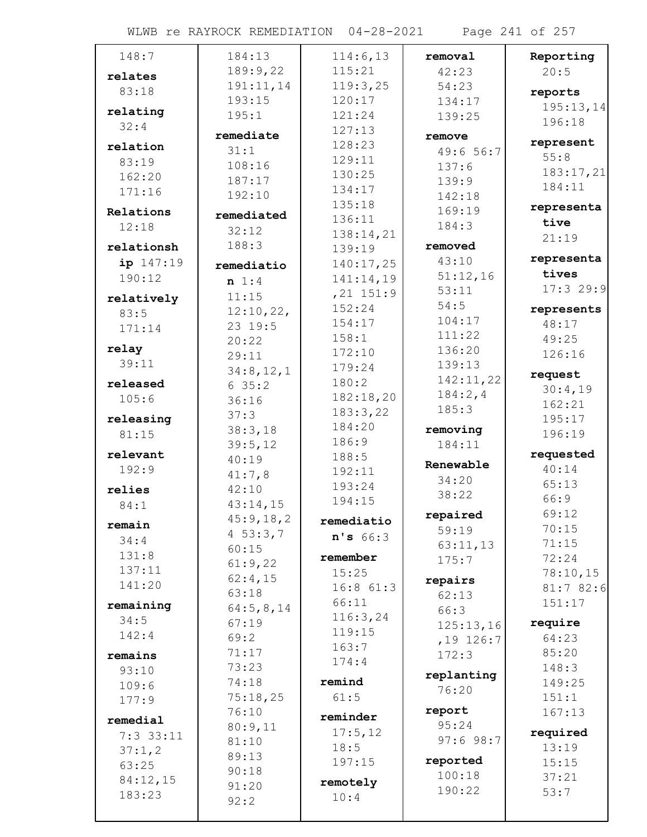WLWB re RAYROCK REMEDIATION 04-28-2021 Page 241 of 257

| 148:7       | 184:13          | 114:6,13              | removal           | Reporting  |
|-------------|-----------------|-----------------------|-------------------|------------|
| relates     | 189:9,22        | 115:21                | 42:23             | 20:5       |
| 83:18       | 191:11,14       | 119:3,25              | 54:23             | reports    |
|             | 193:15          | 120:17                | 134:17            | 195:13,14  |
| relating    | 195:1           | 121:24                | 139:25            | 196:18     |
| 32:4        | remediate       | 127:13                | remove            |            |
| relation    | 31:1            | 128:23                | 49:6 56:7         | represent  |
| 83:19       | 108:16          | 129:11                | 137:6             | 55:8       |
| 162:20      | 187:17          | 130:25                | 139:9             | 183:17,21  |
| 171:16      | 192:10          | 134:17                | 142:18            | 184:11     |
| Relations   |                 | 135:18                | 169:19            | representa |
| 12:18       | remediated      | 136:11                | 184:3             | tive       |
|             | 32:12<br>188:3  | 138:14,21             |                   | 21:19      |
| relationsh  |                 | 139:19                | removed<br>43:10  | representa |
| ip 147:19   | remediatio      | 140:17,25             |                   | tives      |
| 190:12      | $n \; 1:4$      | 141:14,19             | 51:12,16<br>53:11 | 17:329:9   |
| relatively  | 11:15           | $, 21$ 151:9          | 54:5              |            |
| 83:5        | 12:10,22,       | 152:24                | 104:17            | represents |
| 171:14      | 23 19:5         | 154:17                | 111:22            | 48:17      |
| relay       | 20:22           | 158:1                 | 136:20            | 49:25      |
| 39:11       | 29:11           | 172:10                | 139:13            | 126:16     |
|             | 34:8,12,1       | 179:24                | 142:11,22         | request    |
| released    | 635:2           | 180:2                 | 184:2,4           | 30:4,19    |
| 105:6       | 36:16           | 182:18,20<br>183:3,22 | 185:3             | 162:21     |
| releasing   | 37:3            | 184:20                |                   | 195:17     |
| 81:15       | 38:3,18         | 186:9                 | removing          | 196:19     |
| relevant    | 39:5,12         | 188:5                 | 184:11            | requested  |
| 192:9       | 40:19           | 192:11                | Renewable         | 40:14      |
| relies      | 41:7,8<br>42:10 | 193:24                | 34:20             | 65:13      |
| 84:1        | 43:14,15        | 194:15                | 38:22             | 66:9       |
|             | 45:9,18,2       | remediatio            | repaired          | 69:12      |
| remain      | 4 $53:3,7$      |                       | 59:19             | 70:15      |
| 34:4        | 60:15           | n's 66:3              | 63:11,13          | 71:15      |
| 131:8       | 61:9,22         | remember              | 175:7             | 72:24      |
| 137:11      | 62:4,15         | 15:25                 | repairs           | 78:10,15   |
| 141:20      | 63:18           | $16:8$ $61:3$         | 62:13             | 81:782:6   |
| remaining   | 64:5,8,14       | 66:11                 | 66:3              | 151:17     |
| 34:5        | 67:19           | 116:3,24              | 125:13,16         | require    |
| 142:4       | 69:2            | 119:15                | $,19$ 126:7       | 64:23      |
| remains     | 71:17           | 163:7                 | 172:3             | 85:20      |
| 93:10       | 73:23           | 174:4                 |                   | 148:3      |
| 109:6       | 74:18           | remind                | replanting        | 149:25     |
| 177:9       | 75:18,25        | 61:5                  | 76:20             | 151:1      |
| remedial    | 76:10           | reminder              | report            | 167:13     |
| $7:3$ 33:11 | 80:9,11         | 17:5,12               | 95:24             | required   |
| 37:1,2      | 81:10           | 18:5                  | 97:698:7          | 13:19      |
| 63:25       | 89:13           | 197:15                | reported          | 15:15      |
| 84:12,15    | 90:18           |                       | 100:18            | 37:21      |
| 183:23      | 91:20           | remotely              | 190:22            | 53:7       |
|             | 92:2            | 10:4                  |                   |            |
|             |                 |                       |                   |            |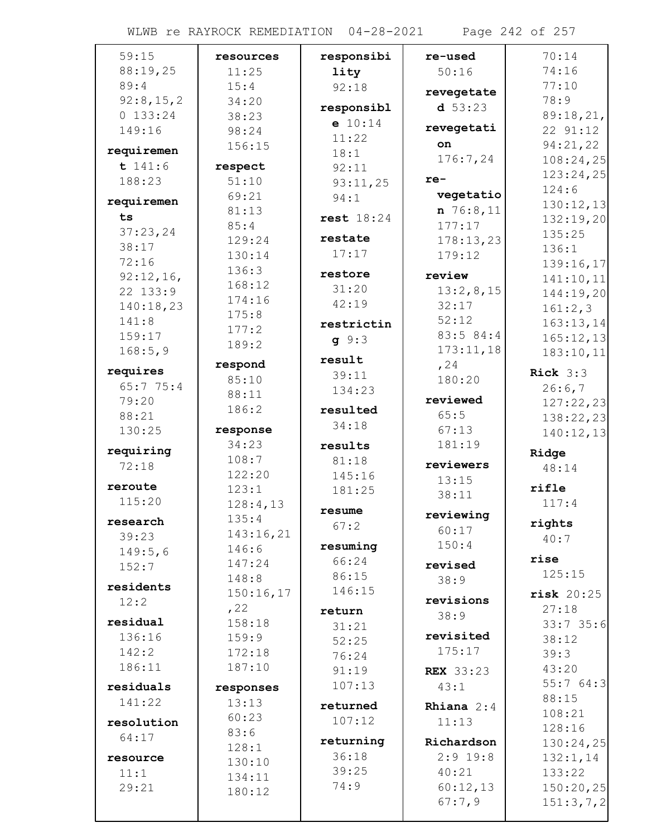WLWB re RAYROCK REMEDIATION 04-28-2021 Page 242 of 257

| 59:15             | resources | responsibi         | re-used             | 70:14                  |
|-------------------|-----------|--------------------|---------------------|------------------------|
| 88:19,25          | 11:25     | lity               | 50:16               | 74:16                  |
| 89:4              | 15:4      | 92:18              | revegetate          | 77:10                  |
| 92:8,15,2         | 34:20     | responsibl         | $d$ 53:23           | 78:9                   |
| 0 133:24          | 38:23     | e 10:14            |                     | 89:18,21,              |
| 149:16            | 98:24     | 11:22              | revegetati          | 22 91:12               |
| requiremen        | 156:15    | 18:1               | on                  | 94:21,22               |
| t 141:6           | respect   | 92:11              | 176:7,24            | 108:24,25              |
| 188:23            | 51:10     | 93:11,25           | $re-$               | 123:24,25              |
| requiremen        | 69:21     | 94:1               | vegetatio           | 124:6                  |
|                   | 81:13     |                    | n 76:8,11           | 130:12,13              |
| ts                | 85:4      | rest $18:24$       | 177:17              | 132:19,20              |
| 37:23,24<br>38:17 | 129:24    | restate            | 178:13,23           | 135:25                 |
| 72:16             | 130:14    | 17:17              | 179:12              | 136:1                  |
| 92:12,16,         | 136:3     | restore            | review              | 139:16,17              |
| 22 133:9          | 168:12    | 31:20              | 13:2,8,15           | 141:10,11<br>144:19,20 |
| 140:18,23         | 174:16    | 42:19              | 32:17               | 161:2,3                |
| 141:8             | 175:8     | restrictin         | 52:12               | 163:13,14              |
| 159:17            | 177:2     |                    | 83:5 84:4           | 165:12,13              |
| 168:5,9           | 189:2     | q 9:3              | 173:11,18           | 183:10,11              |
|                   | respond   | result             | , 24                |                        |
| requires          | 85:10     | 39:11              | 180:20              | Rick $3:3$             |
| 65:775:4<br>79:20 | 88:11     | 134:23             | reviewed            | 26:6,7                 |
| 88:21             | 186:2     | resulted           | 65:5                | 127:22,23              |
| 130:25            | response  | 34:18              | 67:13               | 138:22,23              |
|                   | 34:23     | results            | 181:19              | 140:12,13              |
| requiring         | 108:7     | 81:18              |                     | Ridge                  |
| 72:18             | 122:20    | 145:16             | reviewers           | 48:14                  |
| reroute           | 123:1     | 181:25             | 13:15               | rifle                  |
| 115:20            | 128:4,13  |                    | 38:11               | 117:4                  |
| research          | 135:4     | resume             | reviewing           | rights                 |
| 39:23             | 143:16,21 | 67:2               | 60:17               | 40:7                   |
| 149:5,6           | 146:6     | resuming           | 150:4               |                        |
| 152:7             | 147:24    | 66:24              | revised             | rise                   |
| residents         | 148:8     | 86:15              | 38:9                | 125:15                 |
| 12:2              | 150:16,17 | 146:15             | revisions           | $risk$ 20:25           |
|                   | , 22      | return             | 38:9                | 27:18                  |
| residual          | 158:18    | 31:21              |                     | 33:735:6               |
| 136:16            | 159:9     | 52:25              | revisited           | 38:12                  |
| 142:2             | 172:18    | 76:24              | 175:17              | 39:3                   |
| 186:11            | 187:10    | 91:19              | <b>REX</b> 33:23    | 43:20                  |
| residuals         | responses | 107:13             | 43:1                | 55:764:3               |
| 141:22            | 13:13     | returned           | <b>Rhiana</b> $2:4$ | 88:15                  |
| resolution        | 60:23     | 107:12             | 11:13               | 108:21                 |
| 64:17             | 83:6      |                    |                     | 128:16                 |
|                   | 128:1     | returning<br>36:18 | Richardson          | 130:24,25              |
| resource          | 130:10    | 39:25              | $2:9$ 19:8          | 132:1,14               |
| 11:1              | 134:11    | 74:9               | 40:21<br>60:12,13   | 133:22                 |
| 29:21             | 180:12    |                    | 67:7,9              | 150:20,25              |
|                   |           |                    |                     | 151:3,7,2              |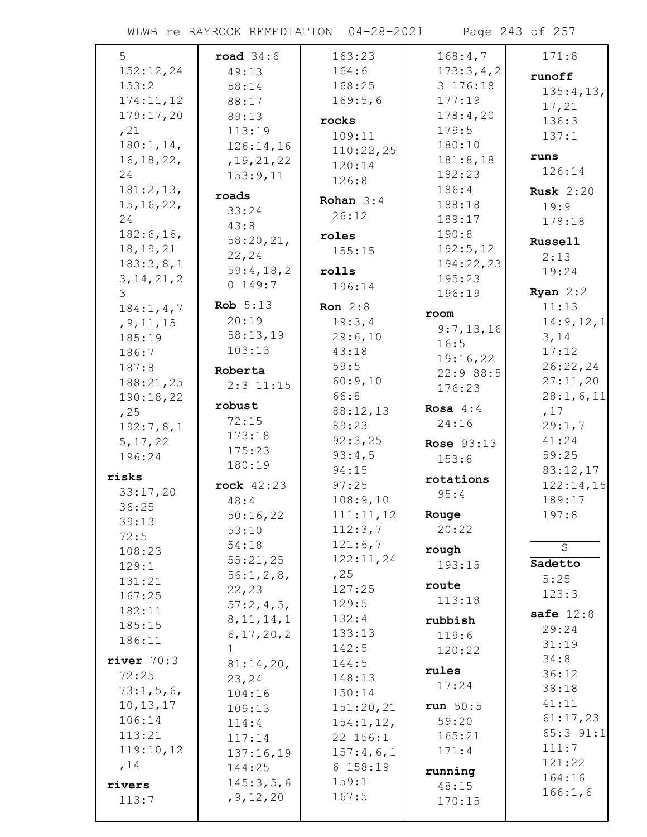WLWB re RAYROCK REMEDIATION 04-28-2021 Page 243 of 257

| 5            | road $34:6$  | 163:23      | 168:4,7           | 171:8            |
|--------------|--------------|-------------|-------------------|------------------|
| 152:12,24    | 49:13        | 164:6       | 173:3,4,2         |                  |
| 153:2        | 58:14        | 168:25      | 3 176:18          | runoff           |
| 174:11,12    | 88:17        | 169:5,6     | 177:19            | 135:4,13,        |
| 179:17,20    | 89:13        |             | 178:4,20          | 17,21            |
| , 21         | 113:19       | rocks       | 179:5             | 136:3            |
| 180:1, 14,   | 126:14,16    | 109:11      | 180:10            | 137:1            |
| 16, 18, 22,  | , 19, 21, 22 | 110:22,25   | 181:8,18          | runs             |
| 24           | 153:9,11     | 120:14      | 182:23            | 126:14           |
| 181:2,13,    |              | 126:8       | 186:4             |                  |
| 15, 16, 22,  | roads        | Rohan $3:4$ | 188:18            | <b>Rusk</b> 2:20 |
| 24           | 33:24        | 26:12       | 189:17            | 19:9             |
| 182:6, 16,   | 43:8         |             | 190:8             | 178:18           |
|              | 58:20,21,    | roles       |                   | Russell          |
| 18, 19, 21   | 22,24        | 155:15      | 192:5,12          | 2:13             |
| 183:3,8,1    | 59:4,18,2    | rolls       | 194:22,23         | 19:24            |
| 3, 14, 21, 2 | 0 149:7      | 196:14      | 195:23            |                  |
| 3            | Rob $5:13$   | Ron $2:8$   | 196:19            | Ryan $2:2$       |
| 184:1, 4, 7  | 20:19        |             | room              | 11:13            |
| , 9, 11, 15  |              | 19:3,4      | 9:7,13,16         | 14:9,12,1        |
| 185:19       | 58:13,19     | 29:6,10     | 16:5              | 3,14             |
| 186:7        | 103:13       | 43:18       | 19:16,22          | 17:12            |
| 187:8        | Roberta      | 59:5        | 22:9 88:5         | 26:22,24         |
| 188:21,25    | $2:3$ 11:15  | 60:9,10     | 176:23            | 27:11,20         |
| 190:18,22    | robust       | 66:8        |                   | 28:1,6,11        |
| , 25         | 72:15        | 88:12,13    | Rosa $4:4$        | ,17              |
| 192:7,8,1    | 173:18       | 89:23       | 24:16             | 29:1,7           |
| 5, 17, 22    | 175:23       | 92:3,25     | <b>Rose 93:13</b> | 41:24            |
| 196:24       | 180:19       | 93:4,5      | 153:8             | 59:25            |
| risks        |              | 94:15       | rotations         | 83:12,17         |
| 33:17,20     | rock 42:23   | 97:25       | 95:4              | 122:14,15        |
| 36:25        | 48:4         | 108:9,10    |                   | 189:17           |
| 39:13        | 50:16,22     | 111:11,12   | Rouge             | 197:8            |
| 72:5         | 53:10        | 112:3,7     | 20:22             |                  |
| 108:23       | 54:18        | 121:6,7     | rough             | $\overline{S}$   |
| 129:1        | 55:21,25     | 122:11,24   | 193:15            | Sadetto          |
| 131:21       | 56:1,2,8,    | , 25        |                   | 5:25             |
| 167:25       | 22, 23       | 127:25      | route             | 123:3            |
| 182:11       | 57:2,4,5,    | 129:5       | 113:18            |                  |
| 185:15       | 8, 11, 14, 1 | 132:4       | rubbish           | safe $12:8$      |
| 186:11       | 6, 17, 20, 2 | 133:13      | 119:6             | 29:24            |
|              | $\mathbf{1}$ | 142:5       | 120:22            | 31:19            |
| river $70:3$ | 81:14,20,    | 144:5       | rules             | 34:8             |
| 72:25        | 23,24        | 148:13      | 17:24             | 36:12            |
| 73:1,5,6,    | 104:16       | 150:14      |                   | 38:18            |
| 10, 13, 17   | 109:13       | 151:20,21   | run $50:5$        | 41:11            |
| 106:14       | 114:4        | 154:1, 12,  | 59:20             | 61:17,23         |
| 113:21       | 117:14       | 22 156:1    | 165:21            | 65:3 91:1        |
| 119:10,12    | 137:16,19    | 157:4,6,1   | 171:4             | 111:7            |
| , 14         | 144:25       | 6 158:19    | running           | 121:22           |
| rivers       | 145:3,5,6    | 159:1       | 48:15             | 164:16           |
| 113:7        | , 9, 12, 20  | 167:5       | 170:15            | 166:1,6          |
|              |              |             |                   |                  |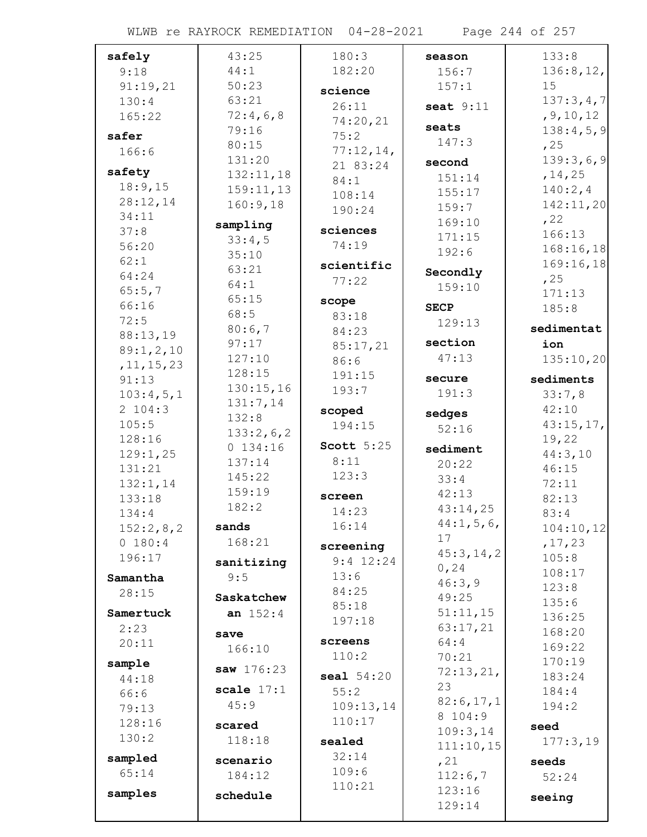| safely       | 43:25        | 180:3               | season      | 133:8            |
|--------------|--------------|---------------------|-------------|------------------|
| 9:18         | 44:1         | 182:20              | 156:7       | 136:8, 12,       |
| 91:19,21     | 50:23        | science             | 157:1       | 15               |
| 130:4        | 63:21        | 26:11               | seat $9:11$ | 137:3,4,7        |
| 165:22       | 72:4,6,8     | 74:20,21            |             | , 9, 10, 12      |
| safer        | 79:16        | 75:2                | seats       | 138:4,5,9        |
| 166:6        | 80:15        | 77:12,14,           | 147:3       | , 25             |
|              | 131:20       | 21 83:24            | second      | 139:3,6,9        |
| safety       | 132:11,18    | 84:1                | 151:14      | , 14, 25         |
| 18:9,15      | 159:11,13    | 108:14              | 155:17      | 140:2,4          |
| 28:12,14     | 160:9,18     | 190:24              | 159:7       | 142:11,20        |
| 34:11        | sampling     |                     | 169:10      | , 22             |
| 37:8         | 33:4,5       | sciences            | 171:15      | 166:13           |
| 56:20        | 35:10        | 74:19               | 192:6       | 168:16,18        |
| 62:1         | 63:21        | scientific          |             | 169:16,18        |
| 64:24        | 64:1         | 77:22               | Secondly    | , 25             |
| 65:5,7       | 65:15        |                     | 159:10      | 171:13           |
| 66:16        | 68:5         | scope               | <b>SECP</b> | 185:8            |
| 72:5         | 80:6,7       | 83:18<br>84:23      | 129:13      | sedimentat       |
| 88:13,19     | 97:17        |                     | section     | ion              |
| 89:1,2,10    | 127:10       | 85:17,21            | 47:13       | 135:10,20        |
| , 11, 15, 23 | 128:15       | 86:6<br>191:15      |             |                  |
| 91:13        | 130:15,16    | 193:7               | secure      | sediments        |
| 103:4,5,1    | 131:7,14     |                     | 191:3       | 33:7,8           |
| 2 104:3      | 132:8        | scoped              | sedges      | 42:10            |
| 105:5        | 133:2,6,2    | 194:15              | 52:16       | 43:15,17,        |
| 128:16       | 0 134:16     | Scott $5:25$        | sediment    | 19,22            |
| 129:1,25     | 137:14       | 8:11                | 20:22       | 44:3,10          |
| 131:21       | 145:22       | 123:3               | 33:4        | 46:15            |
| 132:1,14     | 159:19       |                     | 42:13       | 72:11            |
| 133:18       | 182:2        | screen              | 43:14,25    | 82:13            |
| 134:4        |              | 14:23<br>16:14      | 44:1, 5, 6, | 83:4             |
| 152:2,8,2    | sands        |                     | 17          | 104:10,12        |
| 0 180:4      | 168:21       | screening           | 45:3, 14, 2 | , 17, 23         |
| 196:17       | sanitizing   | $9:4$ 12:24         | 0, 24       | 105:8            |
| Samantha     | 9:5          | 13:6                | 46:3,9      | 108:17           |
| 28:15        | Saskatchew   | 84:25               | 49:25       | 123:8            |
| Samertuck    | an $152:4$   | 85:18               | 51:11,15    | 135:6<br>136:25  |
| 2:23         |              | 197:18              | 63:17,21    |                  |
| 20:11        | save         | screens             | 64:4        | 168:20<br>169:22 |
|              | 166:10       | 110:2               | 70:21       | 170:19           |
| sample       | saw 176:23   | seal 54:20          | 72:13,21,   | 183:24           |
| 44:18        | scale $17:1$ | 55:2                | 23          | 184:4            |
| 66:6         | 45:9         |                     | 82:6,17,1   | 194:2            |
| 79:13        |              | 109:13,14<br>110:17 | 8 104:9     |                  |
| 128:16       | scared       |                     | 109:3,14    | seed             |
| 130:2        | 118:18       | sealed              | 111:10,15   | 177:3,19         |
| sampled      | scenario     | 32:14               | , 21        | seeds            |
| 65:14        | 184:12       | 109:6               | 112:6,7     | 52:24            |
| samples      | schedule     | 110:21              | 123:16      |                  |
|              |              |                     | 129:14      | seeing           |
|              |              |                     |             |                  |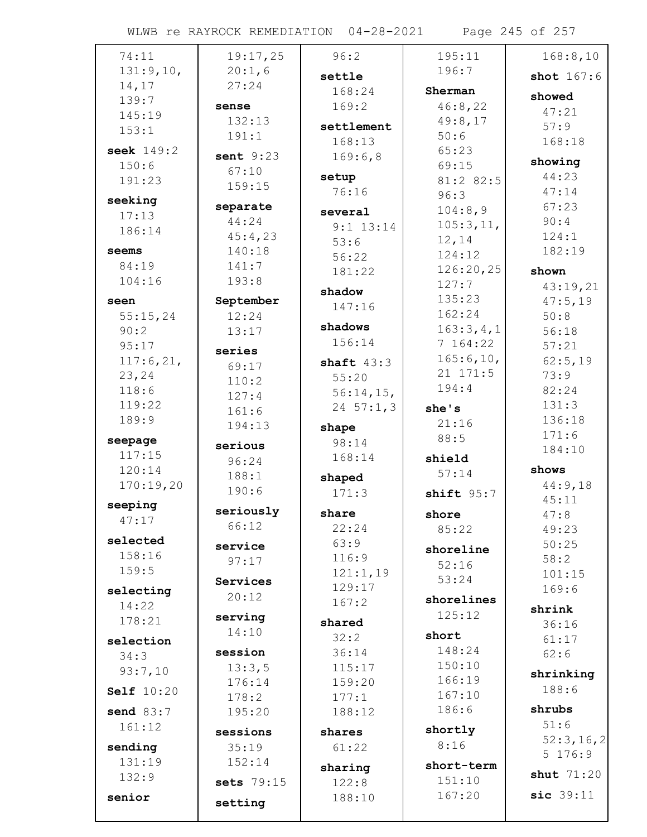WLWB re RAYROCK REMEDIATION 04-28-2021 Page 245 of 257

| 74:11             | 19:17,25           | 96:2               | 195:11                 | 168:8,10                 |
|-------------------|--------------------|--------------------|------------------------|--------------------------|
| 131:9,10,         | 20:1,6             | settle             | 196:7                  | shot 167:6               |
| 14,17             | 27:24              | 168:24             | Sherman                |                          |
| 139:7             | sense              | 169:2              | 46:8,22                | showed                   |
| 145:19            | 132:13             |                    | 49:8,17                | 47:21                    |
| 153:1             | 191:1              | settlement         | 50:6                   | 57:9                     |
| seek $149:2$      | sent $9:23$        | 168:13             | 65:23                  | 168:18                   |
| 150:6             | 67:10              | 169:6,8            | 69:15                  | showing                  |
| 191:23            | 159:15             | setup              | 81:2 82:5              | 44:23                    |
| seeking           |                    | 76:16              | 96:3                   | 47:14                    |
| 17:13             | separate           | several            | 104:8,9                | 67:23                    |
| 186:14            | 44:24              | $9:1$ 13:14        | 105:3,11,              | 90:4                     |
|                   | 45:4,23            | 53:6               | 12,14                  | 124:1                    |
| seems             | 140:18             | 56:22              | 124:12                 | 182:19                   |
| 84:19             | 141:7              | 181:22             | 126:20,25              | shown                    |
| 104:16            | 193:8              | shadow             | 127:7                  | 43:19,21                 |
| seen              | September          | 147:16             | 135:23                 | 47:5,19                  |
| 55:15,24          | 12:24              | shadows            | 162:24                 | 50:8                     |
| 90:2              | 13:17              | 156:14             | 163:3,4,1              | 56:18                    |
| 95:17             | series             |                    | 7 164:22               | 57:21                    |
| 117:6,21,         | 69:17              | shaft $43:3$       | 165:6, 10,<br>21 171:5 | 62:5,19                  |
| 23,24             | 110:2              | 55:20              | 194:4                  | 73:9                     |
| 118:6<br>119:22   | 127:4              | $56:14,15$ ,       |                        | 82:24<br>131:3           |
| 189:9             | 161:6              | 24 $57:1,3$        | she's                  | 136:18                   |
|                   | 194:13             | shape              | 21:16                  | 171:6                    |
| seepage           | serious            | 98:14              | 88:5                   | 184:10                   |
| 117:15            | 96:24              | 168:14             | shield                 |                          |
| 120:14            | 188:1              | shaped             | 57:14                  | shows                    |
| 170:19,20         | 190:6              | 171:3              | shift $95:7$           | 44:9,18<br>45:11         |
|                   |                    |                    |                        |                          |
| seeping           |                    |                    |                        |                          |
| 47:17             | seriously<br>66:12 | share              | shore                  | 47:8                     |
| selected          |                    | 22:24              | 85:22                  | 49:23                    |
| 158:16            | service            | 63:9               | shoreline              | 50:25                    |
| 159:5             | 97:17              | 116:9              | 52:16                  | 58:2                     |
|                   | Services           | 121:1,19<br>129:17 | 53:24                  | 101:15<br>169:6          |
| selecting         | 20:12              | 167:2              | shorelines             |                          |
| 14:22<br>178:21   | serving            |                    | 125:12                 | shrink                   |
|                   | 14:10              | shared             | short                  | 36:16                    |
| selection         | session            | 32:2               | 148:24                 | 61:17                    |
| 34:3              |                    | 36:14<br>115:17    | 150:10                 | 62:6                     |
| 93:7,10           | 13:3,5<br>176:14   | 159:20             | 166:19                 | shrinking                |
| <b>Self</b> 10:20 | 178:2              | 177:1              | 167:10                 | 188:6                    |
| send $83:7$       | 195:20             | 188:12             | 186:6                  | shrubs                   |
| 161:12            |                    |                    | shortly                | 51:6                     |
|                   | sessions           | shares             | 8:16                   |                          |
| sending<br>131:19 | 35:19<br>152:14    | 61:22              |                        | 5 176:9                  |
| 132:9             |                    | sharing            | short-term             | shut $71:20$             |
|                   | sets 79:15         | 122:8              | 151:10                 |                          |
| senior            | setting            | 188:10             | 167:20                 | 52:3, 16, 2<br>sic 39:11 |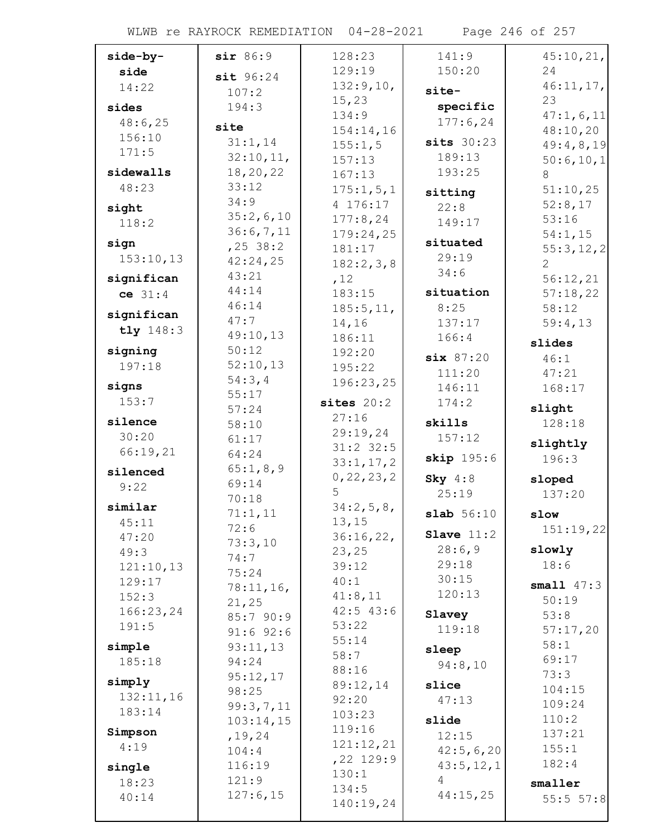WLWB re RAYROCK REMEDIATION 04-28-2021 Page 246 of 257

| side-by-   | sir 86:9           | 128:23                | 141:9            | 45:10,21,    |
|------------|--------------------|-----------------------|------------------|--------------|
| side       | sit 96:24          | 129:19                | 150:20           | 24           |
| 14:22      | 107:2              | 132:9,10,             | site-            | 46:11,17,    |
| sides      | 194:3              | 15, 23                | specific         | 23           |
| 48:6,25    |                    | 134:9                 | 177:6,24         | 47:1,6,11    |
| 156:10     | site               | 154:14,16             |                  | 48:10,20     |
| 171:5      | 31:1,14            | 155:1,5               | $sits$ 30:23     | 49:4,8,19    |
|            | 32:10,11,          | 157:13                | 189:13           | 50:6,10,1    |
| sidewalls  | 18,20,22           | 167:13                | 193:25           | 8            |
| 48:23      | 33:12              | 175:1, 5, 1           | sitting          | 51:10,25     |
| sight      | 34:9               | 4 176:17              | 22:8             | 52:8,17      |
| 118:2      | 35:2,6,10          | 177:8,24              | 149:17           | 53:16        |
| sign       | 36:6,7,11          | 179:24,25             | situated         | 54:1,15      |
| 153:10,13  | $, 25$ 38:2        | 181:17                | 29:19            | 55:3,12,2    |
|            | 42:24,25           | 182:2,3,8             | 34:6             | 2            |
| significan | 43:21<br>44:14     | ,12                   |                  | 56:12,21     |
| ce 31:4    | 46:14              | 183:15                | situation        | 57:18,22     |
| significan | 47:7               | 185:5, 11,            | 8:25             | 58:12        |
| tly 148:3  | 49:10,13           | 14,16                 | 137:17           | 59:4,13      |
| signing    | 50:12              | 186:11                | 166:4            | slides       |
| 197:18     | 52:10,13           | 192:20<br>195:22      | six 87:20        | 46:1         |
|            | 54:3,4             | 196:23,25             | 111:20           | 47:21        |
| signs      | 55:17              |                       | 146:11           | 168:17       |
| 153:7      | 57:24              | sites $20:2$          | 174:2            | slight       |
| silence    | 58:10              | 27:16                 | skills           | 128:18       |
| 30:20      | 61:17              | 29:19,24              | 157:12           | slightly     |
| 66:19,21   | 64:24              | $31:2$ 32:5           | skip 195:6       | 196:3        |
| silenced   | 65:1,8,9           | 33:1, 17, 2           |                  |              |
| 9:22       | 69:14              | 0, 22, 23, 2<br>5     | Sky $4:8$        | sloped       |
| similar    | 70:18              | 34:2,5,8,             | 25:19            | 137:20       |
| 45:11      | 71:1,11            | 13, 15                | slab 56:10       | slow         |
| 47:20      | 72:6               | 36:16,22,             | Slave $11:2$     | 151:19,22    |
| 49:3       | 73:3,10            | 23, 25                | 28:6,9           | slowly       |
| 121:10,13  | 74:7               | 39:12                 | 29:18            | 18:6         |
| 129:17     | 75:24              | 40:1                  | 30:15            | small $47:3$ |
| 152:3      | 78:11,16,<br>21,25 | 41:8,11               | 120:13           | 50:19        |
| 166:23,24  | 85:7 90:9          | $42:5$ $43:6$         | Slavey           | 53:8         |
| 191:5      | $91:6$ $92:6$      | 53:22                 | 119:18           | 57:17,20     |
| simple     | 93:11,13           | 55:14                 |                  | 58:1         |
| 185:18     | 94:24              | 58:7                  | sleep<br>94:8,10 | 69:17        |
|            | 95:12,17           | 88:16                 |                  | 73:3         |
| simply     | 98:25              | 89:12,14              | slice            | 104:15       |
| 132:11,16  | 99:3,7,11          | 92:20                 | 47:13            | 109:24       |
| 183:14     | 103:14,15          | 103:23                | slide            | 110:2        |
| Simpson    | , 19, 24           | 119:16                | 12:15            | 137:21       |
| 4:19       | 104:4              | 121:12,21             | 42:5,6,20        | 155:1        |
| single     | 116:19             | $, 22$ 129:9<br>130:1 | 43:5, 12, 1      | 182:4        |
| 18:23      | 121:9              | 134:5                 | 4                | smaller      |
| 40:14      | 127:6,15           | 140:19,24             | 44:15,25         | 55:5 57:8    |
|            |                    |                       |                  |              |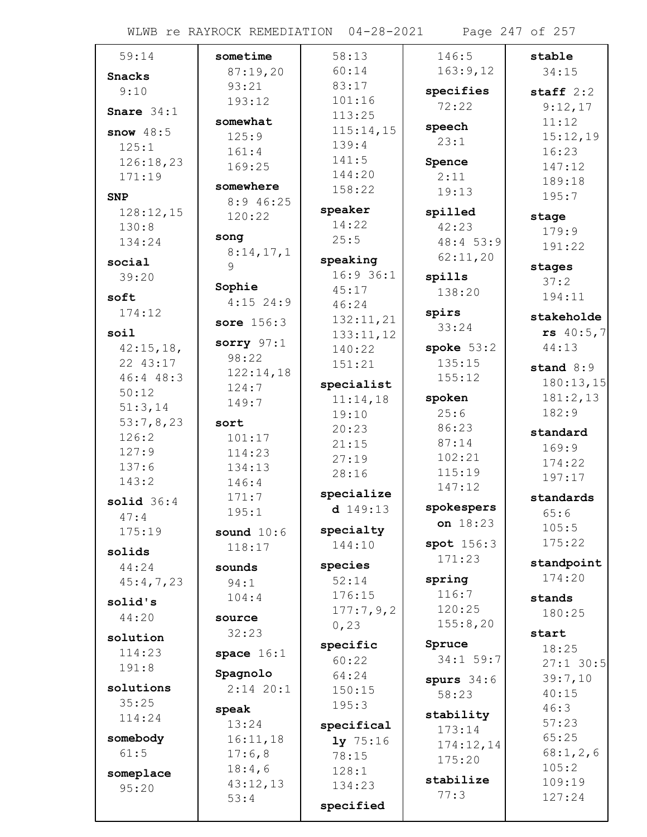WLWB re RAYROCK REMEDIATION 04-28-2021 Page 247 of 257

| 59:14              | sometime         | 58:13              | 146:5           | stable               |
|--------------------|------------------|--------------------|-----------------|----------------------|
| <b>Snacks</b>      | 87:19,20         | 60:14              | 163:9,12        | 34:15                |
| 9:10               | 93:21            | 83:17              | specifies       | staff $2:2$          |
|                    | 193:12           | 101:16             | 72:22           | 9:12,17              |
| Snare $34:1$       | somewhat         | 113:25             |                 | 11:12                |
| snow $48:5$        | 125:9            | 115:14,15          | speech<br>23:1  | 15:12,19             |
| 125:1              | 161:4            | 139:4              |                 | 16:23                |
| 126:18,23          | 169:25           | 141:5              | Spence          | 147:12               |
| 171:19             | somewhere        | 144:20             | 2:11            | 189:18               |
| <b>SNP</b>         | 8:9 46:25        | 158:22             | 19:13           | 195:7                |
| 128:12,15          | 120:22           | speaker            | spilled         | stage                |
| 130:8              |                  | 14:22              | 42:23           | 179:9                |
| 134:24             | song             | 25:5               | 48:4 53:9       | 191:22               |
| social             | 8:14,17,1<br>9   | speaking           | 62:11,20        |                      |
| 39:20              |                  | $16:9$ 36:1        | spills          | stages<br>37:2       |
| soft               | Sophie           | 45:17              | 138:20          | 194:11               |
| 174:12             | $4:15$ 24:9      | 46:24              | spirs           |                      |
|                    | sore $156:3$     | 132:11,21          | 33:24           | stakeholde           |
| soil               | sorry $97:1$     | 133:11,12          |                 | rs 40:5,7            |
| 42:15,18,          | 98:22            | 140:22             | spoke $53:2$    | 44:13                |
| 22 43:17           | 122:14,18        | 151:21             | 135:15          | stand $8:9$          |
| 46:4 48:3          | 124:7            | specialist         | 155:12          | 180:13,15            |
| 50:12              | 149:7            | 11:14,18           | spoken          | 181:2,13             |
| 51:3,14            |                  | 19:10              | 25:6            | 182:9                |
| 53:7,8,23<br>126:2 | sort             | 20:23              | 86:23           | standard             |
| 127:9              | 101:17<br>114:23 | 21:15              | 87:14           | 169:9                |
| 137:6              | 134:13           | 27:19              | 102:21          | 174:22               |
| 143:2              | 146:4            | 28:16              | 115:19          | 197:17               |
|                    | 171:7            | specialize         | 147:12          | standards            |
| solid $36:4$       | 195:1            | $d$ 149:13         | spokespers      | 65:6                 |
| 47:4               |                  | specialty          | on $18:23$      | 105:5                |
| 175:19             | sound $10:6$     | 144:10             | spot 156:3      | 175:22               |
| solids             | 118:17           |                    | 171:23          |                      |
| 44:24              | sounds           | species            |                 | standpoint<br>174:20 |
| 45:4,7,23          | 94:1             | 52:14              | spring<br>116:7 |                      |
| solid's            | 104:4            | 176:15             | 120:25          | stands               |
| 44:20              | source           | 177:7,9,2<br>0, 23 | 155:8,20        | 180:25               |
| solution           | 32:23            |                    |                 | start                |
| 114:23             | space $16:1$     | specific           | Spruce          | 18:25                |
| 191:8              |                  | 60:22              | 34:1 59:7       | $27:1$ 30:5          |
| solutions          | Spagnolo         | 64:24              | spurs $34:6$    | 39:7,10              |
| 35:25              | $2:14$ 20:1      | 150:15             | 58:23           | 40:15                |
| 114:24             | speak            | 195:3              | stability       | 46:3                 |
|                    | 13:24            | specifical         | 173:14          | 57:23                |
| somebody           | 16:11,18         | $1y$ 75:16         | 174:12,14       | 65:25                |
| 61:5               | 17:6,8           | 78:15              | 175:20          | 68:1,2,6             |
| someplace          | 18:4,6           | 128:1              | stabilize       | 105:2                |
| 95:20              | 43:12,13         | 134:23             | 77:3            | 109:19<br>127:24     |
|                    | 53:4             | specified          |                 |                      |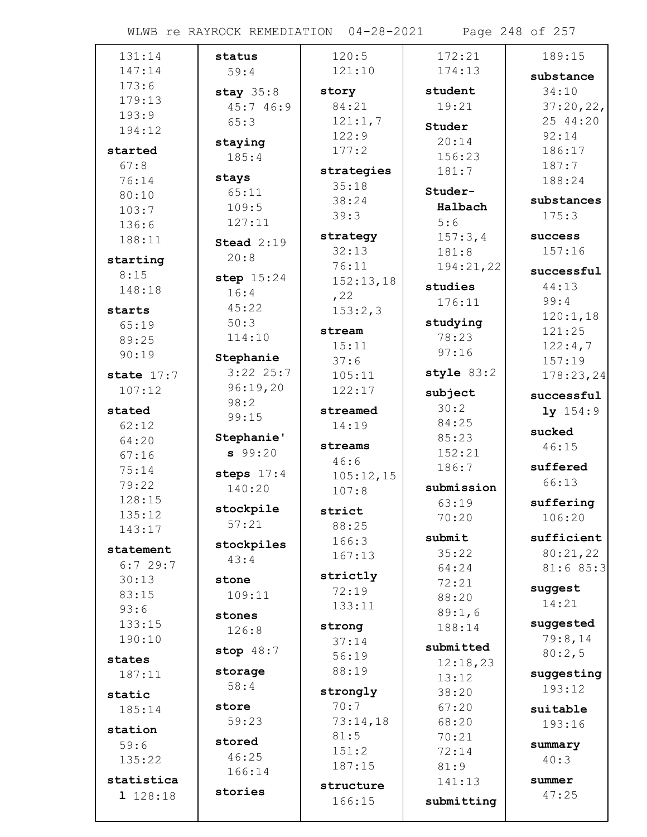WLWB re RAYROCK REMEDIATION 04-28-2021 Page 248 of 257

| 131:14       | status             | 120:5         | 172:21            | 189:15              |
|--------------|--------------------|---------------|-------------------|---------------------|
| 147:14       | 59:4               | 121:10        | 174:13            | substance           |
| 173:6        | stay $35:8$        | story         | student           | 34:10               |
| 179:13       | 45:7 46:9          | 84:21         | 19:21             | 37:20,22,           |
| 193:9        | 65:3               | 121:1,7       |                   | 25 44:20            |
| 194:12       |                    | 122:9         | Studer            | 92:14               |
| started      | staying            | 177:2         | 20:14             | 186:17              |
| 67:8         | 185:4              |               | 156:23            | 187:7               |
| 76:14        | stays              | strategies    | 181:7             | 188:24              |
| 80:10        | 65:11              | 35:18         | Studer-           |                     |
| 103:7        | 109:5              | 38:24<br>39:3 | Halbach           | substances<br>175:3 |
| 136:6        | 127:11             |               | 5:6               |                     |
| 188:11       | Stead $2:19$       | strategy      | 157:3,4           | success             |
| starting     | 20:8               | 32:13         | 181:8             | 157:16              |
| 8:15         |                    | 76:11         | 194:21,22         | successful          |
| 148:18       | step $15:24$       | 152:13,18     | studies           | 44:13               |
|              | 16:4               | , 22          | 176:11            | 99:4                |
| starts       | 45:22<br>50:3      | 153:2,3       |                   | 120:1,18            |
| 65:19        | 114:10             | stream        | studying<br>78:23 | 121:25              |
| 89:25        |                    | 15:11         | 97:16             | 122:4,7             |
| 90:19        | Stephanie          | 37:6          |                   | 157:19              |
| state $17:7$ | $3:22$ 25:7        | 105:11        | style 83:2        | 178:23,24           |
| 107:12       | 96:19,20           | 122:17        | subject           | successful          |
| stated       | 98:2               | streamed      | 30:2              | $1y$ 154:9          |
| 62:12        | 99:15              | 14:19         | 84:25             |                     |
| 64:20        | Stephanie'         | streams       | 85:23             | sucked              |
| 67:16        | 99:20              | 46:6          | 152:21            | 46:15               |
| 75:14        | steps $17:4$       | 105:12,15     | 186:7             | suffered            |
| 79:22        | 140:20             | 107:8         | submission        | 66:13               |
| 128:15       |                    |               | 63:19             | suffering           |
| 135:12       | stockpile<br>57:21 | strict        | 70:20             | 106:20              |
| 143:17       |                    | 88:25         | submit            | sufficient          |
| statement    | stockpiles         | 166:3         | 35:22             | 80:21,22            |
| 6:729:7      | 43:4               | 167:13        | 64:24             | 81:685:3            |
| 30:13        | stone              | strictly      | 72:21             |                     |
| 83:15        | 109:11             | 72:19         | 88:20             | suggest             |
| 93:6         | stones             | 133:11        | 89:1,6            | 14:21               |
| 133:15       | 126:8              | strong        | 188:14            | suggested           |
| 190:10       |                    | 37:14         |                   | 79:8,14             |
| states       | stop $48:7$        | 56:19         | submitted         | 80:2,5              |
| 187:11       | storage            | 88:19         | 12:18,23<br>13:12 | suggesting          |
|              | 58:4               | strongly      | 38:20             | 193:12              |
| static       | store              | 70:7          | 67:20             |                     |
| 185:14       | 59:23              | 73:14,18      | 68:20             | suitable            |
| station      |                    | 81:5          | 70:21             | 193:16              |
| 59:6         | stored             | 151:2         | 72:14             | summary             |
| 135:22       | 46:25              | 187:15        | 81:9              | 40:3                |
| statistica   | 166:14             | structure     | 141:13            | summer              |
| 1 128:18     | stories            | 166:15        | submitting        | 47:25               |
|              |                    |               |                   |                     |
|              |                    |               |                   |                     |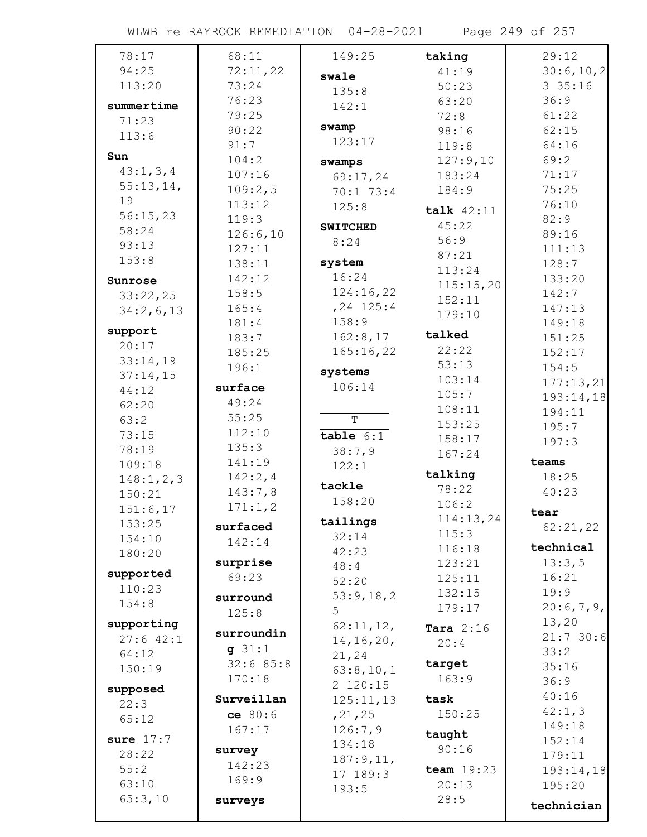WLWB re RAYROCK REMEDIATION 04-28-2021 Page 249 of 257

| 78:17            | 68:11           | 149:25          | taking              | 29:12      |
|------------------|-----------------|-----------------|---------------------|------------|
| 94:25            | 72:11,22        | swale           | 41:19               | 30:6,10,2  |
| 113:20           | 73:24           | 135:8           | 50:23               | 335:16     |
| summertime       | 76:23           | 142:1           | 63:20               | 36:9       |
| 71:23            | 79:25           |                 | 72:8                | 61:22      |
| 113:6            | 90:22           | swamp           | 98:16               | 62:15      |
|                  | 91:7            | 123:17          | 119:8               | 64:16      |
| Sun              | 104:2           | swamps          | 127:9,10            | 69:2       |
| 43:1, 3, 4       | 107:16          | 69:17,24        | 183:24              | 71:17      |
| 55:13,14,        | 109:2,5         | $70:1$ 73:4     | 184:9               | 75:25      |
| 19               | 113:12          | 125:8           | talk $42:11$        | 76:10      |
| 56:15,23         | 119:3           |                 | 45:22               | 82:9       |
| 58:24            | 126:6,10        | <b>SWITCHED</b> | 56:9                | 89:16      |
| 93:13            | 127:11          | 8:24            |                     | 111:13     |
| 153:8            | 138:11          | system          | 87:21               | 128:7      |
| Sunrose          | 142:12          | 16:24           | 113:24              | 133:20     |
| 33:22,25         | 158:5           | 124:16,22       | 115:15,20<br>152:11 | 142:7      |
| 34:2,6,13        | 165:4           | $, 24$ 125:4    |                     | 147:13     |
|                  | 181:4           | 158:9           | 179:10              | 149:18     |
| support          | 183:7           | 162:8,17        | talked              | 151:25     |
| 20:17            | 185:25          | 165:16,22       | 22:22               | 152:17     |
| 33:14,19         | 196:1           | systems         | 53:13               | 154:5      |
| 37:14,15         | surface         | 106:14          | 103:14              | 177:13,21  |
| 44:12            | 49:24           |                 | 105:7               | 193:14,18  |
| 62:20            | 55:25           |                 | 108:11              | 194:11     |
| 63:2             | 112:10          | $\overline{T}$  | 153:25              | 195:7      |
| 73:15            | 135:3           | $table$ 6:1     | 158:17              | 197:3      |
| 78:19            | 141:19          | 38:7,9          | 167:24              | teams      |
| 109:18           | 142:2,4         | 122:1           | talking             | 18:25      |
| 148:1, 2, 3      | 143:7,8         | tackle          | 78:22               | 40:23      |
| 150:21           | 171:1,2         | 158:20          | 106:2               |            |
| 151:6,17         |                 | tailings        | 114:13,24           | tear       |
| 153:25<br>154:10 | surfaced        | 32:14           | 115:3               | 62:21,22   |
| 180:20           | 142:14          | 42:23           | 116:18              | technical  |
|                  | surprise        | 48:4            | 123:21              | 13:3,5     |
| supported        | 69:23           | 52:20           | 125:11              | 16:21      |
| 110:23           | surround        | 53:9,18,2       | 132:15              | 19:9       |
| 154:8            | 125:8           | 5               | 179:17              | 20:6,7,9,  |
| supporting       |                 | 62:11,12,       | Tara $2:16$         | 13,20      |
| $27:6$ 42:1      | surroundin      | 14, 16, 20,     | 20:4                | 21:730:6   |
| 64:12            | $g$ 31:1        | 21,24           |                     | 33:2       |
| 150:19           | 32:685:8        | 63:8,10,1       | target              | 35:16      |
| supposed         | 170:18          | 2 120:15        | 163:9               | 36:9       |
| 22:3             | Surveillan      | 125:11,13       | task                | 40:16      |
| 65:12            | ce 80:6         | , 21, 25        | 150:25              | 42:1,3     |
|                  | 167:17          | 126:7,9         | taught              | 149:18     |
| sure $17:7$      |                 | 134:18          | 90:16               | 152:14     |
| 28:22            | survey          | 187:9,11,       |                     | 179:11     |
| 55:2             | 142:23<br>169:9 | 17 189:3        | team $19:23$        | 193:14,18  |
| 63:10            |                 | 193:5           | 20:13               | 195:20     |
| 65:3,10          | surveys         |                 | 28:5                | technician |
|                  |                 |                 |                     |            |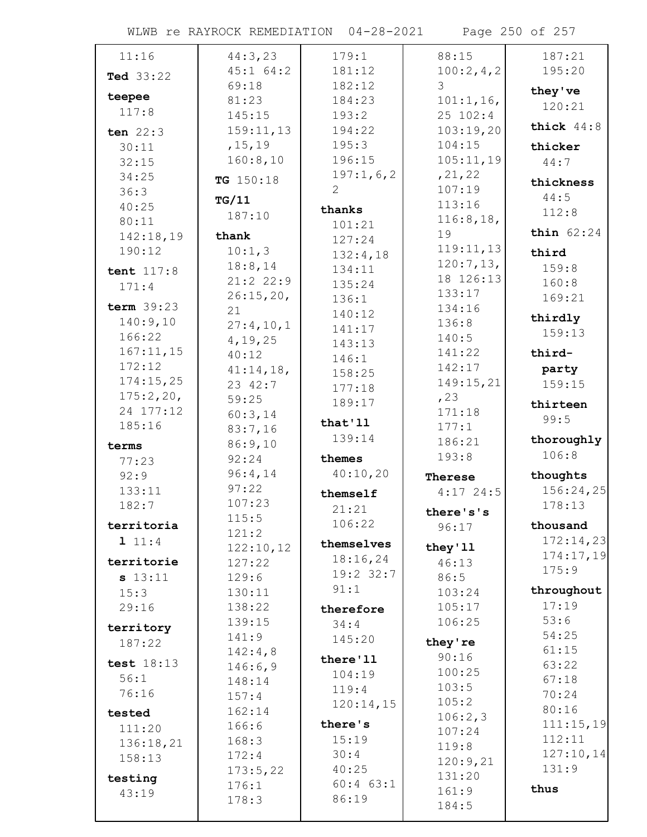WLWB re RAYROCK REMEDIATION 04-28-2021 Page 250 of 257

| 11:16              | 44:3,23          | 179:1         | 88:15            | 187:21       |
|--------------------|------------------|---------------|------------------|--------------|
| Ted 33:22          | $45:1$ 64:2      | 181:12        | 100:2,4,2        | 195:20       |
|                    | 69:18            | 182:12        | 3                | they've      |
| teepee             | 81:23            | 184:23        | 101:1, 16,       | 120:21       |
| 117:8              | 145:15           | 193:2         | 25 102:4         |              |
| ten $22:3$         | 159:11,13        | 194:22        | 103:19,20        | thick $44:8$ |
| 30:11              | , 15, 19         | 195:3         | 104:15           | thicker      |
| 32:15              | 160:8,10         | 196:15        | 105:11,19        | 44:7         |
| 34:25              | TG 150:18        | 197:1,6,2     | , 21, 22         | thickness    |
| 36:3               | TG/11            | 2             | 107:19           | 44:5         |
| 40:25              | 187:10           | thanks        | 113:16           | 112:8        |
| 80:11              |                  | 101:21        | 116:8,18,        |              |
| 142:18,19          | thank            | 127:24        | 19               | thin $62:24$ |
| 190:12             | 10:1,3           | 132:4,18      | 119:11,13        | third        |
| tent 117:8         | 18:8,14          | 134:11        | 120:7,13,        | 159:8        |
| 171:4              | $21:2$ 22:9      | 135:24        | 18 126:13        | 160:8        |
| term $39:23$       | 26:15,20,        | 136:1         | 133:17           | 169:21       |
|                    | 21               | 140:12        | 134:16           | thirdly      |
| 140:9,10<br>166:22 | 27:4,10,1        | 141:17        | 136:8            | 159:13       |
| 167:11,15          | 4, 19, 25        | 143:13        | 140:5            |              |
| 172:12             | 40:12            | 146:1         | 141:22           | third-       |
| 174:15,25          | 41:14,18,        | 158:25        | 142:17           | party        |
| 175:2,20,          | 23 42:7          | 177:18        | 149:15,21        | 159:15       |
| 24 177:12          | 59:25            | 189:17        | , 23<br>171:18   | thirteen     |
| 185:16             | 60:3,14          | that'll       | 177:1            | 99:5         |
|                    | 83:7,16          | 139:14        | 186:21           | thoroughly   |
| terms              | 86:9,10          |               | 193:8            | 106:8        |
| 77:23              | 92:24            | themes        |                  |              |
| 92:9               | 96:4,14<br>97:22 | 40:10,20      | Therese          | thoughts     |
| 133:11             | 107:23           | themself      | $4:17$ 24:5      | 156:24,25    |
| 182:7              | 115:5            | 21:21         | there's's        | 178:13       |
| territoria         | 121:2            | 106:22        | 96:17            | thousand     |
| 1 11:4             | 122:10,12        | themselves    | they'11          | 172:14,23    |
| territorie         | 127:22           | 18:16,24      | 46:13            | 174:17,19    |
| s 13:11            | 129:6            | 19:2 32:7     | 86:5             | 175:9        |
| 15:3               | 130:11           | 91:1          | 103:24           | throughout   |
| 29:16              | 138:22           | therefore     | 105:17           | 17:19        |
|                    | 139:15           | 34:4          | 106:25           | 53:6         |
| territory          | 141:9            | 145:20        |                  | 54:25        |
| 187:22             | 142:4,8          |               | they're          | 61:15        |
| test 18:13         | 146:6,9          | there'll      | 90:16            | 63:22        |
| 56:1               | 148:14           | 104:19        | 100:25<br>103:5  | 67:18        |
| 76:16              | 157:4            | 119:4         |                  | 70:24        |
| tested             | 162:14           | 120:14,15     | 105:2<br>106:2,3 | 80:16        |
| 111:20             | 166:6            | there's       | 107:24           | 111:15,19    |
| 136:18,21          | 168:3            | 15:19         | 119:8            | 112:11       |
| 158:13             | 172:4            | 30:4          | 120:9,21         | 127:10,14    |
|                    | 173:5,22         | 40:25         | 131:20           | 131:9        |
| testing            | 176:1            | $60:4$ $63:1$ | 161:9            | thus         |
| 43:19              | 178:3            | 86:19         | 184:5            |              |
|                    |                  |               |                  |              |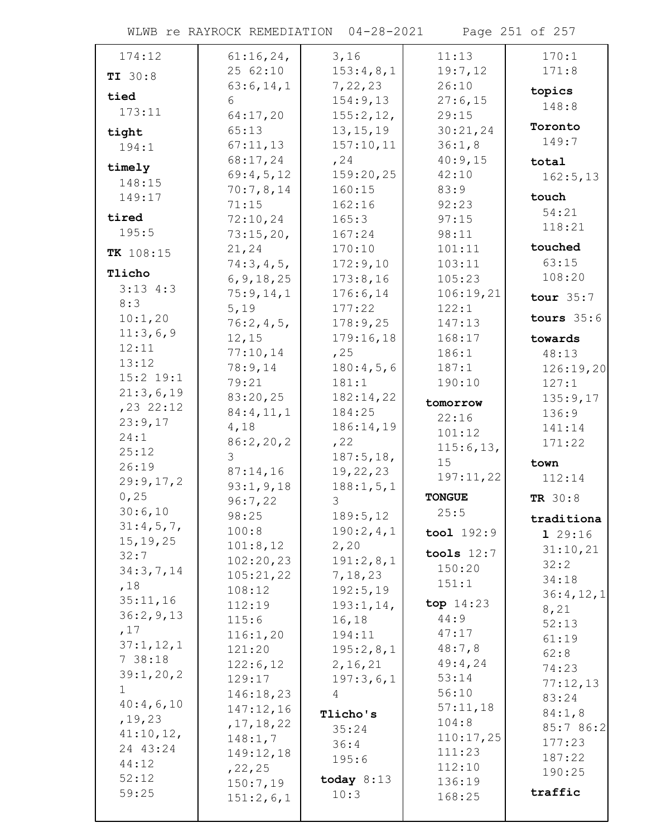WLWB re RAYROCK REMEDIATION 04-28-2021 Page 251 of 257

| 174:12         | 61:16,24,             | 3,16                  | 11:13                | 170:1         |
|----------------|-----------------------|-----------------------|----------------------|---------------|
| TI 30:8        | 25 62:10              | 153:4,8,1             | 19:7,12              | 171:8         |
|                | 63:6, 14, 1           | 7,22,23               | 26:10                | topics        |
| tied           | 6                     | 154:9,13              | 27:6,15              | 148:8         |
| 173:11         | 64:17,20              | 155:2, 12,            | 29:15                |               |
| tight          | 65:13                 | 13, 15, 19            | 30:21,24             | Toronto       |
| 194:1          | 67:11,13              | 157:10,11             | 36:1,8               | 149:7         |
| timely         | 68:17,24              | , 24                  | 40:9,15              | total         |
| 148:15         | 69:4,5,12             | 159:20,25             | 42:10                | 162:5, 13     |
| 149:17         | 70:7,8,14             | 160:15                | 83:9                 | touch         |
| tired          | 71:15                 | 162:16                | 92:23                | 54:21         |
| 195:5          | 72:10,24<br>73:15,20, | 165:3<br>167:24       | 97:15<br>98:11       | 118:21        |
|                | 21,24                 | 170:10                | 101:11               | touched       |
| TK 108:15      | 74:3,4,5,             | 172:9,10              | 103:11               | 63:15         |
| Tlicho         | 6, 9, 18, 25          | 173:8,16              | 105:23               | 108:20        |
| $3:13$ 4:3     | 75:9,14,1             | 176:6,14              | 106:19,21            |               |
| 8:3            | 5,19                  | 177:22                | 122:1                | tour $35:7$   |
| 10:1,20        | 76:2,4,5,             | 178:9,25              | 147:13               | tours $35:6$  |
| 11:3,6,9       | 12,15                 | 179:16,18             | 168:17               | towards       |
| 12:11          | 77:10,14              | , 25                  | 186:1                | 48:13         |
| 13:12          | 78:9,14               | 180:4,5,6             | 187:1                | 126:19,20     |
| $15:2$ 19:1    | 79:21                 | 181:1                 | 190:10               | 127:1         |
| 21:3,6,19      | 83:20,25              | 182:14,22             | tomorrow             | 135:9,17      |
| $, 23$ 22:12   | 84:4,11,1             | 184:25                | 22:16                | 136:9         |
| 23:9,17        | 4,18                  | 186:14,19             | 101:12               | 141:14        |
| 24:1           | 86:2,20,2             | , 22                  | 115:6, 13,           | 171:22        |
| 25:12<br>26:19 | 3                     | 187:5, 18,            | 15                   | town          |
| 29:9,17,2      | 87:14,16              | 19, 22, 23            | 197:11,22            | 112:14        |
| 0,25           | 93:1, 9, 18           | 188:1, 5, 1           | <b>TONGUE</b>        |               |
| 30:6,10        | 96:7,22               | 3                     | 25:5                 | TR 30:8       |
| 31:4,5,7,      | 98:25                 | 189:5, 12             |                      | traditiona    |
| 15, 19, 25     | 100:8                 | 190:2,4,1             | $\text{tool } 192:9$ | 129:16        |
| 32:7           | 101:8,12              | 2,20                  | tools $12:7$         | 31:10,21      |
| 34:3,7,14      | 102:20,23             | 191:2,8,1             | 150:20               | 32:2          |
| ,18            | 105:21,22<br>108:12   | 7, 18, 23<br>192:5,19 | 151:1                | 34:18         |
| 35:11,16       | 112:19                | 193:1,14,             | top $14:23$          | 36:4,12,1     |
| 36:2,9,13      | 115:6                 | 16, 18                | 44:9                 | 8,21          |
| ,17            | 116:1,20              | 194:11                | 47:17                | 52:13         |
| 37:1, 12, 1    | 121:20                | 195:2,8,1             | 48:7,8               | 61:19         |
| 738:18         | 122:6,12              | 2, 16, 21             | 49:4,24              | 62:8<br>74:23 |
| 39:1,20,2      | 129:17                | 197:3,6,1             | 53:14                | 77:12,13      |
| $\mathbf{1}$   | 146:18,23             | 4                     | 56:10                | 83:24         |
| 40:4,6,10      | 147:12,16             | Tlicho's              | 57:11,18             | 84:1,8        |
| , 19, 23       | , 17, 18, 22          | 35:24                 | 104:8                | 85:7 86:2     |
| 41:10,12,      | 148:1,7               | 36:4                  | 110:17,25            | 177:23        |
| 24 43:24       | 149:12,18             | 195:6                 | 111:23               | 187:22        |
| 44:12          | , 22, 25              |                       | 112:10               | 190:25        |
| 52:12          | 150:7,19              | today $8:13$          | 136:19               | traffic       |
| 59:25          | 151:2,6,1             | 10:3                  | 168:25               |               |
|                |                       |                       |                      |               |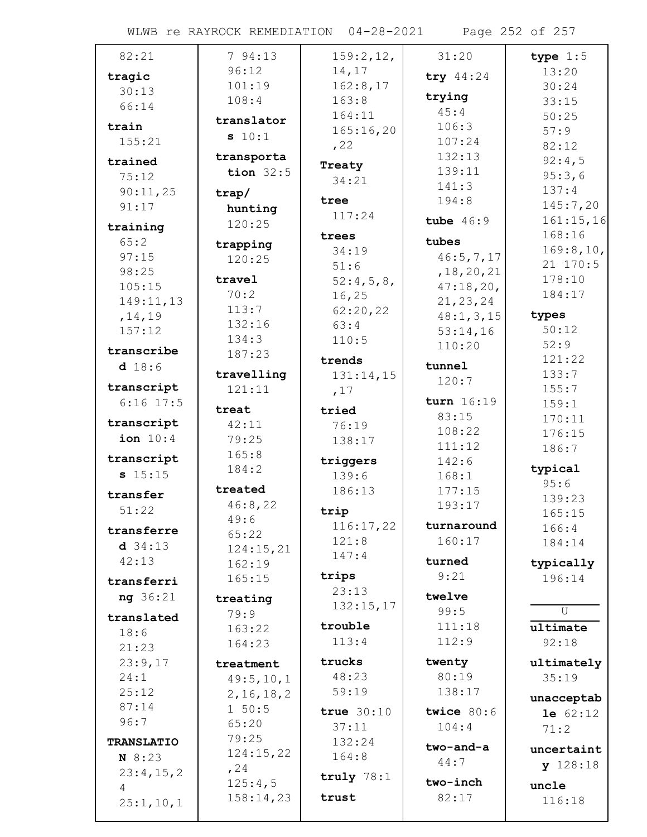WLWB re RAYROCK REMEDIATION 04-28-2021 Page 252 of 257

| 82:21             | 794:13       | 159:2,12,    | 31:20        | type $1:5$     |
|-------------------|--------------|--------------|--------------|----------------|
| tragic            | 96:12        | 14,17        | try 44:24    | 13:20          |
| 30:13             | 101:19       | 162:8,17     |              | 30:24          |
| 66:14             | 108:4        | 163:8        | trying       | 33:15          |
|                   | translator   | 164:11       | 45:4         | 50:25          |
| train             | s 10:1       | 165:16,20    | 106:3        | 57:9           |
| 155:21            |              | , 22         | 107:24       | 82:12          |
| trained           | transporta   | Treaty       | 132:13       | 92:4,5         |
| 75:12             | tion $32:5$  | 34:21        | 139:11       | 95:3,6         |
| 90:11,25          | trap/        |              | 141:3        | 137:4          |
| 91:17             | hunting      | tree         | 194:8        | 145:7,20       |
| training          | 120:25       | 117:24       | tube $46:9$  | 161:15,16      |
| 65:2              |              | trees        | tubes        | 168:16         |
| 97:15             | trapping     | 34:19        | 46:5,7,17    | 169:8, 10,     |
|                   | 120:25       | 51:6         |              | 21 170:5       |
| 98:25             | travel       | 52:4,5,8,    | , 18, 20, 21 | 178:10         |
| 105:15            | 70:2         | 16, 25       | 47:18,20,    | 184:17         |
| 149:11,13         | 113:7        | 62:20,22     | 21, 23, 24   |                |
| , 14, 19          | 132:16       | 63:4         | 48:1, 3, 15  | types<br>50:12 |
| 157:12            | 134:3        | 110:5        | 53:14,16     | 52:9           |
| transcribe        | 187:23       |              | 110:20       |                |
| d 18:6            |              | trends       | tunnel       | 121:22         |
| transcript        | travelling   | 131:14,15    | 120:7        | 133:7          |
| $6:16$ 17:5       | 121:11       | ,17          | turn 16:19   | 155:7          |
|                   | treat        | tried        | 83:15        | 159:1          |
| transcript        | 42:11        | 76:19        | 108:22       | 170:11         |
| ion $10:4$        | 79:25        | 138:17       | 111:12       | 176:15         |
| transcript        | 165:8        | triggers     | 142:6        | 186:7          |
| s 15:15           | 184:2        | 139:6        | 168:1        | typical        |
|                   | treated      | 186:13       | 177:15       | 95:6           |
| transfer          | 46:8,22      |              | 193:17       | 139:23         |
| 51:22             | 49:6         | trip         |              | 165:15         |
| transferre        | 65:22        | 116:17,22    | turnaround   | 166:4          |
| $d$ 34:13         | 124:15,21    | 121:8        | 160:17       | 184:14         |
| 42:13             | 162:19       | 147:4        | turned       | typically      |
| transferri        | 165:15       | trips        | 9:21         | 196:14         |
|                   |              | 23:13        | twelve       |                |
| ng 36:21          | treating     | 132:15,17    | 99:5         | U              |
| translated        | 79:9         | trouble      | 111:18       |                |
| 18:6              | 163:22       | 113:4        | 112:9        | ultimate       |
| 21:23             | 164:23       |              |              | 92:18          |
| 23:9,17           | treatment    | trucks       | twenty       | ultimately     |
| 24:1              | 49:5, 10, 1  | 48:23        | 80:19        | 35:19          |
| 25:12             | 2, 16, 18, 2 | 59:19        | 138:17       | unacceptab     |
| 87:14             | $1\ 50:5$    | true $30:10$ | twice $80:6$ | 1e 62:12       |
| 96:7              | 65:20        | 37:11        | 104:4        | 71:2           |
| <b>TRANSLATIO</b> | 79:25        | 132:24       |              |                |
| N 8:23            | 124:15,22    | 164:8        | two-and-a    | uncertaint     |
| 23:4,15,2         | , 24         |              | 44:7         | $y$ 128:18     |
| 4                 | 125:4,5      | truly $78:1$ | two-inch     | uncle          |
| 25:1, 10, 1       | 158:14,23    | trust        | 82:17        | 116:18         |
|                   |              |              |              |                |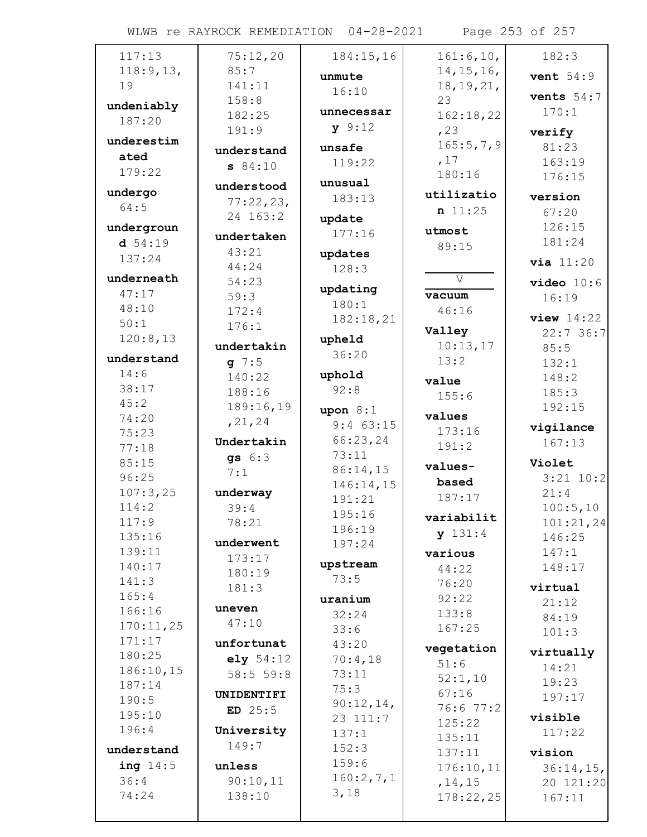WLWB re RAYROCK REMEDIATION 04-28-2021 Page 253 of 257

| 117:13     | 75:12,20   | 184:15,16   | 161:6, 10,   | 182:3         |
|------------|------------|-------------|--------------|---------------|
| 118:9, 13, | 85:7       | unmute      | 14, 15, 16,  | vent $54:9$   |
| 19         | 141:11     | 16:10       | 18, 19, 21,  |               |
| undeniably | 158:8      |             | 23           | vents $54:7$  |
| 187:20     | 182:25     | unnecessar  | 162:18,22    | 170:1         |
|            | 191:9      | y 9:12      | , 23         | verify        |
| underestim | understand | unsafe      | 165:5,7,9    | 81:23         |
| ated       | 84:10      | 119:22      | ,17          | 163:19        |
| 179:22     |            |             | 180:16       | 176:15        |
| undergo    | understood | unusual     | utilizatio   | version       |
| 64:5       | 77:22,23,  | 183:13      | n 11:25      | 67:20         |
|            | 24 163:2   | update      |              |               |
| undergroun | undertaken | 177:16      | utmost       | 126:15        |
| d 54:19    | 43:21      | updates     | 89:15        | 181:24        |
| 137:24     | 44:24      | 128:3       |              | via 11:20     |
| underneath | 54:23      |             | $\mathbf{V}$ | video 10:6    |
| 47:17      | 59:3       | updating    | vacuum       | 16:19         |
| 48:10      | 172:4      | 180:1       | 46:16        |               |
| 50:1       | 176:1      | 182:18,21   |              | $view$ 14:22  |
| 120:8,13   |            | upheld      | Valley       | 22:736:7      |
| understand | undertakin | 36:20       | 10:13,17     | 85:5          |
| 14:6       | $q \ 7:5$  |             | 13:2         | 132:1         |
| 38:17      | 140:22     | uphold      | value        | 148:2         |
| 45:2       | 188:16     | 92:8        | 155:6        | 185:3         |
|            | 189:16,19  | upon $8:1$  | values       | 192:15        |
| 74:20      | , 21, 24   | $9:4$ 63:15 | 173:16       | vigilance     |
| 75:23      | Undertakin | 66:23,24    | 191:2        | 167:13        |
| 77:18      | qs $6:3$   | 73:11       |              |               |
| 85:15      | 7:1        | 86:14,15    | values-      | Violet        |
| 96:25      |            | 146:14,15   | based        | $3:21$ $10:2$ |
| 107:3,25   | underway   | 191:21      | 187:17       | 21:4          |
| 114:2      | 39:4       | 195:16      | variabilit   | 100:5, 10     |
| 117:9      | 78:21      | 196:19      | y 131:4      | 101:21,24     |
| 135:16     | underwent  | 197:24      |              | 146:25        |
| 139:11     | 173:17     | upstream    | various      | 147:1         |
| 140:17     | 180:19     | 73:5        | 44:22        | 148:17        |
| 141:3      | 181:3      |             | 76:20        | virtual       |
| 165:4      | uneven     | uranium     | 92:22        | 21:12         |
| 166:16     | 47:10      | 32:24       | 133:8        | 84:19         |
| 170:11,25  |            | 33:6        | 167:25       | 101:3         |
| 171:17     | unfortunat | 43:20       | vegetation   | virtually     |
| 180:25     | e1y 54:12  | 70:4,18     | 51:6         | 14:21         |
| 186:10,15  | 58:555:8   | 73:11       | 52:1,10      | 19:23         |
| 187:14     | UNIDENTIFI | 75:3        | 67:16        | 197:17        |
| 190:5      | $ED$ 25:5  | 90:12,14,   | 76:6 77:2    |               |
| 195:10     |            | 23 111:7    | 125:22       | visible       |
| 196:4      | University | 137:1       | 135:11       | 117:22        |
| understand | 149:7      | 152:3       | 137:11       | vision        |
| ing $14:5$ | unless     | 159:6       | 176:10,11    | $36:14,15$ ,  |
| 36:4       | 90:10,11   | 160:2,7,1   | , 14, 15     | 20 121:20     |
| 74:24      | 138:10     | 3,18        | 178:22,25    | 167:11        |
|            |            |             |              |               |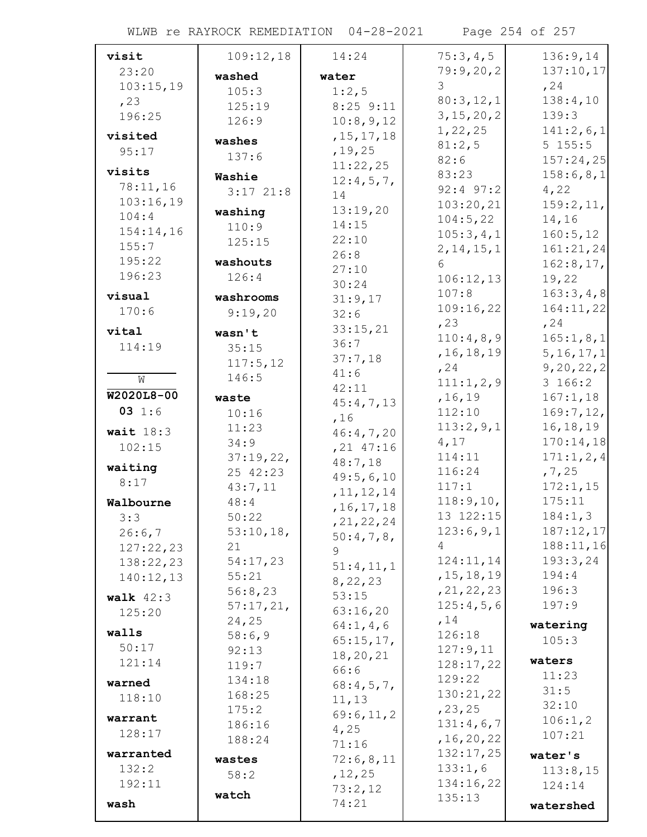WLWB re RAYROCK REMEDIATION 04-28-2021 Page 254 of 257

| visit       | 109:12,18             | 14:24          | 75:3,4,5            | 136:9,14                |
|-------------|-----------------------|----------------|---------------------|-------------------------|
| 23:20       | washed                | water          | 79:9,20,2           | 137:10,17               |
| 103:15,19   | 105:3                 | 1:2,5          | 3                   | , 24                    |
| , 23        | 125:19                | $8:25$ $9:11$  | 80:3,12,1           | 138:4,10                |
| 196:25      | 126:9                 | 10:8,9,12      | 3, 15, 20, 2        | 139:3                   |
| visited     |                       | , 15, 17, 18   | 1, 22, 25           | 141:2,6,1               |
| 95:17       | washes                | , 19, 25       | 81:2,5              | 5 155:5                 |
|             | 137:6                 | 11:22,25       | 82:6                | 157:24,25               |
| visits      | Washie                | 12:4,5,7,      | 83:23               | 158:6,8,1               |
| 78:11,16    | $3:17$ $21:8$         | 14             | $92:4$ $97:2$       | 4,22                    |
| 103:16,19   | washing               | 13:19,20       | 103:20,21           | 159:2,11,               |
| 104:4       | 110:9                 | 14:15          | 104:5,22            | 14,16                   |
| 154:14,16   | 125:15                | 22:10          | 105:3,4,1           | 160:5, 12               |
| 155:7       |                       | 26:8           | 2, 14, 15, 1        | 161:21,24               |
| 195:22      | washouts              | 27:10          | 6                   | 162:8,17,               |
| 196:23      | 126:4                 | 30:24          | 106:12,13           | 19,22                   |
| visual      | washrooms             | 31:9,17        | 107:8               | 163:3,4,8               |
| 170:6       | 9:19,20               | 32:6           | 109:16,22           | 164:11,22               |
| vital       | wasn't                | 33:15,21       | , 23                | , 24                    |
| 114:19      | 35:15                 | 36:7           | 110:4,8,9           | 165:1,8,1               |
|             | 117:5,12              | 37:7,18        | , 16, 18, 19        | 5, 16, 17, 1            |
| W           | 146:5                 | 41:6           | , 24                | 9, 20, 22, 2            |
| W2020L8-00  |                       | 42:11          | 111:1,2,9           | 3 166:2                 |
| 031:6       | waste                 | 45:4,7,13      | , 16, 19            | 167:1,18                |
|             | 10:16                 | ,16            | 112:10<br>113:2,9,1 | 169:7, 12,              |
| wait $18:3$ | 11:23                 | 46:4,7,20      | 4,17                | 16, 18, 19<br>170:14,18 |
| 102:15      | 34:9                  | $, 21$ 47:16   | 114:11              | 171:1, 2, 4             |
| waiting     | 37:19,22,<br>25 42:23 | 48:7,18        | 116:24              | , 7, 25                 |
| 8:17        | 43:7,11               | 49:5,6,10      | 117:1               | 172:1,15                |
| Walbourne   | 48:4                  | , 11, 12, 14   | 118:9, 10,          | 175:11                  |
| 3:3         | 50:22                 | , 16, 17, 18   | 13 122:15           | 184:1,3                 |
| 26:6,7      | 53:10,18,             | , 21, 22, 24   | 123:6,9,1           | 187:12,17               |
| 127:22,23   | 21                    | $50:4,7,8$ ,   | 4                   | 188:11,16               |
| 138:22,23   | 54:17,23              | 9<br>51:4,11,1 | 124:11,14           | 193:3,24                |
| 140:12,13   | 55:21                 | 8, 22, 23      | , 15, 18, 19        | 194:4                   |
| walk $42:3$ | 56:8,23               | 53:15          | , 21, 22, 23        | 196:3                   |
| 125:20      | 57:17,21,             | 63:16,20       | 125:4,5,6           | 197:9                   |
|             | 24,25                 | 64:1, 4, 6     | , 14                | watering                |
| walls       | 58:6,9                | 65:15,17,      | 126:18              | 105:3                   |
| 50:17       | 92:13                 | 18,20,21       | 127:9,11            |                         |
| 121:14      | 119:7                 | 66:6           | 128:17,22           | waters                  |
| warned      | 134:18                | 68:4,5,7,      | 129:22              | 11:23                   |
| 118:10      | 168:25                | 11,13          | 130:21,22           | 31:5<br>32:10           |
| warrant     | 175:2                 | 69:6,11,2      | , 23, 25            | 106:1, 2                |
| 128:17      | 186:16                | 4,25           | 131:4,6,7           | 107:21                  |
|             | 188:24                | 71:16          | , 16, 20, 22        |                         |
| warranted   | wastes                | 72:6,8,11      | 132:17,25           | water's                 |
| 132:2       | 58:2                  | , 12, 25       | 133:1,6             | 113:8,15                |
| 192:11      | watch                 | 73:2,12        | 134:16,22<br>135:13 | 124:14                  |
| wash        |                       | 74:21          |                     | watershed               |
|             |                       |                |                     |                         |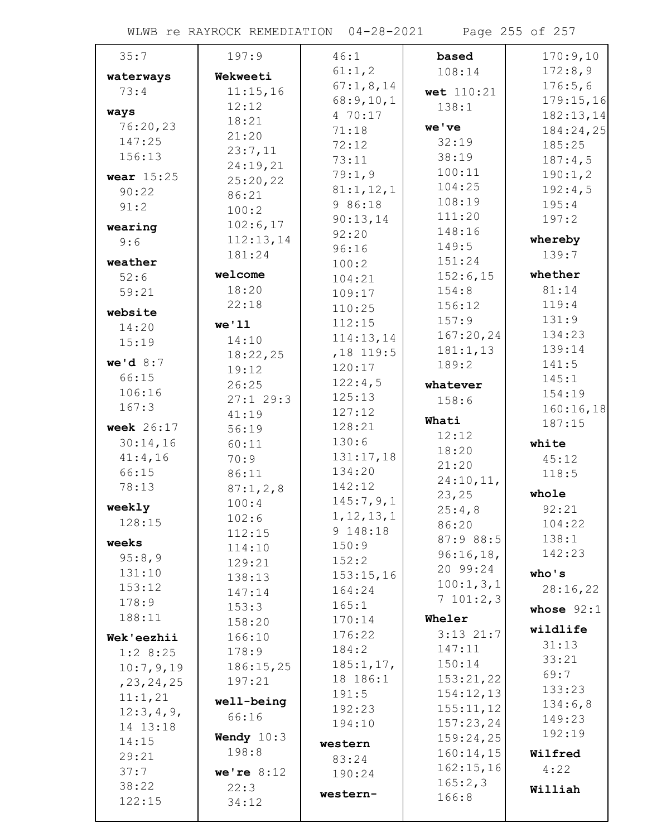WLWB re RAYROCK REMEDIATION 04-28-2021 Page 255 of 257

| 35:7             | 197:9               | 46:1                | based              | 170:9,10     |
|------------------|---------------------|---------------------|--------------------|--------------|
| waterways        | Wekweeti            | 61:1,2              | 108:14             | 172:8,9      |
| 73:4             | 11:15,16            | 67:1,8,14           | wet 110:21         | 176:5,6      |
|                  | 12:12               | 68:9,10,1           | 138:1              | 179:15,16    |
| ways<br>76:20,23 | 18:21               | 4 70:17             |                    | 182:13,14    |
| 147:25           | 21:20               | 71:18               | we've              | 184:24,25    |
| 156:13           | 23:7,11             | 72:12               | 32:19              | 185:25       |
|                  | 24:19,21            | 73:11               | 38:19              | 187:4,5      |
| wear $15:25$     | 25:20,22            | 79:1,9              | 100:11             | 190:1,2      |
| 90:22            | 86:21               | 81:1,12,1           | 104:25             | 192:4,5      |
| 91:2             | 100:2               | 9 86:18             | 108:19             | 195:4        |
| wearing          | 102:6,17            | 90:13,14            | 111:20<br>148:16   | 197:2        |
| 9:6              | 112:13,14           | 92:20               |                    | whereby      |
|                  | 181:24              | 96:16               | 149:5<br>151:24    | 139:7        |
| weather          | welcome             | 100:2               | 152:6,15           | whether      |
| 52:6             | 18:20               | 104:21              | 154:8              | 81:14        |
| 59:21            | 22:18               | 109:17              |                    | 119:4        |
| website          |                     | 110:25              | 156:12             | 131:9        |
| 14:20            | we'11               | 112:15              | 157:9<br>167:20,24 | 134:23       |
| 15:19            | 14:10               | 114:13,14           | 181:1,13           | 139:14       |
| we'd $8:7$       | 18:22,25            | , 18 119:5          | 189:2              | 141:5        |
| 66:15            | 19:12               | 120:17              |                    | 145:1        |
| 106:16           | 26:25               | 122:4,5             | whatever           | 154:19       |
| 167:3            | 27:129:3            | 125:13              | 158:6              | 160:16,18    |
|                  | 41:19               | 127:12              | Whati              | 187:15       |
| week $26:17$     | 56:19               | 128:21              | 12:12              |              |
| 30:14,16         | 60:11               | 130:6               | 18:20              | white        |
| 41:4,16          | 70:9                | 131:17,18           | 21:20              | 45:12        |
| 66:15            | 86:11               | 134:20              | 24:10,11,          | 118:5        |
| 78:13            | 87:1, 2, 8          | 142:12              | 23, 25             | whole        |
| weekly           | 100:4               | 145:7,9,1           | 25:4,8             | 92:21        |
| 128:15           | 102:6               | 1, 12, 13, 1        | 86:20              | 104:22       |
| weeks            | 112:15              | 9 148:18            | 87:9 88:5          | 138:1        |
| 95:8,9           | 114:10              | 150:9               | 96:16,18,          | 142:23       |
| 131:10           | 129:21              | 152:2               | 20 99:24           | who's        |
| 153:12           | 138:13              | 153:15,16<br>164:24 | 100:1, 3, 1        | 28:16,22     |
| 178:9            | 147:14              | 165:1               | 7101:2,3           |              |
| 188:11           | 153:3               | 170:14              | Wheler             | whose $92:1$ |
|                  | 158:20              | 176:22              | $3:13$ 21:7        | wildlife     |
| Wek'eezhii       | 166:10              | 184:2               | 147:11             | 31:13        |
| 1:28:25          | 178:9               | 185:1, 17,          | 150:14             | 33:21        |
| 10:7,9,19        | 186:15,25<br>197:21 | 18 186:1            | 153:21,22          | 69:7         |
| , 23, 24, 25     |                     | 191:5               | 154:12,13          | 133:23       |
| 11:1,21          | well-being          | 192:23              | 155:11,12          | 134:6,8      |
| 12:3,4,9,        | 66:16               | 194:10              | 157:23,24          | 149:23       |
| 14 13:18         | Wendy $10:3$        |                     | 159:24,25          | 192:19       |
| 14:15            | 198:8               | western             | 160:14,15          | Wilfred      |
| 29:21            |                     | 83:24               | 162:15,16          | 4:22         |
| 37:7             | we're $8:12$        | 190:24              | 165:2,3            |              |
| 38:22<br>122:15  | 22:3                | western-            | 166:8              | Williah      |
|                  | 34:12               |                     |                    |              |
|                  |                     |                     |                    |              |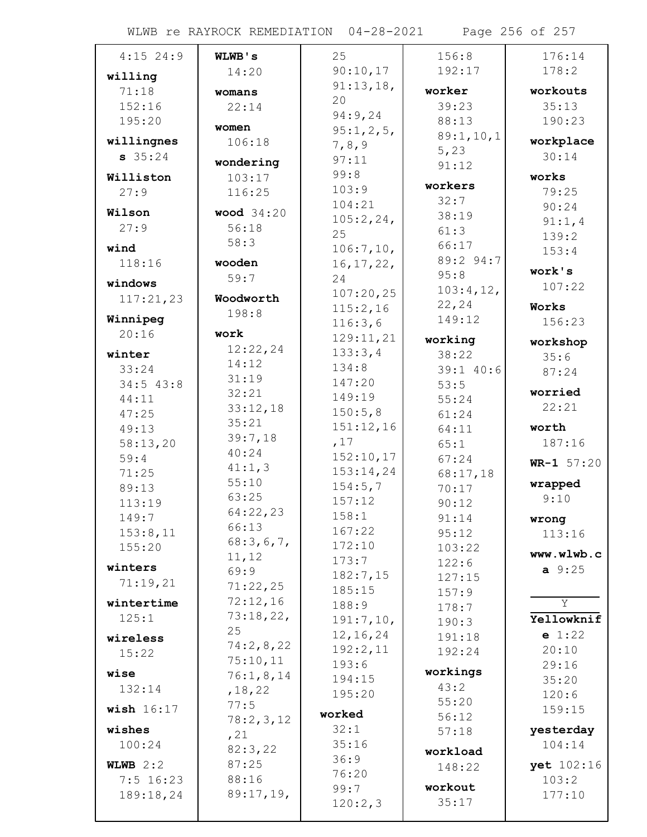| $4:15$ 24:9  | WLWB's            | 25                 | 156:8     | 176:14       |
|--------------|-------------------|--------------------|-----------|--------------|
| willing      | 14:20             | 90:10,17           | 192:17    | 178:2        |
| 71:18        | womans            | 91:13,18,          | worker    | workouts     |
| 152:16       | 22:14             | 20                 | 39:23     | 35:13        |
| 195:20       |                   | 94:9,24            | 88:13     | 190:23       |
| willingnes   | women             | 95:1,2,5           | 89:1,10,1 | workplace    |
| $s$ 35:24    | 106:18            | 7, 8, 9            | 5,23      | 30:14        |
|              | wondering         | 97:11              | 91:12     |              |
| Williston    | 103:17            | 99:8               | workers   | works        |
| 27:9         | 116:25            | 103:9              | 32:7      | 79:25        |
| Wilson       | <b>wood</b> 34:20 | 104:21             | 38:19     | 90:24        |
| 27:9         | 56:18             | 105:2,24,<br>25    | 61:3      | 91:1,4       |
| wind         | 58:3              | 106:7, 10,         | 66:17     | 139:2        |
| 118:16       | wooden            | 16, 17, 22,        | 89:2 94:7 | 153:4        |
|              | 59:7              | 24                 | 95:8      | work's       |
| windows      |                   | 107:20,25          | 103:4,12, | 107:22       |
| 117:21,23    | Woodworth         | 115:2,16           | 22, 24    | Works        |
| Winnipeg     | 198:8             | 116:3,6            | 149:12    | 156:23       |
| 20:16        | work              | 129:11,21          | working   | workshop     |
| winter       | 12:22,24          | 133:3,4            | 38:22     | 35:6         |
| 33:24        | 14:12             | 134:8              | 39:1 40:6 | 87:24        |
| 34:543:8     | 31:19             | 147:20             | 53:5      |              |
| 44:11        | 32:21             | 149:19             | 55:24     | worried      |
| 47:25        | 33:12,18          | 150:5,8            | 61:24     | 22:21        |
| 49:13        | 35:21             | 151:12,16          | 64:11     | worth        |
| 58:13,20     | 39:7,18           | ,17                | 65:1      | 187:16       |
| 59:4         | 40:24             | 152:10,17          | 67:24     | $WR-1 57:20$ |
| 71:25        | 41:1,3            | 153:14,24          | 68:17,18  |              |
| 89:13        | 55:10             | 154:5,7            | 70:17     | wrapped      |
| 113:19       | 63:25             | 157:12             | 90:12     | 9:10         |
| 149:7        | 64:22,23<br>66:13 | 158:1              | 91:14     | wrong        |
| 153:8,11     | 68:3,6,7,         | 167:22             | 95:12     | 113:16       |
| 155:20       | 11,12             | 172:10             | 103:22    | www.wlwb.c   |
| winters      | 69:9              | 173:7              | 122:6     | $a \, 9:25$  |
| 71:19,21     | 71:22,25          | 182:7,15           | 127:15    |              |
| wintertime   | 72:12,16          | 185:15             | 157:9     | Y            |
| 125:1        | 73:18,22,         | 188:9<br>191:7,10, | 178:7     | Yellowknif   |
|              | 25                | 12, 16, 24         | 190:3     | e 1:22       |
| wireless     | 74:2,8,22         | 192:2,11           | 191:18    | 20:10        |
| 15:22        | 75:10,11          | 193:6              | 192:24    | 29:16        |
| wise         | 76:1,8,14         | 194:15             | workings  | 35:20        |
| 132:14       | , 18, 22          | 195:20             | 43:2      | 120:6        |
| wish $16:17$ | 77:5              |                    | 55:20     | 159:15       |
|              | 78:2,3,12         | worked             | 56:12     |              |
| wishes       | , 21              | 32:1               | 57:18     | yesterday    |
| 100:24       | 82:3,22           | 35:16              | workload  | 104:14       |
| WLWB $2:2$   | 87:25             | 36:9<br>76:20      | 148:22    | yet 102:16   |
| $7:5$ 16:23  | 88:16             | 99:7               | workout   | 103:2        |
| 189:18,24    | 89:17,19,         | 120:2,3            | 35:17     | 177:10       |
|              |                   |                    |           |              |